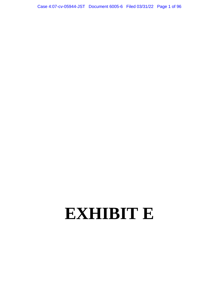Case 4:07-cv-05944-JST Document 6005-6 Filed 03/31/22 Page 1 of 96

## **EXHIBIT E**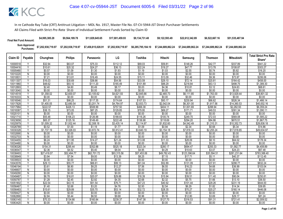| <b>Final Net Fund Amount:</b> | \$4,995,385.28     | \$9.564.189.78     | \$11,829,645,65    | \$17.001.459.93    | \$9.134.731.48     | \$9.122.593.49     | \$22,612,342.89                       | \$6,522,667.16 | \$51.535.487.94    |
|-------------------------------|--------------------|--------------------|--------------------|--------------------|--------------------|--------------------|---------------------------------------|----------------|--------------------|
| Sum Approved<br>Purchases:    | \$7,202,938,719.97 | \$7,202,938,719.97 | \$7,458,815,028.91 | \$7,202,938,719.97 | \$6,285,795,184.10 | \$7.244.689.862.24 | \$7.244.689.862.24 \$7.244.689.862.24 |                | \$7.244.689.862.24 |

|                      |                              |                   |                   |                   |                   |                   |                   |                    |                   |                    | <b>Total Strict Pro Rata</b> |
|----------------------|------------------------------|-------------------|-------------------|-------------------|-------------------|-------------------|-------------------|--------------------|-------------------|--------------------|------------------------------|
| Claim ID             | Payable                      | Chunghwa          | <b>Philips</b>    | Panasonic         | LG                | Toshiba           | Hitachi           | Samsung            | <b>Thomson</b>    | Mitsubishi         | Share*                       |
| 10000518             |                              | \$32.94           | \$63.07           | \$75.33           | \$112.12          | \$69.03           | \$59.81           | \$148.26           | \$42.77           | \$337.89           | \$941.22                     |
| 10004416             | $\overline{Y}$               | \$10.61           | \$20.32           | \$24.27           | \$36.13           | \$22.24           | \$19.27           | \$47.77            | \$13.78           | \$108.87           | \$303.27                     |
| 10005480             |                              | \$0.57            | \$1.09            | \$1.30            | \$1.93            | \$1.19            | \$1.03            | \$2.55             | \$0.74            | \$5.82             | \$16.20                      |
| 10010220             | Ñ                            | \$0.00            | \$0.00            | \$0.00            | \$0.00            | \$0.00            | \$0.00            | \$0.00             | \$0.00            | \$0.00             | \$0.00                       |
| 1001083              | Y                            | \$7.21            | \$13.81           | \$16.49           | \$24.55           | \$15.11           | \$13.09           | \$32.46            | \$9.36            | \$73.97            | \$206.06                     |
| 10011307             | Y                            | \$16.03           | \$30.69           | \$36.66           | \$54.56           | \$33.59           | \$29.10           | \$72.14            | \$20.81           | \$164.42           | \$458.00                     |
| 10011960             | $\overline{\mathsf{v}}$      | \$48.62           | \$93.10           | \$111.20          | \$165.49          | \$101.89          | \$88.29           | \$218.84           | \$63.13           | \$498.75           | \$1,389.30                   |
| 10012893             | Y                            | \$2.40            | \$4.60            | \$5.49            | \$8.17            | \$5.03            | \$4.36            | \$10.81            | \$3.12            | \$24.63            | \$68.61                      |
| 10013040             | N                            | \$0.00            | \$0.00            | \$0.00            | \$0.00            | \$0.00            | \$0.00            | \$0.00             | \$0.00            | \$0.00             | \$0.00                       |
| 10014519             | Y                            | \$1,358.02        | \$2,600.07        | \$3,105.62        | \$4,621.93        | \$2,845.66        | \$2,465.73        | \$6,111.85         | \$1,763.00        | \$13,929.44        | \$38,801.32                  |
| 10016333             | ${\sf N}$                    | \$0.00            | \$0.00            | \$0.00            | \$0.00            | \$0.00            | \$0.00            | \$0.00             | \$0.00            | \$0.00             | \$0.00                       |
| 10016546             | Y                            | \$51.31           | \$98.25           | \$117.35          | \$174.64          | \$107.53          | \$93.17           | \$230.94           | \$66.62           | \$526.34           | \$1,466.14                   |
| 10017828             | Y                            | \$1,400.05        | \$2,680.54        | \$3,201.74        | \$4,764.97        | \$2,933.73        | \$2,542.04        | \$6,301.00         | \$1,817.56        | \$14,360.53        | \$40,002.16                  |
| 10017984             | $\overline{\mathsf{v}}$      | \$222.57          | \$426.13          | \$508.99          | \$757.50          | \$466.38          | \$404.11          | \$1,001.69         | \$288.94          | \$2,282.93         | \$6,359.24                   |
| 10018387             |                              | \$38.15           | \$73.05           | \$87.25           | \$129.85          | \$79.95           | \$69.27           | \$171.71           | \$49.53           | \$391.34           | \$1,090.11                   |
| 10020101             | N                            | \$0.00            | \$0.00            | \$0.00            | \$0.00            | \$0.00            | \$0.00            | \$0.00             | \$0.00            | \$0.00             | \$0.00                       |
| 10021710             | ٧                            | \$55.48           | \$106.23          | \$126.88          | \$188.83          | \$116.26          | \$100.74          | \$249.70           | \$72.03           | \$569.08           | \$1,585.22                   |
| 10023658             | Y                            | \$65.37           | \$125.16          | \$149.49          | \$222.48          | \$136.98          | \$118.69          | \$294.20           | \$84.86           | \$670.51           | \$1.867.75                   |
| 10025979             | γ                            | \$1,009.32        | \$1,932.44        | \$2,308.18        | \$3,435.14        | \$2,114.97        | \$1,832.60        | \$4,542.49         | \$1,310.31        | \$10,352.73        | \$28,838.18                  |
| 10026789             | Υ                            | \$0.52            | \$1.00            | \$1.19            | \$1.77            | \$1.09            | \$0.94            | \$2.34             | \$0.68            | \$5.34             | \$14.86                      |
| 10030328             | Y                            | \$1,737.19        | \$3,326.03        | \$3,972.74        | \$5,912.41        | \$3,640.19        | \$3,154.18        | \$7,818.33         | \$2,255.24        | \$17,818.65        | \$49,634.97                  |
| 10032690             | N                            | \$0.00            | \$0.00            | \$0.00            | \$0.00            | \$0.00            | \$0.00            | \$0.00             | \$0.00            | \$0.00             | \$0.00                       |
| 10032703             | Ñ                            | \$0.00            | \$0.00            | \$0.00            | \$0.00            | \$0.00            | \$0.00            | \$0.00             | \$0.00            | \$0.00             | \$0.00                       |
| 10034455             | Y                            | \$6.24            | \$11.95           | \$14.27           | \$21.24           | \$13.08           | \$11.33           | \$28.09            | \$8.10            | \$64.02            | \$178.34                     |
| 10034480             | N<br>$\overline{\mathsf{v}}$ | \$0.00            | \$0.00            | \$0.00            | \$0.00            | \$0.00            | \$0.00            | \$0.00             | \$0.00            | \$0.00             | \$0.00                       |
| 10036326             | v                            | \$154.31          | \$295.44          | \$352.88          | \$525.18          | \$323.34          | \$280.17          | \$694.47           | \$200.33          | \$1,582.77         | \$4,408.89                   |
| 10036547             | Δ                            | \$2.36            | \$4.52            | \$5.40            | \$8.04            | \$4.95            | \$4.29            | \$10.63            | \$3.07            | \$24.23            | \$67.48                      |
| 10038493             | Y                            | \$27,418.07       | \$52,494.77       | \$62,701.72       | \$93,315.56       | \$57,453.06       | \$49,782.43       | \$123,396.64       | \$35,594.51       | \$281,231.64       | \$783,388.40                 |
| 10038949             |                              | \$3.94            | \$7.54            | \$9.00            | \$13.39           | \$8.25            | \$7.15            | \$17.71            | \$5.11            | \$40.37            | \$112.45                     |
| 10039503<br>10043578 | N<br>Ϋ                       | \$0.00<br>\$29.13 | \$0.00<br>\$55.77 | \$0.00<br>\$66.61 | \$0.00<br>\$99.13 | \$0.00<br>\$61.04 | \$0.00<br>\$52.89 | \$0.00<br>\$131.09 | \$0.00<br>\$37.81 | \$0.00<br>\$298.77 | \$0.00<br>\$832.24           |
| 10046194             | Y                            | \$3.61            | \$6.90            | \$8.25            | \$12.27           | \$7.56            | \$6.55            | \$16.23            | \$4.68            | \$36.99            | \$103.04                     |
| 10046607             | $\mathsf{N}$                 | \$0.00            | \$0.00            | \$0.00            | \$0.00            | \$0.00            | \$0.00            | \$0.00             | \$0.00            | \$0.00             | \$0.00                       |
| 10049290             | N                            | \$0.00            | \$0.00            | \$0.00            | \$0.00            | \$0.00            | \$0.00            | \$0.00             | \$0.00            | \$0.00             | \$0.00                       |
| 10049487             | Ÿ                            | \$8.78            | \$16.81           | \$20.07           | \$29.88           | \$18.39           | \$15.94           | \$39.51            | \$11.40           | \$90.04            | \$250.81                     |
| 10050787             | Y                            | \$1.28            | \$2.45            | \$2.92            | \$4.35            | \$2.68            | \$2.32            | \$5.75             | \$1.66            | \$13.10            | \$36.50                      |
| 10051902             | Y                            | \$22.54           | \$43.15           | \$51.54           | \$76.71           | \$47.23           | \$40.92           | \$101.44           | \$29.26           | \$231.19           | \$644.00                     |
| 10056467             | $\vee$                       | \$1.40            | \$2.68            | \$3.20            | \$4.76            | \$2.93            | \$2.54            | \$6.29             | \$1.82            | \$14.34            | \$39.95                      |
| 10056483             |                              | \$15.61           | \$29.89           | \$35.70           | \$53.14           | \$32.72           | \$28.35           | \$70.27            | \$20.27           | \$160.14           | \$446.08                     |
| 10058427             | N                            | \$0.00            | \$0.00            | \$0.00            | \$0.00            | \$0.00            | \$0.00            | \$0.00             | \$0.00            | \$0.00             | \$0.00                       |
| 10062890             | Y                            | \$2.84            | \$5.44            | \$6.50            | \$9.68            | \$5.96            | \$5.16            | \$12.80            | \$3.69            | \$29.17            | \$81.24                      |
| 10063145             |                              | \$70.33           | \$134.66          | \$160.84          | \$239.37          | \$147.38          | \$127.70          | \$316.53           | \$91.31           | \$721.4'           | \$2,009.52                   |
| 10063420             | Ñ                            | \$0.00            | \$0.00            | \$0.00            | \$0.00            | \$0.00            | \$0.00            | \$0.00             | \$0.00            | \$0.00             | \$0.00                       |
|                      |                              |                   |                   |                   |                   |                   |                   |                    |                   |                    |                              |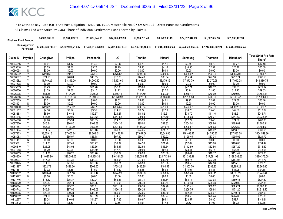| <b>Final Net Fund Amount:</b> | \$4,995,385.28                                | \$9,564,189.78     | \$11,829,645,65    | \$17.001.459.93    | \$9.134.731.48     | \$9.122.593.49     | \$22,612,342.89 | \$6.522.667.16                        | \$51,535,487.94    |
|-------------------------------|-----------------------------------------------|--------------------|--------------------|--------------------|--------------------|--------------------|-----------------|---------------------------------------|--------------------|
|                               | Sum Approved \$7,202,938,719.97<br>Purchases: | \$7,202,938,719.97 | \$7,458,815,028.91 | \$7,202,938,719.97 | \$6,285,795,184.10 | \$7.244.689.862.24 |                 | \$7.244.689.862.24 \$7.244.689.862.24 | \$7.244.689.862.24 |

|          |                |             | <b>Philips</b> |             | LG          | Toshiba     | Hitachi     |             |                |                   | <b>Total Strict Pro Rata</b> |
|----------|----------------|-------------|----------------|-------------|-------------|-------------|-------------|-------------|----------------|-------------------|------------------------------|
| Claim ID | Payable        | Chunghwa    |                | Panasonic   |             |             |             | Samsung     | <b>Thomson</b> | <b>Mitsubishi</b> | Share*                       |
| 10064516 |                | \$0.61      | \$1.17         | \$1.40      | \$2.08      | \$1.28      | \$1.11      | \$2.75      | \$0.79         | \$6.27            | \$17.48                      |
| 10065318 | Y              | \$2.29      | \$4.38         | \$5.23      | \$7.79      | \$4.80      | \$4.16      | \$10.30     | \$2.97         | \$23.47           | \$65.39                      |
| 10066098 | N              | \$0.00      | \$0.00         | \$0.00      | \$0.00      | \$0.00      | \$0.00      | \$0.00      | \$0.00         | \$0.00            | \$0.00                       |
| 10066632 | $\overline{Y}$ | \$110.66    | \$211.87       | \$253.06    | \$376.62    | \$231.88    | \$200.92    | \$498.02    | \$143.66       | \$1,135.03        | \$3,161.70                   |
| 10066667 |                | \$21.23     | \$40.64        | \$48.55     | \$72.25     | \$44.48     | \$38.54     | \$95.54     | \$27.56        | \$217.74          | \$606.53                     |
| 10073582 | Υ              | \$1,749.29  | \$3,349.20     | \$4,000.42  | \$5,953.60  | \$3,665.55  | \$3,176.16  | \$7,872.79  | \$2,270.96     | \$17,942.78       | \$49,980.75                  |
| 10074678 | N              | \$0.00      | \$0.00         | \$0.00      | \$0.00      | \$0.00      | \$0.00      | \$0.00      | \$0.00         | \$0.00            | \$0.00                       |
| 10075739 | Y              | \$9.49      | \$18.17        | \$21.70     | \$32.30     | \$19.88     | \$17.23     | \$42.71     | \$12.32        | \$97.33           | \$271.12                     |
| 10076700 |                | \$1.39      | \$2.66         | \$3.17      | \$4.72      | \$2.91      | \$2.52      | \$6.24      | \$1.80         | \$14.23           | \$39.63                      |
| 10076905 | v              | \$54.68     | \$104.70       | \$125.06    | \$186.11    | \$114.59    | \$99.29     | \$246.11    | \$70.99        | \$560.90          | \$1,562.43                   |
| 10076956 | Y              | \$608.50    | \$1,165.03     | \$1,391.56  | \$2,070.98  | \$1,275.08  | \$1,104.84  | \$2,738.58  | \$789.96       | \$6,241.47        | \$17,386.01                  |
| 10077359 | V              | \$2.21      | \$4.23         | \$5.06      | \$7.52      | \$4.63      | \$4.01      | \$9.95      | \$2.87         | \$22.67           | \$63.16                      |
| 10078401 | N              | \$0.00      | \$0.00         | \$0.00      | \$0.00      | \$0.00      | \$0.00      | \$0.00      | \$0.00         | \$0.00            | \$0.00                       |
| 10080430 | Y              | \$116.22    | \$222.52       | \$265.79    | \$395.56    | \$243.54    | \$211.03    | \$523.07    | \$150.88       | \$1,192.13        | \$3,320.76                   |
| 10081917 | Y              | \$4.16      | \$7.97         | \$9.52      | \$14.16     | \$8.72      | \$7.56      | \$18.73     | \$5.40         | \$42.68           | \$118.89                     |
| 10083383 | $\checkmark$   | \$8.60      | \$16.46        | \$19.67     | \$29.27     | \$18.02     | \$15.61     | \$38.70     | \$11.16        | \$88.21           | \$245.71                     |
| 10084215 | Υ              | \$43.35     | \$82.99        | \$99.12     | \$147.52    | \$90.83     | \$78.70     | \$195.08    | \$56.27        | \$444.60          | \$1,238.45                   |
| 10084800 | V              | \$7.28      | \$13.94        | \$16.65     | \$24.78     | \$15.26     | \$13.22     | \$32.77     | \$9.45         | \$74.69           | \$208.06                     |
| 10087320 | Υ              | \$45.34     | \$86.80        | \$103.68    | \$154.30    | \$95.00     | \$82.32     | \$204.04    | \$58.86        | \$465.02          | \$1,295.34                   |
| 10087354 |                | \$65.96     | \$126.29       | \$150.85    | \$224.50    | \$138.22    | \$119.77    | \$296.87    | \$85.63        | \$676.59          | \$1,884.69                   |
| 10087494 | Y              | \$11.57     | \$22.16        | \$26.46     | \$39.39     | \$24.25     | \$21.01     | \$52.08     | \$15.02        | \$118.70          | \$330.65                     |
| 10087923 | Y              | \$3,659.16  | \$7,005.84     | \$8,368.04  | \$12,453.70 | \$7,667.56  | \$6,643.86  | \$16,468.25 | \$4,750.37     | \$37,532.58       | \$104,549.36                 |
| 10088083 | Y              | \$28.76     | \$55.07        | \$65.78     | \$97.89     | \$60.27     | \$52.22     | \$129.45    | \$37.34        | \$295.02          | \$821.79                     |
| 10091157 | N              | \$0.00      | \$0.00         | \$0.00      | \$0.00      | \$0.00      | \$0.00      | \$0.00      | \$0.00         | \$0.00            | \$0.00                       |
| 10095381 | Y              | \$11.71     | \$22.41        | \$26.77     | \$39.84     | \$24.53     | \$21.26     | \$52.69     | \$15.20        | \$120.08          | \$334.49                     |
| 10096310 | Y              | \$25.08     | \$48.03        | \$57.36     | \$85.37     | \$52.56     | \$45.54     | \$112.89    | \$32.56        | \$257.29          | \$716.69                     |
| 10097988 | Y              | \$5.20      | \$9.96         | \$11.89     | \$17.70     | \$10.90     | \$9.44      | \$23.41     | \$6.75         | \$53.35           | \$148.61                     |
| 10098259 | Υ              | \$14.76     | \$28.26        | \$33.76     | \$50.24     | \$30.93     | \$26.80     | \$66.44     | \$19.17        | \$151.42          | \$421.80                     |
| 10098909 | Y              | \$13,627.90 | \$26,092.05    | \$31,165.32 | \$46,381.65 | \$28,556.52 | \$24,743.90 | \$61,333.18 | \$17,691.93    | \$139,783.63      | \$389,376.08                 |
| 10099034 | Y              | \$17.95     | \$34.36        | \$41.04     | \$61.08     | \$37.61     | \$32.59     | \$80.77     | \$23.30        | \$184.08          | \$512.77                     |
| 10099425 | V              | \$11.23     | \$21.50        | \$25.68     | \$38.21     | \$23.53     | \$20.38     | \$50.53     | \$14.58        | \$115.16          | \$320.78                     |
| 10101187 | Υ              | \$222.79    | \$426.56       | \$509.50    | \$758.26    | \$466.85    | \$404.52    | \$1,002.70  | \$289.23       | \$2,285.23        | \$6,365.65                   |
| 10101861 | $\vee$         | \$3.32      | \$6.36         | \$7.59      | \$11.30     | \$6.96      | \$6.03      | \$14.94     | \$4.31         | \$34.06           | \$94.88                      |
| 10103732 | Y              | \$183.41    | \$351.16       | \$419.44    | \$624.23    | \$384.33    | \$333.02    | \$825.46    | \$238.11       | \$1,881.29        | \$5,240.44                   |
| 10105972 | N              | \$0.00      | \$0.00         | \$0.00      | \$0.00      | \$0.00      | \$0.00      | \$0.00      | \$0.00         | \$0.00            | \$0.00                       |
| 10107746 | Υ              | \$18.47     | \$35.37        | \$42.24     | \$62.87     | \$38.71     | \$33.54     | \$83.14     | \$23.98        | \$189.48          | \$527.80                     |
| 10108220 |                | \$22.33     | \$42.74        | \$51.06     | \$75.98     | \$46.78     | \$40.54     | \$100.48    | \$28.98        | \$229.00          | \$637.88                     |
| 10108564 | Y              | \$38.53     | \$73.77        | \$88.11     | \$131.14    | \$80.74     | \$69.96     | \$173.41    | \$50.02        | \$395.21          | \$1,100.90                   |
| 10108742 | Ϋ              | \$45.94     | \$87.95        | \$105.06    | \$156.35    | \$96.26     | \$83.41     | \$206.75    | \$59.64        | \$471.20          | \$1,312.55                   |
| 10109005 | Y              | \$20.55     | \$39.34        | \$46.99     | \$69.93     | \$43.05     | \$37.30     | \$92.47     | \$26.67        | \$210.74          | \$587.03                     |
| 10110852 | Y              | \$21.90     | \$41.94        | \$50.09     | \$74.55     | \$45.90     | \$39.77     | \$98.58     | \$28.44        | \$224.68          | \$625.86                     |
| 10112677 | Y              | \$5.24      | \$10.03        | \$11.97     | \$17.82     | \$10.97     | \$9.51      | \$23.57     | \$6.80         | \$53.71           | \$149.61                     |
| 10113312 |                | \$0.78      | \$1.50         | \$1.79      | \$2.66      | \$1.64      | \$1.42      | \$3.52      | \$1.02         | \$8.02            | \$22.35                      |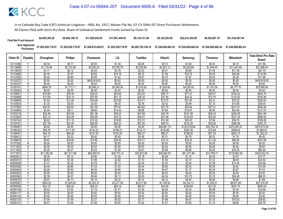| <b>Final Net Fund Amount:</b> | \$4,995,385.28                                | \$9.564.189.78     | \$11.829.645.65    | \$17,001,459,93    | \$9.134.731.48 | \$9.122.593.49 | \$22,612,342,89 | \$6,522,667.16     | \$51,535,487.94    |
|-------------------------------|-----------------------------------------------|--------------------|--------------------|--------------------|----------------|----------------|-----------------|--------------------|--------------------|
|                               | Sum Approved<br>Purchases: \$7,202,938,719.97 | \$7,202,938,719.97 | \$7,458,815,028.91 | \$7,202,938,719.97 |                |                |                 | \$7.244.689.862.24 | \$7.244.689.862.24 |

|                      |                         |                  |                  |                   |                  |                  |                  |                  |                   |                   | <b>Total Strict Pro Rata</b> |
|----------------------|-------------------------|------------------|------------------|-------------------|------------------|------------------|------------------|------------------|-------------------|-------------------|------------------------------|
| Claim ID             | Payable                 | Chunghwa         | <b>Philips</b>   | Panasonic         | LG               | Toshiba          | Hitachi          | Samsung          | <b>Thomson</b>    | <b>Mitsubishi</b> | Share*                       |
| 10114386             |                         | \$0.40           | \$0.77           | \$0.93            | \$1.38           | \$0.85           | \$0.73           | \$1.82           | \$0.53            | \$4.15            | \$11.56                      |
| 10115668             | Y                       | \$1,116.46       | \$2,137.58       | \$2,553.20        | \$3,799.79       | \$2,339.48       | \$2,027.13       | \$5,024.68       | \$1,449.40        | \$11,451.69       | \$31,899.40                  |
| 10115676             | Υ                       | \$1.11           | \$2.12           | \$2.54            | \$3.78           | \$2.33           | \$2.01           | \$4.99           | \$1.44            | \$11.38           | \$31.70                      |
| 10119485             | V                       | \$4.16           | \$7.97           | \$9.52            | \$14.16          | \$8.72           | \$7.56           | \$18.73          | \$5.40            | \$42.68           | \$118.89                     |
| 10121005             | Y                       | \$0.42           | \$0.80           | \$0.95            | \$1.42           | \$0.87           | \$0.75           | \$1.87           | \$0.54            | \$4.26            | \$11.88                      |
| 10125272             | Υ                       | \$0.00           | \$0.00           | \$405,818.63      | \$0.00           | \$0.00           | \$0.00           | \$0.00           | \$0.00            | \$0.00            | \$405,818.63                 |
| 10125337             | $\overline{N}$          | \$0.00           | \$0.00           | \$0.00            | \$0.00           | \$0.00           | \$0.00           | \$0.00           | \$0.00            | \$0.00            | \$0.00                       |
| 10126147             | $\vee$                  | \$894.76         | \$1,713.11       | \$2,046.21        | \$3,045.26       | \$1,874.92       | \$1,624.60       | \$4,026.92       | \$1,161.59        | \$9,177.70        | \$25,565.06                  |
| 10126520             | N                       | \$0.00           | \$0.00           | \$0.00            | \$0.00           | \$0.00           | \$0.00           | \$0.00           | \$0.00            | \$0.00            | \$0.00                       |
| 1012665              | Υ                       | \$15.84          | \$30.34          | \$36.23           | \$53.92          | \$33.20          | \$28.77          | \$71.31          | \$20.57           | \$162.52          | \$452.70                     |
| 10126988             | Y                       | \$12.09          | \$23.15          | \$27.65           | \$41.15          | \$25.34          | \$21.95          | \$54.42          | \$15.70           | \$124.02          | \$345.46                     |
| 10130659             |                         | \$7.02           | \$13.44          | \$16.06           | \$23.90          | \$14.71          | \$12.75          | \$31.60          | \$9.12            | \$72.02           | \$200.63                     |
| 10135634             | Υ                       | \$1.33           | \$2.55           | \$3.05            | \$4.53           | \$2.79           | \$2.42           | \$5.99           | \$1.73            | \$13.66           | \$38.05                      |
| 10137890             | ٧                       | \$20.81          | \$39.83          | \$47.58           | \$70.81          | \$43.60          | \$37.78          | \$93.64          | \$27.01           | \$213.41          | \$594.46                     |
| 10144994             | Y                       | \$4.24           | \$8.11           | \$9.69            | \$14.42          | \$8.88           | \$7.69           | \$19.07          | \$5.50            | \$43.46           | \$121.07                     |
| 10150218             | γ                       | \$22.46          | \$43.00          | \$51.36           | \$76.44          | \$47.06          | \$40.78          | \$101.08         | \$29.16           | \$230.36          | \$641.69                     |
| 10153284             | Y                       | \$23.13          | \$44.28          | \$52.89           | \$78.72          | \$48.47          | \$41.99          | \$104.09         | \$30.03           | \$237.24          | \$660.84                     |
| 10154744             | Υ                       | \$5.83           | \$11.15          | \$13.32           | \$19.83          | \$12.21          | \$10.58          | \$26.22          | \$7.56            | \$59.75           | \$166.45                     |
| 10155767             | $\vee$                  | \$27.39          | \$52.45          | \$62.65           | \$93.23          | \$57.40          | \$49.74          | \$123.29         | \$35.56           | \$280.99          | \$782.70                     |
| 10165487             |                         | \$0.00           | \$0.00           | \$0.00            | \$0.00           | \$0.00           | \$48,661.70      | \$120,618.66     | \$34,793.18       | \$274,900.37      | \$478,973.92                 |
| 10166220             | Υ                       | \$58.30          | \$111.63         | \$133.33          | \$198.43         | \$122.17         | \$105.86         | \$262.39         | \$75.69           | \$598.02          | \$1,665.81                   |
| 10169407             | Y<br>V                  | \$44.18          | \$84.58          | \$101.03          | \$150.35         | \$92.57          | \$80.21          | \$198.82         | \$57.35           | \$453.13          | \$1,262.23                   |
| 1016943              |                         | \$0.17           | \$0.33           | \$0.40<br>\$19.82 | \$0.59           | \$0.36           | \$0.31           | \$0.78           | \$0.23            | \$1.78            | \$4.95                       |
| 10169679<br>10170782 |                         | \$8.67           | \$16.60          |                   | \$29.50          | \$18.17          | \$15.74          | \$39.02          | \$11.25<br>\$0.00 | \$88.92           | \$247.69                     |
| 10171622             | N<br>$\overline{N}$     | \$0.00<br>\$0.00 | \$0.00<br>\$0.00 | \$0.00<br>\$0.00  | \$0.00<br>\$0.00 | \$0.00<br>\$0.00 | \$0.00<br>\$0.00 | \$0.00<br>\$0.00 | \$0.00            | \$0.00<br>\$0.00  | \$0.00<br>\$0.00             |
| 10171630             | $\checkmark$            | \$2.20           | \$4.21           | \$5.03            | \$7.48           | \$4.61           | \$3.99           | \$9.89           | \$2.85            | \$22.55           | \$62.80                      |
| 10171673             |                         | \$11,392.36      | \$21,811.86      | \$26,052.91       | \$38,773.13      | \$23,872.06      | \$20,684.87      | \$51,271.98      | \$14,789.7'       | \$116,853.28      | \$325,502.16                 |
| 4000000              | $\vee$                  | \$0.38           | \$0.72           | \$0.86            | \$1.28           | \$0.79           | \$0.68           | \$1.70           | \$0.49            | \$3.87            | \$10.77                      |
| 40000010             | Y                       | \$0.83           | \$1.58           | \$1.89            | \$2.82           | \$1.73           | \$1.50           | \$3.72           | \$1.07            | \$8.49            | \$23.64                      |
| 40000028             | $\overline{\mathsf{v}}$ | \$1.21           | \$2.32           | \$2.78            | \$4.13           | \$2.54           | \$2.20           | \$5.46           | \$1.58            | \$12.45           | \$34.68                      |
| 40000036             |                         | \$0.45           | \$0.86           | \$1.03            | \$1.53           | \$0.94           | \$0.82           | \$2.03           | \$0.59            | \$4.62            | \$12.88                      |
| 40000044             | Y                       | \$0.26           | \$0.50           | \$0.59            | \$0.89           | \$0.54           | \$0.47           | \$1.17           | \$0.34            | \$2.67            | \$7.43                       |
| 40000052             | $\overline{N}$          | \$0.00           | \$0.00           | \$0.00            | \$0.00           | \$0.00           | \$0.00           | \$0.00           | \$0.00            | \$0.00            | \$0.00                       |
| 40000060             | $\checkmark$            | \$2.39           | \$4.57           | \$5.46            | \$8.13           | \$5.00           | \$4.34           | \$10.75          | \$3.10            | \$24.49           | \$68.23                      |
| 40000079             | Y                       | \$0.07           | \$0.13           | \$0.15            | \$0.22           | \$0.14           | \$0.12           | \$0.30           | \$0.09            | \$0.68            | \$1.88                       |
| 40000087             | Υ                       | \$963.02         | \$1,843.80       | \$2,202.31        | \$3,277.58       | \$2,017.96       | \$1,748.54       | \$4,334.13       | \$1,250.21        | \$9,877.86        | \$27,515.39                  |
| 40000095             | Y                       | \$24.15          | \$46.24          | \$55.23           | \$82.19          | \$50.61          | \$43.85          | \$108.69         | \$31.35           | \$247.72          | \$690.03                     |
| 40000109             | $\checkmark$            | \$0.52           | \$1.00           | \$1.19            | \$1.77           | \$1.09           | \$0.94           | \$2.34           | \$0.68            | \$5.34            | \$14.86                      |
| 40000117             | N                       | \$0.00           | \$0.00           | \$0.00            | \$0.00           | \$0.00           | \$0.00           | \$0.00           | \$0.00            | \$0.00            | \$0.00                       |
| 40000125             | N                       | \$0.00           | \$0.00           | \$0.00            | \$0.00           | \$0.00           | \$0.00           | \$0.00           | \$0.00            | \$0.00            | \$0.00                       |
| 40000133             | Y                       | \$1.04           | \$1.99           | \$2.37            | \$3.53           | \$2.17           | \$1.88           | \$4.67           | \$1.35            | \$10.63           | \$29.62                      |
| 40000141             |                         | \$0.87           | \$1.66           | \$1.98            | \$2.95           | \$1.82           | \$1.57           | \$3.90           | \$1.12            | \$8.89            | \$24.76                      |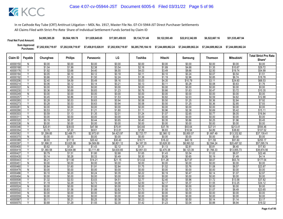| <b>Final Net Fund Amount:</b> | \$4,995,385.28     | \$9.564.189.78     | \$11.829.645.65    | \$17.001.459.93    | \$9.134.731.48     | \$9.122.593.49     | \$22,612,342.89 | \$6,522,667.16                        | \$51,535,487.94    |
|-------------------------------|--------------------|--------------------|--------------------|--------------------|--------------------|--------------------|-----------------|---------------------------------------|--------------------|
| Sum Approved<br>:Purchases    | \$7,202,938,719.97 | \$7,202,938,719.97 | \$7,458,815,028.91 | \$7,202,938,719.97 | \$6,285,795,184.10 | \$7.244.689.862.24 |                 | \$7.244.689.862.24 \$7.244.689.862.24 | \$7.244.689.862.24 |

|                      |                |                  |                  |                  |                  |                  |                  |                  |                  |                   | <b>Total Strict Pro Rata</b> |
|----------------------|----------------|------------------|------------------|------------------|------------------|------------------|------------------|------------------|------------------|-------------------|------------------------------|
| Claim ID             | Payable        | Chunghwa         | <b>Philips</b>   | Panasonic        | LG               | Toshiba          | Hitachi          | Samsung          | Thomson          | <b>Mitsubishi</b> | Share*                       |
| 40000150             | N              | \$0.00           | \$0.00           | \$0.00           | \$0.00           | \$0.00           | \$0.00           | \$0.00           | \$0.00           | \$0.00            | \$0.00                       |
| 40000168             | Y              | \$1.04           | \$1.99           | \$2.38           | \$3.54           | \$2.18           | \$1.89           | \$4.68           | \$1.35           | \$10.67           | \$29.72                      |
| 40000176             | $\checkmark$   | \$1.92           | \$3.68           | \$4.40           | \$6.55           | \$4.03           | \$3.49           | \$8.66           | \$2.50           | \$19.74           | \$54.99                      |
| 40000184             |                | \$0.05           | \$0.10           | \$0.12           | \$0.18           | \$0.11           | \$0.10           | \$0.24           | \$0.07           | \$0.54            | \$1.51                       |
| 40000192             | Y              | \$0.66           | \$1.26           | \$1.50           | \$2.24           | \$1.38           | \$1.19           | \$2.96           | \$0.85           | \$6.74            | \$18.78                      |
| 40000206             | v              | \$2.40           | \$4.59           | \$5.49           | \$8.16           | \$5.03           | \$4.35           | \$10.79          | \$3.11           | \$24.60           | \$68.53                      |
| 4000021              |                | \$0.06           | \$0.12           | \$0.14           | \$0.21           | \$0.13           | \$0.11           | \$0.28           | \$0.08           | \$0.63            | \$1.76                       |
| 40000222             | N              | \$0.00           | \$0.00           | \$0.00           | \$0.00           | \$0.00           | \$0.00           | \$0.00           | \$0.00           | \$0.00            | \$0.00                       |
| 40000230             | Υ              | \$0.36           | \$0.69           | \$0.83           | \$1.23           | \$0.76           | \$0.66           | \$1.63           | \$0.47           | \$3.72            | \$10.35                      |
| 40000249             | $\overline{N}$ | \$0.00           | \$0.00           | \$0.00           | \$0.00           | \$0.00           | \$0.00           | \$0.00           | \$0.00           | \$0.00            | \$0.00                       |
| 4000025              |                | \$0.45           | \$0.86           | \$1.03           | \$1.53           | \$0.94           | \$0.82           | \$2.03           | \$0.59           | \$4.62            | \$12.88                      |
| 40000265             | Ϋ              | \$0.28           | \$0.53           | \$0.63           | \$0.94           | \$0.58           | \$0.50           | \$1.25           | \$0.36           | \$2.84            | \$7.92                       |
| 40000273             | Y              | \$0.28           | \$0.53           | \$0.63           | \$0.94           | \$0.58           | \$0.50           | \$1.25           | \$0.36           | \$2.85            | \$7.93                       |
| 40000281             | $\overline{N}$ | \$0.00           | \$0.00           | \$0.00           | \$0.00           | \$0.00           | \$0.00           | \$0.00           | \$0.00           | \$0.00            | \$0.00                       |
| 40000290             | Y              | \$0.53           | \$1.01           | \$1.21           | \$1.80           | \$1.11           | \$0.96           | \$2.38           | \$0.69           | \$5.42            | \$15.11                      |
| 40000303             | Y              | \$0.59           | \$1.13           | \$1.35           | \$2.01           | \$1.24           | \$1.07           | \$2.65           | \$0.77           | \$6.05            | \$16.84                      |
| 40000311             | Ñ              | \$0.00           | \$0.00           | \$0.00           | \$0.00           | \$0.00           | \$0.00           | \$0.00           | \$0.00           | \$0.00            | \$0.00                       |
| 40000320             | Y              | \$0.19           | \$0.37           | \$0.44           | \$0.65           | \$0.40           | \$0.35           | \$0.86           | \$0.25           | \$1.96            | \$5.45                       |
| 40000338             | N              | \$0.00           | \$0.00           | \$0.00           | \$0.00           | \$0.00           | \$0.00           | \$0.00           | \$0.00           | \$0.00            | \$0.00                       |
| 40000346             | Υ              | \$20.81          | \$39.83          | \$47.58          | \$70.81          | \$43.60          | \$37.78          | \$93.64          | \$27.01          | \$213.41          | \$594.46                     |
| 40000354             | Y              | \$3.76           | \$7.20           | \$8.61           | \$12.81          | \$7.89           | \$6.83           | \$16.94          | \$4.89           | \$38.60           | \$107.52                     |
| 4000036              | $\vee$         | \$1,299.85       | \$2,488.71       | \$2,972.61       | \$4,423.97       | \$2,723.77       | \$2,360.12       | \$5,850.07       | \$1,687.49       | \$13,332.82       | \$37,139.41                  |
| 40000370             | Ñ              | \$0.00           | \$0.00           | \$0.00           | \$0.00           | \$0.00           | \$0.00           | \$0.00           | \$0.00           | \$0.00            | \$0.00                       |
| 40000389             | Υ              | \$8.93           | \$17.10          | \$20.42          | \$30.40          | \$18.71          | \$16.22          | \$40.19          | \$11.59          | \$91.60           | \$255.17                     |
| 40000397             | Υ              | \$1,998.31       | \$3,825.98       | \$4,569.89       | \$6,801.12       | \$4,187.35       | \$3,628.30       | \$8,993.52       | \$2,594.24       | \$20,497.02       | \$57,095.74                  |
| 40000400             | V              | \$0.62           | \$1.20           | \$1.43           | \$2.12           | \$1.31           | \$1.13           | \$2.81           | \$0.81           | \$6.40            | \$17.83                      |
| 40000419             | Y              | \$1.360.58       | \$2.604.98       | \$3.111.49       | \$4.630.65       | \$2,851.03       | \$2.470.38       | \$6,123.39       | \$1.766.33       | \$13,955.73       | \$38.874.56                  |
| 40000427             | Y              | \$0.79           | \$1.51           | \$1.80           | \$2.68           | \$1.65           | \$1.43           | \$3.54           | \$1.02           | \$8.07            | \$22.48                      |
| 40000435             | Y              | \$0.14           | \$0.28           | \$0.33           | \$0.49           | \$0.30           | \$0.26           | \$0.65           | \$0.19           | \$1.49            | \$4.14                       |
| 40000443             |                | \$6.21           | \$11.90          | \$14.21          | \$21.15          | \$13.02          | \$11.28          | \$27.97          | \$8.07           | \$63.74           | \$177.54                     |
| 40000451<br>40000460 | N<br>V         | \$0.00           | \$0.00<br>\$1.60 | \$0.00<br>\$1.91 | \$0.00<br>\$2.84 | \$0.00           | \$0.00<br>\$1.52 | \$0.00<br>\$3.76 | \$0.00           | \$0.00<br>\$8.57  | \$0.00<br>\$23.87            |
|                      | $\mathsf{N}$   | \$0.84           |                  |                  |                  | \$1.75           |                  |                  | \$1.08           |                   |                              |
| 40000478<br>40000486 | Y              | \$0.00<br>\$0.10 | \$0.00<br>\$0.20 | \$0.00<br>\$0.24 | \$0.00<br>\$0.35 | \$0.00<br>\$0.22 | \$0.00<br>\$0.19 | \$0.00<br>\$0.47 | \$0.00<br>\$0.14 | \$0.00<br>\$1.07  | \$0.00<br>\$2.97             |
| 40000494             | N              | \$0.00           | \$0.00           | \$0.00           | \$0.00           | \$0.00           | \$0.00           | \$0.00           | \$0.00           | \$0.00            | \$0.00                       |
| 40000508             | Y              | \$1.32           | \$2.53           | \$3.03           | \$4.51           | \$2.77           | \$2.40           | \$5.96           | \$1.72           | \$13.58           | \$37.82                      |
| 40000516             | Y              | \$1.19           | \$2.29           | \$2.73           | \$4.06           | \$2.50           | \$2.17           | \$5.37           | \$1.55           | \$12.25           | \$34.12                      |
| 40000524             | N              | \$0.00           | \$0.00           | \$0.00           | \$0.00           | \$0.00           | \$0.00           | \$0.00           | \$0.00           | \$0.00            | \$0.00                       |
| 40000532             | Y              | \$0.83           | \$1.58           | \$1.89           | \$2.82           | \$1.73           | \$1.50           | \$3.73           | \$1.07           | \$8.49            | \$23.65                      |
| 40000540             | N              | \$0.00           | \$0.00           | \$0.00           | \$0.00           | \$0.00           | \$0.00           | \$0.00           | \$0.00           | \$0.00            | \$0.00                       |
| 40000559             | N              | \$0.00           | \$0.00           | \$0.00           | \$0.00           | \$0.00           | \$0.00           | \$0.00           | \$0.00           | \$0.00            | \$0.00                       |
| 40000567             |                | \$0.11           | \$0.21           | \$0.25           | \$0.38           | \$0.23           | \$0.20           | \$0.50           | \$0.14           | \$1.14            | \$3.17                       |
| 40000575             | Υ              | \$0.68           | \$1.29           | \$1.55           | \$2.30           | \$1.42           | \$1.23           | \$3.04           | \$0.88           | \$6.94            | \$19.32                      |
|                      |                |                  |                  |                  |                  |                  |                  |                  |                  |                   |                              |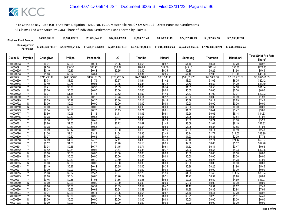| <b>Final Net Fund Amount:</b>      | \$4,995,385.28     | \$9,564,189.78     | \$11.829.645.65    | \$17,001,459.93    | \$9.134.731.48     | \$9.122.593.49 | \$22,612,342,89 | \$6,522,667.16     | \$51,535,487.94    |
|------------------------------------|--------------------|--------------------|--------------------|--------------------|--------------------|----------------|-----------------|--------------------|--------------------|
| <b>Sum Approved<br/>Purchases:</b> | \$7,202,938,719.97 | \$7,202,938,719.97 | \$7,458,815,028.91 | \$7,202,938,719.97 | \$6,285,795,184.10 |                |                 | \$7.244.689.862.24 | \$7.244.689.862.24 |

|                      |                          |                  |                  |                  |                  |                  |                  |                  |                  |                   | <b>Total Strict Pro Rata</b> |
|----------------------|--------------------------|------------------|------------------|------------------|------------------|------------------|------------------|------------------|------------------|-------------------|------------------------------|
| Claim ID             | Payable                  | Chunghwa         | <b>Philips</b>   | Panasonic        | LG               | Toshiba          | Hitachi          | Samsung          | <b>Thomson</b>   | <b>Mitsubishi</b> | Share*                       |
| 40000583             |                          | \$0.31           | \$0.60           | \$0.71           | \$1.06           | \$0.65           | \$0.57           | \$1.40           | \$0.41           | \$3.20            | \$8.92                       |
| 40000591             | $\overline{Y}$           | \$9.58           | \$18.35          | \$21.92          | \$32.62          | \$20.08          | \$17.40          | \$43.13          | \$12.44          | \$98.30           | \$273.83                     |
| 40000605             |                          | \$0.19           | \$0.37           | \$0.44           | \$0.65           | \$0.40           | \$0.35           | \$0.86           | \$0.25           | \$1.96            | \$5.45                       |
| 40000613             |                          | \$1.58           | \$3.02           | \$3.61           | \$5.37           | \$3.31           | \$2.86           | \$7.10           | \$2.05           | \$16.18           | \$45.08                      |
| 4000062              | Y                        | \$213,438.19     | \$408,649.83     | \$488,106.69     | \$726,422.62     | \$447,248.02     | \$387,535.41     | \$960,591.25     | \$277,088.36     | \$2,189,270.66    | \$6,098,351.03               |
| 40000630             | Y                        | \$0.78           | \$1.50           | \$1.79           | \$2.67           | \$1.64           | \$1.42           | \$3.53           | \$1.02           | \$8.05            | \$22.42                      |
| 40000648             | $\overline{\mathsf{v}}$  | \$0.40           | \$0.76           | \$0.91           | \$1.36           | \$0.84           | \$0.72           | \$1.79           | \$0.52           | \$4.09            | \$11.39                      |
| 40000656             | Y                        | \$0.41           | \$0.78           | \$0.93           | \$1.39           | \$0.85           | \$0.74           | \$1.83           | \$0.53           | \$4.18            | \$11.64                      |
| 40000664             | N                        | \$0.00           | \$0.00           | \$0.00           | \$0.00           | \$0.00           | \$0.00           | \$0.00           | \$0.00           | \$0.00            | \$0.00                       |
| 40000672             | Y                        | \$0.77           | \$1.48           | \$1.76           | \$2.62           | \$1.62           | \$1.40           | \$3.47           | \$1.00           | \$7.91            | \$22.03                      |
| 40000680             | Y                        | \$0.07           | \$0.13           | \$0.15           | \$0.23           | \$0.14           | \$0.12           | \$0.30           | \$0.09           | \$0.69            | \$1.93                       |
| 40000699             | Y                        | \$0.09           | \$0.17           | \$0.20           | \$0.30           | \$0.18           | \$0.16           | \$0.39           | \$0.11           | \$0.89            | \$2.48                       |
| 40000702             | N                        | \$0.00           | \$0.00           | \$0.00           | \$0.00           | \$0.00           | \$0.00           | \$0.00           | \$0.00           | \$0.00            | \$0.00                       |
| 40000710             | $\overline{N}$           | \$0.00           | \$0.00           | \$0.00           | \$0.00           | \$0.00           | \$0.00           | \$0.00           | \$0.00           | \$0.00            | \$0.00                       |
| 40000729             |                          | \$0.34           | \$0.65           | \$0.77           | \$1.15           | \$0.71           | \$0.61           | \$1.52           | \$0.44           | \$3.47            | \$9.66                       |
| 40000737             | Ÿ                        | \$0.50           | \$0.96           | \$1.15           | \$1.71           | \$1.05           | \$0.91           | \$2.26           | \$0.65           | \$5.14            | \$14.33                      |
| 40000745             | ٧                        | \$0.28           | \$0.53           | \$0.63           | \$0.94           | \$0.58           | \$0.50           | \$1.25           | \$0.36           | \$2.84            | \$7.92                       |
| 40000753             | Y                        | \$0.18           | \$0.35           | \$0.42           | \$0.62           | \$0.38           | \$0.33           | \$0.82           | \$0.24           | \$1.88            | \$5.23                       |
| 4000076              | γ                        | \$0.80           | \$1.53           | \$1.83           | \$2.72           | \$1.67           | \$1.45           | \$3.59           | \$1.04           | \$8.19            | \$22.82                      |
| 40000770             | Υ                        | \$0.28           | \$0.53           | \$0.63           | \$0.94           | \$0.58           | \$0.50           | \$1.25           | \$0.36           | \$2.85            | \$7.93                       |
| 40000788             | Y                        | \$0.09           | \$0.17           | \$0.20           | \$0.30           | \$0.18           | \$0.16           | \$0.39           | \$0.11           | \$0.89            | \$2.48                       |
| 40000796             | $\checkmark$             | \$1.36           | \$2.61           | \$3.12           | \$4.64           | \$2.86           | \$2.48           | \$6.14           | \$1.77           | \$14.00           | \$38.99                      |
| 40000800             |                          | \$0.27           | \$0.52           | \$0.62           | \$0.93           | \$0.57           | \$0.49           | \$1.23           | \$0.35           | \$2.79            | \$7.78                       |
| 40000818             | Υ                        | \$2.09           | \$4.00           | \$4.78           | \$7.11           | \$4.38           | \$3.79           | \$9.40           | \$2.71           | \$21.42           | \$59.67                      |
| 40000826             | Y                        | \$0.52           | \$1.00           | \$1.20           | \$1.78           | \$1.10           | \$0.95           | \$2.36           | \$0.68           | \$5.37            | \$14.96                      |
| 40000834             | $\overline{\mathsf{v}}$  | \$0.34           | \$0.65           | \$0.77           | \$1.15           | \$0.71           | \$0.61           | \$1.52           | \$0.44           | \$3.47            | \$9.66                       |
| 40000842             | Y                        | \$0.42           | \$0.81           | \$0.96           | \$1.44           | \$0.88           | \$0.77           | \$1.90           | \$0.55           | \$4.33            | \$12.05                      |
| 40000850             | N                        | \$0.00           | \$0.00           | \$0.00           | \$0.00           | \$0.00           | \$0.00           | \$0.00           | \$0.00           | \$0.00            | \$0.00                       |
| 40000869             | $\overline{N}$<br>$\vee$ | \$0.00           | \$0.00           | \$0.00           | \$0.00           | \$0.00           | \$0.00           | \$0.00           | \$0.00           | \$0.00            | \$0.00                       |
| 40000877             |                          | \$0.17           | \$0.33           | \$0.40           | \$0.59           | \$0.36           | \$0.31           | \$0.78           | \$0.23           | \$1.78            | \$4.95                       |
| 40000885             | N<br>Y                   | \$0.00           | \$0.00           | \$0.00           | \$0.00           | \$0.00           | \$0.00           | \$0.00           | \$0.00           | \$0.00            | \$0.00                       |
| 40000893             |                          | \$0.19           | \$0.37           | \$0.44           | \$0.65           | \$0.40           | \$0.35           | \$0.86           | \$0.25           | \$1.96            | \$5.45                       |
| 40000907<br>40000915 | $\mathsf{N}$<br>V        | \$0.00<br>\$1.08 | \$0.00<br>\$2.07 | \$0.00<br>\$2.47 | \$0.00<br>\$3.67 | \$0.00<br>\$2.26 | \$0.00<br>\$1.96 | \$0.00<br>\$4.86 | \$0.00<br>\$1.40 | \$0.00<br>\$11.07 | \$0.00<br>\$30.84            |
| 40000923             |                          | \$0.28           | \$0.54           | \$0.65           | \$0.96           | \$0.59           | \$0.51           | \$1.27           | \$0.37           | \$2.90            | \$8.09                       |
| 4000093              | Y                        | \$0.46           | \$0.88           | \$1.05           | \$1.56           | \$0.96           | \$0.83           | \$2.06           | \$0.59           | \$4.69            | \$13.07                      |
| 40000940             | $\overline{N}$           | \$0.00           | \$0.00           | \$0.00           | \$0.00           | \$0.00           | \$0.00           | \$0.00           | \$0.00           | \$0.00            | \$0.00                       |
| 40000958             | $\checkmark$             | \$0.26           | \$0.50           | \$0.59           | \$0.89           | \$0.54           | \$0.47           | \$1.17           | \$0.34           | \$2.67            | \$7.43                       |
| 40000966             |                          | \$0.28           | \$0.53           | \$0.63           | \$0.94           | \$0.58           | \$0.50           | \$1.25           | \$0.36           | \$2.84            | \$7.91                       |
| 40000974             | Y                        | \$0.31           | \$0.60           | \$0.71           | \$1.06           | \$0.65           | \$0.57           | \$1.40           | \$0.41           | \$3.20            | \$8.92                       |
| 40000982             | Υ                        | \$0.16           | \$0.30           | \$0.36           | \$0.53           | \$0.33           | \$0.29           | \$0.71           | \$0.20           | \$1.61            | \$4.49                       |
| 40000990             | N                        | \$0.00           | \$0.00           | \$0.00           | \$0.00           | \$0.00           | \$0.00           | \$0.00           | \$0.00           | \$0.00            | \$0.00                       |
| 40001008             | N                        | \$0.00           | \$0.00           | \$0.00           | \$0.00           | \$0.00           | \$0.00           | \$0.00           | \$0.00           | \$0.00            | \$0.00                       |
|                      |                          |                  |                  |                  |                  |                  |                  |                  |                  |                   |                              |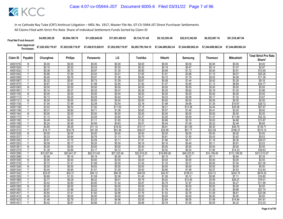| <b>Final Net Fund Amount:</b> | \$4,995,385.28     | \$9.564.189.78     | \$11,829,645,65    | \$17.001.459.93    | \$9.134.731.48     | \$9.122.593.49     | \$22,612,342.89    | \$6,522,667.16     | \$51,535,487.94    |
|-------------------------------|--------------------|--------------------|--------------------|--------------------|--------------------|--------------------|--------------------|--------------------|--------------------|
| Sum Approved<br>:Purchases    | \$7,202,938,719.97 | \$7,202,938,719.97 | \$7,458,815,028.91 | \$7,202,938,719.97 | \$6,285,795,184.10 | \$7.244.689.862.24 | \$7.244.689.862.24 | \$7.244.689.862.24 | \$7.244.689.862.24 |

| Claim ID             | Payable                 | Chunghwa          | <b>Philips</b>    | Panasonic         | LG                | Toshiba           | Hitachi           | Samsung            | Thomson           | Mitsubishi         | <b>Total Strict Pro Rata</b><br>Share* |
|----------------------|-------------------------|-------------------|-------------------|-------------------|-------------------|-------------------|-------------------|--------------------|-------------------|--------------------|----------------------------------------|
| 40001016             | N                       | \$0.00            | \$0.00            | \$0.00            | \$0.00            | \$0.00            | \$0.00            | \$0.00             | \$0.00            | \$0.00             | \$0.00                                 |
| 40001024             | Y                       | \$0.10            | \$0.20            | \$0.24            | \$0.35            | \$0.22            | \$0.19            | \$0.47             | \$0.14            | \$1.07             | \$2.97                                 |
| 40001032             | Υ                       | \$0.38            | \$0.73            | \$0.87            | \$1.30            | \$0.80            | \$0.69            | \$1.72             | \$0.50            | \$3.91             | \$10.90                                |
| 40001040             | $\checkmark$            | \$0.88            | \$1.69            | \$2.02            | \$3.01            | \$1.85            | \$1.61            | \$3.98             | \$1.15            | \$9.07             | \$25.26                                |
| 40001059             | Υ                       | \$0.40            | \$0.76            | \$0.91            | \$1.36            | \$0.84            | \$0.72            | \$1.79             | \$0.52            | \$4.09             | \$11.39                                |
| 40001067             |                         | \$0.32            | \$0.61            | \$0.73            | \$1.09            | \$0.67            | \$0.58            | \$1.44             | \$0.42            | \$3.29             | \$9.16                                 |
| 40001075             | Y                       | \$0.87            | \$1.66            | \$1.98            | \$2.95            | \$1.82            | \$1.57            | \$3.90             | \$1.13            | \$8.89             | \$24.77                                |
| 40001083             | N                       | \$0.00            | \$0.00            | \$0.00            | \$0.00            | \$0.00            | \$0.00            | \$0.00             | \$0.00            | \$0.00             | \$0.00                                 |
| 40001091             |                         | \$0.14            | \$0.27            | \$0.32            | \$0.47            | \$0.29            | \$0.25            | \$0.62             | \$0.18            | \$1.42             | \$3.96                                 |
| 40001105             | N                       | \$0.00            | \$0.00            | \$0.00            | \$0.00            | \$0.00            | \$0.00            | \$0.00             | \$0.00            | \$0.00             | \$0.00                                 |
| 40001113             | $\overline{\mathsf{v}}$ | \$0.13            | \$0.25            | \$0.29            | \$0.44            | \$0.27            | \$0.23            | \$0.58             | \$0.17            | \$1.32             | \$3.67                                 |
| 40001121             | N                       | \$0.00            | \$0.00            | \$0.00            | \$0.00            | \$0.00            | \$0.00            | \$0.00             | \$0.00            | \$0.00             | \$0.00                                 |
| 40001130             | Ÿ                       | \$1.04            | \$1.99            | \$2.38            | \$3.54            | \$2.18            | \$1.89            | \$4.68             | \$1.35            | \$10.67            | \$29.72                                |
| 40001148             |                         | \$3.42            | \$6.54            | \$7.82            | \$11.63           | \$7.16            | \$6.21            | \$15.38            | \$4.44            | \$35.06            | \$97.67                                |
| 40001156             | V                       | \$0.31            | \$0.60            | \$0.71            | \$1.06            | \$0.65            | \$0.57            | \$1.40             | \$0.41            | \$3.20             | \$8.92                                 |
| 40001164             | N                       | \$0.00            | \$0.00            | \$0.00            | \$0.00            | \$0.00            | \$0.00            | \$0.00             | \$0.00            | \$0.00             | \$0.00                                 |
| 40001172             | Y                       | \$1.13            | \$2.17            | \$2.59            | \$3.85            | \$2.37            | \$2.05            | \$5.09             | \$1.47            | \$11.60            | \$32.32                                |
| 40001180             | Y                       | \$0.49            | \$0.93            | \$1.11            | \$1.65            | \$1.02            | \$0.88            | \$2.18             | \$0.63            | \$4.98             | \$13.87                                |
| 40001199             | $\checkmark$            | \$0.24            | \$0.46            | \$0.56            | \$0.83            | \$0.51            | \$0.44            | \$1.09             | \$0.32            | \$2.49             | \$6.94                                 |
| 40001202             |                         | \$4.85            | \$9.29            | \$11.10           | \$16.52           | \$10.17           | \$8.81            | \$21.85            | \$6.30            | \$49.79            | \$138.71                               |
| 40001210             | Y                       | \$18.17           | \$34.79           | \$41.55           | \$61.84           | \$38.07           | \$32.99           | \$81.77            | \$23.59           | \$186.37           | \$519.14                               |
| 40001229             | N                       | \$0.00            | \$0.00            | \$0.00            | \$0.00            | \$0.00            | \$0.00            | \$0.00             | \$0.00            | \$0.00             | \$0.00                                 |
| 40001237             | V                       | \$0.33            | \$0.64            | \$0.76            | \$1.13            | \$0.70            | \$0.61            | \$1.50             | \$0.43            | \$3.42             | \$9.53                                 |
| 40001245             | Y                       | \$0.91            | \$1.75            | \$2.09            | \$3.11            | \$1.91            | \$1.66            | \$4.11             | \$1.18            | \$9.36             | \$26.07                                |
| 40001253             | ٧                       | \$0.09            | \$0.17            | \$0.20            | \$0.30            | \$0.19            | \$0.16            | \$0.40             | \$0.11            | \$0.91             | \$2.53                                 |
| 4000126              | $\overline{N}$          | \$0.00            | \$0.00            | \$0.00            | \$0.00            | \$0.00            | \$0.00            | \$0.00             | \$0.00            | \$0.00             | \$0.00                                 |
| 40001270             | $\checkmark$            | \$1.39            | \$2.66            | \$3.17            | \$4.72            | \$2.91            | \$2.52            | \$6.24             | \$1.80            | \$14.23            | \$39.63                                |
| 40001288             |                         | \$10,937.64       | \$20,941.27       | \$25,013.03       | \$37,225.54       | \$22,919.23       | \$19,859.26       | \$49,225.51        | \$14,199.40       | \$112,189.20       | \$312,510.07                           |
| 40001296             | Y                       | \$0.08            | \$0.16            | \$0.19            | \$0.28            | \$0.17            | \$0.15            | \$0.37             | \$0.11            | \$0.84             | \$2.35                                 |
| 40001300             | N                       | \$0.00            | \$0.00            | \$0.00            | \$0.00            | \$0.00            | \$0.00            | \$0.00             | \$0.00            | \$0.00             | \$0.00                                 |
| 40001318             |                         | \$0.73            | \$1.41            | \$1.68            | \$2.50            | \$1.54            | \$1.33            | \$3.31             | \$0.95            | \$7.54             | \$21.00                                |
| 40001326             | N<br>Y                  | \$0.00            | \$0.00            | \$0.00            | \$0.00            | \$0.00            | \$0.00            | \$0.00             | \$0.00            | \$0.00             | \$0.00                                 |
| 40001334<br>40001342 |                         | \$0.44<br>\$23.67 | \$0.85<br>\$45.31 | \$1.01<br>\$54.12 | \$1.50<br>\$80.55 | \$0.93<br>\$49.59 | \$0.80<br>\$42.97 | \$1.99<br>\$106.51 | \$0.57<br>\$30.72 | \$4.53<br>\$242.75 | \$12.63<br>\$676.20                    |
| 40001350             |                         | \$0.69            | \$1.33            | \$1.59            | \$2.36            | \$1.45            | \$1.26            | \$3.12             | \$0.90            | \$7.11             | \$19.82                                |
| 40001369             | Υ                       | \$2.77            | \$5.29            | \$6.32            | \$9.41            | \$5.79            | \$5.02            | \$12.45            | \$3.59            | \$28.37            | \$79.01                                |
| 40001377             | Y                       | \$0.42            | \$0.80            | \$0.95            | \$1.42            | \$0.87            | \$0.76            | \$1.87             | \$0.54            | \$4.27             | \$11.89                                |
| 40001385             | N                       | \$0.00            | \$0.00            | \$0.00            | \$0.00            | \$0.00            | \$0.00            | \$0.00             | \$0.00            | \$0.00             | \$0.00                                 |
| 40001393             | Y                       | \$0.97            | \$1.86            | \$2.22            | \$3.30            | \$2.03            | \$1.76            | \$4.37             | \$1.26            | \$9.96             | \$27.74                                |
| 40001407             | Υ                       | \$0.84            | \$1.61            | \$1.92            | \$2.86            | \$1.76            | \$1.52            | \$3.78             | \$1.09            | \$8.61             | \$23.98                                |
| 40001415             | N                       | \$0.00            | \$0.00            | \$0.00            | \$0.00            | \$0.00            | \$0.00            | \$0.00             | \$0.00            | \$0.00             | \$0.00                                 |
| 40001423             |                         | \$1.46            | \$2.79            | \$3.33            | \$4.96            | \$3.05            | \$2.64            | \$6.55             | \$1.89            | \$14.94            | \$41.61                                |
| 40001431             | $\vee$                  | \$0.42            | \$0.81            | \$0.96            | \$1.43            | \$0.88            | \$0.76            | \$1.90             | \$0.55            | \$4.32             | \$12.03                                |
|                      |                         |                   |                   |                   |                   |                   |                   |                    |                   |                    |                                        |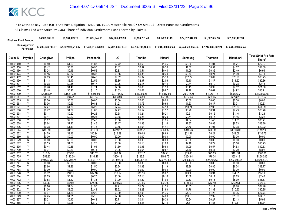| <b>Final Net Fund Amount:</b> | \$4,995,385.28     | \$9,564,189.78     | \$11.829.645.65    | \$17,001,459,93    | \$9.134.731.48     | \$9.122.593.49     | \$22.612.342.89 | \$6,522,667.16                        | \$51,535,487.94    |
|-------------------------------|--------------------|--------------------|--------------------|--------------------|--------------------|--------------------|-----------------|---------------------------------------|--------------------|
| Sum Approved<br>Purchases:    | \$7,202,938,719.97 | \$7,202,938,719.97 | \$7,458,815,028.91 | \$7,202,938,719.97 | \$6,285,795,184.10 | \$7,244,689,862.24 |                 | \$7.244.689.862.24 \$7.244.689.862.24 | \$7.244.689.862.24 |

|                      |                         |                  |                  |                  |                  |                  |                  |                   |                  |                   | <b>Total Strict Pro Rata</b> |
|----------------------|-------------------------|------------------|------------------|------------------|------------------|------------------|------------------|-------------------|------------------|-------------------|------------------------------|
| Claim ID             | Payable                 | Chunghwa         | <b>Philips</b>   | Panasonic        | LG               | Toshiba          | Hitachi          | Samsung           | <b>Thomson</b>   | <b>Mitsubishi</b> | Share*                       |
| 40001440             |                         | \$0.80           | \$1.53           | \$1.83           | \$2.72           | \$1.68           | \$1.45           | \$3.60            | \$1.04           | \$8.21            | \$22.87                      |
| 40001458             | Y                       | \$0.42           | \$0.80           | \$0.95           | \$1.42           | \$0.87           | \$0.76           | \$1.87            | \$0.54           | \$4.27            | \$11.89                      |
| 40001466             | Y                       | \$0.24           | \$0.46           | \$0.56           | \$0.83           | \$0.51           | \$0.44           | \$1.09            | \$0.32           | \$2.49            | \$6.94                       |
| 40001474             |                         | \$0.16           | \$0.32           | \$0.38           | \$0.56           | \$0.35           | \$0.30           | \$0.74            | \$0.21           | \$1.69            | \$4.71                       |
| 40001482             | Y                       | \$2.83           | \$5.41           | \$6.46           | \$9.62           | \$5.92           | \$5.13           | \$12.72           | \$3.67           | \$28.99           | \$80.75                      |
| 40001490             | γ                       | \$1.13           | \$2.17           | \$2.59           | \$3.85           | \$2.37           | \$2.06           | \$5.10            | \$1.47           | \$11.62           | \$32.36                      |
| 40001504             | Y                       | \$0.08           | \$0.15           | \$0.17           | \$0.26           | \$0.16           | \$0.14           | \$0.34            | \$0.10           | \$0.78            | \$2.18                       |
| 40001512             | $\vee$                  | \$0.76           | \$1.46           | \$1.74           | \$2.60           | \$1.60           | \$1.39           | \$3.43            | \$0.99           | \$7.82            | \$21.80                      |
| 40001520             | ν                       | \$0.48           | \$0.92           | \$1.10           | \$1.63           | \$1.01           | \$0.87           | \$2.16            | \$0.62           | \$4.92            | \$13.71                      |
| 40001539             | Y                       | \$8,158.27       | \$15,619.86      | \$18,656.95      | \$27,766.12      | \$17,095.21      | \$14,812.80      | \$36,716.78       | \$10,591.18      | \$83,680.71       | \$233,097.88                 |
| 40001547             | $\checkmark$            | \$30.54          | \$58.47          | \$69.84          | \$103.94         | \$63.99          | \$55.45          | \$137.44          | \$39.65          | \$313.25          | \$872.57                     |
| 40001555             | N                       | \$0.00           | \$0.00           | \$0.00           | \$0.00           | \$0.00           | \$0.00           | \$0.00            | \$0.00           | \$0.00            | \$0.00                       |
| 40001563             | Υ                       | \$0.36           | \$0.69           | \$0.83           | \$1.23           | \$0.76           | \$0.66           | \$1.63            | \$0.47           | \$3.71            | \$10.33                      |
| 4000157              | Υ                       | \$2.27           | \$4.36           | \$5.20           | \$7.74           | \$4.77           | \$4.13           | \$10.24           | \$2.95           | \$23.33           | \$64.99                      |
| 40001580             | $\checkmark$            | \$0.72           | \$1.39           | \$1.66           | \$2.47           | \$1.52           | \$1.32           | \$3.26            | \$0.94           | \$7.43            | \$20.70                      |
| 40001598             | Y                       | \$0.11           | \$0.22           | \$0.26           | \$0.38           | \$0.24           | \$0.21           | \$0.51            | \$0.15           | \$1.16            | \$3.23                       |
| 40001601             | Υ                       | \$0.11           | \$0.22           | \$0.26           | \$0.38           | \$0.24           | \$0.20           | \$0.51            | \$0.15           | \$1.16            | \$3.22                       |
| 40001610             | Y                       | \$1.07           | \$2.06           | \$2.46           | \$3.66           | \$2.25           | \$1.95           | \$4.84            | \$1.40           | \$11.03           | \$30.71                      |
| 40001628             |                         | \$0.64           | \$1.22           | \$1.46           | \$2.17           | \$1.33           | \$1.16           | \$2.87            | \$0.83           | \$6.53            | \$18.20                      |
| 40001636             |                         | \$0.78           | \$1.49           | \$1.78           | \$2.65           | \$1.63           | \$1.41           | \$3.50            | \$1.01           | \$7.98            | \$22.22                      |
| 40001644             | Υ                       | \$181.92         | \$348.31         | \$416.04         | \$619.17         | \$381.21         | \$330.32         | \$818.76          | \$236.18         | \$1,866.02        | \$5,197.93                   |
| 40001652             | $\overline{\mathsf{Y}}$ | \$4.79           | \$9.16           | \$10.94          | \$16.29          | \$10.03          | \$8.69           | \$21.54           | \$6.21           | \$49.08           | \$136.73                     |
| 40001660             | N                       | \$0.00           | \$0.00           | \$0.00           | \$0.00           | \$0.00           | \$0.00           | \$0.00            | \$0.00           | \$0.00            | \$0.00                       |
| 40001679             | N                       | \$0.00           | \$0.00           | \$0.00           | \$0.00           | \$0.00           | \$0.00           | \$0.00            | \$0.00           | \$0.00            | \$0.00                       |
| 40001687             | v                       | \$0.55           | \$1.06           | \$1.26           | \$1.88           | \$1.16           | \$1.00           | \$2.48            | \$0.72           | \$5.66            | \$15.75                      |
| 40001695             | $\overline{\mathsf{v}}$ | \$0.44           | \$0.85           | \$1.01           | \$1.50           | \$0.93           | \$0.80           | \$1.99            | \$0.57           | \$4.53            | \$12.63                      |
| 40001709             | γ                       | \$0.31           | \$0.60           | \$0.71           | \$1.06           | \$0.65           | \$0.57           | \$1.40            | \$0.41           | \$3.20            | \$8.92                       |
| 40001717             | Y                       | \$17.74          | \$33.96          | \$40.57          | \$60.37          | \$37.17          | \$32.21          | \$79.83           | \$23.03          | \$181.94          | \$506.81                     |
| 40001725             | Y                       | \$58.80          | \$112.58         | \$134.47         | \$200.12         | \$123.21         | \$106.76         | \$264.64          | \$76.34          | \$603.13          | \$1,680.06                   |
| 40001733             | Y                       | \$19,693.75      | \$37,705.75      | \$45,037.17      | \$67,026.36      | \$41,267.17      | \$35,757.54      | \$88,632.89       | \$25,566.69      | \$202,002.04      | \$562,689.37                 |
| 4000174              | N                       | \$0.00           | \$0.00           | \$0.00           | \$0.00           | \$0.00           | \$0.00           | \$0.00            | \$0.00           | \$0.00            | \$0.00                       |
| 40001750             | Y                       | \$0.66           | \$1.26           | \$1.50           | \$2.24           | \$1.38           | \$1.19           | \$2.96            | \$0.85           | \$6.74            | \$18.77                      |
| 40001768             | N<br>V                  | \$0.00           | \$0.00           | \$0.00           | \$0.00           | \$0.00           | \$0.00           | \$0.00            | \$0.00           | \$0.00            | \$0.00                       |
| 40001776             | Υ                       | \$5.32           | \$10.19          | \$12.18          | \$18.12          | \$11.16          | \$9.67           | \$23.96           | \$6.91           | \$54.61           | \$152.13                     |
| 40001784             |                         | \$0.09           | \$0.17           | \$0.20           | \$0.30           | \$0.18           | \$0.16           | \$0.39            | \$0.11           | \$0.89            | \$2.48                       |
| 40001792             | Υ<br>Y                  | \$0.58           | \$1.12           | \$1.33           | \$1.99           | \$1.22           | \$1.06           | \$2.63            | \$0.76           | \$5.99            | \$16.67                      |
| 40001806             |                         | \$32.43          | \$62.08          | \$74.16          | \$110.36         | \$67.95          | \$58.88          | \$145.94          | \$42.10          | \$332.61          | \$926.50                     |
| 40001814             | Υ                       | \$0.86           | \$1.64<br>\$2.03 | \$1.96           | \$2.91           | \$1.79<br>\$2.23 | \$1.55           | \$3.85            | \$1.11           | \$8.78            | \$24.46                      |
| 40001822             | Υ                       | \$1.06           |                  | \$2.43           | \$3.62           |                  | \$1.93           | \$4.78            | \$1.38           | \$10.90           | \$30.35                      |
| 40001830<br>40001849 | $\checkmark$            | \$0.97           | \$1.86           | \$2.22<br>\$5.15 | \$3.30           | \$2.03           | \$1.76           | \$4.37            | \$1.26           | \$9.96<br>\$23.09 | \$27.74                      |
| 40001857             |                         | \$2.25<br>\$0.21 | \$4.31           | \$0.48           | \$7.66<br>\$0.71 | \$4.72<br>\$0.44 | \$4.09<br>\$0.38 | \$10.13<br>\$0.94 | \$2.92<br>\$0.27 | \$2.13            | \$64.31                      |
| 40001865             | Υ                       | \$1.18           | \$0.40<br>\$2.26 | \$2.70           | \$4.02           | \$2.47           | \$2.14           | \$5.31            | \$1.53           | \$12.11           | \$5.94                       |
|                      |                         |                  |                  |                  |                  |                  |                  |                   |                  |                   | \$33.74                      |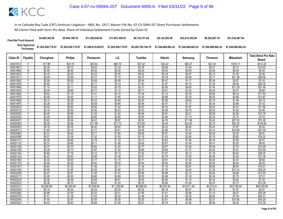| <b>Final Net Fund Amount:</b> | \$4,995,385.28                                | \$9.564.189.78     | \$11.829.645.65    | \$17,001,459,93    | \$9.134.731.48 | \$9.122.593.49 | \$22,612,342,89 | \$6,522,667.16     | \$51,535,487.94    |
|-------------------------------|-----------------------------------------------|--------------------|--------------------|--------------------|----------------|----------------|-----------------|--------------------|--------------------|
|                               | Sum Approved<br>Purchases: \$7,202,938,719.97 | \$7,202,938,719.97 | \$7,458,815,028.91 | \$7,202,938,719.97 |                |                |                 | \$7.244.689.862.24 | \$7.244.689.862.24 |

|          |                              |            |                |            | LG          |            |            |                         |                |                   | <b>Total Strict Pro Rata</b> |
|----------|------------------------------|------------|----------------|------------|-------------|------------|------------|-------------------------|----------------|-------------------|------------------------------|
| Claim ID | Payable                      | Chunghwa   | <b>Philips</b> | Panasonic  |             | Toshiba    | Hitachi    | Samsung                 | <b>Thomson</b> | <b>Mitsubishi</b> | Share*                       |
| 40001873 |                              | \$17.86    | \$34.19        | \$40.84    | \$60.78     | \$37.42    | \$32.42    | \$80.37                 | \$23.18        | \$183.17          | \$510.24                     |
| 40001881 | Y                            | \$0.36     | \$0.70         | \$0.83     | \$1.24      | \$0.76     | \$0.66     | \$1.64                  | \$0.47         | \$3.73            | \$10.40                      |
| 40001890 | N                            | \$0.00     | \$0.00         | \$0.00     | \$0.00      | \$0.00     | \$0.00     | \$0.00                  | \$0.00         | \$0.00            | \$0.00                       |
| 40001903 | $\checkmark$                 | \$0.10     | \$0.20         | \$0.24     | \$0.35      | \$0.22     | \$0.19     | \$0.47                  | \$0.13         | \$1.06            | \$2.96                       |
| 40001911 | Y                            | \$2.09     | \$3.99         | \$4.77     | \$7.10      | \$4.37     | \$3.79     | \$9.39                  | \$2.71         | \$21.39           | \$59.59                      |
| 40001920 | Υ                            | \$0.26     | \$0.50         | \$0.59     | \$0.89      | \$0.54     | \$0.47     | \$1.17                  | \$0.34         | \$2.67            | \$7.43                       |
| 40001938 | V                            | \$0.92     | \$1.77         | \$2.11     | \$3.14      | \$1.93     | \$1.67     | \$4.15                  | \$1.20         | \$9.46            | \$26.35                      |
| 40001946 |                              | \$1.10     | \$2.11         | \$2.52     | \$3.75      | \$2.31     | \$2.00     | \$4.95                  | \$1.43         | \$11.29           | \$31.46                      |
| 40001954 |                              | \$0.34     | \$0.65         | \$0.77     | \$1.15      | \$0.71     | \$0.61     | \$1.52                  | \$0.44         | \$3.47            | \$9.66                       |
| 40001962 | γ                            | \$0.62     | \$1.18         | \$1.41     | \$2.10      | \$1.29     | \$1.12     | \$2.78                  | \$0.80         | \$6.33            | \$17.64                      |
| 40001970 | Y                            | \$0.49     | \$0.93         | \$1.11     | \$1.65      | \$1.02     | \$0.88     | \$2.18                  | \$0.63         | \$4.98            | \$13.87                      |
| 40001989 |                              | \$0.15     | \$0.28         | \$0.33     | \$0.49      | \$0.30     | \$0.26     | \$0.65                  | \$0.19         | \$1.49            | \$4.15                       |
| 40001997 | Υ                            | \$0.26     | \$0.50         | \$0.59     | \$0.88      | \$0.54     | \$0.47     | \$1.17                  | \$0.34         | \$2.66            | \$7.42                       |
| 40002004 |                              | \$0.42     | \$0.80         | \$0.95     | \$1.42      | \$0.87     | \$0.76     | \$1.87                  | \$0.54         | \$4.27            | \$11.89                      |
| 40002012 | Y                            | \$0.16     | \$0.30         | \$0.36     | \$0.53      | \$0.33     | \$0.28     | \$0.70                  | \$0.20         | \$1.60            | \$4.46                       |
| 40002020 |                              | \$0.45     | \$0.86         | \$1.02     | \$1.52      | \$0.94     | \$0.81     | \$2.01                  | \$0.58         | \$4.59            | \$12.78                      |
| 40002039 |                              | \$0.26     | \$0.50         | \$0.60     | \$0.90      | \$0.55     | \$0.48     | \$1.19                  | \$0.34         | \$2.70            | \$7.53                       |
| 40002047 | γ                            | \$2.63     | \$5.04         | \$6.03     | \$8.97      | \$5.52     | \$4.78     | \$11.86                 | \$3.42         | \$27.02           | \$75.28                      |
| 40002055 | $\checkmark$                 | \$5.20     | \$9.96         | \$11.89    | \$17.70     | \$10.90    | \$9.44     | \$23.40                 | \$6.75         | \$53.33           | \$148.56                     |
| 40002063 |                              | \$0.18     | \$0.35         | \$0.42     | \$0.62      | \$0.38     | \$0.33     | \$0.82                  | \$0.24         | \$1.87            | \$5.20                       |
| 4000207  | Υ                            | \$1.65     | \$3.15         | \$3.77     | \$5.61      | \$3.45     | \$2.99     | \$7.41                  | \$2.14         | \$16.89           | \$47.06                      |
| 40002080 | Υ                            | \$0.31     | \$0.60         | \$0.71     | \$1.06      | \$0.65     | \$0.57     | \$1.40                  | \$0.40         | \$3.20            | \$8.91                       |
| 40002098 | γ                            | \$0.57     | \$1.09         | \$1.30     | \$1.93      | \$1.19     | \$1.03     | \$2.56                  | \$0.74         | \$5.82            | \$16.22                      |
| 4000210  |                              | \$0.35     | \$0.66         | \$0.79     | \$1.18      | \$0.73     | \$0.63     | \$1.56                  | \$0.45         | \$3.56            | \$9.91                       |
| 40002110 | Υ                            | \$0.31     | \$0.60         | \$0.71     | \$1.06      | \$0.65     | \$0.57     | \$1.40                  | \$0.41         | \$3.20            | \$8.92                       |
| 40002128 | Y                            | \$0.37     | \$0.70         | \$0.84     | \$1.25      | \$0.77     | \$0.67     | \$1.65                  | \$0.48         | \$3.76            | \$10.48                      |
| 40002136 | $\checkmark$                 | \$0.38     | \$0.73         | \$0.87     | \$1.30      | \$0.80     | \$0.69     | \$1.72                  | \$0.50         | \$3.91            | \$10.90                      |
| 40002144 |                              | \$0.92     | \$1.76         | \$2.10     | \$3.13      | \$1.92     | \$1.67     | \$4.13                  | \$1.19         | \$9.42            | \$26.25                      |
| 40002152 | γ                            | \$0.43     | \$0.83         | \$0.99     | \$1.48      | \$0.91     | \$0.79     | \$1.95                  | \$0.56         | \$4.45            | \$12.38                      |
| 40002160 | Y                            | \$0.34     | \$0.65         | \$0.77     | \$1.15      | \$0.71     | \$0.61     | \$1.52                  | \$0.44         | \$3.47            | \$9.66                       |
| 40002179 | N                            | \$0.00     | \$0.00         | \$0.00     | \$0.00      | \$0.00     | \$0.00     | \$0.00                  | \$0.00         | \$0.00            | \$0.00                       |
| 40002187 |                              | \$0.64     | \$1.22         | \$1.46     | \$2.17      | \$1.34     | \$1.16     | \$2.87                  | \$0.83         | \$6.54            | \$18.21                      |
| 40002195 | v                            | \$0.99     | \$1.89         | \$2.26     | \$3.36      | \$2.07     | \$1.79     | \$4.45                  | \$1.28         | \$10.14           | \$28.24                      |
| 40002209 | V                            | \$0.47     | \$0.91         | \$1.08     | \$1.61      | \$0.99     | \$0.86     | \$2.13                  | \$0.62         | \$4.86            | \$13.55                      |
| 40002217 |                              | \$0.26     | \$0.50         | \$0.60     | \$0.89      | \$0.55     | \$0.48     | \$1.18                  | \$0.34         | \$2.70            | \$7.51                       |
| 40002225 |                              | \$0.26     | \$0.49         | \$0.58     | \$0.87      | \$0.54     | \$0.46     | \$1.15                  | \$0.33         | \$2.62            | \$7.30                       |
| 40002233 | ٧                            | \$0.36     | \$0.70         | \$0.83     | \$1.24      | \$0.76     | \$0.66     | \$1.64                  | \$0.47         | \$3.73            | \$10.39                      |
| 40002241 | Y<br>$\overline{\mathsf{v}}$ | \$3,290.99 | \$6,300.94     | \$7,526.08 | \$11,200.66 | \$6,896.09 | \$5,975.38 | $\overline{$14,811.29}$ | \$4,272.41     | \$33,756.22       | \$94,030.06                  |
| 40002250 |                              | \$0.10     | \$0.20         | \$0.24     | \$0.35      | \$0.22     | \$0.19     | \$0.47                  | \$0.14         | \$1.07            | \$2.97                       |
| 40002268 |                              | \$0.88     | \$1.69         | \$2.02     | \$3.01      | \$1.85     | \$1.61     | \$3.98                  | \$1.15         | \$9.07            | \$25.26                      |
| 40002276 | V                            | \$0.71     | \$1.36         | \$1.63     | \$2.42      | \$1.49     | \$1.29     | \$3.20                  | \$0.92         | \$7.29            | \$20.31                      |
| 40002284 |                              | \$1.55     | \$2.97         | \$3.55     | \$5.28      | \$3.25     | \$2.81     | \$6.98                  | \$2.01         | \$15.90           | \$44.29                      |
| 40002292 |                              | \$0.43     | \$0.83         | \$0.99     | \$1.48      | \$0.91     | \$0.79     | \$1.95                  | \$0.56         | \$4.45            | \$12.38                      |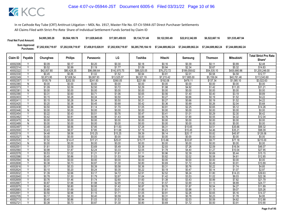| <b>Final Net Fund Amount:</b>      | \$4,995,385.28     | \$9,564,189.78     | \$11.829.645.65    | \$17,001,459,93    | \$9.134.731.48 | \$9.122.593.49 | \$22,612,342,89                                                | \$6.522.667.16     | \$51,535,487.94    |
|------------------------------------|--------------------|--------------------|--------------------|--------------------|----------------|----------------|----------------------------------------------------------------|--------------------|--------------------|
| <b>Sum Approved<br/>Purchases:</b> | \$7,202,938,719.97 | \$7,202,938,719.97 | \$7,458,815,028.91 | \$7,202,938,719.97 |                |                | \$6,285,795,184.10    \$7,244,689,862.24    \$7,244,689,862.24 | \$7.244.689.862.24 | \$7.244.689.862.24 |

|                      |                              |                  |                   |                   |                   |                   |                   |                   |                  |                   | <b>Total Strict Pro Rata</b> |
|----------------------|------------------------------|------------------|-------------------|-------------------|-------------------|-------------------|-------------------|-------------------|------------------|-------------------|------------------------------|
| Claim ID             | Payable                      | Chunghwa         | <b>Philips</b>    | Panasonic         | LG                | Toshiba           | Hitachi           | Samsung           | <b>Thomson</b>   | Mitsubishi        | Share*                       |
| 40002306             | Υ                            | \$0.09           | \$0.17            | \$0.20            | \$0.30            | \$0.18            | \$0.16            | \$0.39            | \$0.11           | \$0.89            | \$2.48                       |
| 40002314             | Y                            | \$0.52           | \$0.99            | \$1.19            | \$1.77            | \$1.09            | \$0.94            | \$2.34            | \$0.67           | \$5.32            | \$14.83                      |
| 40002322             | ν                            | \$42,007.80      | \$80,428.35       | \$96,066.64       | \$142,970.75      | \$88,025.05       | \$76,272.72       | \$189,058.62      | \$54,535.10      | \$430,880.96      | \$1,200,246.00               |
| 40002330             |                              | \$0.45           | \$0.86            | \$1.02            | \$1.52            | \$0.94            | \$0.81            | \$2.01            | \$0.58           | \$4.58            | \$12.77                      |
| 40002349             | Y                            | \$3,973.95       | \$7,608.54        | \$9,087.93        | \$13,525.07       | \$8,327.19        | \$7,215.42        | \$17,885.00       | \$5,159.04       | \$40,761.46       | \$113,543.60                 |
| 40002357             | Υ                            | \$105.79         | \$202.55          | \$241.93          | \$360.05          | \$221.68          | \$192.08          | \$476.11          | \$137.34         | \$1,085.10        | \$3,022.63                   |
| 40002365             | N                            | \$0.00           | \$0.00            | \$0.00            | \$0.00            | \$0.00            | \$0.00            | \$0.00            | \$0.00           | \$0.00            | \$0.00                       |
| 40002373             | Y                            | \$1.09           | \$2.09            | \$2.50            | \$3.72            | \$2.29            | \$1.98            | \$4.92            | \$1.42           | \$11.20           | \$31.21                      |
| 40002381             | N                            | \$0.00           | \$0.00            | \$0.00            | \$0.00            | \$0.00            | \$0.00            | \$0.00            | \$0.00           | \$0.00            | \$0.00                       |
| 40002390             | Y                            | \$0.31           | \$0.60            | \$0.71            | \$1.06            | \$0.65            | \$0.56            | \$1.40            | \$0.40           | \$3.19            | \$8.89                       |
| 40002403             | $\checkmark$                 | \$0.15           | \$0.28            | \$0.34            | \$0.50            | \$0.31            | \$0.27            | \$0.66            | \$0.19           | \$1.52            | \$4.22                       |
| 40002411             |                              | \$0.15           | \$0.28            | \$0.34            | \$0.50            | \$0.31            | \$0.27            | \$0.66            | \$0.19           | \$1.52            | \$4.22                       |
| 40002420             | Y                            | \$0.20           | \$0.38            | \$0.45            | \$0.68            | \$0.42            | \$0.36            | \$0.89            | \$0.26           | \$2.04            | \$5.68                       |
| 40002438             | Υ                            | \$0.50           | \$0.96            | \$1.14            | \$1.70            | \$1.05            | \$0.91            | \$2.25            | \$0.65           | \$5.12            | \$14.26                      |
| 40002446             | Ñ                            | \$0.00           | \$0.00            | \$0.00            | \$0.00            | \$0.00            | \$0.00            | \$0.00            | \$0.00           | \$0.00            | \$0.00                       |
| 40002454             | Y                            | \$0.22           | \$0.43            | \$0.51            | \$0.76            | \$0.47            | \$0.41            | \$1.01            | \$0.29           | \$2.30            | \$6.42                       |
| 40002462             | Υ                            | \$0.42           | \$0.81            | \$0.96            | \$1.43            | \$0.88            | \$0.76            | \$1.90            | \$0.55           | \$4.32            | \$12.04                      |
| 40002470             | $\overline{N}$               | \$0.00           | \$0.00            | \$0.00            | \$0.00            | \$0.00            | \$0.00            | \$0.00            | \$0.00           | \$0.00            | \$0.00                       |
| 40002489             | N                            | \$0.00           | \$0.00            | \$0.00            | \$0.00            | \$0.00            | \$0.00            | \$0.00            | \$0.00           | \$0.00            | \$0.00                       |
| 40002497             | Y                            | \$3.48           | \$6.66            | \$7.95            | \$11.83           | \$7.28            | \$6.31            | \$15.65           | \$4.51           | \$35.66           | \$99.32                      |
| 40002500             | Υ<br>$\overline{\mathsf{Y}}$ | \$3.43           | \$6.57            | \$7.85            | \$11.68           | \$7.19            | \$6.23            | \$15.45           | \$4.46           | \$35.21           | \$98.09                      |
| 40002519             |                              | \$4.48           | \$8.58            | \$10.25           | \$15.25           | \$9.39            | \$8.14            | \$20.17           | \$5.82           | \$45.97           | \$128.06                     |
| 40002527<br>40002535 | N<br>Y                       | \$0.00<br>\$7.52 | \$0.00<br>\$14.41 | \$0.00<br>\$17.21 | \$0.00            | \$0.00<br>\$15.77 | \$0.00            | \$0.00            | \$0.00<br>\$9.77 | \$0.00            | \$0.00                       |
| 40002543             | N                            | \$0.00           | \$0.00            | \$0.00            | \$25.61<br>\$0.00 | \$0.00            | \$13.66<br>\$0.00 | \$33.87<br>\$0.00 | \$0.00           | \$77.18<br>\$0.00 | \$215.00<br>\$0.00           |
| 4000255              | Y                            | \$1.61           | \$3.09            | \$3.69            | \$5.49            | \$3.38            | \$2.93            | \$7.26            | \$2.09           | \$16.54           | \$46.07                      |
| 40002560             | $\checkmark$                 | \$0.98           | \$1.87            | \$2.24            | \$3.33            | \$2.05            | \$1.78            | \$4.40            | \$1.27           | \$10.04           | \$27.95                      |
| 40002578             | Υ                            | \$0.53           | \$1.02            | \$1.21            | \$1.81            | \$1.11            | \$0.96            | \$2.39            | \$0.69           | \$5.44            | \$15.15                      |
| 40002586             | Y                            | \$0.45           | \$0.86            | \$1.03            | \$1.53            | \$0.94            | \$0.82            | \$2.02            | \$0.58           | \$4.61            | \$12.85                      |
| 40002594             | N                            | \$0.00           | \$0.00            | \$0.00            | \$0.00            | \$0.00            | \$0.00            | \$0.00            | \$0.00           | \$0.00            | \$0.00                       |
| 40002608             | Ϋ                            | \$0.38           | \$0.73            | \$0.87            | \$1.30            | \$0.80            | \$0.69            | \$1.72            | \$0.49           | \$3.91            | \$10.89                      |
| 40002616             | γ                            | \$0.17           | \$0.33            | \$0.39            | \$0.58            | \$0.36            | \$0.31            | \$0.76            | \$0.22           | \$1.74            | \$4.85                       |
| 40002624             | Y                            | \$0.10           | \$0.20            | \$0.24            | \$0.35            | \$0.22            | \$0.19            | \$0.47            | \$0.14           | \$1.07            | \$2.97                       |
| 40002632             | $\checkmark$                 | \$1.39           | \$2.66            | \$3.17            | \$4.72            | \$2.91            | \$2.52            | \$6.24            | \$1.80           | \$14.23           | \$39.63                      |
| 40002640             |                              | \$0.78           | \$1.50            | \$1.79            | \$2.67            | \$1.64            | \$1.42            | \$3.53            | \$1.02           | \$8.03            | \$22.38                      |
| 40002659             | Y                            | \$0.76           | \$1.46            | \$1.74            | \$2.60            | \$1.60            | \$1.38            | \$3.43            | \$0.99           | \$7.82            | \$21.79                      |
| 40002667             | Y                            | \$0.87           | \$1.66            | \$1.98            | \$2.95            | \$1.82            | \$1.57            | \$3.90            | \$1.13           | \$8.89            | \$24.77                      |
| 40002675             | $\checkmark$                 | \$0.42           | \$0.80            | \$0.95            | \$1.42            | \$0.87            | \$0.76            | \$1.87            | \$0.54           | \$4.27            | \$11.89                      |
| 40002683             |                              | \$0.88           | \$1.69            | \$2.02            | \$3.01            | \$1.85            | \$1.61            | \$3.98            | \$1.15           | \$9.07            | \$25.26                      |
| 40002691             | γ                            | \$0.50           | \$0.96            | \$1.15            | \$1.71            | \$1.05            | \$0.91            | \$2.26            | \$0.65           | \$5.16            | \$14.37                      |
| 40002705             | Υ                            | \$0.17           | \$0.33            | \$0.40            | \$0.59            | \$0.36            | \$0.31            | \$0.78            | \$0.23           | \$1.78            | \$4.95                       |
| 40002713             |                              | \$0.45           | \$0.86            | \$1.03            | \$1.53            | \$0.94            | \$0.82            | \$2.03            | \$0.59           | \$4.62            | \$12.88                      |
| 40002721             |                              | \$0.38           | \$0.73            | \$0.87            | \$1.30            | \$0.80            | \$0.69            | \$1.72            | \$0.50           | \$3.91            | \$10.90                      |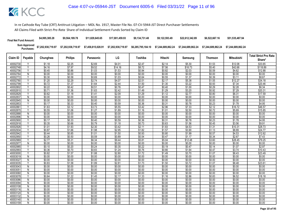| <b>Final Net Fund Amount:</b> | \$4,995,385.28     | \$9,564,189.78     | \$11.829.645.65    | \$17,001,459.93    | \$9.134.731.48     | \$9.122.593.49                        | \$22,612,342,89 | \$6,522,667.16     | \$51,535,487.94    |
|-------------------------------|--------------------|--------------------|--------------------|--------------------|--------------------|---------------------------------------|-----------------|--------------------|--------------------|
| Sum Approved<br>Purchases:    | \$7,202,938,719.97 | \$7,202,938,719.97 | \$7,458,815,028.91 | \$7,202,938,719.97 | \$6,285,795,184.10 | \$7.244.689.862.24 \$7.244.689.862.24 |                 | \$7.244.689.862.24 | \$7.244.689.862.24 |

|                     |                |                  |                  |                  |                  |                  |                  |                  |                  |                   | <b>Total Strict Pro Rata</b> |
|---------------------|----------------|------------------|------------------|------------------|------------------|------------------|------------------|------------------|------------------|-------------------|------------------------------|
| Claim ID            | Payable        | Chunghwa         | <b>Philips</b>   | Panasonic        | LG               | Toshiba          | Hitachi          | Samsung          | <b>Thomson</b>   | <b>Mitsubishi</b> | Share*                       |
| 40002730            |                | \$1.18           | \$2.25           | \$2.69           | \$4.01           | \$2.47           | \$2.14           | \$5.30           | \$1.53           | \$12.08           | \$33.65                      |
| 40002748            | $\overline{V}$ | \$4.16           | \$7.97           | \$9.52           | \$14.16          | \$8.72           | \$7.56           | \$18.73          | \$5.40           | \$42.68           | \$118.89                     |
| 40002756            |                | \$0.45           | \$0.86           | \$1.03           | \$1.53           | \$0.94           | \$0.82           | \$2.03           | \$0.59           | \$4.62            | \$12.88                      |
| 40002764            | Ñ              | \$0.00           | \$0.00           | \$0.00           | \$0.00           | \$0.00           | \$0.00           | \$0.00           | \$0.00           | \$0.00            | \$0.00                       |
| 40002772            | Y              | \$0.30           | \$0.58           | \$0.69           | \$1.03           | \$0.64           | \$0.55           | \$1.37           | \$0.39           | \$3.11            | \$8.67                       |
| 40002780            | Ϋ              | \$1.20           | \$2.29           | \$2.74           | \$4.07           | \$2.51           | \$2.17           | \$5.38           | \$1.55           | \$12.27           | \$34.18                      |
| 40002799            |                | \$0.72           | \$1.37           | \$1.64           | \$2.44           | \$1.50           | \$1.30           | \$3.22           | \$0.93           | \$7.34            | \$20.46                      |
| 40002802            | Y              | \$0.22           | \$0.42           | \$0.51           | \$0.76           | \$0.47           | \$0.40           | \$1.00           | \$0.29           | \$2.28            | \$6.34                       |
| 40002810            | v              | \$0.71           | \$1.36           | \$1.63           | \$2.42           | \$1.49           | \$1.29           | \$3.20           | \$0.92           | \$7.29            | \$20.31                      |
| 40002829            | Y              | \$0.62           | \$1.18           | \$1.41           | \$2.09           | \$1.29           | \$1.12           | \$2.77           | \$0.80           | \$6.31            | \$17.59                      |
| 40002837            | N              | \$0.00           | \$0.00           | \$0.00           | \$0.00           | \$0.00           | \$0.00           | \$0.00           | \$0.00           | \$0.00            | \$0.00                       |
| 40002845            | N              | \$0.00           | \$0.00           | \$0.00           | \$0.00           | \$0.00           | \$0.00           | \$0.00           | \$0.00           | \$0.00            | \$0.00                       |
| 40002853            | $\vee$         | \$0.17           | \$0.33           | \$0.40           | \$0.59           | \$0.36           | \$0.31           | \$0.78           | \$0.23           | \$1.78            | \$4.95                       |
| 4000286             | ⊽              | \$1.63           | \$3.12           | \$3.73           | \$5.55           | \$3.42           | \$2.96           | \$7.33           | \$2.12           | \$16.72           | \$46.57                      |
| 40002870            |                | \$0.55           | \$1.06           | \$1.27           | \$1.89           | \$1.16           | \$1.01           | \$2.50           | \$0.72           | \$5.69            | \$15.85                      |
| 40002888            | N              | \$0.00           | \$0.00           | \$0.00           | \$0.00           | \$0.00           | \$0.00           | \$0.00           | \$0.00           | \$0.00            | \$0.00                       |
| 40002896            | N              | \$0.00           | \$0.00           | \$0.00           | \$0.00           | \$0.00           | \$0.00           | \$0.00           | \$0.00           | \$0.00            | \$0.00                       |
| 40002900            | Y              | \$0.17           | \$0.33           | \$0.40           | \$0.59           | \$0.36           | \$0.31           | \$0.78           | \$0.23           | \$1.78            | \$4.95                       |
| 40002918            |                | \$0.35           | \$0.66           | \$0.79           | \$1.18           | \$0.73           | \$0.63           | \$1.56           | \$0.45           | \$3.56            | \$9.91                       |
| 40002926            | Y              | \$1.01           | \$1.93           | \$2.30           | \$3.42           | \$2.11           | \$1.83           | \$4.53           | \$1.31           | \$10.31           | \$28.73                      |
| 40002934            | Y              | \$0.87           | \$1.66           | \$1.98           | \$2.95           | \$1.82           | \$1.57           | \$3.90           | \$1.13           | \$8.89            | \$24.77                      |
| 40002942            | Y              | \$0.44           | \$0.85           | \$1.01           | \$1.50           | \$0.93           | \$0.80           | \$1.99           | \$0.57           | \$4.53            | \$12.62                      |
| 40002950            |                | \$0.26           | \$0.50           | \$0.59           | \$0.89           | \$0.54           | \$0.47           | \$1.17           | \$0.34           | \$2.67            | \$7.43                       |
| 40002969            | Υ              | \$2.77           | \$5.31           | \$6.34           | \$9.44           | \$5.81           | \$5.04           | \$12.48          | \$3.60           | \$28.45           | \$79.25                      |
| 40002977            | N<br>V         | \$0.00<br>\$0.10 | \$0.00<br>\$0.20 | \$0.00<br>\$0.24 | \$0.00<br>\$0.35 | \$0.00<br>\$0.22 | \$0.00<br>\$0.19 | \$0.00<br>\$0.47 | \$0.00<br>\$0.14 | \$0.00            | \$0.00<br>\$2.97             |
| 4000298<br>40002993 |                |                  |                  |                  |                  |                  |                  |                  |                  | \$1.07            |                              |
| 40003000            | Y              | \$0.36<br>\$0.82 | \$0.70<br>\$1.57 | \$0.83<br>\$1.88 | \$1.24<br>\$2.80 | \$0.76<br>\$1.72 | \$0.66<br>\$1.49 | \$1.64<br>\$3.70 | \$0.47<br>\$1.07 | \$3.74<br>\$8.43  | \$10.43<br>\$23.49           |
| 40003019            | $\overline{N}$ | \$0.00           | \$0.00           | \$0.00           | \$0.00           | \$0.00           | \$0.00           | \$0.00           | \$0.00           | \$0.00            | \$0.00                       |
| 40003027            | N              | \$0.00           | \$0.00           | \$0.00           | \$0.00           | \$0.00           | \$0.00           | \$0.00           | \$0.00           | \$0.00            | \$0.00                       |
| 4000303             | Ϋ              | \$0.83           | \$1.58           | \$1.89           | \$2.81           | \$1.73           | \$1.50           | \$3.72           | \$1.07           | \$8.48            | \$23.61                      |
| 40003043            | N              | \$0.00           | \$0.00           | \$0.00           | \$0.00           | \$0.00           | \$0.00           | \$0.00           | \$0.00           | \$0.00            | \$0.00                       |
| 40003051            | $\mathsf{N}$   | \$0.00           | \$0.00           | \$0.00           | \$0.00           | \$0.00           | \$0.00           | \$0.00           | \$0.00           | \$0.00            | \$0.00                       |
| 40003060            | $\overline{N}$ | \$0.00           | \$0.00           | \$0.00           | \$0.00           | \$0.00           | \$0.00           | \$0.00           | \$0.00           | \$0.00            | \$0.00                       |
| 40003078            | Ϋ              | \$0.64           | \$1.22           | \$1.45           | \$2.17           | \$1.33           | \$1.16           | \$2.86           | \$0.83           | \$6.52            | \$18.18                      |
| 40003086            | $\mathsf{N}$   | \$0.00           | \$0.00           | \$0.00           | \$0.00           | \$0.00           | \$0.00           | \$0.00           | \$0.00           | \$0.00            | \$0.00                       |
| 40003094            | $\overline{N}$ | \$0.00           | \$0.00           | \$0.00           | \$0.00           | \$0.00           | \$0.00           | \$0.00           | \$0.00           | \$0.00            | \$0.00                       |
| 40003108            | $\mathsf{N}$   | \$0.00           | \$0.00           | \$0.00           | \$0.00           | \$0.00           | \$0.00           | \$0.00           | \$0.00           | \$0.00            | \$0.00                       |
| 40003116            | N              | \$0.00           | \$0.00           | \$0.00           | \$0.00           | \$0.00           | \$0.00           | \$0.00           | \$0.00           | \$0.00            | \$0.00                       |
| 40003124            | Ñ              | \$0.00           | \$0.00           | \$0.00           | \$0.00           | \$0.00           | \$0.00           | \$0.00           | \$0.00           | \$0.00            | \$0.00                       |
| 40003132            | $\mathsf{N}$   | \$0.00           | \$0.00           | \$0.00           | \$0.00           | \$0.00           | \$0.00           | \$0.00           | \$0.00           | \$0.00            | \$0.00                       |
| 40003140            | Ñ              | \$0.00           | \$0.00           | \$0.00           | \$0.00           | \$0.00           | \$0.00           | \$0.00           | \$0.00           | \$0.00            | \$0.00                       |
| 40003159            | Ñ              | \$0.00           | \$0.00           | \$0.00           | \$0.00           | \$0.00           | \$0.00           | \$0.00           | \$0.00           | \$0.00            | \$0.00                       |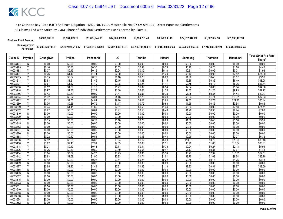| <b>Final Net Fund Amount:</b> | \$4,995,385.28                                                   | \$9,564,189.78     | \$11,829,645,65    | \$17.001.459.93    | \$9.134.731.48 | \$9.122.593.49 | \$22,612,342.89 | \$6,522,667.16                                                              | \$51.535.487.94    |
|-------------------------------|------------------------------------------------------------------|--------------------|--------------------|--------------------|----------------|----------------|-----------------|-----------------------------------------------------------------------------|--------------------|
|                               | Sum Approved \$7,202,938,719.97<br>Purchases: \$7,202,938,719.97 | \$7,202,938,719.97 | \$7,458,815,028.91 | \$7,202,938,719.97 |                |                |                 | \$6,285,795,184.10 \$7,244,689,862.24 \$7,244,689,862.24 \$7,244,689,862.24 | \$7.244.689.862.24 |

|                      |                         |                  |                  |                  |                  |                  |                  |                  |                  |                   | <b>Total Strict Pro Rata</b> |
|----------------------|-------------------------|------------------|------------------|------------------|------------------|------------------|------------------|------------------|------------------|-------------------|------------------------------|
| Claim ID             | Payable                 | Chunghwa         | <b>Philips</b>   | Panasonic        | LG               | Toshiba          | Hitachi          | Samsung          | <b>Thomson</b>   | <b>Mitsubishi</b> | Share*                       |
| 40003167             | N                       | \$0.00           | \$0.00           | \$0.00           | \$0.00           | \$0.00           | \$0.00           | \$0.00           | \$0.00           | \$0.00            | \$0.00                       |
| 40003175             | $\overline{Y}$          | \$0.16           | \$0.30           | \$0.36           | \$0.53           | \$0.33           | \$0.28           | \$0.70           | \$0.20           | \$1.60            | \$4.46                       |
| 40003183             |                         | \$0.07           | \$0.13           | \$0.16           | \$0.24           | \$0.15           | \$0.13           | \$0.31           | \$0.09           | \$0.71            | \$1.98                       |
| 40003191             | ۷                       | \$0.76           | \$1.46           | \$1.74           | \$2.60           | \$1.60           | \$1.39           | \$3.43           | \$0.99           | \$7.82            | \$21.80                      |
| 40003205             | Y                       | \$0.35           | \$0.67           | \$0.79           | \$1.18           | \$0.73           | \$0.63           | \$1.56           | \$0.45           | \$3.57            | \$9.93                       |
| 40003213             | Ϋ                       | \$0.63           | \$1.21           | \$1.45           | \$2.15           | \$1.33           | \$1.15           | \$2.85           | \$0.82           | \$6.49            | \$18.08                      |
| 4000322              |                         | \$0.61           | \$1.17           | \$1.40           | \$2.08           | \$1.28           | \$1.11           | \$2.75           | \$0.79           | \$6.26            | \$17.44                      |
| 40003230             | Y                       | \$0.52           | \$1.00           | \$1.19           | \$1.77           | \$1.09           | \$0.94           | \$2.34           | \$0.68           | \$5.34            | \$14.86                      |
| 40003248             | Δ                       | \$0.97           | \$1.86           | \$2.22           | \$3.30           | \$2.03           | \$1.76           | \$4.37           | \$1.26           | \$9.95            | \$27.72                      |
| 40003256             | $\overline{\mathsf{v}}$ | \$0.43           | \$0.83           | \$0.99           | \$1.47           | \$0.91           | \$0.79           | \$1.95           | \$0.56           | \$4.44            | \$12.37                      |
| 40003264             |                         | \$1.32           | \$2.52           | \$3.01           | \$4.48           | \$2.76           | \$2.39           | \$5.93           | \$1.71           | \$13.51           | \$37.63                      |
| 40003272             | Y                       | \$2.12           | \$4.05           | \$4.84           | \$7.20           | \$4.43           | \$3.84           | \$9.52           | \$2.75           | \$21.70           | \$60.44                      |
| 40003280             | Y                       | \$0.35           | \$0.66           | \$0.79           | \$1.17           | \$0.72           | \$0.63           | \$1.55           | \$0.45           | \$3.54            | \$9.86                       |
| 40003299             | ⊽                       | \$0.74           | \$1.41           | \$1.69           | \$2.51           | \$1.55           | \$1.34           | \$3.33           | \$0.96           | \$7.58            | \$21.11                      |
| 40003302             |                         | \$0.27           | \$0.51           | \$0.61           | \$0.91           | \$0.56           | \$0.48           | \$1.20           | \$0.35           | \$2.74            | \$7.63                       |
| 40003310             | N                       | \$0.00           | \$0.00           | \$0.00           | \$0.00           | \$0.00           | \$0.00           | \$0.00           | \$0.00           | \$0.00            | \$0.00                       |
| 40003329             | N                       | \$0.00           | \$0.00           | \$0.00           | \$0.00           | \$0.00           | \$0.00           | \$0.00           | \$0.00           | \$0.00            | \$0.00                       |
| 40003337             | Y                       | \$0.35           | \$0.66           | \$0.79           | \$1.18           | \$0.73           | \$0.63           | \$1.56           | \$0.45           | \$3.56            | \$9.91                       |
| 40003345             | N                       | \$0.00           | \$0.00           | \$0.00           | \$0.00           | \$0.00           | \$0.00           | \$0.00           | \$0.00           | \$0.00            | \$0.00                       |
| 40003353             | N                       | \$0.00           | \$0.00           | \$0.00           | \$0.00           | \$0.00           | \$0.00           | \$0.00           | \$0.00           | \$0.00            | \$0.00                       |
| 40003361             | $\overline{N}$          | \$0.00           | \$0.00           | \$0.00           | \$0.00           | \$0.00           | \$0.00           | \$0.00           | \$0.00           | \$0.00            | \$0.00                       |
| 40003370             | N                       | \$0.00           | \$0.00           | \$0.00           | \$0.00           | \$0.00           | \$0.00           | \$0.00           | \$0.00           | \$0.00            | \$0.00                       |
| 40003388             | Ϋ<br>V                  | \$0.22           | \$0.42           | \$0.51           | \$0.75           | \$0.46           | \$0.40           | \$0.99           | \$0.29           | \$2.27            | \$6.32                       |
| 40003396             | Υ                       | \$2.92           | \$5.59           | \$6.68           | \$9.94           | \$6.12           | \$5.30           | \$13.15          | \$3.79           | \$29.96           | \$83.46                      |
| 40003400             | $\overline{\mathsf{v}}$ | \$1.27<br>\$0.21 | \$2.43<br>\$0.40 | \$2.91<br>\$0.48 | \$4.33<br>\$0.71 | \$2.66<br>\$0.44 | \$2.31<br>\$0.38 | \$5.72<br>\$0.94 | \$1.65<br>\$0.27 | \$13.04<br>\$2.13 | \$36.31<br>\$5.94            |
| 40003418<br>40003426 |                         |                  |                  |                  |                  |                  |                  |                  |                  |                   |                              |
| 40003434             | Ϋ                       | \$0.26<br>\$1.84 | \$0.50<br>\$3.52 | \$0.59<br>\$4.20 | \$0.89<br>\$6.25 | \$0.54<br>\$3.85 | \$0.47<br>\$3.34 | \$1.17<br>\$8.27 | \$0.34<br>\$2.39 | \$2.67<br>\$18.85 | \$7.43<br>\$52.51            |
| 40003442             | Y                       | \$0.83           | \$1.59           | \$1.90           | \$2.83           | \$1.74           | \$1.51           | \$3.75           | \$1.08           | \$8.54            | \$23.78                      |
| 40003450             | Υ                       | \$0.12           | \$0.23           | \$0.28           | \$0.41           | \$0.26           | \$0.22           | \$0.55           | \$0.16           | \$1.25            | \$3.48                       |
| 40003469             | Ñ                       | \$0.00           | \$0.00           | \$0.00           | \$0.00           | \$0.00           | \$0.00           | \$0.00           | \$0.00           | \$0.00            | \$0.00                       |
| 40003477             | Υ                       | \$0.65           | \$1.25           | \$1.49           | \$2.21           | \$1.36           | \$1.18           | \$2.93           | \$0.84           | \$6.67            | \$18.59                      |
| 40003485             | N                       | \$0.00           | \$0.00           | \$0.00           | \$0.00           | \$0.00           | \$0.00           | \$0.00           | \$0.00           | \$0.00            | \$0.00                       |
| 40003493             | $\overline{N}$          | \$0.00           | \$0.00           | \$0.00           | \$0.00           | \$0.00           | \$0.00           | \$0.00           | \$0.00           | \$0.00            | \$0.00                       |
| 40003507             | N                       | \$0.00           | \$0.00           | \$0.00           | \$0.00           | \$0.00           | \$0.00           | \$0.00           | \$0.00           | \$0.00            | \$0.00                       |
| 40003515             | N                       | \$0.00           | \$0.00           | \$0.00           | \$0.00           | \$0.00           | \$0.00           | \$0.00           | \$0.00           | \$0.00            | \$0.00                       |
| 40003523             | $\overline{N}$          | \$0.00           | \$0.00           | \$0.00           | \$0.00           | \$0.00           | \$0.00           | \$0.00           | \$0.00           | \$0.00            | \$0.00                       |
| 4000353              | $\mathsf{N}$            | \$0.00           | \$0.00           | \$0.00           | \$0.00           | \$0.00           | \$0.00           | \$0.00           | \$0.00           | \$0.00            | \$0.00                       |
| 40003540             | N                       | \$0.00           | \$0.00           | \$0.00           | \$0.00           | \$0.00           | \$0.00           | \$0.00           | \$0.00           | \$0.00            | \$0.00                       |
| 40003558             | Ñ                       | \$0.00           | \$0.00           | \$0.00           | \$0.00           | \$0.00           | \$0.00           | \$0.00           | \$0.00           | \$0.00            | \$0.00                       |
| 40003566             | $\mathsf{N}$            | \$0.00           | \$0.00           | \$0.00           | \$0.00           | \$0.00           | \$0.00           | \$0.00           | \$0.00           | \$0.00            | \$0.00                       |
| 40003574             | N                       | \$0.00           | \$0.00           | \$0.00           | \$0.00           | \$0.00           | \$0.00           | \$0.00           | \$0.00           | \$0.00            | \$0.00                       |
| 40003582             | Ñ                       | \$0.00           | \$0.00           | \$0.00           | \$0.00           | \$0.00           | \$0.00           | \$0.00           | \$0.00           | \$0.00            | \$0.00                       |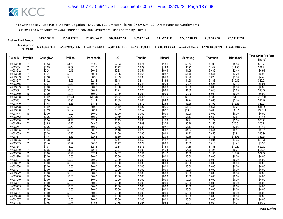| <b>Final Net Fund Amount:</b> | \$4,995,385.28     | \$9,564,189,78     | \$11.829.645.65    | \$17.001.459.93    | \$9.134.731.48     | \$9.122.593.49     | \$22,612,342.89    | \$6,522,667.16     | \$51.535.487.94    |
|-------------------------------|--------------------|--------------------|--------------------|--------------------|--------------------|--------------------|--------------------|--------------------|--------------------|
| Sum Approved<br>Purchases:    | \$7,202,938,719.97 | \$7,202,938,719.97 | \$7,458,815,028.91 | \$7,202,938,719.97 | \$6,285,795,184.10 | \$7.244.689.862.24 | \$7,244,689,862.24 | \$7.244.689.862.24 | \$7,244,689,862.24 |

|                      |                         |                  |                  |                  |                  |                  |                  |                  |                  |                   | <b>Total Strict Pro Rata</b> |
|----------------------|-------------------------|------------------|------------------|------------------|------------------|------------------|------------------|------------------|------------------|-------------------|------------------------------|
| Claim ID             | Payable                 | Chunghwa         | <b>Philips</b>   | Panasonic        | LG               | Toshiba          | Hitachi          | Samsung          | <b>Thomson</b>   | <b>Mitsubishi</b> | Share*                       |
| 40003590             |                         | \$0.83           | \$1.59           | \$1.90           | \$2.83           | \$1.74           | \$1.51           | \$3.74           | \$1.08           | \$8.53            | \$23.77                      |
| 40003604             | $\overline{V}$          | \$1.09           | \$2.09           | \$2.50           | \$3.72           | \$2.29           | \$1.98           | \$4.92           | \$1.42           | \$11.20           | \$31.21                      |
| 4000361              |                         | \$0.24           | \$0.46           | \$0.56           | \$0.83           | \$0.51           | \$0.44           | \$1.09           | \$0.32           | \$2.49            | \$6.94                       |
| 40003620             | V                       | \$0.31           | \$0.60           | \$0.71           | \$1.06           | \$0.65           | \$0.57           | \$1.40           | \$0.41           | \$3.20            | \$8.92                       |
| 40003639             | Y                       | \$0.16           | \$0.30           | \$0.36           | \$0.53           | \$0.33           | \$0.28           | \$0.70           | \$0.20           | \$1.60            | \$4.46                       |
| 40003647             | V                       | \$1.02           | \$1.96           | \$2.34           | \$3.48           | \$2.14           | \$1.86           | \$4.60           | \$1.33           | \$10.49           | \$29.23                      |
| 40003655             |                         | \$0.21           | \$0.40           | \$0.48           | \$0.71           | \$0.44           | \$0.38           | \$0.94           | \$0.27           | \$2.13            | \$5.94                       |
| 40003663             | N                       | \$0.00           | \$0.00           | \$0.00           | \$0.00           | \$0.00           | \$0.00           | \$0.00           | \$0.00           | \$0.00            | \$0.00                       |
| 4000367              | γ                       | \$0.36           | \$0.68           | \$0.81           | \$1.21           | \$0.74           | \$0.65           | \$1.60           | \$0.46           | \$3.65            | \$10.16                      |
| 40003680             | $\overline{N}$          | \$0.00           | \$0.00           | \$0.00           | \$0.00           | \$0.00           | \$0.00           | \$0.00           | \$0.00           | \$0.00            | \$0.00                       |
| 40003698             | $\overline{\mathsf{v}}$ | \$6.02           | \$11.54          | \$13.78          | \$20.51          | \$12.62          | \$10.94          | \$27.12          | \$7.82           | \$61.80           | \$172.14                     |
| 40003701             | Y                       | \$0.50           | \$0.95           | \$1.14           | \$1.69           | \$1.04           | \$0.90           | \$2.24           | \$0.65           | \$5.10            | \$14.20                      |
| 40003710             | $\overline{Y}$          | \$1.48           | \$2.83           | \$3.38           | \$5.03           | \$3.10           | \$2.68           | \$6.65           | \$1.92           | \$15.16           | \$42.23                      |
| 40003728             | γ                       | \$0.42           | \$0.80           | \$0.95           | \$1.42           | \$0.87           | \$0.76           | \$1.87           | \$0.54           | \$4.27            | \$11.89                      |
| 40003736             | Ϋ                       | \$3.59           | \$6.87           | \$8.21           | \$12.21          | \$7.52           | \$6.52           | \$16.15          | \$4.66           | \$36.81           | \$102.54                     |
| 40003744             | N                       | \$0.00           | \$0.00           | \$0.00           | \$0.00           | \$0.00           | \$0.00           | \$0.00           | \$0.00           | \$0.00            | \$0.00                       |
| 40003752             | Ϋ                       | \$0.26           | \$0.50           | \$0.59           | \$0.89           | \$0.54           | \$0.47           | \$1.17           | \$0.34           | \$2.67            | \$7.43                       |
| 40003760             | Y                       | \$0.94           | \$1.79           | \$2.14           | \$3.19           | \$1.96           | \$1.70           | \$4.21           | \$1.22           | \$9.60            | \$26.75                      |
| 40003779             | Y                       | \$1.95           | \$3.73           | \$4.46           | \$6.64           | \$4.09           | \$3.54           | \$8.78           | \$2.53           | \$20.01           | \$55.73                      |
| 40003787             | Y                       | \$0.26           | \$0.50           | \$0.59           | \$0.88           | \$0.54           | \$0.47           | \$1.17           | \$0.34           | \$2.66            | \$7.42                       |
| 40003795             | Y                       | \$0.34           | \$0.65           | \$0.78           | \$1.16           | \$0.72           | \$0.62           | \$1.54           | \$0.44           | \$3.51            | \$9.77                       |
| 40003809             |                         | \$0.38           | \$0.73           | \$0.87           | \$1.30           | \$0.80           | \$0.69           | \$1.72           | \$0.50           | \$3.91            | \$10.90                      |
| 4000381              |                         | \$1.14           | \$2.19           | \$2.62           | \$3.89           | \$2.40           | \$2.08           | \$5.15           | \$1.48           | \$11.73           | \$32.68                      |
| 40003825             | v                       | \$0.73           | \$1.39           | \$1.66           | \$2.47           | \$1.52           | \$1.32           | \$3.27           | \$0.94           | \$7.45            | \$20.76                      |
| 40003833             | v                       | \$0.14           | \$0.27           | \$0.32           | \$0.47           | \$0.29           | \$0.25           | \$0.62           | \$0.18           | \$1.42            | \$3.96                       |
| 4000384              |                         | \$1.04           | \$1.99           | \$2.38           | \$3.54           | \$2.18           | \$1.89           | \$4.68           | \$1.35           | \$10.67           | \$29.72                      |
| 40003850             | Υ                       | \$0.95           | \$1.82           | \$2.18           | \$3.24           | \$2.00           | \$1.73           | \$4.29           | \$1.24           | \$9.77            | \$27.21                      |
| 40003868             | Υ                       | \$1.20           | \$2.29           | \$2.74           | \$4.07           | \$2.51           | \$2.17           | \$5.38           | \$1.55           | \$12.27           | \$34.18                      |
| 40003876             | $\overline{N}$          | \$0.00           | \$0.00           | \$0.00           | \$0.00           | \$0.00           | \$0.00           | \$0.00           | \$0.00           | \$0.00            | \$0.00                       |
| 40003884             | N<br>Ñ                  | \$0.00           | \$0.00           | \$0.00           | \$0.00           | \$0.00           | \$0.00           | \$0.00           | \$0.00           | \$0.00            | \$0.00                       |
| 40003892<br>40003906 | $\overline{N}$          | \$0.00<br>\$0.00 | \$0.00<br>\$0.00 | \$0.00<br>\$0.00 | \$0.00<br>\$0.00 | \$0.00<br>\$0.00 | \$0.00<br>\$0.00 | \$0.00<br>\$0.00 | \$0.00<br>\$0.00 | \$0.00<br>\$0.00  | \$0.00<br>\$0.00             |
| 40003914             | $\mathsf{N}$            | \$0.00           | \$0.00           | \$0.00           | \$0.00           | \$0.00           | \$0.00           | \$0.00           | \$0.00           | \$0.00            | \$0.00                       |
| 40003922             | Ñ                       | \$0.00           | \$0.00           | \$0.00           | \$0.00           | \$0.00           | \$0.00           | \$0.00           | \$0.00           | \$0.00            | \$0.00                       |
| 40003930             | N                       | \$0.00           | \$0.00           | \$0.00           | \$0.00           | \$0.00           | \$0.00           | \$0.00           | \$0.00           | \$0.00            | \$0.00                       |
| 40003949             | N                       | \$0.00           | \$0.00           | \$0.00           | \$0.00           | \$0.00           | \$0.00           | \$0.00           | \$0.00           | \$0.00            | \$0.00                       |
| 40003957             | $\overline{N}$          | \$0.00           | \$0.00           | \$0.00           | \$0.00           | \$0.00           | \$0.00           | \$0.00           | \$0.00           | \$0.00            | \$0.00                       |
| 40003965             | N                       | \$0.00           | \$0.00           | \$0.00           | \$0.00           | \$0.00           | \$0.00           | \$0.00           | \$0.00           | \$0.00            | \$0.00                       |
| 40003973             | N                       | \$0.00           | \$0.00           | \$0.00           | \$0.00           | \$0.00           | \$0.00           | \$0.00           | \$0.00           | \$0.00            | \$0.00                       |
| 40003981             | $\overline{N}$          | \$0.00           | \$0.00           | \$0.00           | \$0.00           | \$0.00           | \$0.00           | \$0.00           | \$0.00           | \$0.00            | \$0.00                       |
| 40003990             | N                       | \$0.00           | \$0.00           | \$0.00           | \$0.00           | \$0.00           | \$0.00           | \$0.00           | \$0.00           | \$0.00            | \$0.00                       |
| 40004007             | N                       | \$0.00           | \$0.00           | \$0.00           | \$0.00           | \$0.00           | \$0.00           | \$0.00           | \$0.00           | \$0.00            | \$0.00                       |
| 40004015             | Υ                       | \$0.46           | \$0.88           | \$1.05           | \$1.56           | \$0.96           | \$0.83           | \$2.07           | \$0.60           | \$4.71            | \$13.12                      |
|                      |                         |                  |                  |                  |                  |                  |                  |                  |                  |                   |                              |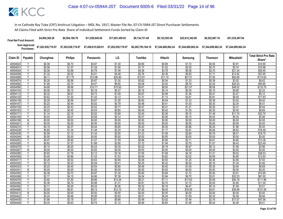| <b>Final Net Fund Amount:</b> | \$4,995,385.28     | \$9.564.189.78     | \$11.829.645.65    | \$17.001.459.93    | \$9.134.731.48     | \$9.122.593.49 | \$22,612,342.89 | \$6,522,667.16     | \$51,535,487.94    |
|-------------------------------|--------------------|--------------------|--------------------|--------------------|--------------------|----------------|-----------------|--------------------|--------------------|
| Sum Approved<br>Purchases:    | \$7,202,938,719.97 | \$7,202,938,719.97 | \$7,458,815,028.91 | \$7,202,938,719.97 | \$6.285.795.184.10 |                |                 | \$7.244.689.862.24 | \$7.244.689.862.24 |

|                      |                         |                  |                  |                  |                  |                  |                  |                  |                  |                   | <b>Total Strict Pro Rata</b> |
|----------------------|-------------------------|------------------|------------------|------------------|------------------|------------------|------------------|------------------|------------------|-------------------|------------------------------|
| Claim ID             | Payable                 | Chunghwa         | <b>Philips</b>   | Panasonic        | LG               | Toshiba          | Hitachi          | <b>Samsung</b>   | <b>Thomson</b>   | <b>Mitsubishi</b> | Share*                       |
| 40004023             | Υ                       | \$0.38           | \$0.73           | \$0.87           | \$1.30           | \$0.80           | \$0.69           | \$1.72           | \$0.50           | \$3.91            | \$10.90                      |
| 40004031             | Y                       | \$0.56           | \$1.07           | \$1.28           | \$1.90           | \$1.17           | \$1.02           | \$2.52           | \$0.73           | \$5.74            | \$15.98                      |
| 40004040             | ٧                       | \$2.08           | \$3.98           | \$4.76           | \$7.08           | \$4.36           | \$3.78           | \$9.36           | \$2.70           | \$21.34           | \$59.45                      |
| 40004058             |                         | \$1.32           | \$2.52           | \$3.01           | \$4.48           | \$2.76           | \$2.39           | \$5.93           | \$1.71           | \$13.52           | \$37.65                      |
| 40004066             | Y                       | \$6.11           | \$11.70          | \$13.98          | \$20.80          | \$12.81          | \$11.10          | \$27.51          | \$7.93           | \$62.69           | \$174.62                     |
| 40004074             | Υ                       | \$0.29           | \$0.56           | \$0.67           | \$1.00           | \$0.62           | \$0.54           | \$1.33           | \$0.38           | \$3.02            | \$8.42                       |
| 4000408              | $\overline{\mathsf{v}}$ | \$1.95           | \$3.74           | \$4.47           | \$6.65           | \$4.09           | \$3.55           | \$8.79           | \$2.54           | \$20.03           | \$55.80                      |
| 40004090             | Y                       | \$4.68           | \$8.96           | \$10.71          | \$15.93          | \$9.81           | \$8.50           | \$21.07          | \$6.08           | \$48.02           | \$133.75                     |
| 40004104             | Υ                       | \$0.08           | \$0.15           | \$0.18           | \$0.27           | \$0.16           | \$0.14           | \$0.35           | \$0.10           | \$0.80            | \$2.23                       |
| 40004112             | Y                       | \$0.32           | \$0.61           | \$0.73           | \$1.09           | \$0.67           | \$0.58           | \$1.44           | \$0.41           | \$3.27            | \$9.12                       |
| 40004120             |                         | \$0.62           | \$1.20           | \$1.43           | \$2.12           | \$1.31           | \$1.13           | \$2.81           | \$0.81           | \$6.40            | \$17.83                      |
| 40004139             | γ                       | \$0.29           | \$0.56           | \$0.67           | \$1.00           | \$0.62           | \$0.54           | \$1.33           | \$0.38           | \$3.02            | \$8.42                       |
| 40004147             | Y                       | \$0.23           | \$0.44           | \$0.52           | \$0.78           | \$0.48           | \$0.41           | \$1.03           | \$0.30           | \$2.34            | \$6.51                       |
| 40004155             | Υ                       | \$0.23           | \$0.43           | \$0.52           | \$0.77           | \$0.47           | \$0.41           | \$1.01           | \$0.29           | \$2.31            | \$6.44                       |
| 40004163             |                         | \$0.23           | \$0.45           | \$0.54           | \$0.80           | \$0.49           | \$0.42           | \$1.05           | \$0.30           | \$2.40            | \$6.69                       |
| 40004171             | Y                       | \$1.14           | \$2.19           | \$2.62           | \$3.89           | \$2.40           | \$2.08           | \$5.15           | \$1.49           | \$11.74           | \$32.70                      |
| 40004180             | Υ                       | \$0.03           | \$0.07           | \$0.08           | \$0.12           | \$0.07           | \$0.06           | \$0.15           | \$0.04           | \$0.35            | \$0.98                       |
| 40004198             | $\overline{N}$          | \$0.00           | \$0.00           | \$0.00           | \$0.00           | \$0.00           | \$0.00           | \$0.00           | \$0.00           | \$0.00            | \$0.00                       |
| 40004201             | N                       | \$0.00           | \$0.00           | \$0.00           | \$0.00           | \$0.00           | \$0.00           | \$0.00           | \$0.00           | \$0.00            | \$0.00                       |
| 40004210             | γ                       | \$0.19           | \$0.37           | \$0.44           | \$0.65           | \$0.40           | \$0.35           | \$0.86           | \$0.25           | \$1.96            | \$5.45                       |
| 40004228             | Υ                       | \$0.65           | \$1.24           | \$1.48           | \$2.20           | \$1.36           | \$1.17           | \$2.91           | \$0.84           | \$6.63            | \$18.48                      |
| 40004236             | Y                       | \$0.59           | \$1.12           | \$1.34           | \$2.00           | \$1.23           | \$1.06           | \$2.64           | \$0.76           | \$6.01            | \$16.75                      |
| 40004244             | Ñ                       | \$0.00           | \$0.00           | \$0.00           | \$0.00           | \$0.00           | \$0.00           | \$0.00           | \$0.00           | \$0.00            | \$0.00                       |
| 40004252             | Υ                       | \$0.47           | \$0.90           | \$1.07           | \$1.59           | \$0.98           | \$0.85           | \$2.11           | \$0.61           | \$4.80            | \$13.38                      |
| 40004260             |                         | \$0.82           | \$1.57           | \$1.88           | \$2.80           | \$1.72           | \$1.49           | \$3.70           | \$1.07           | \$8.43            | \$23.49                      |
| 40004279             | Y                       | \$0.10           | \$0.20           | \$0.24           | \$0.35           | \$0.22           | \$0.19           | \$0.47           | \$0.13           | \$1.06            | \$2.96                       |
| 40004287             | N                       | \$0.00           | \$0.00           | \$0.00           | \$0.00           | \$0.00           | \$0.00           | \$0.00           | \$0.00           | \$0.00            | \$0.00                       |
| 40004295             | Υ                       | \$0.93           | \$1.78           | \$2.12           | \$3.16           | \$1.95           | \$1.69           | \$4.18           | \$1.21           | \$9.52            | \$26.53                      |
| 40004309             | Y                       | \$0.45           | \$0.86           | \$1.03           | \$1.53           | \$0.94           | \$0.82           | \$2.02           | \$0.58           | \$4.60            | \$12.83                      |
| 40004317<br>40004325 | Υ<br>Ϋ                  | \$0.28<br>\$0.12 | \$0.53<br>\$0.23 | \$0.63<br>\$0.28 | \$0.94           | \$0.58           | \$0.50<br>\$0.22 | \$1.25           | \$0.36<br>\$0.16 | \$2.85            | \$7.93                       |
| 40004333             | Y                       | \$0.23           | \$0.45           | \$0.54           | \$0.41<br>\$0.80 | \$0.25<br>\$0.49 | \$0.42           | \$0.54<br>\$1.05 | \$0.30           | \$1.24<br>\$2.40  | \$3.46<br>\$6.69             |
| 40004341             | N                       | \$0.00           | \$0.00           | \$0.00           | \$0.00           | \$0.00           | \$0.00           | \$0.00           | \$0.00           | \$0.00            | \$0.00                       |
| 40004350             | Y                       | \$0.38           | \$0.73           | \$0.87           | \$1.30           | \$0.80           | \$0.69           | \$1.72           | \$0.50           | \$3.91            | \$10.90                      |
| 40004368             | Υ                       | \$2.17           | \$4.15           | \$4.96           | \$7.38           | \$4.54           | \$3.94           | \$9.75           | \$2.81           | \$22.23           | \$61.92                      |
| 40004376             | Y                       | \$3.92           | \$7.50           | \$8.96           | \$13.34          | \$8.21           | \$7.11           | \$17.63          | \$5.09           | \$40.19           | \$111.96                     |
| 40004384             | Y                       | \$0.38           | \$0.74           | \$0.88           | \$1.31           | \$0.81           | \$0.70           | \$1.73           | \$0.50           | \$3.95            | \$11.00                      |
| 40004392             | $\checkmark$            | \$0.11           | \$0.20           | \$0.24           | \$0.36           | \$0.22           | \$0.19           | \$0.47           | \$0.14           | \$1.08            | \$3.01                       |
| 40004406             |                         | \$3.55           | \$6.81           | \$8.13           | \$12.10          | \$7.45           | \$6.45           | \$16.00          | \$4.61           | \$36.46           | \$101.55                     |
| 40004414             | N                       | \$0.00           | \$0.00           | \$0.00           | \$0.00           | \$0.00           | \$0.00           | \$0.00           | \$0.00           | \$0.00            | \$0.00                       |
| 40004422             | Y                       | \$0.24           | \$0.46           | \$0.56           | \$0.83           | \$0.51           | \$0.44           | \$1.09           | \$0.32           | \$2.49            | \$6.94                       |
| 40004430             |                         | \$1.66           | \$3.19           | \$3.81           | \$5.66           | \$3.49           | \$3.02           | \$7.49           | \$2.16           | \$17.07           | \$47.56                      |
| 40004449             | Υ                       | \$0.33           | \$0.63           | \$0.75           | \$1.12           | \$0.69           | \$0.60           | \$1.48           | \$0.43           | \$3.38            | \$9.41                       |
|                      |                         |                  |                  |                  |                  |                  |                  |                  |                  |                   |                              |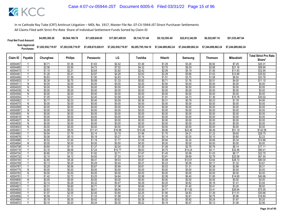| <b>Final Net Fund Amount:</b> | \$4,995,385.28     | \$9.564.189.78     | \$11.829.645.65    | \$17.001.459.93    | \$9.134.731.48     | \$9.122.593.49 | \$22,612,342.89 | \$6,522,667.16     | \$51,535,487.94    |
|-------------------------------|--------------------|--------------------|--------------------|--------------------|--------------------|----------------|-----------------|--------------------|--------------------|
| Sum Approved<br>Purchases:    | \$7,202,938,719.97 | \$7,202,938,719.97 | \$7,458,815,028.91 | \$7,202,938,719.97 | \$6.285.795.184.10 |                |                 | \$7.244.689.862.24 | \$7.244.689.862.24 |

|                      |                |                  |                  |                  |                   |                  |                  |                  |                  |                   | <b>Total Strict Pro Rata</b> |
|----------------------|----------------|------------------|------------------|------------------|-------------------|------------------|------------------|------------------|------------------|-------------------|------------------------------|
| Claim ID             | Payable        | Chunghwa         | <b>Philips</b>   | Panasonic        | LG                | Toshiba          | Hitachi          | Samsung          | Thomson          | Mitsubishi        | Share*                       |
| 40004457             | Υ              | \$0.71           | \$1.36           | \$1.63           | \$2.42            | \$1.49           | \$1.29           | \$3.20           | \$0.92           | \$7.29            | \$20.31                      |
| 40004465             | Y              | \$2.06           | \$3.95           | \$4.72           | \$7.02            | \$4.32           | \$3.75           | \$9.29           | \$2.68           | \$21.16           | \$58.95                      |
| 40004473             | ٧              | \$1.15           | \$2.21           | \$2.64           | \$3.92            | \$2.42           | \$2.09           | \$5.19           | \$1.50           | \$11.83           | \$32.94                      |
| 40004481             |                | \$1.26           | \$2.41           | \$2.87           | \$4.28            | \$2.63           | \$2.28           | \$5.66           | \$1.63           | \$12.89           | \$35.92                      |
| 40004490             | Y              | \$0.83           | \$1.59           | \$1.90           | \$2.83            | \$1.74           | \$1.51           | \$3.75           | \$1.08           | \$8.54            | \$23.78                      |
| 40004503             | Ϋ              | \$0.39           | \$0.75           | \$0.89           | \$1.33            | \$0.82           | \$0.71           | \$1.76           | \$0.51           | \$4.00            | \$11.15                      |
| 40004511             | Ñ              | \$0.00           | \$0.00           | \$0.00           | \$0.00            | \$0.00           | \$0.00           | \$0.00           | \$0.00           | \$0.00            | \$0.00                       |
| 40004520             | N              | \$0.00           | \$0.00           | \$0.00           | \$0.00            | \$0.00           | \$0.00           | \$0.00           | \$0.00           | \$0.00            | \$0.00                       |
| 40004538             | N              | \$0.00           | \$0.00           | \$0.00           | \$0.00            | \$0.00           | \$0.00           | \$0.00           | \$0.00           | \$0.00            | \$0.00                       |
| 40004546             | $\overline{N}$ | \$0.00           | \$0.00           | \$0.00           | \$0.00            | \$0.00           | \$0.00           | \$0.00           | \$0.00           | \$0.00            | \$0.00                       |
| 40004554             | v              | \$1.05           | \$2.01           | \$2.40           | \$3.58            | \$2.20           | \$1.91           | \$4.73           | \$1.36           | \$10.78           | \$30.02                      |
| 40004562             | Υ              | \$0.17           | \$0.33           | \$0.40           | \$0.59            | \$0.36           | \$0.31           | \$0.78           | \$0.23           | \$1.78            | \$4.95                       |
| 40004570             | N              | \$0.00           | \$0.00           | \$0.00           | \$0.00            | \$0.00           | \$0.00           | \$0.00           | \$0.00           | \$0.00            | \$0.00                       |
| 40004589             | N              | \$0.00           | \$0.00           | \$0.00           | \$0.00            | \$0.00           | \$0.00           | \$0.00           | \$0.00           | \$0.00            | \$0.00                       |
| 40004597             | $\overline{N}$ | \$0.00           | \$0.00           | \$0.00           | \$0.00            | \$0.00           | \$0.00           | \$0.00           | \$0.00           | \$0.00            | \$0.00                       |
| 40004600             | N              | \$0.00           | \$0.00           | \$0.00           | \$0.00            | \$0.00           | \$0.00           | \$0.00           | \$0.00           | \$0.00            | \$0.00                       |
| 40004619             | N              | \$0.00           | \$0.00           | \$0.00           | \$0.00            | \$0.00           | \$0.00           | \$0.00           | \$0.00           | \$0.00            | \$0.00                       |
| 40004627             | $\overline{N}$ | \$0.00           | \$0.00           | \$0.00           | \$0.00            | \$0.00           | \$0.00           | \$0.00           | \$0.00           | \$0.00            | \$0.00                       |
| 40004635             | N              | \$0.00           | \$0.00           | \$0.00           | \$0.00            | \$0.00           | \$0.00           | \$0.00           | \$0.00           | \$0.00            | \$0.00                       |
| 40004643             | N              | \$0.00           | \$0.00           | \$0.00           | \$0.00            | \$0.00           | \$0.00           | \$0.00           | \$0.00           | \$0.00            | \$0.00                       |
| 40004651             | Υ              | \$4.99           | \$9.55           | \$11.41          | \$16.98           | \$10.46          | \$9.06           | \$22.46          | \$6.48           | \$51.19           | \$142.58                     |
| 40004660             | Y              | \$0.94           | \$1.79           | \$2.14           | \$3.19            | \$1.96           | \$1.70           | \$4.21           | \$1.22           | \$9.60            | \$26.75                      |
| 40004678             |                | \$0.08           | \$0.15           | \$0.18           | \$0.27            | \$0.16           | \$0.14           | \$0.35           | \$0.10           | \$0.80            | \$2.23                       |
| 40004686             | Υ              | \$0.52           | \$1.00           | \$1.19           | \$1.77            | \$1.09           | \$0.94           | \$2.34           | \$0.68           | \$5.34            | \$14.86                      |
| 40004694             | N<br>Y         | \$0.00           | \$0.00           | \$0.00           | \$0.00            | \$0.00           | \$0.00           | \$0.00<br>\$2.70 | \$0.00           | \$0.00            | \$0.00                       |
| 40004708<br>40004716 |                | \$0.60<br>\$3.16 | \$1.15<br>\$6.06 | \$1.37<br>\$7.24 | \$2.04<br>\$10.77 | \$1.25<br>\$6.63 | \$1.09<br>\$5.75 | \$14.24          | \$0.78<br>\$4.11 | \$6.14<br>\$32.46 | \$17.11<br>\$90.41           |
| 40004724             | Υ              | \$0.80           | \$1.52           | \$1.82           | \$2.71            | \$1.67           | \$1.45           | \$3.58           | \$1.03           | \$8.17            | \$22.75                      |
| 40004732             | Y              | \$2.15           | \$4.12           | \$4.92           | \$7.33            | \$4.51           | \$3.91           | \$9.69           | \$2.79           | \$22.08           | \$61.50                      |
| 40004740             | $\vee$         | \$2.80           | \$5.36           | \$6.41           | \$9.53            | \$5.87           | \$5.09           | \$12.61          | \$3.64           | \$28.73           | \$80.04                      |
| 40004759             |                | \$0.13           | \$0.25           | \$0.29           | \$0.44            | \$0.27           | \$0.23           | \$0.58           | \$0.17           | \$1.32            | \$3.67                       |
| 40004767             | Υ              | \$0.29           | \$0.56           | \$0.67           | \$0.99            | \$0.61           | \$0.53           | \$1.31           | \$0.38           | \$2.98            | \$8.31                       |
| 40004775             | N              | \$0.00           | \$0.00           | \$0.00           | \$0.00            | \$0.00           | \$0.00           | \$0.00           | \$0.00           | \$0.00            | \$0.00                       |
| 40004783             | $\overline{N}$ | \$0.00           | \$0.00           | \$0.00           | \$0.00            | \$0.00           | \$0.00           | \$0.00           | \$0.00           | \$0.00            | \$0.00                       |
| 40004791             | Ϋ              | \$1.42           | \$2.72           | \$3.25           | \$4.84            | \$2.98           | \$2.58           | \$6.40           | \$1.85           | \$14.60           | \$40.66                      |
| 40004805             | $\mathsf{N}$   | \$0.00           | \$0.00           | \$0.00           | \$0.00            | \$0.00           | \$0.00           | \$0.00           | \$0.00           | \$0.00            | \$0.00                       |
| 40004813             | Y              | \$0.14           | \$0.26           | \$0.32           | \$0.47            | \$0.29           | \$0.25           | \$0.62           | \$0.18           | \$1.41            | \$3.94                       |
| 4000482              | $\checkmark$   | \$0.31           | \$0.60           | \$0.71           | \$1.06            | \$0.65           | \$0.57           | \$1.40           | \$0.41           | \$3.20            | \$8.92                       |
| 40004830             |                | \$2.63           | \$5.03           | \$6.01           | \$8.94            | \$5.50           | \$4.77           | \$11.82          | \$3.41           | \$26.94           | \$75.05                      |
| 40004848             | Υ              | \$1.07           | \$2.05           | \$2.45           | \$3.65            | \$2.25           | \$1.95           | \$4.83           | \$1.39           | \$11.01           | \$30.66                      |
| 40004856             | Y              | \$0.58           | \$1.11           | \$1.33           | \$1.98            | \$1.22           | \$1.05           | \$2.61           | \$0.75           | \$5.96            | \$16.60                      |
| 40004864             |                | \$0.18           | \$0.35           | \$0.42           | \$0.62            | \$0.38           | \$0.33           | \$0.82           | \$0.24           | \$1.87            | \$5.20                       |
| 40004872             | Υ              | \$0.10           | \$0.20           | \$0.24           | \$0.35            | \$0.22           | \$0.19           | \$0.47           | \$0.13           | \$1.06            | \$2.96                       |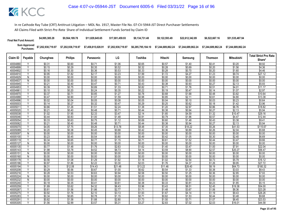| <b>Final Net Fund Amount:</b> | \$4,995,385.28     | \$9,564,189.78     | \$11.829.645.65    | \$17.001.459.93    | \$9.134.731.48     | \$9.122.593.49     | \$22.612.342.89    | \$6,522,667.16     | \$51,535,487.94    |
|-------------------------------|--------------------|--------------------|--------------------|--------------------|--------------------|--------------------|--------------------|--------------------|--------------------|
| Sum Approved<br>:Purchases    | \$7,202,938,719.97 | \$7,202,938,719.97 | \$7,458,815,028.91 | \$7,202,938,719.97 | \$6,285,795,184.10 | \$7.244.689.862.24 | \$7.244.689.862.24 | \$7.244.689.862.24 | \$7.244.689.862.24 |

|          |                         |          |                |           |         |         |         |         |                | <b>Mitsubishi</b> | <b>Total Strict Pro Rata</b> |
|----------|-------------------------|----------|----------------|-----------|---------|---------|---------|---------|----------------|-------------------|------------------------------|
| Claim ID | Payable                 | Chunghwa | <b>Philips</b> | Panasonic | LG      | Toshiba | Hitachi | Samsung | <b>Thomson</b> |                   | Share*                       |
| 40004880 |                         | \$0.31   | \$0.60         | \$0.71    | \$1.06  | \$0.65  | \$0.57  | \$1.40  | \$0.41         | \$3.20            | \$8.92                       |
| 40004899 | $\vee$                  | \$0.15   | \$0.29         | \$0.35    | \$0.52  | \$0.32  | \$0.28  | \$0.69  | \$0.20         | \$1.56            | \$4.36                       |
| 40004902 | Υ                       | \$0.16   | \$0.30         | \$0.36    | \$0.53  | \$0.33  | \$0.28  | \$0.70  | \$0.20         | \$1.60            | \$4.46                       |
| 40004910 |                         | \$0.95   | \$1.82         | \$2.17    | \$3.23  | \$1.99  | \$1.72  | \$4.27  | \$1.23         | \$9.74            | \$27.12                      |
| 40004929 | N                       | \$0.00   | \$0.00         | \$0.00    | \$0.00  | \$0.00  | \$0.00  | \$0.00  | \$0.00         | \$0.00            | \$0.00                       |
| 40004937 | N                       | \$0.00   | \$0.00         | \$0.00    | \$0.00  | \$0.00  | \$0.00  | \$0.00  | \$0.00         | \$0.00            | \$0.00                       |
| 40004945 | Y                       | \$0.21   | \$0.40         | \$0.47    | \$0.71  | \$0.43  | \$0.38  | \$0.93  | \$0.27         | \$2.13            | \$5.93                       |
| 40004953 |                         | \$0.39   | \$0.75         | \$0.89    | \$1.33  | \$0.82  | \$0.71  | \$1.76  | \$0.51         | \$4.01            | \$11.17                      |
| 40004961 | γ                       | \$0.10   | \$0.20         | \$0.24    | \$0.35  | \$0.22  | \$0.19  | \$0.47  | \$0.14         | \$1.07            | \$2.97                       |
| 40004970 | Y                       | \$0.37   | \$0.71         | \$0.85    | \$1.27  | \$0.78  | \$0.68  | \$1.68  | \$0.48         | \$3.82            | \$10.64                      |
| 40004988 | $\vee$                  | \$0.47   | \$0.90         | \$1.07    | \$1.59  | \$0.98  | \$0.85  | \$2.11  | \$0.61         | \$4.80            | \$13.38                      |
| 40004996 |                         | \$0.02   | \$0.04         | \$0.05    | \$0.08  | \$0.05  | \$0.04  | \$0.10  | \$0.03         | \$0.23            | \$0.64                       |
| 40005003 | Y                       | \$0.14   | \$0.27         | \$0.32    | \$0.47  | \$0.29  | \$0.25  | \$0.62  | \$0.18         | \$1.42            | \$3.96                       |
| 4000501  | γ                       | \$0.66   | \$1.26         | \$1.51    | \$2.24  | \$1.38  | \$1.20  | \$2.97  | \$0.86         | \$6.76            | \$18.82                      |
| 40005020 | $\overline{\mathsf{v}}$ | \$0.21   | \$0.40         | \$0.48    | \$0.71  | \$0.44  | \$0.38  | \$0.94  | \$0.27         | \$2.13            | \$5.94                       |
| 40005038 | Υ                       | \$1.02   | \$1.95         | \$2.33    | \$3.47  | \$2.14  | \$1.85  | \$4.59  | \$1.32         | \$10.47           | \$29.16                      |
| 40005046 | Υ                       | \$0.44   | \$0.83         | \$1.00    | \$1.48  | \$0.91  | \$0.79  | \$1.96  | \$0.57         | \$4.47            | \$12.44                      |
| 40005054 | Y                       | \$0.33   | \$0.63         | \$0.75    | \$1.12  | \$0.69  | \$0.60  | \$1.48  | \$0.43         | \$3.38            | \$9.41                       |
| 40005062 | ٧                       | \$0.21   | \$0.40         | \$0.48    | \$0.71  | \$0.44  | \$0.38  | \$0.94  | \$0.27         | \$2.13            | \$5.94                       |
| 40005070 | Υ                       | \$4.05   | \$7.75         | \$9.26    | \$13.78 | \$8.48  | \$7.35  | \$18.22 | \$5.26         | \$41.53           | \$115.67                     |
| 40005089 | Y                       | \$0.20   | \$0.38         | \$0.45    | \$0.68  | \$0.42  | \$0.36  | \$0.89  | \$0.26         | \$2.04            | \$5.68                       |
| 40005097 | N                       | \$0.00   | \$0.00         | \$0.00    | \$0.00  | \$0.00  | \$0.00  | \$0.00  | \$0.00         | \$0.00            | \$0.00                       |
| 40005100 | Y                       | \$0.23   | \$0.45         | \$0.54    | \$0.80  | \$0.49  | \$0.42  | \$1.05  | \$0.30         | \$2.40            | \$6.69                       |
| 40005119 | Υ                       | \$0.34   | \$0.65         | \$0.77    | \$1.15  | \$0.71  | \$0.61  | \$1.52  | \$0.44         | \$3.47            | \$9.66                       |
| 40005127 | N                       | \$0.00   | \$0.00         | \$0.00    | \$0.00  | \$0.00  | \$0.00  | \$0.00  | \$0.00         | \$0.00            | \$0.00                       |
| 40005135 | v                       | \$0.77   | \$1.48         | \$1.76    | \$2.63  | \$1.62  | \$1.40  | \$3.47  | \$1.00         | \$7.91            | \$22.04                      |
| 40005143 |                         | \$1.98   | \$3.78         | \$4.52    | \$6.73  | \$4.14  | \$3.59  | \$8.90  | \$2.57         | \$20.27           | \$56.47                      |
| 40005151 | N                       | \$0.00   | \$0.00         | \$0.00    | \$0.00  | \$0.00  | \$0.00  | \$0.00  | \$0.00         | \$0.00            | \$0.00                       |
| 40005160 | N                       | \$0.00   | \$0.00         | \$0.00    | \$0.00  | \$0.00  | \$0.00  | \$0.00  | \$0.00         | \$0.00            | \$0.00                       |
| 40005178 | $\overline{\mathsf{v}}$ | \$0.56   | \$1.08         | \$1.29    | \$1.92  | \$1.18  | \$1.02  | \$2.54  | \$0.73         | \$5.79            | \$16.12                      |
| 40005186 |                         | \$0.97   | \$1.86         | \$2.22    | \$3.30  | \$2.03  | \$1.76  | \$4.37  | \$1.26         | \$9.95            | \$27.72                      |
| 40005194 | Υ                       | \$6.31   | \$12.08        | \$14.43   | \$21.48 | \$13.22 | \$11.46 | \$28.40 | \$8.19         | \$64.73           | \$180.32                     |
| 40005208 | Y                       | \$0.29   | \$0.56         | \$0.67    | \$1.00  | \$0.62  | \$0.54  | \$1.33  | \$0.38         | \$3.03            | \$8.43                       |
| 40005216 | Y                       | \$0.28   | \$0.53         | \$0.63    | \$0.94  | \$0.58  | \$0.50  | \$1.25  | \$0.36         | \$2.85            | \$7.93                       |
| 40005224 | N                       | \$0.00   | \$0.00         | \$0.00    | \$0.00  | \$0.00  | \$0.00  | \$0.00  | \$0.00         | \$0.00            | \$0.00                       |
| 40005232 | N                       | \$0.00   | \$0.00         | \$0.00    | \$0.00  | \$0.00  | \$0.00  | \$0.00  | \$0.00         | \$0.00            | \$0.00                       |
| 40005240 | Y<br>$\vee$             | \$0.18   | \$0.35         | \$0.41    | \$0.61  | \$0.38  | \$0.33  | \$0.81  | \$0.23         | \$1.85            | \$5.15                       |
| 40005259 |                         | \$1.89   | \$3.62         | \$4.32    | \$6.43  | \$3.96  | \$3.43  | \$8.51  | \$2.45         | \$19.38           | \$54.00                      |
| 40005267 |                         | \$0.81   | \$1.56         | \$1.86    | \$2.77  | \$1.71  | \$1.48  | \$3.67  | \$1.06         | \$8.36            | \$23.28                      |
| 40005275 | Υ                       | \$0.92   | \$1.76         | \$2.10    | \$3.13  | \$1.93  | \$1.67  | \$4.14  | \$1.19         | \$9.43            | \$26.26                      |
| 40005283 | Y                       | \$0.34   | \$0.65         | \$0.78    | \$1.15  | \$0.71  | \$0.62  | \$1.53  | \$0.44         | \$3.48            | \$9.68                       |
| 4000529  |                         | \$0.82   | \$1.58         | \$1.88    | \$2.80  | \$1.73  | \$1.50  | \$3.71  | \$1.07         | \$8.45            | \$23.53                      |
| 40005305 | Υ                       | \$1.56   | \$2.99         | \$3.57    | \$5.31  | \$3.27  | \$2.83  | \$7.02  | \$2.03         | \$16.01           | \$44.58                      |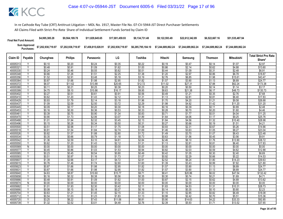| <b>Final Net Fund Amount:</b> | \$4,995,385.28     | \$9.564.189.78     | \$11,829,645,65    | \$17.001.459.93    | \$9.134.731.48     | \$9.122.593.49     | \$22.612.342.89    | \$6,522,667.16     | \$51,535,487.94    |
|-------------------------------|--------------------|--------------------|--------------------|--------------------|--------------------|--------------------|--------------------|--------------------|--------------------|
| Sum Approved<br>:Purchases    | \$7,202,938,719.97 | \$7,202,938,719.97 | \$7,458,815,028.91 | \$7,202,938,719.97 | \$6,285,795,184.10 | \$7.244.689.862.24 | \$7.244.689.862.24 | \$7.244.689.862.24 | \$7.244.689.862.24 |

|          |                          |          |                |           |         |         |         |         |                | <b>Mitsubishi</b> | <b>Total Strict Pro Rata</b> |
|----------|--------------------------|----------|----------------|-----------|---------|---------|---------|---------|----------------|-------------------|------------------------------|
| Claim ID | Payable                  | Chunghwa | <b>Philips</b> | Panasonic | LG      | Toshiba | Hitachi | Samsung | <b>Thomson</b> |                   | Share*                       |
| 40005313 |                          | \$0.10   | \$0.20         | \$0.24    | \$0.35  | \$0.22  | \$0.19  | \$0.47  | \$0.14         | \$1.07            | \$2.97                       |
| 4000532  | Y                        | \$0.48   | \$0.91         | \$1.09    | \$1.62  | \$1.00  | \$0.86  | \$2.14  | \$0.62         | \$4.88            | \$13.60                      |
| 40005330 | Υ                        | \$0.24   | \$0.46         | \$0.55    | \$0.82  | \$0.51  | \$0.44  | \$1.09  | \$0.31         | \$2.48            | \$6.91                       |
| 40005348 |                          | \$0.66   | \$1.26         | \$1.51    | \$2.25  | \$1.38  | \$1.20  | \$2.97  | \$0.86         | \$6.78            | \$18.87                      |
| 40005356 | Y                        | \$1.52   | \$2.91         | \$3.48    | \$5.18  | \$3.19  | \$2.76  | \$6.85  | \$1.98         | \$15.61           | \$43.47                      |
| 40005364 | V                        | \$0.87   | \$1.66         | \$1.98    | \$2.95  | \$1.82  | \$1.57  | \$3.90  | \$1.13         | \$8.89            | \$24.77                      |
| 40005372 | Y                        | \$6.07   | \$11.62        | \$13.88   | \$20.65 | \$12.72 | \$11.02 | \$27.31 | \$7.88         | \$62.24           | \$173.38                     |
| 40005380 |                          | \$0.11   | \$0.21         | \$0.25    | \$0.38  | \$0.23  | \$0.20  | \$0.50  | \$0.14         | \$1.14            | \$3.17                       |
| 40005399 | Υ                        | \$4.75   | \$9.10         | \$10.86   | \$16.17 | \$9.95  | \$8.63  | \$21.38 | \$6.17         | \$48.73           | \$135.73                     |
| 40005402 | Y                        | \$0.27   | \$0.51         | \$0.61    | \$0.91  | \$0.56  | \$0.49  | \$1.21  | \$0.35         | \$2.76            | \$7.68                       |
| 40005410 | Y                        | \$0.62   | \$1.20         | \$1.43    | \$2.12  | \$1.31  | \$1.13  | \$2.81  | \$0.81         | \$6.40            | \$17.83                      |
| 40005429 |                          | \$0.93   | \$1.79         | \$2.14    | \$3.18  | \$1.96  | \$1.70  | \$4.20  | \$1.21         | \$9.58            | \$26.68                      |
| 40005437 | Y                        | \$1.09   | \$2.09         | \$2.50    | \$3.72  | \$2.29  | \$1.98  | \$4.92  | \$1.42         | \$11.20           | \$31.20                      |
| 40005445 | γ                        | \$0.09   | \$0.17         | \$0.20    | \$0.30  | \$0.18  | \$0.16  | \$0.39  | \$0.11         | \$0.89            | \$2.48                       |
| 4000545  | $\overline{\mathsf{v}}$  | \$0.16   | \$0.30         | \$0.36    | \$0.53  | \$0.33  | \$0.28  | \$0.70  | \$0.20         | \$1.60            | \$4.46                       |
| 40005461 | Υ                        | \$0.39   | \$0.75         | \$0.90    | \$1.34  | \$0.83  | \$0.71  | \$1.77  | \$0.51         | \$4.04            | \$11.25                      |
| 40005470 | Y                        | \$0.90   | \$1.73         | \$2.06    | \$3.07  | \$1.89  | \$1.64  | \$4.06  | \$1.17         | \$9.25            | \$25.76                      |
| 40005488 | Y                        | \$1.01   | \$1.94         | \$2.32    | \$3.45  | \$2.13  | \$1.84  | \$4.56  | \$1.32         | \$10.40           | \$28.98                      |
| 40005496 | ٧                        | \$0.15   | \$0.28         | \$0.34    | \$0.50  | \$0.31  | \$0.27  | \$0.66  | \$0.19         | \$1.51            | \$4.21                       |
| 40005500 | Υ                        | \$0.51   | \$0.98         | \$1.17    | \$1.75  | \$1.08  | \$0.93  | \$2.31  | \$0.67         | \$5.26            | \$14.66                      |
| 40005518 | Y                        | \$0.81   | \$1.54         | \$1.84    | \$2.74  | \$1.69  | \$1.46  | \$3.63  | \$1.05         | \$8.27            | \$23.04                      |
| 40005526 | Y                        | \$0.82   | \$1.57         | \$1.88    | \$2.80  | \$1.72  | \$1.49  | \$3.70  | \$1.07         | \$8.43            | \$23.48                      |
| 40005534 |                          | \$0.35   | \$0.66         | \$0.79    | \$1.18  | \$0.73  | \$0.63  | \$1.56  | \$0.45         | \$3.56            | \$9.91                       |
| 40005542 | Υ                        | \$1.36   | \$2.59         | \$3.10    | \$4.61  | \$2.84  | \$2.46  | \$6.10  | \$1.76         | \$13.90           | \$38.72                      |
| 40005550 | Υ                        | \$0.62   | \$1.20         | \$1.43    | \$2.12  | \$1.31  | \$1.13  | \$2.81  | \$0.81         | \$6.40            | \$17.83                      |
| 40005569 | $\overline{N}$           | \$0.00   | \$0.00         | \$0.00    | \$0.00  | \$0.00  | \$0.00  | \$0.00  | \$0.00         | \$0.00            | \$0.00                       |
| 40005577 |                          | \$0.45   | \$0.86         | \$1.03    | \$1.53  | \$0.94  | \$0.82  | \$2.03  | \$0.59         | \$4.62            | \$12.88                      |
| 40005585 | Ϋ                        | \$0.23   | \$0.45         | \$0.54    | \$0.80  | \$0.49  | \$0.42  | \$1.05  | \$0.30         | \$2.40            | \$6.69                       |
| 40005593 | v                        | \$0.51   | \$0.97         | \$1.16    | \$1.73  | \$1.07  | \$0.92  | \$2.29  | \$0.66         | \$5.22            | \$14.53                      |
| 40005607 | $\vee$                   | \$1.39   | \$2.66         | \$3.17    | \$4.72  | \$2.91  | \$2.52  | \$6.24  | \$1.80         | \$14.23           | \$39.63                      |
| 40005615 |                          | \$0.76   | \$1.46         | \$1.74    | \$2.60  | \$1.60  | \$1.39  | \$3.43  | \$0.99         | \$7.82            | \$21.80                      |
| 40005623 | Υ                        | \$0.87   | \$1.66         | \$1.98    | \$2.95  | \$1.82  | \$1.57  | \$3.90  | \$1.13         | \$8.89            | \$24.77                      |
| 40005631 | Y                        | \$0.87   | \$1.66         | \$1.98    | \$2.95  | \$1.82  | \$1.57  | \$3.90  | \$1.13         | \$8.89            | \$24.77                      |
| 40005640 | Y                        | \$4.63   | \$8.87         | \$10.60   | \$15.77 | \$9.71  | \$8.41  | \$20.86 | \$6.02         | \$47.54           | \$132.42                     |
| 40005658 |                          | \$0.16   | \$0.32         | \$0.38    | \$0.56  | \$0.35  | \$0.30  | \$0.74  | \$0.21         | \$1.69            | \$4.71                       |
| 40005666 | Y                        | \$0.48   | \$0.91         | \$1.09    | \$1.62  | \$1.00  | \$0.87  | \$2.15  | \$0.62         | \$4.89            | \$13.62                      |
| 40005674 | $\overline{N}$<br>$\vee$ | \$0.00   | \$0.00         | \$0.00    | \$0.00  | \$0.00  | \$0.00  | \$0.00  | \$0.00         | \$0.00            | \$0.00                       |
| 4000568  |                          | \$1.01   | \$1.93         | \$2.30    | \$3.42  | \$2.11  | \$1.83  | \$4.53  | \$1.31         | \$10.31           | \$28.73                      |
| 40005690 |                          | \$0.08   | \$0.15         | \$0.18    | \$0.27  | \$0.16  | \$0.14  | \$0.35  | \$0.10         | \$0.80            | \$2.23                       |
| 40005704 | Υ<br>$\vee$              | \$0.63   | \$1.21         | \$1.45    | \$2.15  | \$1.33  | \$1.15  | \$2.85  | \$0.82         | \$6.49            | \$18.08                      |
| 40005712 |                          | \$0.54   | \$1.03         | \$1.23    | \$1.83  | \$1.13  | \$0.98  | \$2.42  | \$0.70         | \$5.51            | \$15.36                      |
| 40005720 |                          | \$3.25   | \$6.22         | \$7.43    | \$11.06 | \$6.81  | \$5.90  | \$14.63 | \$4.22         | \$33.33           | \$92.85                      |
| 40005739 | Υ                        | \$1.32   | \$2.52         | \$3.01    | \$4.48  | \$2.76  | \$2.39  | \$5.93  | \$1.71         | \$13.52           | \$37.65                      |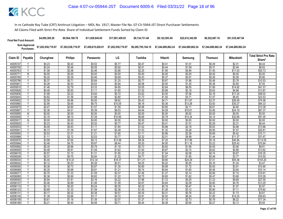| <b>Final Net Fund Amount:</b> | \$4,995,385.28                                                   | \$9,564,189.78     | \$11,829,645,65    | \$17.001.459.93    | \$9.134.731.48 | \$9.122.593.49 | \$22,612,342.89 | \$6,522,667.16                                                              | \$51.535.487.94    |
|-------------------------------|------------------------------------------------------------------|--------------------|--------------------|--------------------|----------------|----------------|-----------------|-----------------------------------------------------------------------------|--------------------|
|                               | Sum Approved \$7,202,938,719.97<br>Purchases: \$7,202,938,719.97 | \$7,202,938,719.97 | \$7,458,815,028.91 | \$7,202,938,719.97 |                |                |                 | \$6,285,795,184.10 \$7,244,689,862.24 \$7,244,689,862.24 \$7,244,689,862.24 | \$7.244.689.862.24 |

|                      |                         |                  |                  |                  |                  |                  |                  |                  |                  | <b>Mitsubishi</b> | <b>Total Strict Pro Rata</b> |
|----------------------|-------------------------|------------------|------------------|------------------|------------------|------------------|------------------|------------------|------------------|-------------------|------------------------------|
| Claim ID             | Payable                 | Chunghwa         | <b>Philips</b>   | Panasonic        | LG               | Toshiba          | Hitachi          | Samsung          | <b>Thomson</b>   |                   | Share*                       |
| 40005747             |                         | \$0.23           | \$0.43           | \$0.52           | \$0.77           | \$0.47           | \$0.41           | \$1.01           | \$0.29           | \$2.31            | \$6.44                       |
| 40005755             | $\overline{V}$          | \$0.24           | \$0.46           | \$0.55           | \$0.82           | \$0.51           | \$0.44           | \$1.09           | \$0.31           | \$2.49            | \$6.93                       |
| 40005763             |                         | \$1.08           | \$2.06           | \$2.46           | \$3.66           | \$2.25           | \$1.95           | \$4.84           | \$1.40           | \$11.03           | \$30.73                      |
| 40005771             | Ñ                       | \$0.00           | \$0.00           | \$0.00           | \$0.00           | \$0.00           | \$0.00           | \$0.00           | \$0.00           | \$0.00            | \$0.00                       |
| 40005780             | Y                       | \$0.20           | \$0.39           | \$0.46           | \$0.69           | \$0.43           | \$0.37           | \$0.91           | \$0.26           | \$2.08            | \$5.80                       |
| 40005798             | Ÿ                       | \$0.37           | \$0.71           | \$0.84           | \$1.25           | \$0.77           | \$0.67           | \$1.66           | \$0.48           | \$3.78            | \$10.53                      |
| 40005801             |                         | \$0.28           | \$0.53           | \$0.63           | \$0.94           | \$0.58           | \$0.50           | \$1.25           | \$0.36           | \$2.85            | \$7.93                       |
| 40005810             | Ÿ                       | \$1.46           | \$2.79           | \$3.33           | \$4.95           | \$3.05           | \$2.64           | \$6.55           | \$1.89           | \$14.92           | \$41.57                      |
| 40005828             |                         | \$0.49           | \$0.93           | \$1.11           | \$1.65           | \$1.02           | \$0.88           | \$2.18           | \$0.63           | \$4.98            | \$13.87                      |
| 40005836             | Y                       | \$1.68           | \$3.22           | \$3.84           | \$5.72           | \$3.52           | \$3.05           | \$7.56           | \$2.18           | \$17.24           | \$48.02                      |
| 40005844             |                         | \$0.82           | \$1.58           | \$1.88           | \$2.80           | \$1.73           | \$1.50           | \$3.71           | \$1.07           | \$8.45            | \$23.53                      |
| 40005852             | Y                       | \$2.59           | \$4.96           | \$5.93           | \$8.82           | \$5.43           | \$4.71           | \$11.67          | \$3.37           | \$26.59           | \$74.06                      |
| 40005860             | $\overline{V}$          | \$2.95           | \$5.65           | \$6.75           | \$10.05          | \$6.18           | \$5.36           | \$13.28          | \$3.83           | \$30.27           | \$84.33                      |
| 40005879             | γ                       | \$0.47           | \$0.90           | \$1.07           | \$1.59           | \$0.98           | \$0.85           | \$2.11           | \$0.61           | \$4.80            | \$13.38                      |
| 40005887             | Ϋ                       | \$2.36           | \$4.51           | \$5.39           | \$8.03           | \$4.94           | \$4.28           | \$10.61          | \$3.06           | \$24.19           | \$67.37                      |
| 40005895             | $\mathsf{N}$            | \$0.00           | \$0.00           | \$0.00           | \$0.00           | \$0.00           | \$0.00           | \$0.00           | \$0.00           | \$0.00            | \$0.00                       |
| 40005909             | Ϋ                       | \$3.19           | \$6.10           | \$7.29           | \$10.85          | \$6.68           | \$5.79           | \$14.34          | \$4.14           | \$32.69           | \$91.05                      |
| 4000591              | $\overline{N}$          | \$0.00           | \$0.00           | \$0.00           | \$0.00           | \$0.00           | \$0.00           | \$0.00           | \$0.00           | \$0.00            | \$0.00                       |
| 40005925             | Y                       | \$0.23           | \$0.43           | \$0.52           | \$0.77           | \$0.47           | \$0.41           | \$1.01           | \$0.29           | \$2.31            | \$6.44                       |
| 40005933             | Y                       | \$0.49           | \$0.93           | \$1.11           | \$1.65           | \$1.02           | \$0.88           | \$2.18           | \$0.63           | \$4.98            | \$13.86                      |
| 40005941             | Y                       | \$0.73           | \$1.39           | \$1.67           | \$2.48           | \$1.53           | \$1.32           | \$3.28           | \$0.95           | \$7.47            | \$20.81                      |
| 40005950             |                         | \$0.53           | \$1.01           | \$1.21           | \$1.80           | \$1.11           | \$0.96           | \$2.38           | \$0.69           | \$5.42            | \$15.11                      |
| 40005968             |                         | \$1.11           | \$2.12           | \$2.53           | \$3.77           | \$2.32           | \$2.01           | \$4.99           | \$1.44           | \$11.37           | \$31.67                      |
| 40005976             | Υ<br>v                  | \$3.99           | \$7.64           | \$9.13           | \$13.58          | \$8.36           | \$7.25           | \$17.96          | \$5.18           | \$40.94           | \$114.05                     |
| 40005984             |                         | \$2.48           | \$4.75           | \$5.67           | \$8.44           | \$5.20           | \$4.50           | \$11.16          | \$3.22           | \$25.43           | \$70.84                      |
| 40005992             | Y                       | \$0.35           | \$0.66           | \$0.79           | \$1.18           | \$0.73           | \$0.63           | \$1.56           | \$0.45           | \$3.56            | \$9.91                       |
| 40006000             |                         | \$0.48           | \$0.91           | \$1.09<br>\$1.31 | \$1.62           | \$1.00<br>\$1.20 | \$0.87<br>\$1.04 | \$2.15<br>\$2.58 | \$0.62           | \$4.89<br>\$5.87  | \$13.62                      |
| 40006018<br>40006026 | Y                       | \$0.57<br>\$0.37 | \$1.10<br>\$0.70 | \$0.84           | \$1.95<br>\$1.25 | \$0.77           | \$0.67           | \$1.65           | \$0.74<br>\$0.48 | \$3.77            | \$16.35<br>\$10.50           |
| 40006034             |                         | \$5.40           | \$10.33          | \$12.34          | \$18.37          | \$11.31          | \$9.80           | \$24.29          | \$7.01           | \$55.36           | \$154.20                     |
| 40006042             | Ϋ                       | \$0.12           | \$0.23           | \$0.28           | \$0.41           | \$0.25           | \$0.22           | \$0.55           | \$0.16           | \$1.24            | \$3.47                       |
| 40006050             | Υ                       | \$0.38           | \$0.73           | \$0.87           | \$1.30           | \$0.80           | \$0.69           | \$1.72           | \$0.50           | \$3.91            | \$10.90                      |
| 40006069             | Y                       | \$0.35           | \$0.68           | \$0.81           | \$1.21           | \$0.74           | \$0.64           | \$1.60           | \$0.46           | \$3.64            | \$10.14                      |
| 40006077             |                         | \$0.70           | \$1.33           | \$1.59           | \$2.37           | \$1.46           | \$1.27           | \$3.14           | \$0.90           | \$7.15            | \$19.91                      |
| 40006085             | Υ                       | \$0.36           | \$0.69           | \$0.82           | \$1.22           | \$0.75           | \$0.65           | \$1.62           | \$0.47           | \$3.68            | \$10.26                      |
| 40006093             | $\vee$                  | \$0.94           | \$1.81           | \$2.16           | \$3.22           | \$1.98           | \$1.72           | \$4.25           | \$1.23           | \$9.69            | \$27.00                      |
| 40006107             | $\overline{\mathsf{v}}$ | \$0.46           | \$0.89           | \$1.06           | \$1.58           | \$0.97           | \$0.84           | \$2.09           | \$0.60           | \$4.76            | \$13.25                      |
| 40006115             |                         | \$0.10           | \$0.20           | \$0.24           | \$0.35           | \$0.22           | \$0.19           | \$0.47           | \$0.14           | \$1.07            | \$2.97                       |
| 40006123             | Ϋ                       | \$0.69           | \$1.33           | \$1.59           | \$2.36           | \$1.45           | \$1.26           | \$3.12           | \$0.90           | \$7.11            | \$19.82                      |
| 40006131             | Y                       | \$0.17           | \$0.32           | \$0.38           | \$0.57           | \$0.35           | \$0.31           | \$0.76           | \$0.22           | \$1.73            | \$4.81                       |
| 40006140             | Y                       | \$1.39           | \$2.66           | \$3.17           | \$4.72           | \$2.91           | \$2.52           | \$6.24           | \$1.80           | \$14.23           | \$39.63                      |
| 40006158             |                         | \$0.61           | \$1.16           | \$1.39           | \$2.07           | \$1.27           | \$1.10           | \$2.73           | \$0.79           | \$6.22            | \$17.34                      |
| 40006166             | Υ                       | \$0.21           | \$0.40           | \$0.48           | \$0.71           | \$0.44           | \$0.38           | \$0.94           | \$0.27           | \$2.13            | \$5.94                       |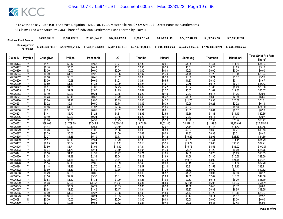| <b>Final Net Fund Amount:</b> | \$4,995,385.28     | \$9,564,189.78     | \$11,829,645,65    | \$17,001,459.93    | \$9.134.731.48     | \$9.122.593.49     | \$22,612,342.89    | \$6,522,667.16     | \$51,535,487.94    |
|-------------------------------|--------------------|--------------------|--------------------|--------------------|--------------------|--------------------|--------------------|--------------------|--------------------|
| Sum Approved<br>Purchases:    | \$7,202,938,719.97 | \$7,202,938,719.97 | \$7,458,815,028.91 | \$7,202,938,719.97 | \$6,285,795,184.10 | \$7.244.689.862.24 | \$7.244.689.862.24 | \$7.244.689.862.24 | \$7.244.689.862.24 |

|                      |                         |                  |                  |                  |                  |                  |                  |                  |                  | Mitsubishi       | <b>Total Strict Pro Rata</b> |
|----------------------|-------------------------|------------------|------------------|------------------|------------------|------------------|------------------|------------------|------------------|------------------|------------------------------|
| Claim ID             | Payable                 | Chunghwa         | <b>Philips</b>   | Panasonic        | LG               | Toshiba          | Hitachi          | Samsung          | Thomson          |                  | Share*                       |
| 40006174             |                         | \$1.11           | \$2.12           | \$2.53           | \$3.77           | \$2.32           | \$2.01           | \$4.98           | \$1.44           | \$11.36          | \$31.64                      |
| 40006182             | Y                       | \$0.18           | \$0.35           | \$0.41           | \$0.61           | \$0.38           | \$0.33           | \$0.81           | \$0.23           | \$1.85           | \$5.15                       |
| 40006190             | N                       | \$0.00           | \$0.00           | \$0.00           | \$0.00           | \$0.00           | \$0.00           | \$0.00           | \$0.00           | \$0.00           | \$0.00                       |
| 40006204             | $\checkmark$            | \$0.99           | \$1.89           | \$2.26           | \$3.36           | \$2.07           | \$1.79           | \$4.45           | \$1.28           | \$10.14          | \$28.24                      |
| 40006212             | Y                       | \$0.18           | \$0.35           | \$0.42           | \$0.62           | \$0.38           | \$0.33           | \$0.82           | \$0.24           | \$1.87           | \$5.20                       |
| 40006220             | ٧                       | \$0.30           | \$0.58           | \$0.69           | \$1.03           | \$0.64           | \$0.55           | \$1.37           | \$0.39           | \$3.11           | \$8.67                       |
| 40006239             | Y                       | \$0.59           | \$1.13           | \$1.35           | \$2.00           | \$1.23           | \$1.07           | \$2.65           | \$0.76           | \$6.04           | \$16.83                      |
| 40006247             |                         | \$0.81           | \$1.55           | \$1.85           | \$2.75           | \$1.69           | \$1.47           | \$3.64           | \$1.05           | \$8.29           | \$23.08                      |
| 40006255             | Y                       | \$1.25           | \$2.39           | \$2.85           | \$4.25           | \$2.62           | \$2.27           | \$5.62           | \$1.62           | \$12.80          | \$35.67                      |
| 40006263             | Υ                       | \$0.10           | \$0.20           | \$0.24           | \$0.35           | \$0.22           | \$0.19           | \$0.47           | \$0.13           | \$1.06           | \$2.96                       |
| 4000627              | $\overline{\mathsf{Y}}$ | \$0.23           | \$0.45           | \$0.53           | \$0.79           | \$0.49           | \$0.42           | \$1.05           | \$0.30           | \$2.39           | \$6.66                       |
| 40006280             |                         | \$2.60           | \$4.98           | \$5.95           | \$8.85           | \$5.45           | \$4.72           | \$11.70          | \$3.38           | \$26.68          | \$74.31                      |
| 40006298             | Y                       | \$0.22           | \$0.41           | \$0.50           | \$0.74           | \$0.45           | \$0.39           | \$0.98           | \$0.28           | \$2.22           | \$6.19                       |
| 4000630              | Y                       | \$0.86           | \$1.65           | \$1.97           | \$2.93           | \$1.80           | \$1.56           | \$3.87           | \$1.12           | \$8.83           | \$24.60                      |
| 40006310             | Y                       | \$0.01           | \$0.01           | \$0.02           | \$0.02           | \$0.01           | \$0.01           | \$0.03           | \$0.01           | \$0.07           | \$0.20                       |
| 40006328             | Υ                       | \$1.41           | \$2.70           | \$3.23           | \$4.81           | \$2.96           | \$2.56           | \$6.36           | \$1.83           | \$14.49          | \$40.35                      |
| 40006336             | Υ                       | \$0.10           | \$0.20           | \$0.24           | \$0.35           | \$0.22           | \$0.19           | \$0.47           | \$0.14           | \$1.07           | \$2.97                       |
| 40006344             | Y                       | \$1.98           | \$3.78           | \$4.52           | \$6.73           | \$4.14           | \$3.59           | \$8.90           | \$2.57           | \$20.27          | \$56.47                      |
| 40006352             | $\checkmark$            | \$893.03         | \$1,709.79       | \$2,042.24       | \$3,039.36       | \$1,871.29       | \$1,621.45       | \$4,019.12       | \$1,159.34       | \$9,159.92       | \$25,515.54                  |
| 40006360             |                         | \$1.14           | \$2.19           | \$2.61           | \$3.89           | \$2.39           | \$2.07           | \$5.14           | \$1.48           | \$11.72          | \$32.65                      |
| 40006379             | γ                       | \$0.46           | \$0.88           | \$1.05           | \$1.56           | \$0.96           | \$0.83           | \$2.07           | \$0.60           | \$4.71           | \$13.13                      |
| 40006387             | Y                       | \$0.29           | \$0.56           | \$0.67           | \$1.00           | \$0.62           | \$0.53           | \$1.32           | \$0.38           | \$3.01           | \$8.40                       |
| 40006395             | Y                       | \$2.27           | \$4.35           | \$5.19           | \$7.73           | \$4.76           | \$4.12           | \$10.22          | \$2.95           | \$23.30          | \$64.89                      |
| 40006409             | Y                       | \$1.11           | \$2.13           | \$2.54           | \$3.79           | \$2.33           | \$2.02           | \$5.01           | \$1.44           | \$11.41          | \$31.79                      |
| 40006417             | Υ                       | \$2.95           | \$5.64           | \$6.74           | \$10.03          | \$6.18           | \$5.35           | \$13.27          | \$3.83           | \$30.23          | \$84.21                      |
| 40006425             | Y                       | \$3.50           | \$6.71           | \$8.01           | \$11.92          | \$7.34           | \$6.36           | \$15.76          | \$4.55           | \$35.92          | \$100.07                     |
| 40006433             | Υ                       | \$0.94           | \$1.79           | \$2.14           | \$3.19           | \$1.96           | \$1.70           | \$4.21           | \$1.22           | \$9.60           | \$26.75                      |
| 40006441             | Y                       | \$0.58           | \$1.11           | \$1.32           | \$1.97           | \$1.21           | \$1.05           | \$2.60           | \$0.75           | \$5.93           | \$16.53                      |
| 40006450             | Y                       | \$1.04           | \$1.99           | \$2.38           | \$3.54           | \$2.18           | \$1.89           | \$4.68           | \$1.35           | \$10.66          | \$29.69                      |
| 40006468             | v                       | \$2.38           | \$4.56           | \$5.45           | \$8.11           | \$5.00           | \$4.33           | \$10.73          | \$3.09           | \$24.45          | \$68.11                      |
| 40006476             | γ                       | \$1.14           | \$2.19           | \$2.62           | \$3.89           | \$2.40           | \$2.08           | \$5.15           | \$1.49           | \$11.74          | \$32.70                      |
| 40006484             | Y                       | \$1.18           | \$2.26           | \$2.70           | \$4.02           | \$2.47           | \$2.14           | \$5.31           | \$1.53           | \$12.10          | \$33.71                      |
| 40006492             | $\checkmark$            | \$0.69<br>\$0.29 | \$1.33<br>\$0.55 | \$1.59<br>\$0.65 | \$2.36<br>\$0.97 | \$1.45<br>\$0.60 | \$1.26<br>\$0.52 | \$3.12<br>\$1.29 | \$0.90<br>\$0.37 | \$7.11<br>\$2.93 | \$19.82<br>\$8.17            |
| 40006506<br>40006514 | Y                       | \$1.56           | \$2.99           | \$3.57           | \$5.31           | \$3.27           | \$2.83           | \$7.02           | \$2.02           | \$16.00          | \$44.56                      |
| 40006522             | Υ                       | \$0.58           | \$1.12           | \$1.34           | \$1.99           | \$1.23           | \$1.06           | \$2.63           | \$0.76           | \$6.00           | \$16.70                      |
| 40006530             | Y                       | \$4.68           | \$8.96           | \$10.71          | \$15.93          | \$9.81           | \$8.50           | \$21.07          | \$6.08           | \$48.02          | \$133.75                     |
| 40006549             | v                       | \$0.31           | \$0.59           | \$0.71           | \$1.05           | \$0.65           | \$0.56           | \$1.39           | \$0.40           | \$3.17           | \$8.82                       |
| 40006557             | Y                       | \$0.64           | \$1.22           | \$1.46           | \$2.17           | \$1.34           | \$1.16           | \$2.87           | \$0.83           | \$6.55           | \$18.25                      |
| 40006565             | Υ                       | \$0.99           | \$1.90           | \$2.27           | \$3.38           | \$2.08           | \$1.80           | \$4.47           | \$1.29           | \$10.19          | \$28.37                      |
| 40006573             | v                       | \$0.10           | \$0.20           | \$0.24           | \$0.35           | \$0.22           | \$0.19           | \$0.47           | \$0.14           | \$1.07           | \$2.97                       |
| 4000658              | N                       | \$0.00           | \$0.00           | \$0.00           | \$0.00           | \$0.00           | \$0.00           | \$0.00           | \$0.00           | \$0.00           | \$0.00                       |
| 40006590             | Y                       | \$0.24           | \$0.46           | \$0.55           | \$0.82           | \$0.51           | \$0.44           | \$1.09           | \$0.31           | \$2.48           | \$6.91                       |
|                      |                         |                  |                  |                  |                  |                  |                  |                  |                  |                  |                              |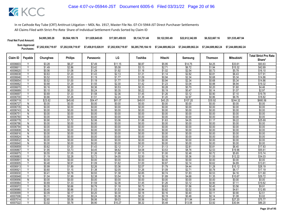| <b>Final Net Fund Amount:</b> | \$4,995,385.28     | \$9,564,189.78     | \$11.829.645.65    | \$17,001,459.93    | \$9.134.731.48     | \$9.122.593.49                                                 | \$22,612,342.89 | \$6,522,667.16 | \$51.535.487.94    |
|-------------------------------|--------------------|--------------------|--------------------|--------------------|--------------------|----------------------------------------------------------------|-----------------|----------------|--------------------|
| Sum Approved<br>Purchases:    | \$7,202,938,719.97 | \$7,202,938,719.97 | \$7,458,815,028.91 | \$7.202.938.719.97 | \$6,285,795,184.10 | \$7.244.689.862.24    \$7.244.689.862.24    \$7.244.689.862.24 |                 |                | \$7.244.689.862.24 |

| <b>Philips</b><br>LG<br>Claim ID<br>Payable<br>Chunghwa<br>Toshiba<br>Hitachi<br><b>Thomson</b><br><b>Mitsubishi</b><br>Panasonic<br>Samsung<br>\$6.27<br>40006603<br>\$3.28<br>\$7.49<br>\$11.15<br>\$6.87<br>\$5.95<br>\$14.75<br>\$4.25<br>\$33.61<br>$\overline{V}$<br>\$15.32<br>\$1.49<br>\$2.86<br>\$3.42<br>\$5.08<br>\$3.13<br>\$2.71<br>\$6.72<br>\$1.94<br>40006611<br>\$2.54<br>\$5.78<br>\$0.56<br>\$1.08<br>\$1.29<br>\$1.92<br>\$1.18<br>\$1.02<br>\$0.73<br>40006620<br>\$0.63<br>\$1.20<br>\$1.43<br>\$2.13<br>\$1.31<br>\$1.14<br>\$2.82<br>\$0.81<br>\$6.43<br>40006638<br>V<br>\$0.94<br>\$2.34<br>Y<br>\$0.52<br>\$1.00<br>\$1.19<br>\$1.77<br>\$1.09<br>\$0.68<br>\$5.34<br>40006646<br>Y<br>\$1.19<br>\$0.94<br>\$2.34<br>\$0.52<br>\$1.00<br>\$1.77<br>\$1.09<br>\$0.68<br>\$5.34<br>40006654<br>\$1.23<br>\$3.04<br>\$0.68<br>\$1.29<br>\$1.55<br>\$2.30<br>\$1.42<br>\$0.88<br>\$6.94<br>40006662<br>\$0.70<br>Ÿ<br>\$0.16<br>\$0.30<br>\$0.36<br>\$0.53<br>\$0.33<br>\$0.28<br>\$0.20<br>\$1.60<br>40006670<br>\$0.20<br>\$0.24<br>\$0.22<br>\$0.19<br>\$0.47<br>\$1.07<br>40006689<br>\$0.10<br>\$0.35<br>\$0.14 |                    |
|----------------------------------------------------------------------------------------------------------------------------------------------------------------------------------------------------------------------------------------------------------------------------------------------------------------------------------------------------------------------------------------------------------------------------------------------------------------------------------------------------------------------------------------------------------------------------------------------------------------------------------------------------------------------------------------------------------------------------------------------------------------------------------------------------------------------------------------------------------------------------------------------------------------------------------------------------------------------------------------------------------------------------------------------------------------------------------------------------------------------------------------------|--------------------|
|                                                                                                                                                                                                                                                                                                                                                                                                                                                                                                                                                                                                                                                                                                                                                                                                                                                                                                                                                                                                                                                                                                                                              | Share*             |
|                                                                                                                                                                                                                                                                                                                                                                                                                                                                                                                                                                                                                                                                                                                                                                                                                                                                                                                                                                                                                                                                                                                                              | \$93.63            |
|                                                                                                                                                                                                                                                                                                                                                                                                                                                                                                                                                                                                                                                                                                                                                                                                                                                                                                                                                                                                                                                                                                                                              | \$42.69            |
|                                                                                                                                                                                                                                                                                                                                                                                                                                                                                                                                                                                                                                                                                                                                                                                                                                                                                                                                                                                                                                                                                                                                              | \$16.10            |
|                                                                                                                                                                                                                                                                                                                                                                                                                                                                                                                                                                                                                                                                                                                                                                                                                                                                                                                                                                                                                                                                                                                                              | \$17.91            |
|                                                                                                                                                                                                                                                                                                                                                                                                                                                                                                                                                                                                                                                                                                                                                                                                                                                                                                                                                                                                                                                                                                                                              | \$14.86            |
|                                                                                                                                                                                                                                                                                                                                                                                                                                                                                                                                                                                                                                                                                                                                                                                                                                                                                                                                                                                                                                                                                                                                              | \$14.86            |
|                                                                                                                                                                                                                                                                                                                                                                                                                                                                                                                                                                                                                                                                                                                                                                                                                                                                                                                                                                                                                                                                                                                                              | \$19.32            |
|                                                                                                                                                                                                                                                                                                                                                                                                                                                                                                                                                                                                                                                                                                                                                                                                                                                                                                                                                                                                                                                                                                                                              | \$4.46             |
|                                                                                                                                                                                                                                                                                                                                                                                                                                                                                                                                                                                                                                                                                                                                                                                                                                                                                                                                                                                                                                                                                                                                              | \$2.97             |
| Y<br>\$0.69<br>\$1.33<br>\$1.58<br>\$2.36<br>\$1.26<br>\$3.12<br>\$1.45<br>\$0.90<br>\$7.10<br>40006697                                                                                                                                                                                                                                                                                                                                                                                                                                                                                                                                                                                                                                                                                                                                                                                                                                                                                                                                                                                                                                      | \$19.78            |
| \$1.20<br>\$2.97<br>\$6.76<br>40006700<br>\$0.66<br>\$1.26<br>\$1.51<br>\$2.24<br>\$1.38<br>\$0.86                                                                                                                                                                                                                                                                                                                                                                                                                                                                                                                                                                                                                                                                                                                                                                                                                                                                                                                                                                                                                                           | \$18.82            |
| \$23.82<br>\$45.60<br>\$54.47<br>\$49.91<br>\$43.25<br>\$107.20<br>\$30.92<br>\$244.32<br>40006719<br>Y<br>\$81.07                                                                                                                                                                                                                                                                                                                                                                                                                                                                                                                                                                                                                                                                                                                                                                                                                                                                                                                                                                                                                           | \$680.56           |
| \$0.00<br>\$0.00<br>\$0.00<br>\$0.00<br>\$0.00<br>40006727<br>$\mathsf{N}$<br>\$0.00<br>\$0.00<br>\$0.00<br>\$0.00                                                                                                                                                                                                                                                                                                                                                                                                                                                                                                                                                                                                                                                                                                                                                                                                                                                                                                                                                                                                                           | \$0.00             |
| \$0.00<br>\$0.00<br>\$0.00<br>\$0.00<br>N<br>\$0.00<br>\$0.00<br>\$0.00<br>\$0.00<br>\$0.00<br>40006735                                                                                                                                                                                                                                                                                                                                                                                                                                                                                                                                                                                                                                                                                                                                                                                                                                                                                                                                                                                                                                      | \$0.00             |
| \$0.00<br>\$0.00<br>\$0.00<br>\$0.00<br>\$0.00<br>\$0.00<br>40006743<br>Ñ<br>\$0.00<br>\$0.00<br>\$0.00                                                                                                                                                                                                                                                                                                                                                                                                                                                                                                                                                                                                                                                                                                                                                                                                                                                                                                                                                                                                                                      | \$0.00             |
| \$0.00<br>\$0.00<br>\$0.00<br>\$0.00<br>\$0.00<br>40006751<br>$\mathsf{N}$<br>\$0.00<br>\$0.00<br>\$0.00<br>\$0.00                                                                                                                                                                                                                                                                                                                                                                                                                                                                                                                                                                                                                                                                                                                                                                                                                                                                                                                                                                                                                           | \$0.00             |
| $\overline{N}$<br>\$0.00<br>\$0.00<br>\$0.00<br>\$0.00<br>\$0.00<br>\$0.00<br>\$0.00<br>\$0.00<br>\$0.00<br>40006760                                                                                                                                                                                                                                                                                                                                                                                                                                                                                                                                                                                                                                                                                                                                                                                                                                                                                                                                                                                                                         | \$0.00             |
| Y<br>\$0.90<br>\$2.06<br>\$3.06<br>\$1.63<br>\$4.05<br>\$9.22<br>\$1.72<br>\$1.88<br>\$1.17<br>40006778                                                                                                                                                                                                                                                                                                                                                                                                                                                                                                                                                                                                                                                                                                                                                                                                                                                                                                                                                                                                                                      | \$25.69            |
| \$0.00<br>\$0.00<br>\$0.00<br>\$0.00<br>\$0.00<br>\$0.00<br>\$0.00<br>\$0.00<br>40006786<br>N<br>\$0.00                                                                                                                                                                                                                                                                                                                                                                                                                                                                                                                                                                                                                                                                                                                                                                                                                                                                                                                                                                                                                                      | \$0.00             |
| \$0.00<br>40006794<br>\$0.00<br>\$0.00<br>\$0.00<br>\$0.00<br>\$0.00<br>\$0.00<br>\$0.00<br>\$0.00<br>N                                                                                                                                                                                                                                                                                                                                                                                                                                                                                                                                                                                                                                                                                                                                                                                                                                                                                                                                                                                                                                      | \$0.00             |
| $\overline{N}$<br>\$0.00<br>\$0.00<br>\$0.00<br>\$0.00<br>\$0.00<br>\$0.00<br>\$0.00<br>\$0.00<br>\$0.00<br>40006808                                                                                                                                                                                                                                                                                                                                                                                                                                                                                                                                                                                                                                                                                                                                                                                                                                                                                                                                                                                                                         | \$0.00             |
| \$0.00<br>\$0.00<br>$\mathsf{N}$<br>\$0.00<br>\$0.00<br>\$0.00<br>\$0.00<br>\$0.00<br>\$0.00<br>\$0.00<br>40006816                                                                                                                                                                                                                                                                                                                                                                                                                                                                                                                                                                                                                                                                                                                                                                                                                                                                                                                                                                                                                           | \$0.00             |
| \$0.00<br>\$0.00<br>\$0.00<br>\$0.00<br>\$0.00<br>\$0.00<br>\$0.00<br>\$0.00<br>\$0.00<br>40006824<br>N                                                                                                                                                                                                                                                                                                                                                                                                                                                                                                                                                                                                                                                                                                                                                                                                                                                                                                                                                                                                                                      | \$0.00             |
| \$0.00<br>\$0.00<br>\$0.00<br>\$0.00<br>\$0.00<br>\$0.00<br>\$0.00<br>\$0.00<br>\$0.00<br>40006832<br>Ñ                                                                                                                                                                                                                                                                                                                                                                                                                                                                                                                                                                                                                                                                                                                                                                                                                                                                                                                                                                                                                                      | \$0.00             |
| \$0.00<br>\$0.00<br>\$0.00<br>\$0.00<br>\$0.00<br>\$0.00<br>\$0.00<br>40006840<br>N<br>\$0.00<br>\$0.00<br>$\overline{\mathsf{v}}$                                                                                                                                                                                                                                                                                                                                                                                                                                                                                                                                                                                                                                                                                                                                                                                                                                                                                                                                                                                                           | \$0.00             |
| \$1.13<br>\$2.81<br>\$0.62<br>\$1.20<br>\$1.43<br>\$2.12<br>\$1.31<br>\$0.81<br>\$6.40<br>40006859<br>Y                                                                                                                                                                                                                                                                                                                                                                                                                                                                                                                                                                                                                                                                                                                                                                                                                                                                                                                                                                                                                                      | \$17.83            |
| \$4.45<br>\$3.53<br>\$8.76<br>\$1.95<br>\$3.73<br>\$6.62<br>\$4.08<br>\$2.53<br>\$19.96<br>40006867<br>\$1.05<br>\$1.00<br>\$2.48<br>\$5.65<br>Υ<br>\$0.72                                                                                                                                                                                                                                                                                                                                                                                                                                                                                                                                                                                                                                                                                                                                                                                                                                                                                                                                                                                   | \$55.61<br>\$15.74 |
| \$0.55<br>\$1.26<br>\$1.88<br>\$1.15<br>40006875<br>Y<br>\$1.19<br>\$2.28<br>\$2.72<br>\$4.05<br>\$2.50<br>\$2.16<br>\$5.36<br>\$12.22<br>40006883<br>\$1.55                                                                                                                                                                                                                                                                                                                                                                                                                                                                                                                                                                                                                                                                                                                                                                                                                                                                                                                                                                                 | \$34.03            |
| \$0.00<br>\$0.00<br>N<br>\$0.00<br>\$0.00<br>\$0.00<br>\$0.00<br>\$0.00<br>\$0.00<br>\$0.00<br>4000689                                                                                                                                                                                                                                                                                                                                                                                                                                                                                                                                                                                                                                                                                                                                                                                                                                                                                                                                                                                                                                       | \$0.00             |
| \$0.91<br>\$1.09<br>\$0.87<br>\$2.14<br>\$4.89<br>40006905<br>Ϋ<br>\$0.48<br>\$1.62<br>\$1.00<br>\$0.62                                                                                                                                                                                                                                                                                                                                                                                                                                                                                                                                                                                                                                                                                                                                                                                                                                                                                                                                                                                                                                      | \$13.61            |
| \$2.26<br>\$4.44<br>\$10.12<br>\$0.99<br>\$1.89<br>\$3.36<br>\$2.07<br>\$1.79<br>\$1.28<br>40006913<br>Υ                                                                                                                                                                                                                                                                                                                                                                                                                                                                                                                                                                                                                                                                                                                                                                                                                                                                                                                                                                                                                                     | \$28.19            |
| Y<br>40006921<br>\$0.60<br>\$1.15<br>\$1.38<br>\$2.05<br>\$1.26<br>\$1.09<br>\$2.71<br>\$0.78<br>\$6.17                                                                                                                                                                                                                                                                                                                                                                                                                                                                                                                                                                                                                                                                                                                                                                                                                                                                                                                                                                                                                                      | \$17.19            |
| \$0.93<br>\$0.74<br>\$4.16<br>40006930<br>Δ<br>\$0.41<br>\$0.78<br>\$1.38<br>\$0.85<br>\$1.83<br>\$0.53                                                                                                                                                                                                                                                                                                                                                                                                                                                                                                                                                                                                                                                                                                                                                                                                                                                                                                                                                                                                                                      | \$11.60            |
| \$4.68<br>\$1.04<br>\$1.99<br>\$2.38<br>\$3.54<br>\$2.18<br>\$1.89<br>\$1.35<br>\$10.67<br>40006948<br>Υ                                                                                                                                                                                                                                                                                                                                                                                                                                                                                                                                                                                                                                                                                                                                                                                                                                                                                                                                                                                                                                     | \$29.72            |
| \$0.00<br>\$0.00<br>\$0.00<br>\$0.00<br>40006956<br>N<br>\$0.00<br>\$0.00<br>\$0.00<br>\$0.00<br>\$0.00                                                                                                                                                                                                                                                                                                                                                                                                                                                                                                                                                                                                                                                                                                                                                                                                                                                                                                                                                                                                                                      | \$0.00             |
| \$3.12<br>Y<br>\$0.69<br>\$1.33<br>\$1.59<br>\$2.36<br>\$1.45<br>\$1.26<br>\$0.90<br>\$7.11<br>40006964                                                                                                                                                                                                                                                                                                                                                                                                                                                                                                                                                                                                                                                                                                                                                                                                                                                                                                                                                                                                                                      | \$19.82            |
| \$0.35<br>\$0.66<br>\$0.79<br>\$0.73<br>\$0.63<br>\$1.56<br>\$3.56<br>40006972<br>\$1.18<br>\$0.45                                                                                                                                                                                                                                                                                                                                                                                                                                                                                                                                                                                                                                                                                                                                                                                                                                                                                                                                                                                                                                           | \$9.91             |
| Y<br>\$0.45<br>\$0.86<br>\$1.03<br>\$1.53<br>\$0.94<br>\$0.82<br>\$2.02<br>\$0.58<br>\$4.61<br>40006980                                                                                                                                                                                                                                                                                                                                                                                                                                                                                                                                                                                                                                                                                                                                                                                                                                                                                                                                                                                                                                      | \$12.85            |
| \$0.09<br>\$0.17<br>\$0.20<br>\$0.30<br>\$0.90<br>40006999<br>Y<br>\$0.18<br>\$0.16<br>\$0.40<br>\$0.11                                                                                                                                                                                                                                                                                                                                                                                                                                                                                                                                                                                                                                                                                                                                                                                                                                                                                                                                                                                                                                      | \$2.51             |
| \$0.24<br>\$0.48<br>Y<br>\$0.11<br>\$0.20<br>\$0.22<br>\$0.19<br>\$1.08<br>40007006<br>\$0.36<br>\$0.14                                                                                                                                                                                                                                                                                                                                                                                                                                                                                                                                                                                                                                                                                                                                                                                                                                                                                                                                                                                                                                      | \$3.02             |
| \$5.08<br>\$6.06<br>\$9.03<br>\$4.82<br>\$27.20<br>\$2.65<br>\$5.56<br>\$11.94<br>\$3.44<br>40007014                                                                                                                                                                                                                                                                                                                                                                                                                                                                                                                                                                                                                                                                                                                                                                                                                                                                                                                                                                                                                                         | \$75.77            |
| \$5.78<br>\$6.90<br>\$5.48<br>\$13.58<br>\$3.92<br>\$3.02<br>\$10.27<br>\$6.32<br>\$30.94<br>40007022<br>Υ                                                                                                                                                                                                                                                                                                                                                                                                                                                                                                                                                                                                                                                                                                                                                                                                                                                                                                                                                                                                                                   | \$86.20            |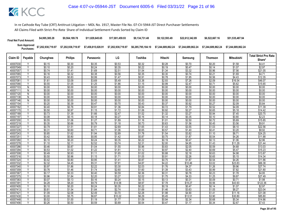| <b>Final Net Fund Amount:</b> | \$4,995,385.28                                | \$9,564,189.78     | \$11.829.645.65    | \$17,001,459.93    | \$9.134.731.48     | \$9.122.593.49     | \$22,612,342.89                       | \$6,522,667.16 | \$51.535.487.94    |
|-------------------------------|-----------------------------------------------|--------------------|--------------------|--------------------|--------------------|--------------------|---------------------------------------|----------------|--------------------|
|                               | Sum Approved<br>Purchases: \$7,202,938,719.97 | \$7,202,938,719.97 | \$7,458,815,028.91 | \$7,202,938,719.97 | \$6.285.795.184.10 | \$7.244.689.862.24 | \$7.244.689.862.24 \$7.244.689.862.24 |                | \$7.244.689.862.24 |

|                      |                |                  |                  |                  |                  |                  |                  |                  |                  |                   | <b>Total Strict Pro Rata</b> |
|----------------------|----------------|------------------|------------------|------------------|------------------|------------------|------------------|------------------|------------------|-------------------|------------------------------|
| Claim ID             | Payable        | Chunghwa         | <b>Philips</b>   | Panasonic        | LG               | Toshiba          | Hitachi          | Samsung          | <b>Thomson</b>   | <b>Mitsubishi</b> | Share*                       |
| 40007030             | Υ              | \$0.15           | \$0.30           | \$0.35           | \$0.53           | \$0.32           | \$0.28           | \$0.70           | \$0.20           | \$1.58            | \$4.41                       |
| 40007049             | Y              | \$0.10           | \$0.20           | \$0.24           | \$0.35           | \$0.22           | \$0.19           | \$0.47           | \$0.14           | \$1.07            | \$2.97                       |
| 40007057             | ٧              | \$0.74           | \$1.41           | \$1.69           | \$2.51           | \$1.54           | \$1.34           | \$3.32           | \$0.96           | \$7.56            | \$21.05                      |
| 40007065             |                | \$0.16           | \$0.32           | \$0.38           | \$0.56           | \$0.35           | \$0.30           | \$0.74           | \$0.21           | \$1.69            | \$4.71                       |
| 40007073             | Y              | \$0.43           | \$0.83           | \$0.99           | \$1.47           | \$0.91           | \$0.78           | \$1.95           | \$0.56           | \$4.43            | \$12.35                      |
| 40007081             | Υ              | \$1.61           | \$3.09           | \$3.69           | \$5.49           | \$3.38           | \$2.93           | \$7.26           | \$2.09           | \$16.54           | \$46.07                      |
| 40007090             | $\checkmark$   | \$0.55           | \$1.05           | \$1.25           | \$1.86           | \$1.15           | \$0.99           | \$2.47           | \$0.71           | \$5.62            | \$15.65                      |
| 40007103             | N              | \$0.00           | \$0.00           | \$0.00           | \$0.00           | \$0.00           | \$0.00           | \$0.00           | \$0.00           | \$0.00            | \$0.00                       |
| 40007111             | N              | \$0.00           | \$0.00           | \$0.00           | \$0.00           | \$0.00           | \$0.00           | \$0.00           | \$0.00           | \$0.00            | \$0.00                       |
| 40007120             | $\overline{N}$ | \$0.00           | \$0.00           | \$0.00           | \$0.00           | \$0.00           | \$0.00           | \$0.00           | \$0.00           | \$0.00            | \$0.00                       |
| 40007138             | N              | \$0.00           | \$0.00           | \$0.00           | \$0.00           | \$0.00           | \$0.00           | \$0.00           | \$0.00           | \$0.00            | \$0.00                       |
| 40007146             | N              | \$0.00           | \$0.00           | \$0.00           | \$0.00           | \$0.00           | \$0.00           | \$0.00           | \$0.00           | \$0.00            | \$0.00                       |
| 40007154             | Y              | \$0.20           | \$0.39           | \$0.47           | \$0.70           | \$0.43           | \$0.37           | \$0.92           | \$0.27           | \$2.09            | \$5.84                       |
| 40007162             | Υ              | \$0.40           | \$0.76           | \$0.91           | \$1.36           | \$0.84           | \$0.72           | \$1.79           | \$0.52           | \$4.09            | \$11.39                      |
| 40007170             |                | \$0.50           | \$0.97           | \$1.15           | \$1.72           | \$1.06           | \$0.92           | \$2.27           | \$0.65           | \$5.18            | \$14.42                      |
| 40007189             | Y              | \$0.73           | \$1.39           | \$1.66           | \$2.47           | \$1.52           | \$1.32           | \$3.27           | \$0.94           | \$7.45            | \$20.75                      |
| 40007197             |                | \$0.08           | \$0.15           | \$0.18           | \$0.27           | \$0.16           | \$0.14           | \$0.35           | \$0.10           | \$0.80            | \$2.23                       |
| 40007200             | Y              | \$0.55           | \$1.06           | \$1.27           | \$1.89           | \$1.16           | \$1.01           | \$2.50           | \$0.72           | \$5.69            | \$15.85                      |
| 40007219             |                | \$0.35           | \$0.66           | \$0.79           | \$1.18           | \$0.73           | \$0.63           | \$1.56           | \$0.45           | \$3.56            | \$9.91                       |
| 40007227             | Ϋ              | \$0.79           | \$1.51           | \$1.81           | \$2.69           | \$1.65           | \$1.43           | \$3.55           | \$1.03           | \$8.10            | \$22.56                      |
| 40007235             | Υ              | \$0.31           | \$0.60           | \$0.71           | \$1.06           | \$0.65           | \$0.57           | \$1.40           | \$0.41           | \$3.20            | \$8.92                       |
| 40007243             | Ÿ              | \$0.85           | \$1.62           | \$1.94           | \$2.89           | \$1.78           | \$1.54           | \$3.82           | \$1.10           | \$8.71            | \$24.25                      |
| 40007251             |                | \$0.42           | \$0.80           | \$0.95           | \$1.42           | \$0.87           | \$0.75           | \$1.87           | \$0.54           | \$4.26            | \$11.88                      |
| 40007260             | Y<br>Υ         | \$0.10           | \$0.20           | \$0.24           | \$0.35           | \$0.22           | \$0.19           | \$0.47           | \$0.13           | \$1.06            | \$2.96                       |
| 40007278             | Y              | \$1.10           | \$2.11           | \$2.52           | \$3.74           | \$2.31           | \$2.00           | \$4.95           | \$1.43           | \$11.29           | \$31.44                      |
| 40007286             |                | \$0.46           | \$0.87           | \$1.04           | \$1.55           | \$0.96           | \$0.83           | \$2.05           | \$0.59           | \$4.68            | \$13.03                      |
| 40007294             | Υ              | \$0.53           | \$1.02           | \$1.22           | \$1.81           | \$1.12           | \$0.97           | \$2.40           | \$0.69           | \$5.47            | \$15.23                      |
| 40007308<br>40007316 | Y              | \$0.49<br>\$0.50 | \$0.93<br>\$0.96 | \$1.11<br>\$1.15 | \$1.65           | \$1.02<br>\$1.05 | \$0.88<br>\$0.91 | \$2.18<br>\$2.26 | \$0.63           | \$4.98            | \$13.87<br>\$14.34           |
| 40007324             | $\vee$         | \$0.42           | \$0.80           | \$0.95           | \$1.71<br>\$1.41 | \$0.87           | \$0.75           | \$1.87           | \$0.65<br>\$0.54 | \$5.15<br>\$4.26  | \$11.86                      |
| 40007332             |                | \$2.32           | \$4.45           | \$5.31           | \$7.91           | \$4.87           | \$4.22           | \$10.46          | \$3.02           | \$23.83           | \$66.38                      |
| 40007340             | Υ              | \$0.97           | \$1.86           | \$2.22           | \$3.30           | \$2.03           | \$1.76           | \$4.37           | \$1.26           | \$9.96            | \$27.74                      |
| 40007359             | Y              | \$0.76           | \$1.46           | \$1.74           | \$2.60           | \$1.60           | \$1.39           | \$3.43           | \$0.99           | \$7.82            | \$21.80                      |
| 40007367             | Y              | \$0.17           | \$0.33           | \$0.40           | \$0.59           | \$0.36           | \$0.31           | \$0.78           | \$0.23           | \$1.78            | \$4.95                       |
| 40007375             |                | \$0.96           | \$1.84           | \$2.20           | \$3.27           | \$2.02           | \$1.75           | \$4.33           | \$1.25           | \$9.87            | \$27.49                      |
| 40007383             | Y              | \$0.07           | \$0.13           | \$0.16           | \$0.24           | \$0.15           | \$0.13           | \$0.31           | \$0.09           | \$0.71            | \$1.98                       |
| 40007391             | Y              | \$4.28           | \$8.20           | \$9.79           | \$14.58          | \$8.97           | \$7.78           | \$19.27          | \$5.56           | \$43.93           | \$122.36                     |
| 40007405             |                | \$0.10           | \$0.20           | \$0.24           | \$0.35           | \$0.22           | \$0.19           | \$0.47           | \$0.14           | \$1.07            | \$2.97                       |
| 40007413             |                | \$0.81           | \$1.54           | \$1.84           | \$2.74           | \$1.69           | \$1.46           | \$3.63           | \$1.05           | \$8.27            | \$23.04                      |
| 40007421             | Υ              | \$1.09           | \$2.08           | \$2.49           | \$3.70           | \$2.28           | \$1.98           | \$4.90           | \$1.41           | \$11.16           | \$31.08                      |
| 40007430             | Y              | \$3.00           | \$5.75           | \$6.87           | \$10.22          | \$6.29           | \$5.45           | \$13.51          | \$3.90           | \$30.80           | \$85.80                      |
| 40007448             |                | \$0.52           | \$1.00           | \$1.19           | \$1.77           | \$1.09           | \$0.94           | \$2.34           | \$0.68           | \$5.34            | \$14.86                      |
| 40007456             | Υ              | \$0.26           | \$0.50           | \$0.59           | \$0.89           | \$0.54           | \$0.47           | \$1.17           | \$0.34           | \$2.67            | \$7.43                       |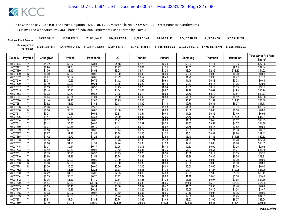| <b>Final Net Fund Amount:</b> | \$4,995,385.28                                | \$9,564,189.78     | \$11.829.645.65    | \$17,001,459.93    | \$9.134.731.48     | \$9.122.593.49     | \$22,612,342.89                       | \$6,522,667.16 | \$51.535.487.94    |
|-------------------------------|-----------------------------------------------|--------------------|--------------------|--------------------|--------------------|--------------------|---------------------------------------|----------------|--------------------|
|                               | Sum Approved<br>Purchases: \$7,202,938,719.97 | \$7,202,938,719.97 | \$7,458,815,028.91 | \$7,202,938,719.97 | \$6.285.795.184.10 | \$7.244.689.862.24 | \$7.244.689.862.24 \$7.244.689.862.24 |                | \$7.244.689.862.24 |

|                      |                |                  |                  |                  |                  |                  |                  |                  |                  |                   | <b>Total Strict Pro Rata</b> |
|----------------------|----------------|------------------|------------------|------------------|------------------|------------------|------------------|------------------|------------------|-------------------|------------------------------|
| Claim ID             | Payable        | Chunghwa         | <b>Philips</b>   | Panasonic        | LG               | Toshiba          | Hitachi          | Samsung          | <b>Thomson</b>   | <b>Mitsubishi</b> | Share*                       |
| 40007464             |                | \$1.32           | \$2.52           | \$3.01           | \$4.48           | \$2.76           | \$2.39           | \$5.93           | \$1.71           | \$13.52           | \$37.65                      |
| 40007472             | $\overline{Y}$ | \$0.96           | \$1.84           | \$2.20           | \$3.27           | \$2.01           | \$1.74           | \$4.32           | \$1.25           | \$9.85            | \$27.44                      |
| 40007480             |                | \$1.79           | \$3.42           | \$4.08           | \$6.08           | \$3.74           | \$3.24           | \$8.04           | \$2.32           | \$18.32           | \$51.02                      |
| 40007499             | N              | \$0.00           | \$0.00           | \$0.00           | \$0.00           | \$0.00           | \$0.00           | \$0.00           | \$0.00           | \$0.00            | \$0.00                       |
| 40007502             | Y              | \$0.27           | \$0.52           | \$0.62           | \$0.92           | \$0.57           | \$0.49           | \$1.22           | \$0.35           | \$2.77            | \$7.73                       |
| 40007510             | Y              | \$0.33           | \$0.63           | \$0.75           | \$1.12           | \$0.69           | \$0.60           | \$1.48           | \$0.43           | \$3.38            | \$9.41                       |
| 40007529             |                | \$0.10           | \$0.20           | \$0.24           | \$0.35           | \$0.22           | \$0.19           | \$0.47           | \$0.13           | \$1.06            | \$2.96                       |
| 40007537             | Y              | \$0.13           | \$0.25           | \$0.30           | \$0.45           | \$0.28           | \$0.24           | \$0.59           | \$0.17           | \$1.35            | \$3.75                       |
| 40007545             | Y              | \$0.48           | \$0.92           | \$1.10           | \$1.64           | \$1.01           | \$0.87           | \$2.16           | \$0.62           | \$4.93            | \$13.74                      |
| 40007553             | Y              | \$0.38           | \$0.72           | \$0.86           | \$1.28           | \$0.79           | \$0.68           | \$1.70           | \$0.49           | \$3.87            | \$10.77                      |
| 4000756              | Υ              | \$0.44           | \$0.84           | \$1.01           | \$1.50           | \$0.92           | \$0.80           | \$1.98           | \$0.57           | \$4.52            | \$12.58                      |
| 40007570             | Y              | \$1.16           | \$2.22           | \$2.66           | \$3.95           | \$2.43           | \$2.11           | \$5.23           | \$1.51           | \$11.92           | \$33.19                      |
| 40007588             | Y              | \$0.62           | \$1.19           | \$1.42           | \$2.11           | \$1.30           | \$1.13           | \$2.79           | \$0.81           | \$6.37            | \$17.73                      |
| 40007596             | v              | \$1.06           | \$2.03           | \$2.43           | \$3.61           | \$2.23           | \$1.93           | \$4.78           | \$1.38           | \$10.89           | \$30.34                      |
| 40007600             | N              | \$0.00           | \$0.00           | \$0.00           | \$0.00           | \$0.00           | \$0.00           | \$0.00           | \$0.00           | \$0.00            | \$0.00                       |
| 40007618             | Y              | \$0.24           | \$0.46           | \$0.56           | \$0.83           | \$0.51           | \$0.44           | \$1.09           | \$0.32           | \$2.49            | \$6.94                       |
| 40007626             | Y              | \$1.47           | \$2.81           | \$3.35           | \$4.99           | \$3.07           | \$2.66           | \$6.60           | \$1.90           | \$15.05           | \$41.91                      |
| 40007634             | $\checkmark$   | \$0.37           | \$0.71           | \$0.85           | \$1.27           | \$0.78           | \$0.68           | \$1.68           | \$0.48           | \$3.82            | \$10.65                      |
| 40007642             | Υ              | \$0.42           | \$0.80           | \$0.95           | \$1.42           | \$0.87           | \$0.76           | \$1.87           | \$0.54           | \$4.27            | \$11.89                      |
| 40007650             | ٧              | \$0.34           | \$0.66           | \$0.79           | \$1.17           | \$0.72           | \$0.62           | \$1.55           | \$0.45           | \$3.52            | \$9.81                       |
| 40007669             | Y              | \$0.13           | \$0.25           | \$0.30           | \$0.44           | \$0.27           | \$0.24           | \$0.59           | \$0.17           | \$1.33            | \$3.72                       |
| 40007677             | $\vee$         | \$0.67           | \$1.28           | \$1.53           | \$2.28           | \$1.40           | \$1.22           | \$3.01           | \$0.87           | \$6.86            | \$19.12                      |
| 40007685             |                | \$1.42           | \$2.72           | \$3.25           | \$4.84           | \$2.98           | \$2.58           | \$6.40           | \$1.85           | \$14.58           | \$40.62                      |
| 40007693             | Y              | \$0.95           | \$1.83           | \$2.18           | \$3.25           | \$2.00           | \$1.73           | \$4.29           | \$1.24           | \$9.78            | \$27.25                      |
| 40007707             | Υ              | \$0.66           | \$1.26           | \$1.51           | \$2.24           | \$1.38           | \$1.20           | \$2.97           | \$0.86           | \$6.76            | \$18.82                      |
| 40007715             | V              | \$0.07           | \$0.14           | \$0.17           | \$0.25           | \$0.15           | \$0.13           | \$0.33           | \$0.09           | \$0.75            | \$2.08                       |
| 40007723             | Y              | \$0.42           | \$0.80           | \$0.95           | \$1.42           | \$0.87           | \$0.76           | \$1.87           | \$0.54           | \$4.27            | \$11.89                      |
| 4000773              | Υ<br>Y         | \$0.13           | \$0.25           | \$0.30           | \$0.45           | \$0.28           | \$0.24           | \$0.59           | \$0.17           | \$1.35            | \$3.75                       |
| 40007740             |                | \$0.66           | \$1.26           | \$1.51           | \$2.24           | \$1.38           | \$1.20           | \$2.96           | \$0.85           | \$6.75            | \$18.81                      |
| 40007758             | N              | \$0.00           | \$0.00           | \$0.00           | \$0.00           | \$0.00           | \$0.00           | \$0.00           | \$0.00           | \$0.00            | \$0.00                       |
| 40007766<br>40007774 | N              | \$0.00           | \$0.00           | \$0.00           | \$0.00           | \$0.00           | \$0.00           | \$0.00<br>\$0.00 | \$0.00           | \$0.00            | \$0.00                       |
| 40007782             | N<br>$\vee$    | \$0.00<br>\$0.98 | \$0.00<br>\$1.88 | \$0.00<br>\$2.24 | \$0.00<br>\$3.33 | \$0.00<br>\$2.05 | \$0.00<br>\$1.78 | \$4.41           | \$0.00<br>\$1.27 | \$0.00<br>\$10.05 | \$0.00<br>\$27.99            |
| 40007790             |                | \$2.22           | \$4.25           | \$5.08           | \$7.55           | \$4.65           | \$4.03           | \$9.99           | \$2.88           | \$22.76           | \$63.41                      |
| 40007804             | Υ              | \$0.33           | \$0.63           | \$0.75           | \$1.12           | \$0.69           | \$0.60           | \$1.48           | \$0.43           | \$3.38            | \$9.41                       |
| 40007812             | Y              | \$0.75           | \$1.43           | \$1.70           | \$2.54           | \$1.56           | \$1.35           | \$3.36           | \$0.97           | \$7.65            | \$21.30                      |
| 40007820             | Y              | \$4.44           | \$8.50           | \$10.15          | \$15.11          | \$9.30           | \$8.06           | \$19.98          | \$5.76           | \$45.53           | \$126.82                     |
| 40007839             |                | \$0.23           | \$0.45           | \$0.54           | \$0.80           | \$0.49           | \$0.42           | \$1.05           | \$0.30           | \$2.40            | \$6.69                       |
| 40007847             | Y              | \$0.12           | \$0.23           | \$0.28           | \$0.41           | \$0.25           | \$0.22           | \$0.55           | \$0.16           | \$1.24            | \$3.47                       |
| 40007855             | Y              | \$0.03           | \$0.07           | \$0.08           | \$0.12           | \$0.07           | \$0.06           | \$0.16           | \$0.05           | \$0.36            | \$0.99                       |
| 40007863             | Y              | \$0.51           | \$0.98           | \$1.17           | \$1.74           | \$1.07           | \$0.93           | \$2.30           | \$0.66           | \$5.25            | \$14.61                      |
| 4000787              |                | \$0.81           | \$1.54           | \$1.84           | \$2.74           | \$1.69           | \$1.46           | \$3.63           | \$1.05           | \$8.27            | \$23.04                      |
| 40007880             | Υ              | \$7.19           | \$13.76          | \$16.43          | \$24.46          | \$15.06          | \$13.05          | \$32.34          | \$9.33           | \$73.71           | \$205.31                     |
|                      |                |                  |                  |                  |                  |                  |                  |                  |                  |                   |                              |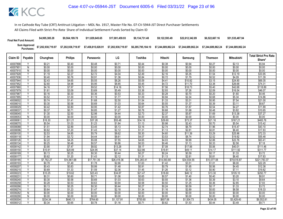| <b>Final Net Fund Amount:</b> | \$4,995,385.28     | \$9,564,189.78     | \$11.829.645.65    | \$17,001,459.93    | \$9.134.731.48     | \$9.122.593.49                        | \$22,612,342,89 | \$6,522,667.16     | \$51,535,487.94    |
|-------------------------------|--------------------|--------------------|--------------------|--------------------|--------------------|---------------------------------------|-----------------|--------------------|--------------------|
| Sum Approved<br>Purchases:    | \$7,202,938,719.97 | \$7,202,938,719.97 | \$7,458,815,028.91 | \$7,202,938,719.97 | \$6,285,795,184.10 | \$7.244.689.862.24 \$7.244.689.862.24 |                 | \$7.244.689.862.24 | \$7.244.689.862.24 |

|                      |                         |                   |                   |                   |                   |                   |                   |                   |                   |                    | <b>Total Strict Pro Rata</b> |
|----------------------|-------------------------|-------------------|-------------------|-------------------|-------------------|-------------------|-------------------|-------------------|-------------------|--------------------|------------------------------|
| Claim ID             | Payable                 | Chunghwa          | <b>Philips</b>    | Panasonic         | LG                | Toshiba           | Hitachi           | Samsung           | <b>Thomson</b>    | <b>Mitsubishi</b>  | Share*                       |
| 40007898             |                         | \$0.21            | \$0.40            | \$0.48            | \$0.71            | \$0.44            | \$0.38            | \$0.94            | \$0.27            | \$2.13             | \$5.94                       |
| 40007901             | $\overline{N}$          | \$0.00            | \$0.00            | \$0.00            | \$0.00            | \$0.00            | \$0.00            | \$0.00            | \$0.00            | \$0.00             | \$0.00                       |
| 40007910             | N                       | \$0.00            | \$0.00            | \$0.00            | \$0.00            | \$0.00            | \$0.00            | \$0.00            | \$0.00            | \$0.00             | \$0.00                       |
| 40007928             | Y                       | \$1.19            | \$2.27            | \$2.72            | \$4.04            | \$2.49            | \$2.16            | \$5.35            | \$1.54            | \$12.19            | \$33.95                      |
| 40007936             | Y                       | \$0.40            | \$0.76            | \$0.91            | \$1.36            | \$0.84            | \$0.72            | \$1.79            | \$0.52            | \$4.09             | \$11.39                      |
| 40007944             | Y                       | \$2.43            | \$4.65            | \$5.55            | \$8.26            | \$5.09            | \$4.41            | \$10.92           | \$3.15            | \$24.90            | \$69.35                      |
| 40007952             |                         | \$2.60            | \$4.98            | \$5.95            | \$8.85            | \$5.45            | \$4.72            | \$11.70           | \$3.38            | \$26.68            | \$74.31                      |
| 40007960             | Ÿ                       | \$4.16            | \$7.97            | \$9.52            | \$14.16           | \$8.72            | \$7.56            | \$18.73           | \$5.40            | \$42.68            | \$118.89                     |
| 40007979             |                         | \$1.61            | \$3.09            | \$3.69            | \$5.49            | \$3.38            | \$2.93            | \$7.26            | \$2.09            | \$16.54            | \$46.07                      |
| 40007987             | Y                       | \$0.16            | \$0.30            | \$0.36            | \$0.53            | \$0.33            | \$0.28            | \$0.70            | \$0.20            | \$1.60             | \$4.46                       |
| 40007995             |                         | \$0.52            | \$1.00            | \$1.19            | \$1.77            | \$1.09            | \$0.94            | \$2.34            | \$0.68            | \$5.34             | \$14.86                      |
| 40008002             | Y                       | \$0.74            | \$1.41            | \$1.68            | \$2.50            | \$1.54            | \$1.33            | \$3.31            | \$0.95            | \$7.54             | \$21.00                      |
| 40008010             | $\overline{Y}$          | \$0.30            | \$0.58            | \$0.69            | \$1.03            | \$0.64            | \$0.55            | \$1.37            | \$0.39            | \$3.11             | \$8.67                       |
| 40008029             | ٧                       | \$0.42            | \$0.80            | \$0.95            | \$1.42            | \$0.87            | \$0.76            | \$1.87            | \$0.54            | \$4.27             | \$11.89                      |
| 40008037             | Ϋ                       | \$0.37            | \$0.71            | \$0.85            | \$1.27            | \$0.78            | \$0.68            | \$1.68            | \$0.48            | \$3.82             | \$10.65                      |
| 40008045             | Y                       | \$1.30            | \$2.50            | \$2.98            | \$4.44            | \$2.73            | \$2.37            | \$5.87            | \$1.69            | \$13.38            | \$37.27                      |
| 40008053             | $\overline{N}$          | \$0.00            | \$0.00            | \$0.00            | \$0.00            | \$0.00            | \$0.00            | \$0.00            | \$0.00            | \$0.00             | \$0.00                       |
| 4000806              | $\overline{\mathsf{v}}$ | \$16.30           | \$31.21           | \$37.28           | \$55.48           | \$34.16           | \$29.60           | \$73.37           | \$21.16           | \$167.21           | \$465.76                     |
| 40008070             | Y                       | \$0.54            | \$1.03            | \$1.23            | \$1.84            | \$1.13            | \$0.98            | \$2.43            | \$0.70            | \$5.54             | \$15.42                      |
| 40008088             | Y                       | \$1.51            | \$2.89            | \$3.45            | \$5.13            | \$3.16            | \$2.74            | \$6.79            | \$1.96            | \$15.47            | \$43.10                      |
| 40008096             | Y                       | \$0.62            | \$1.20            | \$1.43            | \$2.12            | \$1.31            | \$1.13            | \$2.81            | \$0.81            | \$6.40             | \$17.83                      |
| 40008100             |                         | \$2.53            | \$4.85            | \$5.79            | \$8.62            | \$5.30            | \$4.60            | \$11.39           | \$3.29            | \$25.96            | \$72.33                      |
| 40008118             |                         | \$1.94            | \$3.72            | \$4.44            | \$6.61            | \$4.07            | \$3.53            | \$8.74            | \$2.52            | \$19.92            | \$55.48                      |
| 40008126             |                         | \$2.22            | \$4.25            | \$5.08            | \$7.55            | \$4.65            | \$4.03            | \$9.99            | \$2.88            | \$22.76            | \$63.41                      |
| 40008134             | v                       | \$0.25            | \$0.48            | \$0.57            | \$0.86            | \$0.53            | \$0.46            | \$1.13            | \$0.33            | \$2.58             | \$7.18                       |
| 40008142             |                         | \$3.90            | \$7.47            | \$8.92            | \$13.28           | \$8.17            | \$7.08            | \$17.56           | \$5.06            | \$40.01            | \$111.46                     |
| 40008150             |                         | \$10.91           | \$20.89           | \$24.95           | \$37.14           | \$22.86           | \$19.81           | \$49.11           | \$14.17           | \$111.92           | \$311.77                     |
| 40008169             | Y                       | \$0.13            | \$0.25            | \$0.30            | \$0.44            | \$0.27            | \$0.24            | \$0.59            | \$0.17            | \$1.33             | \$3.72                       |
| 40008177             |                         | \$0.62            | \$1.20            | \$1.43            | \$2.12            | \$1.31            | \$1.13            | \$2.81            | \$0.81            | \$6.40             | \$17.83                      |
| 40008185             | Ϋ                       | \$7,762.27        | \$14,861.68       | \$17,751.35       | \$26,418.36       | \$16,265.41       | \$14,093.80       | \$34,934.55       | \$10,077.08       | \$79,618.87        | \$221,783.37                 |
| 40008193<br>40008207 | Υ                       | \$0.78            | \$1.49            | \$1.78            | \$2.66            | \$1.63            | \$1.42<br>\$0.79  | \$3.51            | \$1.01            | \$8.00             | \$22.29                      |
| 40008215             | Y                       | \$0.43            | \$0.83            | \$0.99            | \$1.48            | \$0.91            |                   | \$1.95            | \$0.56            | \$4.45             | \$12.38                      |
| 40008223             | Δ                       | \$0.69<br>\$10.25 | \$1.33<br>\$19.62 | \$1.59<br>\$23.43 | \$2.36<br>\$34.87 | \$1.45<br>\$21.47 | \$1.26<br>\$18.60 | \$3.12<br>\$46.12 | \$0.90<br>\$13.30 | \$7.11<br>\$105.10 | \$19.82<br>\$292.77          |
| 40008231             | Υ                       | \$0.31            | \$0.60            | \$0.71            | \$1.06            | \$0.65            | \$0.57            | \$1.40            | \$0.40            | \$3.20             | \$8.91                       |
| 40008240             | Y                       | \$0.30            | \$0.58            | \$0.69            | \$1.03            | \$0.63            | \$0.55            | \$1.36            | \$0.39            | \$3.10             | \$8.64                       |
| 40008258             | Y                       | \$0.28            | \$0.53            | \$0.63            | \$0.94            | \$0.58            | \$0.50            | \$1.25            | \$0.36            | \$2.85             | \$7.93                       |
| 40008266             |                         | \$0.13            | \$0.25            | \$0.30            | \$0.44            | \$0.27            | \$0.24            | \$0.59            | \$0.17            | \$1.33             | \$3.72                       |
| 40008274             | Y                       | \$0.64            | \$1.23            | \$1.47            | \$2.18            | \$1.34            | \$1.16            | \$2.89            | \$0.83            | \$6.58             | \$18.33                      |
| 40008282             | $\overline{N}$          | \$0.00            | \$0.00            | \$0.00            | \$0.00            | \$0.00            | \$0.00            | \$0.00            | \$0.00            | \$0.00             | \$0.00                       |
| 40008290             | N                       | \$0.00            | \$0.00            | \$0.00            | \$0.00            | \$0.00            | \$0.00            | \$0.00            | \$0.00            | \$0.00             | \$0.00                       |
| 40008304             |                         | \$334.34          | \$640.13          | \$764.60          | \$1,137.91        | \$700.60          | \$607.06          | \$1,504.73        | \$434.05          | \$3,429.40         | \$9,552.81                   |
| 40008312             | Y                       | \$0.34            | \$0.65            | \$0.78            | \$1.16            | \$0.71            | \$0.62            | \$1.53            | \$0.44            | \$3.49             | \$9.71                       |
|                      |                         |                   |                   |                   |                   |                   |                   |                   |                   |                    |                              |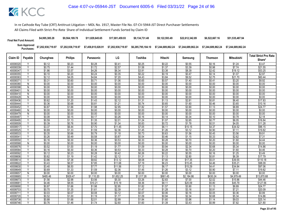| <b>Final Net Fund Amount:</b> | \$4,995,385.28     | \$9.564.189.78     | \$11,829,645,65    | \$17.001.459.93    | \$9.134.731.48     | \$9.122.593.49     | \$22,612,342.89    | \$6,522,667.16     | \$51,535,487.94    |
|-------------------------------|--------------------|--------------------|--------------------|--------------------|--------------------|--------------------|--------------------|--------------------|--------------------|
| Sum Approved<br>Purchases:    | \$7,202,938,719.97 | \$7,202,938,719.97 | \$7,458,815,028.91 | \$7,202,938,719.97 | \$6.285.795.184.10 | \$7.244.689.862.24 | \$7.244.689.862.24 | \$7.244.689.862.24 | \$7.244.689.862.24 |

|                     |                |                  |                  |                  |                  |                  |                  |                  |                  |                   | <b>Total Strict Pro Rata</b> |
|---------------------|----------------|------------------|------------------|------------------|------------------|------------------|------------------|------------------|------------------|-------------------|------------------------------|
| Claim ID            | Payable        | Chunghwa         | <b>Philips</b>   | Panasonic        | LG               | Toshiba          | Hitachi          | Samsung          | <b>Thomson</b>   | <b>Mitsubishi</b> | Share*                       |
| 40008320            |                | \$0.12           | \$0.23           | \$0.28           | \$0.41           | \$0.25           | \$0.22           | \$0.55           | \$0.16           | \$1.24            | \$3.47                       |
| 40008339            | Y              | \$0.75           | \$1.44           | \$1.72           | \$2.57           | \$1.58           | \$1.37           | \$3.39           | \$0.98           | \$7.74            | \$21.55                      |
| 40008347            | Υ              | \$1.86           | \$3.57           | \$4.26           | \$6.34           | \$3.91           | \$3.38           | \$8.39           | \$2.42           | \$19.12           | \$53.25                      |
| 40008355            |                | \$0.10           | \$0.20           | \$0.24           | \$0.35           | \$0.22           | \$0.19           | \$0.47           | \$0.14           | \$1.07            | \$2.97                       |
| 40008363            | Y              | \$2.12           | \$4.05           | \$4.84           | \$7.20           | \$4.43           | \$3.84           | \$9.52           | \$2.75           | \$21.70           | \$60.44                      |
| 4000837             | Υ              | \$0.31           | \$0.60           | \$0.71           | \$1.06           | \$0.65           | \$0.57           | \$1.40           | \$0.41           | \$3.20            | \$8.92                       |
| 40008380            | N              | \$0.00           | \$0.00           | \$0.00           | \$0.00           | \$0.00           | \$0.00           | \$0.00           | \$0.00           | \$0.00            | \$0.00                       |
| 40008398            | N              | \$0.00           | \$0.00           | \$0.00           | \$0.00           | \$0.00           | \$0.00           | \$0.00           | \$0.00           | \$0.00            | \$0.00                       |
| 40008401            | N              | \$0.00           | \$0.00           | \$0.00           | \$0.00           | \$0.00           | \$0.00           | \$0.00           | \$0.00           | \$0.00            | \$0.00                       |
| 40008410            | $\overline{N}$ | \$0.00           | \$0.00           | \$0.00           | \$0.00           | \$0.00           | \$0.00           | \$0.00           | \$0.00           | \$0.00            | \$0.00                       |
| 40008428            | N              | \$0.00           | \$0.00           | \$0.00           | \$0.00           | \$0.00           | \$0.00           | \$0.00           | \$0.00           | \$0.00            | \$0.00                       |
| 40008436            |                | \$0.62           | \$1.20           | \$1.43           | \$2.12           | \$1.31           | \$1.13           | \$2.81           | \$0.81           | \$6.40            | \$17.83                      |
| 40008444            | Y              | \$0.36           | \$0.68           | \$0.81           | \$1.21           | \$0.74           | \$0.65           | \$1.60           | \$0.46           | \$3.65            | \$10.16                      |
| 40008452            | Υ              | \$0.87           | \$1.66           | \$1.98           | \$2.95           | \$1.82           | \$1.57           | \$3.90           | \$1.13           | \$8.89            | \$24.77                      |
| 40008460            | N              | \$0.00           | \$0.00           | \$0.00           | \$0.00           | \$0.00           | \$0.00           | \$0.00           | \$0.00           | \$0.00            | \$0.00                       |
| 40008479            | N              | \$0.00           | \$0.00           | \$0.00           | \$0.00           | \$0.00           | \$0.00           | \$0.00           | \$0.00           | \$0.00            | \$0.00                       |
| 40008487            | ٧              | \$0.08           | \$0.15           | \$0.17           | \$0.26           | \$0.16           | \$0.14           | \$0.34           | \$0.10           | \$0.78            | \$2.18                       |
| 40008495            | Y              | \$0.59           | \$1.13           | \$1.35           | \$2.01           | \$1.24           | \$1.07           | \$2.65           | \$0.77           | \$6.05            | \$16.84                      |
| 40008509            | $\vee$         | \$0.39           | \$0.76           | \$0.90           | \$1.34           | \$0.83           | \$0.72           | \$1.78           | \$0.51           | \$4.05            | \$11.28                      |
| 40008517            | Y              | \$3.37           | \$6.44           | \$7.70           | \$11.45          | \$7.05           | \$6.11           | \$15.15          | \$4.37           | \$34.52           | \$96.15                      |
| 40008525            | Y              | \$0.69           | \$1.33           | \$1.59           | \$2.36           | \$1.45           | \$1.26           | \$3.12           | \$0.90           | \$7.11            | \$19.82                      |
| 40008533<br>4000854 | Y              | \$0.35           | \$0.66           | \$0.79           | \$1.18           | \$0.73           | \$0.63           | \$1.56           | \$0.45           | \$3.56            | \$9.91                       |
| 40008550            | Y              | \$0.26<br>\$0.16 | \$0.49<br>\$0.30 | \$0.58<br>\$0.36 | \$0.87<br>\$0.53 | \$0.54<br>\$0.33 | \$0.46<br>\$0.28 | \$1.15<br>\$0.70 | \$0.33<br>\$0.20 | \$2.62<br>\$1.60  | \$7.31<br>\$4.44             |
| 40008568            | N              | \$0.00           | \$0.00           | \$0.00           | \$0.00           | \$0.00           | \$0.00           | \$0.00           | \$0.00           | \$0.00            | \$0.00                       |
| 40008576            | Y              | \$0.52           | \$1.00           | \$1.19           | \$1.77           | \$1.09           | \$0.94           | \$2.34           | \$0.68           | \$5.34            | \$14.86                      |
| 40008584            |                | \$0.16           | \$0.30           | \$0.36           | \$0.53           | \$0.33           | \$0.28           | \$0.70           | \$0.20           | \$1.60            | \$4.46                       |
| 40008592            | Y              | \$0.12           | \$0.23           | \$0.28           | \$0.42           | \$0.26           | \$0.22           | \$0.55           | \$0.16           | \$1.25            | \$3.49                       |
| 40008606            | γ              | \$0.62           | \$1.19           | \$1.42           | \$2.12           | \$1.31           | \$1.13           | \$2.80           | \$0.81           | \$6.39            | \$17.79                      |
| 40008614            | $\checkmark$   | \$3.86           | \$7.38           | \$8.82           | \$13.12          | \$8.08           | \$7.00           | \$17.35          | \$5.01           | \$39.55           | \$110.18                     |
| 40008622            |                | \$3.43           | \$6.57           | \$7.85           | \$11.68          | \$7.19           | \$6.23           | \$15.45          | \$4.46           | \$35.21           | \$98.09                      |
| 40008630            | Y              | \$3.40           | \$6.50           | \$7.77           | \$11.56          | \$7.12           | \$6.17           | \$15.29          | \$4.41           | \$34.84           | \$97.06                      |
| 40008649            | Y              | \$0.69           | \$1.33           | \$1.59           | \$2.36           | \$1.45           | \$1.26           | \$3.12           | \$0.90           | \$7.11            | \$19.82                      |
| 40008657            | N              | \$0.00           | \$0.00           | \$0.00           | \$0.00           | \$0.00           | \$0.00           | \$0.00           | \$0.00           | \$0.00            | \$0.00                       |
| 40008665            |                | \$485.46         | \$929.47         | \$1,110.20       | \$1,652.25       | \$1,017.26       | \$881.45         | \$2,184.86       | \$630.24         | \$4,979.49        | \$13,870.68                  |
| 40008673            | Y              | \$1.56           | \$2.98           | \$3.56           | \$5.30           | \$3.26           | \$2.83           | \$7.00           | \$2.02           | \$15.96           | \$44.46                      |
| 40008681            | Y              | \$4.46           | \$8.55           | \$10.21          | \$15.19          | \$9.36           | \$8.11           | \$20.09          | \$5.80           | \$45.79           | \$127.56                     |
| 40008690            | $\checkmark$   | \$0.87           | \$1.66           | \$1.98           | \$2.95           | \$1.82           | \$1.57           | \$3.90           | \$1.13           | \$8.89            | \$24.77                      |
| 40008703            |                | \$0.70           | \$1.35           | \$1.61           | \$2.39           | \$1.47           | \$1.28           | \$3.16           | \$0.91           | \$7.21            | \$20.09                      |
| 4000871             | γ              | \$0.03           | \$0.07           | \$0.08           | \$0.12           | \$0.07           | \$0.06           | \$0.16           | \$0.05           | \$0.36            | \$0.99                       |
| 40008720            | Υ              | \$0.52           | \$1.00           | \$1.19           | \$1.77           | \$1.09           | \$0.94           | \$2.34           | \$0.68           | \$5.34            | \$14.86                      |
| 40008738            |                | \$0.88           | \$1.68           | \$2.01           | \$2.99           | \$1.84           | \$1.60           | \$3.96           | \$1.14           | \$9.03            | \$25.14                      |
| 40008746            |                | \$0.76           | \$1.46           | \$1.74           | \$2.60           | \$1.60           | \$1.39           | \$3.43           | \$0.99           | \$7.82            | \$21.80                      |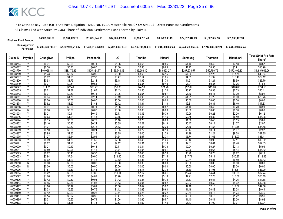| <b>Final Net Fund Amount:</b> | \$4.995.385.28                                                   | \$9.564.189.78     | \$11,829,645,65    | \$17.001.459.93    | \$9.134.731.48 | \$9.122.593.49                                                 | \$22,612,342.89 | \$6.522.667.16 | \$51,535,487.94 |
|-------------------------------|------------------------------------------------------------------|--------------------|--------------------|--------------------|----------------|----------------------------------------------------------------|-----------------|----------------|-----------------|
|                               | Sum Approved \$7,202,938,719.97<br>Purchases: \$7,202,938,719.97 | \$7,202,938,719.97 | \$7,458,815,028.91 | \$7,202,938,719.97 |                | \$6,285,795,184.10    \$7,244,689,862.24    \$7,244,689,862.24 |                 |                |                 |

| Claim ID | Payable | Chunghwa    | <b>Philips</b> | Panasonic    | LG           | Toshiba     | Hitachi     | Samsung      | <b>Thomson</b> | Mitsubishi   | <b>Total Strict Pro Rata</b> |
|----------|---------|-------------|----------------|--------------|--------------|-------------|-------------|--------------|----------------|--------------|------------------------------|
|          |         |             |                |              |              |             |             |              |                |              | Share*                       |
| 40008754 | Υ       | \$0.31      | \$0.59         | \$0.71       | \$1.06       | \$0.65      | \$0.56      | \$1.40       | \$0.40         | \$3.18       | \$8.87                       |
| 40008762 | Y<br>٧  | \$0.38      | \$0.73         | \$0.87       | \$1.30       | \$0.80      | \$0.69      | \$1.72       | \$0.50         | \$3.91       | \$10.90                      |
| 40008770 |         | \$46,056.18 | \$88,179.39    | \$105,324.77 | \$156,749.13 | \$96,508.19 | \$83,623.27 | \$207,278.57 | \$59,790.76    | \$472,405.80 | \$1,315,916.06               |
| 40008789 |         | \$1.73      | \$3.32         | \$3.96       | \$5.90       | \$3.63      | \$3.15      | \$7.80       | \$2.25         | \$17.78      | \$49.54                      |
| 40008797 | Y       | \$1.02      | \$1.95         | \$2.33       | \$3.47       | \$2.14      | \$1.85      | \$4.59       | \$1.32         | \$10.46      | \$29.12                      |
| 40008800 | v       | \$0.93      | \$1.79         | \$2.14       | \$3.18       | \$1.96      | \$1.70      | \$4.21       | \$1.21         | \$9.59       | \$26.70                      |
| 4000881  |         | \$0.27      | \$0.51         | \$0.61       | \$0.91       | \$0.56      | \$0.49      | \$1.21       | \$0.35         | \$2.76       | \$7.68                       |
| 40008827 | γ       | \$11.71     | \$22.41        | \$26.77      | \$39.85      | \$24.53     | \$21.26     | \$52.69      | \$15.20        | \$120.08     | \$334.50                     |
| 40008835 | γ       | \$0.71      | \$1.37         | \$1.63       | \$2.43       | \$1.50      | \$1.30      | \$3.22       | \$0.93         | \$7.33       | \$20.41                      |
| 40008843 | v       | \$0.31      | \$0.60         | \$0.71       | \$1.06       | \$0.65      | \$0.57      | \$1.40       | \$0.41         | \$3.20       | \$8.92                       |
| 4000885  |         | \$0.94      | \$1.79         | \$2.14       | \$3.19       | \$1.96      | \$1.70      | \$4.21       | \$1.22         | \$9.60       | \$26.75                      |
| 40008860 | Ñ       | \$0.00      | \$0.00         | \$0.00       | \$0.00       | \$0.00      | \$0.00      | \$0.00       | \$0.00         | \$0.00       | \$0.00                       |
| 40008878 | Y       | \$0.62      | \$1.20         | \$1.43       | \$2.12       | \$1.31      | \$1.13      | \$2.81       | \$0.81         | \$6.40       | \$17.83                      |
| 40008886 | Ϋ       | \$0.31      | \$0.60         | \$0.71       | \$1.06       | \$0.65      | \$0.57      | \$1.40       | \$0.40         | \$3.20       | \$8.91                       |
| 40008894 | Ñ       | \$0.00      | \$0.00         | \$0.00       | \$0.00       | \$0.00      | \$0.00      | \$0.00       | \$0.00         | \$0.00       | \$0.00                       |
| 40008908 | Y       | \$0.21      | \$0.41         | \$0.49       | \$0.73       | \$0.45      | \$0.39      | \$0.96       | \$0.28         | \$2.20       | \$6.12                       |
| 40008916 | Υ       | \$0.63      | \$1.21         | \$1.45       | \$2.15       | \$1.33      | \$1.15      | \$2.85       | \$0.82         | \$6.49       | \$18.08                      |
| 40008924 | Y       | \$0.35      | \$0.66         | \$0.79       | \$1.18       | \$0.73      | \$0.63      | \$1.56       | \$0.45         | \$3.55       | \$9.89                       |
| 40008932 |         | \$0.10      | \$0.20         | \$0.24       | \$0.35       | \$0.22      | \$0.19      | \$0.47       | \$0.14         | \$1.07       | \$2.97                       |
| 40008940 | Υ       | \$1.21      | \$2.32         | \$2.78       | \$4.13       | \$2.54      | \$2.20      | \$5.46       | \$1.58         | \$12.45      | \$34.68                      |
| 40008959 | Y       | \$0.10      | \$0.20         | \$0.24       | \$0.35       | \$0.22      | \$0.19      | \$0.47       | \$0.14         | \$1.07       | \$2.97                       |
| 4000896  | Y       | \$0.95      | \$1.83         | \$2.18       | \$3.25       | \$2.00      | \$1.73      | \$4.29       | \$1.24         | \$9.78       | \$27.25                      |
| 40008975 | Ϋ       | \$1.27      | \$2.44         | \$2.91       | \$4.34       | \$2.67      | \$2.31      | \$5.74       | \$1.65         | \$13.07      | \$36.41                      |
| 40008983 | Υ       | \$0.69      | \$1.33         | \$1.59       | \$2.36       | \$1.45      | \$1.26      | \$3.12       | \$0.90         | \$7.11       | \$19.82                      |
| 40008991 | Υ       | \$0.62      | \$1.20         | \$1.43       | \$2.12       | \$1.31      | \$1.13      | \$2.81       | \$0.81         | \$6.40       | \$17.83                      |
| 40009009 | Y       | \$0.21      | \$0.40         | \$0.48       | \$0.71       | \$0.44      | \$0.38      | \$0.94       | \$0.27         | \$2.13       | \$5.94                       |
| 4000901  | Y       | \$0.50      | \$0.96         | \$1.15       | \$1.71       | \$1.05      | \$0.91      | \$2.26       | \$0.65         | \$5.14       | \$14.32                      |
| 40009025 | Y       | \$0.22      | \$0.41         | \$0.50       | \$0.74       | \$0.45      | \$0.39      | \$0.98       | \$0.28         | \$2.22       | \$6.19                       |
| 40009033 | Y       | \$3.94      | \$7.54         | \$9.00       | \$13.40      | \$8.25      | \$7.15      | \$17.71      | \$5.11         | \$40.37      | \$112.46                     |
| 4000904  |         | \$0.62      | \$1.20         | \$1.43       | \$2.12       | \$1.31      | \$1.13      | \$2.81       | \$0.81         | \$6.40       | \$17.83                      |
| 40009050 | N       | \$0.00      | \$0.00         | \$0.00       | \$0.00       | \$0.00      | \$0.00      | \$0.00       | \$0.00         | \$0.00       | \$0.00                       |
| 40009068 | N       | \$0.00      | \$0.00         | \$0.00       | \$0.00       | \$0.00      | \$0.00      | \$0.00       | \$0.00         | \$0.00       | \$0.00                       |
| 40009076 | Y       | \$1.51      | \$2.89         | \$3.46       | \$5.15       | \$3.17      | \$2.75      | \$6.80       | \$1.96         | \$15.51      | \$43.20                      |
| 40009084 |         | \$3.42      | \$6.55         | \$7.82       | \$11.64      | \$7.17      | \$6.21      | \$15.40      | \$4.44         | \$35.09      | \$97.74                      |
| 40009092 | Υ       | \$1.76      | \$3.36         | \$4.02       | \$5.98       | \$3.68      | \$3.19      | \$7.91       | \$2.28         | \$18.02      | \$50.19                      |
| 40009106 | Y       | \$0.42      | \$0.80         | \$0.95       | \$1.42       | \$0.87      | \$0.75      | \$1.87       | \$0.54         | \$4.26       | \$11.88                      |
| 4000911  | v       | \$0.45      | \$0.86         | \$1.03       | \$1.53       | \$0.94      | \$0.82      | \$2.03       | \$0.59         | \$4.62       | \$12.88                      |
| 40009122 |         | \$1.66      | \$3.19         | \$3.81       | \$5.66       | \$3.49      | \$3.02      | \$7.49       | \$2.16         | \$17.07      | \$47.56                      |
| 40009130 | Y       | \$0.33      | \$0.63         | \$0.75       | \$1.12       | \$0.69      | \$0.60      | \$1.48       | \$0.43         | \$3.38       | \$9.41                       |
| 40009149 | Υ       | \$0.12      | \$0.23         | \$0.28       | \$0.41       | \$0.25      | \$0.22      | \$0.54       | \$0.16         | \$1.24       | \$3.46                       |
| 40009157 | Ÿ       | \$0.14      | \$0.27         | \$0.32       | \$0.47       | \$0.29      | \$0.25      | \$0.62       | \$0.18         | \$1.42       | \$3.96                       |
| 40009165 |         | \$0.31      | \$0.60         | \$0.71       | \$1.06       | \$0.65      | \$0.57      | \$1.40       | \$0.41         | \$3.20       | \$8.92                       |
| 40009173 | Υ       | \$0.77      | \$1.48         | \$1.76       | \$2.63       | \$1.62      | \$1.40      | \$3.47       | \$1.00         | \$7.91       | \$22.04                      |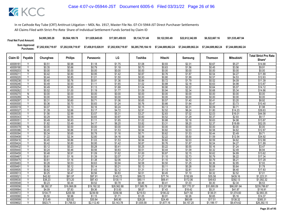| <b>Final Net Fund Amount:</b> | \$4,995,385.28     | \$9.564.189.78     | \$11.829.645.65    | \$17.001.459.93    | \$9.134.731.48     | \$9.122.593.49 | \$22,612,342.89 | \$6,522,667.16     | \$51,535,487.94    |
|-------------------------------|--------------------|--------------------|--------------------|--------------------|--------------------|----------------|-----------------|--------------------|--------------------|
| Sum Approved<br>Purchases:    | \$7,202,938,719.97 | \$7,202,938,719.97 | \$7,458,815,028.91 | \$7,202,938,719.97 | \$6.285.795.184.10 |                |                 | \$7.244.689.862.24 | \$7.244.689.862.24 |

|                      |                         |                  | <b>Philips</b>   |                  | LG               |                  |                  |                  |                  |                   | <b>Total Strict Pro Rata</b> |
|----------------------|-------------------------|------------------|------------------|------------------|------------------|------------------|------------------|------------------|------------------|-------------------|------------------------------|
| Claim ID             | Payable                 | Chunghwa         |                  | Panasonic        |                  | Toshiba          | Hitachi          | Samsung          | <b>Thomson</b>   | <b>Mitsubishi</b> | Share*                       |
| 40009181             |                         | \$0.51           | \$0.98           | \$1.18           | \$1.75           | \$1.08           | \$0.93           | \$2.31           | \$0.67           | \$5.27            | \$14.68                      |
| 40009190             | Y                       | \$0.35           | \$0.66           | \$0.79           | \$1.18           | \$0.73           | \$0.63           | \$1.56           | \$0.45           | \$3.56            | \$9.91                       |
| 40009203             | N                       | \$0.00           | \$0.00           | \$0.00           | \$0.00           | \$0.00           | \$0.00           | \$0.00           | \$0.00           | \$0.00            | \$0.00                       |
| 4000921              | Υ                       | \$0.42           | \$0.80           | \$0.95           | \$1.42           | \$0.87           | \$0.76           | \$1.87           | \$0.54           | \$4.27            | \$11.89                      |
| 40009220             | Y                       | \$0.44           | \$0.85           | \$1.01           | \$1.50           | \$0.93           | \$0.80           | \$1.99           | \$0.57           | \$4.53            | \$12.63                      |
| 40009238             | Y                       | \$0.40           | \$0.76           | \$0.91           | \$1.36           | \$0.84           | \$0.72           | \$1.79           | \$0.52           | \$4.09            | \$11.39                      |
| 40009246             | $\overline{\mathsf{v}}$ | \$0.49           | \$0.93           | \$1.11           | \$1.65           | \$1.02           | \$0.88           | \$2.18           | \$0.63           | \$4.98            | \$13.87                      |
| 40009254             | Y                       | \$0.49           | \$0.95           | \$1.13           | \$1.68           | \$1.04           | \$0.90           | \$2.22           | \$0.64           | \$5.07            | \$14.12                      |
| 40009262             | Υ                       | \$0.52           | \$1.00           | \$1.19           | \$1.77           | \$1.09           | \$0.94           | \$2.34           | \$0.68           | \$5.34            | \$14.86                      |
| 40009270             | $\overline{N}$          | \$0.00           | \$0.00           | \$0.00           | \$0.00           | \$0.00           | \$0.00           | \$0.00           | \$0.00           | \$0.00            | \$0.00                       |
| 40009289             | N                       | \$0.00           | \$0.00           | \$0.00           | \$0.00           | \$0.00           | \$0.00           | \$0.00           | \$0.00           | \$0.00            | \$0.00                       |
| 40009297             | γ                       | \$0.31           | \$0.60           | \$0.71           | \$1.06           | \$0.65           | \$0.57           | \$1.40           | \$0.41           | \$3.20            | \$8.92                       |
| 40009300             | Y                       | \$0.36           | \$0.70           | \$0.83           | \$1.24           | \$0.76           | \$0.66           | \$1.64           | \$0.47           | \$3.73            | \$10.40                      |
| 40009319             | v                       | \$0.07           | \$0.13           | \$0.16           | \$0.24           | \$0.15           | \$0.13           | \$0.31           | \$0.09           | \$0.71            | \$1.98                       |
| 4000932              |                         | \$1.39           | \$2.66           | \$3.17           | \$4.72           | \$2.91           | \$2.52           | \$6.24           | \$1.80           | \$14.23           | \$39.63                      |
| 40009335             | Y                       | \$1.56           | \$2.99           | \$3.57           | \$5.31           | \$3.27           | \$2.83           | \$7.02           | \$2.03           | \$16.01           | \$44.58                      |
| 40009343             | Υ                       | \$0.29           | \$0.55           | \$0.65           | \$0.97           | \$0.60           | \$0.52           | \$1.29           | \$0.37           | \$2.93            | \$8.17                       |
| 40009351             | Y                       | \$0.49           | \$0.93           | \$1.11           | \$1.65           | \$1.02           | \$0.88           | \$2.18           | \$0.63           | \$4.98            | \$13.87                      |
| 40009360             |                         | \$1.82           | \$3.49           | \$4.17           | \$6.20           | \$3.82           | \$3.31           | \$8.20           | \$2.37           | \$18.69           | \$52.05                      |
| 40009378             | N                       | \$0.00           | \$0.00           | \$0.00           | \$0.00           | \$0.00           | \$0.00           | \$0.00           | \$0.00           | \$0.00            | \$0.00                       |
| 40009386             | Y                       | \$0.45           | \$0.86           | \$1.03           | \$1.53           | \$0.94           | \$0.82           | \$2.03           | \$0.58           | \$4.62            | \$12.87                      |
| 40009394             | Y                       | \$0.34           | \$0.65           | \$0.78           | \$1.16           | \$0.71           | \$0.62           | \$1.53           | \$0.44           | \$3.49            | \$9.71                       |
| 40009408             | Y                       | \$1.22           | \$2.34           | \$2.80           | \$4.16           | \$2.56           | \$2.22           | \$5.50           | \$1.59           | \$12.54           | \$34.92                      |
| 40009416             | ۷                       | \$0.45           | \$0.86           | \$1.03           | \$1.53           | \$0.94           | \$0.82           | \$2.03           | \$0.59           | \$4.62            | \$12.88                      |
| 40009424             |                         | \$0.42           | \$0.80           | \$0.95           | \$1.42           | \$0.87           | \$0.76           | \$1.87           | \$0.54           | \$4.27            | \$11.89                      |
| 40009432             | Y                       | \$0.12           | \$0.23           | \$0.28           | \$0.41           | \$0.25           | \$0.22           | \$0.55           | \$0.16           | \$1.24            | \$3.47                       |
| 40009440             |                         | \$0.24           | \$0.46           | \$0.56           | \$0.83           | \$0.51           | \$0.44           | \$1.09           | \$0.32           | \$2.49            | \$6.94                       |
| 40009459<br>40009467 | V                       | \$0.48           | \$0.91           | \$1.09           | \$1.62<br>\$2.07 | \$1.00<br>\$1.27 | \$0.87           | \$2.15<br>\$2.73 | \$0.62<br>\$0.79 | \$4.89<br>\$6.22  | \$13.62<br>\$17.34           |
|                      | Y                       | \$0.61           | \$1.16           | \$1.39           |                  |                  | \$1.10           |                  |                  |                   |                              |
| 40009475<br>40009483 | V                       | \$0.61<br>\$0.28 | \$1.16<br>\$0.53 | \$1.38<br>\$0.63 | \$2.06<br>\$0.94 | \$1.27<br>\$0.58 | \$1.10<br>\$0.50 | \$2.72<br>\$1.25 | \$0.79<br>\$0.36 | \$6.21<br>\$2.85  | \$17.29<br>\$7.93            |
| 40009491             | Ϋ                       | \$0.06           | \$0.12           | \$0.14           | \$0.21           | \$0.13           | \$0.11           | \$0.28           | \$0.08           | \$0.64            | \$1.78                       |
| 40009505             | Y                       | \$0.62           | \$1.20           | \$1.43           | \$2.12           | \$1.31           | \$1.13           | \$2.81           | \$0.81           | \$6.40            | \$17.83                      |
| 40009513             | Y                       | \$0.25           | \$0.47           | \$0.56           | \$0.83           | \$0.51           | \$0.45           | \$1.10           | \$0.32           | \$2.52            | \$7.01                       |
| 4000952              |                         | \$42.82          | \$81.97          | \$97.91          | \$145.72         | \$89.72          | \$77.74          | \$192.69         | \$55.58          | \$439.16          | \$1,223.31                   |
| 40009530             | Y                       | \$38.23          | \$73.20          | \$87.43          | \$130.11         | \$80.11          | \$69.41          | \$172.06         | \$49.63          | \$392.13          | \$1,092.32                   |
| 40009548             | V                       | \$0.23           | \$0.44           | \$0.52           | \$0.78           | \$0.48           | \$0.41           | \$1.03           | \$0.30           | \$2.34            | \$6.53                       |
| 40009556             | Y                       | \$8,392.37       | \$16,068.08      | \$19,192.32      | \$28,562.88      | \$17,585.76      | \$15,237.86      | \$37,770.37      | \$10,895.09      | \$86,081.94       | \$239,786.67                 |
| 40009564             | $\overline{\mathsf{v}}$ | \$4.09           | \$7.83           | \$9.36           | \$13.93          | \$8.57           | \$7.43           | \$18.42          | \$5.31           | \$41.97           | \$116.91                     |
| 40009572             | Ϋ                       | \$104.77         | \$200.58         | \$239.59         | \$356.56         | \$219.53         | \$190.22         | \$471.50         | \$136.01         | \$1,074.60        | \$2,993.35                   |
| 40009580             | Y                       | \$0.50           | \$0.96           | \$1.15           | \$1.71           | \$1.05           | \$0.91           | \$2.26           | \$0.65           | \$5.16            | \$14.37                      |
| 40009599             | Y                       | \$13.49          | \$25.82          | \$30.84          | \$45.90          | \$28.26          | \$24.49          | \$60.69          | \$17.51          | \$138.32          | \$385.31                     |
| 40009602             |                         | \$923.71         | \$1,768.53       | \$2,112.40       | \$3,143.78       | \$1,935.58       | \$1,677.16       | \$4,157.20       | \$1,199.17       | \$9,474.62        | \$26,392.15                  |
|                      |                         |                  |                  |                  |                  |                  |                  |                  |                  |                   |                              |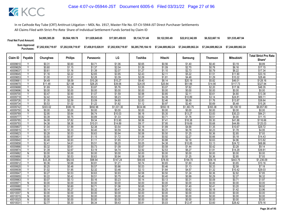| <b>Final Net Fund Amount:</b> | \$4,995,385.28     | \$9,564,189.78     | \$11.829.645.65    | \$17.001.459.93    | \$9.134.731.48     | \$9.122.593.49     | \$22.612.342.89    | \$6,522,667.16     | \$51,535,487.94    |
|-------------------------------|--------------------|--------------------|--------------------|--------------------|--------------------|--------------------|--------------------|--------------------|--------------------|
| Sum Approved<br>:Purchases    | \$7,202,938,719.97 | \$7,202,938,719.97 | \$7,458,815,028.91 | \$7,202,938,719.97 | \$6,285,795,184.10 | \$7.244.689.862.24 | \$7.244.689.862.24 | \$7.244.689.862.24 | \$7.244.689.862.24 |

| <b>Philips</b><br>LG<br><b>Mitsubishi</b><br>Claim ID<br>Payable<br>Toshiba<br>Hitachi<br><b>Thomson</b><br>Chunghwa<br>Samsung<br>Panasonic<br>Share*<br>\$0.31<br>\$0.60<br>\$8.89<br>40009610<br>\$0.71<br>\$1.06<br>\$0.65<br>\$0.56<br>\$1.40<br>\$0.40<br>\$3.19<br>\$2.04<br>\$1.26<br>\$2.70<br>\$0.78<br>\$6.16<br>40009629<br>$\vee$<br>\$0.60<br>\$1.15<br>\$1.37<br>\$1.09<br>\$17.15<br>Υ<br>\$0.61<br>\$1.16<br>\$1.39<br>\$2.07<br>\$1.27<br>\$1.10<br>\$2.73<br>\$0.79<br>\$6.22<br>\$17.34<br>40009637<br>\$2.22<br>\$2.65<br>\$2.43<br>\$2.11<br>\$5.22<br>\$11.90<br>\$33.16<br>\$1.16<br>\$3.95<br>\$1.51<br>40009645<br>\$2.28<br>\$4.48<br>\$10.22<br>Y<br>\$1.00<br>\$1.91<br>\$3.39<br>\$2.09<br>\$1.81<br>\$1.29<br>\$28.46<br>40009653<br>\$8.59<br>\$4.49<br>\$10.26<br>\$15.27<br>\$9.40<br>\$8.14<br>\$20.19<br>\$5.82<br>\$46.01<br>\$128.16<br>40009661<br>Υ<br>Y<br>\$11.48<br>\$21.98<br>\$26.25<br>\$39.06<br>\$24.05<br>\$20.84<br>\$51.66<br>\$14.90<br>\$117.73<br>\$327.94<br>40009670<br>\$1.69<br>\$3.24<br>\$3.87<br>\$3.55<br>\$3.07<br>\$7.62<br>\$2.20<br>\$17.36<br>\$48.35<br>40009688<br>\$5.76<br>\$0.00<br>\$0.00<br>\$0.00<br>\$0.00<br>\$0.00<br>\$0.00<br>40009696<br>\$0.00<br>\$0.00<br>\$0.00<br>\$0.00<br>N<br>\$0.90<br>Y<br>\$0.47<br>\$1.07<br>\$1.59<br>\$0.98<br>\$0.85<br>\$2.11<br>\$0.61<br>\$4.80<br>\$13.38<br>40009700<br>\$5.53<br>$\vee$<br>\$2.42<br>\$8.23<br>\$4.39<br>\$10.89<br>\$24.81<br>\$69.11<br>40009718<br>\$4.63<br>\$5.07<br>\$3.14<br>\$2.59<br>\$3.09<br>\$2.46<br>\$1.35<br>\$4.60<br>\$2.83<br>\$6.09<br>\$1.76<br>\$13.87<br>\$38.64<br>40009726<br>\$0.53<br>\$1.02<br>\$1.22<br>\$1.82<br>\$1.12<br>\$0.97<br>\$2.40<br>\$0.69<br>\$5.48<br>\$15.26<br>Y<br>40009734<br>\$550.18<br>\$303.02<br>\$580.16<br>\$692.96<br>\$1,031.30<br>\$634.96<br>\$1,363.75<br>\$393.38<br>\$3,108.10<br>\$8,657.80<br>40009742<br>Υ<br>$\overline{\mathsf{N}}$<br>\$0.00<br>\$0.00<br>\$0.00<br>\$0.00<br>\$0.00<br>\$0.00<br>\$0.00<br>\$0.00<br>40009750<br>\$0.00<br>\$0.00<br>\$2.95<br>\$6.74<br>\$13.27<br>\$30.23<br>\$84.21<br>40009769<br>Υ<br>\$5.64<br>\$10.03<br>\$6.18<br>\$5.35<br>\$3.83<br>\$0.71<br>Y<br>\$0.39<br>\$0.75<br>\$0.89<br>\$1.33<br>\$0.82<br>\$1.76<br>\$0.51<br>\$4.00<br>\$11.15<br>40009777<br>Y<br>\$4.08<br>\$7.82<br>\$9.34<br>\$13.90<br>\$8.56<br>\$7.41<br>\$18.38<br>\$5.30<br>\$41.88<br>\$116.66<br>40009785<br>\$44.89<br>\$4.38<br>\$8.38<br>\$10.01<br>\$14.89<br>\$9.17<br>\$7.95<br>\$19.69<br>\$5.68<br>\$125.03<br>40009793<br>\$1.99<br>\$2.38<br>\$3.54<br>\$2.18<br>\$1.89<br>\$4.68<br>\$1.35<br>\$10.67<br>40009807<br>Υ<br>\$1.04<br>\$29.72<br>\$0.17<br>\$0.33<br>\$0.40<br>\$0.59<br>\$0.36<br>\$0.31<br>\$0.78<br>\$0.23<br>\$1.78<br>\$4.95<br>4000981<br>V<br>Y<br>\$0.28<br>\$0.53<br>\$0.63<br>\$0.94<br>\$0.58<br>\$0.50<br>\$1.25<br>\$2.85<br>\$7.93<br>40009823<br>\$0.36<br>\$2.27<br>\$0.50<br>\$0.97<br>\$1.72<br>\$0.92<br>\$0.66<br>\$5.18<br>\$14.43<br>40009831<br>\$1.15<br>\$1.06<br>\$0.88<br>\$2.18<br>\$4.96<br>\$0.48<br>\$0.93<br>\$1.11<br>\$1.65<br>\$1.01<br>\$0.63<br>\$13.82<br>40009840<br>Υ<br>\$5.51<br>\$4.38<br>\$24.72<br>40009858<br>\$2.41<br>\$4.61<br>\$8.20<br>\$5.05<br>\$10.85<br>\$3.13<br>\$68.86<br>٧<br>Y<br>\$0.58<br>\$0.32<br>\$0.61<br>\$0.73<br>\$1.09<br>\$0.67<br>\$1.44<br>\$0.42<br>\$3.28<br>\$9.14<br>40009866<br>\$1.39<br>\$2.67<br>\$3.19<br>\$2.92<br>\$2.53<br>\$6.27<br>\$14.29<br>\$39.81<br>40009874<br>\$4.74<br>\$1.81<br>\$0.00<br>\$0.00<br>\$0.00<br>\$0.00<br>\$0.00<br>\$0.00<br>\$0.00<br>\$0.00<br>\$0.00<br>\$0.00<br>40009882<br>N<br>\$0.53<br>\$0.63<br>\$0.94<br>\$0.58<br>\$0.50<br>\$1.25<br>\$2.85<br>\$7.93<br>40009890<br>v<br>\$0.28<br>\$0.36<br>$\overline{\mathsf{v}}$<br>\$43.26<br>\$82.83<br>\$98.94<br>\$90.65<br>\$78.55<br>\$443.75<br>40009904<br>\$147.24<br>\$194.70<br>\$56.16<br>\$1,236.09<br>\$0.68<br>\$0.81<br>\$0.74<br>\$0.65<br>\$3.65<br>\$0.36<br>\$1.21<br>\$1.60<br>\$0.46<br>\$10.16<br>4000991<br>\$0.48<br>\$0.57<br>\$0.53<br>\$0.46<br>\$1.13<br>\$0.33<br>\$2.58<br>40009920<br>\$0.25<br>\$0.86<br>\$7.18<br>Υ |  |  |  |  |  | <b>Total Strict Pro Rata</b> |
|---------------------------------------------------------------------------------------------------------------------------------------------------------------------------------------------------------------------------------------------------------------------------------------------------------------------------------------------------------------------------------------------------------------------------------------------------------------------------------------------------------------------------------------------------------------------------------------------------------------------------------------------------------------------------------------------------------------------------------------------------------------------------------------------------------------------------------------------------------------------------------------------------------------------------------------------------------------------------------------------------------------------------------------------------------------------------------------------------------------------------------------------------------------------------------------------------------------------------------------------------------------------------------------------------------------------------------------------------------------------------------------------------------------------------------------------------------------------------------------------------------------------------------------------------------------------------------------------------------------------------------------------------------------------------------------------------------------------------------------------------------------------------------------------------------------------------------------------------------------------------------------------------------------------------------------------------------------------------------------------------------------------------------------------------------------------------------------------------------------------------------------------------------------------------------------------------------------------------------------------------------------------------------------------------------------------------------------------------------------------------------------------------------------------------------------------------------------------------------------------------------------------------------------------------------------------------------------------------------------------------------------------------------------------------------------------------------------------------------------------------------------------------------------------------------------------------------------------------------------------------------------------------------------------------------------------------------------------------------------------------------------------------------------------------------------------------------------------------------------------------------------------------------------------------------------------------------------------------------------------------------------------------------------------------------------------------------------------------------------------------------------------------------------------------------------------------------------------------------------------------------------------------------------------------------------------------------------------------------------------------------------------------------------------------------------------------------------------------------------------------------------------------------------------------------------------------------------------------------------------------------------------------------------------------------------------------------------------------------------------------------------------------------------------------------------------------------------------------------------------------------------------------------------------------|--|--|--|--|--|------------------------------|
|                                                                                                                                                                                                                                                                                                                                                                                                                                                                                                                                                                                                                                                                                                                                                                                                                                                                                                                                                                                                                                                                                                                                                                                                                                                                                                                                                                                                                                                                                                                                                                                                                                                                                                                                                                                                                                                                                                                                                                                                                                                                                                                                                                                                                                                                                                                                                                                                                                                                                                                                                                                                                                                                                                                                                                                                                                                                                                                                                                                                                                                                                                                                                                                                                                                                                                                                                                                                                                                                                                                                                                                                                                                                                                                                                                                                                                                                                                                                                                                                                                                                                                                                                                           |  |  |  |  |  |                              |
|                                                                                                                                                                                                                                                                                                                                                                                                                                                                                                                                                                                                                                                                                                                                                                                                                                                                                                                                                                                                                                                                                                                                                                                                                                                                                                                                                                                                                                                                                                                                                                                                                                                                                                                                                                                                                                                                                                                                                                                                                                                                                                                                                                                                                                                                                                                                                                                                                                                                                                                                                                                                                                                                                                                                                                                                                                                                                                                                                                                                                                                                                                                                                                                                                                                                                                                                                                                                                                                                                                                                                                                                                                                                                                                                                                                                                                                                                                                                                                                                                                                                                                                                                                           |  |  |  |  |  |                              |
|                                                                                                                                                                                                                                                                                                                                                                                                                                                                                                                                                                                                                                                                                                                                                                                                                                                                                                                                                                                                                                                                                                                                                                                                                                                                                                                                                                                                                                                                                                                                                                                                                                                                                                                                                                                                                                                                                                                                                                                                                                                                                                                                                                                                                                                                                                                                                                                                                                                                                                                                                                                                                                                                                                                                                                                                                                                                                                                                                                                                                                                                                                                                                                                                                                                                                                                                                                                                                                                                                                                                                                                                                                                                                                                                                                                                                                                                                                                                                                                                                                                                                                                                                                           |  |  |  |  |  |                              |
|                                                                                                                                                                                                                                                                                                                                                                                                                                                                                                                                                                                                                                                                                                                                                                                                                                                                                                                                                                                                                                                                                                                                                                                                                                                                                                                                                                                                                                                                                                                                                                                                                                                                                                                                                                                                                                                                                                                                                                                                                                                                                                                                                                                                                                                                                                                                                                                                                                                                                                                                                                                                                                                                                                                                                                                                                                                                                                                                                                                                                                                                                                                                                                                                                                                                                                                                                                                                                                                                                                                                                                                                                                                                                                                                                                                                                                                                                                                                                                                                                                                                                                                                                                           |  |  |  |  |  |                              |
|                                                                                                                                                                                                                                                                                                                                                                                                                                                                                                                                                                                                                                                                                                                                                                                                                                                                                                                                                                                                                                                                                                                                                                                                                                                                                                                                                                                                                                                                                                                                                                                                                                                                                                                                                                                                                                                                                                                                                                                                                                                                                                                                                                                                                                                                                                                                                                                                                                                                                                                                                                                                                                                                                                                                                                                                                                                                                                                                                                                                                                                                                                                                                                                                                                                                                                                                                                                                                                                                                                                                                                                                                                                                                                                                                                                                                                                                                                                                                                                                                                                                                                                                                                           |  |  |  |  |  |                              |
|                                                                                                                                                                                                                                                                                                                                                                                                                                                                                                                                                                                                                                                                                                                                                                                                                                                                                                                                                                                                                                                                                                                                                                                                                                                                                                                                                                                                                                                                                                                                                                                                                                                                                                                                                                                                                                                                                                                                                                                                                                                                                                                                                                                                                                                                                                                                                                                                                                                                                                                                                                                                                                                                                                                                                                                                                                                                                                                                                                                                                                                                                                                                                                                                                                                                                                                                                                                                                                                                                                                                                                                                                                                                                                                                                                                                                                                                                                                                                                                                                                                                                                                                                                           |  |  |  |  |  |                              |
|                                                                                                                                                                                                                                                                                                                                                                                                                                                                                                                                                                                                                                                                                                                                                                                                                                                                                                                                                                                                                                                                                                                                                                                                                                                                                                                                                                                                                                                                                                                                                                                                                                                                                                                                                                                                                                                                                                                                                                                                                                                                                                                                                                                                                                                                                                                                                                                                                                                                                                                                                                                                                                                                                                                                                                                                                                                                                                                                                                                                                                                                                                                                                                                                                                                                                                                                                                                                                                                                                                                                                                                                                                                                                                                                                                                                                                                                                                                                                                                                                                                                                                                                                                           |  |  |  |  |  |                              |
|                                                                                                                                                                                                                                                                                                                                                                                                                                                                                                                                                                                                                                                                                                                                                                                                                                                                                                                                                                                                                                                                                                                                                                                                                                                                                                                                                                                                                                                                                                                                                                                                                                                                                                                                                                                                                                                                                                                                                                                                                                                                                                                                                                                                                                                                                                                                                                                                                                                                                                                                                                                                                                                                                                                                                                                                                                                                                                                                                                                                                                                                                                                                                                                                                                                                                                                                                                                                                                                                                                                                                                                                                                                                                                                                                                                                                                                                                                                                                                                                                                                                                                                                                                           |  |  |  |  |  |                              |
|                                                                                                                                                                                                                                                                                                                                                                                                                                                                                                                                                                                                                                                                                                                                                                                                                                                                                                                                                                                                                                                                                                                                                                                                                                                                                                                                                                                                                                                                                                                                                                                                                                                                                                                                                                                                                                                                                                                                                                                                                                                                                                                                                                                                                                                                                                                                                                                                                                                                                                                                                                                                                                                                                                                                                                                                                                                                                                                                                                                                                                                                                                                                                                                                                                                                                                                                                                                                                                                                                                                                                                                                                                                                                                                                                                                                                                                                                                                                                                                                                                                                                                                                                                           |  |  |  |  |  |                              |
|                                                                                                                                                                                                                                                                                                                                                                                                                                                                                                                                                                                                                                                                                                                                                                                                                                                                                                                                                                                                                                                                                                                                                                                                                                                                                                                                                                                                                                                                                                                                                                                                                                                                                                                                                                                                                                                                                                                                                                                                                                                                                                                                                                                                                                                                                                                                                                                                                                                                                                                                                                                                                                                                                                                                                                                                                                                                                                                                                                                                                                                                                                                                                                                                                                                                                                                                                                                                                                                                                                                                                                                                                                                                                                                                                                                                                                                                                                                                                                                                                                                                                                                                                                           |  |  |  |  |  |                              |
|                                                                                                                                                                                                                                                                                                                                                                                                                                                                                                                                                                                                                                                                                                                                                                                                                                                                                                                                                                                                                                                                                                                                                                                                                                                                                                                                                                                                                                                                                                                                                                                                                                                                                                                                                                                                                                                                                                                                                                                                                                                                                                                                                                                                                                                                                                                                                                                                                                                                                                                                                                                                                                                                                                                                                                                                                                                                                                                                                                                                                                                                                                                                                                                                                                                                                                                                                                                                                                                                                                                                                                                                                                                                                                                                                                                                                                                                                                                                                                                                                                                                                                                                                                           |  |  |  |  |  |                              |
|                                                                                                                                                                                                                                                                                                                                                                                                                                                                                                                                                                                                                                                                                                                                                                                                                                                                                                                                                                                                                                                                                                                                                                                                                                                                                                                                                                                                                                                                                                                                                                                                                                                                                                                                                                                                                                                                                                                                                                                                                                                                                                                                                                                                                                                                                                                                                                                                                                                                                                                                                                                                                                                                                                                                                                                                                                                                                                                                                                                                                                                                                                                                                                                                                                                                                                                                                                                                                                                                                                                                                                                                                                                                                                                                                                                                                                                                                                                                                                                                                                                                                                                                                                           |  |  |  |  |  |                              |
|                                                                                                                                                                                                                                                                                                                                                                                                                                                                                                                                                                                                                                                                                                                                                                                                                                                                                                                                                                                                                                                                                                                                                                                                                                                                                                                                                                                                                                                                                                                                                                                                                                                                                                                                                                                                                                                                                                                                                                                                                                                                                                                                                                                                                                                                                                                                                                                                                                                                                                                                                                                                                                                                                                                                                                                                                                                                                                                                                                                                                                                                                                                                                                                                                                                                                                                                                                                                                                                                                                                                                                                                                                                                                                                                                                                                                                                                                                                                                                                                                                                                                                                                                                           |  |  |  |  |  |                              |
|                                                                                                                                                                                                                                                                                                                                                                                                                                                                                                                                                                                                                                                                                                                                                                                                                                                                                                                                                                                                                                                                                                                                                                                                                                                                                                                                                                                                                                                                                                                                                                                                                                                                                                                                                                                                                                                                                                                                                                                                                                                                                                                                                                                                                                                                                                                                                                                                                                                                                                                                                                                                                                                                                                                                                                                                                                                                                                                                                                                                                                                                                                                                                                                                                                                                                                                                                                                                                                                                                                                                                                                                                                                                                                                                                                                                                                                                                                                                                                                                                                                                                                                                                                           |  |  |  |  |  |                              |
|                                                                                                                                                                                                                                                                                                                                                                                                                                                                                                                                                                                                                                                                                                                                                                                                                                                                                                                                                                                                                                                                                                                                                                                                                                                                                                                                                                                                                                                                                                                                                                                                                                                                                                                                                                                                                                                                                                                                                                                                                                                                                                                                                                                                                                                                                                                                                                                                                                                                                                                                                                                                                                                                                                                                                                                                                                                                                                                                                                                                                                                                                                                                                                                                                                                                                                                                                                                                                                                                                                                                                                                                                                                                                                                                                                                                                                                                                                                                                                                                                                                                                                                                                                           |  |  |  |  |  |                              |
|                                                                                                                                                                                                                                                                                                                                                                                                                                                                                                                                                                                                                                                                                                                                                                                                                                                                                                                                                                                                                                                                                                                                                                                                                                                                                                                                                                                                                                                                                                                                                                                                                                                                                                                                                                                                                                                                                                                                                                                                                                                                                                                                                                                                                                                                                                                                                                                                                                                                                                                                                                                                                                                                                                                                                                                                                                                                                                                                                                                                                                                                                                                                                                                                                                                                                                                                                                                                                                                                                                                                                                                                                                                                                                                                                                                                                                                                                                                                                                                                                                                                                                                                                                           |  |  |  |  |  |                              |
|                                                                                                                                                                                                                                                                                                                                                                                                                                                                                                                                                                                                                                                                                                                                                                                                                                                                                                                                                                                                                                                                                                                                                                                                                                                                                                                                                                                                                                                                                                                                                                                                                                                                                                                                                                                                                                                                                                                                                                                                                                                                                                                                                                                                                                                                                                                                                                                                                                                                                                                                                                                                                                                                                                                                                                                                                                                                                                                                                                                                                                                                                                                                                                                                                                                                                                                                                                                                                                                                                                                                                                                                                                                                                                                                                                                                                                                                                                                                                                                                                                                                                                                                                                           |  |  |  |  |  |                              |
|                                                                                                                                                                                                                                                                                                                                                                                                                                                                                                                                                                                                                                                                                                                                                                                                                                                                                                                                                                                                                                                                                                                                                                                                                                                                                                                                                                                                                                                                                                                                                                                                                                                                                                                                                                                                                                                                                                                                                                                                                                                                                                                                                                                                                                                                                                                                                                                                                                                                                                                                                                                                                                                                                                                                                                                                                                                                                                                                                                                                                                                                                                                                                                                                                                                                                                                                                                                                                                                                                                                                                                                                                                                                                                                                                                                                                                                                                                                                                                                                                                                                                                                                                                           |  |  |  |  |  |                              |
|                                                                                                                                                                                                                                                                                                                                                                                                                                                                                                                                                                                                                                                                                                                                                                                                                                                                                                                                                                                                                                                                                                                                                                                                                                                                                                                                                                                                                                                                                                                                                                                                                                                                                                                                                                                                                                                                                                                                                                                                                                                                                                                                                                                                                                                                                                                                                                                                                                                                                                                                                                                                                                                                                                                                                                                                                                                                                                                                                                                                                                                                                                                                                                                                                                                                                                                                                                                                                                                                                                                                                                                                                                                                                                                                                                                                                                                                                                                                                                                                                                                                                                                                                                           |  |  |  |  |  |                              |
|                                                                                                                                                                                                                                                                                                                                                                                                                                                                                                                                                                                                                                                                                                                                                                                                                                                                                                                                                                                                                                                                                                                                                                                                                                                                                                                                                                                                                                                                                                                                                                                                                                                                                                                                                                                                                                                                                                                                                                                                                                                                                                                                                                                                                                                                                                                                                                                                                                                                                                                                                                                                                                                                                                                                                                                                                                                                                                                                                                                                                                                                                                                                                                                                                                                                                                                                                                                                                                                                                                                                                                                                                                                                                                                                                                                                                                                                                                                                                                                                                                                                                                                                                                           |  |  |  |  |  |                              |
|                                                                                                                                                                                                                                                                                                                                                                                                                                                                                                                                                                                                                                                                                                                                                                                                                                                                                                                                                                                                                                                                                                                                                                                                                                                                                                                                                                                                                                                                                                                                                                                                                                                                                                                                                                                                                                                                                                                                                                                                                                                                                                                                                                                                                                                                                                                                                                                                                                                                                                                                                                                                                                                                                                                                                                                                                                                                                                                                                                                                                                                                                                                                                                                                                                                                                                                                                                                                                                                                                                                                                                                                                                                                                                                                                                                                                                                                                                                                                                                                                                                                                                                                                                           |  |  |  |  |  |                              |
|                                                                                                                                                                                                                                                                                                                                                                                                                                                                                                                                                                                                                                                                                                                                                                                                                                                                                                                                                                                                                                                                                                                                                                                                                                                                                                                                                                                                                                                                                                                                                                                                                                                                                                                                                                                                                                                                                                                                                                                                                                                                                                                                                                                                                                                                                                                                                                                                                                                                                                                                                                                                                                                                                                                                                                                                                                                                                                                                                                                                                                                                                                                                                                                                                                                                                                                                                                                                                                                                                                                                                                                                                                                                                                                                                                                                                                                                                                                                                                                                                                                                                                                                                                           |  |  |  |  |  |                              |
|                                                                                                                                                                                                                                                                                                                                                                                                                                                                                                                                                                                                                                                                                                                                                                                                                                                                                                                                                                                                                                                                                                                                                                                                                                                                                                                                                                                                                                                                                                                                                                                                                                                                                                                                                                                                                                                                                                                                                                                                                                                                                                                                                                                                                                                                                                                                                                                                                                                                                                                                                                                                                                                                                                                                                                                                                                                                                                                                                                                                                                                                                                                                                                                                                                                                                                                                                                                                                                                                                                                                                                                                                                                                                                                                                                                                                                                                                                                                                                                                                                                                                                                                                                           |  |  |  |  |  |                              |
|                                                                                                                                                                                                                                                                                                                                                                                                                                                                                                                                                                                                                                                                                                                                                                                                                                                                                                                                                                                                                                                                                                                                                                                                                                                                                                                                                                                                                                                                                                                                                                                                                                                                                                                                                                                                                                                                                                                                                                                                                                                                                                                                                                                                                                                                                                                                                                                                                                                                                                                                                                                                                                                                                                                                                                                                                                                                                                                                                                                                                                                                                                                                                                                                                                                                                                                                                                                                                                                                                                                                                                                                                                                                                                                                                                                                                                                                                                                                                                                                                                                                                                                                                                           |  |  |  |  |  |                              |
|                                                                                                                                                                                                                                                                                                                                                                                                                                                                                                                                                                                                                                                                                                                                                                                                                                                                                                                                                                                                                                                                                                                                                                                                                                                                                                                                                                                                                                                                                                                                                                                                                                                                                                                                                                                                                                                                                                                                                                                                                                                                                                                                                                                                                                                                                                                                                                                                                                                                                                                                                                                                                                                                                                                                                                                                                                                                                                                                                                                                                                                                                                                                                                                                                                                                                                                                                                                                                                                                                                                                                                                                                                                                                                                                                                                                                                                                                                                                                                                                                                                                                                                                                                           |  |  |  |  |  |                              |
|                                                                                                                                                                                                                                                                                                                                                                                                                                                                                                                                                                                                                                                                                                                                                                                                                                                                                                                                                                                                                                                                                                                                                                                                                                                                                                                                                                                                                                                                                                                                                                                                                                                                                                                                                                                                                                                                                                                                                                                                                                                                                                                                                                                                                                                                                                                                                                                                                                                                                                                                                                                                                                                                                                                                                                                                                                                                                                                                                                                                                                                                                                                                                                                                                                                                                                                                                                                                                                                                                                                                                                                                                                                                                                                                                                                                                                                                                                                                                                                                                                                                                                                                                                           |  |  |  |  |  |                              |
|                                                                                                                                                                                                                                                                                                                                                                                                                                                                                                                                                                                                                                                                                                                                                                                                                                                                                                                                                                                                                                                                                                                                                                                                                                                                                                                                                                                                                                                                                                                                                                                                                                                                                                                                                                                                                                                                                                                                                                                                                                                                                                                                                                                                                                                                                                                                                                                                                                                                                                                                                                                                                                                                                                                                                                                                                                                                                                                                                                                                                                                                                                                                                                                                                                                                                                                                                                                                                                                                                                                                                                                                                                                                                                                                                                                                                                                                                                                                                                                                                                                                                                                                                                           |  |  |  |  |  |                              |
|                                                                                                                                                                                                                                                                                                                                                                                                                                                                                                                                                                                                                                                                                                                                                                                                                                                                                                                                                                                                                                                                                                                                                                                                                                                                                                                                                                                                                                                                                                                                                                                                                                                                                                                                                                                                                                                                                                                                                                                                                                                                                                                                                                                                                                                                                                                                                                                                                                                                                                                                                                                                                                                                                                                                                                                                                                                                                                                                                                                                                                                                                                                                                                                                                                                                                                                                                                                                                                                                                                                                                                                                                                                                                                                                                                                                                                                                                                                                                                                                                                                                                                                                                                           |  |  |  |  |  |                              |
|                                                                                                                                                                                                                                                                                                                                                                                                                                                                                                                                                                                                                                                                                                                                                                                                                                                                                                                                                                                                                                                                                                                                                                                                                                                                                                                                                                                                                                                                                                                                                                                                                                                                                                                                                                                                                                                                                                                                                                                                                                                                                                                                                                                                                                                                                                                                                                                                                                                                                                                                                                                                                                                                                                                                                                                                                                                                                                                                                                                                                                                                                                                                                                                                                                                                                                                                                                                                                                                                                                                                                                                                                                                                                                                                                                                                                                                                                                                                                                                                                                                                                                                                                                           |  |  |  |  |  |                              |
|                                                                                                                                                                                                                                                                                                                                                                                                                                                                                                                                                                                                                                                                                                                                                                                                                                                                                                                                                                                                                                                                                                                                                                                                                                                                                                                                                                                                                                                                                                                                                                                                                                                                                                                                                                                                                                                                                                                                                                                                                                                                                                                                                                                                                                                                                                                                                                                                                                                                                                                                                                                                                                                                                                                                                                                                                                                                                                                                                                                                                                                                                                                                                                                                                                                                                                                                                                                                                                                                                                                                                                                                                                                                                                                                                                                                                                                                                                                                                                                                                                                                                                                                                                           |  |  |  |  |  |                              |
|                                                                                                                                                                                                                                                                                                                                                                                                                                                                                                                                                                                                                                                                                                                                                                                                                                                                                                                                                                                                                                                                                                                                                                                                                                                                                                                                                                                                                                                                                                                                                                                                                                                                                                                                                                                                                                                                                                                                                                                                                                                                                                                                                                                                                                                                                                                                                                                                                                                                                                                                                                                                                                                                                                                                                                                                                                                                                                                                                                                                                                                                                                                                                                                                                                                                                                                                                                                                                                                                                                                                                                                                                                                                                                                                                                                                                                                                                                                                                                                                                                                                                                                                                                           |  |  |  |  |  |                              |
|                                                                                                                                                                                                                                                                                                                                                                                                                                                                                                                                                                                                                                                                                                                                                                                                                                                                                                                                                                                                                                                                                                                                                                                                                                                                                                                                                                                                                                                                                                                                                                                                                                                                                                                                                                                                                                                                                                                                                                                                                                                                                                                                                                                                                                                                                                                                                                                                                                                                                                                                                                                                                                                                                                                                                                                                                                                                                                                                                                                                                                                                                                                                                                                                                                                                                                                                                                                                                                                                                                                                                                                                                                                                                                                                                                                                                                                                                                                                                                                                                                                                                                                                                                           |  |  |  |  |  |                              |
| Y<br>\$1.02<br>\$1.95<br>\$2.32<br>\$2.13<br>\$1.84<br>\$4.57<br>\$10.42<br>\$29.03<br>40009939<br>\$3.46<br>\$1.32                                                                                                                                                                                                                                                                                                                                                                                                                                                                                                                                                                                                                                                                                                                                                                                                                                                                                                                                                                                                                                                                                                                                                                                                                                                                                                                                                                                                                                                                                                                                                                                                                                                                                                                                                                                                                                                                                                                                                                                                                                                                                                                                                                                                                                                                                                                                                                                                                                                                                                                                                                                                                                                                                                                                                                                                                                                                                                                                                                                                                                                                                                                                                                                                                                                                                                                                                                                                                                                                                                                                                                                                                                                                                                                                                                                                                                                                                                                                                                                                                                                       |  |  |  |  |  |                              |
| Y<br>\$0.27<br>\$0.63<br>\$0.93<br>\$0.58<br>\$0.50<br>\$1.24<br>\$2.82<br>\$0.53<br>\$0.36<br>\$7.85<br>4000994                                                                                                                                                                                                                                                                                                                                                                                                                                                                                                                                                                                                                                                                                                                                                                                                                                                                                                                                                                                                                                                                                                                                                                                                                                                                                                                                                                                                                                                                                                                                                                                                                                                                                                                                                                                                                                                                                                                                                                                                                                                                                                                                                                                                                                                                                                                                                                                                                                                                                                                                                                                                                                                                                                                                                                                                                                                                                                                                                                                                                                                                                                                                                                                                                                                                                                                                                                                                                                                                                                                                                                                                                                                                                                                                                                                                                                                                                                                                                                                                                                                          |  |  |  |  |  |                              |
| \$0.22<br>\$0.42<br>\$0.51<br>\$0.46<br>\$0.40<br>\$0.99<br>\$0.29<br>\$2.27<br>\$6.32<br>40009955<br>\$0.75                                                                                                                                                                                                                                                                                                                                                                                                                                                                                                                                                                                                                                                                                                                                                                                                                                                                                                                                                                                                                                                                                                                                                                                                                                                                                                                                                                                                                                                                                                                                                                                                                                                                                                                                                                                                                                                                                                                                                                                                                                                                                                                                                                                                                                                                                                                                                                                                                                                                                                                                                                                                                                                                                                                                                                                                                                                                                                                                                                                                                                                                                                                                                                                                                                                                                                                                                                                                                                                                                                                                                                                                                                                                                                                                                                                                                                                                                                                                                                                                                                                              |  |  |  |  |  |                              |
| \$0.07<br>\$0.13<br>\$0.31<br>40009963<br>Y<br>\$0.13<br>\$0.16<br>\$0.23<br>\$0.14<br>\$0.09<br>\$0.71<br>\$1.97                                                                                                                                                                                                                                                                                                                                                                                                                                                                                                                                                                                                                                                                                                                                                                                                                                                                                                                                                                                                                                                                                                                                                                                                                                                                                                                                                                                                                                                                                                                                                                                                                                                                                                                                                                                                                                                                                                                                                                                                                                                                                                                                                                                                                                                                                                                                                                                                                                                                                                                                                                                                                                                                                                                                                                                                                                                                                                                                                                                                                                                                                                                                                                                                                                                                                                                                                                                                                                                                                                                                                                                                                                                                                                                                                                                                                                                                                                                                                                                                                                                         |  |  |  |  |  |                              |
| $\overline{N}$<br>\$0.00<br>\$0.00<br>\$0.00<br>\$0.00<br>\$0.00<br>\$0.00<br>\$0.00<br>\$0.00<br>\$0.00<br>\$0.00<br>40009971                                                                                                                                                                                                                                                                                                                                                                                                                                                                                                                                                                                                                                                                                                                                                                                                                                                                                                                                                                                                                                                                                                                                                                                                                                                                                                                                                                                                                                                                                                                                                                                                                                                                                                                                                                                                                                                                                                                                                                                                                                                                                                                                                                                                                                                                                                                                                                                                                                                                                                                                                                                                                                                                                                                                                                                                                                                                                                                                                                                                                                                                                                                                                                                                                                                                                                                                                                                                                                                                                                                                                                                                                                                                                                                                                                                                                                                                                                                                                                                                                                            |  |  |  |  |  |                              |
| \$0.31<br>\$0.71<br>\$1.40<br>\$3.20<br>\$8.92<br>40009980<br>$\vee$<br>\$0.60<br>\$1.06<br>\$0.65<br>\$0.57<br>\$0.41                                                                                                                                                                                                                                                                                                                                                                                                                                                                                                                                                                                                                                                                                                                                                                                                                                                                                                                                                                                                                                                                                                                                                                                                                                                                                                                                                                                                                                                                                                                                                                                                                                                                                                                                                                                                                                                                                                                                                                                                                                                                                                                                                                                                                                                                                                                                                                                                                                                                                                                                                                                                                                                                                                                                                                                                                                                                                                                                                                                                                                                                                                                                                                                                                                                                                                                                                                                                                                                                                                                                                                                                                                                                                                                                                                                                                                                                                                                                                                                                                                                    |  |  |  |  |  |                              |
| \$0.14<br>\$0.27<br>\$0.32<br>\$0.47<br>\$0.29<br>\$0.25<br>\$0.62<br>\$0.18<br>\$1.42<br>\$3.96<br>40009998                                                                                                                                                                                                                                                                                                                                                                                                                                                                                                                                                                                                                                                                                                                                                                                                                                                                                                                                                                                                                                                                                                                                                                                                                                                                                                                                                                                                                                                                                                                                                                                                                                                                                                                                                                                                                                                                                                                                                                                                                                                                                                                                                                                                                                                                                                                                                                                                                                                                                                                                                                                                                                                                                                                                                                                                                                                                                                                                                                                                                                                                                                                                                                                                                                                                                                                                                                                                                                                                                                                                                                                                                                                                                                                                                                                                                                                                                                                                                                                                                                                              |  |  |  |  |  |                              |
| \$0.00<br>\$0.00<br>\$0.00<br>\$0.00<br>\$0.00<br>\$0.00<br>\$0.00<br>\$0.00<br>\$0.00<br>\$0.00<br>40010007<br>N                                                                                                                                                                                                                                                                                                                                                                                                                                                                                                                                                                                                                                                                                                                                                                                                                                                                                                                                                                                                                                                                                                                                                                                                                                                                                                                                                                                                                                                                                                                                                                                                                                                                                                                                                                                                                                                                                                                                                                                                                                                                                                                                                                                                                                                                                                                                                                                                                                                                                                                                                                                                                                                                                                                                                                                                                                                                                                                                                                                                                                                                                                                                                                                                                                                                                                                                                                                                                                                                                                                                                                                                                                                                                                                                                                                                                                                                                                                                                                                                                                                         |  |  |  |  |  |                              |
| \$0.00<br>\$0.00<br>\$0.00<br>\$0.00<br>\$0.00<br>\$0.00<br>\$0.00<br>\$0.00<br>\$0.00<br>40010015<br>N<br>\$0.00                                                                                                                                                                                                                                                                                                                                                                                                                                                                                                                                                                                                                                                                                                                                                                                                                                                                                                                                                                                                                                                                                                                                                                                                                                                                                                                                                                                                                                                                                                                                                                                                                                                                                                                                                                                                                                                                                                                                                                                                                                                                                                                                                                                                                                                                                                                                                                                                                                                                                                                                                                                                                                                                                                                                                                                                                                                                                                                                                                                                                                                                                                                                                                                                                                                                                                                                                                                                                                                                                                                                                                                                                                                                                                                                                                                                                                                                                                                                                                                                                                                         |  |  |  |  |  |                              |
| \$0.00<br>\$0.00<br>\$0.00<br>\$0.00<br>\$0.00<br>\$0.00<br>\$0.00<br>\$0.00<br>\$0.00<br>\$0.00<br>N<br>4001002                                                                                                                                                                                                                                                                                                                                                                                                                                                                                                                                                                                                                                                                                                                                                                                                                                                                                                                                                                                                                                                                                                                                                                                                                                                                                                                                                                                                                                                                                                                                                                                                                                                                                                                                                                                                                                                                                                                                                                                                                                                                                                                                                                                                                                                                                                                                                                                                                                                                                                                                                                                                                                                                                                                                                                                                                                                                                                                                                                                                                                                                                                                                                                                                                                                                                                                                                                                                                                                                                                                                                                                                                                                                                                                                                                                                                                                                                                                                                                                                                                                          |  |  |  |  |  |                              |
| \$2.77<br>\$5.30<br>\$6.34<br>\$5.81<br>\$5.03<br>\$12.47<br>\$28.42<br>\$79.16<br>۷<br>\$9.43<br>\$3.60<br>40010031                                                                                                                                                                                                                                                                                                                                                                                                                                                                                                                                                                                                                                                                                                                                                                                                                                                                                                                                                                                                                                                                                                                                                                                                                                                                                                                                                                                                                                                                                                                                                                                                                                                                                                                                                                                                                                                                                                                                                                                                                                                                                                                                                                                                                                                                                                                                                                                                                                                                                                                                                                                                                                                                                                                                                                                                                                                                                                                                                                                                                                                                                                                                                                                                                                                                                                                                                                                                                                                                                                                                                                                                                                                                                                                                                                                                                                                                                                                                                                                                                                                      |  |  |  |  |  |                              |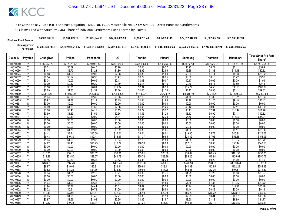| <b>Final Net Fund Amount:</b> | \$4,995,385.28                                                   | \$9,564,189.78     | \$11.829.645.65    | \$17.001.459.93    | \$9.134.731.48 | \$9.122.593.49                                                 | \$22,612,342.89 | \$6,522,667.16     | \$51,535,487.94    |
|-------------------------------|------------------------------------------------------------------|--------------------|--------------------|--------------------|----------------|----------------------------------------------------------------|-----------------|--------------------|--------------------|
|                               | Sum Approved \$7,202,938,719.97<br>Purchases: \$7,202,938,719.97 | \$7,202,938,719.97 | \$7,458,815,028.91 | \$7,202,938,719.97 |                | \$6,285,795,184.10    \$7,244,689,862.24    \$7,244,689,862.24 |                 | \$7.244.689.862.24 | \$7.244.689.862.24 |

| Claim ID            | Payable                 | Chunghwa           | <b>Philips</b>     | Panasonic          | LG                 | Toshiba            | Hitachi            | Samsung            | <b>Thomson</b>     | <b>Mitsubishi</b>    | <b>Total Strict Pro Rata</b><br>Share* |
|---------------------|-------------------------|--------------------|--------------------|--------------------|--------------------|--------------------|--------------------|--------------------|--------------------|----------------------|----------------------------------------|
| 40010040            |                         | \$113,658.73       | \$217,611.58       | \$259,923.44       | \$386,829.90       | \$238,165.64       | \$206,367.86       | \$511,527.88       | \$147,553.31       | \$1,165,816.34       | \$3,247,454.69                         |
| 40010058            | Y                       | \$0.21             | \$0.39             | \$0.47             | \$0.70             | \$0.43             | \$0.37             | \$0.93             | \$0.27             | \$2.11               | \$5.89                                 |
| 40010066            | Y                       | \$1.41             | \$2.70             | \$3.23             | \$4.80             | \$2.96             | \$2.56             | \$6.35             | \$1.83             | \$14.48              | \$40.32                                |
| 40010074            | $\overline{\mathsf{v}}$ | \$0.88             | \$1.68             | \$2.00             | \$2.98             | \$1.83             | \$1.59             | \$3.94             | \$1.14             | \$8.98               | \$25.02                                |
| 40010082            | Y                       | \$0.14             | \$0.27             | \$0.32             | \$0.47             | \$0.29             | \$0.25             | \$0.62             | \$0.18             | \$1.42               | \$3.96                                 |
| 40010090            | Υ                       | \$0.04             | \$0.07             | \$0.09             | \$0.13             | \$0.08             | \$0.07             | \$0.17             | \$0.05             | \$0.39               | \$1.09                                 |
| 40010104            | V                       | \$0.09             | \$0.17             | \$0.20             | \$0.30             | \$0.18             | \$0.16             | \$0.39             | \$0.11             | \$0.89               | \$2.48                                 |
| 40010112            |                         | \$3.50             | \$6.71             | \$8.01             | \$11.92            | \$7.34             | \$6.36             | \$15.77            | \$4.55             | \$35.93              | \$100.09                               |
| 40010120            |                         | \$0.69             | \$1.33             | \$1.59             | \$2.36             | \$1.45             | \$1.26             | \$3.12             | \$0.90             | \$7.11               | \$19.82                                |
| 40010139            | γ                       | \$2,114.22         | \$4,047.90         | \$4,834.97         | \$7,195.62         | \$4,430.24         | \$3,838.75         | \$9,515.19         | \$2,744.71         | \$21,685.93          | \$60,407.53                            |
| 40010147            | Y                       | \$1.04             | \$2.00             | \$2.39             | \$3.55             | \$2.19             | \$1.90             | \$4.70             | \$1.36             | \$10.71              | \$29.83                                |
| 40010155            |                         | \$0.92             | \$1.77             | \$2.11             | \$3.15             | \$1.94             | \$1.68             | \$4.16             | \$1.20             | \$9.48               | \$26.42                                |
| 40010163            | N                       | \$0.00             | \$0.00             | \$0.00             | \$0.00             | \$0.00             | \$0.00             | \$0.00             | \$0.00             | \$0.00               | \$0.00                                 |
| 40010171            | Y                       | \$0.69             | \$1.33             | \$1.59             | \$2.36             | \$1.45             | \$1.26             | \$3.12             | \$0.90             | \$7.11               | \$19.82                                |
| 40010180            | Y                       | \$1.80             | \$3.45             | \$4.12             | \$6.13             | \$3.77             | \$3.27             | \$8.11             | \$2.34             | \$18.47              | \$51.46                                |
| 40010198            | Υ                       | \$0.69             | \$1.33             | \$1.59             | \$2.36             | \$1.45             | \$1.26             | \$3.12             | \$0.90             | \$7.11               | \$19.82                                |
| 40010201            | Y                       | \$1.27             | \$2.43             | \$2.90             | \$4.31             | \$2.66             | \$2.30             | \$5.70             | \$1.65             | \$13.00              | \$36.21                                |
| 40010210            | N                       | \$0.00             | \$0.00             | \$0.00             | \$0.00             | \$0.00             | \$0.00             | \$0.00             | \$0.00             | \$0.00               | \$0.00                                 |
| 40010228            | N                       | \$0.00             | \$0.00             | \$0.00             | \$0.00             | \$0.00             | \$0.00             | \$0.00             | \$0.00             | \$0.00               | \$0.00                                 |
| 40010236            | N                       | \$0.00             | \$0.00             | \$0.00             | \$0.00             | \$0.00             | \$0.00             | \$0.00             | \$0.00             | \$0.00               | \$0.00                                 |
| 40010244            | Y                       | \$0.89             | \$1.70             | \$2.03             | \$3.02             | \$1.86             | \$1.61             | \$4.00             | \$1.15             | \$9.11               | \$25.36                                |
| 40010252            | Y                       | \$4.41             | \$8.44             | \$10.09            | \$15.01            | \$9.24             | \$8.01             | \$19.85            | \$5.73             | \$45.24              | \$126.02                               |
| 40010260            | Y                       | \$5.43             | \$10.39            | \$12.41            | \$18.47            | \$11.37            | \$9.85             | \$24.42            | \$7.05             | \$55.66              | \$155.05                               |
| 40010279            |                         | \$1.04             | \$1.99             | \$2.38             | \$3.54             | \$2.18             | \$1.89             | \$4.68             | \$1.35             | \$10.67              | \$29.72                                |
| 40010287            | Υ                       | \$4.92             | \$9.41             | \$11.25            | \$16.74            | \$10.30            | \$8.93             | \$22.13            | \$6.38             | \$50.44              | \$140.50                               |
| 40010295            | $\overline{N}$          | \$0.00             | \$0.00             | \$0.00             | \$0.00             | \$0.00             | \$0.00             | \$0.00             | \$0.00             | \$0.00               | \$0.00                                 |
| 40010309            | N                       | \$0.00             | \$0.00             | \$0.00             | \$0.00             | \$0.00             | \$0.00             | \$0.00             | \$0.00             | \$0.00               | \$0.00                                 |
| 40010317            | γ                       | \$15.75            | \$30.16            | \$36.02            | \$53.61            | \$33.01            | \$28.60            | \$70.89            | \$20.45            | \$161.57             | \$450.05                               |
| 40010325            |                         | \$12.28            | \$23.50            | \$28.07            | \$41.78            | \$25.72            | \$22.29            | \$55.25            | \$15.94            | \$125.91             | \$350.73                               |
| 40010333            | Y<br>Y                  | \$0.16<br>\$126.78 | \$0.30<br>\$242.73 | \$0.36<br>\$289.93 | \$0.53<br>\$431.49 | \$0.33<br>\$265.66 | \$0.28<br>\$230.19 | \$0.70<br>\$570.58 | \$0.20<br>\$164.59 | \$1.60<br>\$1,300.41 | \$4.46<br>\$3,622.38                   |
| 4001034<br>40010350 |                         | \$9.97             | \$19.09            | \$22.81            | \$33.94            | \$20.90            | \$18.11            | \$44.88            | \$12.95            | \$102.29             | \$284.93                               |
| 40010368            | Y                       | \$9.52             | \$18.22            | \$21.76            | \$32.39            | \$19.94            | \$17.28            | \$42.83            | \$12.35            | \$97.61              | \$271.89                               |
| 40010376            | Y                       | \$0.94             | \$1.81             | \$2.16             | \$3.21             | \$1.98             | \$1.71             | \$4.25             | \$1.23             | \$9.68               | \$26.97                                |
| 40010384            | N                       | \$0.00             | \$0.00             | \$0.00             | \$0.00             | \$0.00             | \$0.00             | \$0.00             | \$0.00             | \$0.00               | \$0.00                                 |
| 40010392            | N                       | \$0.00             | \$0.00             | \$0.00             | \$0.00             | \$0.00             | \$0.00             | \$0.00             | \$0.00             | \$0.00               | \$0.00                                 |
| 40010406            | Υ                       | \$1.04             | \$1.99             | \$2.38             | \$3.54             | \$2.18             | \$1.89             | \$4.68             | \$1.35             | \$10.67              | \$29.72                                |
| 40010414            | Y                       | \$1.94             | \$3.72             | \$4.44             | \$6.61             | \$4.07             | \$3.53             | \$8.74             | \$2.52             | \$19.92              | \$55.48                                |
| 40010422            | $\checkmark$            | \$0.32             | \$0.61             | \$0.73             | \$1.09             | \$0.67             | \$0.58             | \$1.44             | \$0.42             | \$3.29               | \$9.16                                 |
| 40010430            |                         | \$12.49            | \$23.92            | \$28.57            | \$42.52            | \$26.18            | \$22.68            | \$56.22            | \$16.22            | \$128.13             | \$356.92                               |
| 40010449            |                         | \$0.65             | \$1.25             | \$1.49             | \$2.21             | \$1.36             | \$1.18             | \$2.93             | \$0.84             | \$6.67               | \$18.58                                |
| 40010457            | Y                       | \$0.87             | \$1.66             | \$1.98             | \$2.95             | \$1.82             | \$1.57             | \$3.90             | \$1.13             | \$8.89               | \$24.77                                |
|                     |                         |                    |                    |                    |                    |                    |                    |                    |                    |                      |                                        |
| 40010465            |                         | \$10.12            | \$19.38            | \$23.14            | \$34.44            | \$21.21            | \$18.37            | \$45.54            | \$13.14            | \$103.80             | \$289.14                               |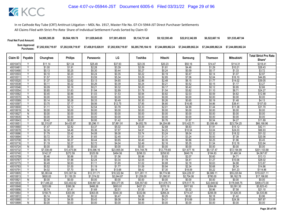| <b>Final Net Fund Amount:</b> | \$4.995.385.28     | \$9,564,189.78     | \$11.829.645.65    | \$17,001,459,93    | \$9.134.731.48     | \$9.122.593.49 | \$22,612,342,89 | \$6,522,667.16     | \$51,535,487.94    |
|-------------------------------|--------------------|--------------------|--------------------|--------------------|--------------------|----------------|-----------------|--------------------|--------------------|
| Sum Approved<br>Purchases:    | \$7,202,938,719.97 | \$7,202,938,719.97 | \$7,458,815,028.91 | \$7,202,938,719.97 | \$6,285,795,184.10 |                |                 | \$7.244.689.862.24 | \$7.244.689.862.24 |

|                      |                         |                        |                           |                           |                           |                           |                      |                           |                        |                        | <b>Total Strict Pro Rata</b> |
|----------------------|-------------------------|------------------------|---------------------------|---------------------------|---------------------------|---------------------------|----------------------|---------------------------|------------------------|------------------------|------------------------------|
| Claim ID             | Payable                 | Chunghwa               | <b>Philips</b>            | Panasonic                 | LG                        | Toshiba                   | Hitachi              | Samsung                   | <b>Thomson</b>         | Mitsubishi             | Share*                       |
| 40010473             |                         | \$11.14                | \$21.34                   | \$25.49                   | \$37.93                   | \$23.35                   | \$20.23              | \$50.16                   | \$14.47                | \$114.31               | \$318.41                     |
| 40010481             | $\overline{V}$          | \$1.00                 | \$1.91                    | \$2.28                    | \$3.39                    | \$2.09                    | \$1.81               | \$4.48                    | \$1.29                 | \$10.21                | \$28.43                      |
| 40010490             |                         | \$0.13                 | \$0.25                    | \$0.30                    | \$0.44                    | \$0.27                    | \$0.24               | \$0.59                    | \$0.17                 | \$1.33                 | \$3.72                       |
| 40010503             | ۷                       | \$0.10                 | \$0.20                    | \$0.24                    | \$0.35                    | \$0.22                    | \$0.19               | \$0.47                    | \$0.14                 | \$1.07                 | \$2.97                       |
| 4001051              | Y                       | \$1.57                 | \$3.01                    | \$3.59                    | \$5.34                    | \$3.29                    | \$2.85               | \$7.06                    | \$2.04                 | \$16.10                | \$44.85                      |
| 40010520             | Ϋ                       | \$1.37                 | \$2.62                    | \$3.13                    | \$4.65                    | \$2.86                    | \$2.48               | \$6.15                    | \$1.77                 | \$14.02                | \$39.05                      |
| 40010538             |                         | \$0.11                 | \$0.22                    | \$0.26                    | \$0.39                    | \$0.24                    | \$0.21               | \$0.52                    | \$0.15                 | \$1.17                 | \$3.27                       |
| 40010546             | Y                       | \$0.09                 | \$0.18                    | \$0.21                    | \$0.32                    | \$0.20                    | \$0.17               | \$0.42                    | \$0.12                 | \$0.95                 | \$2.66                       |
| 40010554             | v                       | \$0.85                 | \$1.63                    | \$1.94                    | \$2.89                    | \$1.78                    | \$1.54               | \$3.82                    | \$1.10                 | \$8.71                 | \$24.27                      |
| 40010562             | Y                       | \$0.45                 | \$0.86                    | \$1.03                    | \$1.53                    | \$0.94                    | \$0.82               | \$2.03                    | \$0.59                 | \$4.62                 | \$12.88                      |
| 40010570             | N                       | \$0.00                 | \$0.00                    | \$0.00                    | \$0.00                    | \$0.00                    | \$0.00               | \$0.00                    | \$0.00                 | \$0.00                 | \$0.00                       |
| 40010589             | Y                       | \$0.14                 | \$0.28                    | \$0.33                    | \$0.49                    | \$0.30                    | \$0.26               | \$0.65                    | \$0.19                 | \$1.48                 | \$4.13                       |
| 40010597             | Y                       | \$3.75                 | \$7.17                    | \$8.56                    | \$12.75                   | \$7.85                    | \$6.80               | \$16.85                   | \$4.86                 | \$38.41                | \$107.00                     |
| 40010600             | ⊽                       | \$1.11                 | \$2.12                    | \$2.54                    | \$3.78                    | \$2.33                    | \$2.01               | \$4.99                    | \$1.44                 | \$11.38                | \$31.70                      |
| 40010619             | N                       | \$0.00                 | \$0.00                    | \$0.00                    | \$0.00                    | \$0.00                    | \$0.00               | \$0.00                    | \$0.00                 | \$0.00                 | \$0.00                       |
| 40010627             | N                       | \$0.00                 | \$0.00                    | \$0.00                    | \$0.00                    | \$0.00                    | \$0.00               | \$0.00                    | \$0.00                 | \$0.00                 | \$0.00                       |
| 40010635             | N                       | \$0.00                 | \$0.00                    | \$0.00                    | \$0.00                    | \$0.00                    | \$0.00               | \$0.00                    | \$0.00                 | \$0.00                 | \$0.00                       |
| 40010643             | Y                       | \$0.42                 | \$0.80                    | \$0.95                    | \$1.42                    | \$0.87                    | \$0.76               | \$1.87                    | \$0.54                 | \$4.27                 | \$11.89                      |
| 40010651             |                         | \$2,315.87             | \$4.433.97                | \$5,296.11                | \$7,881.91                | \$4,852.78                | \$4,204.88           | \$10,422.71               | \$3,006.49             | \$23,754.25            | \$66,168.96                  |
| 40010660             | Y                       | \$1.47                 | \$2.82                    | \$3.37                    | \$5.02                    | \$3.09                    | \$2.68               | \$6.63                    | \$1.91                 | \$15.12                | \$42.11                      |
| 40010678             | Y                       | \$2.34                 | \$4.48                    | \$5.36                    | \$7.97                    | \$4.91                    | \$4.25               | \$10.54                   | \$3.04                 | \$24.03                | \$66.93                      |
| 40010686             | Y                       | \$1.79                 | \$3.42                    | \$4.08                    | \$6.08                    | \$3.74                    | \$3.24               | \$8.04                    | \$2.32                 | \$18.32                | \$51.02                      |
| 40010694             |                         | \$0.72                 | \$1.38                    | \$1.65                    | \$2.45                    | \$1.51                    | \$1.31               | \$3.24                    | \$0.93                 | \$7.38                 | \$20.56                      |
| 40010708             | Υ                       | \$0.19                 | \$0.37                    | \$0.44                    | \$0.65                    | \$0.40                    | \$0.35               | \$0.86                    | \$0.25                 | \$1.96                 | \$5.45                       |
| 40010716             | Υ                       | \$1.19                 | \$2.27                    | \$2.72                    | \$4.04                    | \$2.49                    | \$2.16               | \$5.35                    | \$1.54                 | \$12.18                | \$33.94                      |
| 40010724             | $\overline{\mathsf{N}}$ | \$0.00                 | \$0.00                    | \$0.00                    | \$0.00                    | \$0.00                    | \$0.00               | \$0.00                    | \$0.00                 | \$0.00                 | \$0.00                       |
| 40010732             | Y                       | \$7,038.49             | \$13,475.94               | \$16,096.16               | \$23,955.04               | \$14,748.78               | \$12,779.65          | \$31,677.16               | \$9,137.47             | \$72,194.99            | \$201,103.68                 |
| 40010740             | Ϋ                       | \$142.37               | \$272.59                  | \$325.59                  | \$484.56                  | \$298.33                  | \$258.50             | \$640.76                  | \$184.83               | \$1,460.34             | \$4,067.87                   |
| 40010759             | Y                       | \$0.46                 | \$0.88                    | \$1.05                    | \$1.56                    | \$0.96                    | \$0.83               | \$2.07                    | \$0.60                 | \$4.71                 | \$13.13                      |
| 40010767             | Y                       | \$0.98                 | \$1.88                    | \$2.24                    | \$3.34                    | \$2.05                    | \$1.78               | \$4.41                    | \$1.27                 | \$10.06                | \$28.02                      |
| 40010775             | Υ                       | \$0.49                 | \$0.93                    | \$1.11                    | \$1.65                    | \$1.02                    | \$0.88               | \$2.18                    | \$0.63                 | \$4.98                 | \$13.87                      |
| 40010783             | Y                       | \$0.52                 | \$1.00                    | \$1.19                    | \$1.77                    | \$1.09                    | \$0.94               | \$2.34                    | \$0.68                 | \$5.34                 | \$14.86                      |
| 40010791             | Y                       | \$4.02                 | \$7.70                    | \$9.19                    | \$13.68                   | \$8.42                    | \$7.30<br>\$9,774.96 | \$18.09                   | \$5.22                 | \$41.23<br>\$55,220.84 | \$114.86                     |
| 40010805<br>40010813 | Υ                       | \$5,383.64<br>\$600.83 | \$10,307.54<br>\$1.150.35 | \$12,311.71<br>\$1.374.02 | \$18,322.84<br>\$2,044.87 | \$11,281.11<br>\$1,259.00 | \$1.090.91           | \$24,229.37<br>\$2.704.06 | \$6,989.11<br>\$780.00 | \$6,162.78             | \$153,821.11<br>\$17,166.80  |
| 4001082              | N                       | \$0.00                 | \$0.00                    | \$0.00                    | \$0.00                    | \$0.00                    | \$0.00               | \$0.00                    | \$0.00                 | \$0.00                 | \$0.00                       |
| 40010830             | Y                       | \$17,446.22            | \$33,402.62               | \$39,897.34               | \$59,377.05               | \$36,557.60               | \$31,676.75          | \$78,517.75               | \$22,648.92            | \$178,948.75           | \$498,473.00                 |
| 40010848             |                         | \$203.89               | \$390.36                  | \$466.26                  | \$693.91                  | \$427.23                  | \$370.19             | \$917.60                  | \$264.69               | \$2,091.30             | \$5,825.43                   |
| 40010856             |                         | \$0.74                 | \$1.41                    | \$1.69                    | \$2.51                    | \$1.55                    | \$1.34               | \$3.32                    | \$0.96                 | \$7.58                 | \$21.10                      |
| 40010864             | V                       | \$158.75               | \$303.95                  | \$363.05                  | \$540.30                  | \$332.66                  | \$288.24             | \$714.47                  | \$206.09               | \$1,628.35             | \$4,535.86                   |
| 40010872             | $\vee$                  | \$0.14                 | \$0.27                    | \$0.32                    | \$0.47                    | \$0.29                    | \$0.25               | \$0.62                    | \$0.18                 | \$1.42                 | \$3.96                       |
| 40010880             |                         | \$2.38                 | \$4.55                    | \$5.43                    | \$8.08                    | \$4.98                    | \$4.31               | \$10.69                   | \$3.08                 | \$24.36                | \$67.87                      |
| 40010899             | Ñ                       | \$0.00                 | \$0.00                    | \$0.00                    | \$0.00                    | \$0.00                    | \$0.00               | \$0.00                    | \$0.00                 | \$0.00                 | \$0.00                       |
|                      |                         |                        |                           |                           |                           |                           |                      |                           |                        |                        |                              |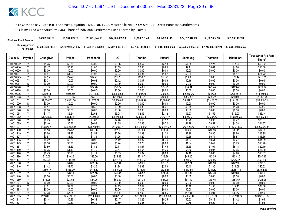| <b>Final Net Fund Amount:</b> | \$4,995,385.28     | \$9,564,189.78     | \$11.829.645.65    | \$17,001,459.93    | \$9.134.731.48     | \$9,122,593.49     | \$22,612,342.89    | \$6,522,667.16     | \$51,535,487.94    |
|-------------------------------|--------------------|--------------------|--------------------|--------------------|--------------------|--------------------|--------------------|--------------------|--------------------|
| Sum Approved<br>Purchases:    | \$7,202,938,719.97 | \$7,202,938,719.97 | \$7,458,815,028.91 | \$7,202,938,719.97 | \$6,285,795,184.10 | \$7.244.689.862.24 | \$7.244.689.862.24 | \$7.244.689.862.24 | \$7.244.689.862.24 |

|          |                         |             |                       |             |             |             |             |                        |                |                   | <b>Total Strict Pro Rata</b> |
|----------|-------------------------|-------------|-----------------------|-------------|-------------|-------------|-------------|------------------------|----------------|-------------------|------------------------------|
| Claim ID | Payable                 | Chunghwa    | <b>Philips</b>        | Panasonic   | LG          | Toshiba     | Hitachi     | Samsung                | <b>Thomson</b> | <b>Mitsubishi</b> | Share*                       |
| 40010902 |                         | \$1.75      | \$3.35                | \$4.00      | \$5.96      | \$3.67      | \$3.18      | \$7.88                 | \$2.27         | \$17.96           | \$50.02                      |
| 40010910 | Y                       | \$0.47      | \$0.90                | \$1.07      | \$1.59      | \$0.98      | \$0.85      | \$2.11                 | \$0.61         | \$4.80            | \$13.38                      |
| 40010929 | N                       | \$0.00      | \$0.00                | \$0.00      | \$0.00      | \$0.00      | \$0.00      | \$0.00                 | \$0.00         | \$0.00            | \$0.00                       |
| 40010937 | Y                       | \$0.87      | \$1.66                | \$1.98      | \$2.94      | \$1.81      | \$1.57      | \$3.89                 | \$1.12         | \$8.87            | \$24.72                      |
| 40010945 | Y                       | \$7.55      | \$14.45               | \$17.27     | \$25.70     | \$15.82     | \$13.71     | \$33.98                | \$9.80         | \$77.44           | \$215.71                     |
| 40010953 | Y                       | \$0.03      | \$0.07                | \$0.08      | \$0.12      | \$0.07      | \$0.06      | \$0.16                 | \$0.05         | \$0.36            | \$0.99                       |
| 40010961 | $\overline{N}$          | \$0.00      | \$0.00                | \$0.00      | \$0.00      | \$0.00      | \$0.00      | \$0.00                 | \$0.00         | \$0.00            | \$0.00                       |
| 40010970 |                         | \$16.52     | \$31.63               | \$37.78     | \$56.22     | \$34.61     | \$29.99     | \$74.34                | \$21.44        | \$169.43          | \$471.97                     |
| 40010988 | N                       | \$0.00      | \$0.00                | \$0.00      | \$0.00      | \$0.00      | \$0.00      | \$0.00                 | \$0.00         | \$0.00            | \$0.00                       |
| 40010996 | v                       | \$499.11    | \$955.59              | \$1,141.40  | \$1,698.68  | \$1,045.85  | \$906.22    | \$2,246.26             | \$647.95       | \$5,119.43        | \$14,260.50                  |
| 40011003 | Y                       | \$68.34     | \$130.85              | \$156.29    | \$232.59    | \$143.21    | \$124.09    | \$307.57               | \$88.72        | \$700.99          | \$1,952.64                   |
| 4001101  |                         | \$1,870.70  | \$3,581.66            | \$4,278.07  | \$6,366.82  | \$3,919.96  | \$3,396.60  | \$8,419.21             | \$2,428.57     | \$19,188.12       | \$53,449.71                  |
| 40011020 | N                       | \$0.00      | \$0.00                | \$0.00      | \$0.00      | \$0.00      | \$0.00      | \$0.00                 | \$0.00         | \$0.00            | \$0.00                       |
| 40011038 | ٧                       | \$0.17      | \$0.33                | \$0.40      | \$0.59      | \$0.36      | \$0.31      | \$0.78                 | \$0.23         | \$1.78            | \$4.95                       |
| 40011046 | $\overline{N}$          | \$0.00      | \$0.00                | \$0.00      | \$0.00      | \$0.00      | \$0.00      | \$0.00                 | \$0.00         | \$0.00            | \$0.00                       |
| 40011054 |                         | \$1.17      | \$2.24                | \$2.68      | \$3.98      | \$2.45      | \$2.12      | \$5.27                 | \$1.52         | \$12.00           | \$33.44                      |
| 40011062 | Y                       | \$1,838.30  | \$3,519.61            | \$4,203.96  | \$6,256.53  | \$3,852.05  | \$3,337.76  | \$8,273.37             | \$2,386.50     | \$18,855.73       | \$52,523.81                  |
| 40011070 | Y                       | \$0.73      | \$1.39                | \$1.67      | \$2.48      | \$1.53      | \$1.32      | \$3.28                 | \$0.95         | \$7.47            | \$20.81                      |
| 40011089 | $\overline{\mathsf{v}}$ | \$0.40      | \$0.76                | \$0.91      | \$1.35      | \$0.83      | \$0.72      | \$1.79                 | \$0.52         | \$4.08            | \$11.37                      |
| 40011097 |                         | \$13,870.41 | \$26,556.35           | \$31,719.91 | \$47,207.01 | \$29,064.68 | \$25,184.22 | \$62,424.60            | \$18,006.75    | \$142,271.07      | \$396,305.00                 |
| 40011100 | Υ                       | \$8.13      | \$15.57               | \$18.60     | \$27.68     | \$17.04     | \$14.76     | \$36.60                | \$10.56        | \$83.41           | \$232.33                     |
| 40011119 | Y                       | \$0.66      | \$1.27                | \$1.52      | \$2.26      | \$1.39      | \$1.20      | \$2.98                 | \$0.86         | \$6.80            | \$18.95                      |
| 40011127 | Δ                       | \$0.57      | \$1.10                | \$1.31      | \$1.95      | \$1.20      | \$1.04      | \$2.58                 | \$0.74         | \$5.87            | \$16.35                      |
| 40011135 |                         | \$0.42      | \$0.80                | \$0.95      | \$1.42      | \$0.87      | \$0.76      | \$1.87                 | \$0.54         | \$4.27            | \$11.89                      |
| 40011143 |                         | \$0.36      | \$0.70                | \$0.83      | \$1.24      | \$0.76      | \$0.66      | \$1.64                 | \$0.47         | \$3.73            | \$10.40                      |
| 40011151 | Y                       | \$0.80      | \$1.53                | \$1.82      | \$2.71      | \$1.67      | \$1.45      | \$3.59                 | \$1.04         | \$8.18            | \$22.79                      |
| 40011160 | $\vee$                  | \$0.75      | \$1.43                | \$1.70      | \$2.54      | \$1.56      | \$1.35      | \$3.36                 | \$0.97         | \$7.65            | \$21.30                      |
| 40011178 |                         | \$0.49      | \$0.93                | \$1.11      | \$1.65      | \$1.02      | \$0.88      | \$2.18                 | \$0.63         | \$4.98            | \$13.87                      |
| 40011186 | v                       | \$10.06     | \$19.25               | \$23.00     | \$34.23     | \$21.07     | \$18.26     | \$45.26                | \$13.05        | \$103.15          | \$287.32                     |
| 40011194 | Y                       | \$62.05     | \$118.80              | \$141.90    | \$211.19    | \$130.03    | \$112.67    | \$279.27               | \$80.56        | \$636.47          | \$1,772.93                   |
| 40011208 | Y                       | \$13.94     | \$26.69               | \$31.88     | \$47.44     | \$29.21     | \$25.31     | \$62.74                | \$18.10        | \$142.98          | \$398.29                     |
| 40011216 |                         | \$1.42      | \$2.72                | \$3.25      | \$4.84      | \$2.98      | \$2.58      | \$6.40                 | \$1.85         | \$14.58           | \$40.62                      |
| 40011224 | Y                       | \$180.77    | \$346.09              | \$413.39    | \$615.22    | \$378.78    | \$328.21    | \$813.55               | \$234.67       | \$1,854.14        | \$5,164.83                   |
| 40011232 | Y                       | \$13.64     | \$26.11               | \$31.18     | \$46.41     | \$28.57     | \$24.76     | \$61.37                | \$17.70        | \$139.86          | \$389.60                     |
| 40011240 | N                       | \$0.00      | \$0.00                | \$0.00      | \$0.00      | \$0.00      | \$0.00      | \$0.00                 | \$0.00         | \$0.00            | \$0.00                       |
| 40011259 | Y                       | \$14.98     | \$28.68               | \$34.26     | \$50.99     | \$31.39     | \$27.20     | \$67.42                | \$19.45        | \$153.67          | \$428.05                     |
| 40011267 | N                       | \$0.00      | \$0.00                | \$0.00      | \$0.00      | \$0.00      | \$0.00      | \$0.00                 | \$0.00         | \$0.00            | \$0.00                       |
| 40011275 | Y                       | \$1.21      | \$2.32                | \$2.78      | \$4.13      | \$2.54      | \$2.20      | \$5.46                 | \$1.58         | \$12.45           | \$34.68                      |
| 40011283 | Ñ                       | \$0.00      | \$0.00                | \$0.00      | \$0.00      | \$0.00      | \$0.00      | \$0.00                 | \$0.00         | \$0.00            | \$0.00                       |
| 40011291 |                         | \$3.78      | \$7.24<br>\$22,995.00 | \$8.64      | \$12.86     | \$7.92      | \$6.86      | \$17.01<br>\$54,053.12 | \$4.91         | \$38.77           | \$107.99                     |
| 40011305 | Y                       | \$12,010.31 |                       | \$27,466.09 | \$40,876.29 | \$25,166.95 | \$21,806.88 |                        | \$15,591.95    | \$123,191.74      | \$343,158.35                 |
| 40011313 |                         | \$0.14      | \$0.26                | \$0.32      | \$0.47      | \$0.29      | \$0.25      | \$0.62                 | \$0.18         | \$1.42            | \$3.94                       |
| 40011321 |                         | \$0.17      | \$0.33                | \$0.39      | \$0.59      | \$0.36      | \$0.31      | \$0.78                 | \$0.22         | \$1.77            | \$4.93                       |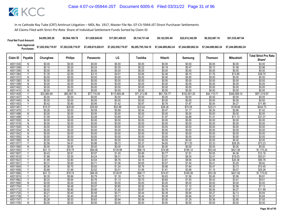| <b>Final Net Fund Amount:</b> | \$4,995,385.28     | \$9.564.189.78     | \$11.829.645.65    | \$17.001.459.93    | \$9.134.731.48     | \$9.122.593.49     | \$22.612.342.89    | \$6,522,667.16     | \$51,535,487.94    |
|-------------------------------|--------------------|--------------------|--------------------|--------------------|--------------------|--------------------|--------------------|--------------------|--------------------|
| Sum Approved<br>Purchases:    | \$7,202,938,719.97 | \$7,202,938,719.97 | \$7,458,815,028.91 | \$7,202,938,719.97 | \$6,285,795,184.10 | \$7.244.689.862.24 | \$7.244.689.862.24 | \$7.244.689.862.24 | \$7.244.689.862.24 |

|          |                                |             |                |             |              |             |             |              |                |                   | <b>Total Strict Pro Rata</b> |
|----------|--------------------------------|-------------|----------------|-------------|--------------|-------------|-------------|--------------|----------------|-------------------|------------------------------|
| Claim ID | Payable                        | Chunghwa    | <b>Philips</b> | Panasonic   | LG           | Toshiba     | Hitachi     | Samsung      | <b>Thomson</b> | <b>Mitsubishi</b> | Share*                       |
| 40011330 | N                              | \$0.00      | \$0.00         | \$0.00      | \$0.00       | \$0.00      | \$0.00      | \$0.00       | \$0.00         | \$0.00            | \$0.00                       |
| 40011348 | Y                              | \$0.10      | \$0.20         | \$0.24      | \$0.35       | \$0.22      | \$0.19      | \$0.47       | \$0.13         | \$1.06            | \$2.96                       |
| 40011356 | N                              | \$0.00      | \$0.00         | \$0.00      | \$0.00       | \$0.00      | \$0.00      | \$0.00       | \$0.00         | \$0.00            | \$0.00                       |
| 40011364 | $\checkmark$                   | \$1.35      | \$2.59         | \$3.10      | \$4.61       | \$2.84      | \$2.46      | \$6.10       | \$1.76         | \$13.89           | \$38.70                      |
| 40011372 | N                              | \$0.00      | \$0.00         | \$0.00      | \$0.00       | \$0.00      | \$0.00      | \$0.00       | \$0.00         | \$0.00            | \$0.00                       |
| 40011380 | N                              | \$0.00      | \$0.00         | \$0.00      | \$0.00       | \$0.00      | \$0.00      | \$0.00       | \$0.00         | \$0.00            | \$0.00                       |
| 40011399 | N                              | \$0.00      | \$0.00         | \$0.00      | \$0.00       | \$0.00      | \$0.00      | \$0.00       | \$0.00         | \$0.00            | \$0.00                       |
| 40011402 | N                              | \$0.00      | \$0.00         | \$0.00      | \$0.00       | \$0.00      | \$0.00      | \$0.00       | \$0.00         | \$0.00            | \$0.00                       |
| 40011410 | N                              | \$0.00      | \$0.00         | \$0.00      | \$0.00       | \$0.00      | \$0.00      | \$0.00       | \$0.00         | \$0.00            | \$0.00                       |
| 40011429 | Y                              | \$33,984.94 | \$65,067.74    | \$77,719.35 | \$115,665.48 | \$71,213.58 | \$61,705.77 | \$152,951.25 | \$44,119.71    | \$348,589.14      | \$971,016.97                 |
| 40011437 | N                              | \$0.00      | \$0.00         | \$0.00      | \$0.00       | \$0.00      | \$0.00      | \$0.00       | \$0.00         | \$0.00            | \$0.00                       |
| 40011445 | N                              | \$0.00      | \$0.00         | \$0.00      | \$0.00       | \$0.00      | \$0.00      | \$0.00       | \$0.00         | \$0.00            | \$0.00                       |
| 40011453 | Y                              | \$0.42      | \$0.80         | \$0.95      | \$1.42       | \$0.87      | \$0.76      | \$1.87       | \$0.54         | \$4.27            | \$11.89                      |
| 4001146  | Υ                              | \$15.57     | \$29.80        | \$35.60     | \$52.98      | \$32.62     | \$28.26     | \$70.05      | \$20.21        | \$159.66          | \$444.73                     |
| 40011470 | $\checkmark$                   | \$0.26      | \$0.50         | \$0.59      | \$0.88       | \$0.54      | \$0.47      | \$1.17       | \$0.34         | \$2.66            | \$7.42                       |
| 40011488 | N                              | \$0.00      | \$0.00         | \$0.00      | \$0.00       | \$0.00      | \$0.00      | \$0.00       | \$0.00         | \$0.00            | \$0.00                       |
| 40011496 | Υ                              | \$1.09      | \$2.08         | \$2.48      | \$3.69       | \$2.27      | \$1.97      | \$4.88       | \$1.41         | \$11.13           | \$31.01                      |
| 40011500 | N                              | \$0.00      | \$0.00         | \$0.00      | \$0.00       | \$0.00      | \$0.00      | \$0.00       | \$0.00         | \$0.00            | \$0.00                       |
| 40011518 | N                              | \$0.00      | \$0.00         | \$0.00      | \$0.00       | \$0.00      | \$0.00      | \$0.00       | \$0.00         | \$0.00            | \$0.00                       |
| 40011526 | N                              | \$0.00      | \$0.00         | \$0.00      | \$0.00       | \$0.00      | \$0.00      | \$0.00       | \$0.00         | \$0.00            | \$0.00                       |
| 40011534 | Ñ                              | \$0.00      | \$0.00         | \$0.00      | \$0.00       | \$0.00      | \$0.00      | \$0.00       | \$0.00         | \$0.00            | \$0.00                       |
| 40011542 | N                              | \$0.00      | \$0.00         | \$0.00      | \$0.00       | \$0.00      | \$0.00      | \$0.00       | \$0.00         | \$0.00            | \$0.00                       |
| 40011550 | Ñ                              | \$0.00      | \$0.00         | \$0.00      | \$0.00       | \$0.00      | \$0.00      | \$0.00       | \$0.00         | \$0.00            | \$0.00                       |
| 40011569 | N                              | \$0.00      | \$0.00         | \$0.00      | \$0.00       | \$0.00      | \$0.00      | \$0.00       | \$0.00         | \$0.00            | \$0.00                       |
| 40011577 | ٧                              | \$2.56      | \$4.91         | \$5.86      | \$8.72       | \$5.37      | \$4.65      | \$11.53      | \$3.33         | \$26.29           | \$73.23                      |
| 40011585 | $\overline{N}$                 | \$0.00      | \$0.00         | \$0.00      | \$0.00       | \$0.00      | \$0.00      | \$0.00       | \$0.00         | \$0.00            | \$0.00                       |
| 40011593 | $\checkmark$                   | \$41.13     | \$78.75        | \$94.06     | \$139.99     | \$86.19     | \$74.68     | \$185.12     | \$53.40        | \$421.90          | \$1,175.24                   |
| 40011607 | Y                              | \$0.43      | \$0.81         | \$0.97      | \$1.45       | \$0.89      | \$0.77      | \$1.91       | \$0.55         | \$4.36            | \$12.16                      |
| 40011615 | γ                              | \$1.86      | \$3.55         | \$4.24      | \$6.31       | \$3.89      | \$3.37      | \$8.35       | \$2.41         | \$19.03           | \$53.01                      |
| 40011623 | $\checkmark$                   | \$1.99      | \$3.80         | \$4.54      | \$6.76       | \$4.16      | \$3.61      | \$8.94       | \$2.58         | \$20.38           | \$56.76                      |
| 4001163  |                                | \$0.31      | \$0.60         | \$0.71      | \$1.06       | \$0.65      | \$0.57      | \$1.40       | \$0.41         | \$3.20            | \$8.92                       |
| 40011640 | γ                              | \$0.36      | \$0.70         | \$0.83      | \$1.24       | \$0.76      | \$0.66      | \$1.64       | \$0.47         | \$3.73            | \$10.40                      |
| 40011658 | Y                              | \$0.88      | \$1.69         | \$2.02      | \$3.01       | \$1.85      | \$1.61      | \$3.98       | \$1.15         | \$9.07            | \$25.26                      |
| 40011666 | Y                              | \$41.12     | \$78.74        | \$94.05     | \$139.97     | \$86.17     | \$74.67     | \$185.08     | \$53.39        | \$421.82          | \$1,175.02                   |
| 40011674 |                                | \$0.35      | \$0.66         | \$0.79      | \$1.18       | \$0.73      | \$0.63      | \$1.56       | \$0.45         | \$3.56            | \$9.91                       |
| 40011682 | Y                              | \$0.33      | \$0.64         | \$0.76      | \$1.13       | \$0.70      | \$0.60      | \$1.50       | \$0.43         | \$3.41            | \$9.51                       |
| 40011690 | $\overline{N}$<br>$\checkmark$ | \$0.00      | \$0.00         | \$0.00      | \$0.00       | \$0.00      | \$0.00      | \$0.00       | \$0.00         | \$0.00            | \$0.00                       |
| 40011704 |                                | \$0.25      | \$0.48         | \$0.57      | \$0.85       | \$0.52      | \$0.45      | \$1.12       | \$0.32         | \$2.56            | \$7.13                       |
| 40011712 |                                | \$0.42      | \$0.80         | \$0.95      | \$1.42       | \$0.87      | \$0.76      | \$1.87       | \$0.54         | \$4.27            | \$11.89                      |
| 40011720 | γ                              | \$0.21      | \$0.40         | \$0.48      | \$0.71       | \$0.44      | \$0.38      | \$0.94       | \$0.27         | \$2.13            | \$5.94                       |
| 40011739 | Υ                              | \$0.21      | \$0.40         | \$0.48      | \$0.71       | \$0.44      | \$0.38      | \$0.94       | \$0.27         | \$2.13            | \$5.94                       |
| 40011747 |                                | \$0.28      | \$0.53         | \$0.63      | \$0.94       | \$0.58      | \$0.50      | \$1.25       | \$0.36         | \$2.85            | \$7.93                       |
| 40011755 | N                              | \$0.00      | \$0.00         | \$0.00      | \$0.00       | \$0.00      | \$0.00      | \$0.00       | \$0.00         | \$0.00            | \$0.00                       |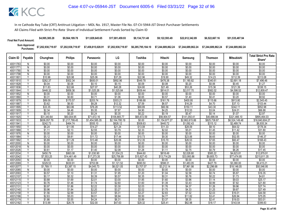| <b>Final Net Fund Amount:</b> | \$4,995,385.28     | \$9.564.189.78     | \$11.829.645.65    | \$17.001.459.93    | \$9.134.731.48     | \$9.122.593.49     | \$22.612.342.89                       | \$6,522,667.16 | \$51,535,487.94    |
|-------------------------------|--------------------|--------------------|--------------------|--------------------|--------------------|--------------------|---------------------------------------|----------------|--------------------|
| Sum Approved<br>:Purchases    | \$7,202,938,719.97 | \$7,202,938,719.97 | \$7,458,815,028.91 | \$7,202,938,719.97 | \$6,285,795,184.10 | \$7.244.689.862.24 | \$7.244.689.862.24 \$7.244.689.862.24 |                | \$7.244.689.862.24 |

|          |                |              |                |                |                |             |                |                |                | <b>Mitsubishi</b> | <b>Total Strict Pro Rata</b> |
|----------|----------------|--------------|----------------|----------------|----------------|-------------|----------------|----------------|----------------|-------------------|------------------------------|
| Claim ID | Payable        | Chunghwa     | <b>Philips</b> | Panasonic      | LG             | Toshiba     | Hitachi        | Samsung        | <b>Thomson</b> |                   | Share*                       |
| 40011763 | N              | \$0.00       | \$0.00         | \$0.00         | \$0.00         | \$0.00      | \$0.00         | \$0.00         | \$0.00         | \$0.00            | \$0.00                       |
| 4001177  | N              | \$0.00       | \$0.00         | \$0.00         | \$0.00         | \$0.00      | \$0.00         | \$0.00         | \$0.00         | \$0.00            | \$0.00                       |
| 40011780 | N              | \$0.00       | \$0.00         | \$0.00         | \$0.00         | \$0.00      | \$0.00         | \$0.00         | \$0.00         | \$0.00            | \$0.00                       |
| 40011798 | N              | \$0.00       | \$0.00         | \$0.00         | \$0.00         | \$0.00      | \$0.00         | \$0.00         | \$0.00         | \$0.00            | \$0.00                       |
| 4001180  | Y              | \$10.96      | \$20.98        | \$25.06        | \$37.29        | \$22.96     | \$19.90        | \$49.32        | \$14.23        | \$112.39          | \$313.08                     |
| 40011810 | γ              | \$262.37     | \$502.34       | \$600.01       | \$892.96       | \$549.78    | \$476.38       | \$1,180.82     | \$340.61       | \$2,691.18        | \$7,496.46                   |
| 40011828 | Y              | \$0.04       | \$0.08         | \$0.10         | \$0.15         | \$0.09      | \$0.08         | \$0.20         | \$0.06         | \$0.45            | \$1.27                       |
| 40011836 | ٧              | \$11.83      | \$22.66        | \$27.07        | \$40.28        | \$24.80     | \$21.49        | \$53.26        | \$15.36        | \$121.39          | \$338.15                     |
| 40011844 | ٧              | \$448.32     | \$858.36       | \$1,025.26     | \$1,525.84     | \$939.44    | \$814.01       | \$2,017.70     | \$582.02       | \$4,598.52        | \$12,809.47                  |
| 40011852 | $\overline{N}$ | \$0.00       | \$0.00         | \$0.00         | \$0.00         | \$0.00      | \$0.00         | \$0.00         | \$0.00         | \$0.00            | \$0.00                       |
| 40011860 | $\checkmark$   | \$0.31       | \$0.60         | \$0.71         | \$1.06         | \$0.65      | \$0.57         | \$1.40         | \$0.41         | \$3.20            | \$8.92                       |
| 40011879 |                | \$89.09      | \$170.57       | \$203.74       | \$303.21       | \$186.68    | \$161.76       | \$400.95       | \$115.66       | \$913.80          | \$2,545.45                   |
| 40011887 | Υ              | \$3.62       | \$6.93         | \$8.28         | \$12.32        | \$7.59      | \$6.57         | \$16.29        | \$4.70         | \$37.13           | \$103.44                     |
| 40011895 | γ              | \$33.35      | \$63.86        | \$76.28        | \$113.52       | \$69.89     | \$60.56        | \$150.11       | \$43.30        | \$342.11          | \$952.98                     |
| 40011909 | $\checkmark$   | \$2.34       | \$4.48         | \$5.35         | \$7.97         | \$4.90      | \$4.25         | \$10.53        | \$3.04         | \$24.01           | \$66.88                      |
| 40011917 | Y              | \$0.10       | \$0.20         | \$0.24         | \$0.35         | \$0.22      | \$0.19         | \$0.47         | \$0.14         | \$1.07            | \$2.97                       |
| 40011925 | Υ              | \$31,340.64  | \$60,004.95    | \$71,672.16    | \$106,665.77   | \$65,672.59 | \$56,904.57    | \$141,050.41   | \$40,686.84    | \$321,466.10      | \$895,464.03                 |
| 40011933 | Y              | \$636,057.79 | \$1,217,799.45 | \$1,454,585.35 | \$2,164,780.19 | \$0.00      | \$1,154,877.27 | \$2,862,615.86 | \$825,738.87   | \$6,524,149.48    | \$16,840,604.27              |
| 4001194  | $\checkmark$   | \$242.73     | \$464.74       | \$555.10       | \$826.12       | \$508.63    | \$440.72       | \$1,092.43     | \$315.12       | \$2,489.74        | \$6,935.34                   |
| 40011950 | Υ              | \$6.24       | \$11.95        | \$14.27        | \$21.24        | \$13.08     | \$11.33        | \$28.09        | \$8.10         | \$64.02           | \$178.34                     |
| 40011968 | Υ              | \$1.11       | \$2.13         | \$2.55         | \$3.79         | \$2.33      | \$2.02         | \$5.01         | \$1.45         | \$11.42           | \$31.80                      |
| 40011976 | N              | \$0.00       | \$0.00         | \$0.00         | \$0.00         | \$0.00      | \$0.00         | \$0.00         | \$0.00         | \$0.00            | \$0.00                       |
| 40011984 | Y              | \$5.12       | \$9.81         | \$11.72        | \$17.44        | \$10.73     | \$9.30         | \$23.06        | \$6.65         | \$52.55           | \$146.37                     |
| 40011992 | Y              | \$5.89       | \$11.29        | \$13.48        | \$20.06        | \$12.35     | \$10.70        | \$26.53        | \$7.65         | \$60.47           | \$168.43                     |
| 40012000 | N              | \$0.00       | \$0.00         | \$0.00         | \$0.00         | \$0.00      | \$0.00         | \$0.00         | \$0.00         | \$0.00            | \$0.00                       |
| 40012018 | $\overline{N}$ | \$0.00       | \$0.00         | \$0.00         | \$0.00         | \$0.00      | \$0.00         | \$0.00         | \$0.00         | \$0.00            | \$0.00                       |
| 40012026 | Y              | \$0.61       | \$1.17         | \$1.40         | \$2.08         | \$1.28      | \$1.11         | \$2.75         | \$0.79         | \$6.26            | \$17.45                      |
| 40012034 | Y              | \$450.79     | \$863.08       | \$1,030.90     | \$1,534.23     | \$944.60    | \$818.49       | \$2,028.80     | \$585.22       | \$4,623.81        | \$12,879.91                  |
| 40012042 | Y              | \$7,553.25   | \$14,461.49    | \$17,273.35    | \$25,706.99    | \$15,827.43 | \$13,714.29    | \$33,993.86    | \$9,805.73     | \$77,474.95       | \$215,811.35                 |
| 40012050 | N              | \$0.00       | \$0.00         | \$0.00         | \$0.00         | \$0.00      | \$0.00         | \$0.00         | \$0.00         | \$0.00            | \$0.00                       |
| 40012069 | Υ              | \$329.53     | \$630.91       | \$753.58       | \$1,121.52     | \$690.50    | \$598.31       | \$1,483.05     | \$427.79       | \$3,380.00        | \$9,415.21                   |
| 40012077 | Υ              | \$1,769.11   | \$3,387.15     | \$4,045.73     | \$6,021.05     | \$3,707.07  | \$3,212.14     | \$7,961.98     | \$2,296.68     | \$18,146.05       | \$50,546.95                  |
| 40012085 | N              | \$0.00       | \$0.00         | \$0.00         | \$0.00         | \$0.00      | \$0.00         | \$0.00         | \$0.00         | \$0.00            | \$0.00                       |
| 40012093 | $\vee$         | \$0.57       | \$1.10         | \$1.31         | \$1.95         | \$1.20      | \$1.04         | \$2.58         | \$0.74         | \$5.87            | \$16.35                      |
| 40012107 | Y              | \$0.17       | \$0.32         | \$0.39         | \$0.57         | \$0.35      | \$0.31         | \$0.76         | \$0.22         | \$1.73            | \$4.81                       |
| 40012115 | Υ              | \$0.88       | \$1.69         | \$2.01         | \$3.00         | \$1.85      | \$1.60         | \$3.96         | \$1.14         | \$9.03            | \$25.17                      |
| 40012123 | Y              | \$0.76       | \$1.46         | \$1.74         | \$2.60         | \$1.60      | \$1.39         | \$3.43         | \$0.99         | \$7.82            | \$21.80                      |
| 40012131 | $\vee$         | \$0.97       | \$1.86         | \$2.22         | \$3.30         | \$2.03      | \$1.76         | \$4.37         | \$1.26         | \$9.96            | \$27.74                      |
| 40012140 | Y              | \$0.96       | \$1.84         | \$2.20         | \$3.27         | \$2.02      | \$1.75         | \$4.33         | \$1.25         | \$9.87            | \$27.49                      |
| 40012158 | Υ              | \$1.56       | \$2.99         | \$3.57         | \$5.31         | \$3.27      | \$2.83         | \$7.02         | \$2.03         | \$16.01           | \$44.58                      |
| 40012166 | $\vee$         | \$2.63       | \$5.03         | \$6.01         | \$8.94         | \$5.50      | \$4.77         | \$11.82        | \$3.41         | \$26.94           | \$75.05                      |
| 40012174 |                | \$1.86       | \$3.55         | \$4.24         | \$6.31         | \$3.89      | \$3.37         | \$8.35         | \$2.41         | \$19.03           | \$53.01                      |
| 40012182 | γ              | \$13.99      | \$26.79        | \$32.00        | \$47.63        | \$29.32     | \$25.41        | \$62.98        | \$18.17        | \$143.54          | \$399.83                     |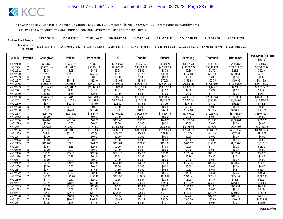| <b>Final Net Fund Amount:</b> | \$4,995,385.28                                                   | \$9,564,189.78     | \$11.829.645.65    | \$17.001.459.93    | \$9.134.731.48 | \$9.122.593.49                                                 | \$22,612,342.89 | \$6,522,667.16     | \$51,535,487.94    |
|-------------------------------|------------------------------------------------------------------|--------------------|--------------------|--------------------|----------------|----------------------------------------------------------------|-----------------|--------------------|--------------------|
|                               | Sum Approved \$7,202,938,719.97<br>Purchases: \$7,202,938,719.97 | \$7,202,938,719.97 | \$7,458,815,028.91 | \$7,202,938,719.97 |                | \$6,285,795,184.10    \$7,244,689,862.24    \$7,244,689,862.24 |                 | \$7.244.689.862.24 | \$7.244.689.862.24 |

|          |                |             |                |             |             |             |             |              |                | Mitsubishi   | <b>Total Strict Pro Rata</b> |
|----------|----------------|-------------|----------------|-------------|-------------|-------------|-------------|--------------|----------------|--------------|------------------------------|
| Claim ID | Payable        | Chunghwa    | <b>Philips</b> | Panasonic   | LG          | Toshiba     | Hitachi     | Samsung      | <b>Thomson</b> |              | Share*                       |
| 40012190 |                | \$693.52    | \$1,327.82     | \$1,586.00  | \$2,360.35  | \$1,453.23  | \$1,259.21  | \$3,121.23   | \$900.34       | \$7,113.55   | \$19,815.25                  |
| 40012204 | Y              | \$23,234.40 | \$44,484.70    | \$53,134.19 | \$79,076.72 | \$48,686.41 | \$42,186.23 | \$104,567.79 | \$30,163.21    | \$238,319.05 | \$663,852.70                 |
| 40012212 | Υ              | \$2.08      | \$3.98         | \$4.76      | \$7.08      | \$4.36      | \$3.78      | \$9.36       | \$2.70         | \$21.34      | \$59.45                      |
| 40012220 | Y              | \$27.26     | \$52.19        | \$62.34     | \$92.78     | \$57.12     | \$49.49     | \$122.68     | \$35.39        | \$279.61     | \$778.86                     |
| 40012239 | N              | \$0.00      | \$0.00         | \$0.00      | \$0.00      | \$0.00      | \$0.00      | \$0.00       | \$0.00         | \$0.00       | \$0.00                       |
| 40012247 | Υ              | \$39.09     | \$74.84        | \$89.40     | \$133.04    | \$81.91     | \$70.98     | \$175.93     | \$50.75        | \$400.96     | \$1,116.91                   |
| 40012255 | Y              | \$12,640.47 | \$24.201.51    | \$28,907.19 | \$43,021.00 | \$26,487.41 | \$22,951.05 | \$56,889.19  | \$16.410.03    | \$129,655.38 | \$361,163.22                 |
| 40012263 | $\vee$         | \$11,127.42 | \$21,304.61    | \$25,447.03 | \$37,871.42 | \$23,316.89 | \$20,203.83 | \$50,079.60  | \$14,445.76    | \$114,135.76 | \$317,932.32                 |
| 40012271 |                | \$0.59      | \$1.13         | \$1.35      | \$2.01      | \$1.24      | \$1.07      | \$2.66       | \$0.77         | \$6.07       | \$16.91                      |
| 40012280 |                | \$0.88      | \$1.68         | \$2.01      | \$2.99      | \$1.84      | \$1.60      | \$3.96       | \$1.14         | \$9.02       | \$25.11                      |
| 40012298 | Υ              | \$15,557.92 | \$29,787.28    | \$35,579.05 | \$52,950.36 | \$32,600.78 | \$28,248.21 | \$70,019.36  | \$20,197.51    | \$159,580.19 | \$444,520.66                 |
| 40012301 |                | \$592.18    | \$1,133.79     | \$1,354.24  | \$2,015.44  | \$1,240.88  | \$1,075.21  | \$2,665.14   | \$768.77       | \$6,074.07   | \$16,919.72                  |
| 40012310 | Y              | \$6.47      | \$12.39        | \$14.79     | \$22.02     | \$13.56     | \$11.75     | \$29.11      | \$8.40         | \$66.36      | \$184.84                     |
| 40012328 | N              | \$0.00      | \$0.00         | \$0.00      | \$0.00      | \$0.00      | \$0.00      | \$0.00       | \$0.00         | \$0.00       | \$0.00                       |
| 40012336 | Y              | \$23.30     | \$44.61        | \$53.28     | \$79.30     | \$48.82     | \$42.30     | \$104.86     | \$30.25        | \$238.99     | \$665.71                     |
| 40012344 | v              | \$8,241.62  | \$15,779.45    | \$18,847.57 | \$28,049.82 | \$17,269.87 | \$14,964.15 | \$37,091.92  | \$10,699.39    | \$84,535.69  | \$235,479.48                 |
| 40012352 | N              | \$0.00      | \$0.00         | \$0.00      | \$0.00      | \$0.00      | \$0.00      | \$0.00       | \$0.00         | \$0.00       | \$0.00                       |
| 40012360 | Υ              | \$246.05    | \$471.10       | \$562.69    | \$837.43    | \$515.59    | \$446.75    | \$1,107.38   | \$319.43       | \$2,523.81   | \$7,030.23                   |
| 40012379 | $\mathsf{N}$   | \$0.00      | \$0.00         | \$0.00      | \$0.00      | \$0.00      | \$0.00      | \$0.00       | \$0.00         | \$0.00       | \$0.00                       |
| 40012387 | Y              | \$706.24    | \$1,352.18     | \$1,615.09  | \$2,403.65  | \$1,479.90  | \$1,282.31  | \$3,178.49   | \$916.86       | \$7,244.06   | \$20,178.78                  |
| 40012395 | Υ              | \$6,996.16  | \$13,394.88    | \$15,999.35 | \$23.810.96 | \$14,660.07 | \$12,702.78 | \$31,486.63  | \$9.082.51     | \$71,760.75  | \$199,894.08                 |
| 40012409 | Υ              | \$31.94     | \$61.15        | \$73.04     | \$108.70    | \$66.92     | \$57.99     | \$143.74     | \$41.46        | \$327.59     | \$912.52                     |
| 40012417 | $\overline{N}$ | \$0.00      | \$0.00         | \$0.00      | \$0.00      | \$0.00      | \$0.00      | \$0.00       | \$0.00         | \$0.00       | \$0.00                       |
| 40012425 | N              | \$0.00      | \$0.00         | \$0.00      | \$0.00      | \$0.00      | \$0.00      | \$0.00       | \$0.00         | \$0.00       | \$0.00                       |
| 40012433 |                | \$105.67    | \$202.31       | \$241.65    | \$359.64    | \$221.42    | \$191.86    | \$475.57     | \$137.18       | \$1,083.86   | \$3,019.16                   |
| 40012441 | Y              | \$0.88      | \$1.68         | \$2.01      | \$2.99      | \$1.84      | \$1.60      | \$3.96       | \$1.14         | \$9.02       | \$25.12                      |
| 40012450 | N              | \$0.00      | \$0.00         | \$0.00      | \$0.00      | \$0.00      | \$0.00      | \$0.00       | \$0.00         | \$0.00       | \$0.00                       |
| 40012468 | Y              | \$30.91     | \$59.17        | \$70.68     | \$105.19    | \$64.76     | \$56.12     | \$139.10     | \$40.12        | \$317.01     | \$883.06                     |
| 40012476 | Υ              | \$0.17      | \$0.33         | \$0.39      | \$0.58      | \$0.36      | \$0.31      | \$0.76       | \$0.22         | \$1.74       | \$4.85                       |
| 40012484 | N              | \$0.00      | \$0.00         | \$0.00      | \$0.00      | \$0.00      | \$0.00      | \$0.00       | \$0.00         | \$0.00       | \$0.00                       |
| 40012492 | Y              | \$36.16     | \$69.23        | \$82.69     | \$123.07    | \$75.77     | \$65.65     | \$162.74     | \$46.94        | \$370.89     | \$1,033.15                   |
| 40012506 | N              | \$0.00      | \$0.00         | \$0.00      | \$0.00      | \$0.00      | \$0.00      | \$0.00       | \$0.00         | \$0.00       | \$0.00                       |
| 40012514 | Y              | \$0.47      | \$0.90         | \$1.08      | \$1.60      | \$0.99      | \$0.85      | \$2.12       | \$0.61         | \$4.83       | \$13.44                      |
| 40012522 | Y              | \$0.41      | \$0.79         | \$0.94      | \$1.40      | \$0.86      | \$0.75      | \$1.86       | \$0.54         | \$4.23       | \$11.78                      |
| 40012530 | Y              | \$65.80     | \$125.98       | \$150.48    | \$223.95    | \$137.88    | \$119.47    | \$296.14     | \$85.42        | \$674.92     | \$1,880.03                   |
| 40012549 | Υ              | \$1.13      | \$2.17         | \$2.59      | \$3.85      | \$2.37      | \$2.05      | \$5.09       | \$1.47         | \$11.61      | \$32.33                      |
| 40012557 | Y              | \$40.75     | \$78.03        | \$93.20     | \$138.70    | \$85.40     | \$74.00     | \$183.42     | \$52.91        | \$418.02     | \$1,164.43                   |
| 40012565 | $\vee$         | \$26.67     | \$51.06        | \$60.99     | \$90.76     | \$55.88     | \$48.42     | \$120.02     | \$34.62        | \$273.54     | \$761.98                     |
| 40012573 |                | \$0.50      | \$0.96         | \$1.15      | \$1.71      | \$1.05      | \$0.91      | \$2.26       | \$0.65         | \$5.15       | \$14.34                      |
| 40012581 |                | \$37.99     | \$72.73        | \$86.87     | \$129.29    | \$79.60     | \$68.97     | \$170.97     | \$49.32        | \$389.65     | \$1,085.39                   |
| 40012590 | Y              | \$9.88      | \$18.91        | \$22.59     | \$33.62     | \$20.70     | \$17.94     | \$44.46      | \$12.82        | \$101.33     | \$282.25                     |
| 40012603 |                | \$46.84     | \$89.67        | \$107.11    | \$159.41    | \$98.14     | \$85.04     | \$210.79     | \$60.80        | \$480.42     | \$1,338.23                   |
| 40012611 |                | \$0.76      | \$1.45         | \$1.73      | \$2.57      | \$1.58      | \$1.37      | \$3.40       | \$0.98         | \$7.75       | \$21.60                      |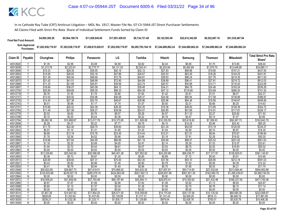| <b>Final Net Fund Amount:</b> | \$4,995,385.28                                | \$9.564.189.78     | \$11.829.645.65 | \$17.001.459.93 | \$9.134.731.48                                                 | \$9.122.593.49 | \$22,612,342.89 | \$6,522,667.16     | \$51,535,487,94    |
|-------------------------------|-----------------------------------------------|--------------------|-----------------|-----------------|----------------------------------------------------------------|----------------|-----------------|--------------------|--------------------|
|                               | Sum Approved<br>Purchases: \$7,202,938,719.97 | \$7,202,938,719.97 |                 |                 | \$6,285,795,184.10    \$7,244,689,862.24    \$7,244,689,862.24 |                |                 | \$7.244.689.862.24 | \$7.244.689.862.24 |

| Claim ID             | Payable                 | Chunghwa                    | <b>Philips</b>              | Panasonic                   | LG                          | Toshiba                     | Hitachi                     | Samsung                     | <b>Thomson</b>              | <b>Mitsubishi</b>              | <b>Total Strict Pro Rata</b>   |
|----------------------|-------------------------|-----------------------------|-----------------------------|-----------------------------|-----------------------------|-----------------------------|-----------------------------|-----------------------------|-----------------------------|--------------------------------|--------------------------------|
|                      |                         |                             |                             |                             |                             |                             |                             |                             |                             |                                | Share*                         |
| 40012620             |                         | \$1.35                      | \$2.58                      | \$3.08                      | \$4.58                      | \$2.82                      | \$2.44                      | \$6.06                      | \$1.75                      | \$13.80                        | \$38.44                        |
| 40012638             | Y                       | \$1,213.78                  | \$2,323.91                  | \$2,775.77                  | \$4,131.02                  | \$2,543.41                  | \$2,203.84                  | \$5,462.69                  | \$1,575.75                  | \$12,449.95                    | \$34,680.11                    |
| 40012646             | γ                       | \$15.33                     | \$29.35                     | \$35.05                     | \$52.16                     | \$32.12                     | \$27.83                     | \$68.98                     | \$19.90                     | \$157.21                       | \$437.93                       |
| 40012654             |                         | \$14.06                     | \$26.93                     | \$32.16                     | \$47.86                     | \$29.47                     | \$25.53                     | \$63.29                     | \$18.26                     | \$144.25                       | \$401.81                       |
| 40012662             | Y                       | \$21.38                     | \$40.94                     | \$48.90                     | \$72.78                     | \$44.81                     | \$38.83                     | \$96.24                     | \$27.76                     | \$219.35                       | \$611.00                       |
| 40012670             | γ                       | \$21.42                     | \$41.01                     | \$48.99                     | \$72.90                     | \$44.89                     | \$38.89                     | \$96.41                     | \$27.81                     | \$219.72                       | \$612.03                       |
| 40012689             | Y                       | \$11.33                     | \$21.69                     | \$25.91                     | \$38.56                     | \$23.74                     | \$20.57                     | \$50.99                     | \$14.71                     | \$116.20                       | \$323.69                       |
| 40012697             |                         | \$18.84                     | \$36.07                     | \$43.08                     | \$64.12                     | \$39.48                     | \$34.21                     | \$84.79                     | \$24.46                     | \$193.24                       | \$538.28                       |
| 40012700             |                         | \$25.95                     | \$49.69                     | \$59.35                     | \$88.33                     | \$54.38                     | \$47.12                     | \$116.80                    | \$33.69                     | \$266.20                       | \$741.52                       |
| 40012719             | Y                       | \$0.78                      | \$1.50                      | \$1.79                      | \$2.66                      | \$1.64                      | \$1.42                      | \$3.51                      | \$1.01                      | \$8.01                         | \$22.31                        |
| 40012727             | $\checkmark$            | \$13.54                     | \$25.92                     | \$30.96                     | \$46.08                     | \$28.37                     | \$24.58                     | \$60.94                     | \$17.58                     | \$138.89                       | \$386.87                       |
| 40012735             |                         | \$14.30                     | \$27.38                     | \$32.70                     | \$48.67                     | \$29.96                     | \$25.96                     | \$64.36                     | \$18.56                     | \$146.67                       | \$408.56                       |
| 40012743             | $\vee$                  | \$0.51                      | \$0.98                      | \$1.17                      | \$1.74                      | \$1.07                      | \$0.93                      | \$2.31                      | \$0.66                      | \$5.25                         | \$14.63                        |
| 40012751             | ٧                       | \$10.66                     | \$20.42                     | \$24.39                     | \$36.30                     | \$22.35                     | \$19.36                     | \$48.00                     | \$13.85                     | \$109.39                       | \$304.72                       |
| 40012760             | $\overline{\mathsf{v}}$ | \$11.49                     | \$21.99                     | \$26.27                     | \$39.09                     | \$24.07                     | \$20.85                     | \$51.69                     | \$14.91                     | \$117.81                       | \$328.17                       |
| 40012778             | Υ                       | \$2.52                      | \$4.82                      | \$5.76                      | \$8.57                      | \$5.28                      | \$4.57                      | \$11.33                     | \$3.27                      | \$25.82                        | \$71.93                        |
| 40012786             | ٧                       | \$0.10                      | \$0.20                      | \$0.24                      | \$0.36                      | \$0.22                      | \$0.19                      | \$0.47                      | \$0.14                      | \$1.07                         | \$2.99                         |
| 40012794             | Y                       | \$5,692.39                  | \$10,898.67                 | \$13,017.78                 | \$19,373.65                 | \$11,928.08                 | \$10,335.55                 | \$25,618.92                 | \$7,389.93                  | \$58,387.73                    | \$162,642.70                   |
| 40012808             | $\checkmark$            | \$2.28                      | \$4.37                      | \$5.22                      | \$7.77                      | \$4.79                      | \$4.15                      | \$10.28                     | \$2.96                      | \$23.42                        | \$65.25                        |
| 40012816             |                         | \$11.70                     | \$22.40                     | \$26.75                     | \$39.82                     | \$24.52                     | \$21.24                     | \$52.65                     | \$15.19                     | \$120.00                       | \$334.27                       |
| 40012824             | Y                       | \$0.57                      | \$1.10                      | \$1.31                      | \$1.95                      | \$1.20                      | \$1.04                      | \$2.58                      | \$0.74                      | \$5.87                         | \$16.35                        |
| 40012832             | Y                       | \$6.89                      | \$13.19                     | \$15.76                     | \$23.45                     | \$14.44                     | \$12.51                     | \$31.01                     | \$8.94                      | \$70.67                        | \$196.84                       |
| 40012840             | V                       | \$1.76                      | \$3.36                      | \$4.02                      | \$5.98                      | \$3.68                      | \$3.19                      | \$7.91                      | \$2.28                      | \$18.02                        | \$50.20                        |
| 40012859             | Υ                       | \$19.66                     | \$37.64                     | \$44.95                     | \$66.90                     | \$41.19                     | \$35.69                     | \$88.47                     | \$25.52                     | \$201.62                       | \$561.63                       |
| 40012867             | $\checkmark$            | \$1.18                      | \$2.25                      | \$2.69                      | \$4.00                      | \$2.47                      | \$2.14                      | \$5.29                      | \$1.53                      | \$12.07                        | \$33.61                        |
| 40012875             | Y                       | \$1.94                      | \$3.72                      | \$4.44                      | \$6.61                      | \$4.07                      | \$3.53                      | \$8.75                      | \$2.52                      | \$19.93                        | \$55.52                        |
| 40012883             | N<br>Y                  | \$0.00                      | \$0.00                      | \$0.00                      | \$0.00                      | \$0.00                      | \$0.00                      | \$0.00                      | \$0.00                      | \$0.00                         | \$0.00                         |
| 40012891             | v                       | \$13,339.85                 | \$25,540.54                 | \$30,506.58                 | \$45,401.28                 | \$27,952.92                 | \$24,220.89                 | \$60,036.77                 | \$17,317.97                 | \$136,829.01                   | \$381,145.81                   |
| 40012905             | $\checkmark$            | \$0.38                      | \$0.73                      | \$0.87                      | \$1.30                      | \$0.80                      | \$0.69                      | \$1.72                      | \$0.50                      | \$3.91                         | \$10.90                        |
| 40012913             |                         | \$20.69                     | \$39.60                     | \$47.31                     | \$70.40                     | \$43.35                     | \$37.56                     | \$93.10                     | \$26.85                     | \$212.18                       | \$591.03                       |
| 4001292<br>40012930  | Y                       | \$0.43<br>\$0.41            | \$0.82<br>\$0.79            | \$0.98<br>\$0.94            | \$1.46<br>\$1.40            | \$0.90<br>\$0.86            | \$0.78<br>\$0.75            | \$1.92<br>\$1.85            | \$0.56<br>\$0.53            | \$4.39<br>\$4.21               | \$12.22<br>\$11.74             |
|                      | Υ                       |                             |                             |                             |                             |                             |                             |                             |                             |                                |                                |
| 40012948<br>40012956 | Y                       | \$20,822.95<br>\$124,833.68 | \$39,867.73<br>\$239,007.19 | \$47,619.51<br>\$285,479.16 | \$70,869.52<br>\$424,863.09 | \$43,633.35<br>\$261,582.13 | \$37,807.81<br>\$226,657.99 | \$93,714.93<br>\$561,821.39 | \$27,032.64<br>\$162,060.78 | \$213,584.44<br>\$1,280,439.61 | \$594,952.88<br>\$3,566,745.00 |
| 40012964             | N                       | \$0.00                      | \$0.00                      | \$0.00                      | \$0.00                      | \$0.00                      | \$0.00                      | \$0.00                      | \$0.00                      | \$0.00                         | \$0.00                         |
| 40012972             | Y                       | \$16,509.20                 | \$31,608.59                 | \$37,754.48                 | \$56,187.94                 | \$34,594.11                 | \$29,975.41                 | \$74,300.62                 | \$21,432.46                 | \$169,337.54                   | \$471,700.36                   |
| 40012980             | Y                       | \$0.87                      | \$1.67                      | \$1.99                      | \$2.96                      | \$1.82                      | \$1.58                      | \$3.92                      | \$1.13                      | \$8.93                         | \$24.87                        |
| 40012999             | $\checkmark$            | \$0.60                      | \$1.15                      | \$1.37                      | \$2.04                      | \$1.26                      | \$1.09                      | \$2.70                      | \$0.78                      | \$6.15                         | \$17.14                        |
| 40013006             | N                       | \$0.00                      | \$0.00                      | \$0.00                      | \$0.00                      | \$0.00                      | \$0.00                      | \$0.00                      | \$0.00                      | \$0.00                         | \$0.00                         |
| 40013014             | γ                       | \$7,807.26                  | \$14,947.83                 | \$17,854.25                 | \$26,571.50                 | \$16,359.69                 | \$14,175.49                 | \$35,137.06                 | \$10,135.50                 | \$80,080.39                    | \$223,068.97                   |
| 40013022             | γ                       | \$628.65                    | \$1,203.62                  | \$1,437.65                  | \$2,139.58                  | \$1,317.31                  | \$1,141.43                  | \$2,829.29                  | \$816.13                    | \$6,448.19                     | \$17,961.85                    |
| 40013030             |                         | \$539.21                    | \$1,032.38                  | \$1,233.11                  | \$1,835.17                  | \$1,129.89                  | \$979.04                    | \$2,426.76                  | \$700.01                    | \$5,530.79                     | \$15,406.36                    |
| 40013049             | Ñ                       | \$0.00                      | \$0.00                      | \$0.00                      | \$0.00                      | \$0.00                      | \$0.00                      | \$0.00                      | \$0.00                      | \$0.00                         | \$0.00                         |
|                      |                         |                             |                             |                             |                             |                             |                             |                             |                             |                                |                                |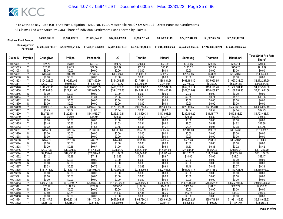| <b>Final Net Fund Amount:</b> |                                   | \$4,995,385.28     | \$9.564.189.78     | \$11.829.645.65    | \$17.001.459.93    | \$9,134,731.48     | \$9.122.593.49     | \$22,612,342.89    | \$6,522,667.16     | \$51,535,487.94    |                                        |
|-------------------------------|-----------------------------------|--------------------|--------------------|--------------------|--------------------|--------------------|--------------------|--------------------|--------------------|--------------------|----------------------------------------|
|                               | <b>Sum Approved</b><br>Purchases: | \$7,202,938,719.97 | \$7,202,938,719.97 | \$7.458.815.028.91 | \$7,202,938,719.97 | \$6,285,795,184.10 | \$7,244,689,862.24 | \$7.244.689.862.24 | \$7.244.689.862.24 | \$7.244.689.862.24 |                                        |
| Claim ID                      | Pavable                           | Chunghwa           | <b>Philips</b>     | Panasonic          | LG                 | Toshiba            | Hitachi            | Samsung            | Thomson            | Mitsubishi         | <b>Total Strict Pro Rata</b><br>Share* |
| 40013057                      |                                   | <b>¢27.70</b>      | <b>453 US</b>      | <b>CES 31</b>      | <b>¢Q1 97</b>      | <b>CER 04</b>      | ፍፍስ ኃ0             | $$121$ $66$        | <b>\$35.06</b>     | <b>CORA 11</b>     | <b>\$701 40</b>                        |

| 40013057 |              | \$27.70      | \$53.03      | \$63.34      | \$94.27        | \$58.04      | \$50.29      | \$124.66       | \$35.96      | \$284.11       | \$791.40        |
|----------|--------------|--------------|--------------|--------------|----------------|--------------|--------------|----------------|--------------|----------------|-----------------|
| 40013065 | $\checkmark$ | \$25.18      | \$48.21      | \$57.58      | \$85.69        | \$52.76      | \$45.72      | \$113.32       | \$32.69      | \$258.26       | \$719.39        |
| 40013073 | N            | \$0.00       | \$0.00       | \$0.00       | \$0.00         | \$0.00       | \$0.00       | \$0.00         | \$0.00       | \$0.00         | \$0.00          |
| 40013081 | $\checkmark$ | \$494.35     | \$946.49     | \$1,130.52   | \$1,682.50     | \$1,035.89   | \$897.59     | \$2,224.86     | \$641.78     | \$5,070.65     | \$14,124.63     |
| 40013090 | N            | \$0.00       | \$0.00       | \$0.00       | \$0.00         | \$0.00       | \$0.00       | \$0.00         | \$0.00       | \$0.00         | \$0.00          |
| 40013103 | Y            | \$104,028.07 | \$199,172.66 | \$237,899.30 | \$354,052.57   | \$217,985.10 | \$188,881.66 | \$468,184.49   | \$135,050.65 | \$1,067,033.00 | \$2,972,287.50  |
| 40013111 |              | \$5,201.40   | \$9,958.63   | \$11,894.96  | \$17,702.63    | \$10,899.26  | \$9,444.08   | \$23,409.22    | \$6,752.53   | \$53,351.65    | \$148,614.38    |
| 40013120 |              | \$146,493.15 | \$280,476.53 | \$335,011.69 | \$498,579.66   | \$306,968.37 | \$265,984.66 | \$659,301.14   | \$190,179.40 | \$1,502,604.40 | \$4,185,599.00  |
| 40013138 | $\checkmark$ | \$115,904.64 | \$221,911.60 | \$265,059.54 | \$394,473.68   | \$242,871.80 | \$210.445.70 | \$521,635.69   | \$150,468.97 | \$1,188,852.93 | \$3,311,624.56  |
| 40013146 | N            | \$0.00       | \$0.00       | \$0.00       | \$0.00         | \$0.00       | \$0.00       | \$0.00         | \$0.00       | \$0.00         | \$0.00          |
| 40013154 | v            | \$0.57       | \$1.10       | \$1.31       | \$1.95         | \$1.20       | \$1.04       | \$2.58         | \$0.74       | \$5.87         | \$16.35         |
| 40013162 | N            | \$0.00       | \$0.00       | \$0.00       | \$0.00         | \$0.00       | \$0.00       | \$0.00         | \$0.00       | \$0.00         | \$0.00          |
| 40013170 | $\mathsf{N}$ | \$0.00       | \$0.00       | \$0.00       | \$0.00         | \$0.00       | \$0.00       | \$0.00         | \$0.00       | \$0.00         | \$0.00          |
| 40013189 |              | \$50,926.91  | \$97,504.92  | \$116,463.53 | \$173,326.34   | \$106,714.55 | \$92,466.96  | \$229,199.58   | \$66,114.01  | \$522,365.70   | \$1,455,082.49  |
| 40013197 |              | \$0.45       | \$0.87       | \$1.03       | \$1.54         | \$0.95       | \$0.82       | \$2.04         | \$0.59       | \$4.64         | \$12.93         |
| 40013200 | Y            | \$62,769.15  | \$120,178.13 | \$143,545.27 | \$213,630.61   | \$131,529.31 | \$113,968.68 | \$282,496.29   | \$81,487.77  | \$643,833.52   | \$1,793,438.73  |
| 40013219 |              | \$6.78       | \$12.98      | \$15.50      | \$23.07        | \$14.21      | \$12.31      | \$30.51        | \$8.80       | \$69.53        | \$193.69        |
| 40013227 | N            | \$0.00       | \$0.00       | \$0.00       | \$0.00         | \$0.00       | \$0.00       | \$0.00         | \$0.00       | \$0.00         | \$0.00          |
| 40013235 | Y            | \$0.45       | \$0.86       | \$1.03       | \$1.53         | \$0.94       | \$0.82       | \$2.03         | \$0.59       | \$4.62         | \$12.88         |
| 40013243 | Y            | \$0.72       | \$1.38       | \$1.65       | \$2.45         | \$1.51       | \$1.31       | \$3.24         | \$0.93       | \$7.38         | \$20.56         |
| 40013251 | v            | \$454.74     | \$870.65     | \$1,039.94   | \$1,547.69     | \$952.89     | \$825.67     | \$2,046.60     | \$590.35     | \$4,664.38     | \$12,992.92     |
| 40013260 | N            | \$0.00       | \$0.00       | \$0.00       | \$0.00         | \$0.00       | \$0.00       | \$0.00         | \$0.00       | \$0.00         | \$0.00          |
| 40013278 | N            | \$0.00       | \$0.00       | \$0.00       | \$0.00         | \$0.00       | \$0.00       | \$0.00         | \$0.00       | \$0.00         | \$0.00          |
| 40013286 |              | \$124.76     | \$238.86     | \$285.31     | \$424.61       | \$261.43     | \$226.52     | \$561.48       | \$161.96     | \$1,279.67     | \$3,564.60      |
| 40013294 | N            | \$0.00       | \$0.00       | \$0.00       | \$0.00         | \$0.00       | \$0.00       | \$0.00         | \$0.00       | \$0.00         | \$0.00          |
| 40013308 | $\checkmark$ | \$0.29       | \$0.56       | \$0.67       | \$1.00         | \$0.62       | \$0.54       | \$1.33         | \$0.38       | \$3.02         | \$8.42          |
| 40013316 | Y            | \$6,907.39   | \$13,224.92  | \$15,796.34  | \$23,508.83    | \$14,474.05  | \$12,541.60  | \$31,087.11    | \$8,967.26   | \$70,850.21    | \$197,357.70    |
| 40013324 |              | \$9,138.42   | \$17,496.46  | \$20,898.43  | \$31,102.00    | \$19,149.05  | \$16,592.44  | \$41,128.00    | \$11,863.62  | \$93,734.26    | \$261,102.69    |
| 40013332 | Υ            | \$3.12       | \$5.98       | \$7.14       | \$10.62        | \$6.54       | \$5.67       | \$14.05        | \$4.05       | \$32.01        | \$89.17         |
| 40013340 | N            | \$0.00       | \$0.00       | \$0.00       | \$0.00         | \$0.00       | \$0.00       | \$0.00         | \$0.00       | \$0.00         | \$0.00          |
| 40013359 | N            | \$0.00       | \$0.00       | \$0.00       | \$0.00         | \$0.00       | \$0.00       | \$0.00         | \$0.00       | \$0.00         | \$0.00          |
| 40013367 | Y            | \$0.33       | \$0.63       | \$0.75       | \$1.12         | \$0.69       | \$0.60       | \$1.48         | \$0.43       | \$3.37         | \$9.39          |
| 40013375 | Y            | \$111,475.42 | \$213,431.41 | \$254.930.48 | \$379.399.16   | \$233,590.63 | \$202.403.67 | \$501.701.77   | \$144,718.91 | \$1,143,421.78 | \$3,185,073.23  |
| 40013383 | N            | \$0.00       | \$0.00       | \$0.00       | \$0.00         | \$0.00       | \$0.00       | \$0.00         | \$0.00       | \$0.00         | \$0.00          |
| 40013391 | N            | \$0.00       | \$0.00       | \$0.00       | \$0.00         | \$0.00       | \$0.00       | \$0.00         | \$0.00       | \$0.00         | \$0.00          |
| 40013405 | N            | \$0.00       | \$0.00       | \$0.00       | \$0.00         | \$0.00       | \$0.00       | \$0.00         | \$0.00       | \$0.00         | \$0.00          |
| 40013413 | Y            | \$350,213.10 | \$670,519.77 | \$800,893.96 | \$1,191,926.88 | \$733,852.33 | \$635,874.84 | \$1,576,154.85 | \$454,651.41 | \$3,592,193.42 | \$10,006,280.57 |
| 40013421 | $\vee$       | \$78.27      | \$149.85     | \$178.99     | \$266.37       | \$164.00     | \$142.11     | \$352.24       | \$101.61     | \$802.79       | \$2.236.23      |
| 40013430 | N            | \$0.00       | \$0.00       | \$0.00       | \$0.00         | \$0.00       | \$0.00       | \$0.00         | \$0.00       | \$0.00         | \$0.00          |
| 40013448 | Υ            | \$3.50       | \$6.71       | \$8.01       | \$11.92        | \$7.34       | \$6.36       | \$15.77        | \$4.55       | \$35.93        | \$100.09        |
| 40013456 | N            | \$0.00       | \$0.00       | \$0.00       | \$0.00         | \$0.00       | \$0.00       | \$0.00         | \$0.00       | \$0.00         | \$0.00          |
| 40013464 |              | \$193,147.61 | \$369,801.38 | \$441,704.64 | \$657,364.97   | \$404,730.21 | \$350,694.20 | \$869,272.27   | \$250,746.85 | \$1,981,146.80 | \$5,518,608.93  |
| 40013472 |              | \$1,157.39   | \$2,215.94   | \$2,646.80   | \$3,939.08     | \$2,425.24   | \$2,101.44   | \$5,208.88     | \$1,502.53   | \$11,871.49    | \$33,068.78     |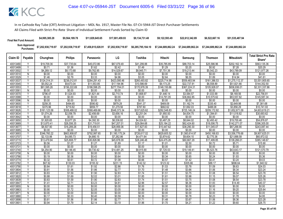| <b>Final Net Fund Amount:</b> | \$4.995.385.28     | \$9,564,189.78     | \$11.829.645.65    | \$17,001,459,93    | \$9.134.731.48     | \$9.122.593.49 | \$22,612,342,89                       | \$6,522,667.16     | \$51,535,487.94    |
|-------------------------------|--------------------|--------------------|--------------------|--------------------|--------------------|----------------|---------------------------------------|--------------------|--------------------|
| Sum Approved<br>Purchases:    | \$7,202,938,719.97 | \$7,202,938,719.97 | \$7,458,815,028.91 | \$7,202,938,719.97 | \$6,285,795,184.10 |                | \$7.244.689.862.24 \$7.244.689.862.24 | \$7.244.689.862.24 | \$7.244.689.862.24 |

| Claim ID             | Payable        | Chunghwa         | <b>Philips</b>   | Panasonic        | LG               | Toshiba          | Hitachi          | Samsung          | Thomson          | <b>Mitsubishi</b> | <b>Total Strict Pro Rata</b> |
|----------------------|----------------|------------------|------------------|------------------|------------------|------------------|------------------|------------------|------------------|-------------------|------------------------------|
|                      |                |                  |                  |                  |                  |                  |                  |                  |                  |                   | Share*                       |
| 40013480             |                | \$19,709.36      | \$37,735.64      | \$45,072.86      | \$67,079.49      | \$41,299.88      | \$35,785.89      | \$88,703.14      | \$25,586.96      | \$202,162.14      | \$563,135.36                 |
| 40013499             | $\vee$         | \$0.71           | \$1.36           | \$1.62           | \$2.42           | \$1.49           | \$1.29           | \$3.20           | \$0.92           | \$7.28            | \$20.29                      |
| 40013502             |                | \$4,269.12       | \$8,173.68       | \$9,762.95       | \$14,529.67      | \$8,945.71       | \$7,751.36       | \$19,213.44      | \$5,542.23       | \$43,789.09       | \$121,977.26                 |
| 40013510             | N              | \$0.00           | \$0.00           | \$0.00           | \$0.00           | \$0.00           | \$0.00           | \$0.00           | \$0.00           | \$0.00            | \$0.00                       |
| 40013529             | Y              | \$1.46           | \$2.79           | \$3.33           | \$4.96           | \$3.05           | \$2.64           | \$6.55           | \$1.89           | \$14.94           | \$41.61                      |
| 40013537             | Δ              | \$124,314.31     | \$238,012.81     | \$284,291.43     | \$423,095.46     | \$260,493.82     | \$225,714.98     | \$559,483.94     | \$161,386.53     | \$1,275,112.37    | \$3,551,905.65               |
| 40013545             |                | \$5,052.24       | \$9,673.04       | \$11,553.85      | \$17,194.96      | \$10,586.69      | \$9,173.25       | \$22,737.91      | \$6,558.89       | \$51,821.66       | \$144,352.50                 |
| 40013553             | Y              | \$81,595.26      | \$156,222.69     | \$186,598.25     | \$277,704.01     | \$170,978.39     | \$148,150.86     | \$367,224.31     | \$105,928.07     | \$836,936.01      | \$2,331,337.86               |
| 40013561             | N              | \$0.00           | \$0.00           | \$0.00           | \$0.00           | \$0.00           | \$0.00           | \$0.00           | \$0.00           | \$0.00            | \$0.00                       |
| 40013570             | Y              | \$796.47         | \$1,524.93       | \$1,821.44       | \$2,710.74       | \$1,668.97       | \$1,446.14       | \$3,584.57       | \$1,033.99       | \$8,169.56        | \$22,756.81                  |
| 40013588             |                | \$0.00           | \$0.00           | \$0.00           | \$0.00           | \$0.00           | \$14.791.05      | \$36,662.85      | \$10,575.62      | \$83.557.82       | \$145,587.34                 |
| 40013596             | N              | \$0.00           | \$0.00           | \$0.00           | \$0.00           | \$0.00           | \$0.00           | \$0.00           | \$0.00           | \$0.00            | \$0.00                       |
| 40013600             | Y              | \$258.35         | \$494.65         | \$590.82         | \$879.29         | \$541.37         | \$469.09         | \$1,162.74       | \$335.40         | \$2,649.98        | \$7,381.68                   |
| 40013618             | $\vee$         | \$375.96         | \$719.82         | \$859.77         | \$1,279.56       | \$787.80         | \$682.62         | \$1,692.03       | \$488.08         | \$3,856.29        | \$10,741.93                  |
| 40013626             |                | \$161,123.58     | \$308,488.02     | \$368,469.66     | \$548,373.34     | \$337,625.62     | \$292,548.83     | \$725,146.24     | \$209,172.82     | \$1,652,671.09    | \$4,603,619.21               |
| 40013634             | Y              | \$1,074.26       | \$2,056.78       | \$2,456.69       | \$3,656.16       | \$2,251.04       | \$1,950.50       | \$4,834.75       | \$1.394.61       | \$11,018.82       | \$30,693.62                  |
| 40013642             | N              | \$0.00           | \$0.00           | \$0.00           | \$0.00           | \$0.00           | \$0.00           | \$0.00           | \$0.00           | \$0.00            | \$0.00                       |
| 40013650             | Δ              | \$1,920.65       | \$3,677.29       | \$4,392.30       | \$6,536.82       | \$4,024.62       | \$3.487.29       | \$8,644.02       | \$2.493.42       | \$19,700.46       | \$54,876.87                  |
| 40013669             |                | \$13,870.41      | \$26,556.35      | \$31,719.91      | \$47,207.01      | \$29,064.68      | \$25,184.22      | \$62,424.60      | \$18,006.75      | \$142,271.07      | \$396,305.00                 |
| 40013677             |                | \$8,507.90       | \$16,289.26      | \$19,456.51      | \$28,956.06      | \$17,827.83      | \$15,447.62      | \$38,290.30      | \$11,045.07      | \$87,266.90       | \$243,087.44                 |
| 40013685             | $\overline{N}$ | \$0.00           | \$0.00           | \$0.00           | \$0.00           | \$0.00           | \$0.00           | \$0.00           | \$0.00           | \$0.00            | \$0.00                       |
| 40013693             | $\vee$         | \$346,760.22     | \$663,908.87     | \$792,997.65     | \$1,180,175.24   | \$726,617.02     | \$629,605.52     | \$1,560,614.97   | \$450,168.83     | \$3,556,776.68    | \$9,907,625.01               |
| 40013707             |                | \$2,133.98       | \$4,085.73       | \$4,880.15       | \$7,262.86       | \$4,471.64       | \$3,874.62       | \$9,604.10       | \$2,770.36       | \$21,888.58       | \$60,972.02                  |
| 40013715             |                | \$13,479.94      | \$25,808.77      | \$30,826.96      | \$45,878.09      | \$28,246.48      | \$24,475.26      | \$60,667.29      | \$17,499.85      | \$138,266.01      | \$385,148.67                 |
| 40013723             |                | \$0.56           | \$1.07           | \$1.27           | \$1.89           | \$1.17           | \$1.01           | \$2.50           | \$0.72           | \$5.71            | \$15.90                      |
| 40013731             | $\overline{N}$ | \$0.00           | \$0.00           | \$0.00           | \$0.00           | \$0.00           | \$0.00           | \$0.00           | \$0.00           | \$0.00            | \$0.00                       |
| 40013740             | Y              | \$4,254.90       | \$8,146.45       | \$9,730.42       | \$14,481.25      | \$8,915.90       | \$7,725.53       | \$19,149.41      | \$5,523.76       | \$43,643.17       | \$121,570.79                 |
| 40013758             | N              | \$0.00           | \$0.00           | \$0.00           | \$0.00           | \$0.00           | \$0.00           | \$0.00           | \$0.00           | \$0.00            | \$0.00                       |
| 40013766             | Y<br>v         | \$0.19           | \$0.36           | \$0.43           | \$0.64           | \$0.39           | \$0.34           | \$0.85           | \$0.24           | \$1.93            | \$5.36                       |
| 40013774             | Υ              | \$0.32           | \$0.61           | \$0.72           | \$1.08           | \$0.66           | \$0.57           | \$1.42           | \$0.41           | \$3.24            | \$9.03                       |
| 40013782             | Υ              | \$67.92          | \$130.03         | \$155.32         | \$231.15         | \$142.32         | \$123.32         | \$305.66         | \$88.17          | \$696.64          | \$1,940.52                   |
| 40013790             | Y              | \$0.84           | \$1.61           | \$1.92           | \$2.86           | \$1.76           | \$1.53           | \$3.78           | \$1.09           | \$8.63            | \$24.03                      |
| 40013804<br>40013812 |                | \$0.81<br>\$0.83 | \$1.56<br>\$1.59 | \$1.86<br>\$1.90 | \$2.77<br>\$2.83 | \$1.70<br>\$1.74 | \$1.48<br>\$1.51 | \$3.66<br>\$3.75 | \$1.06<br>\$1.08 | \$8.34<br>\$8.54  | \$23.24<br>\$23.78           |
| 40013820             |                | \$0.88           | \$1.69           | \$2.02           | \$3.01           | \$1.85           | \$1.61           | \$3.98           | \$1.15           | \$9.07            | \$25.26                      |
| 40013839             | Υ              | \$0.83           | \$1.59           | \$1.90           | \$2.83           | \$1.74           |                  | \$3.75           | \$1.08           | \$8.54            | \$23.78                      |
| 40013847             | Y              | \$1.41           | \$2.71           | \$3.23           | \$4.81           | \$2.96           | \$1.51<br>\$2.57 | \$6.36           | \$1.83           | \$14.49           | \$40.37                      |
| 40013855             | N              | \$0.00           | \$0.00           | \$0.00           | \$0.00           | \$0.00           | \$0.00           | \$0.00           | \$0.00           | \$0.00            | \$0.00                       |
| 40013863             | Υ              | \$0.90           | \$1.72           | \$2.05           | \$3.05           | \$1.88           | \$1.63           | \$4.04           | \$1.16           | \$9.20            | \$25.64                      |
| 40013871             | N              | \$0.00           | \$0.00           | \$0.00           | \$0.00           | \$0.00           | \$0.00           | \$0.00           | \$0.00           | \$0.00            | \$0.00                       |
| 40013880             | $\vee$         | \$0.17           | \$0.33           | \$0.40           | \$0.59           | \$0.36           | \$0.31           | \$0.78           | \$0.23           | \$1.78            | \$4.95                       |
| 40013898             |                | \$0.81           | \$1.56           | \$1.86           | \$2.77           | \$1.71           | \$1.48           | \$3.67           | \$1.06           | \$8.36            | \$23.28                      |
| 40013901             |                | \$0.94           | \$1.79           | \$2.14           | \$3.19           | \$1.96           | \$1.70           | \$4.21           | \$1.22           | \$9.60            | \$26.75                      |
|                      |                |                  |                  |                  |                  |                  |                  |                  |                  |                   |                              |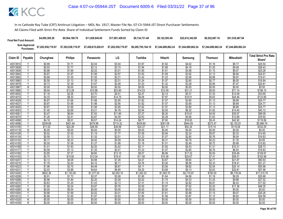| <b>Final Net Fund Amount:</b> | \$4,995,385.28     | \$9.564.189.78     | \$11.829.645.65    | \$17.001.459.93    | \$9.134.731.48     | \$9.122.593.49     | \$22.612.342.89    | \$6,522,667.16     | \$51,535,487.94    |
|-------------------------------|--------------------|--------------------|--------------------|--------------------|--------------------|--------------------|--------------------|--------------------|--------------------|
| Sum Approved<br>:Purchases    | \$7,202,938,719.97 | \$7,202,938,719.97 | \$7,458,815,028.91 | \$7,202,938,719.97 | \$6,285,795,184.10 | \$7.244.689.862.24 | \$7.244.689.862.24 | \$7.244.689.862.24 | \$7.244.689.862.24 |

| <b>Philips</b><br>LG<br>Claim ID<br>Payable<br>Toshiba<br>Hitachi<br><b>Thomson</b><br>Chunghwa<br>Samsung<br>Panasonic<br>\$0.89<br>\$1.71<br>\$3.04<br>40013910<br>\$2.04<br>\$1.87<br>\$1.62<br>\$4.02<br>\$1.16<br>\$0.93<br>\$2.12<br>\$3.15<br>\$1.20<br>40013928<br>\$1.77<br>\$1.94<br>\$1.68<br>\$4.16<br>v<br>$\checkmark$<br>\$0.88<br>\$1.69<br>\$2.02<br>\$1.85<br>\$1.61<br>\$3.98<br>\$1.15<br>40013936<br>\$3.01<br>\$1.67<br>\$1.99<br>\$3.92<br>\$0.87<br>\$2.97<br>\$1.83<br>\$1.58<br>\$1.13<br>40013944<br>Υ<br>\$0.68<br>\$1.30<br>\$1.55<br>\$2.31<br>\$1.42<br>\$1.23<br>\$3.06<br>\$0.88<br>40013952<br>\$0.59<br>\$1.13<br>\$1.35<br>\$2.01<br>\$1.24<br>\$1.07<br>\$2.65<br>\$0.77<br>40013960<br>٧ | <b>Mitsubishi</b><br>Share*<br>\$9.17<br>\$25.54<br>\$9.49<br>\$26.43<br>\$9.07<br>\$25.26<br>\$8.94<br>\$24.91<br>\$6.97<br>\$19.41<br>\$6.05<br>\$16.84<br>\$7.47<br>\$20.81 |
|--------------------------------------------------------------------------------------------------------------------------------------------------------------------------------------------------------------------------------------------------------------------------------------------------------------------------------------------------------------------------------------------------------------------------------------------------------------------------------------------------------------------------------------------------------------------------------------------------------------------------------------------------------------------------------------------------------------------------------|--------------------------------------------------------------------------------------------------------------------------------------------------------------------------------|
|                                                                                                                                                                                                                                                                                                                                                                                                                                                                                                                                                                                                                                                                                                                                |                                                                                                                                                                                |
|                                                                                                                                                                                                                                                                                                                                                                                                                                                                                                                                                                                                                                                                                                                                |                                                                                                                                                                                |
|                                                                                                                                                                                                                                                                                                                                                                                                                                                                                                                                                                                                                                                                                                                                |                                                                                                                                                                                |
|                                                                                                                                                                                                                                                                                                                                                                                                                                                                                                                                                                                                                                                                                                                                |                                                                                                                                                                                |
|                                                                                                                                                                                                                                                                                                                                                                                                                                                                                                                                                                                                                                                                                                                                |                                                                                                                                                                                |
|                                                                                                                                                                                                                                                                                                                                                                                                                                                                                                                                                                                                                                                                                                                                |                                                                                                                                                                                |
|                                                                                                                                                                                                                                                                                                                                                                                                                                                                                                                                                                                                                                                                                                                                |                                                                                                                                                                                |
| Y<br>\$0.73<br>\$1.39<br>\$1.67<br>\$2.48<br>\$1.53<br>\$1.32<br>\$3.28<br>\$0.95<br>40013979                                                                                                                                                                                                                                                                                                                                                                                                                                                                                                                                                                                                                                  |                                                                                                                                                                                |
| \$0.00<br>\$0.00<br>\$0.00<br>\$0.00<br>\$0.00<br>\$0.00<br>40013987<br>N<br>\$0.00<br>\$0.00                                                                                                                                                                                                                                                                                                                                                                                                                                                                                                                                                                                                                                  | \$0.00<br>\$0.00                                                                                                                                                               |
| \$6.94<br>\$13.28<br>\$15.86<br>\$23.60<br>\$14.53<br>\$12.59<br>\$31.21<br>\$9.00<br>40013995<br>٧                                                                                                                                                                                                                                                                                                                                                                                                                                                                                                                                                                                                                            | \$71.14<br>\$198.15                                                                                                                                                            |
| Y<br>\$1.18<br>\$2.26<br>\$2.70<br>\$4.01<br>\$2.47<br>\$2.14<br>\$5.31<br>\$1.53<br>40014002                                                                                                                                                                                                                                                                                                                                                                                                                                                                                                                                                                                                                                  | \$12.09<br>\$33.69                                                                                                                                                             |
| \$9.91<br>$\checkmark$<br>\$4.33<br>\$8.30<br>\$14.75<br>\$9.08<br>\$7.87<br>\$19.51<br>\$5.63<br>40014010                                                                                                                                                                                                                                                                                                                                                                                                                                                                                                                                                                                                                     | \$44.46<br>\$123.85                                                                                                                                                            |
| \$0.87<br>\$1.66<br>\$1.98<br>\$2.95<br>\$1.82<br>\$1.57<br>\$3.90<br>\$1.13<br>40014029                                                                                                                                                                                                                                                                                                                                                                                                                                                                                                                                                                                                                                       | \$8.89<br>\$24.77                                                                                                                                                              |
| \$0.87<br>\$1.66<br>\$1.98<br>\$2.95<br>\$1.82<br>\$1.57<br>\$3.90<br>40014037<br>Y<br>\$1.13                                                                                                                                                                                                                                                                                                                                                                                                                                                                                                                                                                                                                                  | \$8.89<br>\$24.77                                                                                                                                                              |
| \$0.87<br>\$1.66<br>\$1.98<br>\$2.95<br>\$1.82<br>\$1.57<br>\$3.90<br>\$1.13<br>40014045<br>γ                                                                                                                                                                                                                                                                                                                                                                                                                                                                                                                                                                                                                                  | \$8.89<br>\$24.77                                                                                                                                                              |
| \$2.69<br>\$3.21<br>\$2.55<br>\$6.32<br>$\checkmark$<br>\$1.40<br>\$4.78<br>\$2.94<br>\$1.82<br>40014053                                                                                                                                                                                                                                                                                                                                                                                                                                                                                                                                                                                                                       | \$14.40<br>\$40.13                                                                                                                                                             |
| Υ<br>\$3.47<br>\$6.64<br>\$7.93<br>\$11.80<br>\$7.27<br>\$6.30<br>\$4.50<br>40014061<br>\$15.61                                                                                                                                                                                                                                                                                                                                                                                                                                                                                                                                                                                                                                | \$35.57<br>\$99.08                                                                                                                                                             |
| \$2.28<br>\$1.26<br>\$2.41<br>\$2.87<br>\$4.28<br>\$2.63<br>\$5.66<br>\$1.63<br>40014070                                                                                                                                                                                                                                                                                                                                                                                                                                                                                                                                                                                                                                       | \$12.89<br>\$35.92                                                                                                                                                             |
| Y<br>\$4.18<br>\$8.01<br>\$9.57<br>\$14.24<br>\$8.77<br>\$7.60<br>\$18.83<br>\$5.43<br>40014088                                                                                                                                                                                                                                                                                                                                                                                                                                                                                                                                                                                                                                | \$42.92<br>\$119.56                                                                                                                                                            |
| \$944.59<br>\$209.88<br>\$401.84<br>\$479.98<br>\$714.32<br>\$439.80<br>\$381.08<br>\$272.47<br>40014096                                                                                                                                                                                                                                                                                                                                                                                                                                                                                                                                                                                                                       | \$2,152.81<br>\$5,996.79                                                                                                                                                       |
| \$22.26<br>\$26.59<br>\$39.58<br>\$24.37<br>\$21.11<br>\$52.34<br>\$11.63<br>\$15.10<br>40014100                                                                                                                                                                                                                                                                                                                                                                                                                                                                                                                                                                                                                               | \$119.28<br>\$332.25                                                                                                                                                           |
| \$0.00<br>\$0.00<br>\$0.00<br>\$0.00<br>40014118<br>\$0.00<br>\$0.00<br>\$0.00<br>\$0.00<br>N                                                                                                                                                                                                                                                                                                                                                                                                                                                                                                                                                                                                                                  | \$0.00<br>\$0.00                                                                                                                                                               |
| Y<br>\$0.52<br>\$1.00<br>\$1.19<br>\$1.09<br>\$0.94<br>\$2.34<br>40014126<br>\$1.77<br>\$0.67                                                                                                                                                                                                                                                                                                                                                                                                                                                                                                                                                                                                                                  | \$5.33<br>\$14.85                                                                                                                                                              |
| \$1.35<br>\$2.01<br>\$1.23<br>\$1.07<br>\$2.65<br>\$0.76<br>\$0.59<br>\$1.13<br>40014134                                                                                                                                                                                                                                                                                                                                                                                                                                                                                                                                                                                                                                       | \$6.04<br>\$16.83                                                                                                                                                              |
| \$0.33<br>\$0.40<br>\$0.59<br>\$0.36<br>\$0.17<br>\$0.31<br>\$0.78<br>\$0.23<br>40014142<br>٧<br>٧                                                                                                                                                                                                                                                                                                                                                                                                                                                                                                                                                                                                                             | \$1.78<br>\$4.95                                                                                                                                                               |
| \$1.27<br>40014150<br>\$0.55<br>\$1.06<br>\$1.88<br>\$1.16<br>\$1.01<br>\$2.49<br>\$0.72<br>V                                                                                                                                                                                                                                                                                                                                                                                                                                                                                                                                                                                                                                  | \$5.68<br>\$15.82                                                                                                                                                              |
| \$1.93<br>\$2.30<br>\$2.11<br>\$1.01<br>\$3.42<br>\$1.83<br>\$4.53<br>\$1.31<br>40014169                                                                                                                                                                                                                                                                                                                                                                                                                                                                                                                                                                                                                                       | \$10.31<br>\$28.73                                                                                                                                                             |
| \$0.59<br>\$1.13<br>\$1.35<br>\$2.01<br>\$1.23<br>\$1.07<br>\$2.65<br>40014177<br>\$0.76<br>Y                                                                                                                                                                                                                                                                                                                                                                                                                                                                                                                                                                                                                                  | \$6.04<br>\$16.83                                                                                                                                                              |
| \$7.37<br>\$8.80<br>\$8.07<br>\$6.99<br>40014185<br>\$3.85<br>\$13.10<br>\$17.32<br>\$5.00<br>γ                                                                                                                                                                                                                                                                                                                                                                                                                                                                                                                                                                                                                                | \$39.48<br>\$109.97                                                                                                                                                            |
| \$5.70<br>\$10.92<br>\$13.04<br>\$11.95<br>\$10.36<br>\$25.67<br>40014193<br>\$19.41<br>\$7.41<br>\$2.13<br>\$4.88<br>\$4.47<br>\$9.60<br>40014207<br>$\checkmark$                                                                                                                                                                                                                                                                                                                                                                                                                                                                                                                                                             | \$58.51<br>\$162.98<br>\$21.87                                                                                                                                                 |
| \$4.08<br>\$7.26<br>\$3.87<br>\$2.77<br>\$1.79<br>\$3.44<br>\$4.10<br>\$6.11<br>\$3.76<br>\$3.26<br>\$8.08<br>\$2.33<br>40014215                                                                                                                                                                                                                                                                                                                                                                                                                                                                                                                                                                                               | \$60.93<br>\$18.41<br>\$51.27                                                                                                                                                  |
| \$1.96<br>\$3.75<br>\$4.48<br>\$4.11<br>\$3.56<br>\$8.82<br>\$2.54<br>40014223<br>\$6.67<br>γ                                                                                                                                                                                                                                                                                                                                                                                                                                                                                                                                                                                                                                  | \$20.10<br>\$55.98                                                                                                                                                             |
| Y<br>\$2.03<br>\$3.88<br>\$4.64<br>\$6.90<br>\$4.25<br>\$3.68<br>\$9.13<br>\$2.63<br>40014231                                                                                                                                                                                                                                                                                                                                                                                                                                                                                                                                                                                                                                  | \$20.81<br>\$57.96                                                                                                                                                             |
| \$602.36<br>\$1,153.29<br>\$1,262.22<br>V<br>\$1,377.53<br>\$2,050.10<br>\$1,093.70<br>\$2,710.97<br>\$782.00<br>40014240                                                                                                                                                                                                                                                                                                                                                                                                                                                                                                                                                                                                      | \$6,178.54<br>\$17,210.70                                                                                                                                                      |
| \$0.91<br>\$1.73<br>\$2.07<br>\$1.64<br>\$4.08<br>\$1.18<br>40014258<br>\$3.08<br>\$1.90                                                                                                                                                                                                                                                                                                                                                                                                                                                                                                                                                                                                                                       | \$9.29<br>\$25.88                                                                                                                                                              |
| \$0.96<br>\$1.84<br>\$2.20<br>\$2.02<br>\$1.75<br>\$4.33<br>40014266<br>Y<br>\$3.28<br>\$1.25                                                                                                                                                                                                                                                                                                                                                                                                                                                                                                                                                                                                                                  | \$9.88<br>\$27.52                                                                                                                                                              |
| Y<br>\$0.63<br>\$1.20<br>\$1.43<br>\$2.13<br>\$1.31<br>\$1.14<br>\$2.82<br>\$0.81<br>40014274                                                                                                                                                                                                                                                                                                                                                                                                                                                                                                                                                                                                                                  | \$6.43<br>\$17.92                                                                                                                                                              |
| \$3.87<br>\$3.55<br>\$3.07<br>\$7.62<br>40014282<br>\$1.69<br>\$3.24<br>\$5.76<br>\$2.20                                                                                                                                                                                                                                                                                                                                                                                                                                                                                                                                                                                                                                       | \$17.36<br>\$48.35                                                                                                                                                             |
| \$0.00<br>\$0.00<br>\$0.00<br>\$0.00<br>\$0.00<br>\$0.00<br>\$0.00<br>\$0.00<br>40014290<br>N                                                                                                                                                                                                                                                                                                                                                                                                                                                                                                                                                                                                                                  | \$0.00<br>\$0.00                                                                                                                                                               |
| \$2.02<br>\$0.88<br>\$1.69<br>\$3.01<br>\$1.85<br>\$1.61<br>\$3.98<br>40014304<br>γ<br>\$1.15                                                                                                                                                                                                                                                                                                                                                                                                                                                                                                                                                                                                                                  | \$9.07<br>\$25.26                                                                                                                                                              |
| \$1.65<br>\$1.97<br>\$2.93<br>\$3.87<br>40014312<br>Υ<br>\$0.86<br>\$1.80<br>\$1.56<br>\$1.12                                                                                                                                                                                                                                                                                                                                                                                                                                                                                                                                                                                                                                  | \$8.82<br>\$24.58                                                                                                                                                              |
| \$0.00<br>\$0.00<br>\$0.00<br>\$0.00<br>\$0.00<br>\$0.00<br>\$0.00<br>\$0.00<br>N<br>40014320                                                                                                                                                                                                                                                                                                                                                                                                                                                                                                                                                                                                                                  | \$0.00<br>\$0.00                                                                                                                                                               |
| \$0.00<br>\$0.00<br>\$0.00<br>\$0.00<br>\$0.00<br>\$0.00<br>\$0.00<br>\$0.00<br>40014339<br>N                                                                                                                                                                                                                                                                                                                                                                                                                                                                                                                                                                                                                                  | \$0.00<br>\$0.00                                                                                                                                                               |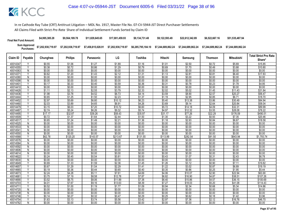| <b>Final Net Fund Amount:</b> | \$4,995,385.28     | \$9.564.189.78     | \$11.829.645.65    | \$17.001.459.93    | \$9.134.731.48     | \$9.122.593.49     | \$22.612.342.89    | \$6,522,667.16     | \$51,535,487.94    |
|-------------------------------|--------------------|--------------------|--------------------|--------------------|--------------------|--------------------|--------------------|--------------------|--------------------|
| Sum Approved<br>:Purchases    | \$7,202,938,719.97 | \$7,202,938,719.97 | \$7,458,815,028.91 | \$7,202,938,719.97 | \$6,285,795,184.10 | \$7.244.689.862.24 | \$7.244.689.862.24 | \$7.244.689.862.24 | \$7.244.689.862.24 |

|          |                |          |                |           |          |          |          |          |                |                   | <b>Total Strict Pro Rata</b> |
|----------|----------------|----------|----------------|-----------|----------|----------|----------|----------|----------------|-------------------|------------------------------|
| Claim ID | Payable        | Chunghwa | <b>Philips</b> | Panasonic | LG       | Toshiba  | Hitachi  | Samsung  | <b>Thomson</b> | <b>Mitsubishi</b> | Share*                       |
| 40014347 |                | \$0.55   | \$1.06         | \$1.27    | \$1.89   | \$1.16   | \$1.01   | \$2.50   | \$0.72         | \$5.69            | \$15.85                      |
| 40014355 | Y              | \$0.38   | \$0.72         | \$0.86    | \$1.29   | \$0.79   | \$0.69   | \$1.70   | \$0.49         | \$3.88            | \$10.80                      |
| 40014363 | N              | \$0.00   | \$0.00         | \$0.00    | \$0.00   | \$0.00   | \$0.00   | \$0.00   | \$0.00         | \$0.00            | \$0.00                       |
| 4001437  | V              | \$0.62   | \$1.20         | \$1.43    | \$2.12   | \$1.31   | \$1.13   | \$2.81   | \$0.81         | \$6.40            | \$17.83                      |
| 40014380 | N              | \$0.00   | \$0.00         | \$0.00    | \$0.00   | \$0.00   | \$0.00   | \$0.00   | \$0.00         | \$0.00            | \$0.00                       |
| 40014398 | N              | \$0.00   | \$0.00         | \$0.00    | \$0.00   | \$0.00   | \$0.00   | \$0.00   | \$0.00         | \$0.00            | \$0.00                       |
| 40014401 | Y              | \$0.17   | \$0.33         | \$0.40    | \$0.59   | \$0.36   | \$0.31   | \$0.78   | \$0.23         | \$1.78            | \$4.95                       |
| 40014410 | N              | \$0.00   | \$0.00         | \$0.00    | \$0.00   | \$0.00   | \$0.00   | \$0.00   | \$0.00         | \$0.00            | \$0.00                       |
| 40014428 | ٧              | \$1.11   | \$2.13         | \$2.55    | \$3.79   | \$2.33   | \$2.02   | \$5.02   | \$1.45         | \$11.43           | \$31.84                      |
| 40014436 | Y              | \$1.98   | \$3.78         | \$4.52    | \$6.73   | \$4.14   | \$3.59   | \$8.90   | \$2.57         | \$20.27           | \$56.47                      |
| 40014444 | $\checkmark$   | \$0.65   | \$1.25         | \$1.50    | \$2.23   | \$1.37   | \$1.19   | \$2.95   | \$0.85         | \$6.71            | \$18.70                      |
| 40014452 |                | \$2.97   | \$5.69         | \$6.80    | \$10.12  | \$6.23   | \$5.40   | \$13.38  | \$3.86         | \$30.49           | \$84.94                      |
| 40014460 | Y              | \$2.03   | \$3.89         | \$4.65    | \$6.91   | \$4.26   | \$3.69   | \$9.14   | \$2.64         | \$20.84           | \$58.04                      |
| 40014479 | v              | \$3.15   | \$6.03         | \$7.20    | \$10.72  | \$6.60   | \$5.72   | \$14.18  | \$4.09         | \$32.31           | \$89.99                      |
| 40014487 | $\checkmark$   | \$2.74   | \$5.24         | \$6.26    | \$9.32   | \$5.74   | \$4.97   | \$12.32  | \$3.55         | \$28.08           | \$78.22                      |
| 40014495 | Υ              | \$17.17  | \$32.87        | \$39.26   | \$58.43  | \$35.97  | \$31.17  | \$77.26  | \$22.29        | \$176.09          | \$490.51                     |
| 40014509 | Υ              | \$0.72   | \$1.37         | \$1.64    | \$2.44   | \$1.50   | \$1.30   | \$3.22   | \$0.93         | \$7.35            | \$20.46                      |
| 40014517 | Y              | \$0.65   | \$1.24         | \$1.49    | \$2.21   | \$1.36   | \$1.18   | \$2.93   | \$0.84         | \$6.67            | \$18.58                      |
| 40014525 | N              | \$0.00   | \$0.00         | \$0.00    | \$0.00   | \$0.00   | \$0.00   | \$0.00   | \$0.00         | \$0.00            | \$0.00                       |
| 40014533 | N              | \$0.00   | \$0.00         | \$0.00    | \$0.00   | \$0.00   | \$0.00   | \$0.00   | \$0.00         | \$0.00            | \$0.00                       |
| 40014541 | $\overline{N}$ | \$0.00   | \$0.00         | \$0.00    | \$0.00   | \$0.00   | \$0.00   | \$0.00   | \$0.00         | \$0.00            | \$0.00                       |
| 40014550 | N              | \$0.00   | \$0.00         | \$0.00    | \$0.00   | \$0.00   | \$0.00   | \$0.00   | \$0.00         | \$0.00            | \$0.00                       |
| 40014568 | Y              | \$62.78  | \$120.20       | \$143.57  | \$213.67 | \$131.55 | \$113.99 | \$282.54 | \$81.50        | \$643.94          | \$1,793.74                   |
| 40014576 | N              | \$0.00   | \$0.00         | \$0.00    | \$0.00   | \$0.00   | \$0.00   | \$0.00   | \$0.00         | \$0.00            | \$0.00                       |
| 40014584 | N              | \$0.00   | \$0.00         | \$0.00    | \$0.00   | \$0.00   | \$0.00   | \$0.00   | \$0.00         | \$0.00            | \$0.00                       |
| 40014592 | $\overline{N}$ | \$0.00   | \$0.00         | \$0.00    | \$0.00   | \$0.00   | \$0.00   | \$0.00   | \$0.00         | \$0.00            | \$0.00                       |
| 40014606 | N              | \$0.00   | \$0.00         | \$0.00    | \$0.00   | \$0.00   | \$0.00   | \$0.00   | \$0.00         | \$0.00            | \$0.00                       |
| 40014614 | N              | \$0.00   | \$0.00         | \$0.00    | \$0.00   | \$0.00   | \$0.00   | \$0.00   | \$0.00         | \$0.00            | \$0.00                       |
| 40014622 | Υ              | \$0.24   | \$0.45         | \$0.54    | \$0.81   | \$0.50   | \$0.43   | \$1.07   | \$0.31         | \$2.43            | \$6.78                       |
| 40014630 | N              | \$0.00   | \$0.00         | \$0.00    | \$0.00   | \$0.00   | \$0.00   | \$0.00   | \$0.00         | \$0.00            | \$0.00                       |
| 40014649 |                | \$0.69   | \$1.33         | \$1.59    | \$2.36   | \$1.45   | \$1.26   | \$3.12   | \$0.90         | \$7.11            | \$19.82                      |
| 40014657 | Υ              | \$0.67   | \$1.29         | \$1.54    | \$2.29   | \$1.41   | \$1.22   | \$3.02   | \$0.87         | \$6.89            | \$19.19                      |
| 40014665 | Y              | \$0.19   | \$0.36         | \$0.44    | \$0.65   | \$0.40   | \$0.35   | \$0.86   | \$0.25         | \$1.95            | \$5.44                       |
| 40014673 | Y              | \$2.24   | \$4.28         | \$5.11    | \$7.61   | \$4.69   | \$4.06   | \$10.07  | \$2.90         | \$22.94           | \$63.90                      |
| 40014681 |                | \$3.75   | \$7.19         | \$8.58    | \$12.78  | \$7.87   | \$6.82   | \$16.90  | \$4.87         | \$38.51           | \$107.26                     |
| 40014690 | Y              | \$3.52   | \$6.75         | \$8.06    | \$11.99  | \$7.38   | \$6.40   | \$15.86  | \$4.57         | \$36.15           | \$100.69                     |
| 40014703 | Y              | \$4.01   | \$7.67         | \$9.16    | \$13.63  | \$8.39   | \$7.27   | \$18.03  | \$5.20         | \$41.08           | \$114.43                     |
| 40014711 | $\vee$         | \$0.52   | \$1.00         | \$1.19    | \$1.77   | \$1.09   | \$0.94   | \$2.34   | \$0.68         | \$5.34            | \$14.86                      |
| 40014720 | N              | \$0.00   | \$0.00         | \$0.00    | \$0.00   | \$0.00   | \$0.00   | \$0.00   | \$0.00         | \$0.00            | \$0.00                       |
| 40014738 | N              | \$0.00   | \$0.00         | \$0.00    | \$0.00   | \$0.00   | \$0.00   | \$0.00   | \$0.00         | \$0.00            | \$0.00                       |
| 40014746 | Υ              | \$0.14   | \$0.27         | \$0.32    | \$0.47   | \$0.29   | \$0.25   | \$0.62   | \$0.18         | \$1.42            | \$3.96                       |
| 40014754 |                | \$1.63   | \$3.13         | \$3.74    | \$5.56   | \$3.42   | \$2.97   | \$7.36   | \$2.12         | \$16.76           | \$46.70                      |
| 40014762 | Ñ              | \$0.00   | \$0.00         | \$0.00    | \$0.00   | \$0.00   | \$0.00   | \$0.00   | \$0.00         | \$0.00            | \$0.00                       |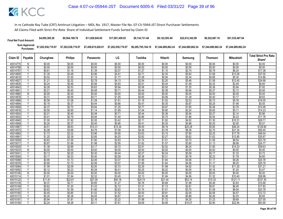| <b>Final Net Fund Amount:</b> | \$4,995,385.28     | \$9,564,189.78     | \$11.829.645.65    | \$17,001,459,93    | \$9.134.731.48     | \$9.122.593.49                        | \$22,612,342,89 | \$6,522,667.16     | \$51,535,487.94    |
|-------------------------------|--------------------|--------------------|--------------------|--------------------|--------------------|---------------------------------------|-----------------|--------------------|--------------------|
| Sum Approved<br>Purchases:    | \$7,202,938,719.97 | \$7,202,938,719.97 | \$7,458,815,028.91 | \$7,202,938,719.97 | \$6.285.795.184.10 | \$7.244.689.862.24 \$7.244.689.862.24 |                 | \$7.244.689.862.24 | \$7.244.689.862.24 |

| Share*<br>40014770<br>\$0.00<br>\$0.00<br>\$0.00<br>\$0.00<br>\$0.00<br>\$0.00<br>\$0.00<br>\$0.00<br>\$0.00<br>N<br>\$0.00<br>$\overline{N}$<br>\$0.00<br>\$0.00<br>\$0.00<br>\$0.00<br>\$0.00<br>\$0.00<br>\$0.00<br>\$0.00<br>\$0.00<br>\$0.00<br>40014789<br>\$2.74<br>\$17.38<br>\$0.61<br>\$1.16<br>\$1.39<br>\$2.07<br>\$1.27<br>\$1.10<br>\$0.79<br>\$6.24<br>40014797<br>\$1.30<br>\$2.48<br>\$2.96<br>\$4.41<br>\$2.71<br>\$2.35<br>\$5.83<br>\$1.68<br>\$13.28<br>\$37.00<br>40014800<br>۷<br>\$1.00<br>\$0.94<br>\$2.34<br>Y<br>\$0.52<br>\$1.19<br>\$1.77<br>\$1.09<br>\$0.68<br>\$5.34<br>\$14.86<br>40014819<br>Ÿ<br>\$5.46<br>\$12.45<br>40014827<br>\$1.21<br>\$2.32<br>\$2.78<br>\$4.13<br>\$2.54<br>\$2.20<br>\$34.68<br>\$1.58<br>\$0.56<br>\$0.44<br>\$0.32<br>\$2.49<br>\$6.94<br>40014835<br>\$0.24<br>\$0.46<br>\$0.83<br>\$0.51<br>\$1.09<br>\$2.84<br>Ÿ<br>\$0.28<br>\$0.53<br>\$0.63<br>\$0.94<br>\$0.58<br>\$0.50<br>\$1.25<br>\$0.36<br>\$7.92<br>40014843<br>\$0.21<br>\$0.40<br>\$0.38<br>\$0.94<br>\$2.13<br>\$5.94<br>40014851<br>\$0.48<br>\$0.71<br>\$0.44<br>\$0.27<br>$\overline{N}$<br>\$0.00<br>\$0.00<br>\$0.00<br>\$0.00<br>\$0.00<br>\$0.00<br>\$0.00<br>\$0.00<br>\$0.00<br>\$0.00<br>40014860<br>\$0.59<br>\$0.71<br>\$0.56<br>\$1.39<br>\$3.17<br>\$8.83<br>40014878<br>\$0.31<br>\$1.05<br>\$0.65<br>\$0.40<br>\$1.08<br>\$1.28<br>\$1.02<br>\$2.53<br>\$5.76<br>40014886<br>Y<br>\$0.56<br>\$1.91<br>\$1.18<br>\$0.73<br>\$16.05<br>$\overline{Y}$<br>\$0.37<br>\$0.44<br>\$0.66<br>\$0.35<br>\$0.87<br>\$1.99<br>\$5.55<br>40014894<br>\$0.19<br>\$0.41<br>\$0.25<br>\$0.84<br>\$1.65<br>40014908<br>γ<br>\$0.37<br>\$0.70<br>\$1.25<br>\$0.77<br>\$0.67<br>\$0.48<br>\$3.76<br>\$10.48<br>\$0.95<br>\$0.90<br>\$2.24<br>\$5.11<br>V<br>\$0.50<br>\$1.14<br>\$1.69<br>\$1.04<br>\$0.65<br>\$14.23<br>40014916<br>\$0.48<br>\$0.38<br>\$0.94<br>\$2.14<br>40014924<br>Y<br>\$0.21<br>\$0.40<br>\$0.71<br>\$0.44<br>\$0.27<br>\$5.96 | <b>Total Strict Pro Rata</b>        |         |         |         |    |           |                |          |         |          |
|------------------------------------------------------------------------------------------------------------------------------------------------------------------------------------------------------------------------------------------------------------------------------------------------------------------------------------------------------------------------------------------------------------------------------------------------------------------------------------------------------------------------------------------------------------------------------------------------------------------------------------------------------------------------------------------------------------------------------------------------------------------------------------------------------------------------------------------------------------------------------------------------------------------------------------------------------------------------------------------------------------------------------------------------------------------------------------------------------------------------------------------------------------------------------------------------------------------------------------------------------------------------------------------------------------------------------------------------------------------------------------------------------------------------------------------------------------------------------------------------------------------------------------------------------------------------------------------------------------------------------------------------------------------------------------------------------------------------------------------------------------------------------------------------------------------------------------------------------------------------------------------------------------------------------------------------------------------------------------|-------------------------------------|---------|---------|---------|----|-----------|----------------|----------|---------|----------|
|                                                                                                                                                                                                                                                                                                                                                                                                                                                                                                                                                                                                                                                                                                                                                                                                                                                                                                                                                                                                                                                                                                                                                                                                                                                                                                                                                                                                                                                                                                                                                                                                                                                                                                                                                                                                                                                                                                                                                                                    | <b>Mitsubishi</b><br><b>Thomson</b> | Samsung | Hitachi | Toshiba | LG | Panasonic | <b>Philips</b> | Chunghwa | Payable | Claim ID |
|                                                                                                                                                                                                                                                                                                                                                                                                                                                                                                                                                                                                                                                                                                                                                                                                                                                                                                                                                                                                                                                                                                                                                                                                                                                                                                                                                                                                                                                                                                                                                                                                                                                                                                                                                                                                                                                                                                                                                                                    |                                     |         |         |         |    |           |                |          |         |          |
|                                                                                                                                                                                                                                                                                                                                                                                                                                                                                                                                                                                                                                                                                                                                                                                                                                                                                                                                                                                                                                                                                                                                                                                                                                                                                                                                                                                                                                                                                                                                                                                                                                                                                                                                                                                                                                                                                                                                                                                    |                                     |         |         |         |    |           |                |          |         |          |
|                                                                                                                                                                                                                                                                                                                                                                                                                                                                                                                                                                                                                                                                                                                                                                                                                                                                                                                                                                                                                                                                                                                                                                                                                                                                                                                                                                                                                                                                                                                                                                                                                                                                                                                                                                                                                                                                                                                                                                                    |                                     |         |         |         |    |           |                |          |         |          |
|                                                                                                                                                                                                                                                                                                                                                                                                                                                                                                                                                                                                                                                                                                                                                                                                                                                                                                                                                                                                                                                                                                                                                                                                                                                                                                                                                                                                                                                                                                                                                                                                                                                                                                                                                                                                                                                                                                                                                                                    |                                     |         |         |         |    |           |                |          |         |          |
|                                                                                                                                                                                                                                                                                                                                                                                                                                                                                                                                                                                                                                                                                                                                                                                                                                                                                                                                                                                                                                                                                                                                                                                                                                                                                                                                                                                                                                                                                                                                                                                                                                                                                                                                                                                                                                                                                                                                                                                    |                                     |         |         |         |    |           |                |          |         |          |
|                                                                                                                                                                                                                                                                                                                                                                                                                                                                                                                                                                                                                                                                                                                                                                                                                                                                                                                                                                                                                                                                                                                                                                                                                                                                                                                                                                                                                                                                                                                                                                                                                                                                                                                                                                                                                                                                                                                                                                                    |                                     |         |         |         |    |           |                |          |         |          |
|                                                                                                                                                                                                                                                                                                                                                                                                                                                                                                                                                                                                                                                                                                                                                                                                                                                                                                                                                                                                                                                                                                                                                                                                                                                                                                                                                                                                                                                                                                                                                                                                                                                                                                                                                                                                                                                                                                                                                                                    |                                     |         |         |         |    |           |                |          |         |          |
|                                                                                                                                                                                                                                                                                                                                                                                                                                                                                                                                                                                                                                                                                                                                                                                                                                                                                                                                                                                                                                                                                                                                                                                                                                                                                                                                                                                                                                                                                                                                                                                                                                                                                                                                                                                                                                                                                                                                                                                    |                                     |         |         |         |    |           |                |          |         |          |
|                                                                                                                                                                                                                                                                                                                                                                                                                                                                                                                                                                                                                                                                                                                                                                                                                                                                                                                                                                                                                                                                                                                                                                                                                                                                                                                                                                                                                                                                                                                                                                                                                                                                                                                                                                                                                                                                                                                                                                                    |                                     |         |         |         |    |           |                |          |         |          |
|                                                                                                                                                                                                                                                                                                                                                                                                                                                                                                                                                                                                                                                                                                                                                                                                                                                                                                                                                                                                                                                                                                                                                                                                                                                                                                                                                                                                                                                                                                                                                                                                                                                                                                                                                                                                                                                                                                                                                                                    |                                     |         |         |         |    |           |                |          |         |          |
|                                                                                                                                                                                                                                                                                                                                                                                                                                                                                                                                                                                                                                                                                                                                                                                                                                                                                                                                                                                                                                                                                                                                                                                                                                                                                                                                                                                                                                                                                                                                                                                                                                                                                                                                                                                                                                                                                                                                                                                    |                                     |         |         |         |    |           |                |          |         |          |
|                                                                                                                                                                                                                                                                                                                                                                                                                                                                                                                                                                                                                                                                                                                                                                                                                                                                                                                                                                                                                                                                                                                                                                                                                                                                                                                                                                                                                                                                                                                                                                                                                                                                                                                                                                                                                                                                                                                                                                                    |                                     |         |         |         |    |           |                |          |         |          |
|                                                                                                                                                                                                                                                                                                                                                                                                                                                                                                                                                                                                                                                                                                                                                                                                                                                                                                                                                                                                                                                                                                                                                                                                                                                                                                                                                                                                                                                                                                                                                                                                                                                                                                                                                                                                                                                                                                                                                                                    |                                     |         |         |         |    |           |                |          |         |          |
|                                                                                                                                                                                                                                                                                                                                                                                                                                                                                                                                                                                                                                                                                                                                                                                                                                                                                                                                                                                                                                                                                                                                                                                                                                                                                                                                                                                                                                                                                                                                                                                                                                                                                                                                                                                                                                                                                                                                                                                    |                                     |         |         |         |    |           |                |          |         |          |
|                                                                                                                                                                                                                                                                                                                                                                                                                                                                                                                                                                                                                                                                                                                                                                                                                                                                                                                                                                                                                                                                                                                                                                                                                                                                                                                                                                                                                                                                                                                                                                                                                                                                                                                                                                                                                                                                                                                                                                                    |                                     |         |         |         |    |           |                |          |         |          |
|                                                                                                                                                                                                                                                                                                                                                                                                                                                                                                                                                                                                                                                                                                                                                                                                                                                                                                                                                                                                                                                                                                                                                                                                                                                                                                                                                                                                                                                                                                                                                                                                                                                                                                                                                                                                                                                                                                                                                                                    |                                     |         |         |         |    |           |                |          |         |          |
| Ϋ<br>\$0.41<br>\$0.79<br>\$0.94<br>\$1.40<br>\$0.86<br>\$0.75<br>\$1.86<br>\$0.54<br>\$4.23<br>\$11.78<br>40014932                                                                                                                                                                                                                                                                                                                                                                                                                                                                                                                                                                                                                                                                                                                                                                                                                                                                                                                                                                                                                                                                                                                                                                                                                                                                                                                                                                                                                                                                                                                                                                                                                                                                                                                                                                                                                                                                 |                                     |         |         |         |    |           |                |          |         |          |
| Y<br>\$1.92<br>\$2.30<br>\$3.42<br>\$2.11<br>\$1.82<br>\$4.52<br>\$10.31<br>\$1.00<br>\$1.30<br>\$28.71<br>40014940                                                                                                                                                                                                                                                                                                                                                                                                                                                                                                                                                                                                                                                                                                                                                                                                                                                                                                                                                                                                                                                                                                                                                                                                                                                                                                                                                                                                                                                                                                                                                                                                                                                                                                                                                                                                                                                                |                                     |         |         |         |    |           |                |          |         |          |
| Y<br>\$0.20<br>\$0.37<br>\$0.45<br>\$0.66<br>\$0.41<br>\$0.35<br>\$0.88<br>\$0.25<br>\$2.00<br>\$5.57<br>40014959                                                                                                                                                                                                                                                                                                                                                                                                                                                                                                                                                                                                                                                                                                                                                                                                                                                                                                                                                                                                                                                                                                                                                                                                                                                                                                                                                                                                                                                                                                                                                                                                                                                                                                                                                                                                                                                                  |                                     |         |         |         |    |           |                |          |         |          |
| \$8.18<br>Y<br>\$4.51<br>\$8.63<br>\$10.31<br>\$15.34<br>\$9.45<br>\$20.29<br>\$5.85<br>\$46.24<br>\$128.80<br>40014967                                                                                                                                                                                                                                                                                                                                                                                                                                                                                                                                                                                                                                                                                                                                                                                                                                                                                                                                                                                                                                                                                                                                                                                                                                                                                                                                                                                                                                                                                                                                                                                                                                                                                                                                                                                                                                                            |                                     |         |         |         |    |           |                |          |         |          |
| Y<br>\$2.08<br>\$3.98<br>\$4.76<br>\$7.08<br>\$4.36<br>\$3.78<br>\$9.36<br>\$2.70<br>\$21.34<br>40014975<br>\$59.45                                                                                                                                                                                                                                                                                                                                                                                                                                                                                                                                                                                                                                                                                                                                                                                                                                                                                                                                                                                                                                                                                                                                                                                                                                                                                                                                                                                                                                                                                                                                                                                                                                                                                                                                                                                                                                                                |                                     |         |         |         |    |           |                |          |         |          |
| \$3.32<br>\$3.96<br>40014983<br>\$1.73<br>\$5.90<br>\$3.63<br>\$3.15<br>\$7.80<br>\$2.25<br>\$17.78<br>\$49.54                                                                                                                                                                                                                                                                                                                                                                                                                                                                                                                                                                                                                                                                                                                                                                                                                                                                                                                                                                                                                                                                                                                                                                                                                                                                                                                                                                                                                                                                                                                                                                                                                                                                                                                                                                                                                                                                     |                                     |         |         |         |    |           |                |          |         |          |
| \$1.25<br>\$2.39<br>\$2.85<br>\$4.25<br>\$2.62<br>\$2.27<br>\$5.62<br>\$1.62<br>\$12.80<br>\$35.67<br>40014991                                                                                                                                                                                                                                                                                                                                                                                                                                                                                                                                                                                                                                                                                                                                                                                                                                                                                                                                                                                                                                                                                                                                                                                                                                                                                                                                                                                                                                                                                                                                                                                                                                                                                                                                                                                                                                                                     |                                     |         |         |         |    |           |                |          |         |          |
| \$3.75<br>\$8.54<br>\$0.83<br>\$1.59<br>\$1.90<br>\$2.83<br>\$1.74<br>\$1.51<br>\$23.78<br>40015009<br>\$1.08<br>v                                                                                                                                                                                                                                                                                                                                                                                                                                                                                                                                                                                                                                                                                                                                                                                                                                                                                                                                                                                                                                                                                                                                                                                                                                                                                                                                                                                                                                                                                                                                                                                                                                                                                                                                                                                                                                                                 |                                     |         |         |         |    |           |                |          |         |          |
| \$1.66<br>\$1.98<br>\$1.82<br>\$1.57<br>\$3.90<br>\$8.89<br>40015017<br>\$0.87<br>\$2.95<br>\$1.13<br>\$24.77                                                                                                                                                                                                                                                                                                                                                                                                                                                                                                                                                                                                                                                                                                                                                                                                                                                                                                                                                                                                                                                                                                                                                                                                                                                                                                                                                                                                                                                                                                                                                                                                                                                                                                                                                                                                                                                                      |                                     |         |         |         |    |           |                |          |         |          |
| \$3.17<br>\$2.52<br>\$6.24<br>\$1.39<br>\$2.66<br>\$4.72<br>\$2.91<br>\$14.23<br>\$39.63<br>4001502<br>\$1.80                                                                                                                                                                                                                                                                                                                                                                                                                                                                                                                                                                                                                                                                                                                                                                                                                                                                                                                                                                                                                                                                                                                                                                                                                                                                                                                                                                                                                                                                                                                                                                                                                                                                                                                                                                                                                                                                      |                                     |         |         |         |    |           |                |          |         |          |
| \$0.00<br>\$0.00<br>\$0.00<br>\$0.00<br>\$0.00<br>\$0.00<br>\$0.00<br>\$0.00<br>\$0.00<br>40015033<br>N<br>\$0.00<br>\$0.25<br>\$0.30<br>\$0.27<br>\$0.24<br>\$0.59<br>\$0.17<br>\$1.33<br>\$3.72<br>Υ                                                                                                                                                                                                                                                                                                                                                                                                                                                                                                                                                                                                                                                                                                                                                                                                                                                                                                                                                                                                                                                                                                                                                                                                                                                                                                                                                                                                                                                                                                                                                                                                                                                                                                                                                                             |                                     |         |         |         |    |           |                |          |         |          |
| 40015041<br>\$0.13<br>\$0.44<br>Y<br>\$0.17<br>\$0.33<br>\$0.40<br>\$0.59<br>\$0.36<br>\$0.31<br>\$0.78<br>\$0.23<br>\$1.78<br>\$4.95<br>40015050                                                                                                                                                                                                                                                                                                                                                                                                                                                                                                                                                                                                                                                                                                                                                                                                                                                                                                                                                                                                                                                                                                                                                                                                                                                                                                                                                                                                                                                                                                                                                                                                                                                                                                                                                                                                                                  |                                     |         |         |         |    |           |                |          |         |          |
| \$2.06<br>\$4.06<br>\$9.26<br>40015068<br>\$0.90<br>\$1.73<br>\$3.07<br>\$1.89<br>\$1.64<br>\$1.17<br>\$25.78                                                                                                                                                                                                                                                                                                                                                                                                                                                                                                                                                                                                                                                                                                                                                                                                                                                                                                                                                                                                                                                                                                                                                                                                                                                                                                                                                                                                                                                                                                                                                                                                                                                                                                                                                                                                                                                                      |                                     |         |         |         |    |           |                |          |         |          |
| \$0.90<br>\$1.73<br>\$2.06<br>\$3.07<br>\$1.89<br>\$1.64<br>\$4.06<br>\$9.25<br>40015076<br>Ϋ<br>\$1.17<br>\$25.76                                                                                                                                                                                                                                                                                                                                                                                                                                                                                                                                                                                                                                                                                                                                                                                                                                                                                                                                                                                                                                                                                                                                                                                                                                                                                                                                                                                                                                                                                                                                                                                                                                                                                                                                                                                                                                                                 |                                     |         |         |         |    |           |                |          |         |          |
| \$2.50<br>\$2.29<br>\$4.92<br>\$1.09<br>\$2.09<br>\$3.72<br>\$1.98<br>\$1.42<br>\$11.20<br>\$31.21<br>40015084<br>Υ                                                                                                                                                                                                                                                                                                                                                                                                                                                                                                                                                                                                                                                                                                                                                                                                                                                                                                                                                                                                                                                                                                                                                                                                                                                                                                                                                                                                                                                                                                                                                                                                                                                                                                                                                                                                                                                                |                                     |         |         |         |    |           |                |          |         |          |
| 40015092<br>Y<br>\$0.12<br>\$0.23<br>\$0.28<br>\$0.25<br>\$0.22<br>\$0.55<br>\$1.24<br>\$3.47<br>\$0.41<br>\$0.16                                                                                                                                                                                                                                                                                                                                                                                                                                                                                                                                                                                                                                                                                                                                                                                                                                                                                                                                                                                                                                                                                                                                                                                                                                                                                                                                                                                                                                                                                                                                                                                                                                                                                                                                                                                                                                                                  |                                     |         |         |         |    |           |                |          |         |          |
| \$0.00<br>\$0.00<br>\$0.00<br>\$0.00<br>\$0.00<br>\$0.00<br>\$0.00<br>Ñ<br>\$0.00<br>\$0.00<br>\$0.00<br>40015106                                                                                                                                                                                                                                                                                                                                                                                                                                                                                                                                                                                                                                                                                                                                                                                                                                                                                                                                                                                                                                                                                                                                                                                                                                                                                                                                                                                                                                                                                                                                                                                                                                                                                                                                                                                                                                                                  |                                     |         |         |         |    |           |                |          |         |          |
| \$2.32<br>\$4.56<br>\$10.40<br>\$1.01<br>\$1.94<br>\$3.45<br>\$2.13<br>\$1.84<br>\$1.32<br>\$28.98<br>Υ<br>40015114                                                                                                                                                                                                                                                                                                                                                                                                                                                                                                                                                                                                                                                                                                                                                                                                                                                                                                                                                                                                                                                                                                                                                                                                                                                                                                                                                                                                                                                                                                                                                                                                                                                                                                                                                                                                                                                                |                                     |         |         |         |    |           |                |          |         |          |
| \$22.61<br>\$27.00<br>\$21.44<br>\$53.14<br>\$121.11<br>\$337.35<br>40015122<br>$\vee$<br>\$11.81<br>\$40.18<br>\$24.74<br>\$15.33                                                                                                                                                                                                                                                                                                                                                                                                                                                                                                                                                                                                                                                                                                                                                                                                                                                                                                                                                                                                                                                                                                                                                                                                                                                                                                                                                                                                                                                                                                                                                                                                                                                                                                                                                                                                                                                 |                                     |         |         |         |    |           |                |          |         |          |
| Y<br>\$0.37<br>\$0.71<br>\$0.85<br>\$1.27<br>\$0.78<br>\$0.68<br>\$1.68<br>\$3.83<br>\$0.48<br>\$10.66<br>40015130                                                                                                                                                                                                                                                                                                                                                                                                                                                                                                                                                                                                                                                                                                                                                                                                                                                                                                                                                                                                                                                                                                                                                                                                                                                                                                                                                                                                                                                                                                                                                                                                                                                                                                                                                                                                                                                                 |                                     |         |         |         |    |           |                |          |         |          |
| \$0.62<br>\$1.20<br>\$1.43<br>\$2.12<br>\$2.81<br>\$6.40<br>40015149<br>\$1.31<br>\$1.13<br>\$0.81<br>\$17.83                                                                                                                                                                                                                                                                                                                                                                                                                                                                                                                                                                                                                                                                                                                                                                                                                                                                                                                                                                                                                                                                                                                                                                                                                                                                                                                                                                                                                                                                                                                                                                                                                                                                                                                                                                                                                                                                      |                                     |         |         |         |    |           |                |          |         |          |
| Y<br>\$0.83<br>\$1.59<br>\$1.90<br>\$2.83<br>\$1.74<br>\$1.51<br>\$3.75<br>\$1.08<br>\$8.54<br>\$23.78<br>40015157                                                                                                                                                                                                                                                                                                                                                                                                                                                                                                                                                                                                                                                                                                                                                                                                                                                                                                                                                                                                                                                                                                                                                                                                                                                                                                                                                                                                                                                                                                                                                                                                                                                                                                                                                                                                                                                                 |                                     |         |         |         |    |           |                |          |         |          |
| \$0.85<br>\$1.02<br>\$1.52<br>\$0.93<br>\$0.81<br>\$2.00<br>\$4.57<br>Y<br>\$0.45<br>\$0.58<br>\$12.72<br>40015165                                                                                                                                                                                                                                                                                                                                                                                                                                                                                                                                                                                                                                                                                                                                                                                                                                                                                                                                                                                                                                                                                                                                                                                                                                                                                                                                                                                                                                                                                                                                                                                                                                                                                                                                                                                                                                                                 |                                     |         |         |         |    |           |                |          |         |          |
| Ÿ<br>\$0.89<br>\$0.20<br>\$0.38<br>\$0.45<br>\$0.41<br>\$0.36<br>\$2.03<br>\$5.65<br>40015173<br>\$0.67<br>\$0.26                                                                                                                                                                                                                                                                                                                                                                                                                                                                                                                                                                                                                                                                                                                                                                                                                                                                                                                                                                                                                                                                                                                                                                                                                                                                                                                                                                                                                                                                                                                                                                                                                                                                                                                                                                                                                                                                  |                                     |         |         |         |    |           |                |          |         |          |
| \$2.16<br>\$3.22<br>\$1.72<br>\$4.25<br>\$27.00<br>\$0.94<br>\$1.81<br>\$1.98<br>\$1.23<br>\$9.69<br>40015181                                                                                                                                                                                                                                                                                                                                                                                                                                                                                                                                                                                                                                                                                                                                                                                                                                                                                                                                                                                                                                                                                                                                                                                                                                                                                                                                                                                                                                                                                                                                                                                                                                                                                                                                                                                                                                                                      |                                     |         |         |         |    |           |                |          |         |          |
| \$2.24<br>\$4.28<br>\$5.11<br>\$4.06<br>\$10.07<br>\$2.90<br>\$22.94<br>40015190<br>\$7.61<br>\$4.69<br>\$63.90<br>Υ                                                                                                                                                                                                                                                                                                                                                                                                                                                                                                                                                                                                                                                                                                                                                                                                                                                                                                                                                                                                                                                                                                                                                                                                                                                                                                                                                                                                                                                                                                                                                                                                                                                                                                                                                                                                                                                               |                                     |         |         |         |    |           |                |          |         |          |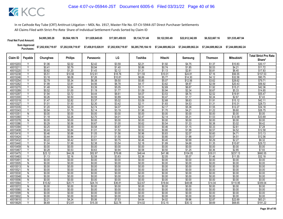| <b>Final Net Fund Amount:</b> | \$4,995,385.28     | \$9,564,189.78     | \$11.829.645.65    | \$17,001,459.93    | \$9.134.731.48     | \$9.122.593.49                                                 | \$22,612,342.89 | \$6,522,667.16 | \$51.535.487.94    |
|-------------------------------|--------------------|--------------------|--------------------|--------------------|--------------------|----------------------------------------------------------------|-----------------|----------------|--------------------|
| Sum Approved<br>Purchases:    | \$7,202,938,719.97 | \$7,202,938,719.97 | \$7,458,815,028.91 | \$7.202.938.719.97 | \$6,285,795,184.10 | \$7.244.689.862.24    \$7.244.689.862.24    \$7.244.689.862.24 |                 |                | \$7.244.689.862.24 |

| <b>Philips</b><br>LG<br>Toshiba<br><b>Mitsubishi</b><br>Claim ID<br>Payable<br>Chunghwa<br>Hitachi<br>Samsung<br><b>Thomson</b><br>Panasonic<br>Share*<br>\$2.02<br>\$3.59<br>40015203<br>\$1.06<br>\$2.42<br>\$2.21<br>\$1.92<br>\$4.75<br>\$1.37<br>\$10.83<br>\$30.17<br>$\overline{Y}$<br>\$0.41<br>\$0.79<br>\$0.94<br>\$1.40<br>\$0.86<br>\$0.74<br>\$1.85<br>\$0.53<br>\$4.21<br>\$11.72<br>40015211<br>\$0.62<br>\$1.43<br>\$2.12<br>\$1.13<br>\$2.81<br>\$6.40<br>\$17.83<br>40015220<br>\$1.20<br>\$1.31<br>\$0.81<br>\$5.51<br>\$10.56<br>\$12.61<br>\$11.55<br>\$24.81<br>\$7.16<br>\$56.55<br>\$157.53<br>40015238<br>\$18.76<br>\$10.01<br>Υ<br>Y<br>\$32.58<br>40015246<br>\$3.18<br>\$6.08<br>\$7.26<br>\$10.81<br>\$6.66<br>\$5.77<br>\$14.30<br>\$4.12<br>\$90.75<br>\$6.38<br>v<br>\$2.79<br>\$5.34<br>\$9.50<br>\$5.85<br>\$5.07<br>\$12.56<br>\$3.62<br>\$28.62<br>\$79.71<br>40015254<br>\$3.62<br>\$20.43<br>\$56.92<br>40015262<br>\$1.99<br>\$3.81<br>\$4.56<br>\$6.78<br>\$4.17<br>\$8.97<br>\$2.59<br>\$1.48<br>\$3.39<br>\$2.69<br>\$6.67<br>40015270<br>Y<br>\$2.84<br>\$5.05<br>\$3.11<br>\$1.92<br>\$15.21<br>\$42.36<br>\$0.52<br>\$1.00<br>\$1.19<br>\$1.09<br>\$0.94<br>\$2.34<br>\$5.33<br>\$14.85<br>40015289<br>Υ<br>\$1.77<br>\$0.67<br>\$3.72<br>\$4.44<br>\$3.53<br>\$8.74<br>\$19.91<br>$\overline{\mathsf{v}}$<br>\$1.94<br>\$6.61<br>\$4.07<br>\$2.52<br>\$55.47<br>40015297<br>Y<br>\$0.26<br>\$0.50<br>\$0.59<br>\$0.54<br>\$0.47<br>\$1.17<br>\$2.67<br>40015300<br>\$0.89<br>\$0.34<br>\$7.43<br>\$2.82<br>\$2.68<br>V<br>\$1.47<br>\$3.37<br>\$5.02<br>\$3.09<br>\$6.63<br>\$1.91<br>\$15.12<br>\$42.11<br>40015319<br>\$1.93<br>Y<br>\$1.01<br>\$2.30<br>\$3.42<br>\$2.11<br>\$1.83<br>\$4.53<br>\$1.31<br>\$10.31<br>\$28.73<br>40015327<br>\$1.20<br>\$2.29<br>\$2.74<br>\$2.51<br>\$2.17<br>\$5.38<br>\$12.27<br>\$34.18<br>40015335<br>Υ<br>\$4.07<br>\$1.55<br>Ϋ<br>\$0.94<br>\$1.79<br>\$2.14<br>\$3.19<br>\$1.96<br>\$1.70<br>\$4.21<br>\$1.22<br>\$9.60<br>\$26.75<br>40015343<br>\$0.00<br>\$0.00<br>\$0.00<br>\$0.00<br>\$0.00<br>\$0.00<br>\$0.00<br>\$0.00<br>\$0.00<br>40015351<br>N<br>\$0.00<br>\$2.26<br>\$2.70<br>\$2.47<br>\$2.14<br>\$5.31<br>\$12.09<br>\$33.69<br>40015360<br>Y<br>\$1.18<br>\$4.01<br>\$1.53<br>\$0.00<br>\$0.00<br>\$0.00<br>\$0.00<br>\$0.00<br>\$0.00<br>$\overline{N}$ | <b>Total Strict Pro Rata</b> |
|-------------------------------------------------------------------------------------------------------------------------------------------------------------------------------------------------------------------------------------------------------------------------------------------------------------------------------------------------------------------------------------------------------------------------------------------------------------------------------------------------------------------------------------------------------------------------------------------------------------------------------------------------------------------------------------------------------------------------------------------------------------------------------------------------------------------------------------------------------------------------------------------------------------------------------------------------------------------------------------------------------------------------------------------------------------------------------------------------------------------------------------------------------------------------------------------------------------------------------------------------------------------------------------------------------------------------------------------------------------------------------------------------------------------------------------------------------------------------------------------------------------------------------------------------------------------------------------------------------------------------------------------------------------------------------------------------------------------------------------------------------------------------------------------------------------------------------------------------------------------------------------------------------------------------------------------------------------------------------------------------------------------------------------------------------------------------------------------------------------------------------------------------------------------------------------------------------------------------------------------------------------------------------------------------------------------------------------------------------------------|------------------------------|
|                                                                                                                                                                                                                                                                                                                                                                                                                                                                                                                                                                                                                                                                                                                                                                                                                                                                                                                                                                                                                                                                                                                                                                                                                                                                                                                                                                                                                                                                                                                                                                                                                                                                                                                                                                                                                                                                                                                                                                                                                                                                                                                                                                                                                                                                                                                                                                   |                              |
|                                                                                                                                                                                                                                                                                                                                                                                                                                                                                                                                                                                                                                                                                                                                                                                                                                                                                                                                                                                                                                                                                                                                                                                                                                                                                                                                                                                                                                                                                                                                                                                                                                                                                                                                                                                                                                                                                                                                                                                                                                                                                                                                                                                                                                                                                                                                                                   |                              |
|                                                                                                                                                                                                                                                                                                                                                                                                                                                                                                                                                                                                                                                                                                                                                                                                                                                                                                                                                                                                                                                                                                                                                                                                                                                                                                                                                                                                                                                                                                                                                                                                                                                                                                                                                                                                                                                                                                                                                                                                                                                                                                                                                                                                                                                                                                                                                                   |                              |
|                                                                                                                                                                                                                                                                                                                                                                                                                                                                                                                                                                                                                                                                                                                                                                                                                                                                                                                                                                                                                                                                                                                                                                                                                                                                                                                                                                                                                                                                                                                                                                                                                                                                                                                                                                                                                                                                                                                                                                                                                                                                                                                                                                                                                                                                                                                                                                   |                              |
|                                                                                                                                                                                                                                                                                                                                                                                                                                                                                                                                                                                                                                                                                                                                                                                                                                                                                                                                                                                                                                                                                                                                                                                                                                                                                                                                                                                                                                                                                                                                                                                                                                                                                                                                                                                                                                                                                                                                                                                                                                                                                                                                                                                                                                                                                                                                                                   |                              |
|                                                                                                                                                                                                                                                                                                                                                                                                                                                                                                                                                                                                                                                                                                                                                                                                                                                                                                                                                                                                                                                                                                                                                                                                                                                                                                                                                                                                                                                                                                                                                                                                                                                                                                                                                                                                                                                                                                                                                                                                                                                                                                                                                                                                                                                                                                                                                                   |                              |
|                                                                                                                                                                                                                                                                                                                                                                                                                                                                                                                                                                                                                                                                                                                                                                                                                                                                                                                                                                                                                                                                                                                                                                                                                                                                                                                                                                                                                                                                                                                                                                                                                                                                                                                                                                                                                                                                                                                                                                                                                                                                                                                                                                                                                                                                                                                                                                   |                              |
|                                                                                                                                                                                                                                                                                                                                                                                                                                                                                                                                                                                                                                                                                                                                                                                                                                                                                                                                                                                                                                                                                                                                                                                                                                                                                                                                                                                                                                                                                                                                                                                                                                                                                                                                                                                                                                                                                                                                                                                                                                                                                                                                                                                                                                                                                                                                                                   |                              |
|                                                                                                                                                                                                                                                                                                                                                                                                                                                                                                                                                                                                                                                                                                                                                                                                                                                                                                                                                                                                                                                                                                                                                                                                                                                                                                                                                                                                                                                                                                                                                                                                                                                                                                                                                                                                                                                                                                                                                                                                                                                                                                                                                                                                                                                                                                                                                                   |                              |
|                                                                                                                                                                                                                                                                                                                                                                                                                                                                                                                                                                                                                                                                                                                                                                                                                                                                                                                                                                                                                                                                                                                                                                                                                                                                                                                                                                                                                                                                                                                                                                                                                                                                                                                                                                                                                                                                                                                                                                                                                                                                                                                                                                                                                                                                                                                                                                   |                              |
|                                                                                                                                                                                                                                                                                                                                                                                                                                                                                                                                                                                                                                                                                                                                                                                                                                                                                                                                                                                                                                                                                                                                                                                                                                                                                                                                                                                                                                                                                                                                                                                                                                                                                                                                                                                                                                                                                                                                                                                                                                                                                                                                                                                                                                                                                                                                                                   |                              |
|                                                                                                                                                                                                                                                                                                                                                                                                                                                                                                                                                                                                                                                                                                                                                                                                                                                                                                                                                                                                                                                                                                                                                                                                                                                                                                                                                                                                                                                                                                                                                                                                                                                                                                                                                                                                                                                                                                                                                                                                                                                                                                                                                                                                                                                                                                                                                                   |                              |
|                                                                                                                                                                                                                                                                                                                                                                                                                                                                                                                                                                                                                                                                                                                                                                                                                                                                                                                                                                                                                                                                                                                                                                                                                                                                                                                                                                                                                                                                                                                                                                                                                                                                                                                                                                                                                                                                                                                                                                                                                                                                                                                                                                                                                                                                                                                                                                   |                              |
|                                                                                                                                                                                                                                                                                                                                                                                                                                                                                                                                                                                                                                                                                                                                                                                                                                                                                                                                                                                                                                                                                                                                                                                                                                                                                                                                                                                                                                                                                                                                                                                                                                                                                                                                                                                                                                                                                                                                                                                                                                                                                                                                                                                                                                                                                                                                                                   |                              |
|                                                                                                                                                                                                                                                                                                                                                                                                                                                                                                                                                                                                                                                                                                                                                                                                                                                                                                                                                                                                                                                                                                                                                                                                                                                                                                                                                                                                                                                                                                                                                                                                                                                                                                                                                                                                                                                                                                                                                                                                                                                                                                                                                                                                                                                                                                                                                                   |                              |
|                                                                                                                                                                                                                                                                                                                                                                                                                                                                                                                                                                                                                                                                                                                                                                                                                                                                                                                                                                                                                                                                                                                                                                                                                                                                                                                                                                                                                                                                                                                                                                                                                                                                                                                                                                                                                                                                                                                                                                                                                                                                                                                                                                                                                                                                                                                                                                   |                              |
|                                                                                                                                                                                                                                                                                                                                                                                                                                                                                                                                                                                                                                                                                                                                                                                                                                                                                                                                                                                                                                                                                                                                                                                                                                                                                                                                                                                                                                                                                                                                                                                                                                                                                                                                                                                                                                                                                                                                                                                                                                                                                                                                                                                                                                                                                                                                                                   |                              |
|                                                                                                                                                                                                                                                                                                                                                                                                                                                                                                                                                                                                                                                                                                                                                                                                                                                                                                                                                                                                                                                                                                                                                                                                                                                                                                                                                                                                                                                                                                                                                                                                                                                                                                                                                                                                                                                                                                                                                                                                                                                                                                                                                                                                                                                                                                                                                                   |                              |
| \$0.00<br>\$0.00<br>\$0.00<br>\$0.00<br>40015378                                                                                                                                                                                                                                                                                                                                                                                                                                                                                                                                                                                                                                                                                                                                                                                                                                                                                                                                                                                                                                                                                                                                                                                                                                                                                                                                                                                                                                                                                                                                                                                                                                                                                                                                                                                                                                                                                                                                                                                                                                                                                                                                                                                                                                                                                                                  |                              |
| \$0.29<br>\$0.56<br>\$0.67<br>\$0.62<br>\$0.54<br>\$1.33<br>\$3.02<br>40015386<br>Y<br>\$1.00<br>\$0.38<br>\$8.42                                                                                                                                                                                                                                                                                                                                                                                                                                                                                                                                                                                                                                                                                                                                                                                                                                                                                                                                                                                                                                                                                                                                                                                                                                                                                                                                                                                                                                                                                                                                                                                                                                                                                                                                                                                                                                                                                                                                                                                                                                                                                                                                                                                                                                                 |                              |
| \$0.46<br>\$0.25<br>\$0.49<br>\$0.58<br>\$0.87<br>\$0.53<br>\$1.15<br>\$0.33<br>\$2.61<br>\$7.28<br>40015394<br>Y                                                                                                                                                                                                                                                                                                                                                                                                                                                                                                                                                                                                                                                                                                                                                                                                                                                                                                                                                                                                                                                                                                                                                                                                                                                                                                                                                                                                                                                                                                                                                                                                                                                                                                                                                                                                                                                                                                                                                                                                                                                                                                                                                                                                                                                 |                              |
| Y<br>\$0.44<br>\$0.84<br>\$1.01<br>\$1.50<br>\$0.92<br>\$0.80<br>\$1.98<br>\$0.57<br>\$4.52<br>\$12.58<br>40015408                                                                                                                                                                                                                                                                                                                                                                                                                                                                                                                                                                                                                                                                                                                                                                                                                                                                                                                                                                                                                                                                                                                                                                                                                                                                                                                                                                                                                                                                                                                                                                                                                                                                                                                                                                                                                                                                                                                                                                                                                                                                                                                                                                                                                                                |                              |
| \$2.07<br>\$0.46<br>\$0.88<br>\$1.05<br>\$1.56<br>\$0.96<br>\$0.83<br>\$0.60<br>\$4.71<br>\$13.13<br>40015416                                                                                                                                                                                                                                                                                                                                                                                                                                                                                                                                                                                                                                                                                                                                                                                                                                                                                                                                                                                                                                                                                                                                                                                                                                                                                                                                                                                                                                                                                                                                                                                                                                                                                                                                                                                                                                                                                                                                                                                                                                                                                                                                                                                                                                                     |                              |
| \$0.84<br>\$1.01<br>\$0.92<br>\$0.80<br>\$1.98<br>\$0.57<br>\$4.51<br>\$12.56<br>40015424<br>\$0.44<br>\$1.50                                                                                                                                                                                                                                                                                                                                                                                                                                                                                                                                                                                                                                                                                                                                                                                                                                                                                                                                                                                                                                                                                                                                                                                                                                                                                                                                                                                                                                                                                                                                                                                                                                                                                                                                                                                                                                                                                                                                                                                                                                                                                                                                                                                                                                                     |                              |
| \$0.22<br>\$0.51<br>\$0.99<br>\$2.27<br>\$0.42<br>\$0.75<br>\$0.46<br>\$0.40<br>\$0.29<br>\$6.32<br>40015432<br>Υ                                                                                                                                                                                                                                                                                                                                                                                                                                                                                                                                                                                                                                                                                                                                                                                                                                                                                                                                                                                                                                                                                                                                                                                                                                                                                                                                                                                                                                                                                                                                                                                                                                                                                                                                                                                                                                                                                                                                                                                                                                                                                                                                                                                                                                                 |                              |
| \$1.04<br>\$1.99<br>\$2.38<br>\$3.54<br>\$2.18<br>\$1.89<br>\$4.68<br>\$10.67<br>40015440<br>Υ<br>\$1.35<br>\$29.72                                                                                                                                                                                                                                                                                                                                                                                                                                                                                                                                                                                                                                                                                                                                                                                                                                                                                                                                                                                                                                                                                                                                                                                                                                                                                                                                                                                                                                                                                                                                                                                                                                                                                                                                                                                                                                                                                                                                                                                                                                                                                                                                                                                                                                               |                              |
| \$0.00<br>\$0.00<br>\$0.00<br>\$0.00<br>\$0.00<br>Ñ<br>\$0.00<br>\$0.00<br>\$0.00<br>\$0.00<br>\$0.00<br>40015459                                                                                                                                                                                                                                                                                                                                                                                                                                                                                                                                                                                                                                                                                                                                                                                                                                                                                                                                                                                                                                                                                                                                                                                                                                                                                                                                                                                                                                                                                                                                                                                                                                                                                                                                                                                                                                                                                                                                                                                                                                                                                                                                                                                                                                                 |                              |
| \$0.63<br>\$2.85<br>40015467<br>Y<br>\$0.28<br>\$0.53<br>\$0.94<br>\$0.58<br>\$0.50<br>\$1.25<br>\$0.36<br>\$7.93<br>Υ                                                                                                                                                                                                                                                                                                                                                                                                                                                                                                                                                                                                                                                                                                                                                                                                                                                                                                                                                                                                                                                                                                                                                                                                                                                                                                                                                                                                                                                                                                                                                                                                                                                                                                                                                                                                                                                                                                                                                                                                                                                                                                                                                                                                                                            |                              |
| \$23.12<br>\$44.26<br>\$52.87<br>\$41.98<br>\$30.01<br>\$78.68<br>\$48.44<br>\$104.05<br>\$237.13<br>\$660.55<br>40015475<br>Y                                                                                                                                                                                                                                                                                                                                                                                                                                                                                                                                                                                                                                                                                                                                                                                                                                                                                                                                                                                                                                                                                                                                                                                                                                                                                                                                                                                                                                                                                                                                                                                                                                                                                                                                                                                                                                                                                                                                                                                                                                                                                                                                                                                                                                    |                              |
| \$2.16<br>\$2.58<br>\$3.83<br>\$2.36<br>\$2.05<br>\$5.07<br>\$11.55<br>40015483<br>\$1.13<br>\$1.46<br>\$32.18<br>\$0.00<br>\$0.00<br>\$0.00<br>$\mathsf{N}$                                                                                                                                                                                                                                                                                                                                                                                                                                                                                                                                                                                                                                                                                                                                                                                                                                                                                                                                                                                                                                                                                                                                                                                                                                                                                                                                                                                                                                                                                                                                                                                                                                                                                                                                                                                                                                                                                                                                                                                                                                                                                                                                                                                                      |                              |
| 40015491<br>\$0.00<br>\$0.00<br>\$0.00<br>\$0.00<br>\$0.00<br>\$0.00<br>\$0.00<br>\$0.00<br>\$0.00<br>\$0.00<br>\$0.00<br>\$0.00<br>\$0.00<br>\$0.00<br>\$0.00<br>\$0.00<br>\$0.00<br>40015505<br>N                                                                                                                                                                                                                                                                                                                                                                                                                                                                                                                                                                                                                                                                                                                                                                                                                                                                                                                                                                                                                                                                                                                                                                                                                                                                                                                                                                                                                                                                                                                                                                                                                                                                                                                                                                                                                                                                                                                                                                                                                                                                                                                                                               |                              |
| \$0.00<br>\$0.00<br>\$0.00<br>\$0.00<br>\$0.00<br>\$0.00<br>\$0.00<br>\$0.00<br>\$0.00<br>\$0.00<br>40015513<br>$\overline{N}$                                                                                                                                                                                                                                                                                                                                                                                                                                                                                                                                                                                                                                                                                                                                                                                                                                                                                                                                                                                                                                                                                                                                                                                                                                                                                                                                                                                                                                                                                                                                                                                                                                                                                                                                                                                                                                                                                                                                                                                                                                                                                                                                                                                                                                    |                              |
| 40015521<br>N<br>\$0.00<br>\$0.00<br>\$0.00<br>\$0.00<br>\$0.00<br>\$0.00<br>\$0.00<br>\$0.00<br>\$0.00<br>\$0.00                                                                                                                                                                                                                                                                                                                                                                                                                                                                                                                                                                                                                                                                                                                                                                                                                                                                                                                                                                                                                                                                                                                                                                                                                                                                                                                                                                                                                                                                                                                                                                                                                                                                                                                                                                                                                                                                                                                                                                                                                                                                                                                                                                                                                                                 |                              |
| \$0.00<br>\$0.00<br>\$0.00<br>\$0.00<br>\$0.00<br>\$0.00<br>\$0.00<br>\$0.00<br>\$0.00<br>\$0.00<br>40015530<br>N                                                                                                                                                                                                                                                                                                                                                                                                                                                                                                                                                                                                                                                                                                                                                                                                                                                                                                                                                                                                                                                                                                                                                                                                                                                                                                                                                                                                                                                                                                                                                                                                                                                                                                                                                                                                                                                                                                                                                                                                                                                                                                                                                                                                                                                 |                              |
| \$0.00<br>\$0.00<br>\$0.00<br>\$0.00<br>\$0.00<br>\$0.00<br>\$0.00<br>\$0.00<br>\$0.00<br>\$0.00<br>40015548<br>Ñ                                                                                                                                                                                                                                                                                                                                                                                                                                                                                                                                                                                                                                                                                                                                                                                                                                                                                                                                                                                                                                                                                                                                                                                                                                                                                                                                                                                                                                                                                                                                                                                                                                                                                                                                                                                                                                                                                                                                                                                                                                                                                                                                                                                                                                                 |                              |
| \$0.00<br>\$0.00<br>\$0.00<br>\$0.00<br>\$0.00<br>40015556<br>\$0.00<br>\$0.00<br>\$0.00<br>\$0.00<br>\$0.00<br>N                                                                                                                                                                                                                                                                                                                                                                                                                                                                                                                                                                                                                                                                                                                                                                                                                                                                                                                                                                                                                                                                                                                                                                                                                                                                                                                                                                                                                                                                                                                                                                                                                                                                                                                                                                                                                                                                                                                                                                                                                                                                                                                                                                                                                                                 |                              |
| Y<br>\$10.82<br>\$20.71<br>\$24.74<br>\$36.81<br>\$22.67<br>\$19.64<br>\$48.68<br>\$110.95<br>\$309.04<br>40015564<br>\$14.04                                                                                                                                                                                                                                                                                                                                                                                                                                                                                                                                                                                                                                                                                                                                                                                                                                                                                                                                                                                                                                                                                                                                                                                                                                                                                                                                                                                                                                                                                                                                                                                                                                                                                                                                                                                                                                                                                                                                                                                                                                                                                                                                                                                                                                     |                              |
| \$0.00<br>\$0.00<br>\$0.00<br>\$0.00<br>\$0.00<br>\$0.00<br>\$0.00<br>\$0.00<br>\$0.00<br>\$0.00<br>40015572<br>N                                                                                                                                                                                                                                                                                                                                                                                                                                                                                                                                                                                                                                                                                                                                                                                                                                                                                                                                                                                                                                                                                                                                                                                                                                                                                                                                                                                                                                                                                                                                                                                                                                                                                                                                                                                                                                                                                                                                                                                                                                                                                                                                                                                                                                                 |                              |
| \$0.00<br>\$0.00<br>\$0.00<br>\$0.00<br>\$0.00<br>\$0.00<br>\$0.00<br>40015580<br>\$0.00<br>\$0.00<br>\$0.00<br>N                                                                                                                                                                                                                                                                                                                                                                                                                                                                                                                                                                                                                                                                                                                                                                                                                                                                                                                                                                                                                                                                                                                                                                                                                                                                                                                                                                                                                                                                                                                                                                                                                                                                                                                                                                                                                                                                                                                                                                                                                                                                                                                                                                                                                                                 |                              |
| \$0.00<br>\$0.00<br>\$0.00<br>\$0.00<br>\$0.00<br>\$0.00<br>\$0.00<br>\$0.00<br>40015599<br>$\overline{N}$<br>\$0.00<br>\$0.00                                                                                                                                                                                                                                                                                                                                                                                                                                                                                                                                                                                                                                                                                                                                                                                                                                                                                                                                                                                                                                                                                                                                                                                                                                                                                                                                                                                                                                                                                                                                                                                                                                                                                                                                                                                                                                                                                                                                                                                                                                                                                                                                                                                                                                    |                              |
| 40015602<br>$\mathsf{N}$<br>\$0.00<br>\$0.00<br>\$0.00<br>\$0.00<br>\$0.00<br>\$0.00<br>\$0.00<br>\$0.00<br>\$0.00<br>\$0.00                                                                                                                                                                                                                                                                                                                                                                                                                                                                                                                                                                                                                                                                                                                                                                                                                                                                                                                                                                                                                                                                                                                                                                                                                                                                                                                                                                                                                                                                                                                                                                                                                                                                                                                                                                                                                                                                                                                                                                                                                                                                                                                                                                                                                                      |                              |
| \$2.21<br>\$4.24<br>\$5.06<br>\$7.53<br>\$4.02<br>\$9.96<br>\$2.87<br>\$22.69<br>\$63.21<br>\$4.64<br>40015610                                                                                                                                                                                                                                                                                                                                                                                                                                                                                                                                                                                                                                                                                                                                                                                                                                                                                                                                                                                                                                                                                                                                                                                                                                                                                                                                                                                                                                                                                                                                                                                                                                                                                                                                                                                                                                                                                                                                                                                                                                                                                                                                                                                                                                                    |                              |
| \$6.69<br>\$12.81<br>\$15.30<br>\$22.78<br>\$14.02<br>\$12.15<br>\$30.12<br>40015629<br>V<br>\$8.69<br>\$68.65<br>\$191.22                                                                                                                                                                                                                                                                                                                                                                                                                                                                                                                                                                                                                                                                                                                                                                                                                                                                                                                                                                                                                                                                                                                                                                                                                                                                                                                                                                                                                                                                                                                                                                                                                                                                                                                                                                                                                                                                                                                                                                                                                                                                                                                                                                                                                                        |                              |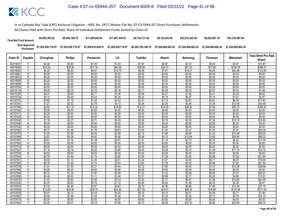| <b>Final Net Fund Amount:</b> | \$4,995,385.28     | \$9.564.189.78     | \$11.829.645.65    | \$17.001.459.93    | \$9.134.731.48     | \$9.122.593.49 | \$22,612,342.89                       | \$6,522,667.16     | \$51,535,487.94    |
|-------------------------------|--------------------|--------------------|--------------------|--------------------|--------------------|----------------|---------------------------------------|--------------------|--------------------|
| Sum Approved<br>Purchases:    | \$7,202,938,719.97 | \$7,202,938,719.97 | \$7,458,815,028.91 | \$7,202,938,719.97 | \$6.285.795.184.10 |                | \$7.244.689.862.24 \$7.244.689.862.24 | \$7.244.689.862.24 | \$7.244.689.862.24 |

|                      |                         |                  |                  |                  |                  |                  |                  |                  |                  |                   | <b>Total Strict Pro Rata</b> |
|----------------------|-------------------------|------------------|------------------|------------------|------------------|------------------|------------------|------------------|------------------|-------------------|------------------------------|
| Claim ID             | Payable                 | Chunghwa         | <b>Philips</b>   | Panasonic        | LG               | Toshiba          | Hitachi          | Samsung          | <b>Thomson</b>   | <b>Mitsubishi</b> | Share*                       |
| 40015637             |                         | \$0.48           | \$0.92           | \$1.09           | \$1.63           | \$1.00           | \$0.87           | \$2.15           | \$0.62           | \$4.91            | \$13.67                      |
| 40015645             | $\overline{Y}$          | \$13.63          | \$26.09          | \$31.16          | \$46.38          | \$28.56          | \$24.74          | \$61.33          | \$17.69          | \$139.78          | \$389.37                     |
| 4001565              |                         | \$4.33           | \$8.30           | \$9.91           | \$14.75          | \$9.08           | \$7.87           | \$19.51          | \$5.63           | \$44.46           | \$123.85                     |
| 40015661             | Ñ                       | \$0.00           | \$0.00           | \$0.00           | \$0.00           | \$0.00           | \$0.00           | \$0.00           | \$0.00           | \$0.00            | \$0.00                       |
| 40015670             | $\mathsf{N}$            | \$0.00           | \$0.00           | \$0.00           | \$0.00           | \$0.00           | \$0.00           | \$0.00           | \$0.00           | \$0.00            | \$0.00                       |
| 40015688             | Ñ                       | \$0.00           | \$0.00           | \$0.00           | \$0.00           | \$0.00           | \$0.00           | \$0.00           | \$0.00           | \$0.00            | \$0.00                       |
| 40015696             | N                       | \$0.00           | \$0.00           | \$0.00           | \$0.00           | \$0.00           | \$0.00           | \$0.00           | \$0.00           | \$0.00            | \$0.00                       |
| 40015700             | ${\sf N}$               | \$0.00           | \$0.00           | \$0.00           | \$0.00           | \$0.00           | \$0.00           | \$0.00           | \$0.00           | \$0.00            | \$0.00                       |
| 40015718             | Y                       | \$0.05           | \$0.10           | \$0.12           | \$0.18           | \$0.11           | \$0.09           | \$0.23           | \$0.07           | \$0.53            | \$1.49                       |
| 40015726             | V                       | \$0.31           | \$0.60           | \$0.71           | \$1.06           | \$0.65           | \$0.57           | \$1.40           | \$0.41           | \$3.20            | \$8.92                       |
| 40015734             |                         | \$0.10           | \$0.20           | \$0.24           | \$0.35           | \$0.22           | \$0.19           | \$0.47           | \$0.14           | \$1.07            | \$2.97                       |
| 40157373             | Y                       | \$0.62           | \$1.19           | \$1.43           | \$2.12           | \$1.31           | \$1.13           | \$2.81           | \$0.81           | \$6.39            | \$17.81                      |
| 40157381             | Y                       | \$1.21           | \$2.32           | \$2.78           | \$4.13           | \$2.54           | \$2.20           | \$5.46           | \$1.58           | \$12.45           | \$34.68                      |
| 40157390             | $\overline{\mathsf{v}}$ | \$5.82           | \$11.15          | \$13.32          | \$19.82          | \$12.21          | \$10.58          | \$26.22          | \$7.56           | \$59.75           | \$166.43                     |
| 40157403             | N                       | \$0.00           | \$0.00           | \$0.00           | \$0.00           | \$0.00           | \$0.00           | \$0.00           | \$0.00           | \$0.00            | \$0.00                       |
| 40157411             | N                       | \$0.00           | \$0.00           | \$0.00           | \$0.00           | \$0.00           | \$0.00           | \$0.00           | \$0.00           | \$0.00            | \$0.00                       |
| 40157420             | N                       | \$0.00           | \$0.00           | \$0.00           | \$0.00           | \$0.00           | \$0.00           | \$0.00           | \$0.00           | \$0.00            | \$0.00                       |
| 40157438             | Y                       | \$1.18           | \$2.27           | \$2.71           | \$4.03           | \$2.48           | \$2.15           | \$5.33           | \$1.54           | \$12.15           | \$33.83                      |
| 40157446             | N                       | \$0.00           | \$0.00           | \$0.00           | \$0.00           | \$0.00           | \$0.00           | \$0.00           | \$0.00           | \$0.00            | \$0.00                       |
| 40157454             | N                       | \$0.00           | \$0.00           | \$0.00           | \$0.00           | \$0.00           | \$0.00           | \$0.00           | \$0.00           | \$0.00            | \$0.00                       |
| 40157462             | Y                       | \$0.77           | \$1.48           | \$1.76           | \$2.63           | \$1.62           | \$1.40           | \$3.47           | \$1.00           | \$7.91            | \$22.04                      |
| 40157470             | $\checkmark$            | \$1.02           | \$1.96           | \$2.34           | \$3.48           | \$2.14           | \$1.86           | \$4.60           | \$1.33           | \$10.49           | \$29.23                      |
| 40157489             |                         | \$2.81           | \$5.38           | \$6.42           | \$9.56           | \$5.88           | \$5.10           | \$12.64          | \$3.65           | \$28.80           | \$80.23                      |
| 40157497             | Y                       | \$0.61           | \$1.16           | \$1.39           | \$2.07           | \$1.27           | \$1.10           | \$2.73           | \$0.79           | \$6.22            | \$17.34                      |
| 40157500             | N                       | \$0.00           | \$0.00<br>\$0.00 | \$0.00<br>\$0.00 | \$0.00<br>\$0.00 | \$0.00           | \$0.00<br>\$0.00 | \$0.00<br>\$0.00 | \$0.00<br>\$0.00 | \$0.00<br>\$0.00  | \$0.00<br>\$0.00             |
| 40157519             | $\overline{N}$<br>Y     | \$0.00           |                  |                  |                  | \$0.00           |                  |                  |                  |                   |                              |
| 40157527<br>40157535 | N                       | \$1.14<br>\$0.00 | \$2.19<br>\$0.00 | \$2.62<br>\$0.00 | \$3.89<br>\$0.00 | \$2.40<br>\$0.00 | \$2.08<br>\$0.00 | \$5.15<br>\$0.00 | \$1.49<br>\$0.00 | \$11.74<br>\$0.00 | \$32.70<br>\$0.00            |
| 40157543             | Y                       | \$0.76           | \$1.46           | \$1.74           | \$2.60           | \$1.60           | \$1.39           | \$3.43           | \$0.99           | \$7.82            | \$21.80                      |
| 4015755              | γ                       | \$0.59           | \$1.13           | \$1.35           | \$2.01           | \$1.24           | \$1.07           | \$2.65           | \$0.77           | \$6.05            | \$16.84                      |
| 40157560             |                         | \$0.76           | \$1.46           | \$1.74           | \$2.60           | \$1.60           | \$1.39           | \$3.43           | \$0.99           | \$7.82            | \$21.80                      |
| 40157578             | Υ                       | \$1.01           | \$1.93           | \$2.31           | \$3.44           | \$2.12           | \$1.83           | \$4.55           | \$1.31           | \$10.36           | \$28.86                      |
| 40157586             | $\mathsf{N}$            | \$0.00           | \$0.00           | \$0.00           | \$0.00           | \$0.00           | \$0.00           | \$0.00           | \$0.00           | \$0.00            | \$0.00                       |
| 40157594             | V                       | \$0.73           | \$1.39           | \$1.67           | \$2.48           | \$1.53           | \$1.32           | \$3.28           | \$0.95           | \$7.47            | \$20.81                      |
| 40157608             |                         | \$0.48           | \$0.93           | \$1.11           | \$1.64           | \$1.01           | \$0.88           | \$2.17           | \$0.63           | \$4.96            | \$13.81                      |
| 40157616             | Y                       | \$1.53           | \$2.92           | \$3.49           | \$5.19           | \$3.20           | \$2.77           | \$6.87           | \$1.98           | \$15.65           | \$43.59                      |
| 40157624             | Y                       | \$0.33           | \$0.63           | \$0.75           | \$1.12           | \$0.69           | \$0.60           | \$1.48           | \$0.43           | \$3.38            | \$9.41                       |
| 40157632             | $\vee$                  | \$1.30           | \$2.49           | \$2.97           | \$4.43           | \$2.72           | \$2.36           | \$5.85           | \$1.69           | \$13.34           | \$37.15                      |
| 40157640             |                         | \$13.00          | \$24.90          | \$29.74          | \$44.26          | \$27.25          | \$23.61          | \$58.52          | \$16.88          | \$133.38          | \$371.54                     |
| 40157659             | Y                       | \$0.07           | \$0.13           | \$0.16           | \$0.24           | \$0.15           | \$0.13           | \$0.31           | \$0.09           | \$0.71            | \$1.98                       |
| 40157667             | Υ                       | \$0.56           | \$1.08           | \$1.29           | \$1.92           | \$1.18           | \$1.02           | \$2.54           | \$0.73           | \$5.78            | \$16.10                      |
| 40157675             | N                       | \$0.00           | \$0.00           | \$0.00           | \$0.00           | \$0.00           | \$0.00           | \$0.00           | \$0.00           | \$0.00            | \$0.00                       |
| 40157683             | Δ                       | \$2.25           | \$4.31           | \$5.15           | \$7.66           | \$4.72           | \$4.09           | \$10.13          | \$2.92           | \$23.09           | \$64.33                      |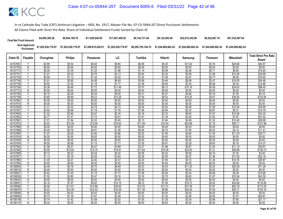| <b>Final Net Fund Amount:</b> | \$4.995.385.28     | \$9.564.189.78     | \$11,829,645,65    | \$17,001,459.93    | \$9.134.731.48     | \$9.122.593.49                        | \$22,612,342,89 | \$6,522,667.16     | \$51,535,487.94    |
|-------------------------------|--------------------|--------------------|--------------------|--------------------|--------------------|---------------------------------------|-----------------|--------------------|--------------------|
| Sum Approved<br>Purchases:    | \$7,202,938,719.97 | \$7,202,938,719.97 | \$7,458,815,028.91 | \$7,202,938,719.97 | \$6,285,795,184.10 | \$7.244.689.862.24 \$7.244.689.862.24 |                 | \$7.244.689.862.24 | \$7.244.689.862.24 |

| Claim ID             | Payable                 | Chunghwa         | <b>Philips</b>    | Panasonic         | LG                | Toshiba          | Hitachi           | Samsung           | <b>Thomson</b>   | Mitsubishi         | <b>Total Strict Pro Rata</b> |
|----------------------|-------------------------|------------------|-------------------|-------------------|-------------------|------------------|-------------------|-------------------|------------------|--------------------|------------------------------|
|                      |                         |                  |                   |                   |                   |                  |                   |                   |                  |                    | Share*                       |
| 40157691             | Υ                       | \$2.89           | \$5.54            | \$6.62            | \$9.85            | \$6.06           | \$5.25            | \$13.02           | \$3.76           | \$29.68            | \$82.67                      |
| 40157705             | N                       | \$0.00           | \$0.00            | \$0.00            | \$0.00            | \$0.00           | \$0.00            | \$0.00            | \$0.00           | \$0.00             | \$0.00                       |
| 40157713             | γ                       | \$0.55           | \$1.05            | \$1.25            | \$1.86            | \$1.14           | \$0.99            | \$2.46            | \$0.71           | \$5.60             | \$15.60                      |
| 4015772              |                         | \$1.21           | \$2.32            | \$2.78            | \$4.13            | \$2.54           | \$2.20            | \$5.46            | \$1.58           | \$12.45            | \$34.68                      |
| 40157730             | Y                       | \$0.59           | \$1.13            | \$1.35            | \$2.02            | \$1.24           | \$1.08            | \$2.67            | \$0.77           | \$6.08             | \$16.92                      |
| 40157748             | Y                       | \$1.91           | \$3.65            | \$4.36            | \$6.49            | \$3.99           | \$3.46            | \$8.58            | \$2.47           | \$19.55            | \$54.46                      |
| 40157756             | $\overline{\mathsf{v}}$ | \$0.52           | \$1.00            | \$1.19            | \$1.77            | \$1.09           | \$0.94            | \$2.34            | \$0.68           | \$5.34             | \$14.86                      |
| 40157764             | γ                       | \$3.38           | \$6.46            | \$7.72            | \$11.49           | \$7.07           | \$6.13            | \$15.19           | \$4.38           | \$34.63            | \$96.45                      |
| 40157772             | N                       | \$0.00           | \$0.00            | \$0.00            | \$0.00            | \$0.00           | \$0.00            | \$0.00            | \$0.00           | \$0.00             | \$0.00                       |
| 40157780             | Y                       | \$0.15           | \$0.28            | \$0.34            | \$0.50            | \$0.31           | \$0.27            | \$0.66            | \$0.19           | \$1.50             | \$4.19                       |
| 40157799             | Υ                       | \$3.60           | \$6.89            | \$8.23            | \$12.25           | \$7.54           | \$6.53            | \$16.20           | \$4.67           | \$36.92            | \$102.84                     |
| 40157802             | N                       | \$0.00           | \$0.00            | \$0.00            | \$0.00            | \$0.00           | \$0.00            | \$0.00            | \$0.00           | \$0.00             | \$0.00                       |
| 40157810             | N                       | \$0.00           | \$0.00            | \$0.00            | \$0.00            | \$0.00           | \$0.00            | \$0.00            | \$0.00           | \$0.00             | \$0.00                       |
| 40157829             | Υ                       | \$1.21           | \$2.32            | \$2.78            | \$4.13            | \$2.54           | \$2.20            | \$5.46            | \$1.58           | \$12.45            | \$34.68                      |
| 40157837             | Y                       | \$0.52           | \$0.99            | \$1.18            | \$1.76            | \$1.08           | \$0.94            | \$2.33            | \$0.67           | \$5.31             | \$14.79                      |
| 40157845             | Y                       | \$1.52           | \$2.90            | \$3.47            | \$5.16            | \$3.18           | \$2.75            | \$6.83            | \$1.97           | \$15.56            | \$43.35                      |
| 40157853             | Y                       | \$0.77           | \$1.47            | \$1.75            | \$2.61            | \$1.61           | \$1.39            | \$3.45            | \$1.00           | \$7.87             | \$21.92                      |
| 4015786              | Y                       | \$1.01           | \$1.94            | \$2.32            | \$3.45            | \$2.13           | \$1.84            | \$4.56            | \$1.32           | \$10.40            | \$28.98                      |
| 40157870             | γ                       | \$5.53           | \$10.59           | \$12.64           | \$18.82           | \$11.59          | \$10.04           | \$24.88           | \$7.18           | \$56.71            | \$157.98                     |
| 40157888             | N                       | \$0.00           | \$0.00            | \$0.00            | \$0.00            | \$0.00           | \$0.00            | \$0.00            | \$0.00           | \$0.00             | \$0.00                       |
| 40157896             | Y                       | \$0.40           | \$0.76            | \$0.91            | \$1.36            | \$0.84           | \$0.72            | \$1.80            | \$0.52           | \$4.10             | \$11.41                      |
| 40157900             | Y                       | \$1.07           | \$2.06            | \$2.46            | \$3.66            | \$2.25           | \$1.95            | \$4.84            | \$1.40           | \$11.03            | \$30.71                      |
| 40157918             | N                       | \$0.00           | \$0.00            | \$0.00            | \$0.00            | \$0.00           | \$0.00            | \$0.00            | \$0.00           | \$0.00             | \$0.00                       |
| 40157926             | N<br>Υ                  | \$0.00           | \$0.00            | \$0.00            | \$0.00            | \$0.00           | \$0.00            | \$0.00            | \$0.00           | \$0.00<br>\$5.16   | \$0.00                       |
| 40157934<br>40157942 | Y                       | \$0.50           | \$0.96            | \$1.15            | \$1.71            | \$1.05<br>\$2.27 | \$0.91            | \$2.26            | \$0.65           |                    | \$14.37                      |
| 40157950             | Υ                       | \$1.08<br>\$5.56 | \$2.07<br>\$10.64 | \$2.47<br>\$12.70 | \$3.68<br>\$18.91 | \$11.64          | \$1.96<br>\$10.09 | \$4.87<br>\$25.00 | \$1.40<br>\$7.21 | \$11.10<br>\$56.98 | \$30.91<br>\$158.72          |
| 40157969             | Υ                       | \$0.12           | \$0.23            | \$0.28            | \$0.42            | \$0.26           | \$0.22            | \$0.55            | \$0.16           | \$1.25             | \$3.49                       |
| 40157977             | Υ                       | \$1.13           | \$2.16            | \$2.58            | \$3.83            | \$2.36           | \$2.05            | \$5.07            | \$1.46           | \$11.55            | \$32.18                      |
| 40157985             | Y                       | \$1.05           | \$2.01            | \$2.40            | \$3.57            | \$2.20           | \$1.90            | \$4.72            | \$1.36           | \$10.76            | \$29.97                      |
| 40157993             | N                       | \$0.00           | \$0.00            | \$0.00            | \$0.00            | \$0.00           | \$0.00            | \$0.00            | \$0.00           | \$0.00             | \$0.00                       |
| 40158000             | Υ                       | \$2.49           | \$4.78            | \$5.70            | \$8.49            | \$5.23           | \$4.53            | \$11.23           | \$3.24           | \$25.59            | \$71.28                      |
| 40158019             | N                       | \$0.00           | \$0.00            | \$0.00            | \$0.00            | \$0.00           | \$0.00            | \$0.00            | \$0.00           | \$0.00             | \$0.00                       |
| 40158027             | Y                       | \$0.52           | \$1.00            | \$1.19            | \$1.77            | \$1.09           | \$0.94            | \$2.34            | \$0.68           | \$5.34             | \$14.86                      |
| 40158035             |                         | \$1.52           | \$2.90            | \$3.47            | \$5.16            | \$3.18           | \$2.75            | \$6.82            | \$1.97           | \$15.54            | \$43.30                      |
| 40158043             | N                       | \$0.00           | \$0.00            | \$0.00            | \$0.00            | \$0.00           | \$0.00            | \$0.00            | \$0.00           | \$0.00             | \$0.00                       |
| 4015805              | Υ                       | \$4.16           | \$7.97            | \$9.52            | \$14.16           | \$8.72           | \$7.56            | \$18.73           | \$5.40           | \$42.68            | \$118.89                     |
| 40158060             | Y                       | \$6.06           | \$11.61           | \$13.86           | \$20.63           | \$12.70          | \$11.01           | \$27.28           | \$7.87           | \$62.18            | \$173.20                     |
| 40158078             | V                       | \$5.43           | \$10.40           | \$12.42           | \$18.49           | \$11.38          | \$9.86            | \$24.44           | \$7.05           | \$55.71            | \$155.18                     |
| 40158086             | N                       | \$0.00           | \$0.00            | \$0.00            | \$0.00            | \$0.00           | \$0.00            | \$0.00            | \$0.00           | \$0.00             | \$0.00                       |
| 40158094             | v                       | \$0.73           | \$1.39            | \$1.67            | \$2.48            | \$1.53           | \$1.32            | \$3.28            | \$0.95           | \$7.47             | \$20.81                      |
| 40158108             | Y                       | \$0.74           | \$1.42            | \$1.69            | \$2.52            | \$1.55           | \$1.35            | \$3.34            | \$0.96           | \$7.60             | \$21.17                      |
| 40158116             | N                       | \$0.00           | \$0.00            | \$0.00            | \$0.00            | \$0.00           | \$0.00            | \$0.00            | \$0.00           | \$0.00             | \$0.00                       |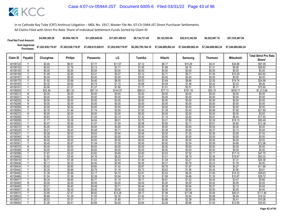| <b>Final Net Fund Amount:</b> | \$4,995,385.28                                | \$9.564.189.78     | \$11,829,645,65    | \$17.001.459.93    | \$9.134.731.48     | \$9.122.593.49     | \$22,612,342.89                       | \$6,522,667.16 | \$51,535,487.94    |
|-------------------------------|-----------------------------------------------|--------------------|--------------------|--------------------|--------------------|--------------------|---------------------------------------|----------------|--------------------|
|                               | Sum Approved \$7,202,938,719.97<br>Purchases: | \$7,202,938,719.97 | \$7,458,815,028.91 | \$7,202,938,719.97 | \$6,285,795,184.10 | \$7.244.689.862.24 | \$7.244.689.862.24 \$7.244.689.862.24 |                | \$7.244.689.862.24 |

|          |                         |          |                |           |          |         |                  |          |                | <b>Mitsubishi</b> | <b>Total Strict Pro Rata</b> |
|----------|-------------------------|----------|----------------|-----------|----------|---------|------------------|----------|----------------|-------------------|------------------------------|
| Claim ID | Payable                 | Chunghwa | <b>Philips</b> | Panasonic | LG       | Toshiba | Hitachi          | Samsung  | <b>Thomson</b> |                   | Share*                       |
| 40158124 |                         | \$3.40   | \$6.51         | \$7.77    | \$11.57  | \$7.12  | \$6.17           | \$15.29  | \$4.41         | \$34.86           | \$97.09                      |
| 40158132 | Y                       | \$0.93   | \$1.78         | \$2.13    | \$3.17   | \$1.95  | \$1.69           | \$4.19   | \$1.21         | \$9.56            | \$26.63                      |
| 40158140 | $\overline{N}$          | \$0.00   | \$0.00         | \$0.00    | \$0.00   | \$0.00  | \$0.00           | \$0.00   | \$0.00         | \$0.00            | \$0.00                       |
| 40158159 |                         | \$1.49   | \$2.85         | \$3.41    | \$5.07   | \$3.12  | \$2.71           | \$6.71   | \$1.94         | \$15.29           | \$42.60                      |
| 40158167 | N                       | \$0.00   | \$0.00         | \$0.00    | \$0.00   | \$0.00  | \$0.00           | \$0.00   | \$0.00         | \$0.00            | \$0.00                       |
| 40158175 | Υ                       | \$1.92   | \$3.68         | \$4.40    | \$6.55   | \$4.03  | \$3.49           | \$8.66   | \$2.50         | \$19.74           | \$54.99                      |
| 40158183 | Y                       | \$0.32   | \$0.62         | \$0.74    | \$1.10   | \$0.68  | \$0.59           | \$1.46   | \$0.42         | \$3.33            | \$9.26                       |
| 40158191 |                         | \$0.56   | \$1.07         | \$1.27    | \$1.90   | \$1.17  | \$1.01           | \$2.51   | \$0.72         | \$5.71            | \$15.92                      |
| 40158205 | Υ                       | \$42.48  | \$81.33        | \$97.14   | \$144.57 | \$89.01 | \$77.13          | \$191.18 | \$55.15        | \$435.71          | \$1,213.68                   |
| 40158213 | N                       | \$0.00   | \$0.00         | \$0.00    | \$0.00   | \$0.00  | \$0.00           | \$0.00   | \$0.00         | \$0.00            | \$0.00                       |
| 4015822  | N                       | \$0.00   | \$0.00         | \$0.00    | \$0.00   | \$0.00  | \$0.00           | \$0.00   | \$0.00         | \$0.00            | \$0.00                       |
| 40158230 | N                       | \$0.00   | \$0.00         | \$0.00    | \$0.00   | \$0.00  | \$0.00           | \$0.00   | \$0.00         | \$0.00            | \$0.00                       |
| 40158248 | N                       | \$0.00   | \$0.00         | \$0.00    | \$0.00   | \$0.00  | \$0.00           | \$0.00   | \$0.00         | \$0.00            | \$0.00                       |
| 40158256 | N                       | \$0.00   | \$0.00         | \$0.00    | \$0.00   | \$0.00  | \$0.00           | \$0.00   | \$0.00         | \$0.00            | \$0.00                       |
| 40158264 | $\checkmark$            | \$0.76   | \$1.46         | \$1.74    | \$2.60   | \$1.60  | \$1.39           | \$3.43   | \$0.99         | \$7.82            | \$21.80                      |
| 40158272 | N                       | \$0.00   | \$0.00         | \$0.00    | \$0.00   | \$0.00  | \$0.00           | \$0.00   | \$0.00         | \$0.00            | \$0.00                       |
| 40158280 | ٧                       | \$0.63   | \$1.20         | \$1.44    | \$2.14   | \$1.32  | \$1.14           | \$2.82   | \$0.81         | \$6.44            | \$17.93                      |
| 40158299 | $\overline{\mathsf{v}}$ | \$1.77   | \$3.38         | \$4.04    | \$6.01   | \$3.70  | \$3.21           | \$7.95   | \$2.29         | \$18.13           | \$50.49                      |
| 40158302 |                         | \$0.47   | \$0.90         | \$1.07    | \$1.59   | \$0.98  | \$0.85           | \$2.11   | \$0.61         | \$4.80            | \$13.38                      |
| 40158310 | N                       | \$0.00   | \$0.00         | \$0.00    | \$0.00   | \$0.00  | \$0.00           | \$0.00   | \$0.00         | \$0.00            | \$0.00                       |
| 40158329 | Υ                       | \$0.21   | \$0.40         | \$0.48    | \$0.71   | \$0.44  | \$0.38           | \$0.94   | \$0.27         | \$2.13            | \$5.94                       |
| 40158337 | $\overline{\mathsf{v}}$ | \$0.28   | \$0.53         | \$0.63    | \$0.94   | \$0.58  | \$0.50           | \$1.25   | \$0.36         | \$2.85            | \$7.93                       |
| 40158345 | N                       | \$0.00   | \$0.00         | \$0.00    | \$0.00   | \$0.00  | \$0.00           | \$0.00   | \$0.00         | \$0.00            | \$0.00                       |
| 40158353 | N                       | \$0.00   | \$0.00         | \$0.00    | \$0.00   | \$0.00  | \$0.00           | \$0.00   | \$0.00         | \$0.00            | \$0.00                       |
| 40158361 | Y                       | \$0.45   | \$0.87         | \$1.04    | \$1.55   | \$0.95  | \$0.82           | \$2.04   | \$0.59         | \$4.66            | \$12.98                      |
| 40158370 | $\overline{N}$          | \$0.00   | \$0.00         | \$0.00    | \$0.00   | \$0.00  | \$0.00           | \$0.00   | \$0.00         | \$0.00            | \$0.00                       |
| 40158388 | N                       | \$0.00   | \$0.00         | \$0.00    | \$0.00   | \$0.00  | \$0.00           | \$0.00   | \$0.00         | \$0.00            | \$0.00                       |
| 40158396 | Y                       | \$1.67   | \$3.20         | \$3.82    | \$5.69   | \$3.50  | \$3.03           | \$7.52   | \$2.17         | \$17.14           | \$47.75                      |
| 40158400 | Y                       | \$1.82   | \$3.49         | \$4.16    | \$6.20   | \$3.81  | \$3.31           | \$8.19   | \$2.36         | \$18.67           | \$52.02                      |
| 40158418 | $\checkmark$            | \$0.71   | \$1.36         | \$1.63    | \$2.43   | \$1.49  | \$1.29           | \$3.21   | \$0.93         | \$7.31            | \$20.36                      |
| 40158426 |                         | \$0.17   | \$0.33         | \$0.40    | \$0.59   | \$0.36  | \$0.31           | \$0.78   | \$0.23         | \$1.78            | \$4.95                       |
| 40158434 | Υ                       | \$0.42   | \$0.80         | \$0.95    | \$1.42   | \$0.87  | \$0.76           | \$1.87   | \$0.54         | \$4.27            | \$11.89                      |
| 40158442 | Y                       | \$0.35   | \$0.66         | \$0.79    | \$1.18   | \$0.73  | \$0.63           | \$1.56   | \$0.45         | \$3.56            | \$9.91                       |
| 40158450 |                         | \$1.39   | \$2.66         | \$3.17    | \$4.72   | \$2.91  | \$2.52           | \$6.24   | \$1.80         | \$14.23           | \$39.63                      |
| 40158469 | Υ                       | \$1.04   | \$1.99         | \$2.38    | \$3.54   | \$2.18  | \$1.89           | \$4.68   | \$1.35         | \$10.67           | \$29.72                      |
| 40158477 | Y                       | \$0.34   | \$0.65         | \$0.77    | \$1.15   | \$0.71  | \$0.61           | \$1.52   | \$0.44         | \$3.47            | \$9.66                       |
| 40158485 | $\overline{N}$<br>v     | \$0.00   | \$0.00         | \$0.00    | \$0.00   | \$0.00  | \$0.00           | \$0.00   | \$0.00         | \$0.00            | \$0.00                       |
| 40158493 |                         | \$0.21   | \$0.40         | \$0.48    | \$0.71   | \$0.44  | \$0.38<br>\$0.00 | \$0.94   | \$0.27         | \$2.13            | \$5.94                       |
| 40158507 | $\overline{N}$<br>Υ     | \$0.00   | \$0.00         | \$0.00    | \$0.00   | \$0.00  |                  | \$0.00   | \$0.00         | \$0.00            | \$0.00                       |
| 40158515 | $\checkmark$            | \$3.90   | \$7.47         | \$8.92    | \$13.28  | \$8.17  | \$7.08           | \$17.56  | \$5.06         | \$40.01           | \$111.46                     |
| 40158523 |                         | \$0.68   | \$1.29         | \$1.55    | \$2.30   | \$1.42  | \$1.23           | \$3.04   | \$0.88         | \$6.94            | \$19.32                      |
| 4015853  | Υ                       | \$0.53   | \$1.01         | \$1.21    | \$1.80   | \$1.11  | \$0.96           | \$2.38   | \$0.69         | \$5.41            | \$15.08                      |
| 40158540 |                         | \$1.26   | \$2.41         | \$2.88    | \$4.28   | \$2.64  | \$2.28           | \$5.66   | \$1.63         | \$12.90           | \$35.93                      |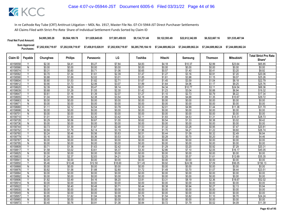| <b>Final Net Fund Amount:</b> | \$4,995,385.28     | \$9,564,189.78     | \$11.829.645.65    | \$17.001.459.93    | \$9.134.731.48 | \$9.122.593.49                                                                      | \$22.612.342.89 | \$6,522,667.16     | \$51,535,487.94    |
|-------------------------------|--------------------|--------------------|--------------------|--------------------|----------------|-------------------------------------------------------------------------------------|-----------------|--------------------|--------------------|
| Sum Approved<br>Purchases:    | \$7,202,938,719.97 | \$7,202,938,719.97 | \$7,458,815,028.91 | \$7,202,938,719.97 |                | \$6,285,795,184.10    \$7,244,689,862.24    \$7,244,689,862.24                    . |                 | \$7.244.689.862.24 | \$7.244.689.862.24 |

|                     |                         |                  |                   |                   |                   |                   |                  |                   |                  |                   | <b>Total Strict Pro Rata</b> |
|---------------------|-------------------------|------------------|-------------------|-------------------|-------------------|-------------------|------------------|-------------------|------------------|-------------------|------------------------------|
| Claim ID            | Payable                 | Chunghwa         | <b>Philips</b>    | Panasonic         | LG                | Toshiba           | Hitachi          | Samsung           | Thomson          | <b>Mitsubishi</b> | Share*                       |
| 40158558            | Υ                       | \$2.30           | \$4.41            | \$5.27            | \$7.84            | \$4.83            | \$4.18           | \$10.37           | \$2.99           | \$23.64           | \$65.85                      |
| 40158566            | $\mathsf{N}$            | \$0.00           | \$0.00            | \$0.00            | \$0.00            | \$0.00            | \$0.00           | \$0.00            | \$0.00           | \$0.00            | \$0.00                       |
| 40158574            | v                       | \$0.31           | \$0.60            | \$0.71            | \$1.06            | \$0.65            | \$0.57           | \$1.40            | \$0.41           | \$3.20            | \$8.92                       |
| 40158582            |                         | \$0.70           | \$1.34            | \$1.61            | \$2.39            | \$1.47            | \$1.27           | \$3.16            | \$0.91           | \$7.20            | \$20.06                      |
| 40158590            | Y                       | \$0.88           | \$1.69            | \$2.02            | \$3.01            | \$1.85            | \$1.61           | \$3.98            | \$1.15           | \$9.07            | \$25.26                      |
| 40158604            | v                       | \$0.80           | \$1.53            | \$1.82            | \$2.71            | \$1.67            | \$1.45           | \$3.59            | \$1.04           | \$8.18            | \$22.79                      |
| 4015861             |                         | \$0.90           | \$1.73            | \$2.06            | \$3.07            | \$1.89            | \$1.64           | \$4.06            | \$1.17           | \$9.25            | \$25.76                      |
| 40158620            | Y                       | \$2.39           | \$4.58            | \$5.47            | \$8.14            | \$5.01            | \$4.34           | \$10.77           | \$3.11           | \$24.54           | \$68.36                      |
| 40158639            | Υ                       | \$0.68           | \$1.29            | \$1.55            | \$2.30            | \$1.42            | \$1.23           | \$3.04            | \$0.88           | \$6.94            | \$19.32                      |
| 40158647            | $\overline{\mathsf{v}}$ | \$0.61           | \$1.16            | \$1.39            | \$2.07            | \$1.27            | \$1.10           | \$2.73            | \$0.79           | \$6.22            | \$17.34                      |
| 4015865             |                         | \$1.04           | \$1.99            | \$2.38            | \$3.54            | \$2.18            | \$1.89           | \$4.68            | \$1.35           | \$10.67           | \$29.72                      |
| 40158663            | Ñ                       | \$0.00           | \$0.00            | \$0.00            | \$0.00            | \$0.00            | \$0.00           | \$0.00            | \$0.00           | \$0.00            | \$0.00                       |
| 4015867             | $\mathsf{N}$            | \$0.00           | \$0.00            | \$0.00            | \$0.00            | \$0.00            | \$0.00           | \$0.00            | \$0.00           | \$0.00            | \$0.00                       |
| 40158680            | V                       | \$1.11           | \$2.12            | \$2.54            | \$3.78            | \$2.33            | \$2.01           | \$4.99            | \$1.44           | \$11.38           | \$31.70                      |
| 40158698            | $\overline{N}$          | \$0.00           | \$0.00            | \$0.00            | \$0.00            | \$0.00            | \$0.00           | \$0.00            | \$0.00           | \$0.00            | \$0.00                       |
| 40158701            | N                       | \$0.00           | \$0.00            | \$0.00            | \$0.00            | \$0.00            | \$0.00           | \$0.00            | \$0.00           | \$0.00            | \$0.00                       |
| 40158710            | V                       | \$1.01           | \$1.93            | \$2.30            | \$3.42            | \$2.11            | \$1.83           | \$4.53            | \$1.31           | \$10.31           | \$28.73                      |
| 40158728            | Y                       | \$0.29           | \$0.56            | \$0.67            | \$1.00            | \$0.62            | \$0.54           | \$1.33            | \$0.38           | \$3.02            | \$8.42                       |
| 40158736            | N                       | \$0.00           | \$0.00            | \$0.00            | \$0.00            | \$0.00            | \$0.00           | \$0.00            | \$0.00           | \$0.00            | \$0.00                       |
| 40158744            | γ                       | \$0.73           | \$1.39            | \$1.67            | \$2.48            | \$1.53            | \$1.32           | \$3.28            | \$0.95           | \$7.47            | \$20.81                      |
| 40158752            | Y                       | \$0.94           | \$1.79            | \$2.14            | \$3.19            | \$1.96            | \$1.70           | \$4.21            | \$1.22           | \$9.60            | \$26.74                      |
| 40158760            | Y                       | \$0.24           | \$0.46            | \$0.56            | \$0.83            | \$0.51            | \$0.44           | \$1.09            | \$0.32           | \$2.49            | \$6.94                       |
| 40158779            | Ϋ                       | \$0.16           | \$0.30            | \$0.36            | \$0.53            | \$0.33            | \$0.28           | \$0.70            | \$0.20           | \$1.60            | \$4.46                       |
| 40158787            | N                       | \$0.00           | \$0.00            | \$0.00            | \$0.00            | \$0.00            | \$0.00           | \$0.00            | \$0.00           | \$0.00            | \$0.00                       |
| 40158795            | N                       | \$0.00           | \$0.00            | \$0.00            | \$0.00            | \$0.00            | \$0.00           | \$0.00            | \$0.00           | \$0.00            | \$0.00                       |
| 40158809            | Y                       | \$0.71           | \$1.36            | \$1.63            | \$2.42            | \$1.49            | \$1.29           | \$3.20            | \$0.92           | \$7.29            | \$20.31                      |
| 4015881             | Y                       | \$1.58           | \$3.02            | \$3.61            | \$5.37            | \$3.30            | \$2.86           | \$7.10            | \$2.05           | \$16.17           | \$45.05                      |
| 40158825            | N<br>Y                  | \$0.00           | \$0.00            | \$0.00            | \$0.00            | \$0.00            | \$0.00           | \$0.00            | \$0.00           | \$0.00            | \$0.00                       |
| 40158833            |                         | \$1.24           | \$2.37            | \$2.83            | \$4.21            | \$2.59            | \$2.25           | \$5.57            | \$1.61           | \$12.69           | \$35.35                      |
| 4015884<br>40158850 | N<br>Υ                  | \$0.00<br>\$5.46 | \$0.00<br>\$10.46 | \$0.00<br>\$12.50 | \$0.00            | \$0.00            | \$0.00<br>\$9.92 | \$0.00<br>\$24.59 | \$0.00<br>\$7.09 | \$0.00<br>\$56.05 | \$0.00                       |
| 40158868            | $\overline{N}$          | \$0.00           | \$0.00            | \$0.00            | \$18.60<br>\$0.00 | \$11.45<br>\$0.00 | \$0.00           | \$0.00            | \$0.00           | \$0.00            | \$156.13<br>\$0.00           |
| 40158876            | Y                       | \$0.82           | \$1.58            | \$1.88            | \$2.80            | \$1.72            | \$1.49           | \$3.70            |                  | \$8.44            | \$23.51                      |
| 40158884            | Ñ                       | \$0.00           | \$0.00            | \$0.00            | \$0.00            | \$0.00            | \$0.00           | \$0.00            | \$1.07<br>\$0.00 | \$0.00            | \$0.00                       |
| 40158892            | N                       | \$0.00           | \$0.00            | \$0.00            | \$0.00            | \$0.00            | \$0.00           | \$0.00            | \$0.00           | \$0.00            | \$0.00                       |
| 40158906            | Y                       | \$1.82           | \$3.49            | \$4.16            | \$6.20            | \$3.81            | \$3.31           | \$8.19            | \$2.36           | \$18.67           | \$52.02                      |
| 40158914            | $\overline{N}$          | \$0.00           | \$0.00            | \$0.00            | \$0.00            | \$0.00            | \$0.00           | \$0.00            | \$0.00           | \$0.00            | \$0.00                       |
| 40158922            | Y                       | \$0.21           | \$0.40            | \$0.48            | \$0.71            | \$0.44            | \$0.38           | \$0.94            | \$0.27           | \$2.13            | \$5.94                       |
| 40158930            | N                       | \$0.00           | \$0.00            | \$0.00            | \$0.00            | \$0.00            | \$0.00           | \$0.00            | \$0.00           | \$0.00            | \$0.00                       |
| 40158949            | N                       | \$0.00           | \$0.00            | \$0.00            | \$0.00            | \$0.00            | \$0.00           | \$0.00            | \$0.00           | \$0.00            | \$0.00                       |
| 40158957            | $\overline{\mathsf{v}}$ | \$0.85           | \$1.62            | \$1.94            | \$2.89            | \$1.78            | \$1.54           | \$3.82            | \$1.10           | \$8.70            | \$24.24                      |
| 40158965            | N                       | \$0.00           | \$0.00            | \$0.00            | \$0.00            | \$0.00            | \$0.00           | \$0.00            | \$0.00           | \$0.00            | \$0.00                       |
| 40158973            | Υ                       | \$0.40           | \$0.76            | \$0.91            | \$1.36            | \$0.84            | \$0.72           | \$1.79            | \$0.52           | \$4.09            | \$11.39                      |
|                     |                         |                  |                   |                   |                   |                   |                  |                   |                  |                   |                              |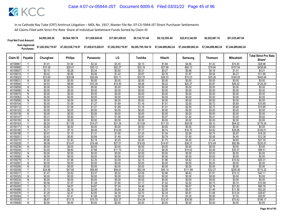| <b>Final Net Fund Amount:</b> | \$4,995,385.28                                | \$9.564.189.78     | \$11,829,645,65    | \$17.001.459.93    | \$9.134.731.48     | \$9.122.593.49     | \$22,612,342.89                       | \$6,522,667.16 | \$51,535,487.94    |
|-------------------------------|-----------------------------------------------|--------------------|--------------------|--------------------|--------------------|--------------------|---------------------------------------|----------------|--------------------|
|                               | Sum Approved \$7,202,938,719.97<br>Purchases: | \$7,202,938,719.97 | \$7,458,815,028.91 | \$7,202,938,719.97 | \$6,285,795,184.10 | \$7.244.689.862.24 | \$7.244.689.862.24 \$7.244.689.862.24 |                | \$7.244.689.862.24 |

|                      |                |                   |                   |                   |                   |                   |                   |                    |                   | <b>Mitsubishi</b>   | <b>Total Strict Pro Rata</b> |
|----------------------|----------------|-------------------|-------------------|-------------------|-------------------|-------------------|-------------------|--------------------|-------------------|---------------------|------------------------------|
| Claim ID             | Payable        | Chunghwa          | <b>Philips</b>    | Panasonic         | LG                | Toshiba           | Hitachi           | Samsung            | <b>Thomson</b>    |                     | Share*                       |
| 40158981             |                | \$1.01            | \$1.94            | \$2.32            | \$3.45            | \$2.13            | \$1.84            | \$4.56             | \$1.32            | \$10.40             | \$28.98                      |
| 40158990             | Y              | \$15.36           | \$29.41           | \$35.12           | \$52.27           | \$32.18           | \$27.89           | \$69.12            | \$19.94           | \$157.54            | \$438.84                     |
| 40159007             | Υ              | \$0.15            | \$0.28            | \$0.34            | \$0.50            | \$0.31            | \$0.27            | \$0.66             | \$0.19            | \$1.51              | \$4.21                       |
| 40159015             |                | \$0.42            | \$0.80            | \$0.95            | \$1.42            | \$0.87            | \$0.76            | \$1.87             | \$0.54            | \$4.27              | \$11.89                      |
| 40159023             | Y              | \$15.60           | \$29.88           | \$35.68           | \$53.11           | \$32.70           | \$28.33           | \$70.23            | \$20.26           | \$160.05            | \$445.84                     |
| 4015903              | N              | \$0.00            | \$0.00            | \$0.00            | \$0.00            | \$0.00            | \$0.00            | \$0.00             | \$0.00            | \$0.00              | \$0.00                       |
| 40159040             | Y              | \$4.53            | \$8.66            | \$10.35           | \$15.40           | \$9.48            | \$8.22            | \$20.37            | \$5.87            | \$46.42             | \$129.29                     |
| 40159058             | N              | \$0.00            | \$0.00            | \$0.00            | \$0.00            | \$0.00            | \$0.00            | \$0.00             | \$0.00            | \$0.00              | \$0.00                       |
| 40159066             | N              | \$0.00            | \$0.00            | \$0.00            | \$0.00            | \$0.00            | \$0.00            | \$0.00             | \$0.00            | \$0.00              | \$0.00                       |
| 40159074             | $\overline{N}$ | \$0.00            | \$0.00            | \$0.00            | \$0.00            | \$0.00            | \$0.00            | \$0.00             | \$0.00            | \$0.00              | \$0.00                       |
| 40159082             | N              | \$0.00            | \$0.00            | \$0.00            | \$0.00            | \$0.00            | \$0.00            | \$0.00             | \$0.00            | \$0.00              | \$0.00                       |
| 40159090             | N              | \$0.00            | \$0.00            | \$0.00            | \$0.00            | \$0.00            | \$0.00            | \$0.00             | \$0.00            | \$0.00              | \$0.00                       |
| 40159104             | Y              | \$0.55            | \$1.06            | \$1.27            | \$1.89            | \$1.16            | \$1.01            | \$2.50             | \$0.72            | \$5.69              | \$15.85                      |
| 40159112             | Υ              | \$0.55            | \$1.06            | \$1.27            | \$1.89            | \$1.16            | \$1.01            | \$2.50             | \$0.72            | \$5.69              | \$15.85                      |
| 40159120             | N              | \$0.00            | \$0.00            | \$0.00            | \$0.00            | \$0.00            | \$0.00            | \$0.00             | \$0.00            | \$0.00              | \$0.00                       |
| 40159139             | N              | \$0.00            | \$0.00            | \$0.00            | \$0.00            | \$0.00            | \$0.00            | \$0.00             | \$0.00            | \$0.00              | \$0.00                       |
| 40159147             | Y              | \$0.31            | \$0.60            | \$0.71            | \$1.06            | \$0.65            | \$0.57            | \$1.40             | \$0.41            | \$3.20              | \$8.92                       |
| 40159155             | $\overline{N}$ | \$0.00            | \$0.00            | \$0.00            | \$0.00            | \$0.00            | \$0.00            | \$0.00             | \$0.00            | \$0.00              | \$0.00                       |
| 40159163             | $\vee$         | \$6.24            | \$11.95           | \$14.27           | \$21.24           | \$13.08           | \$11.33           | \$28.09            | \$8.10            | \$64.02             | \$178.34                     |
| 4015917              | N              | \$0.00            | \$0.00            | \$0.00            | \$0.00            | \$0.00            | \$0.00            | \$0.00             | \$0.00            | \$0.00              | \$0.00                       |
| 40159180             | Y              | \$3.71            | \$7.10            | \$8.49            | \$12.63           | \$7.77            | \$6.74            | \$16.70            | \$4.82            | \$38.06             | \$106.01                     |
| 40159198             | Y              | \$0.57            | \$1.10            | \$1.31            | \$1.95            | \$1.20            | \$1.04            | \$2.58             | \$0.74            | \$5.87              | \$16.35                      |
| 4015920              | ▽              | \$0.43            | \$0.83            | \$0.99            | \$1.48            | \$0.91            | \$0.79            | \$1.95             | \$0.56            | \$4.45              | \$12.38                      |
| 40159210             | Y              | \$0.96            | \$1.83            | \$2.18            | \$3.25            | \$2.00            | \$1.73            | \$4.30             | \$1.24            | \$9.80              | \$27.30                      |
| 40159228             | ٧              | \$8.08            | \$15.47           | \$18.48           | \$27.51           | \$16.93           | \$14.67           | \$36.37            | \$10.49           | \$82.89             | \$230.91                     |
| 40159236             | $\overline{N}$ | \$0.00            | \$0.00            | \$0.00            | \$0.00            | \$0.00            | \$0.00            | \$0.00             | \$0.00            | \$0.00              | \$0.00                       |
| 40159244             | Y              | \$3.45            | \$6.60            | \$7.88            | \$11.73           | \$7.22            | \$6.26            | \$15.52            | \$4.48            | \$35.37             | \$98.51                      |
| 40159252             | N              | \$0.00            | \$0.00            | \$0.00            | \$0.00            | \$0.00            | \$0.00            | \$0.00             | \$0.00            | \$0.00              | \$0.00                       |
| 40159260             | N<br>$\vee$    | \$0.00            | \$0.00            | \$0.00            | \$0.00            | \$0.00            | \$0.00            | \$0.00             | \$0.00            | \$0.00              | \$0.00                       |
| 40159279             |                | \$1.03            | \$1.96            | \$2.35            | \$3.49            | \$2.15            | \$1.86            | \$4.62             | \$1.33            | \$10.52             | \$29.31                      |
| 40159287<br>40159295 | N              | \$0.00<br>\$0.00  | \$0.00<br>\$0.00  | \$0.00<br>\$0.00  | \$0.00<br>\$0.00  | \$0.00<br>\$0.00  | \$0.00<br>\$0.00  | \$0.00<br>\$0.00   | \$0.00<br>\$0.00  | \$0.00<br>\$0.00    | \$0.00<br>\$0.00             |
|                      | N<br>Y         |                   |                   |                   |                   |                   |                   |                    |                   |                     |                              |
| 40159309<br>4015931  | Y              | \$24.86<br>\$1.47 | \$47.60<br>\$2.82 | \$56.85<br>\$3.37 | \$84.61<br>\$5.02 | \$52.09<br>\$3.09 | \$45.14<br>\$2.68 | \$111.89<br>\$6.63 | \$32.27<br>\$1.91 | \$255.00<br>\$15.12 | \$710.32<br>\$42.11          |
| 40159325             | N              | \$0.00            | \$0.00            | \$0.00            | \$0.00            | \$0.00            | \$0.00            | \$0.00             | \$0.00            | \$0.00              | \$0.00                       |
| 40159333             | N              | \$0.00            | \$0.00            | \$0.00            | \$0.00            | \$0.00            |                   | \$0.00             | \$0.00            | \$0.00              | \$0.00                       |
| 4015934              | Y              | \$0.56            | \$1.07            | \$1.28            | \$1.90            | \$1.17            | \$0.00<br>\$1.02  | \$2.52             | \$0.73            | \$5.74              | \$15.99                      |
| 40159350             | $\vee$         | \$2.13            | \$4.07            | \$4.87            | \$7.24            | \$4.46            | \$3.86            | \$9.57             | \$2.76            | \$21.82             | \$60.78                      |
| 40159368             |                | \$1.13            | \$2.16            | \$2.58            | \$3.84            | \$2.36            | \$2.05            | \$5.07             | \$1.46            | \$11.56             | \$32.20                      |
| 40159376             | Υ              | \$1.29            | \$2.47            | \$2.95            | \$4.39            | \$2.70            | \$2.34            | \$5.81             | \$1.68            | \$13.24             | \$36.87                      |
| 40159384             | Υ              | \$0.73            | \$1.41            | \$1.68            | \$2.50            | \$1.54            | \$1.33            | \$3.30             | \$0.95            | \$7.53              | \$20.97                      |
| 40159392             |                | \$6.87            | \$13.15           | \$15.70           | \$23.37           | \$14.39           | \$12.47           | \$30.90            | \$8.91            | \$70.42             | \$196.17                     |
| 40159406             | N              | \$0.00            | \$0.00            | \$0.00            | \$0.00            | \$0.00            | \$0.00            | \$0.00             | \$0.00            | \$0.00              | \$0.00                       |
|                      |                |                   |                   |                   |                   |                   |                   |                    |                   |                     |                              |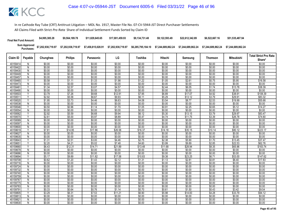| <b>Final Net Fund Amount:</b> | \$4,995,385.28     | \$9,564,189.78     | \$11.829.645.65    | \$17.001.459.93    | \$9.134.731.48     | \$9.122.593.49     | \$22.612.342.89    | \$6,522,667.16     | \$51,535,487.94    |
|-------------------------------|--------------------|--------------------|--------------------|--------------------|--------------------|--------------------|--------------------|--------------------|--------------------|
| Sum Approved<br>:Purchases    | \$7,202,938,719.97 | \$7,202,938,719.97 | \$7,458,815,028.91 | \$7,202,938,719.97 | \$6,285,795,184.10 | \$7.244.689.862.24 | \$7.244.689.862.24 | \$7.244.689.862.24 | \$7.244.689.862.24 |

|                      |                         |                  |                   |                   |                   |                   |                   |                   |                  |                    | <b>Total Strict Pro Rata</b> |
|----------------------|-------------------------|------------------|-------------------|-------------------|-------------------|-------------------|-------------------|-------------------|------------------|--------------------|------------------------------|
| Claim ID             | Payable                 | Chunghwa         | <b>Philips</b>    | Panasonic         | LG                | Toshiba           | Hitachi           | Samsung           | <b>Thomson</b>   | <b>Mitsubishi</b>  | Share*                       |
| 40159414             | N                       | \$0.00           | \$0.00            | \$0.00            | \$0.00            | \$0.00            | \$0.00            | \$0.00            | \$0.00           | \$0.00             | \$0.00                       |
| 40159422             | $\overline{N}$          | \$0.00           | \$0.00            | \$0.00            | \$0.00            | \$0.00            | \$0.00            | \$0.00            | \$0.00           | \$0.00             | \$0.00                       |
| 40159430             | N                       | \$0.00           | \$0.00            | \$0.00            | \$0.00            | \$0.00            | \$0.00            | \$0.00            | \$0.00           | \$0.00             | \$0.00                       |
| 40159449             | Ñ                       | \$0.00           | \$0.00            | \$0.00            | \$0.00            | \$0.00            | \$0.00            | \$0.00            | \$0.00           | \$0.00             | \$0.00                       |
| 40159457             | $\mathsf{N}$            | \$0.00           | \$0.00            | \$0.00            | \$0.00            | \$0.00            | \$0.00            | \$0.00            | \$0.00           | \$0.00             | \$0.00                       |
| 40159465             | Y                       | \$0.58           | \$1.11            | \$1.33            | \$1.98            | \$1.22            | \$1.05            | \$2.61            | \$0.75           | \$5.95             | \$16.58                      |
| 40159473             | Ñ                       | \$0.00           | \$0.00            | \$0.00            | \$0.00            | \$0.00            | \$0.00            | \$0.00            | \$0.00           | \$0.00             | \$0.00                       |
| 40159481             | Y                       | \$1.34           | \$2.57            | \$3.07            | \$4.57            | \$2.82            | \$2.44            | \$6.05            | \$1.74           | \$13.78            | \$38.39                      |
| 40159490             | Ñ                       | \$0.00           | \$0.00            | \$0.00            | \$0.00            | \$0.00            | \$0.00            | \$0.00            | \$0.00           | \$0.00             | \$0.00                       |
| 40159503             | $\overline{\mathsf{v}}$ | \$3.79           | \$7.26            | \$8.68            | \$12.91           | \$7.95            | \$6.89            | \$17.07           | \$4.92           | \$38.91            | \$108.39                     |
| 4015951              |                         | \$2.92           | \$5.58            | \$6.67            | \$9.93            | \$6.11            | \$5.29            | \$13.12           | \$3.79           | \$29.91            | \$83.32                      |
| 40159520             | Y                       | \$1.95           | \$3.73            | \$4.46            | \$6.63            | \$4.08            | \$3.54            | \$8.77            | \$2.53           | \$19.99            | \$55.68                      |
| 40159538             | $\mathsf{N}$            | \$0.00           | \$0.00            | \$0.00            | \$0.00            | \$0.00            | \$0.00            | \$0.00            | \$0.00           | \$0.00             | \$0.00                       |
| 40159546             | ⊽                       | \$0.50           | \$0.96            | \$1.14            | \$1.70            | \$1.05            | \$0.91            | \$2.25            | \$0.65           | \$5.12             | \$14.27                      |
| 40159554             | N                       | \$0.00           | \$0.00            | \$0.00            | \$0.00            | \$0.00            | \$0.00            | \$0.00            | \$0.00           | \$0.00             | \$0.00                       |
| 40159562             | Ÿ                       | \$2.92           | \$5.59            | \$6.68            | \$9.94            | \$6.12            | \$5.30            | \$13.15           | \$3.79           | \$29.97            | \$83.47                      |
| 40159570             | γ                       | \$2.61           | \$5.00            | \$5.97            | \$8.89            | \$5.47            | \$4.74            | \$11.75           | \$3.39           | \$26.78            | \$74.60                      |
| 40159589             | $\overline{N}$          | \$0.00           | \$0.00            | \$0.00            | \$0.00            | \$0.00            | \$0.00            | \$0.00            | \$0.00           | \$0.00             | \$0.00                       |
| 40159597             | N                       | \$0.00           | \$0.00            | \$0.00            | \$0.00            | \$0.00            | \$0.00            | \$0.00            | \$0.00           | \$0.00             | \$0.00                       |
| 40159600             | N                       | \$0.00           | \$0.00            | \$0.00            | \$0.00            | \$0.00            | \$0.00            | \$0.00            | \$0.00           | \$0.00             | \$0.00                       |
| 40159619             | Y                       | \$7.81           | \$14.95           | \$17.86           | \$26.58           | \$16.37           | \$14.18           | \$35.15           | \$10.14          | \$80.12            | \$223.17                     |
| 40159627             | $\mathsf{N}$            | \$0.00           | \$0.00            | \$0.00            | \$0.00            | \$0.00            | \$0.00            | \$0.00            | \$0.00           | \$0.00             | \$0.00                       |
| 40159635             | Ñ                       | \$0.00           | \$0.00            | \$0.00            | \$0.00            | \$0.00            | \$0.00            | \$0.00            | \$0.00           | \$0.00             | \$0.00                       |
| 40159643             | Ϋ<br>Υ                  | \$1.31           | \$2.51            | \$3.00            | \$4.46            | \$2.75            | \$2.38            | \$5.90            | \$1.70           | \$13.45            | \$37.47                      |
| 40159651<br>40159660 | $\overline{\mathsf{v}}$ | \$2.20<br>\$6.43 | \$4.21<br>\$12.31 | \$5.02<br>\$14.71 | \$7.48<br>\$21.89 | \$4.60<br>\$13.48 | \$3.99<br>\$11.68 | \$9.89<br>\$28.94 | \$2.85<br>\$8.35 | \$22.53<br>\$65.96 | \$62.76<br>\$183.74          |
|                      | N                       |                  |                   |                   |                   |                   |                   |                   |                  |                    |                              |
| 40159678<br>40159686 | Ñ                       | \$0.00<br>\$0.00 | \$0.00<br>\$0.00  | \$0.00<br>\$0.00  | \$0.00<br>\$0.00  | \$0.00<br>\$0.00  | \$0.00<br>\$0.00  | \$0.00<br>\$0.00  | \$0.00<br>\$0.00 | \$0.00<br>\$0.00   | \$0.00<br>\$0.00             |
| 40159694             | Y                       | \$5.17           | \$9.89            | \$11.82           | \$17.58           | \$10.83           | \$9.38            | \$23.25           | \$6.71           | \$53.00            | \$147.62                     |
| 40159708             | Υ                       | \$0.62           | \$1.20            | \$1.43            | \$2.12            | \$1.31            | \$1.13            | \$2.81            | \$0.81           | \$6.40             | \$17.83                      |
| 40159716             | N                       | \$0.00           | \$0.00            | \$0.00            | \$0.00            | \$0.00            | \$0.00            | \$0.00            | \$0.00           | \$0.00             | \$0.00                       |
| 40159724             | N                       | \$0.00           | \$0.00            | \$0.00            | \$0.00            | \$0.00            | \$0.00            | \$0.00            | \$0.00           | \$0.00             | \$0.00                       |
| 40159732             | $\mathsf{N}$            | \$0.00           | \$0.00            | \$0.00            | \$0.00            | \$0.00            | \$0.00            | \$0.00            | \$0.00           | \$0.00             | \$0.00                       |
| 40159740             | $\overline{N}$          | \$0.00           | \$0.00            | \$0.00            | \$0.00            | \$0.00            | \$0.00            | \$0.00            | \$0.00           | \$0.00             | \$0.00                       |
| 40159759             | N                       | \$0.00           | \$0.00            | \$0.00            | \$0.00            | \$0.00            | \$0.00            | \$0.00            | \$0.00           | \$0.00             | \$0.00                       |
| 40159767             | N                       | \$0.00           | \$0.00            | \$0.00            | \$0.00            | \$0.00            | \$0.00            | \$0.00            | \$0.00           | \$0.00             | \$0.00                       |
| 40159775             | $\overline{N}$          | \$0.00           | \$0.00            | \$0.00            | \$0.00            | \$0.00            | \$0.00            | \$0.00            | \$0.00           | \$0.00             | \$0.00                       |
| 40159783             | N                       | \$0.00           | \$0.00            | \$0.00            | \$0.00            | \$0.00            | \$0.00            | \$0.00            | \$0.00           | \$0.00             | \$0.00                       |
| 40159791             |                         | \$0.33           | \$0.64            | \$0.76            | \$1.14            | \$0.70            | \$0.61            | \$1.50            | \$0.43           | \$3.42             | \$9.54                       |
| 4015980              | V                       | \$3.29           | \$6.31            | \$7.53            | \$11.21           | \$6.90            | \$5.98            | \$14.83           | \$4.28           | \$33.79            | \$94.12                      |
| 40159813             | $\mathsf{N}$            | \$0.00           | \$0.00            | \$0.00            | \$0.00            | \$0.00            | \$0.00            | \$0.00            | \$0.00           | \$0.00             | \$0.00                       |
| 4015982              | N                       | \$0.00           | \$0.00            | \$0.00            | \$0.00            | \$0.00            | \$0.00            | \$0.00            | \$0.00           | \$0.00             | \$0.00                       |
| 40159830             | Ñ                       | \$0.00           | \$0.00            | \$0.00            | \$0.00            | \$0.00            | \$0.00            | \$0.00            | \$0.00           | \$0.00             | \$0.00                       |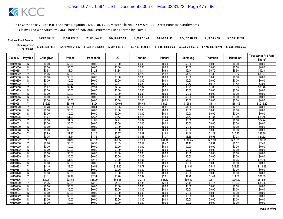| <b>Final Net Fund Amount:</b> | \$4,995,385.28     | \$9,564,189.78     | \$11.829.645.65    | \$17.001.459.93    | \$9.134.731.48     | \$9.122.593.49     | \$22.612.342.89    | \$6,522,667.16     | \$51,535,487.94    |
|-------------------------------|--------------------|--------------------|--------------------|--------------------|--------------------|--------------------|--------------------|--------------------|--------------------|
| Sum Approved<br>:Purchases    | \$7,202,938,719.97 | \$7,202,938,719.97 | \$7,458,815,028.91 | \$7,202,938,719.97 | \$6,285,795,184.10 | \$7.244.689.862.24 | \$7.244.689.862.24 | \$7.244.689.862.24 | \$7.244.689.862.24 |

|                      |                                |                   |                   |                   |                   |                   |                   |                   |                   |                     | <b>Total Strict Pro Rata</b> |
|----------------------|--------------------------------|-------------------|-------------------|-------------------|-------------------|-------------------|-------------------|-------------------|-------------------|---------------------|------------------------------|
| Claim ID             | Payable                        | Chunghwa          | <b>Philips</b>    | Panasonic         | LG                | Toshiba           | Hitachi           | Samsung           | <b>Thomson</b>    | <b>Mitsubishi</b>   | Share*                       |
| 40159848             | N                              | \$0.00            | \$0.00            | \$0.00            | \$0.00            | \$0.00            | \$0.00            | \$0.00            | \$0.00            | \$0.00              | \$0.00                       |
| 40159856             | N                              | \$0.00            | \$0.00            | \$0.00            | \$0.00            | \$0.00            | \$0.00            | \$0.00            | \$0.00            | \$0.00              | \$0.00                       |
| 40159864             | Υ                              | \$0.54            | \$1.04            | \$1.24            | \$1.84            | \$1.14            | \$0.98            | \$2.44            | \$0.70            | \$5.56              | \$15.48                      |
| 40159872             |                                | \$1.06            | \$2.03            | \$2.42            | \$3.61            | \$2.22            | \$1.92            | \$4.77            | \$1.38            | \$10.87             | \$30.27                      |
| 40159880             | N                              | \$0.00            | \$0.00            | \$0.00            | \$0.00            | \$0.00            | \$0.00            | \$0.00            | \$0.00            | \$0.00              | \$0.00                       |
| 40159899             | N                              | \$0.00            | \$0.00            | \$0.00            | \$0.00            | \$0.00            | \$0.00            | \$0.00            | \$0.00            | \$0.00              | \$0.00                       |
| 40159902             | Y                              | \$0.14            | \$0.27            | \$0.32            | \$0.47            | \$0.29            | \$0.25            | \$0.62            | \$0.18            | \$1.42              | \$3.96                       |
| 40159910             |                                | \$1.27            | \$2.44            | \$2.91            | \$4.34            | \$2.67            | \$2.31            | \$5.73            | \$1.65            | \$13.07             | \$36.40                      |
| 40159929             | N                              | \$0.00            | \$0.00            | \$0.00            | \$0.00            | \$0.00            | \$0.00            | \$0.00            | \$0.00            | \$0.00              | \$0.00                       |
| 40159937             | $\overline{N}$                 | \$0.00            | \$0.00            | \$0.00            | \$0.00            | \$0.00            | \$0.00            | \$0.00            | \$0.00            | \$0.00              | \$0.00                       |
| 40159945             | N                              | \$0.00            | \$0.00            | \$0.00            | \$0.00            | \$0.00            | \$0.00            | \$0.00            | \$0.00            | \$0.00              | \$0.00                       |
| 40159953             | Ñ                              | \$0.00            | \$0.00            | \$0.00            | \$0.00            | \$0.00            | \$0.00            | \$0.00            | \$0.00            | \$0.00              | \$0.00                       |
| 4015996              | Y                              | \$35.53           | \$68.03           | \$81.26           | \$120.93          | \$74.46           | \$64.51           | \$159.91          | \$46.13           | \$364.46            | \$1,015.22                   |
| 40159970             | Υ                              | \$0.28            | \$0.54            | \$0.64            | \$0.95            | \$0.59            | \$0.51            | \$1.26            | \$0.36            | \$2.87              | \$8.00                       |
| 40159988             | $\overline{N}$                 | \$0.00            | \$0.00            | \$0.00            | \$0.00            | \$0.00            | \$0.00            | \$0.00            | \$0.00            | \$0.00              | \$0.00                       |
| 40159996             | N                              | \$0.00            | \$0.00            | \$0.00            | \$0.00            | \$0.00            | \$0.00            | \$0.00            | \$0.00            | \$0.00              | \$0.00                       |
| 40160005             | Y                              | \$1.04            | \$1.99            | \$2.37            | \$3.53            | \$2.18            | \$1.89            | \$4.67            | \$1.35            | \$10.65             | \$29.66                      |
| 4016001              | Y                              | \$0.80            | \$1.52            | \$1.82            | \$2.71            | \$1.67            | \$1.44            | \$3.58            | \$1.03            | \$8.16              | \$22.74                      |
| 4016002              | $\mathsf{N}$                   | \$0.00            | \$0.00            | \$0.00            | \$0.00            | \$0.00            | \$0.00            | \$0.00            | \$0.00            | \$0.00              | \$0.00                       |
| 40160030             | N                              | \$0.00            | \$0.00            | \$0.00            | \$0.00            | \$0.00            | \$0.00            | \$0.00            | \$0.00            | \$0.00              | \$0.00                       |
| 40160048             | $\overline{N}$                 | \$0.00            | \$0.00            | \$0.00            | \$0.00            | \$0.00            | \$0.00            | \$0.00            | \$0.00            | \$0.00              | \$0.00                       |
| 40160056             | Y                              | \$0.99            | \$1.90            | \$2.26            | \$3.37            | \$2.07            | \$1.80            | \$4.46            | \$1.29            | \$10.15             | \$28.29                      |
| 40160064             |                                | \$0.75            | \$1.44            | \$1.72            | \$2.56            | \$1.58            | \$1.37            | \$3.39            | \$0.98            | \$7.73              | \$21.52                      |
| 40160072             | Υ                              | \$24.50           | \$46.90           | \$56.02           | \$83.37           | \$51.33           | \$44.48           | \$110.25          | \$31.80           | \$251.26            | \$699.91                     |
| 40160080             | ٧                              | \$0.26            | \$0.50            | \$0.59            | \$0.89            | \$0.54            | \$0.47            | \$1.17            | \$0.34            | \$2.67              | \$7.43                       |
| 40160099             | $\overline{N}$                 | \$0.00            | \$0.00            | \$0.00            | \$0.00            | \$0.00            | \$0.00            | \$0.00            | \$0.00            | \$0.00              | \$0.00                       |
| 40160102             | N                              | \$0.00            | \$0.00            | \$0.00            | \$0.00            | \$0.00            | \$0.00            | \$0.00            | \$0.00            | \$0.00              | \$0.00                       |
| 40160110             | N                              | \$0.00            | \$0.00            | \$0.00            | \$0.00            | \$0.00            | \$0.00            | \$0.00            | \$0.00            | \$0.00              | \$0.00                       |
| 40160129             | N                              | \$0.00            | \$0.00            | \$0.00            | \$0.00            | \$0.00            | \$0.00            | \$0.00            | \$0.00            | \$0.00              | \$0.00                       |
| 40160137             | $\overline{\mathsf{v}}$        | \$0.94            | \$1.80            | \$2.15            | \$3.20            | \$1.97            | \$1.71            | \$4.23            | \$1.22            | \$9.65              | \$26.88                      |
| 40160145             | N                              | \$0.00            | \$0.00            | \$0.00            | \$0.00            | \$0.00            | \$0.00            | \$0.00            | \$0.00            | \$0.00              | \$0.00                       |
| 40160153             | Y                              | \$4.19            | \$8.02            | \$9.58            | \$14.25           | \$8.77            | \$7.60            | \$18.84           | \$5.44            | \$42.95             | \$119.63                     |
| 40160161<br>40160170 | $\mathsf{N}$<br>$\overline{N}$ | \$0.00            | \$0.00            | \$0.00            | \$0.00            | \$0.00            | \$0.00            | \$0.00            | \$0.00            | \$0.00              | \$0.00                       |
| 40160188             |                                | \$0.00            | \$0.00            | \$0.00            | \$0.00            | \$0.00            | \$0.00            | \$0.00            | \$0.00            | \$0.00              | \$0.00                       |
|                      | Y                              | \$1.11            | \$2.12            | \$2.54            | \$3.78            | \$2.32            | \$2.01            | \$4.99            | \$1.44            | \$11.38             | \$31.69                      |
| 40160196<br>40160200 | Y                              | \$20.11<br>\$1.36 | \$38.51<br>\$2.61 | \$45.99<br>\$3.12 | \$68.45<br>\$4.64 | \$42.14<br>\$2.86 | \$36.52<br>\$2.48 | \$90.52<br>\$6.14 | \$26.11<br>\$1.77 | \$206.29<br>\$13.99 | \$574.64<br>\$38.96          |
| 40160218             | N                              | \$0.00            | \$0.00            | \$0.00            | \$0.00            | \$0.00            | \$0.00            | \$0.00            | \$0.00            | \$0.00              | \$0.00                       |
| 40160226             | N                              | \$0.00            | \$0.00            | \$0.00            | \$0.00            | \$0.00            | \$0.00            | \$0.00            | \$0.00            | \$0.00              | \$0.00                       |
| 40160234             | N                              | \$0.00            | \$0.00            | \$0.00            | \$0.00            | \$0.00            | \$0.00            | \$0.00            | \$0.00            | \$0.00              | \$0.00                       |
| 40160242             | N                              | \$0.00            | \$0.00            | \$0.00            | \$0.00            | \$0.00            | \$0.00            | \$0.00            | \$0.00            | \$0.00              | \$0.00                       |
| 40160250             | N                              | \$0.00            | \$0.00            | \$0.00            | \$0.00            | \$0.00            | \$0.00            | \$0.00            | \$0.00            | \$0.00              | \$0.00                       |
| 40160269             | Ñ                              | \$0.00            | \$0.00            | \$0.00            | \$0.00            | \$0.00            | \$0.00            | \$0.00            | \$0.00            | \$0.00              | \$0.00                       |
|                      |                                |                   |                   |                   |                   |                   |                   |                   |                   |                     |                              |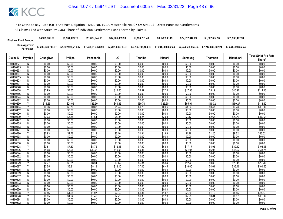| <b>Final Net Fund Amount:</b> | \$4,995,385.28     | \$9.564.189.78     | \$11.829.645.65    | \$17.001.459.93    | \$9.134.731.48     | \$9.122.593.49     | \$22.612.342.89    | \$6,522,667.16     | \$51,535,487.94    |
|-------------------------------|--------------------|--------------------|--------------------|--------------------|--------------------|--------------------|--------------------|--------------------|--------------------|
| Sum Approved<br>:Purchases    | \$7,202,938,719.97 | \$7,202,938,719.97 | \$7,458,815,028.91 | \$7,202,938,719.97 | \$6,285,795,184.10 | \$7.244.689.862.24 | \$7.244.689.862.24 | \$7.244.689.862.24 | \$7.244.689.862.24 |

|                      |                |                  |                  |                  |                   |                  |                  |                    |                  | <b>Mitsubishi</b>  | <b>Total Strict Pro Rata</b> |
|----------------------|----------------|------------------|------------------|------------------|-------------------|------------------|------------------|--------------------|------------------|--------------------|------------------------------|
| Claim ID             | Payable        | Chunghwa         | <b>Philips</b>   | Panasonic        | LG                | Toshiba          | Hitachi          | Samsung            | <b>Thomson</b>   |                    | Share*                       |
| 40160277             | N              | \$0.00           | \$0.00           | \$0.00           | \$0.00            | \$0.00           | \$0.00           | \$0.00             | \$0.00           | \$0.00             | \$0.00                       |
| 40160285             | N              | \$0.00           | \$0.00           | \$0.00           | \$0.00            | \$0.00           | \$0.00           | \$0.00             | \$0.00           | \$0.00             | \$0.00                       |
| 40160293             | N              | \$0.00           | \$0.00           | \$0.00           | \$0.00            | \$0.00           | \$0.00           | \$0.00             | \$0.00           | \$0.00             | \$0.00                       |
| 40160307             | N              | \$0.00           | \$0.00           | \$0.00           | \$0.00            | \$0.00           | \$0.00           | \$0.00             | \$0.00           | \$0.00             | \$0.00                       |
| 40160315             | N              | \$0.00           | \$0.00           | \$0.00           | \$0.00            | \$0.00           | \$0.00           | \$0.00             | \$0.00           | \$0.00             | \$0.00                       |
| 40160323             | N              | \$0.00           | \$0.00           | \$0.00           | \$0.00            | \$0.00           | \$0.00           | \$0.00             | \$0.00           | \$0.00             | \$0.00                       |
| 4016033              | N              | \$0.00           | \$0.00           | \$0.00           | \$0.00            | \$0.00           | \$0.00           | \$0.00             | \$0.00           | \$0.00             | \$0.00                       |
| 40160340             | N              | \$0.00           | \$0.00           | \$0.00           | \$0.00            | \$0.00           | \$0.00           | \$0.00             | \$0.00           | \$0.00             | \$0.00                       |
| 40160358             | Υ              | \$3.99           | \$7.65           | \$9.13           | \$13.60           | \$8.37           | \$7.25           | \$17.98            | \$5.19           | \$40.97            | \$114.13                     |
| 40160366             | $\overline{N}$ | \$0.00           | \$0.00           | \$0.00           | \$0.00            | \$0.00           | \$0.00           | \$0.00             | \$0.00           | \$0.00             | \$0.00                       |
| 40160374             | N              | \$0.00           | \$0.00           | \$0.00           | \$0.00            | \$0.00           | \$0.00           | \$0.00             | \$0.00           | \$0.00             | \$0.00                       |
| 40160382             | N              | \$0.00           | \$0.00           | \$0.00           | \$0.00            | \$0.00           | \$0.00           | \$0.00             | \$0.00           | \$0.00             | \$0.00                       |
| 40160390             | Y              | \$14.65          | \$28.05          | \$33.50          | \$49.86           | \$30.70          | \$26.60          | \$65.94            | \$19.02          | \$150.27           | \$418.60                     |
| 40160404             | Υ              | \$0.36           | \$0.70           | \$0.83           | \$1.24            | \$0.76           | \$0.66           | \$1.64             | \$0.47           | \$3.73             | \$10.38                      |
| 40160412             | N              | \$0.00           | \$0.00           | \$0.00           | \$0.00            | \$0.00           | \$0.00           | \$0.00             | \$0.00           | \$0.00             | \$0.00                       |
| 40160420             | N              | \$0.00           | \$0.00           | \$0.00           | \$0.00            | \$0.00           | \$0.00           | \$0.00             | \$0.00           | \$0.00             | \$0.00                       |
| 40160439             | Y              | \$2.03           | \$3.88           | \$4.64           | \$6.90            | \$4.25           | \$3.68           | \$9.12             | \$2.63           | \$20.79            | \$57.92                      |
| 40160447             | $\overline{N}$ | \$0.00           | \$0.00           | \$0.00           | \$0.00            | \$0.00           | \$0.00           | \$0.00             | \$0.00           | \$0.00             | \$0.00                       |
| 40160455             | N              | \$0.00           | \$0.00           | \$0.00           | \$0.00            | \$0.00           | \$0.00           | \$0.00             | \$0.00           | \$0.00             | \$0.00                       |
| 40160463             | N              | \$0.00           | \$0.00           | \$0.00           | \$0.00            | \$0.00           | \$0.00           | \$0.00             | \$0.00           | \$0.00             | \$0.00                       |
| 4016047              | $\overline{N}$ | \$0.00           | \$0.00           | \$0.00           | \$0.00            | \$0.00           | \$0.00           | \$0.00             | \$0.00           | \$0.00             | \$0.00                       |
| 40160480             | Y              | \$0.93           | \$1.78           | \$2.12           | \$3.16            | \$1.94           | \$1.69           | \$4.18             | \$1.20           | \$9.52             | \$26.52                      |
| 40160498             | N              | \$0.00           | \$0.00           | \$0.00           | \$0.00            | \$0.00           | \$0.00           | \$0.00             | \$0.00           | \$0.00             | \$0.00                       |
| 4016050              | N              | \$0.00           | \$0.00           | \$0.00           | \$0.00            | \$0.00           | \$0.00           | \$0.00             | \$0.00           | \$0.00             | \$0.00                       |
| 40160510             | N              | \$0.00           | \$0.00           | \$0.00           | \$0.00            | \$0.00           | \$0.00           | \$0.00             | \$0.00           | \$0.00             | \$0.00                       |
| 40160528             | Y              | \$3.81           | \$7.30           | \$8.72           | \$12.98           | \$7.99           | \$6.93           | \$17.17            | \$4.95           | \$39.12            | \$108.98                     |
| 40160536             | ٧              | \$4.68           | \$8.96           | \$10.71          | \$15.93           | \$9.81           | \$8.50           | \$21.07            | \$6.08           | \$48.02            | \$133.75                     |
| 40160544             | N              | \$0.00           | \$0.00           | \$0.00           | \$0.00            | \$0.00           | \$0.00           | \$0.00             | \$0.00           | \$0.00             | \$0.00                       |
| 40160552             | N              | \$0.00           | \$0.00           | \$0.00           | \$0.00            | \$0.00           | \$0.00           | \$0.00             | \$0.00           | \$0.00             | \$0.00                       |
| 40160560             | N              | \$0.00           | \$0.00           | \$0.00           | \$0.00            | \$0.00           | \$0.00           | \$0.00             | \$0.00           | \$0.00             | \$0.00                       |
| 40160579<br>40160587 | Y              | \$2.77<br>\$3.55 | \$5.31           | \$6.34<br>\$8.13 | \$9.44<br>\$12.10 | \$5.81<br>\$7.45 | \$5.04<br>\$6.45 | \$12.48<br>\$16.00 | \$3.60<br>\$4.61 | \$28.45<br>\$36.46 | \$79.26                      |
|                      |                |                  | \$6.81           |                  |                   |                  |                  |                    |                  |                    | \$101.55                     |
| 40160595<br>40160609 | N<br>N         | \$0.00<br>\$0.00 | \$0.00<br>\$0.00 | \$0.00<br>\$0.00 | \$0.00<br>\$0.00  | \$0.00<br>\$0.00 | \$0.00<br>\$0.00 | \$0.00<br>\$0.00   | \$0.00<br>\$0.00 | \$0.00<br>\$0.00   | \$0.00<br>\$0.00             |
| 40160617             | N              | \$0.00           | \$0.00           | \$0.00           | \$0.00            | \$0.00           | \$0.00           | \$0.00             | \$0.00           | \$0.00             | \$0.00                       |
| 40160625             | N              | \$0.00           | \$0.00           | \$0.00           | \$0.00            | \$0.00           | \$0.00           | \$0.00             | \$0.00           | \$0.00             | \$0.00                       |
| 40160633             | $\overline{N}$ | \$0.00           | \$0.00           | \$0.00           | \$0.00            | \$0.00           | \$0.00           | \$0.00             | \$0.00           | \$0.00             | \$0.00                       |
| 4016064              | N              | \$0.00           | \$0.00           | \$0.00           | \$0.00            | \$0.00           | \$0.00           | \$0.00             | \$0.00           | \$0.00             | \$0.00                       |
| 40160650             | N              | \$0.00           | \$0.00           | \$0.00           | \$0.00            | \$0.00           | \$0.00           | \$0.00             | \$0.00           | \$0.00             | \$0.00                       |
| 40160668             | Υ              | \$0.86           | \$1.65           | \$1.97           | \$2.94            | \$1.81           | \$1.57           | \$3.89             | \$1.12           | \$8.85             | \$24.67                      |
| 40160676             | Y              | \$0.65           | \$1.24           | \$1.49           | \$2.21            | \$1.36           | \$1.18           | \$2.93             | \$0.84           | \$6.67             | \$18.58                      |
| 40160684             | N              | \$0.00           | \$0.00           | \$0.00           | \$0.00            | \$0.00           | \$0.00           | \$0.00             | \$0.00           | \$0.00             | \$0.00                       |
| 40160692             | Ñ              | \$0.00           | \$0.00           | \$0.00           | \$0.00            | \$0.00           | \$0.00           | \$0.00             | \$0.00           | \$0.00             | \$0.00                       |
|                      |                |                  |                  |                  |                   |                  |                  |                    |                  |                    |                              |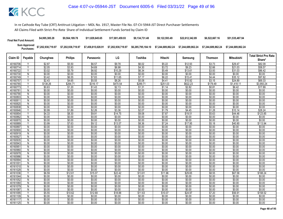| <b>Final Net Fund Amount:</b> | \$4,995,385.28     | \$9.564.189.78     | \$11.829.645.65    | \$17.001.459.93    | \$9.134.731.48     | \$9.122.593.49     | \$22.612.342.89    | \$6,522,667.16     | \$51,535,487.94    |
|-------------------------------|--------------------|--------------------|--------------------|--------------------|--------------------|--------------------|--------------------|--------------------|--------------------|
| Sum Approved<br>:Purchases    | \$7,202,938,719.97 | \$7,202,938,719.97 | \$7,458,815,028.91 | \$7,202,938,719.97 | \$6,285,795,184.10 | \$7.244.689.862.24 | \$7.244.689.862.24 | \$7.244.689.862.24 | \$7.244.689.862.24 |

| Share*<br>\$82.09<br>\$58.57<br>\$86.42<br>\$0.00<br>\$97.82<br>\$69.33 |
|-------------------------------------------------------------------------|
|                                                                         |
|                                                                         |
|                                                                         |
|                                                                         |
|                                                                         |
|                                                                         |
|                                                                         |
| \$3,950.24                                                              |
| \$17.89                                                                 |
| \$0.00                                                                  |
| \$0.00                                                                  |
| \$0.00                                                                  |
| \$0.00                                                                  |
| \$0.00                                                                  |
| \$0.00                                                                  |
| \$28.24                                                                 |
| \$123.85                                                                |
| \$0.00                                                                  |
| \$0.00                                                                  |
| \$113.94                                                                |
| \$0.00                                                                  |
| \$0.00                                                                  |
| \$0.00                                                                  |
| \$0.00                                                                  |
| \$0.00                                                                  |
| \$0.00                                                                  |
| \$0.00                                                                  |
| \$0.00                                                                  |
| \$0.00                                                                  |
| \$0.00<br>\$0.00                                                        |
| \$0.00                                                                  |
| \$0.00                                                                  |
| \$0.00                                                                  |
| \$188.24                                                                |
| \$0.00                                                                  |
| \$0.00                                                                  |
| \$0.00                                                                  |
| \$0.00                                                                  |
| \$0.00                                                                  |
| \$158.52                                                                |
| \$0.00                                                                  |
| \$0.00                                                                  |
| \$0.00                                                                  |
|                                                                         |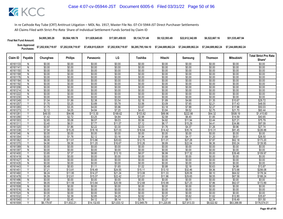| <b>Final Net Fund Amount:</b> | \$4,995,385.28     | \$9,564,189.78     | \$11.829.645.65    | \$17.001.459.93    | \$9.134.731.48     | \$9.122.593.49     | \$22.612.342.89    | \$6,522,667.16     | \$51,535,487.94    |
|-------------------------------|--------------------|--------------------|--------------------|--------------------|--------------------|--------------------|--------------------|--------------------|--------------------|
| Sum Approved<br>:Purchases    | \$7,202,938,719.97 | \$7,202,938,719.97 | \$7,458,815,028.91 | \$7,202,938,719.97 | \$6,285,795,184.10 | \$7.244.689.862.24 | \$7.244.689.862.24 | \$7.244.689.862.24 | \$7.244.689.862.24 |

|          | Claim ID<br>Payable | Chunghwa   |                |             | LG          | Toshiba     | Hitachi     |             |                |                   | <b>Total Strict Pro Rata</b> |
|----------|---------------------|------------|----------------|-------------|-------------|-------------|-------------|-------------|----------------|-------------------|------------------------------|
|          |                     |            | <b>Philips</b> | Panasonic   |             |             |             | Samsung     | <b>Thomson</b> | <b>Mitsubishi</b> | Share*                       |
| 40161133 | N                   | \$0.00     | \$0.00         | \$0.00      | \$0.00      | \$0.00      | \$0.00      | \$0.00      | \$0.00         | \$0.00            | \$0.00                       |
| 40161141 | N                   | \$0.00     | \$0.00         | \$0.00      | \$0.00      | \$0.00      | \$0.00      | \$0.00      | \$0.00         | \$0.00            | \$0.00                       |
| 40161150 | N                   | \$0.00     | \$0.00         | \$0.00      | \$0.00      | \$0.00      | \$0.00      | \$0.00      | \$0.00         | \$0.00            | \$0.00                       |
| 40161168 | N                   | \$0.00     | \$0.00         | \$0.00      | \$0.00      | \$0.00      | \$0.00      | \$0.00      | \$0.00         | \$0.00            | \$0.00                       |
| 40161176 | N                   | \$0.00     | \$0.00         | \$0.00      | \$0.00      | \$0.00      | \$0.00      | \$0.00      | \$0.00         | \$0.00            | \$0.00                       |
| 40161184 | N                   | \$0.00     | \$0.00         | \$0.00      | \$0.00      | \$0.00      | \$0.00      | \$0.00      | \$0.00         | \$0.00            | \$0.00                       |
| 40161192 | N                   | \$0.00     | \$0.00         | \$0.00      | \$0.00      | \$0.00      | \$0.00      | \$0.00      | \$0.00         | \$0.00            | \$0.00                       |
| 40161206 | N                   | \$0.00     | \$0.00         | \$0.00      | \$0.00      | \$0.00      | \$0.00      | \$0.00      | \$0.00         | \$0.00            | \$0.00                       |
| 40161214 | N                   | \$0.00     | \$0.00         | \$0.00      | \$0.00      | \$0.00      | \$0.00      | \$0.00      | \$0.00         | \$0.00            | \$0.00                       |
| 40161222 | $\overline{N}$      | \$0.00     | \$0.00         | \$0.00      | \$0.00      | \$0.00      | \$0.00      | \$0.00      | \$0.00         | \$0.00            | \$0.00                       |
| 40161230 | N                   | \$0.00     | \$0.00         | \$0.00      | \$0.00      | \$0.00      | \$0.00      | \$0.00      | \$0.00         | \$0.00            | \$0.00                       |
| 40161249 |                     | \$1.04     | \$1.99         | \$2.38      | \$3.54      | \$2.18      | \$1.89      | \$4.68      | \$1.35         | \$10.67           | \$29.72                      |
| 40161257 | Y                   | \$1.70     | \$3.25         | \$3.89      | \$5.78      | \$3.56      | \$3.09      | \$7.65      | \$2.21         | \$17.43           | \$48.55                      |
| 40161265 | Y                   | \$1.75     | \$3.35         | \$4.00      | \$5.96      | \$3.67      | \$3.18      | \$7.88      | \$2.27         | \$17.96           | \$50.03                      |
| 40161273 | $\checkmark$        | \$2.12     | \$4.05         | \$4.84      | \$7.20      | \$4.43      | \$3.84      | \$9.52      | \$2.75         | \$21.70           | \$60.44                      |
| 40161281 | Y                   | \$49.55    | \$94.86        | \$113.30    | \$168.62    | \$103.82    | \$89.96     | \$222.98    | \$64.32        | \$508.19          | \$1,415.60                   |
| 40161290 | Υ                   | \$1.42     | \$2.72         | \$3.25      | \$4.84      | \$2.98      | \$2.58      | \$6.40      | \$1.85         | \$14.59           | \$40.65                      |
| 40161303 | Y                   | \$2.65     | \$5.08         | \$6.07      | \$9.03      | \$5.56      | \$4.82      | \$11.94     | \$3.44         | \$27.21           | \$75.79                      |
| 40161311 | $\checkmark$        | \$3.40     | \$6.51         | \$7.77      | \$11.57     | \$7.12      | \$6.17      | \$15.29     | \$4.41         | \$34.86           | \$97.09                      |
| 40161320 |                     | \$0.97     | \$1.86         | \$2.22      | \$3.30      | \$2.03      | \$1.76      | \$4.37      | \$1.26         | \$9.96            | \$27.74                      |
| 40161338 | Y                   | \$7.94     | \$15.20        | \$18.16     | \$27.03     | \$16.64     | \$14.42     | \$35.74     | \$10.31        | \$81.45           | \$226.88                     |
| 40161346 | N                   | \$0.00     | \$0.00         | \$0.00      | \$0.00      | \$0.00      | \$0.00      | \$0.00      | \$0.00         | \$0.00            | \$0.00                       |
| 40161354 | Y                   | \$0.93     | \$1.78         | \$2.12      | \$3.16      | \$1.94      | \$1.68      | \$4.17      | \$1.20         | \$9.51            | \$26.50                      |
| 40161362 | Y                   | \$6.06     | \$11.61        | \$13.86     | \$20.63     | \$12.70     | \$11.01     | \$27.28     | \$7.87         | \$62.18           | \$173.20                     |
| 40161370 | ٧                   | \$4.90     | \$9.38         | \$11.20     | \$16.67     | \$10.26     | \$8.89      | \$22.04     | \$6.36         | \$50.24           | \$139.95                     |
| 40161389 | $\overline{N}$      | \$0.00     | \$0.00         | \$0.00      | \$0.00      | \$0.00      | \$0.00      | \$0.00      | \$0.00         | \$0.00            | \$0.00                       |
| 40161397 | N                   | \$0.00     | \$0.00         | \$0.00      | \$0.00      | \$0.00      | \$0.00      | \$0.00      | \$0.00         | \$0.00            | \$0.00                       |
| 40161400 | Υ                   | \$3.85     | \$7.37         | \$8.80      | \$13.10     | \$8.07      | \$6.99      | \$17.32     | \$5.00         | \$39.48           | \$109.97                     |
| 40161419 | N                   | \$0.00     | \$0.00         | \$0.00      | \$0.00      | \$0.00      | \$0.00      | \$0.00      | \$0.00         | \$0.00            | \$0.00                       |
| 40161427 | N                   | \$0.00     | \$0.00         | \$0.00      | \$0.00      | \$0.00      | \$0.00      | \$0.00      | \$0.00         | \$0.00            | \$0.00                       |
| 40161435 | N                   | \$0.00     | \$0.00         | \$0.00      | \$0.00      | \$0.00      | \$0.00      | \$0.00      | \$0.00         | \$0.00            | \$0.00                       |
| 40161443 | Y                   | \$0.49     | \$0.93         | \$1.11      | \$1.65      | \$1.02      | \$0.88      | \$2.18      | \$0.63         | \$4.98            | \$13.87                      |
| 4016145  | Y                   | \$7.21     | \$13.81        | \$16.49     | \$24.55     | \$15.11     | \$13.10     | \$32.46     | \$9.36         | \$73.98           | \$206.08                     |
| 40161460 | Y                   | \$6.24     | \$11.95        | \$14.27     | \$21.24     | \$13.08     | \$11.33     | \$28.09     | \$8.10         | \$64.02           | \$178.34                     |
| 40161478 |                     | \$6.59     | \$12.61        | \$15.07     | \$22.42     | \$13.81     | \$11.96     | \$29.65     | \$8.55         | \$67.58           | \$188.24                     |
| 40161486 | N                   | \$0.00     | \$0.00         | \$0.00      | \$0.00      | \$0.00      | \$0.00      | \$0.00      | \$0.00         | \$0.00            | \$0.00                       |
| 40161494 | Y                   | \$6.05     | \$11.59        | \$13.84     | \$20.59     | \$12.68     | \$10.99     | \$27.23     | \$7.86         | \$62.07           | \$172.89                     |
| 40161508 | N                   | \$0.00     | \$0.00         | \$0.00      | \$0.00      | \$0.00      | \$0.00      | \$0.00      | \$0.00         | \$0.00            | \$0.00                       |
| 40161516 | N                   | \$0.00     | \$0.00         | \$0.00      | \$0.00      | \$0.00      | \$0.00      | \$0.00      | \$0.00         | \$0.00            | \$0.00                       |
| 40161524 | N                   | \$0.00     | \$0.00         | \$0.00      | \$0.00      | \$0.00      | \$0.00      | \$0.00      | \$0.00         | \$0.00            | \$0.00                       |
| 40161532 | Υ                   | \$1.25     | \$2.39         | \$2.85      | \$4.25      | \$2.62      | \$2.27      | \$5.62      | \$1.62         | \$12.80           | \$35.67                      |
| 40161540 |                     | \$1.80     | \$3.45         | \$4.12      | \$6.14      | \$3.78      | \$3.27      | \$8.11      | \$2.34         | \$18.49           | \$51.50                      |
| 40161559 | Υ                   | \$6,179.97 | \$11,832.21    | \$14,132.83 | \$21,033.12 | \$12.949.79 | \$11,220.85 | \$27,813.33 | \$8.022.92     | \$63.388.99       | \$176,574.01                 |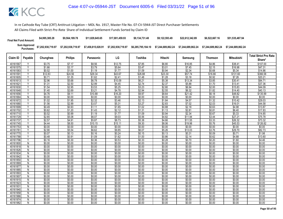| <b>Final Net Fund Amount:</b> | \$4,995,385.28                  | \$9.564.189.78     | \$11.829.645.65    | \$17.001.459.93    | \$9.134.731.48     | \$9.122.593.49                                                 | \$22,612,342.89 | \$6,522,667.16 | \$51.535.487.94    |
|-------------------------------|---------------------------------|--------------------|--------------------|--------------------|--------------------|----------------------------------------------------------------|-----------------|----------------|--------------------|
| Purchases:                    | Sum Approved \$7,202,938,719.97 | \$7,202,938,719.97 | \$7,458,815,028.91 | \$7,202,938,719.97 | \$6.285.795.184.10 | \$7.244.689.862.24    \$7.244.689.862.24    \$7.244.689.862.24 |                 |                | \$7.244.689.862.24 |

|          | Claim ID<br>Payable     |                  |                |           |         |         |         |                  |                  |            | <b>Total Strict Pro Rata</b> |
|----------|-------------------------|------------------|----------------|-----------|---------|---------|---------|------------------|------------------|------------|------------------------------|
|          |                         | Chunghwa         | <b>Philips</b> | Panasonic | LG      | Toshiba | Hitachi | Samsung          | <b>Thomson</b>   | Mitsubishi | Share*                       |
| 40161567 |                         | \$3.75           | \$7.17         | \$8.56    | \$12.75 | \$7.85  | \$6.80  | \$16.85          | \$4.86           | \$38.41    | \$107.00                     |
| 40161575 | $\overline{Y}$          | \$1.66           | \$3.17         | \$3.79    | \$5.64  | \$3.47  | \$3.01  | \$7.45           | \$2.15           | \$16.98    | \$47.31                      |
| 40161583 |                         | \$0.52           | \$1.00         | \$1.19    | \$1.77  | \$1.09  | \$0.94  | \$2.34           | \$0.68           | \$5.34     | \$14.86                      |
| 40161591 | Y                       | \$12.83          | \$24.56        | \$29.34   | \$43.67 | \$26.88 | \$23.30 | \$57.74          | \$16.66          | \$131.60   | \$366.58                     |
| 40161605 | Y                       | \$0.71           | \$1.35         | \$1.62    | \$2.41  | \$1.48  | \$1.28  | \$3.18           | \$0.92           | \$7.26     | \$20.21                      |
| 40161613 | Y                       | \$2.96           | \$5.68         | \$6.78    | \$10.09 | \$6.21  | \$5.38  | \$13.34          | \$3.85           | \$30.41    | \$84.71                      |
| 40161621 | $\overline{\mathsf{v}}$ | \$1.31           | \$2.50         | \$2.99    | \$4.45  | \$2.74  | \$2.37  | \$5.88           | \$1.70           | \$13.41    | \$37.36                      |
| 40161630 | Y                       | \$1.54           | \$2.95         | \$3.53    | \$5.25  | \$3.23  | \$2.80  | \$6.94           | \$2.00           | \$15.83    | \$44.09                      |
| 40161648 | Y                       | \$1.40           | \$2.69         | \$3.21    | \$4.78  | \$2.94  | \$2.55  | \$6.32           | \$1.82           | \$14.40    | \$40.13                      |
| 40161656 | Y                       | \$4.76           | \$9.11         | \$10.88   | \$16.20 | \$9.97  | \$8.64  | \$21.42          | \$6.18           | \$48.82    | \$135.99                     |
| 40161664 | ${\sf N}$               | \$0.00           | \$0.00         | \$0.00    | \$0.00  | \$0.00  | \$0.00  | \$0.00           | \$0.00           | \$0.00     | \$0.00                       |
| 40161672 | Y                       | \$1.02           | \$1.95         | \$2.32    | \$3.46  | \$2.13  | \$1.84  | \$4.57           | \$1.32           | \$10.42    | \$29.03                      |
| 40161680 | Y                       | \$1.56           | \$2.99         | \$3.57    | \$5.31  | \$3.27  | \$2.83  | \$7.02           | \$2.03           | \$16.01    | \$44.58                      |
| 40161699 | $\overline{\mathsf{v}}$ | \$0.49           | \$0.93         | \$1.11    | \$1.65  | \$1.02  | \$0.88  | \$2.18           | \$0.63           | \$4.98     | \$13.87                      |
| 40161702 |                         | \$0.62           | \$1.20         | \$1.43    | \$2.12  | \$1.31  | \$1.13  | \$2.81           | \$0.81           | \$6.40     | \$17.83                      |
| 40161710 | Ÿ                       | \$0.52           | \$0.99         | \$1.19    | \$1.77  | \$1.09  | \$0.94  | \$2.34           | \$0.67           | \$5.33     | \$14.85                      |
| 40161729 | ٧                       | \$2.65           | \$5.08         | \$6.07    | \$9.03  | \$5.56  | \$4.82  | \$11.94          | \$3.44           | \$27.21    | \$75.78                      |
| 40161737 | Y                       | \$2.57           | \$4.91         | \$5.87    | \$8.73  | \$5.38  | \$4.66  | \$11.55          | \$3.33           | \$26.32    | \$73.32                      |
| 40161745 |                         | \$4.44           | \$8.50         | \$10.15   | \$15.11 | \$9.30  | \$8.06  | \$19.98          | \$5.76           | \$45.53    | \$126.82                     |
| 40161753 | N                       | \$0.00           | \$0.00         | \$0.00    | \$0.00  | \$0.00  | \$0.00  | \$0.00           | \$0.00           | \$0.00     | \$0.00                       |
| 40161761 | Y                       | \$2.90           | \$5.54         | \$6.62    | \$9.85  | \$6.07  | \$5.26  | \$13.03          | \$3.76           | \$29.70    | \$82.73                      |
| 40161770 | $\checkmark$            | \$0.07           | \$0.13         | \$0.16    | \$0.24  | \$0.15  | \$0.13  | \$0.31           | \$0.09           | \$0.71     | \$1.98                       |
| 40161788 |                         | \$0.48           | \$0.91         | \$1.09    | \$1.62  | \$1.00  | \$0.86  | \$2.14           | \$0.62           | \$4.88     | \$13.60                      |
| 40161796 | Y                       | \$0.16           | \$0.30         | \$0.36    | \$0.53  | \$0.33  | \$0.28  | \$0.70           | \$0.20           | \$1.60     | \$4.46                       |
| 40161800 | N                       | \$0.00           | \$0.00         | \$0.00    | \$0.00  | \$0.00  | \$0.00  | \$0.00           | \$0.00           | \$0.00     | \$0.00                       |
| 40161818 | $\overline{N}$          | \$0.00           | \$0.00         | \$0.00    | \$0.00  | \$0.00  | \$0.00  | \$0.00           | \$0.00           | \$0.00     | \$0.00                       |
| 40161826 | N                       | \$0.00           | \$0.00         | \$0.00    | \$0.00  | \$0.00  | \$0.00  | \$0.00           | \$0.00           | \$0.00     | \$0.00                       |
| 40161834 | N                       | \$0.00           | \$0.00         | \$0.00    | \$0.00  | \$0.00  | \$0.00  | \$0.00           | \$0.00           | \$0.00     | \$0.00                       |
| 40161842 | $\overline{N}$          | \$0.00           | \$0.00         | \$0.00    | \$0.00  | \$0.00  | \$0.00  | \$0.00           | \$0.00           | \$0.00     | \$0.00                       |
| 40161850 | N                       | \$0.00           | \$0.00         | \$0.00    | \$0.00  | \$0.00  | \$0.00  | \$0.00           | \$0.00           | \$0.00     | \$0.00                       |
| 40161869 | N                       | \$0.00           | \$0.00         | \$0.00    | \$0.00  | \$0.00  | \$0.00  | \$0.00           | \$0.00           | \$0.00     | \$0.00                       |
| 40161877 | N                       | \$0.00           | \$0.00         | \$0.00    | \$0.00  | \$0.00  | \$0.00  | \$0.00           | \$0.00           | \$0.00     | \$0.00                       |
| 40161885 | $\mathsf{N}$            | \$0.00           | \$0.00         | \$0.00    | \$0.00  | \$0.00  | \$0.00  | \$0.00           | \$0.00           | \$0.00     | \$0.00                       |
| 40161893 | N                       | \$0.00           | \$0.00         | \$0.00    | \$0.00  | \$0.00  | \$0.00  | \$0.00           | \$0.00           | \$0.00     | \$0.00                       |
| 40161907 | N                       | \$0.00           | \$0.00         | \$0.00    | \$0.00  | \$0.00  | \$0.00  | \$0.00           | \$0.00           | \$0.00     | \$0.00                       |
| 40161915 | N                       | \$0.00           | \$0.00         | \$0.00    | \$0.00  | \$0.00  | \$0.00  | \$0.00           | \$0.00           | \$0.00     | \$0.00                       |
| 40161923 | $\overline{N}$          | \$0.00           | \$0.00         | \$0.00    | \$0.00  | \$0.00  | \$0.00  | \$0.00           | \$0.00           | \$0.00     | \$0.00                       |
| 4016193  | N                       | \$0.00           | \$0.00         | \$0.00    | \$0.00  | \$0.00  | \$0.00  | \$0.00           | \$0.00           | \$0.00     | \$0.00                       |
| 40161940 | N                       | \$0.00<br>\$0.00 | \$0.00         | \$0.00    | \$0.00  | \$0.00  | \$0.00  | \$0.00<br>\$0.00 | \$0.00<br>\$0.00 | \$0.00     | \$0.00                       |
| 40161958 | Ñ                       |                  | \$0.00         | \$0.00    | \$0.00  | \$0.00  | \$0.00  |                  |                  | \$0.00     | \$0.00                       |
| 40161966 | N                       | \$0.00           | \$0.00         | \$0.00    | \$0.00  | \$0.00  | \$0.00  | \$0.00           | \$0.00           | \$0.00     | \$0.00                       |
| 40161974 | N                       | \$0.00           | \$0.00         | \$0.00    | \$0.00  | \$0.00  | \$0.00  | \$0.00           | \$0.00           | \$0.00     | \$0.00                       |
| 40161982 | Ñ                       | \$0.00           | \$0.00         | \$0.00    | \$0.00  | \$0.00  | \$0.00  | \$0.00           | \$0.00           | \$0.00     | \$0.00                       |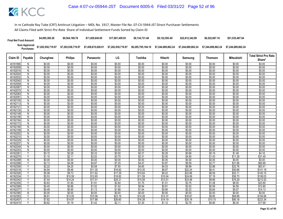| <b>Final Net Fund Amount:</b> | \$4,995,385.28     | \$9.564.189.78     | \$11.829.645.65    | \$17.001.459.93    | \$9.134.731.48     | \$9.122.593.49     | \$22.612.342.89    | \$6,522,667.16     | \$51,535,487.94    |
|-------------------------------|--------------------|--------------------|--------------------|--------------------|--------------------|--------------------|--------------------|--------------------|--------------------|
| Sum Approved<br>:Purchases    | \$7,202,938,719.97 | \$7,202,938,719.97 | \$7,458,815,028.91 | \$7,202,938,719.97 | \$6,285,795,184.10 | \$7.244.689.862.24 | \$7.244.689.862.24 | \$7.244.689.862.24 | \$7.244.689.862.24 |

| <b>Philips</b><br>LG<br>Toshiba<br>Mitsubishi<br>Claim ID<br>Payable<br>Chunghwa<br>Hitachi<br>Thomson<br>Panasonic<br>Samsung<br>Share*<br>40161990<br>\$0.00<br>\$0.00<br>\$0.00<br>\$0.00<br>\$0.00<br>\$0.00<br>\$0.00<br>\$0.00<br>\$0.00<br>\$0.00<br>N<br>\$0.00<br>\$0.00<br>40162008<br>\$0.00<br>\$0.00<br>\$0.00<br>\$0.00<br>\$0.00<br>\$0.00<br>\$0.00<br>\$0.00<br>N<br>\$0.00<br>\$0.00<br>\$0.00<br>\$0.00<br>\$0.00<br>\$0.00<br>\$0.00<br>40162016<br>N<br>\$0.00<br>\$0.00<br>\$0.00<br>\$0.00<br>\$0.00<br>\$0.00<br>\$0.00<br>\$0.00<br>\$0.00<br>\$0.00<br>\$0.00<br>\$0.00<br>\$0.00<br>40162024<br>N<br>\$0.00<br>\$0.00<br>\$0.00<br>\$0.00<br>\$0.00<br>\$0.00<br>\$0.00<br>\$0.00<br>\$0.00<br>40162032<br>N<br>\$0.00<br>\$0.00<br>\$0.00<br>\$0.00<br>\$0.00<br>\$0.00<br>\$0.00<br>\$0.00<br>\$0.00<br>40162040<br>N<br>\$0.00<br>\$0.00<br>\$0.00<br>\$0.00<br>\$0.00<br>\$0.00<br>\$0.00<br>\$0.00<br>\$0.00<br>\$0.00<br>$\overline{N}$<br>\$0.00<br>\$0.00<br>40162059<br>\$0.00<br>\$0.00<br>\$0.00<br>\$0.00<br>\$0.00<br>\$0.00<br>\$0.00<br>\$0.00<br>\$0.00<br>\$0.00<br>40162067<br>N<br>\$0.00<br>\$0.00<br>40162075<br>\$0.00<br>\$0.00<br>\$0.00<br>\$0.00<br>\$0.00<br>\$0.00<br>\$0.00<br>\$0.00<br>N<br>40162083<br>\$0.00<br>\$0.00<br>\$0.00<br>\$0.00<br>\$0.00<br>\$0.00<br>\$0.00<br>\$0.00<br>\$0.00<br>\$0.00<br>N<br>\$0.00<br>\$0.00<br>\$0.00<br>\$0.00<br>4016209<br>N<br>\$0.00<br>\$0.00<br>\$0.00<br>\$0.00<br>\$0.00<br>\$0.00<br>\$0.00<br>\$0.00<br>\$0.00<br>\$0.00<br>\$0.00<br>\$0.00<br>\$0.00<br>\$0.00<br>\$0.00<br>\$0.00<br>40162105<br>N<br>\$0.00<br>\$0.00<br>\$0.00<br>\$0.00<br>\$0.00<br>\$0.00<br>\$0.00<br>\$0.00<br>\$0.00<br>\$0.00<br>40162113<br>N<br>\$0.00<br>\$0.00<br>40162121<br>N<br>\$0.00<br>\$0.00<br>\$0.00<br>\$0.00<br>\$0.00<br>\$0.00<br>\$0.00<br>\$0.00<br>\$0.00<br>\$0.00<br>\$0.00<br>\$0.00<br>$\overline{N}$<br>\$0.00<br>\$0.00<br>\$0.00<br>\$0.00<br>\$0.00<br>\$0.00<br>40162130<br>\$0.00<br>40162148<br>\$0.00<br>\$0.00<br>\$0.00<br>\$0.00<br>\$0.00<br>\$0.00<br>\$0.00<br>\$0.00<br>\$0.00<br>N<br>40162156<br>\$0.00<br>\$0.00<br>\$0.00<br>\$0.00<br>\$0.00<br>\$0.00<br>\$0.00<br>\$0.00<br>\$0.00<br>\$0.00<br>N<br>$\overline{N}$<br>\$0.00<br>\$0.00<br>\$0.00<br>\$0.00<br>\$0.00<br>\$0.00<br>\$0.00<br>\$0.00<br>\$0.00<br>\$0.00<br>40162164<br>\$0.00<br>\$0.00<br>\$0.00<br>\$0.00<br>\$0.00<br>\$0.00<br>\$0.00<br>\$0.00<br>\$0.00<br>\$0.00<br>40162172<br>N<br>\$0.00<br>\$0.00<br>\$0.00<br>\$0.00<br>\$0.00<br>\$0.00<br>\$0.00<br>\$0.00<br>40162180<br>N<br>\$0.00<br>\$0.00<br>\$0.00<br>\$0.00<br>\$0.00<br>\$0.00<br>40162199<br>\$0.00<br>\$0.00<br>\$0.00<br>\$0.00<br>\$0.00<br>\$0.00<br>N | <b>Total Strict Pro Rata</b> |
|-----------------------------------------------------------------------------------------------------------------------------------------------------------------------------------------------------------------------------------------------------------------------------------------------------------------------------------------------------------------------------------------------------------------------------------------------------------------------------------------------------------------------------------------------------------------------------------------------------------------------------------------------------------------------------------------------------------------------------------------------------------------------------------------------------------------------------------------------------------------------------------------------------------------------------------------------------------------------------------------------------------------------------------------------------------------------------------------------------------------------------------------------------------------------------------------------------------------------------------------------------------------------------------------------------------------------------------------------------------------------------------------------------------------------------------------------------------------------------------------------------------------------------------------------------------------------------------------------------------------------------------------------------------------------------------------------------------------------------------------------------------------------------------------------------------------------------------------------------------------------------------------------------------------------------------------------------------------------------------------------------------------------------------------------------------------------------------------------------------------------------------------------------------------------------------------------------------------------------------------------------------------------------------------------------------------------------------------------------------------------------------------------------------------------------------------------------------------------------------------------------------------------------------------------------------------------------------------------------------------------------------------------------------------------------------------------------------------------------------------|------------------------------|
|                                                                                                                                                                                                                                                                                                                                                                                                                                                                                                                                                                                                                                                                                                                                                                                                                                                                                                                                                                                                                                                                                                                                                                                                                                                                                                                                                                                                                                                                                                                                                                                                                                                                                                                                                                                                                                                                                                                                                                                                                                                                                                                                                                                                                                                                                                                                                                                                                                                                                                                                                                                                                                                                                                                                         |                              |
|                                                                                                                                                                                                                                                                                                                                                                                                                                                                                                                                                                                                                                                                                                                                                                                                                                                                                                                                                                                                                                                                                                                                                                                                                                                                                                                                                                                                                                                                                                                                                                                                                                                                                                                                                                                                                                                                                                                                                                                                                                                                                                                                                                                                                                                                                                                                                                                                                                                                                                                                                                                                                                                                                                                                         |                              |
|                                                                                                                                                                                                                                                                                                                                                                                                                                                                                                                                                                                                                                                                                                                                                                                                                                                                                                                                                                                                                                                                                                                                                                                                                                                                                                                                                                                                                                                                                                                                                                                                                                                                                                                                                                                                                                                                                                                                                                                                                                                                                                                                                                                                                                                                                                                                                                                                                                                                                                                                                                                                                                                                                                                                         |                              |
|                                                                                                                                                                                                                                                                                                                                                                                                                                                                                                                                                                                                                                                                                                                                                                                                                                                                                                                                                                                                                                                                                                                                                                                                                                                                                                                                                                                                                                                                                                                                                                                                                                                                                                                                                                                                                                                                                                                                                                                                                                                                                                                                                                                                                                                                                                                                                                                                                                                                                                                                                                                                                                                                                                                                         |                              |
|                                                                                                                                                                                                                                                                                                                                                                                                                                                                                                                                                                                                                                                                                                                                                                                                                                                                                                                                                                                                                                                                                                                                                                                                                                                                                                                                                                                                                                                                                                                                                                                                                                                                                                                                                                                                                                                                                                                                                                                                                                                                                                                                                                                                                                                                                                                                                                                                                                                                                                                                                                                                                                                                                                                                         |                              |
|                                                                                                                                                                                                                                                                                                                                                                                                                                                                                                                                                                                                                                                                                                                                                                                                                                                                                                                                                                                                                                                                                                                                                                                                                                                                                                                                                                                                                                                                                                                                                                                                                                                                                                                                                                                                                                                                                                                                                                                                                                                                                                                                                                                                                                                                                                                                                                                                                                                                                                                                                                                                                                                                                                                                         |                              |
|                                                                                                                                                                                                                                                                                                                                                                                                                                                                                                                                                                                                                                                                                                                                                                                                                                                                                                                                                                                                                                                                                                                                                                                                                                                                                                                                                                                                                                                                                                                                                                                                                                                                                                                                                                                                                                                                                                                                                                                                                                                                                                                                                                                                                                                                                                                                                                                                                                                                                                                                                                                                                                                                                                                                         |                              |
|                                                                                                                                                                                                                                                                                                                                                                                                                                                                                                                                                                                                                                                                                                                                                                                                                                                                                                                                                                                                                                                                                                                                                                                                                                                                                                                                                                                                                                                                                                                                                                                                                                                                                                                                                                                                                                                                                                                                                                                                                                                                                                                                                                                                                                                                                                                                                                                                                                                                                                                                                                                                                                                                                                                                         |                              |
|                                                                                                                                                                                                                                                                                                                                                                                                                                                                                                                                                                                                                                                                                                                                                                                                                                                                                                                                                                                                                                                                                                                                                                                                                                                                                                                                                                                                                                                                                                                                                                                                                                                                                                                                                                                                                                                                                                                                                                                                                                                                                                                                                                                                                                                                                                                                                                                                                                                                                                                                                                                                                                                                                                                                         |                              |
|                                                                                                                                                                                                                                                                                                                                                                                                                                                                                                                                                                                                                                                                                                                                                                                                                                                                                                                                                                                                                                                                                                                                                                                                                                                                                                                                                                                                                                                                                                                                                                                                                                                                                                                                                                                                                                                                                                                                                                                                                                                                                                                                                                                                                                                                                                                                                                                                                                                                                                                                                                                                                                                                                                                                         |                              |
|                                                                                                                                                                                                                                                                                                                                                                                                                                                                                                                                                                                                                                                                                                                                                                                                                                                                                                                                                                                                                                                                                                                                                                                                                                                                                                                                                                                                                                                                                                                                                                                                                                                                                                                                                                                                                                                                                                                                                                                                                                                                                                                                                                                                                                                                                                                                                                                                                                                                                                                                                                                                                                                                                                                                         |                              |
|                                                                                                                                                                                                                                                                                                                                                                                                                                                                                                                                                                                                                                                                                                                                                                                                                                                                                                                                                                                                                                                                                                                                                                                                                                                                                                                                                                                                                                                                                                                                                                                                                                                                                                                                                                                                                                                                                                                                                                                                                                                                                                                                                                                                                                                                                                                                                                                                                                                                                                                                                                                                                                                                                                                                         |                              |
|                                                                                                                                                                                                                                                                                                                                                                                                                                                                                                                                                                                                                                                                                                                                                                                                                                                                                                                                                                                                                                                                                                                                                                                                                                                                                                                                                                                                                                                                                                                                                                                                                                                                                                                                                                                                                                                                                                                                                                                                                                                                                                                                                                                                                                                                                                                                                                                                                                                                                                                                                                                                                                                                                                                                         |                              |
|                                                                                                                                                                                                                                                                                                                                                                                                                                                                                                                                                                                                                                                                                                                                                                                                                                                                                                                                                                                                                                                                                                                                                                                                                                                                                                                                                                                                                                                                                                                                                                                                                                                                                                                                                                                                                                                                                                                                                                                                                                                                                                                                                                                                                                                                                                                                                                                                                                                                                                                                                                                                                                                                                                                                         |                              |
|                                                                                                                                                                                                                                                                                                                                                                                                                                                                                                                                                                                                                                                                                                                                                                                                                                                                                                                                                                                                                                                                                                                                                                                                                                                                                                                                                                                                                                                                                                                                                                                                                                                                                                                                                                                                                                                                                                                                                                                                                                                                                                                                                                                                                                                                                                                                                                                                                                                                                                                                                                                                                                                                                                                                         |                              |
|                                                                                                                                                                                                                                                                                                                                                                                                                                                                                                                                                                                                                                                                                                                                                                                                                                                                                                                                                                                                                                                                                                                                                                                                                                                                                                                                                                                                                                                                                                                                                                                                                                                                                                                                                                                                                                                                                                                                                                                                                                                                                                                                                                                                                                                                                                                                                                                                                                                                                                                                                                                                                                                                                                                                         |                              |
|                                                                                                                                                                                                                                                                                                                                                                                                                                                                                                                                                                                                                                                                                                                                                                                                                                                                                                                                                                                                                                                                                                                                                                                                                                                                                                                                                                                                                                                                                                                                                                                                                                                                                                                                                                                                                                                                                                                                                                                                                                                                                                                                                                                                                                                                                                                                                                                                                                                                                                                                                                                                                                                                                                                                         |                              |
|                                                                                                                                                                                                                                                                                                                                                                                                                                                                                                                                                                                                                                                                                                                                                                                                                                                                                                                                                                                                                                                                                                                                                                                                                                                                                                                                                                                                                                                                                                                                                                                                                                                                                                                                                                                                                                                                                                                                                                                                                                                                                                                                                                                                                                                                                                                                                                                                                                                                                                                                                                                                                                                                                                                                         |                              |
|                                                                                                                                                                                                                                                                                                                                                                                                                                                                                                                                                                                                                                                                                                                                                                                                                                                                                                                                                                                                                                                                                                                                                                                                                                                                                                                                                                                                                                                                                                                                                                                                                                                                                                                                                                                                                                                                                                                                                                                                                                                                                                                                                                                                                                                                                                                                                                                                                                                                                                                                                                                                                                                                                                                                         |                              |
|                                                                                                                                                                                                                                                                                                                                                                                                                                                                                                                                                                                                                                                                                                                                                                                                                                                                                                                                                                                                                                                                                                                                                                                                                                                                                                                                                                                                                                                                                                                                                                                                                                                                                                                                                                                                                                                                                                                                                                                                                                                                                                                                                                                                                                                                                                                                                                                                                                                                                                                                                                                                                                                                                                                                         |                              |
|                                                                                                                                                                                                                                                                                                                                                                                                                                                                                                                                                                                                                                                                                                                                                                                                                                                                                                                                                                                                                                                                                                                                                                                                                                                                                                                                                                                                                                                                                                                                                                                                                                                                                                                                                                                                                                                                                                                                                                                                                                                                                                                                                                                                                                                                                                                                                                                                                                                                                                                                                                                                                                                                                                                                         |                              |
|                                                                                                                                                                                                                                                                                                                                                                                                                                                                                                                                                                                                                                                                                                                                                                                                                                                                                                                                                                                                                                                                                                                                                                                                                                                                                                                                                                                                                                                                                                                                                                                                                                                                                                                                                                                                                                                                                                                                                                                                                                                                                                                                                                                                                                                                                                                                                                                                                                                                                                                                                                                                                                                                                                                                         |                              |
| \$0.00<br>\$0.00<br>\$0.00<br>\$0.00<br>\$0.00<br>\$0.00<br>\$0.00<br>40162202<br>N<br>\$0.00<br>\$0.00<br>\$0.00                                                                                                                                                                                                                                                                                                                                                                                                                                                                                                                                                                                                                                                                                                                                                                                                                                                                                                                                                                                                                                                                                                                                                                                                                                                                                                                                                                                                                                                                                                                                                                                                                                                                                                                                                                                                                                                                                                                                                                                                                                                                                                                                                                                                                                                                                                                                                                                                                                                                                                                                                                                                                       |                              |
| \$0.00<br>\$0.00<br>\$0.00<br>\$0.00<br>\$0.00<br>\$0.00<br>\$0.00<br>\$0.00<br>\$0.00<br>40162210<br>\$0.00<br>N                                                                                                                                                                                                                                                                                                                                                                                                                                                                                                                                                                                                                                                                                                                                                                                                                                                                                                                                                                                                                                                                                                                                                                                                                                                                                                                                                                                                                                                                                                                                                                                                                                                                                                                                                                                                                                                                                                                                                                                                                                                                                                                                                                                                                                                                                                                                                                                                                                                                                                                                                                                                                       |                              |
| \$0.00<br>\$0.00<br>\$0.00<br>\$0.00<br>\$0.00<br>\$0.00<br>\$0.00<br>\$0.00<br>\$0.00<br>\$0.00<br>40162229<br>N                                                                                                                                                                                                                                                                                                                                                                                                                                                                                                                                                                                                                                                                                                                                                                                                                                                                                                                                                                                                                                                                                                                                                                                                                                                                                                                                                                                                                                                                                                                                                                                                                                                                                                                                                                                                                                                                                                                                                                                                                                                                                                                                                                                                                                                                                                                                                                                                                                                                                                                                                                                                                       |                              |
| 40162237<br>\$0.00<br>\$0.00<br>\$0.00<br>\$0.00<br>\$0.00<br>\$0.00<br>\$0.00<br>\$0.00<br>\$0.00<br>\$0.00<br>N                                                                                                                                                                                                                                                                                                                                                                                                                                                                                                                                                                                                                                                                                                                                                                                                                                                                                                                                                                                                                                                                                                                                                                                                                                                                                                                                                                                                                                                                                                                                                                                                                                                                                                                                                                                                                                                                                                                                                                                                                                                                                                                                                                                                                                                                                                                                                                                                                                                                                                                                                                                                                       |                              |
| \$0.00<br>\$0.00<br>\$0.00<br>\$0.00<br>\$0.00<br>\$0.00<br>\$0.00<br>\$0.00<br>\$0.00<br>\$0.00<br>40162245<br>N                                                                                                                                                                                                                                                                                                                                                                                                                                                                                                                                                                                                                                                                                                                                                                                                                                                                                                                                                                                                                                                                                                                                                                                                                                                                                                                                                                                                                                                                                                                                                                                                                                                                                                                                                                                                                                                                                                                                                                                                                                                                                                                                                                                                                                                                                                                                                                                                                                                                                                                                                                                                                       |                              |
| \$0.00<br>\$0.00<br>\$0.00<br>\$0.00<br>40162253<br>N<br>\$0.00<br>\$0.00<br>\$0.00<br>\$0.00<br>\$0.00<br>\$0.00<br>Y                                                                                                                                                                                                                                                                                                                                                                                                                                                                                                                                                                                                                                                                                                                                                                                                                                                                                                                                                                                                                                                                                                                                                                                                                                                                                                                                                                                                                                                                                                                                                                                                                                                                                                                                                                                                                                                                                                                                                                                                                                                                                                                                                                                                                                                                                                                                                                                                                                                                                                                                                                                                                  |                              |
| \$0.15<br>\$0.28<br>\$0.33<br>\$0.50<br>\$0.31<br>\$0.26<br>\$0.66<br>\$0.19<br>\$1.49<br>\$4.16<br>40162261<br>\$2.52<br>\$2.00<br>\$11.29<br>40162270<br>Y                                                                                                                                                                                                                                                                                                                                                                                                                                                                                                                                                                                                                                                                                                                                                                                                                                                                                                                                                                                                                                                                                                                                                                                                                                                                                                                                                                                                                                                                                                                                                                                                                                                                                                                                                                                                                                                                                                                                                                                                                                                                                                                                                                                                                                                                                                                                                                                                                                                                                                                                                                            |                              |
| \$1.10<br>\$2.11<br>\$3.75<br>\$2.31<br>\$4.95<br>\$1.43<br>\$31.45<br>\$0.00<br>\$0.00<br>\$0.00<br>\$0.00<br>\$0.00<br>\$0.00<br>40162288<br>\$0.00<br>\$0.00<br>\$0.00<br>\$0.00                                                                                                                                                                                                                                                                                                                                                                                                                                                                                                                                                                                                                                                                                                                                                                                                                                                                                                                                                                                                                                                                                                                                                                                                                                                                                                                                                                                                                                                                                                                                                                                                                                                                                                                                                                                                                                                                                                                                                                                                                                                                                                                                                                                                                                                                                                                                                                                                                                                                                                                                                     |                              |
| N<br>\$2.13<br>\$4.08<br>\$4.87<br>\$7.25<br>\$4.47<br>\$3.87<br>\$9.59<br>\$2.77<br>\$21.86<br>\$60.89<br>40162296<br>γ                                                                                                                                                                                                                                                                                                                                                                                                                                                                                                                                                                                                                                                                                                                                                                                                                                                                                                                                                                                                                                                                                                                                                                                                                                                                                                                                                                                                                                                                                                                                                                                                                                                                                                                                                                                                                                                                                                                                                                                                                                                                                                                                                                                                                                                                                                                                                                                                                                                                                                                                                                                                                |                              |
| \$5.08<br>\$9.99<br>\$22.76<br>\$2.22<br>\$4.25<br>\$7.55<br>\$4.65<br>\$4.03<br>\$2.88<br>\$63.41<br>40162300<br>Υ                                                                                                                                                                                                                                                                                                                                                                                                                                                                                                                                                                                                                                                                                                                                                                                                                                                                                                                                                                                                                                                                                                                                                                                                                                                                                                                                                                                                                                                                                                                                                                                                                                                                                                                                                                                                                                                                                                                                                                                                                                                                                                                                                                                                                                                                                                                                                                                                                                                                                                                                                                                                                     |                              |
| Y<br>\$4.94<br>\$9.46<br>\$11.30<br>\$16.82<br>\$10.35<br>\$8.97<br>\$22.24<br>\$50.68<br>40162318<br>\$6.41<br>\$141.18                                                                                                                                                                                                                                                                                                                                                                                                                                                                                                                                                                                                                                                                                                                                                                                                                                                                                                                                                                                                                                                                                                                                                                                                                                                                                                                                                                                                                                                                                                                                                                                                                                                                                                                                                                                                                                                                                                                                                                                                                                                                                                                                                                                                                                                                                                                                                                                                                                                                                                                                                                                                                |                              |
| \$22.86<br>\$52.11<br>V<br>\$5.08<br>\$9.73<br>\$11.62<br>\$17.29<br>\$10.64<br>\$9.22<br>\$6.59<br>40162326<br>\$145.15                                                                                                                                                                                                                                                                                                                                                                                                                                                                                                                                                                                                                                                                                                                                                                                                                                                                                                                                                                                                                                                                                                                                                                                                                                                                                                                                                                                                                                                                                                                                                                                                                                                                                                                                                                                                                                                                                                                                                                                                                                                                                                                                                                                                                                                                                                                                                                                                                                                                                                                                                                                                                |                              |
| \$5.53<br>\$10.59<br>\$12.65<br>\$11.59<br>\$24.89<br>\$7.18<br>\$56.73<br>40162334<br>Y<br>\$18.82<br>\$10.04<br>\$158.03                                                                                                                                                                                                                                                                                                                                                                                                                                                                                                                                                                                                                                                                                                                                                                                                                                                                                                                                                                                                                                                                                                                                                                                                                                                                                                                                                                                                                                                                                                                                                                                                                                                                                                                                                                                                                                                                                                                                                                                                                                                                                                                                                                                                                                                                                                                                                                                                                                                                                                                                                                                                              |                              |
| 40162342<br>\$7.44<br>\$14.24<br>\$17.01<br>\$25.31<br>\$15.59<br>\$13.51<br>\$33.48<br>\$9.66<br>\$76.29<br>\$212.52<br>Υ                                                                                                                                                                                                                                                                                                                                                                                                                                                                                                                                                                                                                                                                                                                                                                                                                                                                                                                                                                                                                                                                                                                                                                                                                                                                                                                                                                                                                                                                                                                                                                                                                                                                                                                                                                                                                                                                                                                                                                                                                                                                                                                                                                                                                                                                                                                                                                                                                                                                                                                                                                                                              |                              |
| Y<br>\$1.91<br>\$0.83<br>\$1.60<br>\$2.84<br>\$1.75<br>\$1.51<br>\$3.75<br>\$1.08<br>\$8.55<br>\$23.80<br>40162350                                                                                                                                                                                                                                                                                                                                                                                                                                                                                                                                                                                                                                                                                                                                                                                                                                                                                                                                                                                                                                                                                                                                                                                                                                                                                                                                                                                                                                                                                                                                                                                                                                                                                                                                                                                                                                                                                                                                                                                                                                                                                                                                                                                                                                                                                                                                                                                                                                                                                                                                                                                                                      |                              |
| \$0.45<br>\$0.86<br>\$1.02<br>\$1.52<br>\$0.94<br>\$0.81<br>\$2.02<br>\$0.58<br>\$4.59<br>40162369<br>Υ<br>\$12.80                                                                                                                                                                                                                                                                                                                                                                                                                                                                                                                                                                                                                                                                                                                                                                                                                                                                                                                                                                                                                                                                                                                                                                                                                                                                                                                                                                                                                                                                                                                                                                                                                                                                                                                                                                                                                                                                                                                                                                                                                                                                                                                                                                                                                                                                                                                                                                                                                                                                                                                                                                                                                      |                              |
| \$0.95<br>\$2.23<br>\$5.07<br>Y<br>\$0.49<br>\$1.13<br>\$1.68<br>\$1.04<br>\$0.90<br>\$0.64<br>\$14.13<br>40162377                                                                                                                                                                                                                                                                                                                                                                                                                                                                                                                                                                                                                                                                                                                                                                                                                                                                                                                                                                                                                                                                                                                                                                                                                                                                                                                                                                                                                                                                                                                                                                                                                                                                                                                                                                                                                                                                                                                                                                                                                                                                                                                                                                                                                                                                                                                                                                                                                                                                                                                                                                                                                      |                              |
| \$0.00<br>\$0.00<br>\$0.00<br>\$0.00<br>\$0.00<br>\$0.00<br>\$0.00<br>\$0.00<br>\$0.00<br>40162385<br>N<br>\$0.00                                                                                                                                                                                                                                                                                                                                                                                                                                                                                                                                                                                                                                                                                                                                                                                                                                                                                                                                                                                                                                                                                                                                                                                                                                                                                                                                                                                                                                                                                                                                                                                                                                                                                                                                                                                                                                                                                                                                                                                                                                                                                                                                                                                                                                                                                                                                                                                                                                                                                                                                                                                                                       |                              |
| \$23.19<br>\$30.67<br>\$69.89<br>40162393<br>$\vee$<br>\$6.81<br>\$13.05<br>\$15.58<br>\$14.28<br>\$12.37<br>\$8.85<br>\$194.68                                                                                                                                                                                                                                                                                                                                                                                                                                                                                                                                                                                                                                                                                                                                                                                                                                                                                                                                                                                                                                                                                                                                                                                                                                                                                                                                                                                                                                                                                                                                                                                                                                                                                                                                                                                                                                                                                                                                                                                                                                                                                                                                                                                                                                                                                                                                                                                                                                                                                                                                                                                                         |                              |
| \$7.82<br>\$16.38<br>\$35.18<br>\$80.18<br>\$223.34<br>\$14.97<br>\$17.88<br>\$26.60<br>\$14.19<br>\$10.15<br>40162407                                                                                                                                                                                                                                                                                                                                                                                                                                                                                                                                                                                                                                                                                                                                                                                                                                                                                                                                                                                                                                                                                                                                                                                                                                                                                                                                                                                                                                                                                                                                                                                                                                                                                                                                                                                                                                                                                                                                                                                                                                                                                                                                                                                                                                                                                                                                                                                                                                                                                                                                                                                                                  |                              |
| \$2.79<br>40162415<br>\$0.62<br>\$1.19<br>\$1.42<br>\$2.11<br>\$1.30<br>\$1.12<br>\$0.80<br>\$6.35<br>\$17.69<br>Υ                                                                                                                                                                                                                                                                                                                                                                                                                                                                                                                                                                                                                                                                                                                                                                                                                                                                                                                                                                                                                                                                                                                                                                                                                                                                                                                                                                                                                                                                                                                                                                                                                                                                                                                                                                                                                                                                                                                                                                                                                                                                                                                                                                                                                                                                                                                                                                                                                                                                                                                                                                                                                      |                              |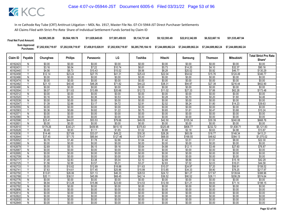| <b>Final Net Fund Amount:</b> | \$4,995,385.28     | \$9.564.189.78     | \$11.829.645.65    | \$17.001.459.93    | \$9.134.731.48     | \$9.122.593.49     | \$22.612.342.89    | \$6,522,667.16     | \$51,535,487.94    |
|-------------------------------|--------------------|--------------------|--------------------|--------------------|--------------------|--------------------|--------------------|--------------------|--------------------|
| Sum Approved<br>:Purchases    | \$7,202,938,719.97 | \$7,202,938,719.97 | \$7,458,815,028.91 | \$7,202,938,719.97 | \$6,285,795,184.10 | \$7.244.689.862.24 | \$7.244.689.862.24 | \$7.244.689.862.24 | \$7.244.689.862.24 |

|          |                | Chunghwa |                |           | LG       | Toshiba  | Hitachi  |          |                |                   | <b>Total Strict Pro Rata</b> |
|----------|----------------|----------|----------------|-----------|----------|----------|----------|----------|----------------|-------------------|------------------------------|
| Claim ID | Payable        |          | <b>Philips</b> | Panasonic |          |          |          | Samsung  | <b>Thomson</b> | <b>Mitsubishi</b> | Share*                       |
| 40162423 | N              | \$0.00   | \$0.00         | \$0.00    | \$0.00   | \$0.00   | \$0.00   | \$0.00   | \$0.00         | \$0.00            | \$0.00                       |
| 40162431 | Y              | \$3.16   | \$6.04         | \$7.22    | \$10.74  | \$6.61   | \$5.73   | \$14.20  | \$4.10         | \$32.37           | \$90.16                      |
| 40162440 | Υ              | \$4.56   | \$8.73         | \$10.43   | \$15.52  | \$9.56   | \$8.28   | \$20.52  | \$5.92         | \$46.77           | \$130.29                     |
| 40162458 |                | \$12.14  | \$23.24        | \$27.75   | \$41.31  | \$25.43  | \$22.04  | \$54.62  | \$15.76        | \$124.49          | \$346.77                     |
| 40162466 | N              | \$0.00   | \$0.00         | \$0.00    | \$0.00   | \$0.00   | \$0.00   | \$0.00   | \$0.00         | \$0.00            | \$0.00                       |
| 40162474 | N              | \$0.00   | \$0.00         | \$0.00    | \$0.00   | \$0.00   | \$0.00   | \$0.00   | \$0.00         | \$0.00            | \$0.00                       |
| 40162482 | Y              | \$21.10  | \$40.40        | \$48.26   | \$71.82  | \$44.22  | \$38.31  | \$94.97  | \$27.39        | \$216.44          | \$602.90                     |
| 40162490 | N              | \$0.00   | \$0.00         | \$0.00    | \$0.00   | \$0.00   | \$0.00   | \$0.00   | \$0.00         | \$0.00            | \$0.00                       |
| 40162504 | Υ              | \$6.07   | \$11.63        | \$13.89   | \$20.66  | \$12.72  | \$11.02  | \$27.33  | \$7.88         | \$62.28           | \$173.48                     |
| 40162512 | $\overline{N}$ | \$0.00   | \$0.00         | \$0.00    | \$0.00   | \$0.00   | \$0.00   | \$0.00   | \$0.00         | \$0.00            | \$0.00                       |
| 40162520 | Υ              | \$0.16   | \$0.30         | \$0.36    | \$0.53   | \$0.33   | \$0.28   | \$0.70   | \$0.20         | \$1.60            | \$4.46                       |
| 40162539 | N              | \$0.00   | \$0.00         | \$0.00    | \$0.00   | \$0.00   | \$0.00   | \$0.00   | \$0.00         | \$0.00            | \$0.00                       |
| 40162547 | Y              | \$1.39   | \$2.66         | \$3.17    | \$4.72   | \$2.91   | \$2.52   | \$6.24   | \$1.80         | \$14.23           | \$39.63                      |
| 40162555 | N              | \$0.00   | \$0.00         | \$0.00    | \$0.00   | \$0.00   | \$0.00   | \$0.00   | \$0.00         | \$0.00            | \$0.00                       |
| 40162563 | v              | \$0.36   | \$0.69         | \$0.82    | \$1.22   | \$0.75   | \$0.65   | \$1.61   | \$0.47         | \$3.68            | \$10.24                      |
| 40162571 | Ν              | \$0.00   | \$0.00         | \$0.00    | \$0.00   | \$0.00   | \$0.00   | \$0.00   | \$0.00         | \$0.00            | \$0.00                       |
| 40162580 | N              | \$0.00   | \$0.00         | \$0.00    | \$0.00   | \$0.00   | \$0.00   | \$0.00   | \$0.00         | \$0.00            | \$0.00                       |
| 40162598 | Y              | \$23.41  | \$44.81        | \$53.53   | \$79.66  | \$49.05  | \$42.50  | \$105.34 | \$30.39        | \$240.08          | \$668.76                     |
| 40162601 | N              | \$0.00   | \$0.00         | \$0.00    | \$0.00   | \$0.00   | \$0.00   | \$0.00   | \$0.00         | \$0.00            | \$0.00                       |
| 40162610 | Υ              | \$179.26 | \$343.21       | \$409.95  | \$610.10 | \$375.63 | \$325.48 | \$806.77 | \$232.72       | \$1,838.71        | \$5,121.83                   |
| 40162628 |                | \$0.49   | \$0.93         | \$1.11    | \$1.65   | \$1.02   | \$0.88   | \$2.18   | \$0.63         | \$4.98            | \$13.87                      |
| 40162636 | Y              | \$14.46  | \$27.69        | \$33.07   | \$49.22  | \$30.30  | \$26.26  | \$65.09  | \$18.77        | \$148.34          | \$413.21                     |
| 40162644 | Y              | \$37.45  | \$71.70        | \$85.64   | \$127.46 | \$78.47  | \$68.00  | \$168.55 | \$48.62        | \$384.13          | \$1,070.02                   |
| 40162652 | Υ              | \$0.78   | \$1.49         | \$1.78    | \$2.66   | \$1.64   | \$1.42   | \$3.51   | \$1.01         | \$8.00            | \$22.30                      |
| 40162660 | N              | \$0.00   | \$0.00         | \$0.00    | \$0.00   | \$0.00   | \$0.00   | \$0.00   | \$0.00         | \$0.00            | \$0.00                       |
| 40162679 | Y              | \$2.69   | \$5.15         | \$6.15    | \$9.16   | \$5.64   | \$4.88   | \$12.11  | \$3.49         | \$27.60           | \$76.87                      |
| 40162687 | Ν              | \$0.00   | \$0.00         | \$0.00    | \$0.00   | \$0.00   | \$0.00   | \$0.00   | \$0.00         | \$0.00            | \$0.00                       |
| 40162695 | N              | \$0.00   | \$0.00         | \$0.00    | \$0.00   | \$0.00   | \$0.00   | \$0.00   | \$0.00         | \$0.00            | \$0.00                       |
| 40162709 | N              | \$0.00   | \$0.00         | \$0.00    | \$0.00   | \$0.00   | \$0.00   | \$0.00   | \$0.00         | \$0.00            | \$0.00                       |
| 40162717 | v              | \$1.48   | \$2.83         | \$3.38    | \$5.04   | \$3.10   | \$2.69   | \$6.66   | \$1.92         | \$15.18           | \$42.29                      |
| 40162725 |                | \$1.56   | \$2.99         | \$3.57    | \$5.31   | \$3.27   | \$2.83   | \$7.02   | \$2.03         | \$16.01           | \$44.58                      |
| 40162733 | Υ              | \$5.55   | \$10.62        | \$12.69   | \$18.88  | \$11.63  | \$10.07  | \$24.97  | \$7.20         | \$56.91           | \$158.52                     |
| 40162741 | Υ              | \$7.63   | \$14.61        | \$17.45   | \$25.96  | \$15.99  | \$13.85  | \$34.33  | \$9.90         | \$78.25           | \$217.97                     |
| 40162750 | V              | \$13.61  | \$26.06        | \$31.13   | \$46.33  | \$28.53  | \$24.72  | \$61.27  | \$17.67        | \$139.64          | \$388.96                     |
| 40162768 | Υ              | \$20.11  | \$38.51        | \$45.99   | \$68.45  | \$42.14  | \$36.52  | \$90.52  | \$26.11        | \$206.29          | \$574.64                     |
| 40162776 | N              | \$0.00   | \$0.00         | \$0.00    | \$0.00   | \$0.00   | \$0.00   | \$0.00   | \$0.00         | \$0.00            | \$0.00                       |
| 40162784 | Y              | \$6.94   | \$13.28        | \$15.86   | \$23.60  | \$14.53  | \$12.59  | \$31.21  | \$9.00         | \$71.14           | \$198.15                     |
| 40162792 | N              | \$0.00   | \$0.00         | \$0.00    | \$0.00   | \$0.00   | \$0.00   | \$0.00   | \$0.00         | \$0.00            | \$0.00                       |
| 40162806 | Ν              | \$0.00   | \$0.00         | \$0.00    | \$0.00   | \$0.00   | \$0.00   | \$0.00   | \$0.00         | \$0.00            | \$0.00                       |
| 40162814 | N              | \$0.00   | \$0.00         | \$0.00    | \$0.00   | \$0.00   | \$0.00   | \$0.00   | \$0.00         | \$0.00            | \$0.00                       |
| 40162822 | N              | \$0.00   | \$0.00         | \$0.00    | \$0.00   | \$0.00   | \$0.00   | \$0.00   | \$0.00         | \$0.00            | \$0.00                       |
| 40162830 | Ν              | \$0.00   | \$0.00         | \$0.00    | \$0.00   | \$0.00   | \$0.00   | \$0.00   | \$0.00         | \$0.00            | \$0.00                       |
| 40162849 | Ñ              | \$0.00   | \$0.00         | \$0.00    | \$0.00   | \$0.00   | \$0.00   | \$0.00   | \$0.00         | \$0.00            | \$0.00                       |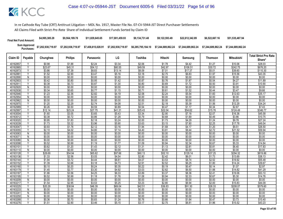| <b>Final Net Fund Amount:</b> | \$4,995,385.28     | \$9,564,189.78     | \$11.829.645.65    | \$17,001,459,93    | \$9.134.731.48     | \$9.122.593.49                        | \$22,612,342,89 | \$6,522,667.16     | \$51,535,487.94    |
|-------------------------------|--------------------|--------------------|--------------------|--------------------|--------------------|---------------------------------------|-----------------|--------------------|--------------------|
| Sum Approved<br>Purchases:    | \$7,202,938,719.97 | \$7,202,938,719.97 | \$7,458,815,028.91 | \$7,202,938,719.97 | \$6.285.795.184.10 | \$7.244.689.862.24 \$7.244.689.862.24 |                 | \$7.244.689.862.24 | \$7.244.689.862.24 |

|                      | Claim ID<br>Payable     | Chunghwa         |                   |                  | LG               | Toshiba          | Hitachi           |                  |                  |                     | <b>Total Strict Pro Rata</b> |
|----------------------|-------------------------|------------------|-------------------|------------------|------------------|------------------|-------------------|------------------|------------------|---------------------|------------------------------|
|                      |                         |                  | <b>Philips</b>    | Panasonic        |                  |                  |                   | Samsung          | Thomson          | <b>Mitsubishi</b>   | Share*                       |
| 40162857             | Υ                       | \$0.98           | \$1.88            | \$2.24           | \$3.34           | \$2.06           | \$1.78            | \$4.42           | \$1.27           | \$10.06             | \$28.03                      |
| 40162865             | Y                       | \$23.67          | \$45.31           | \$54.12          | \$80.55          | \$49.59          | \$42.97           | \$106.51         | \$30.72          | \$242.75            | \$676.20                     |
| 40162873             | ν                       | \$3.86           | \$7.39            | \$8.83           | \$13.14          | \$8.09           | \$7.01            | \$17.37          | \$5.01           | \$39.60             | \$110.30                     |
| 4016288              |                         | \$1.52           | \$2.90            | \$3.47           | \$5.16           | \$3.18           | \$2.75            | \$6.83           | \$1.97           | \$15.56             | \$43.35                      |
| 40162890             | N                       | \$0.00           | \$0.00            | \$0.00           | \$0.00           | \$0.00           | \$0.00            | \$0.00           | \$0.00           | \$0.00              | \$0.00                       |
| 40162903             | Y                       | \$0.42           | \$0.80            | \$0.95           | \$1.42           | \$0.87           | \$0.76            | \$1.87           | \$0.54           | \$4.27              | \$11.89                      |
| 40162911             | $\checkmark$            | \$0.38           | \$0.73            | \$0.87           | \$1.30           | \$0.80           | \$0.69            | \$1.72           | \$0.50           | \$3.91              | \$10.90                      |
| 40162920             | N                       | \$0.00           | \$0.00            | \$0.00           | \$0.00           | \$0.00           | \$0.00            | \$0.00           | \$0.00           | \$0.00              | \$0.00                       |
| 40162938             | Υ                       | \$0.34           | \$0.65            | \$0.77           | \$1.15           | \$0.71           | \$0.61            | \$1.52           | \$0.44           | \$3.47              | \$9.66                       |
| 40162946             | Y                       | \$1.23           | \$2.36            | \$2.82           | \$4.19           | \$2.58           | \$2.24            | \$5.54           | \$1.60           | \$12.63             | \$35.17                      |
| 40162954             | N                       | \$0.00           | \$0.00            | \$0.00           | \$0.00           | \$0.00           | \$0.00            | \$0.00           | \$0.00           | \$0.00              | \$0.00                       |
| 40162962             | N                       | \$0.00           | \$0.00            | \$0.00           | \$0.00           | \$0.00           | \$0.00            | \$0.00           | \$0.00           | \$0.00              | \$0.00                       |
| 40162970             | Y                       | \$1.20           | \$2.29            | \$2.74           | \$4.08           | \$2.51           | \$2.18            | \$5.39           | \$1.56           | \$12.29             | \$34.24                      |
| 40162989             | Υ                       | \$0.26           | \$0.50            | \$0.59           | \$0.89           | \$0.54           | \$0.47            | \$1.17           | \$0.34           | \$2.67              | \$7.43                       |
| 40162997             | V                       | \$12.14          | \$23.24           | \$27.75          | \$41.31          | \$25.43          | \$22.04           | \$54.62          | \$15.76          | \$124.49            | \$346.77                     |
| 40163004             | Y                       | \$1.60           | \$3.05            | \$3.65           | \$5.43           | \$3.34           | \$2.90            | \$7.18           | \$2.07           | \$16.36             | \$45.58                      |
| 40163012             | ٧                       | \$0.38           | \$0.72            | \$0.86           | \$1.28           | \$0.79           | \$0.68            | \$1.69           | \$0.49           | \$3.86              | \$10.75                      |
| 40163020             | Y                       | \$0.95           | \$1.83            | \$2.18           | \$3.24           | \$2.00           | \$1.73            | \$4.29           | \$1.24           | \$9.78              | \$27.24                      |
| 40163039             | $\checkmark$            | \$1.73           | \$3.32            | \$3.96           | \$5.90           | \$3.63           | \$3.15            | \$7.80           | \$2.25           | \$17.78             | \$49.54                      |
| 40163047             |                         | \$0.93           | \$1.78            | \$2.12           | \$3.16           | \$1.94           | \$1.68            | \$4.17           | \$1.20           | \$9.51              | \$26.50                      |
| 40163055             | Y                       | \$2.10           | \$4.02            | \$4.80           | \$7.14           | \$4.40           | \$3.81            | \$9.44           | \$2.72           | \$21.52             | \$59.94                      |
| 40163063             | $\mathsf{N}$            | \$0.00           | \$0.00            | \$0.00           | \$0.00           | \$0.00           | \$0.00            | \$0.00           | \$0.00           | \$0.00              | \$0.00                       |
| 4016307              | N                       | \$0.00           | \$0.00            | \$0.00           | \$0.00           | \$0.00           | \$0.00            | \$0.00           | \$0.00           | \$0.00              | \$0.00                       |
| 40163080             | N                       | \$0.00           | \$0.00            | \$0.00           | \$0.00           | \$0.00           | \$0.00            | \$0.00           | \$0.00           | \$0.00              | \$0.00                       |
| 40163098             | Υ<br>Y                  | \$0.52           | \$0.99            | \$1.19           | \$1.77           | \$1.09           | \$0.94            | \$2.34           | \$0.67           | \$5.33              | \$14.84                      |
| 4016310              |                         | \$0.62           | \$1.20            | \$1.43           | \$2.12           | \$1.31           | \$1.13            | \$2.81           | \$0.81           | \$6.40              | \$17.83                      |
| 40163110             | N<br>Ÿ                  | \$0.00           | \$0.00            | \$0.00           | \$0.00           | \$0.00           | \$0.00            | \$0.00           | \$0.00           | \$0.00              | \$0.00                       |
| 40163128             | Υ                       | \$28.69          | \$54.94<br>\$2.56 | \$65.62          | \$97.66          | \$60.13          | \$52.10<br>\$2.42 | \$129.14         | \$37.25          | \$294.32<br>\$13.69 | \$819.86                     |
| 40163136             | Y                       | \$1.33           |                   | \$3.05           | \$4.54           | \$2.80           |                   | \$6.01           | \$1.73           |                     | \$38.13                      |
| 40163144<br>40163152 | ▽                       | \$1.94<br>\$1.39 | \$3.72<br>\$2.66  | \$4.44<br>\$3.18 | \$6.61<br>\$4.73 | \$4.07<br>\$2.91 | \$3.53<br>\$2.52  | \$8.74<br>\$6.25 | \$2.52<br>\$1.80 | \$19.92<br>\$14.24  | \$55.48<br>\$39.67           |
| 40163160             | Y                       | \$0.10           | \$0.20            | \$0.24           | \$0.35           | \$0.22           | \$0.19            | \$0.47           | \$0.14           | \$1.07              | \$2.97                       |
| 40163179             | Y                       | \$1.45           | \$2.77            | \$3.30           | \$4.92           | \$3.03           | \$2.62            | \$6.50           | \$1.88           | \$14.82             | \$41.29                      |
| 40163187             | Y                       | \$1.86           | \$3.56            | \$4.25           | \$6.33           | \$3.89           | \$3.37            | \$8.36           | \$2.41           | \$19.06             | \$53.10                      |
| 40163195             |                         | \$0.52           | \$0.99            | \$1.18           | \$1.76           | \$1.08           | \$0.94            | \$2.33           | \$0.67           | \$5.30              | \$14.76                      |
| 40163209             | N                       | \$0.00           | \$0.00            | \$0.00           | \$0.00           | \$0.00           | \$0.00            | \$0.00           | \$0.00           | \$0.00              | \$0.00                       |
| 40163217             | Υ                       | \$1.54           | \$2.95            | \$3.53           | \$5.25           | \$3.23           | \$2.80            | \$6.94           | \$2.00           | \$15.83             | \$44.09                      |
| 40163225             | $\overline{\mathsf{Y}}$ | \$20.29          | \$38.84           | \$46.39          | \$69.04          | \$42.51          | \$36.83           | \$91.30          | \$26.33          | \$208.07            | \$579.60                     |
| 40163233             | N                       | \$0.00           | \$0.00            | \$0.00           | \$0.00           | \$0.00           | \$0.00            | \$0.00           | \$0.00           | \$0.00              | \$0.00                       |
| 4016324              | N                       | \$0.00           | \$0.00            | \$0.00           | \$0.00           | \$0.00           | \$0.00            | \$0.00           | \$0.00           | \$0.00              | \$0.00                       |
| 40163250             | N                       | \$0.00           | \$0.00            | \$0.00           | \$0.00           | \$0.00           | \$0.00            | \$0.00           | \$0.00           | \$0.00              | \$0.00                       |
| 40163268             | V                       | \$0.36           | \$0.70            | \$0.83           | \$1.24           | \$0.76           | \$0.66            | \$1.64           | \$0.47           | \$3.73              | \$10.40                      |
| 40163276             |                         | \$1.51           | \$2.90            | \$3.46           | \$5.15           | \$3.17           | \$2.75            | \$6.81           | \$1.96           | \$15.52             | \$43.23                      |
|                      |                         |                  |                   |                  |                  |                  |                   |                  |                  |                     |                              |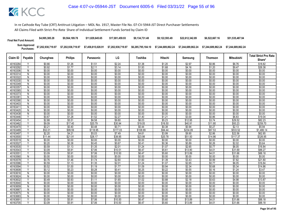| <b>Final Net Fund Amount:</b> | \$4,995,385.28     | \$9,564,189.78     | \$11.829.645.65    | \$17.001.459.93    | \$9.134.731.48     | \$9.122.593.49 | \$22,612,342,89 | \$6,522,667.16                                                 | \$51,535,487.94    |
|-------------------------------|--------------------|--------------------|--------------------|--------------------|--------------------|----------------|-----------------|----------------------------------------------------------------|--------------------|
| Sum Approved<br>:Purchases    | \$7,202,938,719.97 | \$7,202,938,719.97 | \$7,458,815,028.91 | \$7,202,938,719.97 | \$6,285,795,184.10 |                |                 | \$7.244.689.862.24    \$7.244.689.862.24    \$7.244.689.862.24 | \$7.244.689.862.24 |

|          |                         |          |                |                  |          |          |                  |          |                |                   | <b>Total Strict Pro Rata</b> |
|----------|-------------------------|----------|----------------|------------------|----------|----------|------------------|----------|----------------|-------------------|------------------------------|
| Claim ID | Payable                 | Chunghwa | <b>Philips</b> | Panasonic        | LG       | Toshiba  | Hitachi          | Samsung  | <b>Thomson</b> | <b>Mitsubishi</b> | Share*                       |
| 40163284 |                         | \$0.66   | \$1.26         | \$1.51           | \$2.24   | \$1.38   | \$1.20           | \$2.97   | \$0.86         | \$6.76            | \$18.82                      |
| 40163292 | Y                       | \$0.92   | \$1.77         | \$2.11           | \$3.14   | \$1.93   | \$1.68           | \$4.16   | \$1.20         | \$9.47            | \$26.38                      |
| 40163306 | $\overline{N}$          | \$0.00   | \$0.00         | \$0.00           | \$0.00   | \$0.00   | \$0.00           | \$0.00   | \$0.00         | \$0.00            | \$0.00                       |
| 40163314 | N                       | \$0.00   | \$0.00         | \$0.00           | \$0.00   | \$0.00   | \$0.00           | \$0.00   | \$0.00         | \$0.00            | \$0.00                       |
| 40163322 | N                       | \$0.00   | \$0.00         | \$0.00           | \$0.00   | \$0.00   | \$0.00           | \$0.00   | \$0.00         | \$0.00            | \$0.00                       |
| 40163330 | N                       | \$0.00   | \$0.00         | \$0.00           | \$0.00   | \$0.00   | \$0.00           | \$0.00   | \$0.00         | \$0.00            | \$0.00                       |
| 40163349 | N                       | \$0.00   | \$0.00         | \$0.00           | \$0.00   | \$0.00   | \$0.00           | \$0.00   | \$0.00         | \$0.00            | \$0.00                       |
| 40163357 | N                       | \$0.00   | \$0.00         | \$0.00           | \$0.00   | \$0.00   | \$0.00           | \$0.00   | \$0.00         | \$0.00            | \$0.00                       |
| 40163365 | N                       | \$0.00   | \$0.00         | \$0.00           | \$0.00   | \$0.00   | \$0.00           | \$0.00   | \$0.00         | \$0.00            | \$0.00                       |
| 40163373 | $\overline{N}$          | \$0.00   | \$0.00         | \$0.00           | \$0.00   | \$0.00   | \$0.00           | \$0.00   | \$0.00         | \$0.00            | \$0.00                       |
| 4016338  | N                       | \$0.00   | \$0.00         | \$0.00           | \$0.00   | \$0.00   | \$0.00           | \$0.00   | \$0.00         | \$0.00            | \$0.00                       |
| 40163390 | N                       | \$0.00   | \$0.00         | \$0.00           | \$0.00   | \$0.00   | \$0.00           | \$0.00   | \$0.00         | \$0.00            | \$0.00                       |
| 40163403 | N                       | \$0.00   | \$0.00         | \$0.00           | \$0.00   | \$0.00   | \$0.00           | \$0.00   | \$0.00         | \$0.00            | \$0.00                       |
| 40163411 | N                       | \$0.00   | \$0.00         | \$0.00           | \$0.00   | \$0.00   | \$0.00           | \$0.00   | \$0.00         | \$0.00            | \$0.00                       |
| 40163420 | N                       | \$0.00   | \$0.00         | \$0.00           | \$0.00   | \$0.00   | \$0.00           | \$0.00   | \$0.00         | \$0.00            | \$0.00                       |
| 40163438 | N                       | \$0.00   | \$0.00         | \$0.00           | \$0.00   | \$0.00   | \$0.00           | \$0.00   | \$0.00         | \$0.00            | \$0.00                       |
| 40163446 | ٧                       | \$0.67   | \$1.28         | \$1.52           | \$2.27   | \$1.40   | \$1.21           | \$3.00   | \$0.86         | \$6.83            | \$19.04                      |
| 40163454 | $\overline{\mathsf{v}}$ | \$2.88   | \$5.51         | \$6.58           | \$9.80   | \$6.03   | \$5.23           | \$12.95  | \$3.74         | \$29.52           | \$82.23                      |
| 40163462 |                         | \$9.09   | \$17.40        | \$20.79          | \$30.94  | \$19.05  | \$16.50          | \$40.91  | \$11.80        | \$93.23           | \$259.70                     |
| 40163470 | Y                       | \$0.21   | \$0.40         | \$0.48           | \$0.71   | \$0.44   | \$0.38           | \$0.94   | \$0.27         | \$2.13            | \$5.94                       |
| 40163489 | Υ                       | \$52.01  | \$99.59        | \$118.95         | \$177.03 | \$108.99 | \$94.44          | \$234.09 | \$67.53        | \$533.52          | \$1,486.14                   |
| 40163497 | $\overline{\mathsf{v}}$ | \$2.20   | \$4.21         | \$5.03           | \$7.49   | \$4.61   | \$3.99           | \$9.90   | \$2.86         | \$22.56           | \$62.85                      |
| 40163500 |                         | \$11.44  | \$21.91        | \$26.17          | \$38.95  | \$23.98  | \$20.78          | \$51.50  | \$14.86        | \$117.37          | \$326.95                     |
| 40163519 | N                       | \$0.00   | \$0.00         | \$0.00           | \$0.00   | \$0.00   | \$0.00           | \$0.00   | \$0.00         | \$0.00            | \$0.00                       |
| 40163527 | v                       | \$0.20   | \$0.38         | \$0.45           | \$0.67   | \$0.41   | \$0.36           | \$0.89   | \$0.26         | \$2.02            | \$5.64                       |
| 40163535 | $\overline{\mathsf{v}}$ | \$0.59   | \$1.13         | \$1.35           | \$2.01   | \$1.24   | \$1.07           | \$2.65   | \$0.77         | \$6.05            | \$16.84                      |
| 40163543 | Υ                       | \$3.09   | \$5.91         | \$7.06           | \$10.51  | \$6.47   | \$5.61           | \$13.90  | \$4.01         | \$31.69           | \$88.27                      |
| 4016355  | Y                       | \$3.09   | \$5.91         | \$7.06           | \$10.50  | \$6.47   | \$5.60           | \$13.89  | \$4.01         | \$31.66           | \$88.18                      |
| 40163560 | $\overline{N}$          | \$0.00   | \$0.00         | \$0.00           | \$0.00   | \$0.00   | \$0.00           | \$0.00   | \$0.00         | \$0.00            | \$0.00                       |
| 40163578 | $\vee$                  | \$0.76   | \$1.46         | \$1.74           | \$2.60   | \$1.60   | \$1.39           | \$3.43   | \$0.99         | \$7.82            | \$21.80                      |
| 40163586 |                         | \$0.59   | \$1.13         | \$1.35           | \$2.01   | \$1.24   | \$1.07           | \$2.65   | \$0.77         | \$6.05            | \$16.84                      |
| 40163594 | Υ                       | \$0.52   | \$1.00         | \$1.19           | \$1.77   | \$1.09   | \$0.94           | \$2.34   | \$0.68         | \$5.34            | \$14.86                      |
| 40163608 | Y                       | \$0.12   | \$0.23         | \$0.28           | \$0.41   | \$0.25   | \$0.22           | \$0.55   | \$0.16         | \$1.24            | \$3.47                       |
| 40163616 | N                       | \$0.00   | \$0.00         | \$0.00           | \$0.00   | \$0.00   | \$0.00           | \$0.00   | \$0.00         | \$0.00            | \$0.00                       |
| 40163624 | N                       | \$0.00   | \$0.00         | \$0.00           | \$0.00   | \$0.00   | \$0.00           | \$0.00   | \$0.00         | \$0.00            | \$0.00                       |
| 40163632 | Y                       | \$0.49   | \$0.93         | \$1.11           | \$1.65   | \$1.02   | \$0.88           | \$2.18   | \$0.63         | \$4.98            | \$13.87                      |
| 40163640 | $\overline{N}$          | \$0.00   | \$0.00         | \$0.00           | \$0.00   | \$0.00   | \$0.00           | \$0.00   | \$0.00         | \$0.00            | \$0.00                       |
| 40163659 | N                       | \$0.00   | \$0.00         | \$0.00<br>\$0.00 | \$0.00   | \$0.00   | \$0.00<br>\$0.00 | \$0.00   | \$0.00         | \$0.00            | \$0.00                       |
| 40163667 | N                       | \$0.00   | \$0.00         |                  | \$0.00   | \$0.00   |                  | \$0.00   | \$0.00         | \$0.00            | \$0.00                       |
| 40163675 | N                       | \$0.00   | \$0.00         | \$0.00           | \$0.00   | \$0.00   | \$0.00           | \$0.00   | \$0.00         | \$0.00            | \$0.00                       |
| 40163683 | N                       | \$0.00   | \$0.00         | \$0.00           | \$0.00   | \$0.00   | \$0.00           | \$0.00   | \$0.00         | \$0.00            | \$0.00                       |
| 4016369  | Υ                       | \$3.09   | \$5.91         | \$7.06           | \$10.50  | \$6.47   | \$5.60           | \$13.89  | \$4.01         | \$31.66           | \$88.18                      |
| 40163705 |                         | \$3.09   | \$5.91         | \$7.06           | \$10.50  | \$6.47   | \$5.60           | \$13.89  | \$4.01         | \$31.66           | \$88.18                      |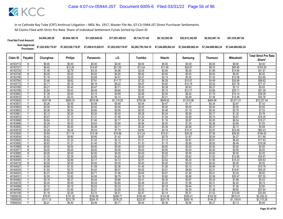| <b>Final Net Fund Amount:</b> | \$4,995,385.28     | \$9,564,189.78     | \$11.829.645.65 | \$17.001.459.93 | \$9.134.731.48 | \$9.122.593.49 | \$22,612,342,89 | \$6,522,667.16                                                                       | \$51.535.487.94    |
|-------------------------------|--------------------|--------------------|-----------------|-----------------|----------------|----------------|-----------------|--------------------------------------------------------------------------------------|--------------------|
| Sum Approved<br>Purchases:    | \$7,202,938,719.97 | \$7,202,938,719.97 |                 |                 |                |                |                 | \$6,285,795,184.10    \$7,244,689,862.24    \$7,244,689,862.24    \$7,244,689,862.24 | \$7.244.689.862.24 |

|                      |                         |                  |                  |                  |                  |                  |                  |                  |                  |                   | <b>Total Strict Pro Rata</b> |
|----------------------|-------------------------|------------------|------------------|------------------|------------------|------------------|------------------|------------------|------------------|-------------------|------------------------------|
| Claim ID             | Payable                 | Chunghwa         | <b>Philips</b>   | Panasonic        | LG               | Toshiba          | Hitachi          | Samsung          | <b>Thomson</b>   | <b>Mitsubishi</b> | Share*                       |
| 40163713             | N                       | \$0.00           | \$0.00           | \$0.00           | \$0.00           | \$0.00           | \$0.00           | \$0.00           | \$0.00           | \$0.00            | \$0.00                       |
| 40163721             | Y                       | \$6.42           | \$12.28          | \$14.67          | \$21.83          | \$13.44          | \$11.65          | \$28.87          | \$8.33           | \$65.80           | \$183.29                     |
| 40163730             | $\checkmark$            | \$1.46           | \$2.79           | \$3.33           | \$4.96           | \$3.05           | \$2.64           | \$6.55           | \$1.89           | \$14.94           | \$41.61                      |
| 40163748             | N                       | \$0.00           | \$0.00           | \$0.00           | \$0.00           | \$0.00           | \$0.00           | \$0.00           | \$0.00           | \$0.00            | \$0.00                       |
| 40163756             | Y                       | \$1.18           | \$2.25           | \$2.69           | \$4.01           | \$2.47           | \$2.14           | \$5.30           | \$1.53           | \$12.08           | \$33.65                      |
| 40163764             | Υ                       | \$3.46           | \$6.62           | \$7.91           | \$11.77          | \$7.25           | \$6.28           | \$15.57          | \$4.49           | \$35.48           | \$98.82                      |
| 40163772             | $\checkmark$            | \$2.71           | \$5.18           | \$6.19           | \$9.22           | \$5.67           | \$4.92           | \$12.19          | \$3.52           | \$27.78           | \$77.37                      |
| 40163780             | Υ                       | \$0.21           | \$0.40           | \$0.47           | \$0.71           | \$0.43           | \$0.38           | \$0.93           | \$0.27           | \$2.13            | \$5.93                       |
| 40163799             | v                       | \$2.84           | \$5.43           | \$6.49           | \$9.66           | \$5.95           | \$5.15           | \$12.77          | \$3.68           | \$29.11           | \$81.09                      |
| 40163802             | Y                       | \$1.38           | \$2.64           | \$3.15           | \$4.69           | \$2.89           | \$2.50           | \$6.20           | \$1.79           | \$14.14           | \$39.38                      |
| 40163810             | $\checkmark$            | \$1.22           | \$2.33           | \$2.78           | \$4.14           | \$2.55           | \$2.21           | \$5.48           | \$1.58           | \$12.48           | \$34.78                      |
| 40163829             |                         | \$357.95         | \$685.33         | \$818.58         | \$1,218.25       | \$750.06         | \$649.92         | \$1,610.96       | \$464.69         | \$3,671.51        | \$10,227.24                  |
| 40163837             | Y                       | \$0.26           | \$0.50           | \$0.59           | \$0.89           | \$0.54           | \$0.47           | \$1.17           | \$0.34           | \$2.67            | \$7.43                       |
| 40163845             | N                       | \$0.00           | \$0.00           | \$0.00           | \$0.00           | \$0.00           | \$0.00           | \$0.00           | \$0.00           | \$0.00            | \$0.00                       |
| 40163853             | $\overline{\mathsf{v}}$ | \$0.26           | \$0.50           | \$0.60           | \$0.90           | \$0.55           | \$0.48           | \$1.19           | \$0.34           | \$2.70            | \$7.53                       |
| 40163861             | Y                       | \$0.13           | \$0.25           | \$0.30           | \$0.45           | \$0.28           | \$0.24           | \$0.59           | \$0.17           | \$1.35            | \$3.76                       |
| 40163870             | Υ                       | \$0.57           | \$1.10           | \$1.31           | \$1.95           | \$1.20           | \$1.04           | \$2.58           | \$0.74           | \$5.87            | \$16.35                      |
| 40163888             | Y                       | \$0.64           | \$1.22           | \$1.46           | \$2.17           | \$1.34           | \$1.16           | \$2.87           | \$0.83           | \$6.54            | \$18.21                      |
| 40163896             | $\checkmark$            | \$0.28           | \$0.53           | \$0.63           | \$0.94           | \$0.58           | \$0.50           | \$1.25           | \$0.36           | \$2.85            | \$7.93                       |
| 40163900             | Y                       | \$0.21           | \$0.40           | \$0.48           | \$0.71           | \$0.44           | \$0.38           | \$0.94           | \$0.27           | \$2.13            | \$5.94                       |
| 40163918             | Υ                       | \$2.29           | \$4.38           | \$5.24           | \$7.79           | \$4.80           | \$4.16           | \$10.31          | \$2.97           | \$23.49           | \$65.43                      |
| 40163926             | $\overline{\mathsf{Y}}$ | \$5.84           | \$11.19          | \$13.36          | \$19.88          | \$12.24          | \$10.61          | \$26.29          | \$7.58           | \$59.93           | \$166.93                     |
| 40163934             |                         | \$0.42           | \$0.80           | \$0.95           | \$1.42           | \$0.87           | \$0.76           | \$1.87           | \$0.54           | \$4.27            | \$11.89                      |
| 40163942             | Y                       | \$0.62           | \$1.20           | \$1.43           | \$2.12           | \$1.31           | \$1.13           | \$2.81           | \$0.81           | \$6.40            | \$17.83                      |
| 40163950             | v                       | \$0.63           | \$1.21           | \$1.45           | \$2.15           | \$1.33           | \$1.15           | \$2.85           | \$0.82           | \$6.49            | \$18.08                      |
| 40163969             | N                       | \$0.00           | \$0.00           | \$0.00           | \$0.00           | \$0.00           | \$0.00           | \$0.00           | \$0.00           | \$0.00            | \$0.00                       |
| 40163977             | N                       | \$0.00           | \$0.00           | \$0.00           | \$0.00           | \$0.00           | \$0.00           | \$0.00           | \$0.00           | \$0.00            | \$0.00                       |
| 40163985             | N                       | \$0.00           | \$0.00           | \$0.00           | \$0.00           | \$0.00           | \$0.00           | \$0.00           | \$0.00           | \$0.00            | \$0.00                       |
| 40163993             | Y                       | \$1.25           | \$2.39           | \$2.85           | \$4.25           | \$2.62           | \$2.27           | \$5.62           | \$1.62           | \$12.80           | \$35.67                      |
| 40164000             | γ                       | \$1.39           | \$2.66           | \$3.17           | \$4.72           | \$2.91           | \$2.52           | \$6.24           | \$1.80           | \$14.23           | \$39.63                      |
| 40164019             | N<br>Y                  | \$0.00           | \$0.00           | \$0.00           | \$0.00           | \$0.00           | \$0.00           | \$0.00           | \$0.00           | \$0.00            | \$0.00                       |
| 40164027             |                         | \$0.69           | \$1.33           | \$1.58           | \$2.36           | \$1.45           | \$1.26           | \$3.12           | \$0.90           | \$7.10            | \$19.79                      |
| 40164035<br>40164043 | Y<br>V                  | \$1.93           | \$3.70           | \$4.42           | \$6.57           | \$4.05           | \$3.51           | \$8.69           | \$2.51           | \$19.81           | \$55.20<br>\$8.92            |
|                      |                         | \$0.31           | \$0.60           | \$0.71           | \$1.06           | \$0.65           | \$0.57           | \$1.40           | \$0.41           | \$3.20            |                              |
| 4016405              | Y                       | \$2.00           | \$3.82<br>\$0.37 | \$4.56           | \$6.79           | \$4.18           | \$3.62           | \$8.98<br>\$0.87 | \$2.59           | \$20.47           | \$57.02                      |
| 40164060             | Y                       | \$0.19           |                  | \$0.44           | \$0.66           | \$0.41           | \$0.35           |                  | \$0.25           | \$1.98            | \$5.53                       |
| 40164078<br>40164086 | $\checkmark$            | \$0.24<br>\$0.10 | \$0.45<br>\$0.19 | \$0.54<br>\$0.22 | \$0.80<br>\$0.33 | \$0.49<br>\$0.21 | \$0.43<br>\$0.18 | \$1.06<br>\$0.44 | \$0.31<br>\$0.13 | \$2.42<br>\$1.00  | \$6.74<br>\$2.80             |
| 40164094             |                         | \$0.97           | \$1.85           | \$2.21           | \$3.29           | \$2.03           | \$1.76           | \$4.35           | \$1.26           | \$9.92            | \$27.64                      |
| 40164108             | γ                       | \$1.18           | \$2.26           | \$2.70           | \$4.01           | \$2.47           | \$2.14           | \$5.31           | \$1.53           | \$12.09           | \$33.69                      |
| 70000018             | γ                       | \$78.97          | \$151.20         | \$180.59         | \$268.77         | \$165.48         | \$143.38         | \$355.41         | \$102.52         | \$810.01          | \$2,256.33                   |
| 70000026             |                         | \$111.13         | \$212.78         | \$254.15         | \$378.23         | \$232.87         | \$201.78         | \$500.16         | \$144.27         | \$1,139.91        | \$3,175.28                   |
| 70000034             |                         | \$0.21           | \$0.40           | \$0.48           | \$0.71           | \$0.44           | \$0.38           | \$0.94           | \$0.27           | \$2.13            | \$5.94                       |
|                      |                         |                  |                  |                  |                  |                  |                  |                  |                  |                   |                              |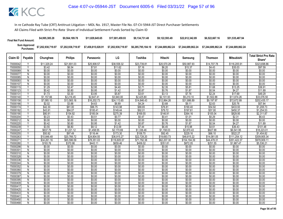| <b>Final Net Fund Amount:</b> | \$4,995,385.28 | \$9,564,189.78     | \$11,829,645,65    | \$17.001.459.93    | \$9.134.731.48 | \$9.122.593.49                                                 | \$22,612,342.89 | \$6,522,667.16     | \$51,535,487.94    |
|-------------------------------|----------------|--------------------|--------------------|--------------------|----------------|----------------------------------------------------------------|-----------------|--------------------|--------------------|
|                               |                | \$7,202,938,719.97 | \$7,458,815,028.91 | \$7,202,938,719.97 |                | \$6,285,795,184.10    \$7,244,689,862.24    \$7,244,689,862.24 |                 | \$7.244.689.862.24 | \$7.244.689.862.24 |

| Claim ID             | Payable        | Chunghwa         | <b>Philips</b>   | Panasonic        | LG               | Toshiba          | Hitachi          | Samsung          | <b>Thomson</b>   | <b>Mitsubishi</b> | <b>Total Strict Pro Rata</b><br>Share* |
|----------------------|----------------|------------------|------------------|------------------|------------------|------------------|------------------|------------------|------------------|-------------------|----------------------------------------|
| 70000042             |                | \$11.329.24      | \$21.691.03      | \$25,908.57      | \$38,558.32      | \$23,739.81      | \$20,570.28      | \$50.987.93      | \$14,707.78      | \$116,205.91      | \$323,698.86                           |
| 70000050             | Y              | \$3.42           | \$6.54           | \$7.81           | \$11.62          | \$7.16           | \$6.20           | \$15.37          | \$4.43           | \$35.03           | \$97.59                                |
| 70000069             | N              | \$0.00           | \$0.00           | \$0.00           | \$0.00           | \$0.00           | \$0.00           | \$0.00           | \$0.00           | \$0.00            | \$0.00                                 |
| 70000077             | N              | \$0.00           | \$0.00           | \$0.00           | \$0.00           | \$0.00           | \$0.00           | \$0.00           | \$0.00           | \$0.00            | \$0.00                                 |
| 70000085             | N              | \$0.00           | \$0.00           | \$0.00           | \$0.00           | \$0.00           | \$0.00           | \$0.00           | \$0.00           | \$0.00            | \$0.00                                 |
| 70000093             | N              | \$0.00           | \$0.00           | \$0.00           | \$0.00           | \$0.00           | \$0.00           | \$0.00           | \$0.00           | \$0.00            | \$0.00                                 |
| 70000107             | $\overline{N}$ | \$0.00           | \$0.00           | \$0.00           | \$0.00           | \$0.00           | \$0.00           | \$0.00           | \$0.00           | \$0.00            | \$0.00                                 |
| 70000115             | $\vee$         | \$1.29           | \$2.47           | \$2.95           | \$4.40           | \$2.71           | \$2.35           | \$5.81           | \$1.68           | \$13.25           | \$36.91                                |
| 70000123             | ٧              | \$0.42           | \$0.80           | \$0.95           | \$1.42           | \$0.87           | \$0.76           | \$1.87           | \$0.54           | \$4.27            | \$11.89                                |
| 70000131             | Y              | \$1.73           | \$3.30           | \$3.95           | \$5.87           | \$3.61           | \$3.13           | \$7.76           | \$2.24           | \$17.69           | \$49.29                                |
| 70000140             | $\checkmark$   | \$1,157.66       | \$2,216.45       | \$2,647.41       | \$3,940.00       | \$2,425.80       | \$2,101.93       | \$5,210.10       | \$1,502.88       | \$11,874.26       | \$33,076.50                            |
| 70000158             |                | \$7,085.10       | \$13,565.16      | \$16,202.73      | \$24,113.65      | \$14,846.43      | \$12,864.26      | \$31,886.89      | \$9,197.97       | \$72,672.99       | \$202,435.17                           |
| 70000166             | Y              | \$2.02           | \$3.88           | \$4.63           | \$6.89           | \$4.24           | \$3.68           | \$9.11           | \$2.63           | \$20.76           | \$57.84                                |
| 70000174             | Y              | \$42.30          | \$81.00          | \$96.75          | \$143.98         | \$88.65          | \$76.81          | \$190.40         | \$54.92          | \$433.93          | \$1,208.73                             |
| 70000182             | $\checkmark$   | \$43.91          | \$84.07          | \$100.41         | \$149.44         | \$92.01          | \$79.72          | \$197.61         | \$57.00          | \$450.37          | \$1,254.53                             |
| 70000190             | Y              | \$80.91          | \$154.92         | \$185.04         | \$275.39         | \$169.55         | \$146.91         | \$364.16         | \$105.04         | \$829.95          | \$2,311.87                             |
| 70000204             | Υ              | \$0.23           | \$0.43           | \$0.51           | \$0.77           | \$0.47           | \$0.41           | \$1.01           | \$0.29           | \$2.31            | \$6.43                                 |
| 70000212             | $\overline{N}$ | \$0.00           | \$0.00           | \$0.00           | \$0.00           | \$0.00           | \$0.00           | \$0.00           | \$0.00           | \$0.00            | \$0.00                                 |
| 70000220             | $\vee$         | \$0.42           | \$0.80           | \$0.95           | \$1.42           | \$0.87           | \$0.76           | \$1.87           | \$0.54           | \$4.27            | \$11.89                                |
| 70000239             |                | \$3.55           | \$6.80           | \$8.12           | \$12.09          | \$7.44           | \$6.45           | \$15.98          | \$4.61           | \$36.43           | \$101.48                               |
| 70000247             | Y              | \$637.79         | \$1,221.12       | \$1,458.55       | \$2.170.69       | \$1,336.46       | \$1,158.03       | \$2,870.43       | \$827.99         | \$6,541.95        | \$18,223.01                            |
| 70000255             | Y              | \$50.92          | \$97.49          | \$116.44         | \$173.30         | \$106.70         | \$92.45          | \$229.16         | \$66.10          | \$522.27          | \$1,454.82                             |
| 70000263             | Y              | \$10,846.48      | \$20,766.72      | \$24,804.55      | \$36,915.27      | \$22,728.20      | \$19,693.73      | \$48,815.22      | \$14,081.05      | \$111,254.12      | \$309,905.34                           |
| 7000027              | Y              | \$34,261.16      | \$65,596.59      | \$78,351.03      | \$116,605.57     | \$71,792.38      | \$62,207.30      | \$154,194.39     | \$44,478.31      | \$351,422.37      | \$978,909.11                           |
| 70000280             | γ              | \$193.76         | \$370.98         | \$443.11         | \$659.46         | \$406.02         | \$351.81         | \$872.05         | \$251.55         | \$1,987.47        | \$5,536.21                             |
| 70000298             | $\overline{N}$ | \$0.00           | \$0.00           | \$0.00           | \$0.00           | \$0.00           | \$0.00           | \$0.00           | \$0.00           | \$0.00            | \$0.00                                 |
| 7000030              | N              | \$0.00           | \$0.00           | \$0.00           | \$0.00           | \$0.00           | \$0.00           | \$0.00           | \$0.00           | \$0.00            | \$0.00                                 |
| 70000310             | N              | \$0.00           | \$0.00           | \$0.00           | \$0.00           | \$0.00           | \$0.00           | \$0.00           | \$0.00           | \$0.00            | \$0.00                                 |
| 70000328             | N              | \$0.00           | \$0.00           | \$0.00           | \$0.00           | \$0.00           | \$0.00           | \$0.00           | \$0.00           | \$0.00            | \$0.00                                 |
| 70000336             | N              | \$0.00           | \$0.00           | \$0.00           | \$0.00           | \$0.00           | \$0.00           | \$0.00           | \$0.00           | \$0.00            | \$0.00                                 |
| 70000344             | N              | \$0.00           | \$0.00           | \$0.00           | \$0.00           | \$0.00           | \$0.00           | \$0.00           | \$0.00           | \$0.00            | \$0.00                                 |
| 70000352             | N              | \$0.00           | \$0.00           | \$0.00           | \$0.00           | \$0.00           | \$0.00           | \$0.00           | \$0.00           | \$0.00            | \$0.00                                 |
| 70000360             | N              | \$0.00           | \$0.00           | \$0.00           | \$0.00           | \$0.00           | \$0.00           | \$0.00           | \$0.00           | \$0.00            | \$0.00                                 |
| 70000379             | $\overline{N}$ | \$0.00           | \$0.00           | \$0.00           | \$0.00           | \$0.00           | \$0.00           | \$0.00           | \$0.00           | \$0.00            | \$0.00                                 |
| 70000387             | N              | \$0.00           | \$0.00           | \$0.00           | \$0.00           | \$0.00           | \$0.00           | \$0.00           | \$0.00           | \$0.00            | \$0.00                                 |
| 70000395             | N              | \$0.00           | \$0.00           | \$0.00           | \$0.00           | \$0.00           | \$0.00           | \$0.00           | \$0.00           | \$0.00            | \$0.00                                 |
| 70000409             | $\overline{N}$ | \$0.00<br>\$0.00 | \$0.00           | \$0.00<br>\$0.00 | \$0.00<br>\$0.00 | \$0.00<br>\$0.00 | \$0.00<br>\$0.00 | \$0.00           | \$0.00           | \$0.00            | \$0.00                                 |
| 70000417<br>70000425 | N<br>N         | \$0.00           | \$0.00<br>\$0.00 | \$0.00           | \$0.00           | \$0.00           | \$0.00           | \$0.00<br>\$0.00 | \$0.00<br>\$0.00 | \$0.00<br>\$0.00  | \$0.00<br>\$0.00                       |
| 70000433             | N              | \$0.00           | \$0.00           | \$0.00           | \$0.00           | \$0.00           | \$0.00           | \$0.00           | \$0.00           | \$0.00            | \$0.00                                 |
| 70000441             | N              | \$0.00           | \$0.00           | \$0.00           | \$0.00           | \$0.00           | \$0.00           | \$0.00           | \$0.00           | \$0.00            | \$0.00                                 |
| 70000450             | N              | \$0.00           | \$0.00           | \$0.00           | \$0.00           | \$0.00           | \$0.00           | \$0.00           | \$0.00           | \$0.00            | \$0.00                                 |
| 70000468             | Ñ              | \$0.00           | \$0.00           | \$0.00           | \$0.00           | \$0.00           | \$0.00           | \$0.00           | \$0.00           | \$0.00            | \$0.00                                 |
|                      |                |                  |                  |                  |                  |                  |                  |                  |                  |                   |                                        |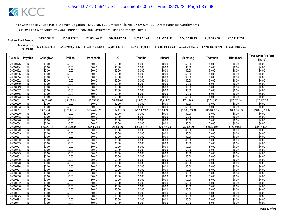| <b>Final Net Fund Amount:</b>      | \$4,995,385.28     | \$9,564,189.78     | \$11.829.645.65    | \$17.001.459.93    | \$9.134.731.48     | \$9.122.593.49     | \$22.612.342.89    | \$6,522,667.16     | \$51,535,487.94    |
|------------------------------------|--------------------|--------------------|--------------------|--------------------|--------------------|--------------------|--------------------|--------------------|--------------------|
| <b>Sum Approved<br/>Purchases:</b> | \$7,202,938,719.97 | \$7.202.938.719.97 | \$7,458,815,028.91 | \$7,202,938,719.97 | \$6,285,795,184.10 | \$7.244.689.862.24 | \$7.244.689.862.24 | \$7.244.689.862.24 | \$7.244.689.862.24 |

| Claim ID             | Payable        | Chunghwa         | <b>Philips</b>   | Panasonic        | LG               | Toshiba          | Hitachi          | Samsung          | <b>Thomson</b>   | Mitsubishi       | <b>Total Strict Pro Rata</b> |
|----------------------|----------------|------------------|------------------|------------------|------------------|------------------|------------------|------------------|------------------|------------------|------------------------------|
|                      |                |                  |                  |                  |                  |                  |                  |                  |                  |                  | Share*                       |
| 70000476             | N              | \$0.00           | \$0.00           | \$0.00           | \$0.00           | \$0.00           | \$0.00           | \$0.00           | \$0.00           | \$0.00           | \$0.00                       |
| 70000484             | N              | \$0.00           | \$0.00           | \$0.00           | \$0.00           | \$0.00           | \$0.00           | \$0.00           | \$0.00           | \$0.00           | \$0.00                       |
| 70000492             | N              | \$0.00           | \$0.00           | \$0.00           | \$0.00           | \$0.00           | \$0.00           | \$0.00           | \$0.00           | \$0.00           | \$0.00                       |
| 70000506             | N              | \$0.00           | \$0.00           | \$0.00           | \$0.00           | \$0.00           | \$0.00           | \$0.00           | \$0.00           | \$0.00           | \$0.00                       |
| 70000514             | N.             | \$0.00           | \$0.00           | \$0.00           | \$0.00           | \$0.00           | \$0.00           | \$0.00           | \$0.00           | \$0.00           | \$0.00                       |
| 70000522             | N              | \$0.00           | \$0.00           | \$0.00           | \$0.00           | \$0.00           | \$0.00           | \$0.00           | \$0.00           | \$0.00           | \$0.00                       |
| 70000530             | $\overline{N}$ | \$0.00           | \$0.00           | \$0.00           | \$0.00           | \$0.00           | \$0.00           | \$0.00           | \$0.00           | \$0.00           | \$0.00                       |
| 70000549             | N              | \$0.00           | \$0.00           | \$0.00           | \$0.00           | \$0.00           | \$0.00           | \$0.00           | \$0.00           | \$0.00           | \$0.00                       |
| 70000557             | N              | \$0.00           | \$0.00           | \$0.00           | \$0.00           | \$0.00           | \$0.00           | \$0.00           | \$0.00           | \$0.00           | \$0.00                       |
| 70000565             | N              | \$0.00           | \$0.00           | \$0.00           | \$0.00           | \$0.00           | \$0.00           | \$0.00           | \$0.00           | \$0.00           | \$0.00                       |
| 70000573             | N              | \$0.00           | \$0.00           | \$0.00           | \$0.00           | \$0.00           | \$0.00           | \$0.00           | \$0.00           | \$0.00           | \$0.00                       |
| 7000058              | $\checkmark$   | \$2,709.04       | \$5,186.75       | \$6,195.25       | \$9.220.05       | \$5,676.65       | \$4,918.76       | \$12,192.21      | \$3,516.92       | \$27,787.10      | \$77,402.73                  |
| 70000590             | N              | \$0.00           | \$0.00           | \$0.00           | \$0.00           | \$0.00           | \$0.00           | \$0.00           | \$0.00           | \$0.00           | \$0.00                       |
| 70000603             | N              | \$0.00           | \$0.00           | \$0.00           | \$0.00           | \$0.00           | \$0.00           | \$0.00           | \$0.00           | \$0.00           | \$0.00                       |
| 70000611             | Y              | \$351,754.80     | \$673,471.50     | \$804,419.62     | \$1,197,173.94   | \$737,082.87     | \$638,674.07     | \$1,583,093.34   | \$456,652.85     | \$3,608,006.84   | \$10,050,329.82              |
| 70000620             | N              | \$0.00           | \$0.00           | \$0.00           | \$0.00           | \$0.00           | \$0.00           | \$0.00           | \$0.00           | \$0.00           | \$0.00                       |
| 70000638             | N              | \$0.00           | \$0.00           | \$0.00           | \$0.00           | \$0.00           | \$0.00           | \$0.00           | \$0.00           | \$0.00           | \$0.00                       |
| 70000646             | $\overline{N}$ | \$0.00           | \$0.00           | \$0.00           | \$0.00           | \$0.00           | \$0.00           | \$0.00           | \$0.00           | \$0.00           | \$0.00                       |
| 70000654             | N              | \$0.00           | \$0.00           | \$0.00           | \$0.00           | \$0.00           | \$0.00           | \$0.00           | \$0.00           | \$0.00           | \$0.00                       |
| 70000662             | Y              | \$16,360.12      | \$31,323.16      | \$37,413.56      | \$55,680.56      | \$34,281.73      | \$29,704.73      | \$73,629.68      | \$21,238.93      | \$167,808.41     | \$467,440.87                 |
| 70000670             | N              | \$0.00           | \$0.00           | \$0.00           | \$0.00           | \$0.00           | \$0.00           | \$0.00           | \$0.00           | \$0.00           | \$0.00                       |
| 70000689             | N              | \$0.00           | \$0.00           | \$0.00           | \$0.00           | \$0.00           | \$0.00           | \$0.00           | \$0.00           | \$0.00           | \$0.00                       |
| 70000697             | N              | \$0.00           | \$0.00           | \$0.00           | \$0.00           | \$0.00           | \$0.00           | \$0.00           | \$0.00           | \$0.00           | \$0.00                       |
| 70000700             | Ñ              | \$0.00           | \$0.00           | \$0.00           | \$0.00           | \$0.00           | \$0.00           | \$0.00           | \$0.00           | \$0.00           | \$0.00                       |
| 70000719             | N              | \$0.00           | \$0.00           | \$0.00           | \$0.00           | \$0.00           | \$0.00           | \$0.00           | \$0.00           | \$0.00           | \$0.00                       |
| 70000727             | $\overline{N}$ | \$0.00           | \$0.00           | \$0.00           | \$0.00           | \$0.00           | \$0.00           | \$0.00           | \$0.00           | \$0.00           | \$0.00                       |
| 70000735             | N              | \$0.00           | \$0.00           | \$0.00           | \$0.00           | \$0.00           | \$0.00           | \$0.00           | \$0.00           | \$0.00           | \$0.00                       |
| 70000743             | N              | \$0.00           | \$0.00           | \$0.00           | \$0.00           | \$0.00           | \$0.00           | \$0.00           | \$0.00           | \$0.00           | \$0.00                       |
| 7000075              | N              | \$0.00           | \$0.00           | \$0.00           | \$0.00           | \$0.00           | \$0.00           | \$0.00           | \$0.00           | \$0.00           | \$0.00                       |
| 70000760<br>70000778 | N              | \$0.00<br>\$0.00 | \$0.00<br>\$0.00 | \$0.00<br>\$0.00 | \$0.00<br>\$0.00 | \$0.00<br>\$0.00 | \$0.00<br>\$0.00 | \$0.00<br>\$0.00 | \$0.00<br>\$0.00 | \$0.00<br>\$0.00 | \$0.00<br>\$0.00             |
| 70000786             | N              | \$0.00           | \$0.00           | \$0.00           | \$0.00           | \$0.00           | \$0.00           | \$0.00           | \$0.00           | \$0.00           | \$0.00                       |
| 70000794             | N<br>N         | \$0.00           | \$0.00           | \$0.00           | \$0.00           | \$0.00           | \$0.00           | \$0.00           | \$0.00           | \$0.00           | \$0.00                       |
| 70000808             | N              | \$0.00           | \$0.00           | \$0.00           | \$0.00           | \$0.00           | \$0.00           | \$0.00           | \$0.00           | \$0.00           | \$0.00                       |
| 70000816             | N.             | \$0.00           | \$0.00           | \$0.00           | \$0.00           | \$0.00           | \$0.00           | \$0.00           | \$0.00           | \$0.00           | \$0.00                       |
| 70000824             | N              | \$0.00           | \$0.00           | \$0.00           | \$0.00           | \$0.00           | \$0.00           | \$0.00           | \$0.00           | \$0.00           | \$0.00                       |
| 70000832             | N              | \$0.00           | \$0.00           | \$0.00           | \$0.00           | \$0.00           | \$0.00           | \$0.00           | \$0.00           | \$0.00           | \$0.00                       |
| 70000840             | N              | \$0.00           | \$0.00           | \$0.00           | \$0.00           | \$0.00           | \$0.00           | \$0.00           | \$0.00           | \$0.00           | \$0.00                       |
| 70000859             | N              | \$0.00           | \$0.00           | \$0.00           | \$0.00           | \$0.00           | \$0.00           | \$0.00           | \$0.00           | \$0.00           | \$0.00                       |
| 70000867             | N              | \$0.00           | \$0.00           | \$0.00           | \$0.00           | \$0.00           | \$0.00           | \$0.00           | \$0.00           | \$0.00           | \$0.00                       |
| 70000875             | N              | \$0.00           | \$0.00           | \$0.00           | \$0.00           | \$0.00           | \$0.00           | \$0.00           | \$0.00           | \$0.00           | \$0.00                       |
| 70000883             | N              | \$0.00           | \$0.00           | \$0.00           | \$0.00           | \$0.00           | \$0.00           | \$0.00           | \$0.00           | \$0.00           | \$0.00                       |
| 70000891             | Ñ              | \$0.00           | \$0.00           | \$0.00           | \$0.00           | \$0.00           | \$0.00           | \$0.00           | \$0.00           | \$0.00           | \$0.00                       |
|                      |                |                  |                  |                  |                  |                  |                  |                  |                  |                  |                              |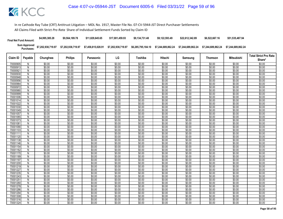| <b>Final Net Fund Amount:</b> | \$4,995,385.28     | \$9,564,189.78     | \$11.829.645.65    | \$17,001.459.93    | \$9.134.731.48     | \$9.122.593.49     | \$22,612,342.89    | \$6,522,667.16     | \$51,535,487.94    |
|-------------------------------|--------------------|--------------------|--------------------|--------------------|--------------------|--------------------|--------------------|--------------------|--------------------|
| Sum Approved<br>Purchases:    | \$7,202,938,719.97 | \$7,202,938,719.97 | \$7,458,815,028.91 | \$7,202,938,719.97 | \$6,285,795,184.10 | \$7.244.689.862.24 | \$7.244.689.862.24 | \$7.244.689.862.24 | \$7.244.689.862.24 |

|                      |                |                  |                  |                  |                  |                  |                  |                  |                  |                   | <b>Total Strict Pro Rata</b> |
|----------------------|----------------|------------------|------------------|------------------|------------------|------------------|------------------|------------------|------------------|-------------------|------------------------------|
| Claim ID             | Payable        | Chunghwa         | <b>Philips</b>   | Panasonic        | LG               | Toshiba          | Hitachi          | Samsung          | Thomson          | <b>Mitsubishi</b> | Share*                       |
| 70000905             | N              | \$0.00           | \$0.00           | \$0.00           | \$0.00           | \$0.00           | \$0.00           | \$0.00           | \$0.00           | \$0.00            | \$0.00                       |
| 70000913             | N              | \$0.00           | \$0.00           | \$0.00           | \$0.00           | \$0.00           | \$0.00           | \$0.00           | \$0.00           | \$0.00            | \$0.00                       |
| 70000921             | N              | \$0.00           | \$0.00           | \$0.00           | \$0.00           | \$0.00           | \$0.00           | \$0.00           | \$0.00           | \$0.00            | \$0.00                       |
| 70000930             | N              | \$0.00           | \$0.00           | \$0.00           | \$0.00           | \$0.00           | \$0.00           | \$0.00           | \$0.00           | \$0.00            | \$0.00                       |
| 70000948             | N              | \$0.00           | \$0.00           | \$0.00           | \$0.00           | \$0.00           | \$0.00           | \$0.00           | \$0.00           | \$0.00            | \$0.00                       |
| 70000956             | N              | \$0.00           | \$0.00           | \$0.00           | \$0.00           | \$0.00           | \$0.00           | \$0.00           | \$0.00           | \$0.00            | \$0.00                       |
| 70000964             | N              | \$0.00           | \$0.00           | \$0.00           | \$0.00           | \$0.00           | \$0.00           | \$0.00           | \$0.00           | \$0.00            | \$0.00                       |
| 70000972             | N              | \$0.00           | \$0.00           | \$0.00           | \$0.00           | \$0.00           | \$0.00           | \$0.00           | \$0.00           | \$0.00            | \$0.00                       |
| 70000980             | N              | \$0.00           | \$0.00           | \$0.00           | \$0.00           | \$0.00           | \$0.00           | \$0.00           | \$0.00           | \$0.00            | \$0.00                       |
| 70000999             | $\overline{N}$ | \$0.00           | \$0.00           | \$0.00           | \$0.00           | \$0.00           | \$0.00           | \$0.00           | \$0.00           | \$0.00            | \$0.00                       |
| 70001006             | N              | \$0.00           | \$0.00           | \$0.00           | \$0.00           | \$0.00           | \$0.00           | \$0.00           | \$0.00           | \$0.00            | \$0.00                       |
| 70001014             | N              | \$0.00           | \$0.00           | \$0.00           | \$0.00           | \$0.00           | \$0.00           | \$0.00           | \$0.00           | \$0.00            | \$0.00                       |
| 70001022             | N              | \$0.00           | \$0.00           | \$0.00           | \$0.00           | \$0.00           | \$0.00           | \$0.00           | \$0.00           | \$0.00            | \$0.00                       |
| 70001030             | N              | \$0.00           | \$0.00           | \$0.00           | \$0.00           | \$0.00           | \$0.00           | \$0.00           | \$0.00           | \$0.00            | \$0.00                       |
| 70001049             | N              | \$0.00           | \$0.00           | \$0.00           | \$0.00           | \$0.00           | \$0.00           | \$0.00           | \$0.00           | \$0.00            | \$0.00                       |
| 70001057             | N              | \$0.00           | \$0.00           | \$0.00           | \$0.00           | \$0.00           | \$0.00           | \$0.00           | \$0.00           | \$0.00            | \$0.00                       |
| 70001065             | N              | \$0.00           | \$0.00           | \$0.00           | \$0.00           | \$0.00           | \$0.00           | \$0.00           | \$0.00           | \$0.00            | \$0.00                       |
| 70001073             | $\overline{N}$ | \$0.00           | \$0.00           | \$0.00           | \$0.00           | \$0.00           | \$0.00           | \$0.00           | \$0.00           | \$0.00            | \$0.00                       |
| 7000108              | N              | \$0.00           | \$0.00           | \$0.00           | \$0.00           | \$0.00           | \$0.00           | \$0.00           | \$0.00           | \$0.00            | \$0.00                       |
| 70001090             | N              | \$0.00           | \$0.00           | \$0.00           | \$0.00           | \$0.00           | \$0.00           | \$0.00           | \$0.00           | \$0.00            | \$0.00                       |
| 70001103             | N              | \$0.00           | \$0.00           | \$0.00           | \$0.00           | \$0.00           | \$0.00           | \$0.00           | \$0.00           | \$0.00            | \$0.00                       |
| 70001111             | N              | \$0.00           | \$0.00           | \$0.00           | \$0.00           | \$0.00           | \$0.00           | \$0.00           | \$0.00           | \$0.00            | \$0.00                       |
| 70001120             | N              | \$0.00           | \$0.00           | \$0.00           | \$0.00           | \$0.00           | \$0.00           | \$0.00<br>\$0.00 | \$0.00           | \$0.00<br>\$0.00  | \$0.00                       |
| 70001138<br>70001146 | N<br>N         | \$0.00<br>\$0.00 | \$0.00<br>\$0.00 | \$0.00<br>\$0.00 | \$0.00<br>\$0.00 | \$0.00<br>\$0.00 | \$0.00<br>\$0.00 | \$0.00           | \$0.00<br>\$0.00 | \$0.00            | \$0.00<br>\$0.00             |
| 70001154             | $\overline{N}$ | \$0.00           | \$0.00           | \$0.00           | \$0.00           | \$0.00           | \$0.00           | \$0.00           | \$0.00           | \$0.00            | \$0.00                       |
| 70001162             | N              | \$0.00           | \$0.00           | \$0.00           | \$0.00           | \$0.00           | \$0.00           | \$0.00           | \$0.00           | \$0.00            | \$0.00                       |
| 70001170             | N              | \$0.00           | \$0.00           | \$0.00           | \$0.00           | \$0.00           | \$0.00           | \$0.00           | \$0.00           | \$0.00            | \$0.00                       |
| 70001189             | N              | \$0.00           | \$0.00           | \$0.00           | \$0.00           | \$0.00           | \$0.00           | \$0.00           | \$0.00           | \$0.00            | \$0.00                       |
| 70001197             | N              | \$0.00           | \$0.00           | \$0.00           | \$0.00           | \$0.00           | \$0.00           | \$0.00           | \$0.00           | \$0.00            | \$0.00                       |
| 70001200             | N              | \$0.00           | \$0.00           | \$0.00           | \$0.00           | \$0.00           | \$0.00           | \$0.00           | \$0.00           | \$0.00            | \$0.00                       |
| 70001219             | N              | \$0.00           | \$0.00           | \$0.00           | \$0.00           | \$0.00           | \$0.00           | \$0.00           | \$0.00           | \$0.00            | \$0.00                       |
| 70001227             | N              | \$0.00           | \$0.00           | \$0.00           | \$0.00           | \$0.00           | \$0.00           | \$0.00           | \$0.00           | \$0.00            | \$0.00                       |
| 70001235             | N              | \$0.00           | \$0.00           | \$0.00           | \$0.00           | \$0.00           | \$0.00           | \$0.00           | \$0.00           | \$0.00            | \$0.00                       |
| 70001243             | N              | \$0.00           | \$0.00           | \$0.00           | \$0.00           | \$0.00           | \$0.00           | \$0.00           | \$0.00           | \$0.00            | \$0.00                       |
| 7000125              | N              | \$0.00           | \$0.00           | \$0.00           | \$0.00           | \$0.00           | \$0.00           | \$0.00           | \$0.00           | \$0.00            | \$0.00                       |
| 70001260             | N              | \$0.00           | \$0.00           | \$0.00           | \$0.00           | \$0.00           | \$0.00           | \$0.00           | \$0.00           | \$0.00            | \$0.00                       |
| 70001278             | N              | \$0.00           | \$0.00           | \$0.00           | \$0.00           | \$0.00           | \$0.00           | \$0.00           | \$0.00           | \$0.00            | \$0.00                       |
| 70001286             | N              | \$0.00           | \$0.00           | \$0.00           | \$0.00           | \$0.00           | \$0.00           | \$0.00           | \$0.00           | \$0.00            | \$0.00                       |
| 70001294             | N              | \$0.00           | \$0.00           | \$0.00           | \$0.00           | \$0.00           | \$0.00           | \$0.00           | \$0.00           | \$0.00            | \$0.00                       |
| 70001308             | N              | \$0.00           | \$0.00           | \$0.00           | \$0.00           | \$0.00           | \$0.00           | \$0.00           | \$0.00           | \$0.00            | \$0.00                       |
| 70001316             | N              | \$0.00           | \$0.00           | \$0.00           | \$0.00           | \$0.00           | \$0.00           | \$0.00           | \$0.00           | \$0.00            | \$0.00                       |
| 70001324             | N              | \$0.00           | \$0.00           | \$0.00           | \$0.00           | \$0.00           | \$0.00           | \$0.00           | \$0.00           | \$0.00            | \$0.00                       |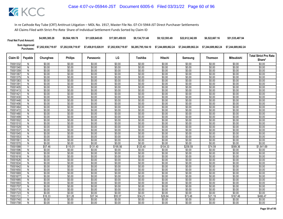| <b>Final Net Fund Amount:</b> | \$4,995,385.28     | \$9,564,189.78     | \$11.829.645.65    | \$17,001,459.93    | \$9.134.731.48     | \$9.122.593.49     | \$22,612,342.89    | \$6,522,667.16     | \$51,535,487.94    |
|-------------------------------|--------------------|--------------------|--------------------|--------------------|--------------------|--------------------|--------------------|--------------------|--------------------|
| Sum Approved<br>Purchases:    | \$7,202,938,719.97 | \$7,202,938,719.97 | \$7,458,815,028.91 | \$7,202,938,719.97 | \$6,285,795,184.10 | \$7.244.689.862.24 | \$7.244.689.862.24 | \$7.244.689.862.24 | \$7.244.689.862.24 |

|                     |                |                  |                  |                  |                  |                  |                  |                  |                  |                   | <b>Total Strict Pro Rata</b> |
|---------------------|----------------|------------------|------------------|------------------|------------------|------------------|------------------|------------------|------------------|-------------------|------------------------------|
| Claim ID            | Payable        | Chunghwa         | <b>Philips</b>   | Panasonic        | LG               | Toshiba          | Hitachi          | Samsung          | <b>Thomson</b>   | <b>Mitsubishi</b> | Share*                       |
| 70001332            | N              | \$0.00           | \$0.00           | \$0.00           | \$0.00           | \$0.00           | \$0.00           | \$0.00           | \$0.00           | \$0.00            | \$0.00                       |
| 70001340            | N              | \$0.00           | \$0.00           | \$0.00           | \$0.00           | \$0.00           | \$0.00           | \$0.00           | \$0.00           | \$0.00            | \$0.00                       |
| 70001359            | N              | \$0.00           | \$0.00           | \$0.00           | \$0.00           | \$0.00           | \$0.00           | \$0.00           | \$0.00           | \$0.00            | \$0.00                       |
| 70001367            | N              | \$0.00           | \$0.00           | \$0.00           | \$0.00           | \$0.00           | \$0.00           | \$0.00           | \$0.00           | \$0.00            | \$0.00                       |
| 70001375            | N              | \$0.00           | \$0.00           | \$0.00           | \$0.00           | \$0.00           | \$0.00           | \$0.00           | \$0.00           | \$0.00            | \$0.00                       |
| 70001383            | N              | \$0.00           | \$0.00           | \$0.00           | \$0.00           | \$0.00           | \$0.00           | \$0.00           | \$0.00           | \$0.00            | \$0.00                       |
| 7000139             | N              | \$0.00           | \$0.00           | \$0.00           | \$0.00           | \$0.00           | \$0.00           | \$0.00           | \$0.00           | \$0.00            | \$0.00                       |
| 70001405            | N              | \$0.00           | \$0.00           | \$0.00           | \$0.00           | \$0.00           | \$0.00           | \$0.00           | \$0.00           | \$0.00            | \$0.00                       |
| 70001413            | N              | \$0.00           | \$0.00           | \$0.00           | \$0.00           | \$0.00           | \$0.00           | \$0.00           | \$0.00           | \$0.00            | \$0.00                       |
| 70001421            | $\overline{N}$ | \$0.00           | \$0.00           | \$0.00           | \$0.00           | \$0.00           | \$0.00           | \$0.00           | \$0.00           | \$0.00            | \$0.00                       |
| 70001430            | N              | \$0.00           | \$0.00           | \$0.00           | \$0.00           | \$0.00           | \$0.00           | \$0.00           | \$0.00           | \$0.00            | \$0.00                       |
| 70001448            | N              | \$0.00           | \$0.00           | \$0.00           | \$0.00           | \$0.00           | \$0.00           | \$0.00           | \$0.00           | \$0.00            | \$0.00                       |
| 70001456            | N              | \$0.00           | \$0.00           | \$0.00           | \$0.00           | \$0.00           | \$0.00           | \$0.00           | \$0.00           | \$0.00            | \$0.00                       |
| 70001464            | N              | \$0.00           | \$0.00           | \$0.00           | \$0.00           | \$0.00           | \$0.00           | \$0.00           | \$0.00           | \$0.00            | \$0.00                       |
| 70001472            | N              | \$0.00           | \$0.00           | \$0.00           | \$0.00           | \$0.00           | \$0.00           | \$0.00           | \$0.00           | \$0.00            | \$0.00                       |
| 70001480            | N              | \$0.00           | \$0.00           | \$0.00           | \$0.00           | \$0.00           | \$0.00           | \$0.00           | \$0.00           | \$0.00            | \$0.00                       |
| 70001499            | N              | \$0.00           | \$0.00           | \$0.00           | \$0.00           | \$0.00           | \$0.00           | \$0.00           | \$0.00           | \$0.00            | \$0.00                       |
| 70001502            | $\overline{N}$ | \$0.00           | \$0.00           | \$0.00           | \$0.00           | \$0.00           | \$0.00           | \$0.00           | \$0.00           | \$0.00            | \$0.00                       |
| 70001510            | N              | \$0.00           | \$0.00           | \$0.00           | \$0.00           | \$0.00           | \$0.00           | \$0.00           | \$0.00           | \$0.00            | \$0.00                       |
| 70001529            | N              | \$0.00           | \$0.00           | \$0.00           | \$0.00           | \$0.00           | \$0.00           | \$0.00           | \$0.00           | \$0.00            | \$0.00                       |
| 70001537            | N              | \$0.00           | \$0.00           | \$0.00           | \$0.00           | \$0.00           | \$0.00           | \$0.00           | \$0.00           | \$0.00            | \$0.00                       |
| 70001545            | N              | \$0.00           | \$0.00           | \$0.00           | \$0.00           | \$0.00           | \$0.00           | \$0.00           | \$0.00           | \$0.00            | \$0.00                       |
| 70001553<br>7000156 | N              | \$0.00<br>\$0.00 | \$0.00<br>\$0.00 | \$0.00<br>\$0.00 | \$0.00<br>\$0.00 | \$0.00<br>\$0.00 | \$0.00<br>\$0.00 | \$0.00<br>\$0.00 | \$0.00<br>\$0.00 | \$0.00<br>\$0.00  | \$0.00<br>\$0.00             |
| 70001570            | N<br>N         | \$0.00           | \$0.00           | \$0.00           | \$0.00           | \$0.00           | \$0.00           | \$0.00           | \$0.00           | \$0.00            | \$0.00                       |
| 70001588            | Y              | \$57.46          | \$110.01         | \$131.40         | \$195.56         | \$120.40         | \$104.33         | \$258.59         | \$74.59          | \$589.36          | \$1,641.69                   |
| 70001596            | N              | \$0.00           | \$0.00           | \$0.00           | \$0.00           | \$0.00           | \$0.00           | \$0.00           | \$0.00           | \$0.00            | \$0.00                       |
| 70001600            | N              | \$0.00           | \$0.00           | \$0.00           | \$0.00           | \$0.00           | \$0.00           | \$0.00           | \$0.00           | \$0.00            | \$0.00                       |
| 70001618            | $\overline{N}$ | \$0.00           | \$0.00           | \$0.00           | \$0.00           | \$0.00           | \$0.00           | \$0.00           | \$0.00           | \$0.00            | \$0.00                       |
| 70001626            | N              | \$0.00           | \$0.00           | \$0.00           | \$0.00           | \$0.00           | \$0.00           | \$0.00           | \$0.00           | \$0.00            | \$0.00                       |
| 70001634            | N              | \$0.00           | \$0.00           | \$0.00           | \$0.00           | \$0.00           | \$0.00           | \$0.00           | \$0.00           | \$0.00            | \$0.00                       |
| 70001642            | N              | \$0.00           | \$0.00           | \$0.00           | \$0.00           | \$0.00           | \$0.00           | \$0.00           | \$0.00           | \$0.00            | \$0.00                       |
| 70001650            | N              | \$0.00           | \$0.00           | \$0.00           | \$0.00           | \$0.00           | \$0.00           | \$0.00           | \$0.00           | \$0.00            | \$0.00                       |
| 70001669            | N              | \$0.00           | \$0.00           | \$0.00           | \$0.00           | \$0.00           | \$0.00           | \$0.00           | \$0.00           | \$0.00            | \$0.00                       |
| 70001677            | N              | \$0.00           | \$0.00           | \$0.00           | \$0.00           | \$0.00           | \$0.00           | \$0.00           | \$0.00           | \$0.00            | \$0.00                       |
| 70001685            | N              | \$0.00           | \$0.00           | \$0.00           | \$0.00           | \$0.00           | \$0.00           | \$0.00           | \$0.00           | \$0.00            | \$0.00                       |
| 70001693            | $\overline{N}$ | \$0.00           | \$0.00           | \$0.00           | \$0.00           | \$0.00           | \$0.00           | \$0.00           | \$0.00           | \$0.00            | \$0.00                       |
| 70001707            | N              | \$0.00           | \$0.00           | \$0.00           | \$0.00           | \$0.00           | \$0.00           | \$0.00           | \$0.00           | \$0.00            | \$0.00                       |
| 70001715            | N              | \$0.00           | \$0.00           | \$0.00           | \$0.00           | \$0.00           | \$0.00           | \$0.00           | \$0.00           | \$0.00            | \$0.00                       |
| 70001723            | N              | \$0.00           | \$0.00           | \$0.00           | \$0.00           | \$0.00           | \$0.00           | \$0.00           | \$0.00           | \$0.00            | \$0.00                       |
| 70001731            | Y              | \$16.33          | \$31.26          | \$37.34          | \$55.57          | \$34.21          | \$29.64          | \$73.48          | \$21.19          | \$167.46          | \$466.47                     |
| 70001740            | N              | \$0.00           | \$0.00           | \$0.00           | \$0.00           | \$0.00           | \$0.00           | \$0.00           | \$0.00           | \$0.00            | \$0.00                       |
| 70001758            | N              | \$0.00           | \$0.00           | \$0.00           | \$0.00           | \$0.00           | \$0.00           | \$0.00           | \$0.00           | \$0.00            | \$0.00                       |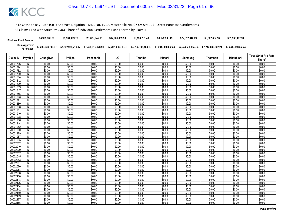| <b>Final Net Fund Amount:</b> | \$4,995,385.28     | \$9.564.189.78     | \$11.829.645.65    | \$17.001.459.93    | \$9.134.731.48     | \$9.122.593.49     | \$22.612.342.89    | \$6,522,667.16     | \$51,535,487.94    |
|-------------------------------|--------------------|--------------------|--------------------|--------------------|--------------------|--------------------|--------------------|--------------------|--------------------|
| Sum Approved<br>:Purchases    | \$7,202,938,719.97 | \$7,202,938,719.97 | \$7,458,815,028.91 | \$7,202,938,719.97 | \$6,285,795,184.10 | \$7.244.689.862.24 | \$7.244.689.862.24 | \$7.244.689.862.24 | \$7.244.689.862.24 |

| Claim ID             | Payable             | Chunghwa         | <b>Philips</b>   | Panasonic        | LG               | Toshiba          | Hitachi          | Samsung          | <b>Thomson</b>   | Mitsubishi       | <b>Total Strict Pro Rata</b> |
|----------------------|---------------------|------------------|------------------|------------------|------------------|------------------|------------------|------------------|------------------|------------------|------------------------------|
|                      |                     |                  |                  |                  |                  |                  |                  |                  |                  |                  | Share*                       |
| 70001766             | N                   | \$0.00           | \$0.00           | \$0.00           | \$0.00           | \$0.00           | \$0.00           | \$0.00           | \$0.00           | \$0.00           | \$0.00                       |
| 70001774             | N                   | \$0.00           | \$0.00           | \$0.00           | \$0.00           | \$0.00           | \$0.00           | \$0.00           | \$0.00           | \$0.00           | \$0.00                       |
| 70001782             | N                   | \$0.00           | \$0.00           | \$0.00           | \$0.00           | \$0.00           | \$0.00           | \$0.00           | \$0.00           | \$0.00           | \$0.00                       |
| 70001790             | N                   | \$0.00           | \$0.00           | \$0.00           | \$0.00           | \$0.00           | \$0.00           | \$0.00           | \$0.00           | \$0.00           | \$0.00                       |
| 70001804             | N                   | \$0.00           | \$0.00           | \$0.00           | \$0.00           | \$0.00           | \$0.00           | \$0.00           | \$0.00           | \$0.00           | \$0.00                       |
| 70001812             | N                   | \$0.00           | \$0.00           | \$0.00           | \$0.00           | \$0.00           | \$0.00           | \$0.00           | \$0.00           | \$0.00           | \$0.00                       |
| 70001820             | $\overline{N}$      | \$0.00           | \$0.00           | \$0.00           | \$0.00           | \$0.00           | \$0.00           | \$0.00           | \$0.00           | \$0.00           | \$0.00                       |
| 70001839             | N                   | \$0.00           | \$0.00           | \$0.00           | \$0.00           | \$0.00           | \$0.00           | \$0.00           | \$0.00           | \$0.00           | \$0.00                       |
| 70001847             | N                   | \$0.00           | \$0.00           | \$0.00           | \$0.00           | \$0.00           | \$0.00           | \$0.00           | \$0.00           | \$0.00           | \$0.00                       |
| 70001855             | N                   | \$0.00           | \$0.00           | \$0.00           | \$0.00           | \$0.00           | \$0.00           | \$0.00           | \$0.00           | \$0.00           | \$0.00                       |
| 70001863             | N                   | \$0.00           | \$0.00           | \$0.00           | \$0.00           | \$0.00           | \$0.00           | \$0.00           | \$0.00           | \$0.00           | \$0.00                       |
| 7000187              | N                   | \$0.00           | \$0.00           | \$0.00           | \$0.00           | \$0.00           | \$0.00           | \$0.00           | \$0.00           | \$0.00           | \$0.00                       |
| 70001880             | N                   | \$0.00           | \$0.00           | \$0.00           | \$0.00           | \$0.00           | \$0.00           | \$0.00           | \$0.00           | \$0.00           | \$0.00                       |
| 70001898             | N                   | \$0.00           | \$0.00           | \$0.00           | \$0.00           | \$0.00           | \$0.00           | \$0.00           | \$0.00           | \$0.00           | \$0.00                       |
| 70001901             | N                   | \$0.00           | \$0.00           | \$0.00           | \$0.00           | \$0.00           | \$0.00           | \$0.00           | \$0.00           | \$0.00           | \$0.00                       |
| 70001910             | N                   | \$0.00           | \$0.00           | \$0.00           | \$0.00           | \$0.00           | \$0.00           | \$0.00           | \$0.00           | \$0.00           | \$0.00                       |
| 70001928             | N                   | \$0.00           | \$0.00           | \$0.00           | \$0.00           | \$0.00           | \$0.00           | \$0.00           | \$0.00           | \$0.00           | \$0.00                       |
| 70001936             | $\overline{N}$      | \$0.00           | \$0.00           | \$0.00           | \$0.00           | \$0.00           | \$0.00           | \$0.00           | \$0.00           | \$0.00           | \$0.00                       |
| 70001944             | N                   | \$0.00           | \$0.00           | \$0.00           | \$0.00           | \$0.00           | \$0.00           | \$0.00           | \$0.00           | \$0.00           | \$0.00                       |
| 70001952             | N.                  | \$0.00           | \$0.00           | \$0.00           | \$0.00           | \$0.00           | \$0.00           | \$0.00           | \$0.00           | \$0.00           | \$0.00                       |
| 70001960             | N                   | \$0.00           | \$0.00           | \$0.00           | \$0.00           | \$0.00           | \$0.00           | \$0.00           | \$0.00           | \$0.00           | \$0.00                       |
| 70001979             | N                   | \$0.00           | \$0.00           | \$0.00<br>\$0.00 | \$0.00           | \$0.00           | \$0.00           | \$0.00<br>\$0.00 | \$0.00           | \$0.00           | \$0.00                       |
| 70001987<br>70001995 | N                   | \$0.00           | \$0.00           | \$0.00           | \$0.00<br>\$0.00 | \$0.00<br>\$0.00 | \$0.00           |                  | \$0.00<br>\$0.00 | \$0.00           | \$0.00                       |
| 70002002             | Ñ                   | \$0.00<br>\$0.00 | \$0.00<br>\$0.00 | \$0.00           | \$0.00           | \$0.00           | \$0.00<br>\$0.00 | \$0.00<br>\$0.00 | \$0.00           | \$0.00<br>\$0.00 | \$0.00<br>\$0.00             |
| 70002010             | N<br>$\overline{N}$ | \$0.00           | \$0.00           | \$0.00           | \$0.00           | \$0.00           | \$0.00           | \$0.00           | \$0.00           | \$0.00           | \$0.00                       |
| 70002029             | N                   | \$0.00           | \$0.00           | \$0.00           | \$0.00           | \$0.00           | \$0.00           | \$0.00           | \$0.00           | \$0.00           | \$0.00                       |
| 70002037             | N                   | \$0.00           | \$0.00           | \$0.00           | \$0.00           | \$0.00           | \$0.00           | \$0.00           | \$0.00           | \$0.00           | \$0.00                       |
| 70002045             | N                   | \$0.00           | \$0.00           | \$0.00           | \$0.00           | \$0.00           | \$0.00           | \$0.00           | \$0.00           | \$0.00           | \$0.00                       |
| 70002053             | N                   | \$0.00           | \$0.00           | \$0.00           | \$0.00           | \$0.00           | \$0.00           | \$0.00           | \$0.00           | \$0.00           | \$0.00                       |
| 7000206              | N                   | \$0.00           | \$0.00           | \$0.00           | \$0.00           | \$0.00           | \$0.00           | \$0.00           | \$0.00           | \$0.00           | \$0.00                       |
| 70002070             | N                   | \$0.00           | \$0.00           | \$0.00           | \$0.00           | \$0.00           | \$0.00           | \$0.00           | \$0.00           | \$0.00           | \$0.00                       |
| 70002088             | N                   | \$0.00           | \$0.00           | \$0.00           | \$0.00           | \$0.00           | \$0.00           | \$0.00           | \$0.00           | \$0.00           | \$0.00                       |
| 70002096             | N                   | \$0.00           | \$0.00           | \$0.00           | \$0.00           | \$0.00           | \$0.00           | \$0.00           | \$0.00           | \$0.00           | \$0.00                       |
| 70002100             | N                   | \$0.00           | \$0.00           | \$0.00           | \$0.00           | \$0.00           | \$0.00           | \$0.00           | \$0.00           | \$0.00           | \$0.00                       |
| 70002118             | N                   | \$0.00           | \$0.00           | \$0.00           | \$0.00           | \$0.00           | \$0.00           | \$0.00           | \$0.00           | \$0.00           | \$0.00                       |
| 70002126             | N                   | \$0.00           | \$0.00           | \$0.00           | \$0.00           | \$0.00           | \$0.00           | \$0.00           | \$0.00           | \$0.00           | \$0.00                       |
| 70002134             | N                   | \$0.00           | \$0.00           | \$0.00           | \$0.00           | \$0.00           | \$0.00           | \$0.00           | \$0.00           | \$0.00           | \$0.00                       |
| 70002142             | N                   | \$0.00           | \$0.00           | \$0.00           | \$0.00           | \$0.00           | \$0.00           | \$0.00           | \$0.00           | \$0.00           | \$0.00                       |
| 70002150             | N                   | \$0.00           | \$0.00           | \$0.00           | \$0.00           | \$0.00           | \$0.00           | \$0.00           | \$0.00           | \$0.00           | \$0.00                       |
| 70002169             | N                   | \$0.00           | \$0.00           | \$0.00           | \$0.00           | \$0.00           | \$0.00           | \$0.00           | \$0.00           | \$0.00           | \$0.00                       |
| 70002177             | N                   | \$0.00           | \$0.00           | \$0.00           | \$0.00           | \$0.00           | \$0.00           | \$0.00           | \$0.00           | \$0.00           | \$0.00                       |
| 70002185             | N                   | \$0.00           | \$0.00           | \$0.00           | \$0.00           | \$0.00           | \$0.00           | \$0.00           | \$0.00           | \$0.00           | \$0.00                       |
|                      |                     |                  |                  |                  |                  |                  |                  |                  |                  |                  |                              |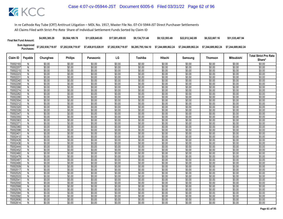| <b>Final Net Fund Amount:</b> | \$4,995,385.28     | \$9,564,189.78     | \$11.829.645.65    | \$17.001.459.93    | \$9.134.731.48     | \$9.122.593.49     | \$22.612.342.89    | \$6,522,667.16     | \$51,535,487.94    |
|-------------------------------|--------------------|--------------------|--------------------|--------------------|--------------------|--------------------|--------------------|--------------------|--------------------|
| Sum Approved<br>:Purchases    | \$7,202,938,719.97 | \$7,202,938,719.97 | \$7,458,815,028.91 | \$7,202,938,719.97 | \$6,285,795,184.10 | \$7.244.689.862.24 | \$7.244.689.862.24 | \$7.244.689.862.24 | \$7.244.689.862.24 |

|                                  |                |                            |                            |                            |                            |                            |                            |                            |                            |                            | <b>Total Strict Pro Rata</b> |
|----------------------------------|----------------|----------------------------|----------------------------|----------------------------|----------------------------|----------------------------|----------------------------|----------------------------|----------------------------|----------------------------|------------------------------|
| Claim ID                         | Payable        | Chunghwa                   | <b>Philips</b>             | Panasonic                  | LG                         | Toshiba                    | Hitachi                    | Samsung                    | <b>Thomson</b>             | <b>Mitsubishi</b>          | Share*                       |
| 70002193                         | N              | \$0.00                     | \$0.00                     | \$0.00                     | \$0.00                     | \$0.00                     | \$0.00                     | \$0.00                     | \$0.00                     | \$0.00                     | \$0.00                       |
| 70002207                         | $\mathsf{N}$   | \$0.00                     | \$0.00                     | \$0.00                     | \$0.00                     | \$0.00                     | \$0.00                     | \$0.00                     | \$0.00                     | \$0.00                     | \$0.00                       |
| 70002215                         | N              | \$0.00                     | \$0.00                     | \$0.00                     | \$0.00                     | \$0.00                     | \$0.00                     | \$0.00                     | \$0.00                     | \$0.00                     | \$0.00                       |
| 70002223                         | N              | \$0.00                     | \$0.00                     | \$0.00                     | \$0.00                     | \$0.00                     | \$0.00                     | \$0.00                     | \$0.00                     | \$0.00                     | \$0.00                       |
| 7000223                          | N              | \$0.00                     | \$0.00                     | \$0.00                     | \$0.00                     | \$0.00                     | \$0.00                     | \$0.00                     | \$0.00                     | \$0.00                     | \$0.00                       |
| 70002240                         | N              | \$0.00                     | \$0.00                     | \$0.00                     | \$0.00                     | \$0.00                     | \$0.00                     | \$0.00                     | \$0.00                     | \$0.00                     | \$0.00                       |
| 70002258                         | N              | \$0.00                     | \$0.00                     | \$0.00                     | \$0.00                     | \$0.00                     | \$0.00                     | \$0.00                     | \$0.00                     | \$0.00                     | \$0.00                       |
| 70002266                         | N              | \$0.00                     | \$0.00                     | \$0.00                     | \$0.00                     | \$0.00                     | \$0.00                     | \$0.00                     | \$0.00                     | \$0.00                     | \$0.00                       |
| 70002274                         | N              | \$0.00                     | \$0.00                     | \$0.00                     | \$0.00                     | \$0.00                     | \$0.00                     | \$0.00                     | \$0.00                     | \$0.00                     | \$0.00                       |
| 70002282                         | $\overline{N}$ | \$0.00                     | \$0.00                     | \$0.00                     | \$0.00                     | \$0.00                     | \$0.00                     | \$0.00                     | \$0.00                     | \$0.00                     | \$0.00                       |
| 70002290                         | N              | \$0.00                     | \$0.00                     | \$0.00                     | \$0.00                     | \$0.00                     | \$0.00                     | \$0.00                     | \$0.00                     | \$0.00                     | \$0.00                       |
| 70002304                         | N              | \$0.00                     | \$0.00                     | \$0.00                     | \$0.00                     | \$0.00                     | \$0.00                     | \$0.00                     | \$0.00                     | \$0.00                     | \$0.00                       |
| 70002312                         | $\mathsf{N}$   | \$0.00                     | \$0.00                     | \$0.00                     | \$0.00                     | \$0.00                     | \$0.00                     | \$0.00                     | \$0.00                     | \$0.00                     | \$0.00                       |
| 70002320                         | N              | \$0.00                     | \$0.00                     | \$0.00                     | \$0.00                     | \$0.00                     | \$0.00                     | \$0.00                     | \$0.00                     | \$0.00                     | \$0.00                       |
| 70002339                         | Ñ              | \$0.00                     | \$0.00                     | \$0.00                     | \$0.00                     | \$0.00                     | \$0.00                     | \$0.00                     | \$0.00                     | \$0.00                     | \$0.00                       |
| 70002347                         | N              | \$0.00                     | \$0.00                     | \$0.00                     | \$0.00                     | \$0.00                     | \$0.00                     | \$0.00                     | \$0.00                     | \$0.00                     | \$0.00                       |
| 70002355                         | N              | \$0.00                     | \$0.00                     | \$0.00                     | \$0.00                     | \$0.00                     | \$0.00                     | \$0.00                     | \$0.00                     | \$0.00                     | \$0.00                       |
| 70002363                         | $\overline{N}$ | \$0.00                     | \$0.00                     | \$0.00                     | \$0.00                     | \$0.00                     | \$0.00                     | \$0.00                     | \$0.00                     | \$0.00                     | \$0.00                       |
| 7000237                          | N              | \$0.00                     | \$0.00                     | \$0.00                     | \$0.00                     | \$0.00                     | \$0.00                     | \$0.00                     | \$0.00                     | \$0.00                     | \$0.00                       |
| 70002380                         | N              | \$0.00                     | \$0.00                     | \$0.00                     | \$0.00                     | \$0.00                     | \$0.00                     | \$0.00                     | \$0.00                     | \$0.00                     | \$0.00                       |
| 70002398                         | N              | \$0.00                     | \$0.00                     | \$0.00                     | \$0.00                     | \$0.00                     | \$0.00                     | \$0.00                     | \$0.00                     | \$0.00                     | \$0.00                       |
| 7000240                          | N              | \$0.00                     | \$0.00                     | \$0.00                     | \$0.00                     | \$0.00                     | \$0.00                     | \$0.00                     | \$0.00                     | \$0.00                     | \$0.00                       |
| 70002410                         | N              | \$0.00                     | \$0.00                     | \$0.00                     | \$0.00                     | \$0.00                     | \$0.00                     | \$0.00                     | \$0.00                     | \$0.00                     | \$0.00                       |
| 70002428                         | N              | \$0.00                     | \$0.00                     | \$0.00                     | \$0.00                     | \$0.00                     | \$0.00                     | \$0.00                     | \$0.00                     | \$0.00                     | \$0.00                       |
| 70002436                         | N              | \$0.00                     | \$0.00                     | \$0.00                     | \$0.00                     | \$0.00                     | \$0.00                     | \$0.00                     | \$0.00                     | \$0.00                     | \$0.00                       |
| 70002444                         | N              | \$0.00                     | \$0.00                     | \$0.00                     | \$0.00                     | \$0.00                     | \$0.00                     | \$0.00                     | \$0.00                     | \$0.00                     | \$0.00                       |
| 70002452                         | N              | \$0.00                     | \$0.00                     | \$0.00                     | \$0.00                     | \$0.00                     | \$0.00                     | \$0.00                     | \$0.00                     | \$0.00                     | \$0.00                       |
| 70002460                         | N              | \$0.00<br>\$0.00           | \$0.00<br>\$0.00           | \$0.00<br>\$0.00           | \$0.00<br>\$0.00           | \$0.00<br>\$0.00           | \$0.00                     | \$0.00                     | \$0.00                     | \$0.00                     | \$0.00                       |
| 70002479<br>70002487             | $\overline{N}$ |                            |                            | \$0.00                     |                            |                            | \$0.00                     | \$0.00<br>\$0.00           | \$0.00                     | \$0.00                     | \$0.00                       |
| 70002495                         | N<br>N         | \$0.00<br>\$0.00           | \$0.00<br>\$0.00           | \$0.00                     | \$0.00<br>\$0.00           | \$0.00<br>\$0.00           | \$0.00<br>\$0.00           | \$0.00                     | \$0.00<br>\$0.00           | \$0.00<br>\$0.00           | \$0.00<br>\$0.00             |
| 70002509                         | N              | \$0.00                     | \$0.00                     | \$0.00                     | \$0.00                     | \$0.00                     | \$0.00                     | \$0.00                     | \$0.00                     | \$0.00                     | \$0.00                       |
| 70002517                         | N              | \$0.00                     | \$0.00                     | \$0.00                     | \$0.00                     | \$0.00                     | \$0.00                     | \$0.00                     | \$0.00                     | \$0.00                     | \$0.00                       |
| 70002525                         | N              | \$0.00                     | \$0.00                     | \$0.00                     | \$0.00                     | \$0.00                     | \$0.00                     | \$0.00                     | \$0.00                     | \$0.00                     | \$0.00                       |
| 70002533                         | N              | \$0.00                     | \$0.00                     | \$0.00                     | \$0.00                     | \$0.00                     | \$0.00                     | \$0.00                     | \$0.00                     | \$0.00                     | \$0.00                       |
| 7000254                          | N              | \$0.00                     | \$0.00                     | \$0.00                     | \$0.00                     | \$0.00                     | \$0.00                     | \$0.00                     | \$0.00                     | \$0.00                     | \$0.00                       |
| 70002550                         | $\overline{N}$ | \$0.00                     | \$0.00                     | \$0.00                     | \$0.00                     | \$0.00                     | \$0.00                     | \$0.00                     | \$0.00                     | \$0.00                     | \$0.00                       |
| 70002568                         | N              | \$0.00                     | \$0.00                     | \$0.00                     | \$0.00                     | \$0.00                     | \$0.00                     | \$0.00                     | \$0.00                     | \$0.00                     | \$0.00                       |
| 70002576                         | N              | \$0.00                     | \$0.00                     | \$0.00                     | \$0.00                     | \$0.00                     | \$0.00                     | \$0.00                     | \$0.00                     | \$0.00                     | \$0.00                       |
| 70002584                         | N              | \$0.00                     | \$0.00                     | \$0.00                     | \$0.00                     | \$0.00                     | \$0.00                     | \$0.00                     | \$0.00                     | \$0.00                     | \$0.00                       |
|                                  |                |                            |                            |                            |                            |                            |                            |                            |                            |                            |                              |
|                                  |                |                            |                            |                            |                            |                            |                            |                            |                            |                            |                              |
|                                  |                |                            |                            |                            |                            |                            |                            |                            |                            |                            |                              |
| 70002592<br>70002606<br>70002614 | N<br>N<br>Ñ    | \$0.00<br>\$0.00<br>\$0.00 | \$0.00<br>\$0.00<br>\$0.00 | \$0.00<br>\$0.00<br>\$0.00 | \$0.00<br>\$0.00<br>\$0.00 | \$0.00<br>\$0.00<br>\$0.00 | \$0.00<br>\$0.00<br>\$0.00 | \$0.00<br>\$0.00<br>\$0.00 | \$0.00<br>\$0.00<br>\$0.00 | \$0.00<br>\$0.00<br>\$0.00 | \$0.00<br>\$0.00<br>\$0.00   |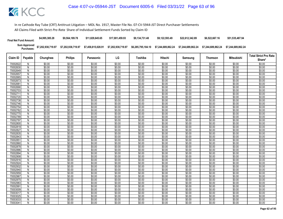| <b>Final Net Fund Amount:</b> | \$4,995,385.28                                                   | \$9,564,189.78     | \$11.829.645.65    | \$17.001.459.93    | \$9.134.731.48 | \$9.122.593.49 | \$22,612,342.89 | \$6,522,667.16                                                              | \$51.535.487.94    |
|-------------------------------|------------------------------------------------------------------|--------------------|--------------------|--------------------|----------------|----------------|-----------------|-----------------------------------------------------------------------------|--------------------|
|                               | Sum Approved \$7,202,938,719.97<br>Purchases: \$7,202,938,719.97 | \$7,202,938,719.97 | \$7,458,815,028.91 | \$7,202,938,719.97 |                |                |                 | \$6,285,795,184.10 \$7,244,689,862.24 \$7,244,689,862.24 \$7,244,689,862.24 | \$7.244.689.862.24 |

|                      |                |                  |                  |                  |                  |                  |                  |                  |                  |                   | <b>Total Strict Pro Rata</b> |
|----------------------|----------------|------------------|------------------|------------------|------------------|------------------|------------------|------------------|------------------|-------------------|------------------------------|
| Claim ID             | Payable        | Chunghwa         | <b>Philips</b>   | Panasonic        | LG               | Toshiba          | Hitachi          | Samsung          | <b>Thomson</b>   | <b>Mitsubishi</b> | Share*                       |
| 70002622             | N              | \$0.00           | \$0.00           | \$0.00           | \$0.00           | \$0.00           | \$0.00           | \$0.00           | \$0.00           | \$0.00            | \$0.00                       |
| 70002630             | $\mathsf{N}$   | \$0.00           | \$0.00           | \$0.00           | \$0.00           | \$0.00           | \$0.00           | \$0.00           | \$0.00           | \$0.00            | \$0.00                       |
| 70002649             | N              | \$0.00           | \$0.00           | \$0.00           | \$0.00           | \$0.00           | \$0.00           | \$0.00           | \$0.00           | \$0.00            | \$0.00                       |
| 70002657             | Ñ              | \$0.00           | \$0.00           | \$0.00           | \$0.00           | \$0.00           | \$0.00           | \$0.00           | \$0.00           | \$0.00            | \$0.00                       |
| 70002665             | $\mathsf{N}$   | \$0.00           | \$0.00           | \$0.00           | \$0.00           | \$0.00           | \$0.00           | \$0.00           | \$0.00           | \$0.00            | \$0.00                       |
| 70002673             | $\overline{N}$ | \$0.00           | \$0.00           | \$0.00           | \$0.00           | \$0.00           | \$0.00           | \$0.00           | \$0.00           | \$0.00            | \$0.00                       |
| 7000268              | N              | \$0.00           | \$0.00           | \$0.00           | \$0.00           | \$0.00           | \$0.00           | \$0.00           | \$0.00           | \$0.00            | \$0.00                       |
| 70002690             | N              | \$0.00           | \$0.00           | \$0.00           | \$0.00           | \$0.00           | \$0.00           | \$0.00           | \$0.00           | \$0.00            | \$0.00                       |
| 70002703             | N              | \$0.00           | \$0.00           | \$0.00           | \$0.00           | \$0.00           | \$0.00           | \$0.00           | \$0.00           | \$0.00            | \$0.00                       |
| 70002711             | $\overline{N}$ | \$0.00           | \$0.00           | \$0.00           | \$0.00           | \$0.00           | \$0.00           | \$0.00           | \$0.00           | \$0.00            | \$0.00                       |
| 70002720             | ${\sf N}$      | \$0.00           | \$0.00           | \$0.00           | \$0.00           | \$0.00           | \$0.00           | \$0.00           | \$0.00           | \$0.00            | \$0.00                       |
| 70002738             | N              | \$0.00           | \$0.00           | \$0.00           | \$0.00           | \$0.00           | \$0.00           | \$0.00           | \$0.00           | \$0.00            | \$0.00                       |
| 70002746             | N              | \$0.00           | \$0.00           | \$0.00           | \$0.00           | \$0.00           | \$0.00           | \$0.00           | \$0.00           | \$0.00            | \$0.00                       |
| 70002754             | N              | \$0.00           | \$0.00           | \$0.00           | \$0.00           | \$0.00           | \$0.00           | \$0.00           | \$0.00           | \$0.00            | \$0.00                       |
| 70002762             | N              | \$0.00           | \$0.00           | \$0.00           | \$0.00           | \$0.00           | \$0.00           | \$0.00           | \$0.00           | \$0.00            | \$0.00                       |
| 70002770             | $\overline{N}$ | \$0.00           | \$0.00           | \$0.00           | \$0.00           | \$0.00           | \$0.00           | \$0.00           | \$0.00           | \$0.00            | \$0.00                       |
| 70002789             | N              | \$0.00           | \$0.00           | \$0.00           | \$0.00           | \$0.00           | \$0.00           | \$0.00           | \$0.00           | \$0.00            | \$0.00                       |
| 70002797             | $\overline{N}$ | \$0.00           | \$0.00           | \$0.00           | \$0.00           | \$0.00           | \$0.00           | \$0.00           | \$0.00           | \$0.00            | \$0.00                       |
| 70002800             | N              | \$0.00           | \$0.00           | \$0.00           | \$0.00           | \$0.00           | \$0.00           | \$0.00           | \$0.00           | \$0.00            | \$0.00                       |
| 70002819             | N              | \$0.00           | \$0.00           | \$0.00           | \$0.00           | \$0.00           | \$0.00           | \$0.00           | \$0.00           | \$0.00            | \$0.00                       |
| 70002827             | $\overline{N}$ | \$0.00           | \$0.00           | \$0.00           | \$0.00           | \$0.00           | \$0.00           | \$0.00           | \$0.00           | \$0.00            | \$0.00                       |
| 70002835             | N              | \$0.00           | \$0.00           | \$0.00           | \$0.00           | \$0.00           | \$0.00           | \$0.00           | \$0.00           | \$0.00            | \$0.00                       |
| 70002843             | N              | \$0.00           | \$0.00           | \$0.00           | \$0.00           | \$0.00           | \$0.00           | \$0.00           | \$0.00           | \$0.00            | \$0.00                       |
| 7000285              | N              | \$0.00           | \$0.00           | \$0.00           | \$0.00           | \$0.00           | \$0.00           | \$0.00           | \$0.00           | \$0.00            | \$0.00                       |
| 70002860<br>70002878 | N<br>N         | \$0.00<br>\$0.00 | \$0.00<br>\$0.00 | \$0.00<br>\$0.00 | \$0.00<br>\$0.00 | \$0.00<br>\$0.00 | \$0.00<br>\$0.00 | \$0.00<br>\$0.00 | \$0.00<br>\$0.00 | \$0.00<br>\$0.00  | \$0.00<br>\$0.00             |
| 70002886             | N              | \$0.00           | \$0.00           | \$0.00           | \$0.00           | \$0.00           | \$0.00           | \$0.00           | \$0.00           | \$0.00            | \$0.00                       |
| 70002894             | N              | \$0.00           | \$0.00           | \$0.00           | \$0.00           | \$0.00           | \$0.00           | \$0.00           | \$0.00           | \$0.00            | \$0.00                       |
| 70002908             | $\overline{N}$ | \$0.00           | \$0.00           | \$0.00           | \$0.00           | \$0.00           | \$0.00           | \$0.00           | \$0.00           | \$0.00            | \$0.00                       |
| 70002916             | N              | \$0.00           | \$0.00           | \$0.00           | \$0.00           | \$0.00           | \$0.00           | \$0.00           | \$0.00           | \$0.00            | \$0.00                       |
| 70002924             | N              | \$0.00           | \$0.00           | \$0.00           | \$0.00           | \$0.00           | \$0.00           | \$0.00           | \$0.00           | \$0.00            | \$0.00                       |
| 70002932             | N              | \$0.00           | \$0.00           | \$0.00           | \$0.00           | \$0.00           | \$0.00           | \$0.00           | \$0.00           | \$0.00            | \$0.00                       |
| 70002940             | $\mathsf{N}$   | \$0.00           | \$0.00           | \$0.00           | \$0.00           | \$0.00           | \$0.00           | \$0.00           | \$0.00           | \$0.00            | \$0.00                       |
| 70002959             | N              | \$0.00           | \$0.00           | \$0.00           | \$0.00           | \$0.00           | \$0.00           | \$0.00           | \$0.00           | \$0.00            | \$0.00                       |
| 70002967             | Ñ              | \$0.00           | \$0.00           | \$0.00           | \$0.00           | \$0.00           | \$0.00           | \$0.00           | \$0.00           | \$0.00            | \$0.00                       |
| 70002975             | N              | \$0.00           | \$0.00           | \$0.00           | \$0.00           | \$0.00           | \$0.00           | \$0.00           | \$0.00           | \$0.00            | \$0.00                       |
| 70002983             | $\overline{N}$ | \$0.00           | \$0.00           | \$0.00           | \$0.00           | \$0.00           | \$0.00           | \$0.00           | \$0.00           | \$0.00            | \$0.00                       |
| 7000299              | N              | \$0.00           | \$0.00           | \$0.00           | \$0.00           | \$0.00           | \$0.00           | \$0.00           | \$0.00           | \$0.00            | \$0.00                       |
| 70003009             | N              | \$0.00           | \$0.00           | \$0.00           | \$0.00           | \$0.00           | \$0.00           | \$0.00           | \$0.00           | \$0.00            | \$0.00                       |
| 70003017             | $\overline{N}$ | \$0.00           | \$0.00           | \$0.00           | \$0.00           | \$0.00           | \$0.00           | \$0.00           | \$0.00           | \$0.00            | \$0.00                       |
| 70003025             | N              | \$0.00           | \$0.00           | \$0.00           | \$0.00           | \$0.00           | \$0.00           | \$0.00           | \$0.00           | \$0.00            | \$0.00                       |
| 7000303              | N              | \$0.00           | \$0.00           | \$0.00           | \$0.00           | \$0.00           | \$0.00           | \$0.00           | \$0.00           | \$0.00            | \$0.00                       |
| 70003041             | N              | \$0.00           | \$0.00           | \$0.00           | \$0.00           | \$0.00           | \$0.00           | \$0.00           | \$0.00           | \$0.00            | \$0.00                       |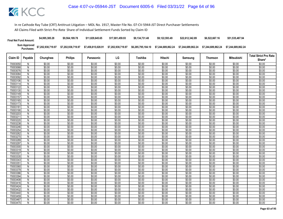| <b>Final Net Fund Amount:</b> | \$4,995,385.28     | \$9,564,189.78     | \$11.829.645.65    | \$17.001.459.93    | \$9.134.731.48     | \$9.122.593.49     | \$22.612.342.89    | \$6,522,667.16     | \$51,535,487.94    |
|-------------------------------|--------------------|--------------------|--------------------|--------------------|--------------------|--------------------|--------------------|--------------------|--------------------|
| Sum Approved<br>:Purchases    | \$7,202,938,719.97 | \$7,202,938,719.97 | \$7,458,815,028.91 | \$7,202,938,719.97 | \$6,285,795,184.10 | \$7.244.689.862.24 | \$7.244.689.862.24 | \$7.244.689.862.24 | \$7.244.689.862.24 |

|                      |                              |                  |                  |                  |                  |                  |                  |                  |                  |                   | <b>Total Strict Pro Rata</b> |
|----------------------|------------------------------|------------------|------------------|------------------|------------------|------------------|------------------|------------------|------------------|-------------------|------------------------------|
| Claim ID             | Payable                      | Chunghwa         | <b>Philips</b>   | Panasonic        | LG               | Toshiba          | Hitachi          | Samsung          | <b>Thomson</b>   | <b>Mitsubishi</b> | Share*                       |
| 70003050             | N                            | \$0.00           | \$0.00           | \$0.00           | \$0.00           | \$0.00           | \$0.00           | \$0.00           | \$0.00           | \$0.00            | \$0.00                       |
| 70003068             | $\overline{N}$               | \$0.00           | \$0.00           | \$0.00           | \$0.00           | \$0.00           | \$0.00           | \$0.00           | \$0.00           | \$0.00            | \$0.00                       |
| 70003076             | N                            | \$0.00           | \$0.00           | \$0.00           | \$0.00           | \$0.00           | \$0.00           | \$0.00           | \$0.00           | \$0.00            | \$0.00                       |
| 70003084             | Ñ                            | \$0.00           | \$0.00           | \$0.00           | \$0.00           | \$0.00           | \$0.00           | \$0.00           | \$0.00           | \$0.00            | \$0.00                       |
| 70003092             | $\mathsf{N}$                 | \$0.00           | \$0.00           | \$0.00           | \$0.00           | \$0.00           | \$0.00           | \$0.00           | \$0.00           | \$0.00            | \$0.00                       |
| 70003106             | $\overline{N}$               | \$0.00           | \$0.00           | \$0.00           | \$0.00           | \$0.00           | \$0.00           | \$0.00           | \$0.00           | \$0.00            | \$0.00                       |
| 70003114             | $\overline{N}$               | \$0.00           | \$0.00           | \$0.00           | \$0.00           | \$0.00           | \$0.00           | \$0.00           | \$0.00           | \$0.00            | \$0.00                       |
| 70003122             | N                            | \$0.00           | \$0.00           | \$0.00           | \$0.00           | \$0.00           | \$0.00           | \$0.00           | \$0.00           | \$0.00            | \$0.00                       |
| 70003130             | N                            | \$0.00           | \$0.00           | \$0.00           | \$0.00           | \$0.00           | \$0.00           | \$0.00           | \$0.00           | \$0.00            | \$0.00                       |
| 70003149             | $\overline{N}$               | \$0.00           | \$0.00           | \$0.00           | \$0.00           | \$0.00           | \$0.00           | \$0.00           | \$0.00           | \$0.00            | \$0.00                       |
| 70003157             | $\overline{N}$               | \$0.00           | \$0.00           | \$0.00           | \$0.00           | \$0.00           | \$0.00           | \$0.00           | \$0.00           | \$0.00            | \$0.00                       |
| 70003165             | N                            | \$0.00           | \$0.00           | \$0.00           | \$0.00           | \$0.00           | \$0.00           | \$0.00           | \$0.00           | \$0.00            | \$0.00                       |
| 70003173             | $\mathsf{N}$                 | \$0.00           | \$0.00           | \$0.00           | \$0.00           | \$0.00           | \$0.00           | \$0.00           | \$0.00           | \$0.00            | \$0.00                       |
| 70003181             | Ñ                            | \$0.00           | \$0.00           | \$0.00           | \$0.00           | \$0.00           | \$0.00           | \$0.00           | \$0.00           | \$0.00            | \$0.00                       |
| 70003190             | N                            | \$0.00           | \$0.00           | \$0.00           | \$0.00           | \$0.00           | \$0.00           | \$0.00           | \$0.00           | \$0.00            | \$0.00                       |
| 70003203             | N                            | \$0.00           | \$0.00           | \$0.00           | \$0.00           | \$0.00           | \$0.00           | \$0.00           | \$0.00           | \$0.00            | \$0.00                       |
| 7000321              | N                            | \$0.00           | \$0.00           | \$0.00           | \$0.00           | \$0.00           | \$0.00           | \$0.00           | \$0.00           | \$0.00            | \$0.00                       |
| 70003220             | $\overline{N}$               | \$0.00           | \$0.00           | \$0.00           | \$0.00           | \$0.00           | \$0.00           | \$0.00           | \$0.00           | \$0.00            | \$0.00                       |
| 70003238             | N                            | \$0.00           | \$0.00           | \$0.00           | \$0.00           | \$0.00           | \$0.00           | \$0.00           | \$0.00           | \$0.00            | \$0.00                       |
| 70003246             | N                            | \$0.00           | \$0.00           | \$0.00           | \$0.00           | \$0.00           | \$0.00           | \$0.00           | \$0.00           | \$0.00            | \$0.00                       |
| 70003254             | $\overline{N}$               | \$0.00           | \$0.00           | \$0.00           | \$0.00           | \$0.00           | \$0.00           | \$0.00           | \$0.00           | \$0.00            | \$0.00                       |
| 70003262             | $\mathsf{N}$                 | \$0.00           | \$0.00           | \$0.00           | \$0.00           | \$0.00           | \$0.00           | \$0.00           | \$0.00           | \$0.00            | \$0.00                       |
| 70003270             | Ñ                            | \$0.00           | \$0.00           | \$0.00           | \$0.00           | \$0.00           | \$0.00           | \$0.00           | \$0.00           | \$0.00            | \$0.00                       |
| 70003289             | N                            | \$0.00           | \$0.00           | \$0.00           | \$0.00           | \$0.00           | \$0.00           | \$0.00           | \$0.00           | \$0.00            | \$0.00                       |
| 70003297<br>70003300 | N<br>$\overline{\mathsf{N}}$ | \$0.00<br>\$0.00 | \$0.00<br>\$0.00 | \$0.00<br>\$0.00 | \$0.00<br>\$0.00 | \$0.00<br>\$0.00 | \$0.00<br>\$0.00 | \$0.00<br>\$0.00 | \$0.00<br>\$0.00 | \$0.00<br>\$0.00  | \$0.00<br>\$0.00             |
| 70003319             | N                            |                  |                  | \$0.00           |                  |                  |                  | \$0.00           |                  |                   |                              |
| 70003327             | Ñ                            | \$0.00<br>\$0.00 | \$0.00<br>\$0.00 | \$0.00           | \$0.00<br>\$0.00 | \$0.00<br>\$0.00 | \$0.00<br>\$0.00 | \$0.00           | \$0.00<br>\$0.00 | \$0.00<br>\$0.00  | \$0.00<br>\$0.00             |
| 70003335             | Ñ                            | \$0.00           | \$0.00           | \$0.00           | \$0.00           | \$0.00           | \$0.00           | \$0.00           | \$0.00           | \$0.00            | \$0.00                       |
| 70003343             | N                            | \$0.00           | \$0.00           | \$0.00           | \$0.00           | \$0.00           | \$0.00           | \$0.00           | \$0.00           | \$0.00            | \$0.00                       |
| 70003351             | N                            | \$0.00           | \$0.00           | \$0.00           | \$0.00           | \$0.00           | \$0.00           | \$0.00           | \$0.00           | \$0.00            | \$0.00                       |
| 70003360             | N                            | \$0.00           | \$0.00           | \$0.00           | \$0.00           | \$0.00           | \$0.00           | \$0.00           | \$0.00           | \$0.00            | \$0.00                       |
| 70003378             | $\mathsf{N}$                 | \$0.00           | \$0.00           | \$0.00           | \$0.00           | \$0.00           | \$0.00           | \$0.00           | \$0.00           | \$0.00            | \$0.00                       |
| 70003386             | $\overline{N}$               | \$0.00           | \$0.00           | \$0.00           | \$0.00           | \$0.00           | \$0.00           | \$0.00           | \$0.00           | \$0.00            | \$0.00                       |
| 70003394             | N                            | \$0.00           | \$0.00           | \$0.00           | \$0.00           | \$0.00           | \$0.00           | \$0.00           | \$0.00           | \$0.00            | \$0.00                       |
| 70003408             | $\mathsf{N}$                 | \$0.00           | \$0.00           | \$0.00           | \$0.00           | \$0.00           | \$0.00           | \$0.00           | \$0.00           | \$0.00            | \$0.00                       |
| 70003416             | $\overline{N}$               | \$0.00           | \$0.00           | \$0.00           | \$0.00           | \$0.00           | \$0.00           | \$0.00           | \$0.00           | \$0.00            | \$0.00                       |
| 70003424             | $\mathsf{N}$                 | \$0.00           | \$0.00           | \$0.00           | \$0.00           | \$0.00           | \$0.00           | \$0.00           | \$0.00           | \$0.00            | \$0.00                       |
| 70003432             | N                            | \$0.00           | \$0.00           | \$0.00           | \$0.00           | \$0.00           | \$0.00           | \$0.00           | \$0.00           | \$0.00            | \$0.00                       |
| 70003440             | Ñ                            | \$0.00           | \$0.00           | \$0.00           | \$0.00           | \$0.00           | \$0.00           | \$0.00           | \$0.00           | \$0.00            | \$0.00                       |
| 70003459             | $\mathsf{N}$                 | \$0.00           | \$0.00           | \$0.00           | \$0.00           | \$0.00           | \$0.00           | \$0.00           | \$0.00           | \$0.00            | \$0.00                       |
| 70003467             | Ñ                            | \$0.00           | \$0.00           | \$0.00           | \$0.00           | \$0.00           | \$0.00           | \$0.00           | \$0.00           | \$0.00            | \$0.00                       |
| 70003475             | Ñ                            | \$0.00           | \$0.00           | \$0.00           | \$0.00           | \$0.00           | \$0.00           | \$0.00           | \$0.00           | \$0.00            | \$0.00                       |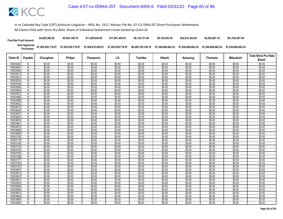| <b>Final Net Fund Amount:</b> | \$4,995,385.28     | \$9,564,189.78     | \$11.829.645.65    | \$17.001.459.93    | \$9.134.731.48     | \$9.122.593.49     | \$22.612.342.89    | \$6,522,667.16     | \$51,535,487.94    |
|-------------------------------|--------------------|--------------------|--------------------|--------------------|--------------------|--------------------|--------------------|--------------------|--------------------|
| Sum Approved<br>:Purchases    | \$7,202,938,719.97 | \$7,202,938,719.97 | \$7,458,815,028.91 | \$7,202,938,719.97 | \$6,285,795,184.10 | \$7.244.689.862.24 | \$7.244.689.862.24 | \$7.244.689.862.24 | \$7.244.689.862.24 |

|                      |                              |                  |                  |                  |                  |                  |                  |                  |                  |                   | <b>Total Strict Pro Rata</b> |
|----------------------|------------------------------|------------------|------------------|------------------|------------------|------------------|------------------|------------------|------------------|-------------------|------------------------------|
| Claim ID             | Payable                      | Chunghwa         | <b>Philips</b>   | Panasonic        | LG               | Toshiba          | Hitachi          | Samsung          | <b>Thomson</b>   | <b>Mitsubishi</b> | Share*                       |
| 70003483             | N                            | \$0.00           | \$0.00           | \$0.00           | \$0.00           | \$0.00           | \$0.00           | \$0.00           | \$0.00           | \$0.00            | \$0.00                       |
| 70003491             | $\overline{N}$               | \$0.00           | \$0.00           | \$0.00           | \$0.00           | \$0.00           | \$0.00           | \$0.00           | \$0.00           | \$0.00            | \$0.00                       |
| 70003505             | N                            | \$0.00           | \$0.00           | \$0.00           | \$0.00           | \$0.00           | \$0.00           | \$0.00           | \$0.00           | \$0.00            | \$0.00                       |
| 70003513             | Ñ                            | \$0.00           | \$0.00           | \$0.00           | \$0.00           | \$0.00           | \$0.00           | \$0.00           | \$0.00           | \$0.00            | \$0.00                       |
| 7000352              | $\mathsf{N}$                 | \$0.00           | \$0.00           | \$0.00           | \$0.00           | \$0.00           | \$0.00           | \$0.00           | \$0.00           | \$0.00            | \$0.00                       |
| 70003530             | $\overline{N}$               | \$0.00           | \$0.00           | \$0.00           | \$0.00           | \$0.00           | \$0.00           | \$0.00           | \$0.00           | \$0.00            | \$0.00                       |
| 70003548             | $\overline{N}$               | \$0.00           | \$0.00           | \$0.00           | \$0.00           | \$0.00           | \$0.00           | \$0.00           | \$0.00           | \$0.00            | \$0.00                       |
| 70003556             | N                            | \$0.00           | \$0.00           | \$0.00           | \$0.00           | \$0.00           | \$0.00           | \$0.00           | \$0.00           | \$0.00            | \$0.00                       |
| 70003564             | N                            | \$0.00           | \$0.00           | \$0.00           | \$0.00           | \$0.00           | \$0.00           | \$0.00           | \$0.00           | \$0.00            | \$0.00                       |
| 70003572             | $\overline{N}$               | \$0.00           | \$0.00           | \$0.00           | \$0.00           | \$0.00           | \$0.00           | \$0.00           | \$0.00           | \$0.00            | \$0.00                       |
| 70003580             | N                            | \$0.00           | \$0.00           | \$0.00           | \$0.00           | \$0.00           | \$0.00           | \$0.00           | \$0.00           | \$0.00            | \$0.00                       |
| 70003599             | N                            | \$0.00           | \$0.00           | \$0.00           | \$0.00           | \$0.00           | \$0.00           | \$0.00           | \$0.00           | \$0.00            | \$0.00                       |
| 70003602             | $\mathsf{N}$                 | \$0.00           | \$0.00           | \$0.00           | \$0.00           | \$0.00           | \$0.00           | \$0.00           | \$0.00           | \$0.00            | \$0.00                       |
| 70003610             | Ñ                            | \$0.00           | \$0.00           | \$0.00           | \$0.00           | \$0.00           | \$0.00           | \$0.00           | \$0.00           | \$0.00            | \$0.00                       |
| 70003629             | N                            | \$0.00           | \$0.00           | \$0.00           | \$0.00           | \$0.00           | \$0.00           | \$0.00           | \$0.00           | \$0.00            | \$0.00                       |
| 70003637             | N                            | \$0.00           | \$0.00           | \$0.00           | \$0.00           | \$0.00           | \$0.00           | \$0.00           | \$0.00           | \$0.00            | \$0.00                       |
| 70003645             | N                            | \$0.00           | \$0.00           | \$0.00           | \$0.00           | \$0.00           | \$0.00           | \$0.00           | \$0.00           | \$0.00            | \$0.00                       |
| 70003653             | $\overline{N}$               | \$0.00           | \$0.00           | \$0.00           | \$0.00           | \$0.00           | \$0.00           | \$0.00           | \$0.00           | \$0.00            | \$0.00                       |
| 70003661             | N                            | \$0.00           | \$0.00           | \$0.00           | \$0.00           | \$0.00           | \$0.00           | \$0.00           | \$0.00           | \$0.00            | \$0.00                       |
| 70003670             | N                            | \$0.00           | \$0.00           | \$0.00           | \$0.00           | \$0.00           | \$0.00           | \$0.00           | \$0.00           | \$0.00            | \$0.00                       |
| 70003688             | $\overline{N}$               | \$0.00           | \$0.00           | \$0.00           | \$0.00           | \$0.00           | \$0.00           | \$0.00           | \$0.00           | \$0.00            | \$0.00                       |
| 70003696             | $\mathsf{N}$                 | \$0.00           | \$0.00           | \$0.00           | \$0.00           | \$0.00           | \$0.00           | \$0.00           | \$0.00           | \$0.00            | \$0.00                       |
| 70003700             | Ñ                            | \$0.00           | \$0.00           | \$0.00           | \$0.00           | \$0.00           | \$0.00           | \$0.00           | \$0.00           | \$0.00            | \$0.00                       |
| 70003718             | N                            | \$0.00           | \$0.00           | \$0.00           | \$0.00           | \$0.00           | \$0.00           | \$0.00           | \$0.00           | \$0.00            | \$0.00                       |
| 70003726             | N<br>$\overline{\mathsf{N}}$ | \$0.00<br>\$0.00 | \$0.00<br>\$0.00 | \$0.00<br>\$0.00 | \$0.00<br>\$0.00 | \$0.00<br>\$0.00 | \$0.00<br>\$0.00 | \$0.00<br>\$0.00 | \$0.00<br>\$0.00 | \$0.00<br>\$0.00  | \$0.00<br>\$0.00             |
| 70003734             | N                            |                  |                  | \$0.00           |                  |                  |                  |                  |                  |                   |                              |
| 70003742<br>70003750 | Ñ                            | \$0.00<br>\$0.00 | \$0.00<br>\$0.00 | \$0.00           | \$0.00<br>\$0.00 | \$0.00<br>\$0.00 | \$0.00<br>\$0.00 | \$0.00<br>\$0.00 | \$0.00<br>\$0.00 | \$0.00<br>\$0.00  | \$0.00<br>\$0.00             |
| 70003769             | Ñ                            | \$0.00           | \$0.00           | \$0.00           | \$0.00           | \$0.00           | \$0.00           | \$0.00           | \$0.00           | \$0.00            | \$0.00                       |
| 70003777             | $\mathsf{N}$                 | \$0.00           | \$0.00           | \$0.00           | \$0.00           | \$0.00           | \$0.00           | \$0.00           | \$0.00           | \$0.00            | \$0.00                       |
| 70003785             | N                            | \$0.00           | \$0.00           | \$0.00           | \$0.00           | \$0.00           | \$0.00           | \$0.00           | \$0.00           | \$0.00            | \$0.00                       |
| 70003793             | N                            | \$0.00           | \$0.00           | \$0.00           | \$0.00           | \$0.00           | \$0.00           | \$0.00           | \$0.00           | \$0.00            | \$0.00                       |
| 70003807             | $\mathsf{N}$                 | \$0.00           | \$0.00           | \$0.00           | \$0.00           | \$0.00           | \$0.00           | \$0.00           | \$0.00           | \$0.00            | \$0.00                       |
| 70003815             | $\overline{N}$               | \$0.00           | \$0.00           | \$0.00           | \$0.00           | \$0.00           | \$0.00           | \$0.00           | \$0.00           | \$0.00            | \$0.00                       |
| 70003823             | N                            | \$0.00           | \$0.00           | \$0.00           | \$0.00           | \$0.00           | \$0.00           | \$0.00           | \$0.00           | \$0.00            | \$0.00                       |
| 70003831             | N                            | \$0.00           | \$0.00           | \$0.00           | \$0.00           | \$0.00           | \$0.00           | \$0.00           | \$0.00           | \$0.00            | \$0.00                       |
| 70003840             | $\overline{N}$               | \$0.00           | \$0.00           | \$0.00           | \$0.00           | \$0.00           | \$0.00           | \$0.00           | \$0.00           | \$0.00            | \$0.00                       |
| 70003858             | $\mathsf{N}$                 | \$0.00           | \$0.00           | \$0.00           | \$0.00           | \$0.00           | \$0.00           | \$0.00           | \$0.00           | \$0.00            | \$0.00                       |
| 70003866             | N                            | \$0.00           | \$0.00           | \$0.00           | \$0.00           | \$0.00           | \$0.00           | \$0.00           | \$0.00           | \$0.00            | \$0.00                       |
| 70003874             | Ñ                            | \$0.00           | \$0.00           | \$0.00           | \$0.00           | \$0.00           | \$0.00           | \$0.00           | \$0.00           | \$0.00            | \$0.00                       |
| 70003882             | $\mathsf{N}$                 | \$0.00           | \$0.00           | \$0.00           | \$0.00           | \$0.00           | \$0.00           | \$0.00           | \$0.00           | \$0.00            | \$0.00                       |
| 70003890             | N                            | \$0.00           | \$0.00           | \$0.00           | \$0.00           | \$0.00           | \$0.00           | \$0.00           | \$0.00           | \$0.00            | \$0.00                       |
| 70003904             | Ñ                            | \$0.00           | \$0.00           | \$0.00           | \$0.00           | \$0.00           | \$0.00           | \$0.00           | \$0.00           | \$0.00            | \$0.00                       |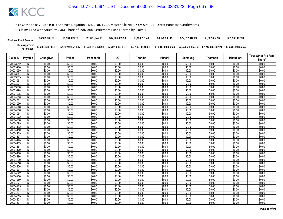| <b>Final Net Fund Amount:</b> | \$4,995,385.28     | \$9,564,189.78     | \$11.829.645.65    | \$17.001.459.93    | \$9.134.731.48     | \$9.122.593.49     | \$22.612.342.89    | \$6,522,667.16     | \$51,535,487.94    |
|-------------------------------|--------------------|--------------------|--------------------|--------------------|--------------------|--------------------|--------------------|--------------------|--------------------|
| Sum Approved<br>:Purchases    | \$7,202,938,719.97 | \$7,202,938,719.97 | \$7,458,815,028.91 | \$7,202,938,719.97 | \$6,285,795,184.10 | \$7.244.689.862.24 | \$7.244.689.862.24 | \$7.244.689.862.24 | \$7.244.689.862.24 |

|                      |                |                  |                  |                  |                  |                  |                  |                  |                  |                   | <b>Total Strict Pro Rata</b> |
|----------------------|----------------|------------------|------------------|------------------|------------------|------------------|------------------|------------------|------------------|-------------------|------------------------------|
| Claim ID             | Payable        | Chunghwa         | <b>Philips</b>   | Panasonic        | LG               | Toshiba          | Hitachi          | Samsung          | <b>Thomson</b>   | <b>Mitsubishi</b> | Share*                       |
| 70003912             | N              | \$0.00           | \$0.00           | \$0.00           | \$0.00           | \$0.00           | \$0.00           | \$0.00           | \$0.00           | \$0.00            | \$0.00                       |
| 70003920             | $\mathsf{N}$   | \$0.00           | \$0.00           | \$0.00           | \$0.00           | \$0.00           | \$0.00           | \$0.00           | \$0.00           | \$0.00            | \$0.00                       |
| 70003939             | N              | \$0.00           | \$0.00           | \$0.00           | \$0.00           | \$0.00           | \$0.00           | \$0.00           | \$0.00           | \$0.00            | \$0.00                       |
| 70003947             | Ñ              | \$0.00           | \$0.00           | \$0.00           | \$0.00           | \$0.00           | \$0.00           | \$0.00           | \$0.00           | \$0.00            | \$0.00                       |
| 70003955             | $\mathsf{N}$   | \$0.00           | \$0.00           | \$0.00           | \$0.00           | \$0.00           | \$0.00           | \$0.00           | \$0.00           | \$0.00            | \$0.00                       |
| 70003963             | Ñ              | \$0.00           | \$0.00           | \$0.00           | \$0.00           | \$0.00           | \$0.00           | \$0.00           | \$0.00           | \$0.00            | \$0.00                       |
| 7000397              | N              | \$0.00           | \$0.00           | \$0.00           | \$0.00           | \$0.00           | \$0.00           | \$0.00           | \$0.00           | \$0.00            | \$0.00                       |
| 70003980             | N              | \$0.00           | \$0.00           | \$0.00           | \$0.00           | \$0.00           | \$0.00           | \$0.00           | \$0.00           | \$0.00            | \$0.00                       |
| 70003998             | N              | \$0.00           | \$0.00           | \$0.00           | \$0.00           | \$0.00           | \$0.00           | \$0.00           | \$0.00           | \$0.00            | \$0.00                       |
| 70004005             | $\overline{N}$ | \$0.00           | \$0.00           | \$0.00           | \$0.00           | \$0.00           | \$0.00           | \$0.00           | \$0.00           | \$0.00            | \$0.00                       |
| 70004013             | ${\sf N}$      | \$0.00           | \$0.00           | \$0.00           | \$0.00           | \$0.00           | \$0.00           | \$0.00           | \$0.00           | \$0.00            | \$0.00                       |
| 70004021             | N              | \$0.00           | \$0.00           | \$0.00           | \$0.00           | \$0.00           | \$0.00           | \$0.00           | \$0.00           | \$0.00            | \$0.00                       |
| 70004030             | $\mathsf{N}$   | \$0.00           | \$0.00           | \$0.00           | \$0.00           | \$0.00           | \$0.00           | \$0.00           | \$0.00           | \$0.00            | \$0.00                       |
| 70004048             | N              | \$0.00           | \$0.00           | \$0.00           | \$0.00           | \$0.00           | \$0.00           | \$0.00           | \$0.00           | \$0.00            | \$0.00                       |
| 70004056             | N              | \$0.00           | \$0.00           | \$0.00           | \$0.00           | \$0.00           | \$0.00           | \$0.00           | \$0.00           | \$0.00            | \$0.00                       |
| 70004064             | N              | \$0.00           | \$0.00           | \$0.00           | \$0.00           | \$0.00           | \$0.00           | \$0.00           | \$0.00           | \$0.00            | \$0.00                       |
| 70004072             | N              | \$0.00           | \$0.00           | \$0.00           | \$0.00           | \$0.00           | \$0.00           | \$0.00           | \$0.00           | \$0.00            | \$0.00                       |
| 70004080             | $\overline{N}$ | \$0.00           | \$0.00           | \$0.00           | \$0.00           | \$0.00           | \$0.00           | \$0.00           | \$0.00           | \$0.00            | \$0.00                       |
| 70004099             | N              | \$0.00           | \$0.00           | \$0.00           | \$0.00           | \$0.00           | \$0.00           | \$0.00           | \$0.00           | \$0.00            | \$0.00                       |
| 70004102             | N              | \$0.00           | \$0.00           | \$0.00           | \$0.00           | \$0.00           | \$0.00           | \$0.00           | \$0.00           | \$0.00            | \$0.00                       |
| 70004110             | $\overline{N}$ | \$0.00           | \$0.00           | \$0.00           | \$0.00           | \$0.00           | \$0.00           | \$0.00           | \$0.00           | \$0.00            | \$0.00                       |
| 70004129             | N              | \$0.00           | \$0.00           | \$0.00           | \$0.00           | \$0.00           | \$0.00           | \$0.00           | \$0.00           | \$0.00            | \$0.00                       |
| 70004137             | N              | \$0.00           | \$0.00           | \$0.00           | \$0.00           | \$0.00           | \$0.00           | \$0.00           | \$0.00           | \$0.00            | \$0.00                       |
| 70004145             | N              | \$0.00           | \$0.00           | \$0.00           | \$0.00           | \$0.00           | \$0.00           | \$0.00           | \$0.00           | \$0.00            | \$0.00                       |
| 70004153             | N              | \$0.00           | \$0.00<br>\$0.00 | \$0.00<br>\$0.00 | \$0.00<br>\$0.00 | \$0.00<br>\$0.00 | \$0.00<br>\$0.00 | \$0.00<br>\$0.00 | \$0.00<br>\$0.00 | \$0.00            | \$0.00<br>\$0.00             |
| 7000416              | N              | \$0.00           |                  |                  |                  |                  |                  |                  |                  | \$0.00            |                              |
| 70004170<br>70004188 | ${\sf N}$<br>N | \$0.00<br>\$0.00 | \$0.00<br>\$0.00 | \$0.00<br>\$0.00 | \$0.00<br>\$0.00 | \$0.00<br>\$0.00 | \$0.00<br>\$0.00 | \$0.00<br>\$0.00 | \$0.00<br>\$0.00 | \$0.00<br>\$0.00  | \$0.00<br>\$0.00             |
| 70004196             | $\overline{N}$ | \$0.00           | \$0.00           | \$0.00           | \$0.00           | \$0.00           | \$0.00           | \$0.00           | \$0.00           | \$0.00            | \$0.00                       |
| 70004200             | N              | \$0.00           | \$0.00           | \$0.00           | \$0.00           | \$0.00           | \$0.00           | \$0.00           | \$0.00           | \$0.00            | \$0.00                       |
| 70004218             | N              | \$0.00           | \$0.00           | \$0.00           | \$0.00           | \$0.00           | \$0.00           | \$0.00           | \$0.00           | \$0.00            | \$0.00                       |
| 70004226             | N              | \$0.00           | \$0.00           | \$0.00           | \$0.00           | \$0.00           | \$0.00           | \$0.00           | \$0.00           | \$0.00            | \$0.00                       |
| 70004234             | $\mathsf{N}$   | \$0.00           | \$0.00           | \$0.00           | \$0.00           | \$0.00           | \$0.00           | \$0.00           | \$0.00           | \$0.00            | \$0.00                       |
| 70004242             | N              | \$0.00           | \$0.00           | \$0.00           | \$0.00           | \$0.00           | \$0.00           | \$0.00           | \$0.00           | \$0.00            | \$0.00                       |
| 70004250             | N              | \$0.00           | \$0.00           | \$0.00           | \$0.00           | \$0.00           | \$0.00           | \$0.00           | \$0.00           | \$0.00            | \$0.00                       |
| 70004269             | N              | \$0.00           | \$0.00           | \$0.00           | \$0.00           | \$0.00           | \$0.00           | \$0.00           | \$0.00           | \$0.00            | \$0.00                       |
| 70004277             | $\overline{N}$ | \$0.00           | \$0.00           | \$0.00           | \$0.00           | \$0.00           | \$0.00           | \$0.00           | \$0.00           | \$0.00            | \$0.00                       |
| 70004285             | N              | \$0.00           | \$0.00           | \$0.00           | \$0.00           | \$0.00           | \$0.00           | \$0.00           | \$0.00           | \$0.00            | \$0.00                       |
| 70004293             | N              | \$0.00           | \$0.00           | \$0.00           | \$0.00           | \$0.00           | \$0.00           | \$0.00           | \$0.00           | \$0.00            | \$0.00                       |
| 70004307             | $\overline{N}$ | \$0.00           | \$0.00           | \$0.00           | \$0.00           | \$0.00           | \$0.00           | \$0.00           | \$0.00           | \$0.00            | \$0.00                       |
| 70004315             | N              | \$0.00           | \$0.00           | \$0.00           | \$0.00           | \$0.00           | \$0.00           | \$0.00           | \$0.00           | \$0.00            | \$0.00                       |
| 70004323             | N              | \$0.00           | \$0.00           | \$0.00           | \$0.00           | \$0.00           | \$0.00           | \$0.00           | \$0.00           | \$0.00            | \$0.00                       |
| 70004331             | Ñ              | \$0.00           | \$0.00           | \$0.00           | \$0.00           | \$0.00           | \$0.00           | \$0.00           | \$0.00           | \$0.00            | \$0.00                       |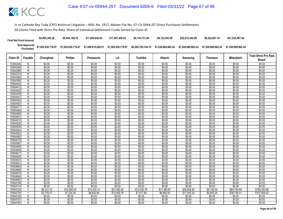| <b>Final Net Fund Amount:</b> | \$4,995,385.28     | \$9.564.189.78     | \$11,829,645,65    | \$17.001.459.93    | \$9.134.731.48     | \$9.122.593.49     | \$22.612.342.89    | \$6,522,667.16     | \$51,535,487.94    |
|-------------------------------|--------------------|--------------------|--------------------|--------------------|--------------------|--------------------|--------------------|--------------------|--------------------|
| Sum Approved<br>:Purchases    | \$7,202,938,719.97 | \$7,202,938,719.97 | \$7,458,815,028.91 | \$7,202,938,719.97 | \$6,285,795,184.10 | \$7.244.689.862.24 | \$7.244.689.862.24 | \$7.244.689.862.24 | \$7.244.689.862.24 |

| Claim ID             | Payable | Chunghwa             | <b>Philips</b>       | Panasonic             | LG                    | Toshiba               | Hitachi               | Samsung               |                      | Mitsubishi<br><b>Thomson</b> | <b>Total Strict Pro Rata</b> |
|----------------------|---------|----------------------|----------------------|-----------------------|-----------------------|-----------------------|-----------------------|-----------------------|----------------------|------------------------------|------------------------------|
|                      |         |                      |                      |                       |                       |                       |                       |                       |                      |                              | Share*                       |
| 70004340             | N       | \$0.00               | \$0.00               | \$0.00                | \$0.00                | \$0.00                | \$0.00                | \$0.00                | \$0.00               | \$0.00                       | \$0.00                       |
| 70004358             | N       | \$0.00               | \$0.00               | \$0.00                | \$0.00                | \$0.00                | \$0.00                | \$0.00                | \$0.00               | \$0.00                       | \$0.00                       |
| 70004366             | N       | \$0.00               | \$0.00               | \$0.00                | \$0.00                | \$0.00                | \$0.00                | \$0.00                | \$0.00               | \$0.00                       | \$0.00                       |
| 70004374             | Ñ       | \$0.00               | \$0.00               | \$0.00                | \$0.00                | \$0.00                | \$0.00                | \$0.00                | \$0.00               | \$0.00                       | \$0.00                       |
| 70004382             | N       | \$0.00               | \$0.00               | \$0.00                | \$0.00                | \$0.00                | \$0.00                | \$0.00                | \$0.00               | \$0.00                       | \$0.00                       |
| 70004390             | N       | \$0.00               | \$0.00               | \$0.00                | \$0.00                | \$0.00                | \$0.00                | \$0.00                | \$0.00               | \$0.00                       | \$0.00                       |
| 70004404             | Ñ       | \$0.00               | \$0.00               | \$0.00                | \$0.00                | \$0.00                | \$0.00                | \$0.00                | \$0.00               | \$0.00                       | \$0.00                       |
| 70004412             | N       | \$0.00               | \$0.00               | \$0.00                | \$0.00                | \$0.00                | \$0.00                | \$0.00                | \$0.00               | \$0.00                       | \$0.00                       |
| 70004420             | N       | \$0.00               | \$0.00               | \$0.00                | \$0.00                | \$0.00                | \$0.00                | \$0.00                | \$0.00               | \$0.00                       | \$0.00                       |
| 70004439             | N       | \$0.00               | \$0.00               | \$0.00                | \$0.00                | \$0.00                | \$0.00                | \$0.00                | \$0.00               | \$0.00                       | \$0.00                       |
| 70004447             | N       | \$0.00               | \$0.00               | \$0.00                | \$0.00                | \$0.00                | \$0.00                | \$0.00                | \$0.00               | \$0.00                       | \$0.00                       |
| 70004455             | Ñ       | \$0.00               | \$0.00               | \$0.00                | \$0.00                | \$0.00                | \$0.00                | \$0.00                | \$0.00               | \$0.00                       | \$0.00                       |
| 70004463             | N       | \$0.00               | \$0.00               | \$0.00                | \$0.00                | \$0.00                | \$0.00                | \$0.00                | \$0.00               | \$0.00                       | \$0.00                       |
| 70004471             | N       | \$0.00               | \$0.00               | \$0.00                | \$0.00                | \$0.00                | \$0.00                | \$0.00                | \$0.00               | \$0.00                       | \$0.00                       |
| 70004480             | Ñ       | \$0.00               | \$0.00               | \$0.00                | \$0.00                | \$0.00                | \$0.00                | \$0.00                | \$0.00               | \$0.00                       | \$0.00                       |
| 70004498             | N       | \$0.00               | \$0.00               | \$0.00                | \$0.00                | \$0.00                | \$0.00                | \$0.00                | \$0.00               | \$0.00                       | \$0.00                       |
| 70004501             | N       | \$0.00               | \$0.00               | \$0.00                | \$0.00                | \$0.00                | \$0.00                | \$0.00                | \$0.00               | \$0.00                       | \$0.00                       |
| 70004510             | N       | \$0.00               | \$0.00               | \$0.00                | \$0.00                | \$0.00                | \$0.00                | \$0.00                | \$0.00               | \$0.00                       | \$0.00                       |
| 70004528             | N       | \$0.00               | \$0.00               | \$0.00                | \$0.00                | \$0.00                | \$0.00                | \$0.00                | \$0.00               | \$0.00                       | \$0.00                       |
| 70004536             | N       | \$0.00               | \$0.00               | \$0.00                | \$0.00                | \$0.00                | \$0.00                | \$0.00                | \$0.00               | \$0.00                       | \$0.00                       |
| 70004544             | Ñ       | \$0.00               | \$0.00               | \$0.00                | \$0.00                | \$0.00                | \$0.00                | \$0.00                | \$0.00               | \$0.00                       | \$0.00                       |
| 70004552             | N       | \$0.00               | \$0.00               | \$0.00                | \$0.00                | \$0.00                | \$0.00                | \$0.00                | \$0.00               | \$0.00                       | \$0.00                       |
| 70004560             | N       | \$0.00               | \$0.00               | \$0.00                | \$0.00                | \$0.00                | \$0.00                | \$0.00                | \$0.00               | \$0.00                       | \$0.00                       |
| 70004579             | N       | \$0.00               | \$0.00               | \$0.00                | \$0.00                | \$0.00                | \$0.00                | \$0.00                | \$0.00               | \$0.00                       | \$0.00                       |
| 70004587             | N       | \$0.00               | \$0.00               | \$0.00                | \$0.00                | \$0.00                | \$0.00                | \$0.00                | \$0.00               | \$0.00                       | \$0.00                       |
| 70004595             | Ñ       | \$0.00               | \$0.00               | \$0.00                | \$0.00                | \$0.00                | \$0.00                | \$0.00                | \$0.00               | \$0.00                       | \$0.00                       |
| 70004609             | N       | \$0.00               | \$0.00               | \$0.00                | \$0.00                | \$0.00                | \$0.00                | \$0.00                | \$0.00               | \$0.00                       | \$0.00                       |
| 70004617             | N       | \$0.00               | \$0.00               | \$0.00                | \$0.00                | \$0.00                | \$0.00                | \$0.00                | \$0.00               | \$0.00                       | \$0.00                       |
| 70004625             | N       | \$0.00               | \$0.00               | \$0.00                | \$0.00                | \$0.00                | \$0.00                | \$0.00                | \$0.00               | \$0.00                       | \$0.00                       |
| 70004633             | N       | \$0.00               | \$0.00               | \$0.00                | \$0.00                | \$0.00                | \$0.00                | \$0.00                | \$0.00               | \$0.00                       | \$0.00                       |
| 70004641             | Ñ       | \$0.00               | \$0.00               | \$0.00                | \$0.00                | \$0.00                | \$0.00                | \$0.00                | \$0.00               | \$0.00                       | \$0.00                       |
| 70004650             | N       | \$0.00               | \$0.00               | \$0.00                | \$0.00                | \$0.00                | \$0.00                | \$0.00                | \$0.00               | \$0.00                       | \$0.00                       |
| 70004668             | N       | \$0.00               | \$0.00               | \$0.00                | \$0.00                | \$0.00                | \$0.00                | \$0.00                | \$0.00               | \$0.00                       | \$0.00                       |
| 70004676             | N       | \$0.00               | \$0.00               | \$0.00                | \$0.00                | \$0.00                | \$0.00                | \$0.00                | \$0.00               | \$0.00                       | \$0.00                       |
| 70004684             | N       | \$0.00               | \$0.00               | \$0.00                | \$0.00                | \$0.00                | \$0.00                | \$0.00                | \$0.00               | \$0.00                       | \$0.00                       |
| 70004692             | N       | \$0.00               | \$0.00               | \$0.00                | \$0.00                | \$0.00                | \$0.00                | \$0.00                | \$0.00               | \$0.00                       | \$0.00                       |
| 70004706             | N       | \$0.00               | \$0.00<br>\$0.00     | \$0.00                | \$0.00                | \$0.00                | \$0.00                | \$0.00                | \$0.00               | \$0.00                       | \$0.00                       |
| 70004714<br>70004722 | N<br>Y  | \$0.00<br>\$6,312.16 | \$12,085.30          | \$0.00<br>\$14,435.13 | \$0.00<br>\$21,483.02 | \$0.00<br>\$13,226.79 | \$0.00<br>\$11,460.87 | \$0.00<br>\$28,408.26 | \$0.00<br>\$8,194.54 | \$0.00<br>\$64,744.89        | \$0.00<br>\$180,350.96       |
|                      |         |                      |                      |                       |                       |                       |                       |                       | \$4,905.26           | \$38,756.41                  |                              |
| 70004730<br>70004749 | N       | \$3,778.47<br>\$0.00 | \$7,234.28<br>\$0.00 | \$8,640.90<br>\$0.00  | \$12,859.78<br>\$0.00 | \$7,917.58<br>\$0.00  | \$6,860.50<br>\$0.00  | \$17,005.24<br>\$0.00 | \$0.00               | \$0.00                       | \$107,958.42<br>\$0.00       |
| 70004757             | N       | \$0.00               | \$0.00               | \$0.00                |                       | \$0.00                | \$0.00                | \$0.00                | \$0.00               | \$0.00                       | \$0.00                       |
|                      | N       | \$0.00               | \$0.00               | \$0.00                | \$0.00                | \$0.00                | \$0.00                | \$0.00                | \$0.00               | \$0.00                       | \$0.00                       |
| 70004765             |         |                      |                      |                       | \$0.00                |                       |                       |                       |                      |                              |                              |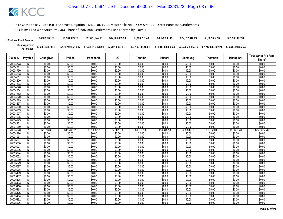| <b>Final Net Fund Amount:</b> | \$4,995,385.28     | \$9,564,189.78     | \$11.829.645.65    | \$17,001,459.93    | \$9.134.731.48     | \$9,122,593.49     | \$22,612,342.89    | \$6,522,667.16     | \$51,535,487.94    |
|-------------------------------|--------------------|--------------------|--------------------|--------------------|--------------------|--------------------|--------------------|--------------------|--------------------|
| Sum Approved<br>Purchases:    | \$7,202,938,719.97 | \$7,202,938,719.97 | \$7,458,815,028.91 | \$7,202,938,719.97 | \$6,285,795,184.10 | \$7.244.689.862.24 | \$7.244.689.862.24 | \$7.244.689.862.24 | \$7.244.689.862.24 |

|          |                |            |                |             |             |             |             |             | Mitsubishi<br><b>Thomson</b> |             | <b>Total Strict Pro Rata</b> |
|----------|----------------|------------|----------------|-------------|-------------|-------------|-------------|-------------|------------------------------|-------------|------------------------------|
| Claim ID | Payable        | Chunghwa   | <b>Philips</b> | Panasonic   | LG          | Toshiba     | Hitachi     | Samsung     |                              |             | Share*                       |
| 70004773 | N              | \$0.00     | \$0.00         | \$0.00      | \$0.00      | \$0.00      | \$0.00      | \$0.00      | \$0.00                       | \$0.00      | \$0.00                       |
| 70004781 | N              | \$0.00     | \$0.00         | \$0.00      | \$0.00      | \$0.00      | \$0.00      | \$0.00      | \$0.00                       | \$0.00      | \$0.00                       |
| 70004790 | N              | \$0.00     | \$0.00         | \$0.00      | \$0.00      | \$0.00      | \$0.00      | \$0.00      | \$0.00                       | \$0.00      | \$0.00                       |
| 70004803 | $\overline{N}$ | \$0.00     | \$0.00         | \$0.00      | \$0.00      | \$0.00      | \$0.00      | \$0.00      | \$0.00                       | \$0.00      | \$0.00                       |
| 70004811 | N              | \$0.00     | \$0.00         | \$0.00      | \$0.00      | \$0.00      | \$0.00      | \$0.00      | \$0.00                       | \$0.00      | \$0.00                       |
| 70004820 | N              | \$0.00     | \$0.00         | \$0.00      | \$0.00      | \$0.00      | \$0.00      | \$0.00      | \$0.00                       | \$0.00      | \$0.00                       |
| 70004838 | $\overline{N}$ | \$0.00     | \$0.00         | \$0.00      | \$0.00      | \$0.00      | \$0.00      | \$0.00      | \$0.00                       | \$0.00      | \$0.00                       |
| 70004846 | N              | \$0.00     | \$0.00         | \$0.00      | \$0.00      | \$0.00      | \$0.00      | \$0.00      | \$0.00                       | \$0.00      | \$0.00                       |
| 70004854 | N              | \$0.00     | \$0.00         | \$0.00      | \$0.00      | \$0.00      | \$0.00      | \$0.00      | \$0.00                       | \$0.00      | \$0.00                       |
| 70004862 | N              | \$0.00     | \$0.00         | \$0.00      | \$0.00      | \$0.00      | \$0.00      | \$0.00      | \$0.00                       | \$0.00      | \$0.00                       |
| 70004870 | N              | \$0.00     | \$0.00         | \$0.00      | \$0.00      | \$0.00      | \$0.00      | \$0.00      | \$0.00                       | \$0.00      | \$0.00                       |
| 70004889 | N              | \$0.00     | \$0.00         | \$0.00      | \$0.00      | \$0.00      | \$0.00      | \$0.00      | \$0.00                       | \$0.00      | \$0.00                       |
| 70004897 | N              | \$0.00     | \$0.00         | \$0.00      | \$0.00      | \$0.00      | \$0.00      | \$0.00      | \$0.00                       | \$0.00      | \$0.00                       |
| 70004900 | N              | \$0.00     | \$0.00         | \$0.00      | \$0.00      | \$0.00      | \$0.00      | \$0.00      | \$0.00                       | \$0.00      | \$0.00                       |
| 70004919 | $\overline{N}$ | \$0.00     | \$0.00         | \$0.00      | \$0.00      | \$0.00      | \$0.00      | \$0.00      | \$0.00                       | \$0.00      | \$0.00                       |
| 70004927 | Ν              | \$0.00     | \$0.00         | \$0.00      | \$0.00      | \$0.00      | \$0.00      | \$0.00      | \$0.00                       | \$0.00      | \$0.00                       |
| 70004935 | N              | \$0.00     | \$0.00         | \$0.00      | \$0.00      | \$0.00      | \$0.00      | \$0.00      | \$0.00                       | \$0.00      | \$0.00                       |
| 70004943 | N              | \$0.00     | \$0.00         | \$0.00      | \$0.00      | \$0.00      | \$0.00      | \$0.00      | \$0.00                       | \$0.00      | \$0.00                       |
| 70004951 | $\mathsf{N}$   | \$0.00     | \$0.00         | \$0.00      | \$0.00      | \$0.00      | \$0.00      | \$0.00      | \$0.00                       | \$0.00      | \$0.00                       |
| 70004960 | N              | \$0.00     | \$0.00         | \$0.00      | \$0.00      | \$0.00      | \$0.00      | \$0.00      | \$0.00                       | \$0.00      | \$0.00                       |
| 70004978 | Y              | \$7,956.32 | \$15.233.21    | \$18,195.12 | \$27.078.80 | \$16.672.03 | \$14,446.13 | \$35,807.89 | \$10.329.00                  | \$81,609.28 | \$227,327.78                 |
| 70004986 | N              | \$0.00     | \$0.00         | \$0.00      | \$0.00      | \$0.00      | \$0.00      | \$0.00      | \$0.00                       | \$0.00      | \$0.00                       |
| 70004994 | $\overline{N}$ | \$0.00     | \$0.00         | \$0.00      | \$0.00      | \$0.00      | \$0.00      | \$0.00      | \$0.00                       | \$0.00      | \$0.00                       |
| 70005001 | N              | \$0.00     | \$0.00         | \$0.00      | \$0.00      | \$0.00      | \$0.00      | \$0.00      | \$0.00                       | \$0.00      | \$0.00                       |
| 70005010 | N              | \$0.00     | \$0.00         | \$0.00      | \$0.00      | \$0.00      | \$0.00      | \$0.00      | \$0.00                       | \$0.00      | \$0.00                       |
| 70005028 | $\overline{N}$ | \$0.00     | \$0.00         | \$0.00      | \$0.00      | \$0.00      | \$0.00      | \$0.00      | \$0.00                       | \$0.00      | \$0.00                       |
| 70005036 | N              | \$0.00     | \$0.00         | \$0.00      | \$0.00      | \$0.00      | \$0.00      | \$0.00      | \$0.00                       | \$0.00      | \$0.00                       |
| 70005044 | N              | \$0.00     | \$0.00         | \$0.00      | \$0.00      | \$0.00      | \$0.00      | \$0.00      | \$0.00                       | \$0.00      | \$0.00                       |
| 70005052 | N              | \$0.00     | \$0.00         | \$0.00      | \$0.00      | \$0.00      | \$0.00      | \$0.00      | \$0.00                       | \$0.00      | \$0.00                       |
| 70005060 | N              | \$0.00     | \$0.00         | \$0.00      | \$0.00      | \$0.00      | \$0.00      | \$0.00      | \$0.00                       | \$0.00      | \$0.00                       |
| 70005079 | N              | \$0.00     | \$0.00         | \$0.00      | \$0.00      | \$0.00      | \$0.00      | \$0.00      | \$0.00                       | \$0.00      | \$0.00                       |
| 70005087 | N              | \$0.00     | \$0.00         | \$0.00      | \$0.00      | \$0.00      | \$0.00      | \$0.00      | \$0.00                       | \$0.00      | \$0.00                       |
| 70005095 | $\mathsf{N}$   | \$0.00     | \$0.00         | \$0.00      | \$0.00      | \$0.00      | \$0.00      | \$0.00      | \$0.00                       | \$0.00      | \$0.00                       |
| 70005109 | $\overline{N}$ | \$0.00     | \$0.00         | \$0.00      | \$0.00      | \$0.00      | \$0.00      | \$0.00      | \$0.00                       | \$0.00      | \$0.00                       |
| 70005117 | N              | \$0.00     | \$0.00         | \$0.00      | \$0.00      | \$0.00      | \$0.00      | \$0.00      | \$0.00                       | \$0.00      | \$0.00                       |
| 70005125 | N              | \$0.00     | \$0.00         | \$0.00      | \$0.00      | \$0.00      | \$0.00      | \$0.00      | \$0.00                       | \$0.00      | \$0.00                       |
| 70005133 | N              | \$0.00     | \$0.00         | \$0.00      | \$0.00      | \$0.00      | \$0.00      | \$0.00      | \$0.00                       | \$0.00      | \$0.00                       |
| 70005150 | N              | \$0.00     | \$0.00         | \$0.00      | \$0.00      | \$0.00      | \$0.00      | \$0.00      | \$0.00                       | \$0.00      | \$0.00                       |
| 70005168 | N              | \$0.00     | \$0.00         | \$0.00      | \$0.00      | \$0.00      | \$0.00      | \$0.00      | \$0.00                       | \$0.00      | \$0.00                       |
| 70005176 | N              | \$0.00     | \$0.00         | \$0.00      | \$0.00      | \$0.00      | \$0.00      | \$0.00      | \$0.00                       | \$0.00      | \$0.00                       |
| 70005184 | N              | \$0.00     | \$0.00         | \$0.00      | \$0.00      | \$0.00      | \$0.00      | \$0.00      | \$0.00                       | \$0.00      | \$0.00                       |
| 70005192 | Ν              | \$0.00     | \$0.00         | \$0.00      | \$0.00      | \$0.00      | \$0.00      | \$0.00      | \$0.00                       | \$0.00      | \$0.00                       |
| 70005206 | N              | \$0.00     | \$0.00         | \$0.00      | \$0.00      | \$0.00      | \$0.00      | \$0.00      | \$0.00                       | \$0.00      | \$0.00                       |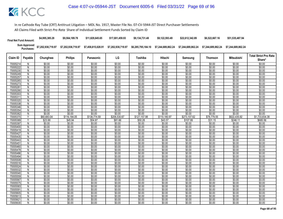| <b>Final Net Fund Amount:</b> | \$4,995,385.28     | \$9.564.189.78     | \$11,829,645,65    | \$17.001.459.93    | \$9.134.731.48     | \$9.122.593.49     | \$22,612,342.89    | \$6,522,667.16     | \$51,535,487.94    |
|-------------------------------|--------------------|--------------------|--------------------|--------------------|--------------------|--------------------|--------------------|--------------------|--------------------|
| Sum Approved<br>Purchases:    | \$7,202,938,719.97 | \$7,202,938,719.97 | \$7,458,815,028.91 | \$7,202,938,719.97 | \$6.285.795.184.10 | \$7.244.689.862.24 | \$7.244.689.862.24 | \$7.244.689.862.24 | \$7.244.689.862.24 |

| <b>Philips</b><br>LG<br>Claim ID<br>Payable<br>Chunghwa<br>Toshiba<br>Hitachi<br>Panasonic<br>Samsung                                                                 | Thomson          | <b>Mitsubishi</b> |                  |
|-----------------------------------------------------------------------------------------------------------------------------------------------------------------------|------------------|-------------------|------------------|
|                                                                                                                                                                       |                  |                   | Share*           |
| \$0.00<br>\$0.00<br>70005214<br>\$0.00<br>\$0.00<br>\$0.00<br>\$0.00<br>\$0.00<br>N                                                                                   | \$0.00           | \$0.00            | \$0.00           |
| N<br>\$0.00<br>\$0.00<br>\$0.00<br>\$0.00<br>\$0.00<br>\$0.00<br>\$0.00<br>70005222                                                                                   | \$0.00           | \$0.00            | \$0.00           |
| N<br>\$0.00<br>\$0.00<br>\$0.00<br>\$0.00<br>\$0.00<br>\$0.00<br>\$0.00<br>70005230                                                                                   | \$0.00           | \$0.00            | \$0.00           |
| \$0.00<br>\$0.00<br>\$0.00<br>\$0.00<br>70005249<br>\$0.00<br>\$0.00<br>\$0.00<br>N                                                                                   | \$0.00           | \$0.00            | \$0.00           |
| \$0.00<br>\$0.00<br>\$0.00<br>\$0.00<br>\$0.00<br>\$0.00<br>\$0.00<br>70005257<br>N                                                                                   | \$0.00           | \$0.00            | \$0.00           |
| \$0.00<br>\$0.00<br>\$0.00<br>\$0.00<br>\$0.00<br>\$0.00<br>\$0.00<br>70005265<br>N                                                                                   | \$0.00           | \$0.00            | \$0.00           |
| \$0.00<br>\$0.00<br>\$0.00<br>\$0.00<br>\$0.00<br>\$0.00<br>\$0.00<br>70005273<br>N                                                                                   | \$0.00           | \$0.00            | \$0.00           |
| \$0.00<br>\$0.00<br>\$0.00<br>\$0.00<br>7000528<br>N<br>\$0.00<br>\$0.00<br>\$0.00                                                                                    | \$0.00           | \$0.00            | \$0.00           |
| \$0.00<br>\$0.00<br>\$0.00<br>\$0.00<br>70005290<br>\$0.00<br>\$0.00<br>\$0.00<br>N                                                                                   | \$0.00           | \$0.00            | \$0.00           |
| $\overline{N}$<br>\$0.00<br>\$0.00<br>\$0.00<br>\$0.00<br>\$0.00<br>\$0.00<br>\$0.00<br>70005303                                                                      | \$0.00           | \$0.00            | \$0.00           |
| \$0.00<br>\$0.00<br>\$0.00<br>\$0.00<br>\$0.00<br>\$0.00<br>\$0.00<br>7000531<br>N                                                                                    | \$0.00           | \$0.00            | \$0.00           |
| 70005320<br>\$0.00<br>\$0.00<br>\$0.00<br>\$0.00<br>\$0.00<br>\$0.00<br>\$0.00<br>N                                                                                   | \$0.00           | \$0.00            | \$0.00           |
| \$0.00<br>\$0.00<br>70005338<br>\$0.00<br>\$0.00<br>\$0.00<br>\$0.00<br>\$0.00<br>N                                                                                   | \$0.00           | \$0.00            | \$0.00           |
| \$0.00<br>\$0.00<br>\$0.00<br>\$0.00<br>\$0.00<br>\$0.00<br>\$0.00<br>70005346<br>N                                                                                   | \$0.00           | \$0.00            | \$0.00           |
| \$0.00<br>\$0.00<br>\$0.00<br>\$0.00<br>\$0.00<br>\$0.00<br>\$0.00<br>N<br>70005354                                                                                   | \$0.00           | \$0.00            | \$0.00           |
| \$0.00<br>\$0.00<br>\$0.00<br>\$0.00<br>\$0.00<br>\$0.00<br>\$0.00<br>70005362<br>N                                                                                   | \$0.00           | \$0.00            | \$0.00           |
| \$110,180.97<br>Y<br>\$60,683.04<br>\$116,184.05<br>\$138,774.59<br>\$127,157.98<br>\$273,107.62<br>70005370<br>\$206,530.67                                          | \$78,779.55      | \$622,435.92      | \$1,733,834.38   |
| Y<br>70005389<br>\$23.99<br>\$45.94<br>\$54.87<br>\$81.66<br>\$50.28<br>\$43.57<br>\$107.99                                                                           | \$31.15          | \$246.11          | \$685.56         |
| \$0.00<br>\$0.00<br>\$0.00<br>\$0.00<br>\$0.00<br>\$0.00<br>\$0.00<br>70005397<br>N                                                                                   | \$0.00           | \$0.00            | \$0.00           |
| \$0.00<br>\$0.00<br>\$0.00<br>\$0.00<br>\$0.00<br>\$0.00<br>70005400<br>N<br>\$0.00                                                                                   | \$0.00           | \$0.00            | \$0.00           |
| \$0.00<br>\$0.00<br>\$0.00<br>\$0.00<br>\$0.00<br>70005419<br>Ñ<br>\$0.00<br>\$0.00                                                                                   | \$0.00           | \$0.00            | \$0.00           |
| \$0.00<br>\$0.00<br>\$0.00<br>\$0.00<br>\$0.00<br>\$0.00<br>\$0.00<br>70005427<br>N                                                                                   | \$0.00           | \$0.00            | \$0.00           |
| \$0.00<br>\$0.00<br>\$0.00<br>\$0.00<br>\$0.00<br>\$0.00<br>Ñ<br>\$0.00<br>70005435                                                                                   | \$0.00           | \$0.00            | \$0.00           |
| \$0.00<br>\$0.00<br>\$0.00<br>\$0.00<br>\$0.00<br>\$0.00<br>\$0.00<br>70005443<br>N                                                                                   | \$0.00           | \$0.00            | \$0.00           |
| \$0.00<br>7000545<br>\$0.00<br>\$0.00<br>\$0.00<br>\$0.00<br>\$0.00<br>\$0.00<br>N<br>\$0.00                                                                          | \$0.00           | \$0.00            | \$0.00           |
| $\overline{N}$<br>\$0.00<br>\$0.00<br>\$0.00<br>\$0.00<br>\$0.00<br>\$0.00<br>70005460                                                                                | \$0.00           | \$0.00            | \$0.00           |
| \$0.00<br>\$0.00<br>\$0.00<br>\$0.00<br>\$0.00<br>\$0.00<br>\$0.00<br>70005478<br>N<br>70005486<br>\$0.00<br>\$0.00<br>\$0.00<br>\$0.00<br>\$0.00<br>\$0.00<br>\$0.00 | \$0.00<br>\$0.00 | \$0.00<br>\$0.00  | \$0.00<br>\$0.00 |
| N<br>\$0.00<br>\$0.00<br>\$0.00<br>\$0.00<br>\$0.00<br>70005494<br>N<br>\$0.00<br>\$0.00                                                                              | \$0.00           | \$0.00            | \$0.00           |
| \$0.00<br>\$0.00<br>70005508<br>\$0.00<br>\$0.00<br>\$0.00<br>\$0.00<br>\$0.00<br>N                                                                                   | \$0.00           | \$0.00            | \$0.00           |
| \$0.00<br>\$0.00<br>\$0.00<br>\$0.00<br>\$0.00<br>\$0.00<br>\$0.00<br>N<br>70005516                                                                                   | \$0.00           | \$0.00            | \$0.00           |
| \$0.00<br>\$0.00<br>\$0.00<br>70005524<br>\$0.00<br>\$0.00<br>\$0.00<br>\$0.00<br>N                                                                                   | \$0.00           | \$0.00            | \$0.00           |
| \$0.00<br>\$0.00<br>\$0.00<br>\$0.00<br>\$0.00<br>\$0.00<br>\$0.00<br>70005532<br>N                                                                                   | \$0.00           | \$0.00            | \$0.00           |
| \$0.00<br>\$0.00<br>70005540<br>\$0.00<br>\$0.00<br>\$0.00<br>\$0.00<br>\$0.00<br>N                                                                                   | \$0.00           | \$0.00            | \$0.00           |
| \$0.00<br>\$0.00<br>\$0.00<br>\$0.00<br>\$0.00<br>\$0.00<br>\$0.00<br>70005559<br>N                                                                                   | \$0.00           | \$0.00            | \$0.00           |
| \$0.00<br>\$0.00<br>70005567<br>\$0.00<br>\$0.00<br>\$0.00<br>\$0.00<br>\$0.00<br>N                                                                                   | \$0.00           | \$0.00            | \$0.00           |
| $\overline{N}$<br>\$0.00<br>\$0.00<br>\$0.00<br>\$0.00<br>\$0.00<br>\$0.00<br>\$0.00<br>70005575                                                                      | \$0.00           | \$0.00            | \$0.00           |
| \$0.00<br>\$0.00<br>70005583<br>\$0.00<br>\$0.00<br>\$0.00<br>\$0.00<br>\$0.00<br>N                                                                                   | \$0.00           | \$0.00            | \$0.00           |
| \$0.00<br>\$0.00<br>\$0.00<br>\$0.00<br>\$0.00<br>\$0.00<br>\$0.00<br>70005591<br>N                                                                                   | \$0.00           | \$0.00            | \$0.00           |
| \$0.00<br>\$0.00<br>\$0.00<br>\$0.00<br>\$0.00<br>\$0.00<br>\$0.00<br>70005605<br>N                                                                                   | \$0.00           | \$0.00            | \$0.00           |
| \$0.00<br>\$0.00<br>\$0.00<br>\$0.00<br>70005613<br>N<br>\$0.00<br>\$0.00<br>\$0.00                                                                                   | \$0.00           | \$0.00            | \$0.00           |
| \$0.00<br>\$0.00<br>\$0.00<br>\$0.00<br>\$0.00<br>\$0.00<br>N<br>\$0.00<br>7000562                                                                                    | \$0.00           | \$0.00            | \$0.00           |
| \$0.00<br>\$0.00<br>\$0.00<br>Ñ<br>\$0.00<br>\$0.00<br>\$0.00<br>\$0.00<br>70005630                                                                                   | \$0.00           | \$0.00            | \$0.00           |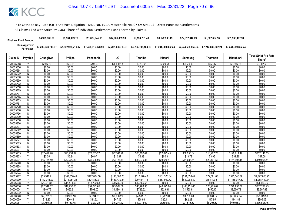| <b>Final Net Fund Amount:</b> | \$4,995,385,28                                | \$9.564.189.78     | \$11,829,645,65    | \$17.001.459.93    | \$9.134.731.48 | \$9.122.593.49 | \$22,612,342.89 | \$6,522,667.16     | \$51,535,487,94    |
|-------------------------------|-----------------------------------------------|--------------------|--------------------|--------------------|----------------|----------------|-----------------|--------------------|--------------------|
|                               | Sum Approved<br>Purchases: \$7,202,938,719.97 | \$7,202,938,719.97 | \$7,458,815,028.91 | \$7.202.938.719.97 |                |                |                 | \$7.244.689.862.24 | \$7.244.689.862.24 |

| Claim ID             | Payable             | Chunghwa              | <b>Philips</b>        | Panasonic        | LG                    | Toshiba               | Hitachi               | Samsung                | Thomson               | Mitsubishi              | <b>Total Strict Pro Rata</b><br>Share* |
|----------------------|---------------------|-----------------------|-----------------------|------------------|-----------------------|-----------------------|-----------------------|------------------------|-----------------------|-------------------------|----------------------------------------|
| 70005648             |                     | \$346.76              | \$663.91              | \$793.00         | \$1,180.18            | \$726.62              | \$629.61              | \$1,560.61             | \$450.17              | \$3,556.78              | \$9,907.63                             |
| 70005656             | N                   | \$0.00                | \$0.00                | \$0.00           | \$0.00                | \$0.00                | \$0.00                | \$0.00                 | \$0.00                | \$0.00                  | \$0.00                                 |
| 70005664             | N                   | \$0.00                | \$0.00                | \$0.00           | \$0.00                | \$0.00                | \$0.00                | \$0.00                 | \$0.00                | \$0.00                  | \$0.00                                 |
| 70005672             | N                   | \$0.00                | \$0.00                | \$0.00           | \$0.00                | \$0.00                | \$0.00                | \$0.00                 | \$0.00                | \$0.00                  | \$0.00                                 |
| 70005680             | N.                  | \$0.00                | \$0.00                | \$0.00           | \$0.00                | \$0.00                | \$0.00                | \$0.00                 | \$0.00                | \$0.00                  | \$0.00                                 |
| 70005699             | N                   | \$0.00                | \$0.00                | \$0.00           | \$0.00                | \$0.00                | \$0.00                | \$0.00                 | \$0.00                | \$0.00                  | \$0.00                                 |
| 70005702             | $\overline{N}$      | \$0.00                | \$0.00                | \$0.00           | \$0.00                | \$0.00                | \$0.00                | \$0.00                 | \$0.00                | \$0.00                  | \$0.00                                 |
| 70005710             | N                   | \$0.00                | \$0.00                | \$0.00           | \$0.00                | \$0.00                | \$0.00                | \$0.00                 | \$0.00                | \$0.00                  | \$0.00                                 |
| 70005729             | N                   | \$0.00                | \$0.00                | \$0.00           | \$0.00                | \$0.00                | \$0.00                | \$0.00                 | \$0.00                | \$0.00                  | \$0.00                                 |
| 70005737             | N                   | \$0.00                | \$0.00                | \$0.00           | \$0.00                | \$0.00                | \$0.00                | \$0.00                 | \$0.00                | \$0.00                  | \$0.00                                 |
| 70005745             | N                   | \$0.00                | \$0.00                | \$0.00           | \$0.00                | \$0.00                | \$0.00                | \$0.00                 | \$0.00                | \$0.00                  | \$0.00                                 |
| 70005753             | N                   | \$0.00                | \$0.00                | \$0.00           | \$0.00                | \$0.00                | \$0.00                | \$0.00                 | \$0.00                | \$0.00                  | \$0.00                                 |
| 70005761             | N                   | \$0.00                | \$0.00                | \$0.00           | \$0.00                | \$0.00                | \$0.00                | \$0.00                 | \$0.00                | \$0.00                  | \$0.00                                 |
| 70005770             | N                   | \$0.00                | \$0.00                | \$0.00           | \$0.00                | \$0.00                | \$0.00                | \$0.00                 | \$0.00                | \$0.00                  | \$0.00                                 |
| 70005788             | N                   | \$0.00                | \$0.00                | \$0.00           | \$0.00                | \$0.00                | \$0.00                | \$0.00                 | \$0.00                | \$0.00                  | \$0.00                                 |
| 70005796             | N                   | \$0.00                | \$0.00                | \$0.00           | \$0.00                | \$0.00                | \$0.00                | \$0.00                 | \$0.00                | \$0.00                  | \$0.00                                 |
| 70005800             | N                   | \$0.00                | \$0.00                | \$0.00           | \$0.00                | \$0.00                | \$0.00                | \$0.00                 | \$0.00                | \$0.00                  | \$0.00                                 |
| 70005818             | $\overline{N}$      | \$0.00                | \$0.00                | \$0.00           | \$0.00                | \$0.00                | \$0.00                | \$0.00                 | \$0.00                | \$0.00                  | \$0.00                                 |
| 70005826             | N                   | \$0.00                | \$0.00                | \$0.00           | \$0.00                | \$0.00                | \$0.00                | \$0.00                 | \$0.00                | \$0.00                  | \$0.00                                 |
| 70005834             | N                   | \$0.00                | \$0.00                | \$0.00           | \$0.00                | \$0.00                | \$0.00                | \$0.00                 | \$0.00                | \$0.00                  | \$0.00                                 |
| 70005842             | N                   | \$0.00                | \$0.00                | \$0.00           | \$0.00                | \$0.00                | \$0.00                | \$0.00                 | \$0.00                | \$0.00                  | \$0.00                                 |
| 70005850             | N                   | \$0.00                | \$0.00                | \$0.00           | \$0.00                | \$0.00                | \$0.00                | \$0.00                 | \$0.00                | \$0.00                  | \$0.00                                 |
| 70005869             | N                   | \$0.00                | \$0.00                | \$0.00           | \$0.00                | \$0.00                | \$0.00                | \$0.00                 | \$0.00                | \$0.00                  | \$0.00                                 |
| 70005877             | Ñ                   | \$0.00                | \$0.00                | \$0.00           | \$0.00                | \$0.00                | \$0.00                | \$0.00                 | \$0.00                | \$0.00                  | \$0.00                                 |
| 70005885<br>70005893 | N<br>$\overline{N}$ | \$0.00<br>\$0.00      | \$0.00                | \$0.00<br>\$0.00 | \$0.00                | \$0.00                | \$0.00                | \$0.00                 | \$0.00                | \$0.00<br>\$0.00        | \$0.00                                 |
| 70005907             |                     |                       | \$0.00                | \$0.00           | \$0.00                | \$0.00                | \$0.00                | \$0.00<br>\$0.00       | \$0.00                |                         | \$0.00                                 |
| 70005915             | N<br>Y              | \$0.00<br>\$12,499.70 | \$0.00<br>\$23,931.99 | \$28,585.27      | \$0.00<br>\$42,541.90 | \$0.00<br>\$26,192.44 | \$0.00<br>\$22,695.45 |                        | \$0.00<br>\$16,227.28 | \$0.00                  | \$0.00<br>\$357,141.15                 |
| 70005923             | v                   | \$3.05                | \$5.84                | \$6.97           | \$10.37               | \$6.39                | \$5.53                | \$56,255.64<br>\$13.72 | \$3.96                | \$128,211.49<br>\$31.26 | \$87.08                                |
| 7000593              | γ                   | \$15,784.40           | \$30,220.89           | \$36,096.96      | \$53,721.14           | \$33,075.34           | \$28,659.41           | \$71,038.61            | \$20,491.52           | \$161,903.15            | \$450,991.41                           |
| 70005940             | N                   | \$0.00                | \$0.00                | \$0.00           | \$0.00                | \$0.00                | \$0.00                | \$0.00                 | \$0.00                | \$0.00                  | \$0.00                                 |
| 70005958             | N                   | \$0.00                | \$0.00                | \$0.00           | \$0.00                | \$0.00                | \$0.00                | \$0.00                 | \$0.00                | \$0.00                  | \$0.00                                 |
| 70005966             | N                   | \$0.00                | \$0.00                | \$0.00           | \$0.00                | \$0.00                | \$0.00                | \$0.00                 | \$0.00                | \$0.00                  | \$0.00                                 |
| 70005974             | N                   | \$0.00                | \$0.00                | \$0.00           | \$0.00                | \$0.00                | \$0.00                | \$0.00                 | \$0.00                | \$0.00                  | \$0.00                                 |
| 70005982             | Ϋ                   | \$55,916.71           | \$107,058.41          | \$127,874.58     | \$190,308.78          | \$117,170.40          | \$101,526.84          | \$251,656.47           | \$72,591.83           | \$573,546.89            | \$1,597,650.92                         |
| 70005990             | Υ                   | \$142,041.97          | \$271,954.26          | \$324,832.37     | \$483,430.34          | \$297,641.14          | \$257,902.72          | \$639,268.30           | \$184,400.81          | \$1,456,947.82          | \$4,058,419.74                         |
| 70006008             | Y                   | \$5,991.83            | \$11,471.99           | \$13,702.58      | \$20,392.80           | \$12,555.56           | \$0.00                | \$0.00                 | \$0.00                | \$0.00                  | \$64,114.76                            |
| 70006016             | $\vee$              | \$22,319.82           | \$42,733.63           | \$51,042.65      | \$75,964.00           | \$46,769.95           | \$40,525.64           | \$100,451.65           | \$28,975.89           | \$228,938.02            | \$637,721.25                           |
| 70006024             |                     | \$346.76              | \$663.91              | \$793.00         | \$1,180.18            | \$726.62              | \$629.61              | \$1,560.61             | \$450.17              | \$3,556.78              | \$9,907.63                             |
| 70006032             | N                   | \$0.00                | \$0.00                | \$0.00           | \$0.00                | \$0.00                | \$0.00                | \$0.00                 | \$0.00                | \$0.00                  | \$0.00                                 |
| 70006040             | Υ                   | \$2,052.70            | \$3,930.10            | \$4,694.26       | \$6,986.21            | \$4,301.31            | \$3,727.04            | \$9,238.28             | \$2,664.84            | \$21,054.84             | \$58,649.58                            |
| 70006059             | $\checkmark$        | \$13.83               | \$26.48               | \$31.62          | \$47.06               | \$28.98               | \$25.11               | \$62.23                | \$17.95               | \$141.84                | \$395.09                               |
| 70006067             | γ                   | \$4,780.85            | \$9,153.45            | \$10,933.22      | \$16,271.32           | \$10,018.02           | \$8,680.50            | \$21,516.52            | \$6,206.57            | \$49.038.01             | \$136,598.46                           |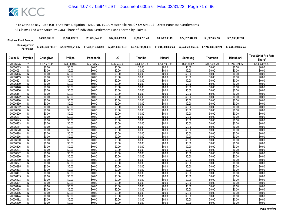| <b>Final Net Fund Amount:</b> | \$4,995,385.28                                | \$9.564.189.78 | \$11,829,645,65 | \$17.001.459.93 | \$9.134.731.48 | \$9.122.593.49                                                 | \$22,612,342,89 | \$6,522,667.16                        | \$51,535,487.94 |
|-------------------------------|-----------------------------------------------|----------------|-----------------|-----------------|----------------|----------------------------------------------------------------|-----------------|---------------------------------------|-----------------|
|                               | Sum Approved \$7,202,938,719.97<br>Purchases: |                |                 |                 |                | \$6,285,795,184.10    \$7,244,689,862.24    \$7,244,689,862.24 |                 | \$7.244.689.862.24 \$7.244.689.862.24 |                 |

| Claim ID             | Payable             | Chunghwa         | <b>Philips</b>   | Panasonic        | LG               | Toshiba          | Hitachi          | Samsung          | <b>Thomson</b>   | Mitsubishi       | <b>Total Strict Pro Rata</b><br>Share* |
|----------------------|---------------------|------------------|------------------|------------------|------------------|------------------|------------------|------------------|------------------|------------------|----------------------------------------|
| 70006075             |                     | \$121,273.41     | \$232,190.69     | \$277,337.27     | \$412,745.96     | \$254,121.78     | \$220,193.69     | \$545,798.20     | \$157,438.79     | \$1,243,921.37   | \$3,465,021.17                         |
| 70006083             | N                   | \$0.00           | \$0.00           | \$0.00           | \$0.00           | \$0.00           | \$0.00           | \$0.00           | \$0.00           | \$0.00           | \$0.00                                 |
| 70006091             | N                   | \$0.00           | \$0.00           | \$0.00           | \$0.00           | \$0.00           | \$0.00           | \$0.00           | \$0.00           | \$0.00           | \$0.00                                 |
| 70006105             | N                   | \$0.00           | \$0.00           | \$0.00           | \$0.00           | \$0.00           | \$0.00           | \$0.00           | \$0.00           | \$0.00           | \$0.00                                 |
| 70006113             | N.                  | \$0.00           | \$0.00           | \$0.00           | \$0.00           | \$0.00           | \$0.00           | \$0.00           | \$0.00           | \$0.00           | \$0.00                                 |
| 70006121             | N                   | \$0.00           | \$0.00           | \$0.00           | \$0.00           | \$0.00           | \$0.00           | \$0.00           | \$0.00           | \$0.00           | \$0.00                                 |
| 70006130             | $\overline{N}$      | \$0.00           | \$0.00           | \$0.00           | \$0.00           | \$0.00           | \$0.00           | \$0.00           | \$0.00           | \$0.00           | \$0.00                                 |
| 70006148             | N                   | \$0.00           | \$0.00           | \$0.00           | \$0.00           | \$0.00           | \$0.00           | \$0.00           | \$0.00           | \$0.00           | \$0.00                                 |
| 70006156             | Ν                   | \$0.00           | \$0.00           | \$0.00           | \$0.00           | \$0.00           | \$0.00           | \$0.00           | \$0.00           | \$0.00           | \$0.00                                 |
| 70006164             | N                   | \$0.00           | \$0.00           | \$0.00           | \$0.00           | \$0.00           | \$0.00           | \$0.00           | \$0.00           | \$0.00           | \$0.00                                 |
| 70006172             | N                   | \$0.00           | \$0.00           | \$0.00           | \$0.00           | \$0.00           | \$0.00           | \$0.00           | \$0.00           | \$0.00           | \$0.00                                 |
| 70006180             | N                   | \$0.00           | \$0.00           | \$0.00           | \$0.00           | \$0.00           | \$0.00           | \$0.00           | \$0.00           | \$0.00           | \$0.00                                 |
| 70006199             | N                   | \$0.00           | \$0.00           | \$0.00           | \$0.00           | \$0.00           | \$0.00           | \$0.00           | \$0.00           | \$0.00           | \$0.00                                 |
| 70006202             | N                   | \$0.00           | \$0.00           | \$0.00           | \$0.00           | \$0.00           | \$0.00           | \$0.00           | \$0.00           | \$0.00           | \$0.00                                 |
| 70006210             | N                   | \$0.00           | \$0.00           | \$0.00           | \$0.00           | \$0.00           | \$0.00           | \$0.00           | \$0.00           | \$0.00           | \$0.00                                 |
| 70006229             | N                   | \$0.00           | \$0.00<br>\$0.00 | \$0.00<br>\$0.00 | \$0.00<br>\$0.00 | \$0.00<br>\$0.00 | \$0.00<br>\$0.00 | \$0.00<br>\$0.00 | \$0.00           | \$0.00<br>\$0.00 | \$0.00                                 |
| 70006237<br>70006245 | N<br>$\overline{N}$ | \$0.00<br>\$0.00 | \$0.00           | \$0.00           | \$0.00           | \$0.00           | \$0.00           | \$0.00           | \$0.00<br>\$0.00 | \$0.00           | \$0.00<br>\$0.00                       |
| 70006253             | N                   | \$0.00           | \$0.00           | \$0.00           | \$0.00           | \$0.00           | \$0.00           | \$0.00           | \$0.00           | \$0.00           | \$0.00                                 |
| 70006261             | N                   | \$0.00           | \$0.00           | \$0.00           | \$0.00           | \$0.00           | \$0.00           | \$0.00           | \$0.00           | \$0.00           | \$0.00                                 |
| 70006270             | N                   | \$0.00           | \$0.00           | \$0.00           | \$0.00           | \$0.00           | \$0.00           | \$0.00           | \$0.00           | \$0.00           | \$0.00                                 |
| 70006288             | N                   | \$0.00           | \$0.00           | \$0.00           | \$0.00           | \$0.00           | \$0.00           | \$0.00           | \$0.00           | \$0.00           | \$0.00                                 |
| 70006296             | N                   | \$0.00           | \$0.00           | \$0.00           | \$0.00           | \$0.00           | \$0.00           | \$0.00           | \$0.00           | \$0.00           | \$0.00                                 |
| 70006300             | $\overline{N}$      | \$0.00           | \$0.00           | \$0.00           | \$0.00           | \$0.00           | \$0.00           | \$0.00           | \$0.00           | \$0.00           | \$0.00                                 |
| 70006318             | N                   | \$0.00           | \$0.00           | \$0.00           | \$0.00           | \$0.00           | \$0.00           | \$0.00           | \$0.00           | \$0.00           | \$0.00                                 |
| 70006326             | $\overline{N}$      | \$0.00           | \$0.00           | \$0.00           | \$0.00           | \$0.00           | \$0.00           | \$0.00           | \$0.00           | \$0.00           | \$0.00                                 |
| 70006334             | N                   | \$0.00           | \$0.00           | \$0.00           | \$0.00           | \$0.00           | \$0.00           | \$0.00           | \$0.00           | \$0.00           | \$0.00                                 |
| 70006342             | N                   | \$0.00           | \$0.00           | \$0.00           | \$0.00           | \$0.00           | \$0.00           | \$0.00           | \$0.00           | \$0.00           | \$0.00                                 |
| 70006350             | N                   | \$0.00           | \$0.00           | \$0.00           | \$0.00           | \$0.00           | \$0.00           | \$0.00           | \$0.00           | \$0.00           | \$0.00                                 |
| 70006369             | N                   | \$0.00           | \$0.00           | \$0.00           | \$0.00           | \$0.00           | \$0.00           | \$0.00           | \$0.00           | \$0.00           | \$0.00                                 |
| 70006377             | N                   | \$0.00           | \$0.00           | \$0.00           | \$0.00           | \$0.00           | \$0.00           | \$0.00           | \$0.00           | \$0.00           | \$0.00                                 |
| 70006385             | N                   | \$0.00           | \$0.00           | \$0.00           | \$0.00           | \$0.00           | \$0.00           | \$0.00           | \$0.00           | \$0.00           | \$0.00                                 |
| 70006393             | N                   | \$0.00           | \$0.00           | \$0.00           | \$0.00           | \$0.00           | \$0.00           | \$0.00           | \$0.00           | \$0.00           | \$0.00                                 |
| 70006407             | N                   | \$0.00           | \$0.00           | \$0.00           | \$0.00           | \$0.00           | \$0.00           | \$0.00           | \$0.00           | \$0.00           | \$0.00                                 |
| 70006415             | N                   | \$0.00           | \$0.00           | \$0.00           | \$0.00           | \$0.00           | \$0.00           | \$0.00           | \$0.00           | \$0.00           | \$0.00                                 |
| 70006423             | N                   | \$0.00           | \$0.00           | \$0.00           | \$0.00           | \$0.00           | \$0.00           | \$0.00           | \$0.00           | \$0.00           | \$0.00                                 |
| 7000643              | $\overline{N}$      | \$0.00           | \$0.00           | \$0.00           | \$0.00           | \$0.00           | \$0.00           | \$0.00           | \$0.00           | \$0.00           | \$0.00                                 |
| 70006440             | N                   | \$0.00           | \$0.00           | \$0.00           | \$0.00           | \$0.00           | \$0.00           | \$0.00           | \$0.00           | \$0.00           | \$0.00                                 |
| 70006458             | N                   | \$0.00           | \$0.00           | \$0.00           | \$0.00           | \$0.00           | \$0.00           | \$0.00           | \$0.00           | \$0.00           | \$0.00                                 |
| 70006466             | N                   | \$0.00           | \$0.00           | \$0.00           | \$0.00           | \$0.00           | \$0.00           | \$0.00           | \$0.00           | \$0.00           | \$0.00                                 |
| 70006474             | N                   | \$0.00           | \$0.00           | \$0.00           | \$0.00           | \$0.00           | \$0.00           | \$0.00           | \$0.00           | \$0.00           | \$0.00                                 |
| 70006482             | N                   | \$0.00           | \$0.00           | \$0.00           | \$0.00           | \$0.00           | \$0.00           | \$0.00           | \$0.00           | \$0.00           | \$0.00                                 |
| 70006490             | Ñ                   | \$0.00           | \$0.00           | \$0.00           | \$0.00           | \$0.00           | \$0.00           | \$0.00           | \$0.00           | \$0.00           | \$0.00                                 |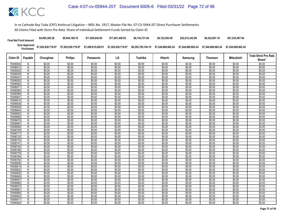| <b>Final Net Fund Amount:</b> | \$4,995,385.28     | \$9,564,189.78     | \$11.829.645.65    | \$17.001.459.93    | \$9.134.731.48     | \$9.122.593.49     | \$22.612.342.89    | \$6,522,667.16     | \$51,535,487.94    |
|-------------------------------|--------------------|--------------------|--------------------|--------------------|--------------------|--------------------|--------------------|--------------------|--------------------|
| Sum Approved<br>:Purchases    | \$7,202,938,719.97 | \$7,202,938,719.97 | \$7,458,815,028.91 | \$7,202,938,719.97 | \$6,285,795,184.10 | \$7.244.689.862.24 | \$7.244.689.862.24 | \$7.244.689.862.24 | \$7.244.689.862.24 |

|                      |                              |                  |                  |                  |                  |                  |                  |                  | <b>Mitsubishi</b><br><b>Thomson</b> |                  | <b>Total Strict Pro Rata</b> |
|----------------------|------------------------------|------------------|------------------|------------------|------------------|------------------|------------------|------------------|-------------------------------------|------------------|------------------------------|
| Claim ID             | Payable                      | Chunghwa         | <b>Philips</b>   | Panasonic        | LG               | Toshiba          | Hitachi          | Samsung          |                                     |                  | Share*                       |
| 70006504             | N                            | \$0.00           | \$0.00           | \$0.00           | \$0.00           | \$0.00           | \$0.00           | \$0.00           | \$0.00                              | \$0.00           | \$0.00                       |
| 70006512             | $\overline{N}$               | \$0.00           | \$0.00           | \$0.00           | \$0.00           | \$0.00           | \$0.00           | \$0.00           | \$0.00                              | \$0.00           | \$0.00                       |
| 70006520             | N                            | \$0.00           | \$0.00           | \$0.00           | \$0.00           | \$0.00           | \$0.00           | \$0.00           | \$0.00                              | \$0.00           | \$0.00                       |
| 70006539             | Ñ                            | \$0.00           | \$0.00           | \$0.00           | \$0.00           | \$0.00           | \$0.00           | \$0.00           | \$0.00                              | \$0.00           | \$0.00                       |
| 70006547             | $\mathsf{N}$                 | \$0.00           | \$0.00           | \$0.00           | \$0.00           | \$0.00           | \$0.00           | \$0.00           | \$0.00                              | \$0.00           | \$0.00                       |
| 70006555             | $\overline{N}$               | \$0.00           | \$0.00           | \$0.00           | \$0.00           | \$0.00           | \$0.00           | \$0.00           | \$0.00                              | \$0.00           | \$0.00                       |
| 70006563             | $\overline{N}$               | \$0.00           | \$0.00           | \$0.00           | \$0.00           | \$0.00           | \$0.00           | \$0.00           | \$0.00                              | \$0.00           | \$0.00                       |
| 70006571             | N                            | \$0.00           | \$0.00           | \$0.00           | \$0.00           | \$0.00           | \$0.00           | \$0.00           | \$0.00                              | \$0.00           | \$0.00                       |
| 70006580             | N                            | \$0.00           | \$0.00           | \$0.00           | \$0.00           | \$0.00           | \$0.00           | \$0.00           | \$0.00                              | \$0.00           | \$0.00                       |
| 70006598             | $\overline{N}$               | \$0.00           | \$0.00           | \$0.00           | \$0.00           | \$0.00           | \$0.00           | \$0.00           | \$0.00                              | \$0.00           | \$0.00                       |
| 70006601             | N                            | \$0.00           | \$0.00           | \$0.00           | \$0.00           | \$0.00           | \$0.00           | \$0.00           | \$0.00                              | \$0.00           | \$0.00                       |
| 70006610             | N                            | \$0.00           | \$0.00           | \$0.00           | \$0.00           | \$0.00           | \$0.00           | \$0.00           | \$0.00                              | \$0.00           | \$0.00                       |
| 70006628             | $\mathsf{N}$                 | \$0.00           | \$0.00           | \$0.00           | \$0.00           | \$0.00           | \$0.00           | \$0.00           | \$0.00                              | \$0.00           | \$0.00                       |
| 70006636             | Ñ                            | \$0.00           | \$0.00           | \$0.00           | \$0.00           | \$0.00           | \$0.00           | \$0.00           | \$0.00                              | \$0.00           | \$0.00                       |
| 70006644             | Ñ                            | \$0.00           | \$0.00           | \$0.00           | \$0.00           | \$0.00           | \$0.00           | \$0.00           | \$0.00                              | \$0.00           | \$0.00                       |
| 70006652             | N                            | \$0.00           | \$0.00           | \$0.00           | \$0.00           | \$0.00           | \$0.00           | \$0.00           | \$0.00                              | \$0.00           | \$0.00                       |
| 70006660             | N                            | \$0.00           | \$0.00           | \$0.00           | \$0.00           | \$0.00           | \$0.00           | \$0.00           | \$0.00                              | \$0.00           | \$0.00                       |
| 70006679             | $\overline{N}$               | \$0.00           | \$0.00           | \$0.00           | \$0.00           | \$0.00           | \$0.00           | \$0.00           | \$0.00                              | \$0.00           | \$0.00                       |
| 70006687             | N                            | \$0.00           | \$0.00           | \$0.00           | \$0.00           | \$0.00           | \$0.00           | \$0.00           | \$0.00                              | \$0.00           | \$0.00                       |
| 70006695             | N                            | \$0.00           | \$0.00           | \$0.00           | \$0.00           | \$0.00           | \$0.00           | \$0.00           | \$0.00                              | \$0.00           | \$0.00                       |
| 70006709             | N                            | \$0.00           | \$0.00           | \$0.00           | \$0.00           | \$0.00           | \$0.00           | \$0.00           | \$0.00                              | \$0.00           | \$0.00                       |
| 70006717             | N                            | \$0.00           | \$0.00           | \$0.00           | \$0.00           | \$0.00           | \$0.00           | \$0.00           | \$0.00                              | \$0.00           | \$0.00                       |
| 70006725             | Ñ                            | \$0.00           | \$0.00           | \$0.00           | \$0.00           | \$0.00           | \$0.00           | \$0.00           | \$0.00                              | \$0.00           | \$0.00                       |
| 70006733             | N                            | \$0.00           | \$0.00           | \$0.00           | \$0.00           | \$0.00           | \$0.00           | \$0.00           | \$0.00                              | \$0.00           | \$0.00                       |
| 70006741             | N<br>$\overline{\mathsf{N}}$ | \$0.00<br>\$0.00 | \$0.00<br>\$0.00 | \$0.00<br>\$0.00 | \$0.00<br>\$0.00 | \$0.00<br>\$0.00 | \$0.00<br>\$0.00 | \$0.00<br>\$0.00 | \$0.00<br>\$0.00                    | \$0.00<br>\$0.00 | \$0.00<br>\$0.00             |
| 70006750             | N                            |                  |                  | \$0.00           |                  |                  |                  |                  |                                     |                  |                              |
| 70006768<br>70006776 | Ñ                            | \$0.00<br>\$0.00 | \$0.00<br>\$0.00 | \$0.00           | \$0.00<br>\$0.00 | \$0.00<br>\$0.00 | \$0.00<br>\$0.00 | \$0.00<br>\$0.00 | \$0.00<br>\$0.00                    | \$0.00<br>\$0.00 | \$0.00<br>\$0.00             |
| 70006784             | $\overline{N}$               | \$0.00           | \$0.00           | \$0.00           | \$0.00           | \$0.00           | \$0.00           | \$0.00           | \$0.00                              | \$0.00           | \$0.00                       |
| 70006792             | $\mathsf{N}$                 | \$0.00           | \$0.00           | \$0.00           | \$0.00           | \$0.00           | \$0.00           | \$0.00           | \$0.00                              | \$0.00           | \$0.00                       |
| 70006806             | N                            | \$0.00           | \$0.00           | \$0.00           | \$0.00           | \$0.00           | \$0.00           | \$0.00           | \$0.00                              | \$0.00           | \$0.00                       |
| 70006814             | N                            | \$0.00           | \$0.00           | \$0.00           | \$0.00           | \$0.00           | \$0.00           | \$0.00           | \$0.00                              | \$0.00           | \$0.00                       |
| 70006822             | $\mathsf{N}$                 | \$0.00           | \$0.00           | \$0.00           | \$0.00           | \$0.00           | \$0.00           | \$0.00           | \$0.00                              | \$0.00           | \$0.00                       |
| 70006830             | $\overline{N}$               | \$0.00           | \$0.00           | \$0.00           | \$0.00           | \$0.00           | \$0.00           | \$0.00           | \$0.00                              | \$0.00           | \$0.00                       |
| 70006849             | N                            | \$0.00           | \$0.00           | \$0.00           | \$0.00           | \$0.00           | \$0.00           | \$0.00           | \$0.00                              | \$0.00           | \$0.00                       |
| 70006857             | $\mathsf{N}$                 | \$0.00           | \$0.00           | \$0.00           | \$0.00           | \$0.00           | \$0.00           | \$0.00           | \$0.00                              | \$0.00           | \$0.00                       |
| 70006865             | $\overline{N}$               | \$0.00           | \$0.00           | \$0.00           | \$0.00           | \$0.00           | \$0.00           | \$0.00           | \$0.00                              | \$0.00           | \$0.00                       |
| 70006873             | N                            | \$0.00           | \$0.00           | \$0.00           | \$0.00           | \$0.00           | \$0.00           | \$0.00           | \$0.00                              | \$0.00           | \$0.00                       |
| 70006881             | N                            | \$0.00           | \$0.00           | \$0.00           | \$0.00           | \$0.00           | \$0.00           | \$0.00           | \$0.00                              | \$0.00           | \$0.00                       |
| 70006890             | Ñ                            | \$0.00           | \$0.00           | \$0.00           | \$0.00           | \$0.00           | \$0.00           | \$0.00           | \$0.00                              | \$0.00           | \$0.00                       |
| 70006903             | $\mathsf{N}$                 | \$0.00           | \$0.00           | \$0.00           | \$0.00           | \$0.00           | \$0.00           | \$0.00           | \$0.00                              | \$0.00           | \$0.00                       |
| 7000691              | Ñ                            | \$0.00           | \$0.00           | \$0.00           | \$0.00           | \$0.00           | \$0.00           | \$0.00           | \$0.00                              | \$0.00           | \$0.00                       |
| 70006920             | Ñ                            | \$0.00           | \$0.00           | \$0.00           | \$0.00           | \$0.00           | \$0.00           | \$0.00           | \$0.00                              | \$0.00           | \$0.00                       |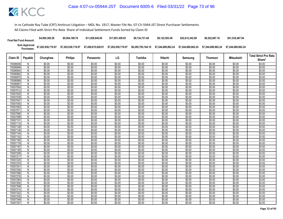| <b>Final Net Fund Amount:</b> | \$4,995,385.28     | \$9,564,189.78     | \$11.829.645.65    | \$17.001.459.93    | \$9.134.731.48     | \$9.122.593.49     | \$22.612.342.89    | \$6,522,667.16     | \$51,535,487.94    |
|-------------------------------|--------------------|--------------------|--------------------|--------------------|--------------------|--------------------|--------------------|--------------------|--------------------|
| Sum Approved<br>:Purchases    | \$7,202,938,719.97 | \$7,202,938,719.97 | \$7,458,815,028.91 | \$7,202,938,719.97 | \$6,285,795,184.10 | \$7.244.689.862.24 | \$7.244.689.862.24 | \$7.244.689.862.24 | \$7.244.689.862.24 |

|                      |                     |                  |                  |                  |                  |                  |                  |                  |                  |                   | <b>Total Strict Pro Rata</b> |
|----------------------|---------------------|------------------|------------------|------------------|------------------|------------------|------------------|------------------|------------------|-------------------|------------------------------|
| Claim ID             | Payable             | Chunghwa         | <b>Philips</b>   | Panasonic        | LG               | Toshiba          | Hitachi          | Samsung          | <b>Thomson</b>   | <b>Mitsubishi</b> | Share*                       |
| 70006938             | N                   | \$0.00           | \$0.00           | \$0.00           | \$0.00           | \$0.00           | \$0.00           | \$0.00           | \$0.00           | \$0.00            | \$0.00                       |
| 70006946             | $\mathsf{N}$        | \$0.00           | \$0.00           | \$0.00           | \$0.00           | \$0.00           | \$0.00           | \$0.00           | \$0.00           | \$0.00            | \$0.00                       |
| 70006954             | N                   | \$0.00           | \$0.00           | \$0.00           | \$0.00           | \$0.00           | \$0.00           | \$0.00           | \$0.00           | \$0.00            | \$0.00                       |
| 70006962             | Ñ                   | \$0.00           | \$0.00           | \$0.00           | \$0.00           | \$0.00           | \$0.00           | \$0.00           | \$0.00           | \$0.00            | \$0.00                       |
| 70006970             | $\mathsf{N}$        | \$0.00           | \$0.00           | \$0.00           | \$0.00           | \$0.00           | \$0.00           | \$0.00           | \$0.00           | \$0.00            | \$0.00                       |
| 70006989             | Ñ                   | \$0.00           | \$0.00           | \$0.00           | \$0.00           | \$0.00           | \$0.00           | \$0.00           | \$0.00           | \$0.00            | \$0.00                       |
| 70006997             | N                   | \$0.00           | \$0.00           | \$0.00           | \$0.00           | \$0.00           | \$0.00           | \$0.00           | \$0.00           | \$0.00            | \$0.00                       |
| 70007004             | N                   | \$0.00           | \$0.00           | \$0.00           | \$0.00           | \$0.00           | \$0.00           | \$0.00           | \$0.00           | \$0.00            | \$0.00                       |
| 70007012             | N                   | \$0.00           | \$0.00           | \$0.00           | \$0.00           | \$0.00           | \$0.00           | \$0.00           | \$0.00           | \$0.00            | \$0.00                       |
| 70007020             | $\overline{N}$      | \$0.00           | \$0.00           | \$0.00           | \$0.00           | \$0.00           | \$0.00           | \$0.00           | \$0.00           | \$0.00            | \$0.00                       |
| 70007039             | ${\sf N}$           | \$0.00           | \$0.00           | \$0.00           | \$0.00           | \$0.00           | \$0.00           | \$0.00           | \$0.00           | \$0.00            | \$0.00                       |
| 70007047             | N                   | \$0.00           | \$0.00           | \$0.00           | \$0.00           | \$0.00           | \$0.00           | \$0.00           | \$0.00           | \$0.00            | \$0.00                       |
| 7000705              | $\mathsf{N}$        | \$0.00           | \$0.00           | \$0.00           | \$0.00           | \$0.00           | \$0.00           | \$0.00           | \$0.00           | \$0.00            | \$0.00                       |
| 70007063             | N                   | \$0.00           | \$0.00           | \$0.00           | \$0.00           | \$0.00           | \$0.00           | \$0.00           | \$0.00           | \$0.00            | \$0.00                       |
| 7000707              | N                   | \$0.00           | \$0.00           | \$0.00           | \$0.00           | \$0.00           | \$0.00           | \$0.00           | \$0.00           | \$0.00            | \$0.00                       |
| 70007080             | N                   | \$0.00           | \$0.00           | \$0.00           | \$0.00           | \$0.00           | \$0.00           | \$0.00           | \$0.00           | \$0.00            | \$0.00                       |
| 70007098             | N                   | \$0.00           | \$0.00           | \$0.00           | \$0.00           | \$0.00           | \$0.00           | \$0.00           | \$0.00           | \$0.00            | \$0.00                       |
| 70007101             | $\overline{N}$      | \$0.00           | \$0.00           | \$0.00           | \$0.00           | \$0.00           | \$0.00           | \$0.00           | \$0.00           | \$0.00            | \$0.00                       |
| 70007110             | N                   | \$0.00           | \$0.00           | \$0.00           | \$0.00           | \$0.00           | \$0.00           | \$0.00           | \$0.00           | \$0.00            | \$0.00                       |
| 70007128             | N                   | \$0.00           | \$0.00           | \$0.00           | \$0.00           | \$0.00           | \$0.00           | \$0.00           | \$0.00           | \$0.00            | \$0.00                       |
| 70007136             | $\overline{N}$      | \$0.00           | \$0.00           | \$0.00           | \$0.00           | \$0.00           | \$0.00           | \$0.00           | \$0.00           | \$0.00            | \$0.00                       |
| 70007144             | N                   | \$0.00           | \$0.00           | \$0.00           | \$0.00           | \$0.00           | \$0.00           | \$0.00           | \$0.00           | \$0.00            | \$0.00                       |
| 70007152             | N                   | \$0.00           | \$0.00           | \$0.00           | \$0.00           | \$0.00           | \$0.00           | \$0.00           | \$0.00           | \$0.00            | \$0.00                       |
| 70007160             | N                   | \$0.00           | \$0.00           | \$0.00           | \$0.00           | \$0.00           | \$0.00           | \$0.00           | \$0.00           | \$0.00            | \$0.00                       |
| 70007179             | N                   | \$0.00           | \$0.00<br>\$0.00 | \$0.00<br>\$0.00 | \$0.00<br>\$0.00 | \$0.00<br>\$0.00 | \$0.00<br>\$0.00 | \$0.00<br>\$0.00 | \$0.00<br>\$0.00 | \$0.00            | \$0.00<br>\$0.00             |
| 70007187             | N                   | \$0.00           |                  |                  |                  |                  |                  |                  |                  | \$0.00            |                              |
| 70007195<br>70007209 | ${\sf N}$           | \$0.00<br>\$0.00 | \$0.00<br>\$0.00 | \$0.00<br>\$0.00 | \$0.00<br>\$0.00 | \$0.00<br>\$0.00 | \$0.00<br>\$0.00 | \$0.00<br>\$0.00 | \$0.00<br>\$0.00 | \$0.00<br>\$0.00  | \$0.00<br>\$0.00             |
| 70007217             | N<br>$\overline{N}$ | \$0.00           | \$0.00           | \$0.00           | \$0.00           | \$0.00           | \$0.00           | \$0.00           | \$0.00           | \$0.00            | \$0.00                       |
| 70007225             | N                   | \$0.00           | \$0.00           | \$0.00           | \$0.00           | \$0.00           | \$0.00           | \$0.00           | \$0.00           | \$0.00            | \$0.00                       |
| 70007233             | N                   | \$0.00           | \$0.00           | \$0.00           | \$0.00           | \$0.00           | \$0.00           | \$0.00           | \$0.00           | \$0.00            | \$0.00                       |
| 7000724              | N                   | \$0.00           | \$0.00           | \$0.00           | \$0.00           | \$0.00           | \$0.00           | \$0.00           | \$0.00           | \$0.00            | \$0.00                       |
| 70007250             | $\mathsf{N}$        | \$0.00           | \$0.00           | \$0.00           | \$0.00           | \$0.00           | \$0.00           | \$0.00           | \$0.00           | \$0.00            | \$0.00                       |
| 70007268             | N                   | \$0.00           | \$0.00           | \$0.00           | \$0.00           | \$0.00           | \$0.00           | \$0.00           | \$0.00           | \$0.00            | \$0.00                       |
| 70007276             | N                   | \$0.00           | \$0.00           | \$0.00           | \$0.00           | \$0.00           | \$0.00           | \$0.00           | \$0.00           | \$0.00            | \$0.00                       |
| 70007284             | N                   | \$0.00           | \$0.00           | \$0.00           | \$0.00           | \$0.00           | \$0.00           | \$0.00           | \$0.00           | \$0.00            | \$0.00                       |
| 70007292             | $\overline{N}$      | \$0.00           | \$0.00           | \$0.00           | \$0.00           | \$0.00           | \$0.00           | \$0.00           | \$0.00           | \$0.00            | \$0.00                       |
| 70007306             | N                   | \$0.00           | \$0.00           | \$0.00           | \$0.00           | \$0.00           | \$0.00           | \$0.00           | \$0.00           | \$0.00            | \$0.00                       |
| 70007314             | N                   | \$0.00           | \$0.00           | \$0.00           | \$0.00           | \$0.00           | \$0.00           | \$0.00           | \$0.00           | \$0.00            | \$0.00                       |
| 70007322             | $\overline{N}$      | \$0.00           | \$0.00           | \$0.00           | \$0.00           | \$0.00           | \$0.00           | \$0.00           | \$0.00           | \$0.00            | \$0.00                       |
| 70007330             | N                   | \$0.00           | \$0.00           | \$0.00           | \$0.00           | \$0.00           | \$0.00           | \$0.00           | \$0.00           | \$0.00            | \$0.00                       |
| 70007349             | N                   | \$0.00           | \$0.00           | \$0.00           | \$0.00           | \$0.00           | \$0.00           | \$0.00           | \$0.00           | \$0.00            | \$0.00                       |
| 70007357             | N                   | \$0.00           | \$0.00           | \$0.00           | \$0.00           | \$0.00           | \$0.00           | \$0.00           | \$0.00           | \$0.00            | \$0.00                       |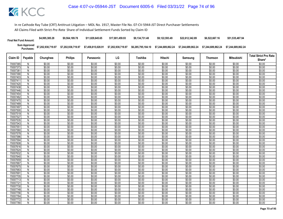| <b>Final Net Fund Amount:</b> | \$4,995,385.28     | \$9,564,189.78     | \$11.829.645.65    | \$17.001.459.93    | \$9.134.731.48     | \$9.122.593.49     | \$22.612.342.89    | \$6,522,667.16     | \$51,535,487.94    |
|-------------------------------|--------------------|--------------------|--------------------|--------------------|--------------------|--------------------|--------------------|--------------------|--------------------|
| Sum Approved<br>:Purchases    | \$7,202,938,719.97 | \$7,202,938,719.97 | \$7,458,815,028.91 | \$7,202,938,719.97 | \$6,285,795,184.10 | \$7.244.689.862.24 | \$7.244.689.862.24 | \$7.244.689.862.24 | \$7.244.689.862.24 |

|                      |                |                  |                  |                  |                  |                  |                  |                  |                  |                   | <b>Total Strict Pro Rata</b> |
|----------------------|----------------|------------------|------------------|------------------|------------------|------------------|------------------|------------------|------------------|-------------------|------------------------------|
| Claim ID             | Payable        | Chunghwa         | <b>Philips</b>   | Panasonic        | LG               | Toshiba          | Hitachi          | Samsung          | <b>Thomson</b>   | <b>Mitsubishi</b> | Share*                       |
| 70007365             | N              | \$0.00           | \$0.00           | \$0.00           | \$0.00           | \$0.00           | \$0.00           | \$0.00           | \$0.00           | \$0.00            | \$0.00                       |
| 70007373             | $\mathsf{N}$   | \$0.00           | \$0.00           | \$0.00           | \$0.00           | \$0.00           | \$0.00           | \$0.00           | \$0.00           | \$0.00            | \$0.00                       |
| 7000738              | N              | \$0.00           | \$0.00           | \$0.00           | \$0.00           | \$0.00           | \$0.00           | \$0.00           | \$0.00           | \$0.00            | \$0.00                       |
| 70007390             | Ñ              | \$0.00           | \$0.00           | \$0.00           | \$0.00           | \$0.00           | \$0.00           | \$0.00           | \$0.00           | \$0.00            | \$0.00                       |
| 70007403             | $\mathsf{N}$   | \$0.00           | \$0.00           | \$0.00           | \$0.00           | \$0.00           | \$0.00           | \$0.00           | \$0.00           | \$0.00            | \$0.00                       |
| 7000741              | Ñ              | \$0.00           | \$0.00           | \$0.00           | \$0.00           | \$0.00           | \$0.00           | \$0.00           | \$0.00           | \$0.00            | \$0.00                       |
| 70007420             | N              | \$0.00           | \$0.00           | \$0.00           | \$0.00           | \$0.00           | \$0.00           | \$0.00           | \$0.00           | \$0.00            | \$0.00                       |
| 70007438             | N              | \$0.00           | \$0.00           | \$0.00           | \$0.00           | \$0.00           | \$0.00           | \$0.00           | \$0.00           | \$0.00            | \$0.00                       |
| 70007446             | N              | \$0.00           | \$0.00           | \$0.00           | \$0.00           | \$0.00           | \$0.00           | \$0.00           | \$0.00           | \$0.00            | \$0.00                       |
| 70007454             | $\overline{N}$ | \$0.00           | \$0.00           | \$0.00           | \$0.00           | \$0.00           | \$0.00           | \$0.00           | \$0.00           | \$0.00            | \$0.00                       |
| 70007462             | ${\sf N}$      | \$0.00           | \$0.00           | \$0.00           | \$0.00           | \$0.00           | \$0.00           | \$0.00           | \$0.00           | \$0.00            | \$0.00                       |
| 70007470             | N              | \$0.00           | \$0.00           | \$0.00           | \$0.00           | \$0.00           | \$0.00           | \$0.00           | \$0.00           | \$0.00            | \$0.00                       |
| 70007489             | N              | \$0.00           | \$0.00           | \$0.00           | \$0.00           | \$0.00           | \$0.00           | \$0.00           | \$0.00           | \$0.00            | \$0.00                       |
| 70007497             | N              | \$0.00           | \$0.00           | \$0.00           | \$0.00           | \$0.00           | \$0.00           | \$0.00           | \$0.00           | \$0.00            | \$0.00                       |
| 70007500             | N              | \$0.00           | \$0.00           | \$0.00           | \$0.00           | \$0.00           | \$0.00           | \$0.00           | \$0.00           | \$0.00            | \$0.00                       |
| 70007519             | N              | \$0.00           | \$0.00           | \$0.00           | \$0.00           | \$0.00           | \$0.00           | \$0.00           | \$0.00           | \$0.00            | \$0.00                       |
| 70007527             | N              | \$0.00           | \$0.00           | \$0.00           | \$0.00           | \$0.00           | \$0.00           | \$0.00           | \$0.00           | \$0.00            | \$0.00                       |
| 70007535             | $\overline{N}$ | \$0.00           | \$0.00           | \$0.00           | \$0.00           | \$0.00           | \$0.00           | \$0.00           | \$0.00           | \$0.00            | \$0.00                       |
| 70007543             | N              | \$0.00           | \$0.00           | \$0.00           | \$0.00           | \$0.00           | \$0.00           | \$0.00           | \$0.00           | \$0.00            | \$0.00                       |
| 7000755              | N              | \$0.00           | \$0.00           | \$0.00           | \$0.00           | \$0.00           | \$0.00           | \$0.00           | \$0.00           | \$0.00            | \$0.00                       |
| 70007560             | $\overline{N}$ | \$0.00           | \$0.00           | \$0.00           | \$0.00           | \$0.00           | \$0.00           | \$0.00           | \$0.00           | \$0.00            | \$0.00                       |
| 70007578             | N              | \$0.00           | \$0.00           | \$0.00           | \$0.00           | \$0.00           | \$0.00           | \$0.00           | \$0.00           | \$0.00            | \$0.00                       |
| 70007586             | Ñ              | \$0.00           | \$0.00           | \$0.00           | \$0.00           | \$0.00           | \$0.00           | \$0.00           | \$0.00           | \$0.00            | \$0.00                       |
| 70007594             | N              | \$0.00           | \$0.00           | \$0.00           | \$0.00           | \$0.00           | \$0.00           | \$0.00           | \$0.00           | \$0.00            | \$0.00                       |
| 70007608             | N              | \$0.00           | \$0.00           | \$0.00           | \$0.00           | \$0.00           | \$0.00           | \$0.00           | \$0.00           | \$0.00            | \$0.00                       |
| 70007616             | N              | \$0.00           | \$0.00           | \$0.00           | \$0.00           | \$0.00           | \$0.00           | \$0.00           | \$0.00           | \$0.00            | \$0.00                       |
| 70007624             | ${\sf N}$      | \$0.00           | \$0.00           | \$0.00           | \$0.00           | \$0.00           | \$0.00           | \$0.00           | \$0.00           | \$0.00            | \$0.00                       |
| 70007632             | N              | \$0.00           | \$0.00           | \$0.00           | \$0.00           | \$0.00           | \$0.00           | \$0.00           | \$0.00           | \$0.00            | \$0.00                       |
| 70007640             | $\overline{N}$ | \$0.00           | \$0.00           | \$0.00<br>\$0.00 | \$0.00           | \$0.00           | \$0.00           | \$0.00           | \$0.00           | \$0.00            | \$0.00                       |
| 70007659<br>70007667 | N              | \$0.00<br>\$0.00 | \$0.00<br>\$0.00 | \$0.00           | \$0.00<br>\$0.00 | \$0.00<br>\$0.00 | \$0.00<br>\$0.00 | \$0.00<br>\$0.00 | \$0.00<br>\$0.00 | \$0.00<br>\$0.00  | \$0.00<br>\$0.00             |
| 70007675             | N<br>N         | \$0.00           | \$0.00           | \$0.00           | \$0.00           | \$0.00           | \$0.00           | \$0.00           | \$0.00           | \$0.00            | \$0.00                       |
| 70007683             | $\mathsf{N}$   | \$0.00           | \$0.00           | \$0.00           | \$0.00           | \$0.00           | \$0.00           | \$0.00           | \$0.00           | \$0.00            | \$0.00                       |
| 7000769              | N              | \$0.00           | \$0.00           | \$0.00           | \$0.00           | \$0.00           | \$0.00           | \$0.00           | \$0.00           | \$0.00            | \$0.00                       |
| 70007705             | N              | \$0.00           | \$0.00           | \$0.00           | \$0.00           | \$0.00           | \$0.00           | \$0.00           | \$0.00           | \$0.00            | \$0.00                       |
| 70007713             | N              | \$0.00           | \$0.00           | \$0.00           | \$0.00           | \$0.00           | \$0.00           | \$0.00           | \$0.00           | \$0.00            | \$0.00                       |
| 70007721             | $\overline{N}$ | \$0.00           | \$0.00           | \$0.00           | \$0.00           | \$0.00           | \$0.00           | \$0.00           | \$0.00           | \$0.00            | \$0.00                       |
| 70007730             | N              | \$0.00           | \$0.00           | \$0.00           | \$0.00           | \$0.00           | \$0.00           | \$0.00           | \$0.00           | \$0.00            | \$0.00                       |
| 70007748             | N              | \$0.00           | \$0.00           | \$0.00           | \$0.00           | \$0.00           | \$0.00           | \$0.00           | \$0.00           | \$0.00            | \$0.00                       |
| 70007756             | Ñ              | \$0.00           | \$0.00           | \$0.00           | \$0.00           | \$0.00           | \$0.00           | \$0.00           | \$0.00           | \$0.00            | \$0.00                       |
| 70007764             | N              | \$0.00           | \$0.00           | \$0.00           | \$0.00           | \$0.00           | \$0.00           | \$0.00           | \$0.00           | \$0.00            | \$0.00                       |
| 70007772             | N              | \$0.00           | \$0.00           | \$0.00           | \$0.00           | \$0.00           | \$0.00           | \$0.00           | \$0.00           | \$0.00            | \$0.00                       |
| 70007780             | N              | \$0.00           | \$0.00           | \$0.00           | \$0.00           | \$0.00           | \$0.00           | \$0.00           | \$0.00           | \$0.00            | \$0.00                       |
|                      |                |                  |                  |                  |                  |                  |                  |                  |                  |                   |                              |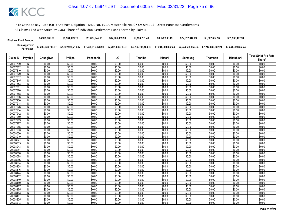| <b>Final Net Fund Amount:</b> | \$4,995,385.28     | \$9,564,189.78     | \$11.829.645.65    | \$17.001.459.93    | \$9.134.731.48     | \$9.122.593.49     | \$22.612.342.89    | \$6,522,667.16     | \$51,535,487.94    |
|-------------------------------|--------------------|--------------------|--------------------|--------------------|--------------------|--------------------|--------------------|--------------------|--------------------|
| Sum Approved<br>:Purchases    | \$7,202,938,719.97 | \$7,202,938,719.97 | \$7,458,815,028.91 | \$7,202,938,719.97 | \$6,285,795,184.10 | \$7.244.689.862.24 | \$7.244.689.862.24 | \$7.244.689.862.24 | \$7.244.689.862.24 |

| <b>Philips</b><br>LG<br><b>Mitsubishi</b><br>Claim ID<br>Payable<br>Chunghwa<br>Toshiba<br>Hitachi<br>Panasonic<br>Samsung<br><b>Thomson</b><br>\$0.00<br>\$0.00<br>70007799<br>\$0.00<br>\$0.00<br>\$0.00<br>\$0.00<br>\$0.00<br>\$0.00<br>\$0.00<br>N<br>\$0.00<br>\$0.00<br>\$0.00<br>\$0.00<br>\$0.00<br>\$0.00<br>\$0.00<br>\$0.00<br>\$0.00<br>70007802<br>N<br>70007810<br>\$0.00<br>\$0.00<br>\$0.00<br>\$0.00<br>\$0.00<br>\$0.00<br>\$0.00<br>\$0.00<br>\$0.00<br>N<br>\$0.00<br>\$0.00<br>\$0.00<br>\$0.00<br>\$0.00<br>70007829<br>\$0.00<br>\$0.00<br>\$0.00<br>\$0.00<br>N<br>\$0.00<br>\$0.00<br>\$0.00<br>\$0.00<br>\$0.00<br>\$0.00<br>\$0.00<br>\$0.00<br>\$0.00<br>70007837<br>N<br>\$0.00<br>\$0.00<br>\$0.00<br>\$0.00<br>\$0.00<br>\$0.00<br>\$0.00<br>\$0.00<br>\$0.00<br>70007845<br>N<br>\$0.00<br>\$0.00<br>\$0.00<br>\$0.00<br>\$0.00<br>\$0.00<br>\$0.00<br>\$0.00<br>\$0.00<br>70007853<br>N<br>\$0.00<br>\$0.00<br>\$0.00<br>\$0.00<br>\$0.00<br>7000786<br>N<br>\$0.00<br>\$0.00<br>\$0.00<br>\$0.00<br>\$0.00<br>\$0.00<br>\$0.00<br>\$0.00<br>70007870<br>\$0.00<br>\$0.00<br>\$0.00<br>\$0.00<br>\$0.00<br>N<br>$\overline{N}$<br>\$0.00<br>\$0.00<br>\$0.00<br>\$0.00<br>\$0.00<br>\$0.00<br>\$0.00<br>\$0.00<br>\$0.00<br>70007888<br>\$0.00<br>\$0.00<br>\$0.00<br>\$0.00<br>\$0.00<br>\$0.00<br>\$0.00<br>70007896<br>N<br>\$0.00<br>\$0.00 | Share*<br>\$0.00<br>\$0.00<br>\$0.00<br>\$0.00<br>\$0.00<br>\$0.00<br>\$0.00<br>\$0.00 |
|-----------------------------------------------------------------------------------------------------------------------------------------------------------------------------------------------------------------------------------------------------------------------------------------------------------------------------------------------------------------------------------------------------------------------------------------------------------------------------------------------------------------------------------------------------------------------------------------------------------------------------------------------------------------------------------------------------------------------------------------------------------------------------------------------------------------------------------------------------------------------------------------------------------------------------------------------------------------------------------------------------------------------------------------------------------------------------------------------------------------------------------------------------------------------------------------------------------------------------------------------------------------------------------------------------------------------------------------------------------------------------------|----------------------------------------------------------------------------------------|
|                                                                                                                                                                                                                                                                                                                                                                                                                                                                                                                                                                                                                                                                                                                                                                                                                                                                                                                                                                                                                                                                                                                                                                                                                                                                                                                                                                                   |                                                                                        |
|                                                                                                                                                                                                                                                                                                                                                                                                                                                                                                                                                                                                                                                                                                                                                                                                                                                                                                                                                                                                                                                                                                                                                                                                                                                                                                                                                                                   |                                                                                        |
|                                                                                                                                                                                                                                                                                                                                                                                                                                                                                                                                                                                                                                                                                                                                                                                                                                                                                                                                                                                                                                                                                                                                                                                                                                                                                                                                                                                   |                                                                                        |
|                                                                                                                                                                                                                                                                                                                                                                                                                                                                                                                                                                                                                                                                                                                                                                                                                                                                                                                                                                                                                                                                                                                                                                                                                                                                                                                                                                                   |                                                                                        |
|                                                                                                                                                                                                                                                                                                                                                                                                                                                                                                                                                                                                                                                                                                                                                                                                                                                                                                                                                                                                                                                                                                                                                                                                                                                                                                                                                                                   |                                                                                        |
|                                                                                                                                                                                                                                                                                                                                                                                                                                                                                                                                                                                                                                                                                                                                                                                                                                                                                                                                                                                                                                                                                                                                                                                                                                                                                                                                                                                   |                                                                                        |
|                                                                                                                                                                                                                                                                                                                                                                                                                                                                                                                                                                                                                                                                                                                                                                                                                                                                                                                                                                                                                                                                                                                                                                                                                                                                                                                                                                                   |                                                                                        |
|                                                                                                                                                                                                                                                                                                                                                                                                                                                                                                                                                                                                                                                                                                                                                                                                                                                                                                                                                                                                                                                                                                                                                                                                                                                                                                                                                                                   |                                                                                        |
|                                                                                                                                                                                                                                                                                                                                                                                                                                                                                                                                                                                                                                                                                                                                                                                                                                                                                                                                                                                                                                                                                                                                                                                                                                                                                                                                                                                   |                                                                                        |
|                                                                                                                                                                                                                                                                                                                                                                                                                                                                                                                                                                                                                                                                                                                                                                                                                                                                                                                                                                                                                                                                                                                                                                                                                                                                                                                                                                                   | \$0.00                                                                                 |
|                                                                                                                                                                                                                                                                                                                                                                                                                                                                                                                                                                                                                                                                                                                                                                                                                                                                                                                                                                                                                                                                                                                                                                                                                                                                                                                                                                                   | \$0.00                                                                                 |
|                                                                                                                                                                                                                                                                                                                                                                                                                                                                                                                                                                                                                                                                                                                                                                                                                                                                                                                                                                                                                                                                                                                                                                                                                                                                                                                                                                                   | \$0.00                                                                                 |
| \$0.00<br>\$0.00<br>\$0.00<br>\$0.00<br>\$0.00<br>\$0.00<br>\$0.00<br>\$0.00<br>\$0.00<br>70007900<br>N                                                                                                                                                                                                                                                                                                                                                                                                                                                                                                                                                                                                                                                                                                                                                                                                                                                                                                                                                                                                                                                                                                                                                                                                                                                                           | \$0.00                                                                                 |
| \$0.00<br>\$0.00<br>\$0.00<br>70007918<br>\$0.00<br>\$0.00<br>\$0.00<br>\$0.00<br>\$0.00<br>\$0.00<br>N                                                                                                                                                                                                                                                                                                                                                                                                                                                                                                                                                                                                                                                                                                                                                                                                                                                                                                                                                                                                                                                                                                                                                                                                                                                                           | \$0.00                                                                                 |
| \$0.00<br>\$0.00<br>\$0.00<br>\$0.00<br>\$0.00<br>\$0.00<br>\$0.00<br>\$0.00<br>70007926<br>N<br>\$0.00                                                                                                                                                                                                                                                                                                                                                                                                                                                                                                                                                                                                                                                                                                                                                                                                                                                                                                                                                                                                                                                                                                                                                                                                                                                                           | \$0.00                                                                                 |
| \$0.00<br>\$0.00<br>\$0.00<br>\$0.00<br>\$0.00<br>\$0.00<br>\$0.00<br>\$0.00<br>\$0.00<br>70007934<br>N                                                                                                                                                                                                                                                                                                                                                                                                                                                                                                                                                                                                                                                                                                                                                                                                                                                                                                                                                                                                                                                                                                                                                                                                                                                                           | \$0.00                                                                                 |
| \$0.00<br>\$0.00<br>70007942<br>\$0.00<br>\$0.00<br>\$0.00<br>\$0.00<br>\$0.00<br>\$0.00<br>\$0.00<br>N                                                                                                                                                                                                                                                                                                                                                                                                                                                                                                                                                                                                                                                                                                                                                                                                                                                                                                                                                                                                                                                                                                                                                                                                                                                                           | \$0.00                                                                                 |
| \$0.00<br>\$0.00<br>\$0.00<br>\$0.00<br>\$0.00<br>\$0.00<br>\$0.00<br>\$0.00<br>\$0.00<br>70007950<br>N                                                                                                                                                                                                                                                                                                                                                                                                                                                                                                                                                                                                                                                                                                                                                                                                                                                                                                                                                                                                                                                                                                                                                                                                                                                                           | \$0.00                                                                                 |
| $\overline{N}$<br>\$0.00<br>\$0.00<br>\$0.00<br>\$0.00<br>\$0.00<br>\$0.00<br>\$0.00<br>\$0.00<br>\$0.00<br>70007969                                                                                                                                                                                                                                                                                                                                                                                                                                                                                                                                                                                                                                                                                                                                                                                                                                                                                                                                                                                                                                                                                                                                                                                                                                                              | \$0.00                                                                                 |
| \$0.00<br>\$0.00<br>\$0.00<br>\$0.00<br>\$0.00<br>\$0.00<br>\$0.00<br>\$0.00<br>\$0.00<br>70007977<br>N                                                                                                                                                                                                                                                                                                                                                                                                                                                                                                                                                                                                                                                                                                                                                                                                                                                                                                                                                                                                                                                                                                                                                                                                                                                                           | \$0.00                                                                                 |
| \$0.00<br>\$0.00<br>\$0.00<br>\$0.00<br>\$0.00<br>\$0.00<br>\$0.00<br>70007985<br>N<br>\$0.00<br>\$0.00                                                                                                                                                                                                                                                                                                                                                                                                                                                                                                                                                                                                                                                                                                                                                                                                                                                                                                                                                                                                                                                                                                                                                                                                                                                                           | \$0.00                                                                                 |
| \$0.00<br>\$0.00<br>\$0.00<br>\$0.00<br>\$0.00<br>\$0.00<br>\$0.00<br>70007993<br>\$0.00<br>\$0.00<br>N                                                                                                                                                                                                                                                                                                                                                                                                                                                                                                                                                                                                                                                                                                                                                                                                                                                                                                                                                                                                                                                                                                                                                                                                                                                                           | \$0.00                                                                                 |
| \$0.00<br>\$0.00<br>\$0.00<br>\$0.00<br>\$0.00<br>\$0.00<br>\$0.00<br>70008000<br>N<br>\$0.00<br>\$0.00                                                                                                                                                                                                                                                                                                                                                                                                                                                                                                                                                                                                                                                                                                                                                                                                                                                                                                                                                                                                                                                                                                                                                                                                                                                                           | \$0.00                                                                                 |
| \$0.00<br>\$0.00<br>\$0.00<br>\$0.00<br>\$0.00<br>\$0.00<br>Ñ<br>\$0.00<br>\$0.00<br>\$0.00<br>70008019                                                                                                                                                                                                                                                                                                                                                                                                                                                                                                                                                                                                                                                                                                                                                                                                                                                                                                                                                                                                                                                                                                                                                                                                                                                                           | \$0.00                                                                                 |
| \$0.00<br>\$0.00<br>\$0.00<br>\$0.00<br>\$0.00<br>\$0.00<br>\$0.00<br>\$0.00<br>\$0.00<br>70008027<br>N                                                                                                                                                                                                                                                                                                                                                                                                                                                                                                                                                                                                                                                                                                                                                                                                                                                                                                                                                                                                                                                                                                                                                                                                                                                                           | \$0.00                                                                                 |
| \$0.00<br>\$0.00<br>\$0.00<br>\$0.00<br>\$0.00<br>\$0.00<br>\$0.00<br>\$0.00<br>\$0.00<br>70008035<br>N                                                                                                                                                                                                                                                                                                                                                                                                                                                                                                                                                                                                                                                                                                                                                                                                                                                                                                                                                                                                                                                                                                                                                                                                                                                                           | \$0.00                                                                                 |
| \$0.00<br>$\overline{N}$<br>\$0.00<br>\$0.00<br>\$0.00<br>\$0.00<br>\$0.00<br>\$0.00<br>\$0.00<br>\$0.00<br>7000804                                                                                                                                                                                                                                                                                                                                                                                                                                                                                                                                                                                                                                                                                                                                                                                                                                                                                                                                                                                                                                                                                                                                                                                                                                                               | \$0.00                                                                                 |
| \$0.00<br>\$0.00<br>\$0.00<br>\$0.00<br>\$0.00<br>\$0.00<br>\$0.00<br>\$0.00<br>\$0.00<br>7000805<br>N                                                                                                                                                                                                                                                                                                                                                                                                                                                                                                                                                                                                                                                                                                                                                                                                                                                                                                                                                                                                                                                                                                                                                                                                                                                                            | \$0.00                                                                                 |
| \$0.00<br>\$0.00<br>\$0.00<br>\$0.00<br>\$0.00<br>\$0.00<br>\$0.00<br>\$0.00<br>\$0.00<br>70008060<br>N                                                                                                                                                                                                                                                                                                                                                                                                                                                                                                                                                                                                                                                                                                                                                                                                                                                                                                                                                                                                                                                                                                                                                                                                                                                                           | \$0.00                                                                                 |
| \$0.00<br>\$0.00<br>\$0.00<br>\$0.00<br>\$0.00<br>\$0.00<br>N<br>\$0.00<br>\$0.00<br>\$0.00<br>70008078<br>\$0.00<br>\$0.00<br>70008086                                                                                                                                                                                                                                                                                                                                                                                                                                                                                                                                                                                                                                                                                                                                                                                                                                                                                                                                                                                                                                                                                                                                                                                                                                           | \$0.00                                                                                 |
| \$0.00<br>\$0.00<br>\$0.00<br>\$0.00<br>\$0.00<br>\$0.00<br>\$0.00<br>N<br>\$0.00<br>\$0.00<br>\$0.00<br>\$0.00<br>\$0.00<br>\$0.00<br>\$0.00<br>\$0.00<br>N<br>\$0.00<br>70008094                                                                                                                                                                                                                                                                                                                                                                                                                                                                                                                                                                                                                                                                                                                                                                                                                                                                                                                                                                                                                                                                                                                                                                                                | \$0.00<br>\$0.00                                                                       |
| \$0.00<br>\$0.00<br>\$0.00<br>\$0.00<br>\$0.00<br>\$0.00<br>\$0.00<br>\$0.00<br>\$0.00<br>70008108<br>N                                                                                                                                                                                                                                                                                                                                                                                                                                                                                                                                                                                                                                                                                                                                                                                                                                                                                                                                                                                                                                                                                                                                                                                                                                                                           | \$0.00                                                                                 |
| \$0.00<br>\$0.00<br>\$0.00<br>\$0.00<br>\$0.00<br>\$0.00<br>\$0.00<br>\$0.00<br>70008116<br>N<br>\$0.00                                                                                                                                                                                                                                                                                                                                                                                                                                                                                                                                                                                                                                                                                                                                                                                                                                                                                                                                                                                                                                                                                                                                                                                                                                                                           | \$0.00                                                                                 |
| \$0.00<br>\$0.00<br>\$0.00<br>\$0.00<br>\$0.00<br>\$0.00<br>\$0.00<br>\$0.00<br>\$0.00<br>70008124<br>N                                                                                                                                                                                                                                                                                                                                                                                                                                                                                                                                                                                                                                                                                                                                                                                                                                                                                                                                                                                                                                                                                                                                                                                                                                                                           | \$0.00                                                                                 |
| \$0.00<br>\$0.00<br>\$0.00<br>\$0.00<br>\$0.00<br>\$0.00<br>\$0.00<br>\$0.00<br>\$0.00<br>70008132<br>N                                                                                                                                                                                                                                                                                                                                                                                                                                                                                                                                                                                                                                                                                                                                                                                                                                                                                                                                                                                                                                                                                                                                                                                                                                                                           | \$0.00                                                                                 |
| \$0.00<br>\$0.00<br>\$0.00<br>70008140<br>\$0.00<br>\$0.00<br>\$0.00<br>\$0.00<br>\$0.00<br>\$0.00<br>N                                                                                                                                                                                                                                                                                                                                                                                                                                                                                                                                                                                                                                                                                                                                                                                                                                                                                                                                                                                                                                                                                                                                                                                                                                                                           | \$0.00                                                                                 |
| $\overline{N}$<br>\$0.00<br>\$0.00<br>\$0.00<br>\$0.00<br>\$0.00<br>\$0.00<br>\$0.00<br>\$0.00<br>\$0.00<br>70008159                                                                                                                                                                                                                                                                                                                                                                                                                                                                                                                                                                                                                                                                                                                                                                                                                                                                                                                                                                                                                                                                                                                                                                                                                                                              | \$0.00                                                                                 |
| \$0.00<br>\$0.00<br>\$0.00<br>\$0.00<br>\$0.00<br>\$0.00<br>\$0.00<br>\$0.00<br>\$0.00<br>70008167<br>N                                                                                                                                                                                                                                                                                                                                                                                                                                                                                                                                                                                                                                                                                                                                                                                                                                                                                                                                                                                                                                                                                                                                                                                                                                                                           | \$0.00                                                                                 |
| \$0.00<br>\$0.00<br>\$0.00<br>\$0.00<br>\$0.00<br>\$0.00<br>\$0.00<br>\$0.00<br>\$0.00<br>70008175<br>N                                                                                                                                                                                                                                                                                                                                                                                                                                                                                                                                                                                                                                                                                                                                                                                                                                                                                                                                                                                                                                                                                                                                                                                                                                                                           | \$0.00                                                                                 |
| \$0.00<br>\$0.00<br>\$0.00<br>\$0.00<br>\$0.00<br>\$0.00<br>\$0.00<br>\$0.00<br>\$0.00<br>70008183<br>N                                                                                                                                                                                                                                                                                                                                                                                                                                                                                                                                                                                                                                                                                                                                                                                                                                                                                                                                                                                                                                                                                                                                                                                                                                                                           | \$0.00                                                                                 |
| \$0.00<br>\$0.00<br>\$0.00<br>\$0.00<br>70008191<br>N<br>\$0.00<br>\$0.00<br>\$0.00<br>\$0.00<br>\$0.00                                                                                                                                                                                                                                                                                                                                                                                                                                                                                                                                                                                                                                                                                                                                                                                                                                                                                                                                                                                                                                                                                                                                                                                                                                                                           | \$0.00                                                                                 |
| \$0.00<br>\$0.00<br>\$0.00<br>\$0.00<br>\$0.00<br>\$0.00<br>\$0.00<br>N<br>\$0.00<br>\$0.00<br>70008205                                                                                                                                                                                                                                                                                                                                                                                                                                                                                                                                                                                                                                                                                                                                                                                                                                                                                                                                                                                                                                                                                                                                                                                                                                                                           | \$0.00                                                                                 |
| \$0.00<br>\$0.00<br>\$0.00<br>Ñ<br>\$0.00<br>\$0.00<br>\$0.00<br>\$0.00<br>\$0.00<br>\$0.00<br>70008213                                                                                                                                                                                                                                                                                                                                                                                                                                                                                                                                                                                                                                                                                                                                                                                                                                                                                                                                                                                                                                                                                                                                                                                                                                                                           | \$0.00                                                                                 |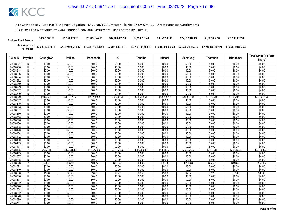| <b>Final Net Fund Amount:</b> | \$4,995,385.28     | \$9,564,189.78     | \$11,829,645,65    | \$17.001.459.93    | \$9.134.731.48     | \$9.122.593.49     | \$22,612,342.89    | \$6,522,667.16     | \$51,535,487.94    |
|-------------------------------|--------------------|--------------------|--------------------|--------------------|--------------------|--------------------|--------------------|--------------------|--------------------|
| Sum Approved<br>:Purchases    | \$7,202,938,719.97 | \$7.202.938.719.97 | \$7,458,815,028.91 | \$7.202.938.719.97 | \$6,285,795,184.10 | \$7.244.689.862.24 | \$7.244.689.862.24 | \$7.244.689.862.24 | \$7.244.689.862.24 |

|                      |                                |                      |                       |                       |                       |                       |                       |                       |                      |                       | <b>Total Strict Pro Rata</b> |
|----------------------|--------------------------------|----------------------|-----------------------|-----------------------|-----------------------|-----------------------|-----------------------|-----------------------|----------------------|-----------------------|------------------------------|
| Claim ID             | Payable                        | Chunghwa             | <b>Philips</b>        | Panasonic             | LG                    | Toshiba               | Hitachi               | Samsung               | Thomson              | <b>Mitsubishi</b>     | Share*                       |
| 7000822              | N                              | \$0.00               | \$0.00                | \$0.00                | \$0.00                | \$0.00                | \$0.00                | \$0.00                | \$0.00               | \$0.00                | \$0.00                       |
| 70008230             | $\mathsf{N}$                   | \$0.00               | \$0.00                | \$0.00                | \$0.00                | \$0.00                | \$0.00                | \$0.00                | \$0.00               | \$0.00                | \$0.00                       |
| 70008248             | N                              | \$0.00               | \$0.00                | \$0.00                | \$0.00                | \$0.00                | \$0.00                | \$0.00                | \$0.00               | \$0.00                | \$0.00                       |
| 70008256             | N                              | \$0.00               | \$0.00                | \$0.00                | \$0.00                | \$0.00                | \$0.00                | \$0.00                | \$0.00               | \$0.00                | \$0.00                       |
| 70008264             | N                              | \$0.00               | \$0.00                | \$0.00                | \$0.00                | \$0.00                | \$0.00                | \$0.00                | \$0.00               | \$0.00                | \$0.00                       |
| 70008272             | N                              | \$0.00               | \$0.00                | \$0.00                | \$0.00                | \$0.00                | \$0.00                | \$0.00                | \$0.00               | \$0.00                | \$0.00                       |
| 70008280             | N                              | \$0.00               | \$0.00                | \$0.00                | \$0.00                | \$0.00                | \$0.00                | \$0.00                | \$0.00               | \$0.00                | \$0.00                       |
| 70008299             | N                              | \$0.00               | \$0.00                | \$0.00                | \$0.00                | \$0.00                | \$0.00                | \$0.00                | \$0.00               | \$0.00                | \$0.00                       |
| 70008302             | N                              | \$0.00               | \$0.00                | \$0.00                | \$0.00                | \$0.00                | \$0.00                | \$0.00                | \$0.00               | \$0.00                | \$0.00                       |
| 70008310             | $\overline{N}$                 | \$0.00               | \$0.00                | \$0.00                | \$0.00                | \$0.00                | \$0.00                | \$0.00                | \$0.00               | \$0.00                | \$0.00                       |
| 70008329             | $\checkmark$                   | \$10,402.81          | \$19,917.27           | \$23,789.93           | \$35,405.26           | \$21,798.51           | \$18,888.17           | \$46,818.45           | \$13,505.06          | \$106,703.30          | \$297,228.75                 |
| 70008337             | N                              | \$0.00               | \$0.00                | \$0.00                | \$0.00                | \$0.00                | \$0.00                | \$0.00                | \$0.00               | \$0.00                | \$0.00                       |
| 70008345             | N                              | \$0.00               | \$0.00                | \$0.00                | \$0.00                | \$0.00                | \$0.00                | \$0.00                | \$0.00               | \$0.00                | \$0.00                       |
| 70008353             | N                              | \$0.00               | \$0.00                | \$0.00                | \$0.00                | \$0.00                | \$0.00                | \$0.00                | \$0.00               | \$0.00                | \$0.00                       |
| 7000836              | N                              | \$0.00               | \$0.00                | \$0.00                | \$0.00                | \$0.00                | \$0.00                | \$0.00                | \$0.00               | \$0.00                | \$0.00                       |
| 70008370             | N                              | \$0.00               | \$0.00                | \$0.00                | \$0.00                | \$0.00                | \$0.00                | \$0.00                | \$0.00               | \$0.00                | \$0.00                       |
| 70008388             | N                              | \$0.00               | \$0.00                | \$0.00                | \$0.00                | \$0.00                | \$0.00                | \$0.00                | \$0.00               | \$0.00                | \$0.00                       |
| 70008396             | $\overline{N}$                 | \$0.00               | \$0.00                | \$0.00                | \$0.00                | \$0.00                | \$0.00                | \$0.00                | \$0.00               | \$0.00                | \$0.00                       |
| 70008400             | N                              | \$0.00               | \$0.00                | \$0.00                | \$0.00                | \$0.00                | \$0.00                | \$0.00                | \$0.00               | \$0.00                | \$0.00                       |
| 70008418             | N                              | \$0.00               | \$0.00                | \$0.00                | \$0.00                | \$0.00                | \$0.00                | \$0.00                | \$0.00               | \$0.00                | \$0.00                       |
| 70008426             | Ñ                              | \$0.00               | \$0.00                | \$0.00                | \$0.00                | \$0.00                | \$0.00                | \$0.00                | \$0.00               | \$0.00                | \$0.00                       |
| 70008434             | N                              | \$0.00               | \$0.00                | \$0.00                | \$0.00                | \$0.00                | \$0.00                | \$0.00                | \$0.00               | \$0.00                | \$0.00                       |
| 70008442             | Ñ                              | \$0.00               | \$0.00                | \$0.00                | \$0.00                | \$0.00                | \$0.00                | \$0.00                | \$0.00               | \$0.00                | \$0.00                       |
| 70008450             | N                              | \$0.00               | \$0.00                | \$0.00                | \$0.00                | \$0.00                | \$0.00                | \$0.00                | \$0.00               | \$0.00                | \$0.00                       |
| 70008469             | N                              | \$0.00               | \$0.00<br>\$0.00      | \$0.00<br>\$0.00      | \$0.00<br>\$0.00      | \$0.00                | \$0.00<br>\$0.00      | \$0.00<br>\$0.00      | \$0.00               | \$0.00<br>\$0.00      | \$0.00<br>\$0.00             |
| 70008477             | $\overline{N}$<br>$\checkmark$ | \$0.00               |                       |                       |                       | \$0.00                |                       |                       | \$0.00               |                       |                              |
| 70008485<br>70008493 | N                              | \$7,277.83<br>\$0.00 | \$13,934.18<br>\$0.00 | \$16,643.50<br>\$0.00 | \$24,769.62<br>\$0.00 | \$15,250.30<br>\$0.00 | \$13,214.21<br>\$0.00 | \$32,754.32<br>\$0.00 | \$9,448.18<br>\$0.00 | \$74,649.93<br>\$0.00 | \$207,942.07                 |
| 70008507             | N                              | \$0.00               | \$0.00                | \$0.00                | \$0.00                | \$0.00                | \$0.00                | \$0.00                | \$0.00               | \$0.00                | \$0.00<br>\$0.00             |
| 70008515             | N                              | \$0.00               | \$0.00                | \$0.00                | \$0.00                | \$0.00                | \$0.00                | \$0.00                | \$0.00               | \$0.00                | \$0.00                       |
| 70008523             | γ                              | \$44.50              | \$85.20               | \$101.77              | \$151.46              | \$93.25               | \$80.80               | \$200.28              | \$57.77              | \$456.46              | \$1,271.50                   |
| 7000853              | N                              | \$0.00               | \$0.00                | \$0.00                | \$0.00                | \$0.00                | \$0.00                | \$0.00                | \$0.00               | \$0.00                | \$0.00                       |
| 70008540             | N                              | \$0.00               | \$0.00                | \$0.00                | \$0.00                | \$0.00                | \$0.00                | \$0.00                | \$0.00               | \$0.00                | \$0.00                       |
| 70008558             | V                              | \$1.70               | \$3.25                | \$3.88                | \$5.77                | \$3.55                | \$3.08                | \$7.64                | \$2.20               | \$17.40               | \$48.47                      |
| 70008566             | N                              | \$0.00               | \$0.00                | \$0.00                | \$0.00                | \$0.00                | \$0.00                | \$0.00                | \$0.00               | \$0.00                | \$0.00                       |
| 70008574             | N                              | \$0.00               | \$0.00                | \$0.00                | \$0.00                | \$0.00                | \$0.00                | \$0.00                | \$0.00               | \$0.00                | \$0.00                       |
| 70008582             | $\overline{N}$                 | \$0.00               | \$0.00                | \$0.00                | \$0.00                | \$0.00                | \$0.00                | \$0.00                | \$0.00               | \$0.00                | \$0.00                       |
| 70008590             | N                              | \$0.00               | \$0.00                | \$0.00                | \$0.00                | \$0.00                | \$0.00                | \$0.00                | \$0.00               | \$0.00                | \$0.00                       |
| 70008604             | N                              | \$0.00               | \$0.00                | \$0.00                | \$0.00                | \$0.00                | \$0.00                | \$0.00                | \$0.00               | \$0.00                | \$0.00                       |
| 70008612             | N                              | \$0.00               | \$0.00                | \$0.00                | \$0.00                | \$0.00                | \$0.00                | \$0.00                | \$0.00               | \$0.00                | \$0.00                       |
| 70008620             | N                              | \$0.00               | \$0.00                | \$0.00                | \$0.00                | \$0.00                | \$0.00                | \$0.00                | \$0.00               | \$0.00                | \$0.00                       |
| 70008639             | N                              | \$0.00               | \$0.00                | \$0.00                | \$0.00                | \$0.00                | \$0.00                | \$0.00                | \$0.00               | \$0.00                | \$0.00                       |
| 70008647             | Ñ                              | \$0.00               | \$0.00                | \$0.00                | \$0.00                | \$0.00                | \$0.00                | \$0.00                | \$0.00               | \$0.00                | \$0.00                       |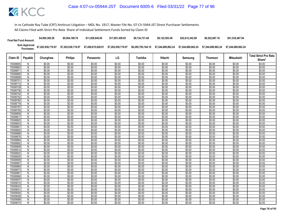| <b>Final Net Fund Amount:</b> | \$4,995,385.28     | \$9,564,189.78     | \$11.829.645.65    | \$17.001.459.93    | \$9.134.731.48     | \$9.122.593.49     | \$22.612.342.89    | \$6,522,667.16     | \$51,535,487.94    |
|-------------------------------|--------------------|--------------------|--------------------|--------------------|--------------------|--------------------|--------------------|--------------------|--------------------|
| Sum Approved<br>:Purchases    | \$7,202,938,719.97 | \$7,202,938,719.97 | \$7,458,815,028.91 | \$7,202,938,719.97 | \$6,285,795,184.10 | \$7.244.689.862.24 | \$7.244.689.862.24 | \$7.244.689.862.24 | \$7.244.689.862.24 |

| Share*<br>\$0.00<br>\$0.00 |
|----------------------------|
|                            |
|                            |
|                            |
| \$0.00                     |
| \$0.00                     |
| \$0.00                     |
| \$0.00                     |
| \$0.00                     |
| \$0.00                     |
| \$0.00                     |
| \$0.00                     |
| \$0.00                     |
| \$0.00                     |
| \$0.00                     |
| \$0.00                     |
| \$0.00                     |
| \$0.00                     |
| \$0.00                     |
| \$0.00                     |
| \$0.00                     |
| \$0.00                     |
| \$0.00                     |
| \$0.00                     |
| \$0.00                     |
| \$0.00                     |
| \$0.00                     |
| \$0.00                     |
| \$0.00                     |
| \$0.00                     |
| \$0.00                     |
| \$0.00<br>\$0.00           |
| \$0.00                     |
| \$0.00                     |
| \$0.00                     |
| \$0.00                     |
| \$0.00                     |
| \$0.00                     |
| \$0.00                     |
| \$0.00                     |
| \$0.00                     |
| \$0.00                     |
| \$0.00                     |
| \$0.00                     |
|                            |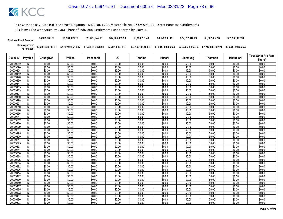| <b>Final Net Fund Amount:</b> | \$4,995,385.28     | \$9,564,189.78     | \$11.829.645.65    | \$17.001.459.93    | \$9.134.731.48     | \$9.122.593.49     | \$22.612.342.89    | \$6,522,667.16     | \$51,535,487.94    |
|-------------------------------|--------------------|--------------------|--------------------|--------------------|--------------------|--------------------|--------------------|--------------------|--------------------|
| Sum Approved<br>:Purchases    | \$7,202,938,719.97 | \$7,202,938,719.97 | \$7,458,815,028.91 | \$7,202,938,719.97 | \$6,285,795,184.10 | \$7.244.689.862.24 | \$7.244.689.862.24 | \$7.244.689.862.24 | \$7.244.689.862.24 |

| <b>Philips</b><br>LG<br><b>Mitsubishi</b><br>Claim ID<br>Payable<br>Chunghwa<br>Toshiba<br>Hitachi<br>Panasonic<br>Samsung<br><b>Thomson</b><br>\$0.00<br>\$0.00<br>70009082<br>\$0.00<br>\$0.00<br>\$0.00<br>\$0.00<br>\$0.00<br>\$0.00<br>\$0.00<br>N<br>\$0.00<br>70009090<br>\$0.00<br>\$0.00<br>\$0.00<br>\$0.00<br>\$0.00<br>\$0.00<br>\$0.00<br>\$0.00<br>N<br>70009104<br>N<br>\$0.00<br>\$0.00<br>\$0.00<br>\$0.00<br>\$0.00<br>\$0.00<br>\$0.00<br>\$0.00<br>\$0.00<br>\$0.00<br>\$0.00<br>\$0.00<br>\$0.00<br>\$0.00<br>\$0.00<br>\$0.00<br>\$0.00<br>\$0.00<br>70009112<br>N<br>\$0.00<br>\$0.00<br>\$0.00<br>\$0.00<br>\$0.00<br>\$0.00<br>\$0.00<br>\$0.00<br>\$0.00<br>70009120<br>N<br>70009139<br>\$0.00<br>\$0.00<br>\$0.00<br>\$0.00<br>\$0.00<br>\$0.00<br>\$0.00<br>\$0.00<br>\$0.00<br>N<br>\$0.00<br>\$0.00<br>\$0.00<br>\$0.00<br>\$0.00<br>\$0.00<br>\$0.00<br>\$0.00<br>\$0.00<br>N<br>70009147 | Share*           |
|---------------------------------------------------------------------------------------------------------------------------------------------------------------------------------------------------------------------------------------------------------------------------------------------------------------------------------------------------------------------------------------------------------------------------------------------------------------------------------------------------------------------------------------------------------------------------------------------------------------------------------------------------------------------------------------------------------------------------------------------------------------------------------------------------------------------------------------------------------------------------------------------------------------------------|------------------|
|                                                                                                                                                                                                                                                                                                                                                                                                                                                                                                                                                                                                                                                                                                                                                                                                                                                                                                                           |                  |
|                                                                                                                                                                                                                                                                                                                                                                                                                                                                                                                                                                                                                                                                                                                                                                                                                                                                                                                           | \$0.00           |
|                                                                                                                                                                                                                                                                                                                                                                                                                                                                                                                                                                                                                                                                                                                                                                                                                                                                                                                           | \$0.00           |
|                                                                                                                                                                                                                                                                                                                                                                                                                                                                                                                                                                                                                                                                                                                                                                                                                                                                                                                           | \$0.00           |
|                                                                                                                                                                                                                                                                                                                                                                                                                                                                                                                                                                                                                                                                                                                                                                                                                                                                                                                           | \$0.00           |
|                                                                                                                                                                                                                                                                                                                                                                                                                                                                                                                                                                                                                                                                                                                                                                                                                                                                                                                           | \$0.00           |
|                                                                                                                                                                                                                                                                                                                                                                                                                                                                                                                                                                                                                                                                                                                                                                                                                                                                                                                           | \$0.00           |
|                                                                                                                                                                                                                                                                                                                                                                                                                                                                                                                                                                                                                                                                                                                                                                                                                                                                                                                           | \$0.00           |
| \$0.00<br>\$0.00<br>\$0.00<br>\$0.00<br>\$0.00<br>70009155<br>N<br>\$0.00<br>\$0.00<br>\$0.00<br>\$0.00                                                                                                                                                                                                                                                                                                                                                                                                                                                                                                                                                                                                                                                                                                                                                                                                                   | \$0.00           |
| \$0.00<br>\$0.00<br>\$0.00<br>\$0.00<br>\$0.00<br>70009163<br>\$0.00<br>\$0.00<br>\$0.00<br>\$0.00<br>N                                                                                                                                                                                                                                                                                                                                                                                                                                                                                                                                                                                                                                                                                                                                                                                                                   | \$0.00           |
| $\overline{N}$<br>\$0.00<br>\$0.00<br>\$0.00<br>\$0.00<br>\$0.00<br>\$0.00<br>\$0.00<br>\$0.00<br>\$0.00<br>70009171                                                                                                                                                                                                                                                                                                                                                                                                                                                                                                                                                                                                                                                                                                                                                                                                      | \$0.00           |
| \$0.00<br>\$0.00<br>\$0.00<br>\$0.00<br>\$0.00<br>\$0.00<br>\$0.00<br>\$0.00<br>70009180<br>N<br>\$0.00                                                                                                                                                                                                                                                                                                                                                                                                                                                                                                                                                                                                                                                                                                                                                                                                                   | \$0.00           |
| \$0.00<br>\$0.00<br>\$0.00<br>\$0.00<br>\$0.00<br>\$0.00<br>\$0.00<br>\$0.00<br>\$0.00<br>70009198<br>N                                                                                                                                                                                                                                                                                                                                                                                                                                                                                                                                                                                                                                                                                                                                                                                                                   | \$0.00           |
| \$0.00<br>\$0.00<br>\$0.00<br>70009201<br>\$0.00<br>\$0.00<br>\$0.00<br>\$0.00<br>\$0.00<br>\$0.00<br>N                                                                                                                                                                                                                                                                                                                                                                                                                                                                                                                                                                                                                                                                                                                                                                                                                   | \$0.00           |
| \$0.00<br>\$0.00<br>\$0.00<br>\$0.00<br>\$0.00<br>\$0.00<br>\$0.00<br>\$0.00<br>70009210<br>N<br>\$0.00                                                                                                                                                                                                                                                                                                                                                                                                                                                                                                                                                                                                                                                                                                                                                                                                                   | \$0.00           |
| \$0.00<br>\$0.00<br>\$0.00<br>\$0.00<br>\$0.00<br>\$0.00<br>\$0.00<br>\$0.00<br>\$0.00<br>70009228<br>N                                                                                                                                                                                                                                                                                                                                                                                                                                                                                                                                                                                                                                                                                                                                                                                                                   | \$0.00           |
| \$0.00<br>\$0.00<br>70009236<br>N<br>\$0.00<br>\$0.00<br>\$0.00<br>\$0.00<br>\$0.00<br>\$0.00<br>\$0.00                                                                                                                                                                                                                                                                                                                                                                                                                                                                                                                                                                                                                                                                                                                                                                                                                   | \$0.00           |
| \$0.00<br>\$0.00<br>\$0.00<br>\$0.00<br>\$0.00<br>\$0.00<br>\$0.00<br>\$0.00<br>\$0.00<br>70009244<br>N                                                                                                                                                                                                                                                                                                                                                                                                                                                                                                                                                                                                                                                                                                                                                                                                                   | \$0.00           |
| $\overline{N}$<br>\$0.00<br>\$0.00<br>\$0.00<br>\$0.00<br>\$0.00<br>\$0.00<br>\$0.00<br>\$0.00<br>\$0.00<br>70009252                                                                                                                                                                                                                                                                                                                                                                                                                                                                                                                                                                                                                                                                                                                                                                                                      | \$0.00           |
| \$0.00<br>\$0.00<br>70009260<br>\$0.00<br>\$0.00<br>\$0.00<br>\$0.00<br>\$0.00<br>\$0.00<br>\$0.00<br>N                                                                                                                                                                                                                                                                                                                                                                                                                                                                                                                                                                                                                                                                                                                                                                                                                   | \$0.00           |
| \$0.00<br>\$0.00<br>\$0.00<br>\$0.00<br>\$0.00<br>\$0.00<br>\$0.00<br>70009279<br>N<br>\$0.00<br>\$0.00                                                                                                                                                                                                                                                                                                                                                                                                                                                                                                                                                                                                                                                                                                                                                                                                                   | \$0.00           |
| \$0.00<br>\$0.00<br>\$0.00<br>\$0.00<br>\$0.00<br>\$0.00<br>\$0.00<br>70009287<br>\$0.00<br>\$0.00<br>N                                                                                                                                                                                                                                                                                                                                                                                                                                                                                                                                                                                                                                                                                                                                                                                                                   | \$0.00           |
| \$0.00<br>\$0.00<br>\$0.00<br>\$0.00<br>\$0.00<br>\$0.00<br>\$0.00<br>70009295<br>N<br>\$0.00<br>\$0.00                                                                                                                                                                                                                                                                                                                                                                                                                                                                                                                                                                                                                                                                                                                                                                                                                   | \$0.00           |
| \$0.00<br>\$0.00<br>\$0.00<br>\$0.00<br>\$0.00<br>\$0.00<br>Ñ<br>\$0.00<br>\$0.00<br>\$0.00<br>70009309                                                                                                                                                                                                                                                                                                                                                                                                                                                                                                                                                                                                                                                                                                                                                                                                                   | \$0.00           |
| \$0.00<br>\$0.00<br>\$0.00<br>\$0.00<br>\$0.00<br>\$0.00<br>\$0.00<br>\$0.00<br>\$0.00<br>70009317<br>N                                                                                                                                                                                                                                                                                                                                                                                                                                                                                                                                                                                                                                                                                                                                                                                                                   | \$0.00           |
| \$0.00<br>70009325<br>\$0.00<br>\$0.00<br>\$0.00<br>\$0.00<br>\$0.00<br>\$0.00<br>\$0.00<br>\$0.00<br>N                                                                                                                                                                                                                                                                                                                                                                                                                                                                                                                                                                                                                                                                                                                                                                                                                   | \$0.00           |
| \$0.00<br>$\overline{N}$<br>\$0.00<br>\$0.00<br>\$0.00<br>\$0.00<br>\$0.00<br>\$0.00<br>\$0.00<br>\$0.00<br>7000933                                                                                                                                                                                                                                                                                                                                                                                                                                                                                                                                                                                                                                                                                                                                                                                                       | \$0.00           |
| \$0.00<br>\$0.00<br>\$0.00<br>\$0.00<br>\$0.00<br>\$0.00<br>\$0.00<br>\$0.00<br>\$0.00<br>7000934<br>N                                                                                                                                                                                                                                                                                                                                                                                                                                                                                                                                                                                                                                                                                                                                                                                                                    | \$0.00           |
| 70009350<br>\$0.00<br>\$0.00<br>\$0.00<br>\$0.00<br>\$0.00<br>\$0.00<br>\$0.00<br>\$0.00<br>\$0.00<br>N                                                                                                                                                                                                                                                                                                                                                                                                                                                                                                                                                                                                                                                                                                                                                                                                                   | \$0.00           |
| \$0.00<br>\$0.00<br>\$0.00<br>\$0.00<br>\$0.00<br>\$0.00<br>70009368<br>N<br>\$0.00<br>\$0.00<br>\$0.00<br>\$0.00<br>\$0.00<br>70009376                                                                                                                                                                                                                                                                                                                                                                                                                                                                                                                                                                                                                                                                                                                                                                                   | \$0.00           |
| \$0.00<br>\$0.00<br>\$0.00<br>\$0.00<br>\$0.00<br>\$0.00<br>\$0.00<br>N<br>\$0.00<br>\$0.00<br>\$0.00<br>\$0.00<br>\$0.00<br>\$0.00<br>\$0.00<br>\$0.00<br>70009384<br>N<br>\$0.00                                                                                                                                                                                                                                                                                                                                                                                                                                                                                                                                                                                                                                                                                                                                        | \$0.00<br>\$0.00 |
| \$0.00<br>\$0.00<br>\$0.00<br>70009392<br>\$0.00<br>\$0.00<br>\$0.00<br>\$0.00<br>\$0.00<br>\$0.00<br>N                                                                                                                                                                                                                                                                                                                                                                                                                                                                                                                                                                                                                                                                                                                                                                                                                   | \$0.00           |
| \$0.00<br>\$0.00<br>\$0.00<br>\$0.00<br>\$0.00<br>\$0.00<br>\$0.00<br>\$0.00<br>70009406<br>N<br>\$0.00                                                                                                                                                                                                                                                                                                                                                                                                                                                                                                                                                                                                                                                                                                                                                                                                                   | \$0.00           |
| \$0.00<br>\$0.00<br>\$0.00<br>\$0.00<br>\$0.00<br>\$0.00<br>\$0.00<br>\$0.00<br>\$0.00<br>70009414<br>N                                                                                                                                                                                                                                                                                                                                                                                                                                                                                                                                                                                                                                                                                                                                                                                                                   | \$0.00           |
| \$0.00<br>\$0.00<br>\$0.00<br>\$0.00<br>\$0.00<br>\$0.00<br>\$0.00<br>\$0.00<br>\$0.00<br>70009422<br>N                                                                                                                                                                                                                                                                                                                                                                                                                                                                                                                                                                                                                                                                                                                                                                                                                   | \$0.00           |
| \$0.00<br>\$0.00<br>\$0.00<br>70009430<br>\$0.00<br>\$0.00<br>\$0.00<br>\$0.00<br>\$0.00<br>\$0.00<br>N                                                                                                                                                                                                                                                                                                                                                                                                                                                                                                                                                                                                                                                                                                                                                                                                                   | \$0.00           |
| $\overline{N}$<br>\$0.00<br>\$0.00<br>\$0.00<br>\$0.00<br>\$0.00<br>\$0.00<br>\$0.00<br>\$0.00<br>\$0.00<br>70009449                                                                                                                                                                                                                                                                                                                                                                                                                                                                                                                                                                                                                                                                                                                                                                                                      | \$0.00           |
| \$0.00<br>\$0.00<br>70009457<br>\$0.00<br>\$0.00<br>\$0.00<br>\$0.00<br>\$0.00<br>\$0.00<br>\$0.00<br>N                                                                                                                                                                                                                                                                                                                                                                                                                                                                                                                                                                                                                                                                                                                                                                                                                   | \$0.00           |
| \$0.00<br>\$0.00<br>\$0.00<br>\$0.00<br>\$0.00<br>\$0.00<br>\$0.00<br>\$0.00<br>\$0.00<br>70009465<br>N                                                                                                                                                                                                                                                                                                                                                                                                                                                                                                                                                                                                                                                                                                                                                                                                                   | \$0.00           |
| \$0.00<br>\$0.00<br>\$0.00<br>\$0.00<br>\$0.00<br>\$0.00<br>\$0.00<br>\$0.00<br>\$0.00<br>70009473<br>N                                                                                                                                                                                                                                                                                                                                                                                                                                                                                                                                                                                                                                                                                                                                                                                                                   | \$0.00           |
| \$0.00<br>\$0.00<br>\$0.00<br>\$0.00<br>70009481<br>N<br>\$0.00<br>\$0.00<br>\$0.00<br>\$0.00<br>\$0.00                                                                                                                                                                                                                                                                                                                                                                                                                                                                                                                                                                                                                                                                                                                                                                                                                   | \$0.00           |
| \$0.00<br>\$0.00<br>\$0.00<br>\$0.00<br>\$0.00<br>\$0.00<br>\$0.00<br>\$0.00<br>70009490<br>N<br>\$0.00                                                                                                                                                                                                                                                                                                                                                                                                                                                                                                                                                                                                                                                                                                                                                                                                                   | \$0.00           |
| \$0.00<br>\$0.00<br>\$0.00<br>70009503<br>Ñ<br>\$0.00<br>\$0.00<br>\$0.00<br>\$0.00<br>\$0.00<br>\$0.00                                                                                                                                                                                                                                                                                                                                                                                                                                                                                                                                                                                                                                                                                                                                                                                                                   | \$0.00           |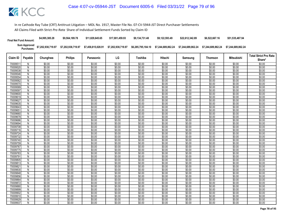| <b>Final Net Fund Amount:</b> | \$4,995,385.28     | \$9,564,189.78     | \$11.829.645.65    | \$17.001.459.93    | \$9.134.731.48     | \$9.122.593.49     | \$22.612.342.89    | \$6,522,667.16     | \$51,535,487.94    |
|-------------------------------|--------------------|--------------------|--------------------|--------------------|--------------------|--------------------|--------------------|--------------------|--------------------|
| Sum Approved<br>:Purchases    | \$7,202,938,719.97 | \$7,202,938,719.97 | \$7,458,815,028.91 | \$7,202,938,719.97 | \$6,285,795,184.10 | \$7.244.689.862.24 | \$7.244.689.862.24 | \$7.244.689.862.24 | \$7.244.689.862.24 |

|                      |                     |                  |                  |                  |                  |                  |                  |                  |                  |                   | <b>Total Strict Pro Rata</b> |
|----------------------|---------------------|------------------|------------------|------------------|------------------|------------------|------------------|------------------|------------------|-------------------|------------------------------|
| Claim ID             | Payable             | Chunghwa         | <b>Philips</b>   | Panasonic        | LG               | Toshiba          | Hitachi          | Samsung          | <b>Thomson</b>   | <b>Mitsubishi</b> | Share*                       |
| 70009511             | N                   | \$0.00           | \$0.00           | \$0.00           | \$0.00           | \$0.00           | \$0.00           | \$0.00           | \$0.00           | \$0.00            | \$0.00                       |
| 70009520             | $\mathsf{N}$        | \$0.00           | \$0.00           | \$0.00           | \$0.00           | \$0.00           | \$0.00           | \$0.00           | \$0.00           | \$0.00            | \$0.00                       |
| 70009538             | N                   | \$0.00           | \$0.00           | \$0.00           | \$0.00           | \$0.00           | \$0.00           | \$0.00           | \$0.00           | \$0.00            | \$0.00                       |
| 70009546             | N                   | \$0.00           | \$0.00           | \$0.00           | \$0.00           | \$0.00           | \$0.00           | \$0.00           | \$0.00           | \$0.00            | \$0.00                       |
| 70009554             | N                   | \$0.00           | \$0.00           | \$0.00           | \$0.00           | \$0.00           | \$0.00           | \$0.00           | \$0.00           | \$0.00            | \$0.00                       |
| 70009562             | N                   | \$0.00           | \$0.00           | \$0.00           | \$0.00           | \$0.00           | \$0.00           | \$0.00           | \$0.00           | \$0.00            | \$0.00                       |
| 70009570             | N                   | \$0.00           | \$0.00           | \$0.00           | \$0.00           | \$0.00           | \$0.00           | \$0.00           | \$0.00           | \$0.00            | \$0.00                       |
| 70009589             | N                   | \$0.00           | \$0.00           | \$0.00           | \$0.00           | \$0.00           | \$0.00           | \$0.00           | \$0.00           | \$0.00            | \$0.00                       |
| 70009597             | N                   | \$0.00           | \$0.00           | \$0.00           | \$0.00           | \$0.00           | \$0.00           | \$0.00           | \$0.00           | \$0.00            | \$0.00                       |
| 70009600             | $\overline{N}$      | \$0.00           | \$0.00           | \$0.00           | \$0.00           | \$0.00           | \$0.00           | \$0.00           | \$0.00           | \$0.00            | \$0.00                       |
| 70009619             | $\mathsf{N}$        | \$0.00           | \$0.00           | \$0.00           | \$0.00           | \$0.00           | \$0.00           | \$0.00           | \$0.00           | \$0.00            | \$0.00                       |
| 70009627             | N                   | \$0.00           | \$0.00           | \$0.00           | \$0.00           | \$0.00           | \$0.00           | \$0.00           | \$0.00           | \$0.00            | \$0.00                       |
| 70009635             | $\mathsf{N}$        | \$0.00           | \$0.00           | \$0.00           | \$0.00           | \$0.00           | \$0.00           | \$0.00           | \$0.00           | \$0.00            | \$0.00                       |
| 70009643             | N                   | \$0.00           | \$0.00           | \$0.00           | \$0.00           | \$0.00           | \$0.00           | \$0.00           | \$0.00           | \$0.00            | \$0.00                       |
| 7000965              | $\overline{N}$      | \$0.00           | \$0.00           | \$0.00           | \$0.00           | \$0.00           | \$0.00           | \$0.00           | \$0.00           | \$0.00            | \$0.00                       |
| 70009660             | N                   | \$0.00           | \$0.00           | \$0.00           | \$0.00           | \$0.00           | \$0.00           | \$0.00           | \$0.00           | \$0.00            | \$0.00                       |
| 70009678             | N                   | \$0.00           | \$0.00           | \$0.00           | \$0.00           | \$0.00           | \$0.00           | \$0.00           | \$0.00           | \$0.00            | \$0.00                       |
| 70009686             | $\overline{N}$      | \$0.00           | \$0.00           | \$0.00           | \$0.00           | \$0.00           | \$0.00           | \$0.00           | \$0.00           | \$0.00            | \$0.00                       |
| 70009694             | N                   | \$0.00           | \$0.00           | \$0.00           | \$0.00           | \$0.00           | \$0.00           | \$0.00           | \$0.00           | \$0.00            | \$0.00                       |
| 70009708             | N                   | \$0.00           | \$0.00           | \$0.00           | \$0.00           | \$0.00           | \$0.00           | \$0.00           | \$0.00           | \$0.00            | \$0.00                       |
| 70009716             | N                   | \$0.00           | \$0.00           | \$0.00           | \$0.00           | \$0.00           | \$0.00           | \$0.00           | \$0.00           | \$0.00            | \$0.00                       |
| 70009724             | $\mathsf{N}$        | \$0.00           | \$0.00           | \$0.00           | \$0.00           | \$0.00           | \$0.00           | \$0.00           | \$0.00           | \$0.00            | \$0.00                       |
| 70009732             | N                   | \$0.00           | \$0.00           | \$0.00           | \$0.00           | \$0.00           | \$0.00           | \$0.00           | \$0.00           | \$0.00            | \$0.00                       |
| 70009740             | N                   | \$0.00           | \$0.00           | \$0.00           | \$0.00           | \$0.00           | \$0.00           | \$0.00           | \$0.00           | \$0.00            | \$0.00                       |
| 70009759             | N<br>$\overline{N}$ | \$0.00           | \$0.00           | \$0.00           | \$0.00           | \$0.00           | \$0.00           | \$0.00           | \$0.00           | \$0.00            | \$0.00                       |
| 70009767<br>70009775 | N                   | \$0.00<br>\$0.00 | \$0.00<br>\$0.00 | \$0.00<br>\$0.00 | \$0.00<br>\$0.00 | \$0.00<br>\$0.00 | \$0.00<br>\$0.00 | \$0.00<br>\$0.00 | \$0.00<br>\$0.00 | \$0.00<br>\$0.00  | \$0.00<br>\$0.00             |
| 70009783             | N                   | \$0.00           | \$0.00           | \$0.00           | \$0.00           | \$0.00           | \$0.00           | \$0.00           | \$0.00           | \$0.00            | \$0.00                       |
| 70009791             | $\overline{N}$      | \$0.00           | \$0.00           | \$0.00           | \$0.00           | \$0.00           | \$0.00           | \$0.00           | \$0.00           | \$0.00            | \$0.00                       |
| 7000980              | N                   | \$0.00           | \$0.00           | \$0.00           | \$0.00           | \$0.00           | \$0.00           | \$0.00           | \$0.00           | \$0.00            | \$0.00                       |
| 7000981              | Ñ                   | \$0.00           | \$0.00           | \$0.00           | \$0.00           | \$0.00           | \$0.00           | \$0.00           | \$0.00           | \$0.00            | \$0.00                       |
| 7000982              | N                   | \$0.00           | \$0.00           | \$0.00           | \$0.00           | \$0.00           | \$0.00           | \$0.00           | \$0.00           | \$0.00            | \$0.00                       |
| 70009830             | N                   | \$0.00           | \$0.00           | \$0.00           | \$0.00           | \$0.00           | \$0.00           | \$0.00           | \$0.00           | \$0.00            | \$0.00                       |
| 70009848             | $\overline{N}$      | \$0.00           | \$0.00           | \$0.00           | \$0.00           | \$0.00           | \$0.00           | \$0.00           | \$0.00           | \$0.00            | \$0.00                       |
| 70009856             | N                   | \$0.00           | \$0.00           | \$0.00           | \$0.00           | \$0.00           | \$0.00           | \$0.00           | \$0.00           | \$0.00            | \$0.00                       |
| 70009864             | $\mathsf{N}$        | \$0.00           | \$0.00           | \$0.00           | \$0.00           | \$0.00           | \$0.00           | \$0.00           | \$0.00           | \$0.00            | \$0.00                       |
| 70009872             | $\overline{N}$      | \$0.00           | \$0.00           | \$0.00           | \$0.00           | \$0.00           | \$0.00           | \$0.00           | \$0.00           | \$0.00            | \$0.00                       |
| 70009880             | $\mathsf{N}$        | \$0.00           | \$0.00           | \$0.00           | \$0.00           | \$0.00           | \$0.00           | \$0.00           | \$0.00           | \$0.00            | \$0.00                       |
| 70009899             | N                   | \$0.00           | \$0.00           | \$0.00           | \$0.00           | \$0.00           | \$0.00           | \$0.00           | \$0.00           | \$0.00            | \$0.00                       |
| 70009902             | N                   | \$0.00           | \$0.00           | \$0.00           | \$0.00           | \$0.00           | \$0.00           | \$0.00           | \$0.00           | \$0.00            | \$0.00                       |
| 70009910             | N                   | \$0.00           | \$0.00           | \$0.00           | \$0.00           | \$0.00           | \$0.00           | \$0.00           | \$0.00           | \$0.00            | \$0.00                       |
| 7000992              | N                   | \$0.00           | \$0.00           | \$0.00           | \$0.00           | \$0.00           | \$0.00           | \$0.00           | \$0.00           | \$0.00            | \$0.00                       |
| 70009937             | Ñ                   | \$0.00           | \$0.00           | \$0.00           | \$0.00           | \$0.00           | \$0.00           | \$0.00           | \$0.00           | \$0.00            | \$0.00                       |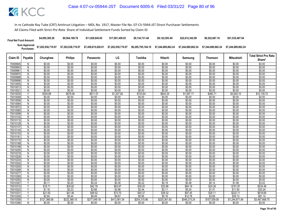| <b>Final Net Fund Amount:</b>      | \$4,995,385.28     | \$9.564.189.78     | \$11,829,645,65    | \$17.001.459.93    | \$9.134.731.48     | \$9.122.593.49     | \$22,612,342.89    | \$6,522,667.16     | \$51,535,487.94    |
|------------------------------------|--------------------|--------------------|--------------------|--------------------|--------------------|--------------------|--------------------|--------------------|--------------------|
| <b>Sum Approved<br/>Purchases:</b> | \$7,202,938,719.97 | \$7,202,938,719.97 | \$7,458,815,028.91 | \$7,202,938,719.97 | \$6.285.795.184.10 | \$7.244.689.862.24 | \$7.244.689.862.24 | \$7.244.689.862.24 | \$7.244.689.862.24 |

|                      |                     |                  |                  |                  |                  |                  |                  |                  |                  |                   | <b>Total Strict Pro Rata</b> |
|----------------------|---------------------|------------------|------------------|------------------|------------------|------------------|------------------|------------------|------------------|-------------------|------------------------------|
| Claim ID             | Payable             | Chunghwa         | <b>Philips</b>   | Panasonic        | LG               | Toshiba          | Hitachi          | Samsung          | Thomson          | <b>Mitsubishi</b> | Share*                       |
| 70009945             | N                   | \$0.00           | \$0.00           | \$0.00           | \$0.00           | \$0.00           | \$0.00           | \$0.00           | \$0.00           | \$0.00            | \$0.00                       |
| 70009953             | N                   | \$0.00           | \$0.00           | \$0.00           | \$0.00           | \$0.00           | \$0.00           | \$0.00           | \$0.00           | \$0.00            | \$0.00                       |
| 70009961             | N                   | \$0.00           | \$0.00           | \$0.00           | \$0.00           | \$0.00           | \$0.00           | \$0.00           | \$0.00           | \$0.00            | \$0.00                       |
| 70009970             | N                   | \$0.00           | \$0.00           | \$0.00           | \$0.00           | \$0.00           | \$0.00           | \$0.00           | \$0.00           | \$0.00            | \$0.00                       |
| 70009988             | N                   | \$0.00           | \$0.00           | \$0.00           | \$0.00           | \$0.00           | \$0.00           | \$0.00           | \$0.00           | \$0.00            | \$0.00                       |
| 70009996             | N                   | \$0.00           | \$0.00           | \$0.00           | \$0.00           | \$0.00           | \$0.00           | \$0.00           | \$0.00           | \$0.00            | \$0.00                       |
| 70010005             | N                   | \$0.00           | \$0.00           | \$0.00           | \$0.00           | \$0.00           | \$0.00           | \$0.00           | \$0.00           | \$0.00            | \$0.00                       |
| 70010013             | N                   | \$0.00           | \$0.00           | \$0.00           | \$0.00           | \$0.00           | \$0.00           | \$0.00           | \$0.00           | \$0.00            | \$0.00                       |
| 7001002              | N                   | \$0.00           | \$0.00           | \$0.00           | \$0.00           | \$0.00           | \$0.00           | \$0.00           | \$0.00           | \$0.00            | \$0.00                       |
| 70010030             | Y                   | \$354.88         | \$679.46         | \$811.57         | \$1,207.82       | \$743.64         | \$644.35         | \$1,597.17       | \$460.71         | \$3,640.10        | \$10,139.72                  |
| 70010048             | N                   | \$0.00           | \$0.00           | \$0.00           | \$0.00           | \$0.00           | \$0.00           | \$0.00           | \$0.00           | \$0.00            | \$0.00                       |
| 70010056             | N                   | \$0.00           | \$0.00           | \$0.00           | \$0.00           | \$0.00           | \$0.00           | \$0.00           | \$0.00           | \$0.00            | \$0.00                       |
| 70010064             | N                   | \$0.00           | \$0.00           | \$0.00           | \$0.00           | \$0.00           | \$0.00           | \$0.00           | \$0.00           | \$0.00            | \$0.00                       |
| 70010072             | N                   | \$0.00           | \$0.00           | \$0.00           | \$0.00           | \$0.00           | \$0.00           | \$0.00           | \$0.00           | \$0.00            | \$0.00                       |
| 70010080             | N                   | \$0.00           | \$0.00           | \$0.00           | \$0.00           | \$0.00           | \$0.00           | \$0.00           | \$0.00           | \$0.00            | \$0.00                       |
| 70010099             | N                   | \$0.00           | \$0.00           | \$0.00           | \$0.00           | \$0.00           | \$0.00           | \$0.00           | \$0.00           | \$0.00            | \$0.00                       |
| 70010102             | N                   | \$0.00           | \$0.00           | \$0.00           | \$0.00           | \$0.00           | \$0.00           | \$0.00           | \$0.00           | \$0.00            | \$0.00                       |
| 70010110             | $\overline{N}$      | \$0.00           | \$0.00           | \$0.00           | \$0.00           | \$0.00           | \$0.00           | \$0.00           | \$0.00           | \$0.00            | \$0.00                       |
| 70010129             | N                   | \$0.00           | \$0.00           | \$0.00           | \$0.00           | \$0.00           | \$0.00           | \$0.00           | \$0.00           | \$0.00            | \$0.00                       |
| 70010137             | N                   | \$0.00           | \$0.00           | \$0.00           | \$0.00           | \$0.00           | \$0.00           | \$0.00           | \$0.00           | \$0.00            | \$0.00                       |
| 70010145             | Ñ                   | \$0.00           | \$0.00           | \$0.00           | \$0.00           | \$0.00           | \$0.00           | \$0.00           | \$0.00           | \$0.00            | \$0.00                       |
| 70010153             | N                   | \$0.00           | \$0.00           | \$0.00           | \$0.00           | \$0.00           | \$0.00           | \$0.00           | \$0.00           | \$0.00            | \$0.00                       |
| 7001016              | Ñ                   | \$0.00           | \$0.00           | \$0.00           | \$0.00           | \$0.00           | \$0.00           | \$0.00           | \$0.00           | \$0.00            | \$0.00                       |
| 70010170             | N                   | \$0.00           | \$0.00           | \$0.00           | \$0.00           | \$0.00           | \$0.00           | \$0.00           | \$0.00           | \$0.00            | \$0.00                       |
| 70010188<br>70010196 | N<br>$\overline{N}$ | \$0.00<br>\$0.00 | \$0.00<br>\$0.00 | \$0.00<br>\$0.00 | \$0.00<br>\$0.00 | \$0.00<br>\$0.00 | \$0.00<br>\$0.00 | \$0.00<br>\$0.00 | \$0.00<br>\$0.00 | \$0.00<br>\$0.00  | \$0.00<br>\$0.00             |
| 70010200             |                     | \$0.00           | \$0.00           | \$0.00           | \$0.00           | \$0.00           | \$0.00           | \$0.00           | \$0.00           | \$0.00            | \$0.00                       |
| 70010218             | N<br>N              | \$0.00           | \$0.00           | \$0.00           | \$0.00           | \$0.00           | \$0.00           | \$0.00           | \$0.00           | \$0.00            | \$0.00                       |
| 70010226             | N                   | \$0.00           | \$0.00           | \$0.00           | \$0.00           | \$0.00           | \$0.00           | \$0.00           | \$0.00           | \$0.00            | \$0.00                       |
| 70010234             | N                   | \$0.00           | \$0.00           | \$0.00           | \$0.00           | \$0.00           | \$0.00           | \$0.00           | \$0.00           | \$0.00            | \$0.00                       |
| 70010242             | N                   | \$0.00           | \$0.00           | \$0.00           | \$0.00           | \$0.00           | \$0.00           | \$0.00           | \$0.00           | \$0.00            | \$0.00                       |
| 70010250             | N                   | \$0.00           | \$0.00           | \$0.00           | \$0.00           | \$0.00           | \$0.00           | \$0.00           | \$0.00           | \$0.00            | \$0.00                       |
| 70010269             | N                   | \$0.00           | \$0.00           | \$0.00           | \$0.00           | \$0.00           | \$0.00           | \$0.00           | \$0.00           | \$0.00            | \$0.00                       |
| 70010277             | N                   | \$0.00           | \$0.00           | \$0.00           | \$0.00           | \$0.00           | \$0.00           | \$0.00           | \$0.00           | \$0.00            | \$0.00                       |
| 70010285             | N                   | \$0.00           | \$0.00           | \$0.00           | \$0.00           | \$0.00           | \$0.00           | \$0.00           | \$0.00           | \$0.00            | \$0.00                       |
| 70010293             | N                   | \$0.00           | \$0.00           | \$0.00           | \$0.00           | \$0.00           | \$0.00           | \$0.00           | \$0.00           | \$0.00            | \$0.00                       |
| 70010307             | Y                   | \$0.11           | \$0.20           | \$0.24           | \$0.36           | \$0.22           | \$0.19           | \$0.48           | \$0.14           | \$1.08            | \$3.02                       |
| 70010315             | $\checkmark$        | \$18.71          | \$35.82          | \$42.78          | \$63.67          | \$39.20          | \$33.96          | \$84.19          | \$24.28          | \$191.87          | \$534.48                     |
| 70010323             |                     | \$1.16           | \$2.23           | \$2.66           | \$3.96           | \$2.44           | \$2.11           | \$5.24           | \$1.51           | \$11.93           | \$33.24                      |
| 7001033              | Υ                   | \$21.65          | \$41.46          | \$49.52          | \$73.70          | \$45.37          | \$39.32          | \$97.45          | \$28.11          | \$222.11          | \$618.69                     |
| 70010340             | Υ                   | \$2.84           | \$5.44           | \$6.49           | \$9.67           | \$5.95           | \$5.16           | \$12.78          | \$3.69           | \$29.13           | \$81.14                      |
| 70010358             | $\checkmark$        | \$121,366.08     | \$232,368.10     | \$277,549.18     | \$413,061.34     | \$254,315.96     | \$220,361.93     | \$546,215.24     | \$157,559.09     | \$1,244,871.84    | \$3,467,668.75               |
| 70010366             | N                   | \$0.00           | \$0.00           | \$0.00           | \$0.00           | \$0.00           | \$0.00           | \$0.00           | \$0.00           | \$0.00            | \$0.00                       |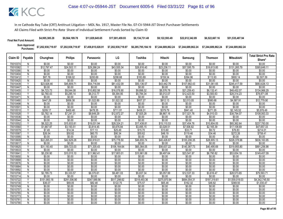| <b>Final Net Fund Amount:</b> | \$4.995.385.28 | \$9,564,189.78     | \$11.829.645.65    | \$17,001,459.93    | \$9.134.731.48                                                 | \$9.122.593.49 | \$22,612,342,89 | \$6,522,667.16     | \$51,535,487.94    |
|-------------------------------|----------------|--------------------|--------------------|--------------------|----------------------------------------------------------------|----------------|-----------------|--------------------|--------------------|
|                               |                | \$7,202,938,719.97 | \$7,458,815,028.91 | \$7,202,938,719.97 | \$6,285,795,184.10    \$7,244,689,862.24    \$7,244,689,862.24 |                |                 | \$7.244.689.862.24 | \$7.244.689.862.24 |

|                      |                                |                   |                   |                   | LG                | Toshiba           | Hitachi           |                    |                   | <b>Mitsubishi</b>      | <b>Total Strict Pro Rata</b> |
|----------------------|--------------------------------|-------------------|-------------------|-------------------|-------------------|-------------------|-------------------|--------------------|-------------------|------------------------|------------------------------|
| Claim ID             | Payable                        | Chunghwa          | <b>Philips</b>    | Panasonic         |                   |                   |                   | Samsung            | <b>Thomson</b>    |                        | Share*                       |
| 70010374             | N                              | \$0.00            | \$0.00            | \$0.00            | \$0.00            | \$0.00            | \$0.00            | \$0.00             | \$0.00            | \$0.00                 | \$0.00                       |
| 70010382             | Y                              | \$12,797.47       | \$24,502.11       | \$29,266.24       | \$43,555.34       | \$26,816.40       | \$23,236.11       | \$57,595.79        | \$16,613.85       | \$131,265.79           | \$365,649.11                 |
| 70010390             | N                              | \$0.00            | \$0.00            | \$0.00            | \$0.00            | \$0.00            | \$0.00            | \$0.00             | \$0.00            | \$0.00                 | \$0.00                       |
| 70010404             | $\overline{N}$                 | \$0.00            | \$0.00            | \$0.00            | \$0.00            | \$0.00            | \$0.00            | \$0.00             | \$0.00            | \$0.00                 | \$0.00                       |
| 70010412             | Y                              | \$87.76           | \$168.02          | \$200.69          | \$298.68          | \$183.89          | \$159.34          | \$394.96           | \$113.93          | \$900.14               | \$2,507.39                   |
| 70010420             | N                              | \$0.00            | \$0.00            | \$0.00            | \$0.00            | \$0.00            | \$0.00            | \$0.00             | \$0.00            | \$0.00                 | \$0.00                       |
| 70010439             | Y                              | \$23,926.46       | \$45,809.71       | \$54,716.84       | \$81,432.09       | \$50,136.57       | \$43,442.78       | \$107,682.43       | \$31,061.65       | \$245,417.59           | \$683,626.13                 |
| 70010447             | N                              | \$0.00            | \$0.00            | \$0.00            | \$0.00            | \$0.00            | \$0.00            | \$0.00             | \$0.00            | \$0.00                 | \$0.00                       |
| 70010455             | ٧                              | \$4,723.73        | \$9,044.08        | \$10,802.58       | \$16,076.90       | \$9,898.32        | \$8,576.78        | \$21,259.43        | \$6,132.41        | \$48,452.07            | \$134,966.29                 |
| 70010463             | Y                              | \$2,760.43        | \$5,285.14        | \$6,312.77        | \$9,394.95        | \$5,784.34        | \$5,012.07        | \$12,423.50        | \$3,583.63        | \$28,314.23            | \$78,871.08                  |
| 70010471             | N                              | \$0.00            | \$0.00            | \$0.00            | \$0.00            | \$0.00            | \$0.00            | \$0.00             | \$0.00            | \$0.00                 | \$0.00                       |
| 70010480             | V                              | \$447.29          | \$856.38          | \$1,022.89        | \$1.522.32        | \$937.27          | \$812.13          | \$2,013.05         | \$580.68          | \$4,587.91             | \$12,779.90                  |
| 70010498             | N                              | \$0.00            | \$0.00            | \$0.00            | \$0.00            | \$0.00            | \$0.00            | \$0.00             | \$0.00            | \$0.00                 | \$0.00                       |
| 70010501             | N                              | \$0.00            | \$0.00            | \$0.00            | \$0.00            | \$0.00            | \$0.00            | \$0.00             | \$0.00            | \$0.00                 | \$0.00                       |
| 70010510             | $\checkmark$                   | \$209.17          | \$400.48          | \$478.35          | \$711.91          | \$438.31          | \$379.79          | \$941.40           | \$271.55          | \$2,145.52             | \$5.976.49                   |
| 70010528             | Y                              | \$3,782.14        | \$7,241.31        | \$8,649.29        | \$12,872.27       | \$7,925.28        | \$6,867.16        | \$17,021.76        | \$4,910.03        | \$38,794.07            | \$108,063.33                 |
| 70010536             | N                              | \$0.00            | \$0.00            | \$0.00            | \$0.00            | \$0.00            | \$0.00            | \$0.00             | \$0.00            | \$0.00                 | \$0.00                       |
| 70010544             | $\overline{N}$<br>$\checkmark$ | \$0.00            | \$0.00            | \$0.00            | \$0.00            | \$0.00            | \$0.00            | \$0.00             | \$0.00            | \$0.00                 | \$0.00                       |
| 70010552             |                                | \$8,322.25        | \$15,933.81       | \$19,031.94       | \$28,324.21       | \$17,438.81       | \$15,110.53       | \$37,454.76        | \$10,804.05       | \$85,362.64            | \$237,783.00                 |
| 70010560             | Y<br>Υ                         | \$1,667.97        | \$3,193.51        | \$3,814.45        | \$5,676.84        | \$3,495.15        | \$3,028.51        | \$7,506.82         | \$2,165.39        | \$17,108.69            | \$47,657.33                  |
| 70010579             | Υ                              | \$7.49            | \$14.34           | \$17.13           | \$25.49           | \$15.70           | \$13.60           | \$33.71            | \$9.72            | \$76.83                | \$214.01                     |
| 70010587             | $\overline{N}$                 | \$26.54<br>\$0.00 | \$50.82<br>\$0.00 | \$60.70<br>\$0.00 | \$90.34<br>\$0.00 | \$55.62<br>\$0.00 | \$48.19<br>\$0.00 | \$119.46<br>\$0.00 | \$34.46<br>\$0.00 | \$272.26               | \$758.41<br>\$0.00           |
| 70010595<br>70010609 | Υ                              | \$22,265.31       | \$42.629.28       | \$50.918.01       | \$75,778.50       | \$46,655.74       | \$40,426.67       | \$100.206.35       | \$28,905.13       | \$0.00<br>\$228,378.96 | \$636,163.95                 |
| 70010617             | N                              | \$0.00            | \$0.00            | \$0.00            | \$0.00            | \$0.00            | \$0.00            | \$0.00             | \$0.00            | \$0.00                 | \$0.00                       |
| 70010625             | Y                              | \$31,193.40       | \$59,723.03       | \$71,335.43       | \$106,164.64      | \$65,364.05       | \$56,637.22       | \$140,387.73       | \$40,495.69       | \$319,955.80           | \$891,256.98                 |
| 70010633             | N                              | \$0.00            | \$0.00            | \$0.00            | \$0.00            | \$0.00            | \$0.00            | \$0.00             | \$0.00            | \$0.00                 | \$0.00                       |
| 70010641             | Υ                              | \$5,230.90        | \$10,015.10       | \$11,962.41       | \$17,803.01       | \$10,961.06       | \$9,497.64        | \$23,541.97        | \$6,790.82        | \$53,654.18            | \$149,457.09                 |
| 70010650             | N                              | \$0.00            | \$0.00            | \$0.00            | \$0.00            | \$0.00            | \$0.00            | \$0.00             | \$0.00            | \$0.00                 | \$0.00                       |
| 70010668             | $\mathsf{N}$                   | \$0.00            | \$0.00            | \$0.00            | \$0.00            | \$0.00            | \$0.00            | \$0.00             | \$0.00            | \$0.00                 | \$0.00                       |
| 70010676             | N                              | \$0.00            | \$0.00            | \$0.00            | \$0.00            | \$0.00            | \$0.00            | \$0.00             | \$0.00            | \$0.00                 | \$0.00                       |
| 70010684             | N                              | \$0.00            | \$0.00            | \$0.00            | \$0.00            | \$0.00            | \$0.00            | \$0.00             | \$0.00            | \$0.00                 | \$0.00                       |
| 70010692             | N                              | \$0.00            | \$0.00            | \$0.00            | \$0.00            | \$0.00            | \$0.00            | \$0.00             | \$0.00            | \$0.00                 | \$0.00                       |
| 70010706             | Y                              | \$2,785.73        | \$5,333.57        | \$6,370.61        | \$9,481.03        | \$5,837.34        | \$5,057.99        | \$12,537.33        | \$3,616.47        | \$28,573.65            | \$79,593.71                  |
| 70010714             | N                              | \$0.00            | \$0.00            | \$0.00            | \$0.00            | \$0.00            | \$0.00            | \$0.00             | \$0.00            | \$0.00                 | \$0.00                       |
| 70010722             | Y                              | \$151,993.18      | \$291,006.90      | \$347,589.56      | \$517,298.62      | \$318,493.36      | \$275,970.94      | \$684,054.31       | \$197,319.61      | \$1,559,019.03         | \$4,342,745.50               |
| 70010730             | Y                              | \$36.07           | \$69.05           | \$82.48           | \$122.75          | \$75.57           | \$65.48           | \$162.32           | \$46.82           | \$369.93               | \$1,030.47                   |
| 70010749             | N                              | \$0.00            | \$0.00            | \$0.00            | \$0.00            | \$0.00            | \$0.00            | \$0.00             | \$0.00            | \$0.00                 | \$0.00                       |
| 70010757             | N                              | \$0.00            | \$0.00            | \$0.00            | \$0.00            | \$0.00            | \$0.00            | \$0.00             | \$0.00            | \$0.00                 | \$0.00                       |
| 70010765             | N                              | \$0.00            | \$0.00            | \$0.00            | \$0.00            | \$0.00            | \$0.00            | \$0.00             | \$0.00            | \$0.00                 | \$0.00                       |
| 70010773             | N                              | \$0.00            | \$0.00            | \$0.00            | \$0.00            | \$0.00            | \$0.00            | \$0.00             | \$0.00            | \$0.00                 | \$0.00                       |
| 70010781             | Ν                              | \$0.00            | \$0.00            | \$0.00            | \$0.00            | \$0.00            | \$0.00            | \$0.00             | \$0.00            | \$0.00                 | \$0.00                       |
| 70010790             | N                              | \$0.00            | \$0.00            | \$0.00            | \$0.00            | \$0.00            | \$0.00            | \$0.00             | \$0.00            | \$0.00                 | \$0.00                       |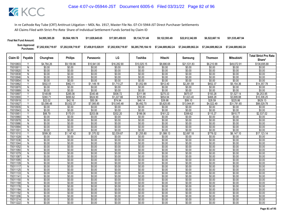| <b>Final Net Fund Amount:</b> | \$4,995,385.28                                | \$9.564.189.78 | \$11.829.645.65 | \$17.001.459.93 | \$9.134.731.48 | \$9.122.593.49                                                 | \$22,612,342.89 | \$6,522,667.16     | \$51,535,487.94    |
|-------------------------------|-----------------------------------------------|----------------|-----------------|-----------------|----------------|----------------------------------------------------------------|-----------------|--------------------|--------------------|
|                               | Sum Approved<br>Purchases: \$7,202,938,719.97 |                |                 |                 |                | \$6,285,795,184.10    \$7,244,689,862.24    \$7,244,689,862.24 |                 | \$7.244.689.862.24 | \$7.244.689.862.24 |

| Claim ID             | Payable        | Chunghwa         | <b>Philips</b>   | Panasonic        | LG               | Toshiba          | Hitachi          | Samsung          | <b>Thomson</b>   | <b>Mitsubishi</b> | <b>Total Strict Pro Rata</b><br>Share* |
|----------------------|----------------|------------------|------------------|------------------|------------------|------------------|------------------|------------------|------------------|-------------------|----------------------------------------|
| 70010803             |                | \$4.784.26       | \$9.159.96       | \$10.941.00      | \$16.282.90      | \$10,025.15      | \$8.686.68       | \$21,531.83      | \$6,210.99       | \$49.072.91       | \$136,695.68                           |
| 70010811             | N              | \$0.00           | \$0.00           | \$0.00           | \$0.00           | \$0.00           | \$0.00           | \$0.00           | \$0.00           | \$0.00            | \$0.00                                 |
| 70010820             | N              | \$0.00           | \$0.00           | \$0.00           | \$0.00           | \$0.00           | \$0.00           | \$0.00           | \$0.00           | \$0.00            | \$0.00                                 |
| 70010838             | Ñ              | \$0.00           | \$0.00           | \$0.00           | \$0.00           | \$0.00           | \$0.00           | \$0.00           | \$0.00           | \$0.00            | \$0.00                                 |
| 70010846             | N              | \$0.00           | \$0.00           | \$0.00           | \$0.00           | \$0.00           | \$0.00           | \$0.00           | \$0.00           | \$0.00            | \$0.00                                 |
| 70010854             | N              | \$0.00           | \$0.00           | \$0.00           | \$0.00           | \$0.00           | \$0.00           | \$0.00           | \$0.00           | \$0.00            | \$0.00                                 |
| 70010862             | V              | \$502.51         | \$962.11         | \$1,149.18       | \$1,710.27       | \$1,052.99       | \$912.40         | \$2,261.59       | \$652.37         | \$5,154.36        | \$14,357.78                            |
| 70010870             | N              | \$0.00           | \$0.00           | \$0.00           | \$0.00           | \$0.00           | \$0.00           | \$0.00           | \$0.00           | \$0.00            | \$0.00                                 |
| 70010889             | N              | \$0.00           | \$0.00           | \$0.00           | \$0.00           | \$0.00           | \$0.00           | \$0.00           | \$0.00           | \$0.00            | \$0.00                                 |
| 70010897             | Y              | \$148.89         | \$285.06         | \$340.48         | \$506.72         | \$311.98         | \$270.33         | \$670.07         | \$193.28         | \$1,527.14        | \$4,253.95                             |
| 70010900             | $\checkmark$   | \$360.71         | \$690.62         | \$824.90         | \$1,227.66       | \$755.85         | \$654.94         | \$1,623.40       | \$468.28         | \$3,699.88        | \$10,306.25                            |
| 70010919             |                | \$22.02          | \$42.16          | \$50.36          | \$74.94          | \$46.14          | \$39.98          | \$99.10          | \$28.59          | \$225.86          | \$629.13                               |
| 70010927             | Y              | \$3,098.48       | \$5,932.37       | \$7,085.85       | \$10,545.48      | \$6,492.70       | \$5,625.85       | \$13,944.91      | \$4,022.49       | \$31,781.65       | \$88,529.78                            |
| 70010935             | N              | \$0.00           | \$0.00           | \$0.00           | \$0.00           | \$0.00           | \$0.00           | \$0.00           | \$0.00           | \$0.00            | \$0.00                                 |
| 70010943             | $\overline{N}$ | \$0.00           | \$0.00           | \$0.00           | \$0.00           | \$0.00           | \$0.00           | \$0.00           | \$0.00           | \$0.00            | \$0.00                                 |
| 7001095              | Y              | \$88.79          | \$170.01         | \$203.06         | \$302.20         | \$186.06         | \$161.22         | \$399.62         | \$115.27         | \$910.77          | \$2,537.02                             |
| 70010960             | N              | \$0.00           | \$0.00           | \$0.00           | \$0.00           | \$0.00           | \$0.00           | \$0.00           | \$0.00           | \$0.00            | \$0.00                                 |
| 70010978             | $\overline{N}$ | \$0.00           | \$0.00           | \$0.00           | \$0.00           | \$0.00           | \$0.00           | \$0.00           | \$0.00           | \$0.00            | \$0.00                                 |
| 70010986             | N              | \$0.00           | \$0.00           | \$0.00           | \$0.00           | \$0.00           | \$0.00           | \$0.00           | \$0.00           | \$0.00            | \$0.00                                 |
| 70010994             | N              | \$0.00           | \$0.00           | \$0.00           | \$0.00           | \$0.00           | \$0.00           | \$0.00           | \$0.00           | \$0.00            | \$0.00                                 |
| 7001100              | $\overline{N}$ | \$0.00           | \$0.00           | \$0.00           | \$0.00           | \$0.00           | \$0.00           | \$0.00           | \$0.00           | \$0.00            | \$0.00                                 |
| 70011010             | Y              | \$599.30         | \$1,147.42       | \$1,370.52       | \$2,039.67       | \$1,255.80       | \$1,088.13       | \$2,697.18       | \$778.02         | \$6,147.10        | \$17,123.14                            |
| 70011028             | Ñ              | \$0.00           | \$0.00           | \$0.00           | \$0.00           | \$0.00           | \$0.00           | \$0.00           | \$0.00           | \$0.00            | \$0.00                                 |
| 70011036             | N              | \$0.00           | \$0.00           | \$0.00           | \$0.00           | \$0.00           | \$0.00           | \$0.00           | \$0.00           | \$0.00            | \$0.00                                 |
| 70011044             | N              | \$0.00           | \$0.00           | \$0.00           | \$0.00           | \$0.00           | \$0.00           | \$0.00           | \$0.00           | \$0.00            | \$0.00                                 |
| 70011052             | $\overline{N}$ | \$0.00           | \$0.00           | \$0.00           | \$0.00           | \$0.00           | \$0.00           | \$0.00           | \$0.00           | \$0.00            | \$0.00                                 |
| 70011060             | N              | \$0.00           | \$0.00           | \$0.00           | \$0.00           | \$0.00           | \$0.00<br>\$0.00 | \$0.00           | \$0.00           | \$0.00            | \$0.00                                 |
| 70011079<br>70011087 | N              | \$0.00           | \$0.00           | \$0.00           | \$0.00           | \$0.00           |                  | \$0.00           | \$0.00           | \$0.00            | \$0.00                                 |
| 70011095             | N<br>N         | \$0.00           | \$0.00           | \$0.00<br>\$0.00 | \$0.00           | \$0.00           | \$0.00           | \$0.00<br>\$0.00 | \$0.00<br>\$0.00 | \$0.00            | \$0.00                                 |
| 70011109             | N              | \$0.00<br>\$0.00 | \$0.00<br>\$0.00 | \$0.00           | \$0.00<br>\$0.00 | \$0.00<br>\$0.00 | \$0.00<br>\$0.00 | \$0.00           | \$0.00           | \$0.00<br>\$0.00  | \$0.00<br>\$0.00                       |
| 70011117             | N              | \$0.00           | \$0.00           | \$0.00           | \$0.00           | \$0.00           | \$0.00           | \$0.00           | \$0.00           | \$0.00            | \$0.00                                 |
| 70011125             | N              | \$0.00           | \$0.00           | \$0.00           | \$0.00           | \$0.00           | \$0.00           | \$0.00           | \$0.00           | \$0.00            | \$0.00                                 |
| 70011133             | $\overline{N}$ | \$0.00           | \$0.00           | \$0.00           | \$0.00           | \$0.00           | \$0.00           | \$0.00           | \$0.00           | \$0.00            | \$0.00                                 |
| 7001114              | N              | \$0.00           | \$0.00           | \$0.00           | \$0.00           | \$0.00           | \$0.00           | \$0.00           | \$0.00           | \$0.00            | \$0.00                                 |
| 70011150             | N              | \$0.00           | \$0.00           | \$0.00           | \$0.00           | \$0.00           | \$0.00           | \$0.00           | \$0.00           | \$0.00            | \$0.00                                 |
| 70011168             | $\overline{N}$ | \$0.00           | \$0.00           | \$0.00           | \$0.00           | \$0.00           | \$0.00           | \$0.00           | \$0.00           | \$0.00            | \$0.00                                 |
| 70011176             | N              | \$0.00           | \$0.00           | \$0.00           | \$0.00           | \$0.00           | \$0.00           | \$0.00           | \$0.00           | \$0.00            | \$0.00                                 |
| 70011184             | N              | \$0.00           | \$0.00           | \$0.00           | \$0.00           | \$0.00           | \$0.00           | \$0.00           | \$0.00           | \$0.00            | \$0.00                                 |
| 70011192             | N              | \$0.00           | \$0.00           | \$0.00           | \$0.00           | \$0.00           | \$0.00           | \$0.00           | \$0.00           | \$0.00            | \$0.00                                 |
| 70011206             | N              | \$0.00           | \$0.00           | \$0.00           | \$0.00           | \$0.00           | \$0.00           | \$0.00           | \$0.00           | \$0.00            | \$0.00                                 |
| 70011214             | N              | \$0.00           | \$0.00           | \$0.00           | \$0.00           | \$0.00           | \$0.00           | \$0.00           | \$0.00           | \$0.00            | \$0.00                                 |
| 70011222             | Ñ              | \$0.00           | \$0.00           | \$0.00           | \$0.00           | \$0.00           | \$0.00           | \$0.00           | \$0.00           | \$0.00            | \$0.00                                 |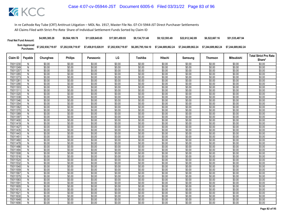| <b>Final Net Fund Amount:</b> | \$4,995,385.28     | \$9.564.189.78     | \$11,829,645,65    | \$17.001.459.93    | \$9.134.731.48     | \$9.122.593.49     | \$22,612,342.89    | \$6,522,667.16     | \$51,535,487.94    |
|-------------------------------|--------------------|--------------------|--------------------|--------------------|--------------------|--------------------|--------------------|--------------------|--------------------|
| Sum Approved<br>Purchases:    | \$7,202,938,719.97 | \$7,202,938,719.97 | \$7,458,815,028.91 | \$7,202,938,719.97 | \$6.285.795.184.10 | \$7.244.689.862.24 | \$7.244.689.862.24 | \$7.244.689.862.24 | \$7.244.689.862.24 |

|                                  |                |                  |                  |                            |                  |                  |                            |                            |                  |                            | <b>Total Strict Pro Rata</b> |
|----------------------------------|----------------|------------------|------------------|----------------------------|------------------|------------------|----------------------------|----------------------------|------------------|----------------------------|------------------------------|
| Claim ID                         | Payable        | Chunghwa         | <b>Philips</b>   | Panasonic                  | LG               | Toshiba          | Hitachi                    | Samsung                    | Thomson          | <b>Mitsubishi</b>          | Share*                       |
| 70011230                         | N              | \$0.00           | \$0.00           | \$0.00                     | \$0.00           | \$0.00           | \$0.00                     | \$0.00                     | \$0.00           | \$0.00                     | \$0.00                       |
| 70011249                         | N              | \$0.00           | \$0.00           | \$0.00                     | \$0.00           | \$0.00           | \$0.00                     | \$0.00                     | \$0.00           | \$0.00                     | \$0.00                       |
| 70011257                         | N              | \$0.00           | \$0.00           | \$0.00                     | \$0.00           | \$0.00           | \$0.00                     | \$0.00                     | \$0.00           | \$0.00                     | \$0.00                       |
| 70011265                         | N              | \$0.00           | \$0.00           | \$0.00                     | \$0.00           | \$0.00           | \$0.00                     | \$0.00                     | \$0.00           | \$0.00                     | \$0.00                       |
| 70011273                         | N              | \$0.00           | \$0.00           | \$0.00                     | \$0.00           | \$0.00           | \$0.00                     | \$0.00                     | \$0.00           | \$0.00                     | \$0.00                       |
| 70011281                         | N              | \$0.00           | \$0.00           | \$0.00                     | \$0.00           | \$0.00           | \$0.00                     | \$0.00                     | \$0.00           | \$0.00                     | \$0.00                       |
| 70011290                         | N              | \$0.00           | \$0.00           | \$0.00                     | \$0.00           | \$0.00           | \$0.00                     | \$0.00                     | \$0.00           | \$0.00                     | \$0.00                       |
| 70011303                         | N              | \$0.00           | \$0.00           | \$0.00                     | \$0.00           | \$0.00           | \$0.00                     | \$0.00                     | \$0.00           | \$0.00                     | \$0.00                       |
| 70011311                         | N              | \$0.00           | \$0.00           | \$0.00                     | \$0.00           | \$0.00           | \$0.00                     | \$0.00                     | \$0.00           | \$0.00                     | \$0.00                       |
| 70011320                         | N              | \$0.00           | \$0.00           | \$0.00                     | \$0.00           | \$0.00           | \$0.00                     | \$0.00                     | \$0.00           | \$0.00                     | \$0.00                       |
| 70011338                         | N              | \$0.00           | \$0.00           | \$0.00                     | \$0.00           | \$0.00           | \$0.00                     | \$0.00                     | \$0.00           | \$0.00                     | \$0.00                       |
| 70011346                         | N              | \$0.00           | \$0.00           | \$0.00                     | \$0.00           | \$0.00           | \$0.00                     | \$0.00                     | \$0.00           | \$0.00                     | \$0.00                       |
| 70011354                         | N              | \$0.00           | \$0.00           | \$0.00                     | \$0.00           | \$0.00           | \$0.00                     | \$0.00                     | \$0.00           | \$0.00                     | \$0.00                       |
| 70011362                         | N              | \$0.00           | \$0.00           | \$0.00                     | \$0.00           | \$0.00           | \$0.00                     | \$0.00                     | \$0.00           | \$0.00                     | \$0.00                       |
| 70011370                         | N              | \$0.00           | \$0.00           | \$0.00                     | \$0.00           | \$0.00           | \$0.00                     | \$0.00                     | \$0.00           | \$0.00                     | \$0.00                       |
| 70011389                         | N              | \$0.00           | \$0.00           | \$0.00                     | \$0.00           | \$0.00           | \$0.00                     | \$0.00                     | \$0.00           | \$0.00                     | \$0.00                       |
| 70011397                         | N              | \$0.00           | \$0.00           | \$0.00                     | \$0.00           | \$0.00           | \$0.00                     | \$0.00                     | \$0.00           | \$0.00                     | \$0.00                       |
| 70011400                         | $\overline{N}$ | \$0.00           | \$0.00           | \$0.00                     | \$0.00           | \$0.00           | \$0.00                     | \$0.00                     | \$0.00           | \$0.00                     | \$0.00                       |
| 70011419                         | N              | \$0.00           | \$0.00           | \$0.00                     | \$0.00           | \$0.00           | \$0.00                     | \$0.00                     | \$0.00           | \$0.00                     | \$0.00                       |
| 70011427                         | N              | \$0.00           | \$0.00           | \$0.00                     | \$0.00           | \$0.00           | \$0.00                     | \$0.00                     | \$0.00           | \$0.00                     | \$0.00                       |
| 70011435                         | N              | \$0.00           | \$0.00           | \$0.00                     | \$0.00           | \$0.00           | \$0.00                     | \$0.00                     | \$0.00           | \$0.00                     | \$0.00                       |
| 70011443                         | N              | \$0.00           | \$0.00           | \$0.00                     | \$0.00           | \$0.00           | \$0.00                     | \$0.00                     | \$0.00           | \$0.00                     | \$0.00                       |
| 7001145                          | N              | \$0.00           | \$0.00           | \$0.00                     | \$0.00           | \$0.00           | \$0.00                     | \$0.00                     | \$0.00           | \$0.00                     | \$0.00                       |
| 70011460                         | N              | \$0.00           | \$0.00           | \$0.00                     | \$0.00           | \$0.00           | \$0.00                     | \$0.00                     | \$0.00           | \$0.00                     | \$0.00                       |
| 70011478                         | N              | \$0.00           | \$0.00           | \$0.00                     | \$0.00           | \$0.00           | \$0.00                     | \$0.00                     | \$0.00           | \$0.00                     | \$0.00                       |
| 70011486                         | N              | \$0.00           | \$0.00           | \$0.00                     | \$0.00           | \$0.00           | \$0.00                     | \$0.00                     | \$0.00           | \$0.00                     | \$0.00                       |
| 70011494                         | N              | \$0.00           | \$0.00           | \$0.00                     | \$0.00           | \$0.00           | \$0.00                     | \$0.00                     | \$0.00           | \$0.00                     | \$0.00                       |
| 70011508                         | N              | \$0.00           | \$0.00           | \$0.00                     | \$0.00           | \$0.00           | \$0.00                     | \$0.00                     | \$0.00           | \$0.00                     | \$0.00                       |
| 70011516<br>70011524             | N              | \$0.00           | \$0.00           | \$0.00<br>\$0.00           | \$0.00           | \$0.00<br>\$0.00 | \$0.00                     | \$0.00<br>\$0.00           | \$0.00           | \$0.00                     | \$0.00                       |
| 70011532                         | N<br>N         | \$0.00<br>\$0.00 | \$0.00<br>\$0.00 | \$0.00                     | \$0.00<br>\$0.00 | \$0.00           | \$0.00<br>\$0.00           | \$0.00                     | \$0.00<br>\$0.00 | \$0.00<br>\$0.00           | \$0.00<br>\$0.00             |
| 70011540                         | N              | \$0.00           | \$0.00           | \$0.00                     | \$0.00           | \$0.00           | \$0.00                     | \$0.00                     | \$0.00           | \$0.00                     | \$0.00                       |
| 70011559                         | N              | \$0.00           | \$0.00           | \$0.00                     | \$0.00           | \$0.00           | \$0.00                     | \$0.00                     | \$0.00           | \$0.00                     | \$0.00                       |
| 70011567                         | N              | \$0.00           | \$0.00           | \$0.00                     | \$0.00           | \$0.00           | \$0.00                     | \$0.00                     | \$0.00           | \$0.00                     | \$0.00                       |
| 70011575                         | N              | \$0.00           | \$0.00           | \$0.00                     | \$0.00           | \$0.00           | \$0.00                     | \$0.00                     | \$0.00           | \$0.00                     | \$0.00                       |
| 70011583                         | N              | \$0.00           | \$0.00           | \$0.00                     | \$0.00           | \$0.00           | \$0.00                     | \$0.00                     | \$0.00           | \$0.00                     | \$0.00                       |
| 7001159                          | N              | \$0.00           | \$0.00           | \$0.00                     | \$0.00           | \$0.00           | \$0.00                     | \$0.00                     | \$0.00           | \$0.00                     | \$0.00                       |
| 70011605                         | N              | \$0.00           | \$0.00           | \$0.00                     | \$0.00           | \$0.00           | \$0.00                     | \$0.00                     | \$0.00           | \$0.00                     | \$0.00                       |
| 70011613                         | N              | \$0.00           | \$0.00           | \$0.00                     | \$0.00           | \$0.00           | \$0.00                     | \$0.00                     | \$0.00           | \$0.00                     | \$0.00                       |
| 7001162                          | N              | \$0.00           | \$0.00           | \$0.00                     | \$0.00           | \$0.00           | \$0.00                     | \$0.00                     | \$0.00           | \$0.00                     | \$0.00                       |
|                                  |                |                  |                  |                            |                  |                  |                            |                            |                  |                            |                              |
|                                  |                |                  |                  |                            |                  |                  |                            |                            |                  |                            |                              |
|                                  | N              | \$0.00           | \$0.00           |                            | \$0.00           | \$0.00           |                            |                            | \$0.00           |                            |                              |
| 70011630<br>70011648<br>70011656 | N<br>N         | \$0.00<br>\$0.00 | \$0.00<br>\$0.00 | \$0.00<br>\$0.00<br>\$0.00 | \$0.00<br>\$0.00 | \$0.00<br>\$0.00 | \$0.00<br>\$0.00<br>\$0.00 | \$0.00<br>\$0.00<br>\$0.00 | \$0.00<br>\$0.00 | \$0.00<br>\$0.00<br>\$0.00 | \$0.00<br>\$0.00<br>\$0.00   |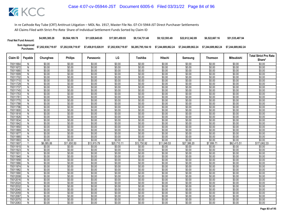| <b>Final Net Fund Amount:</b> | \$4,995,385.28                                | \$9.564.189.78     | \$11,829,645,65    | \$17.001.459.93    | \$9.134.731.48     | \$9.122.593.49                        | \$22,612,342.89 | \$6,522,667.16     | \$51,535,487.94    |
|-------------------------------|-----------------------------------------------|--------------------|--------------------|--------------------|--------------------|---------------------------------------|-----------------|--------------------|--------------------|
|                               | Sum Approved \$7,202,938,719.97<br>Purchases: | \$7,202,938,719.97 | \$7,458,815,028.91 | \$7,202,938,719.97 | \$6,285,795,184.10 | \$7.244.689.862.24 \$7.244.689.862.24 |                 | \$7.244.689.862.24 | \$7.244.689.862.24 |

|                      |                |                  |                  |                  |                  |                  |                  |                  |                  |                   | <b>Total Strict Pro Rata</b> |
|----------------------|----------------|------------------|------------------|------------------|------------------|------------------|------------------|------------------|------------------|-------------------|------------------------------|
| Claim ID             | Payable        | Chunghwa         | <b>Philips</b>   | Panasonic        | LG               | Toshiba          | Hitachi          | Samsung          | <b>Thomson</b>   | <b>Mitsubishi</b> | Share*                       |
| 70011664             | N              | \$0.00           | \$0.00           | \$0.00           | \$0.00           | \$0.00           | \$0.00           | \$0.00           | \$0.00           | \$0.00            | \$0.00                       |
| 70011672             | N              | \$0.00           | \$0.00           | \$0.00           | \$0.00           | \$0.00           | \$0.00           | \$0.00           | \$0.00           | \$0.00            | \$0.00                       |
| 70011680             | N              | \$0.00           | \$0.00           | \$0.00           | \$0.00           | \$0.00           | \$0.00           | \$0.00           | \$0.00           | \$0.00            | \$0.00                       |
| 70011699             | N              | \$0.00           | \$0.00           | \$0.00           | \$0.00           | \$0.00           | \$0.00           | \$0.00           | \$0.00           | \$0.00            | \$0.00                       |
| 70011702             | N              | \$0.00           | \$0.00           | \$0.00           | \$0.00           | \$0.00           | \$0.00           | \$0.00           | \$0.00           | \$0.00            | \$0.00                       |
| 70011710             | N              | \$0.00           | \$0.00           | \$0.00           | \$0.00           | \$0.00           | \$0.00           | \$0.00           | \$0.00           | \$0.00            | \$0.00                       |
| 70011729             | $\overline{N}$ | \$0.00           | \$0.00           | \$0.00           | \$0.00           | \$0.00           | \$0.00           | \$0.00           | \$0.00           | \$0.00            | \$0.00                       |
| 70011737             | N              | \$0.00           | \$0.00           | \$0.00           | \$0.00           | \$0.00           | \$0.00           | \$0.00           | \$0.00           | \$0.00            | \$0.00                       |
| 70011745             | N              | \$0.00           | \$0.00           | \$0.00           | \$0.00           | \$0.00           | \$0.00           | \$0.00           | \$0.00           | \$0.00            | \$0.00                       |
| 70011753             | $\overline{N}$ | \$0.00           | \$0.00           | \$0.00           | \$0.00           | \$0.00           | \$0.00           | \$0.00           | \$0.00           | \$0.00            | \$0.00                       |
| 70011761             | N              | \$0.00           | \$0.00           | \$0.00           | \$0.00           | \$0.00           | \$0.00           | \$0.00           | \$0.00           | \$0.00            | \$0.00                       |
| 70011770             | N              | \$0.00           | \$0.00           | \$0.00           | \$0.00           | \$0.00           | \$0.00           | \$0.00           | \$0.00           | \$0.00            | \$0.00                       |
| 70011788             | N              | \$0.00           | \$0.00           | \$0.00           | \$0.00           | \$0.00           | \$0.00           | \$0.00           | \$0.00           | \$0.00            | \$0.00                       |
| 70011796             | N              | \$0.00           | \$0.00           | \$0.00           | \$0.00           | \$0.00           | \$0.00           | \$0.00           | \$0.00           | \$0.00            | \$0.00                       |
| 70011800             | $\overline{N}$ | \$0.00           | \$0.00           | \$0.00           | \$0.00           | \$0.00           | \$0.00           | \$0.00           | \$0.00           | \$0.00            | \$0.00                       |
| 70011818             | N              | \$0.00           | \$0.00           | \$0.00           | \$0.00           | \$0.00           | \$0.00           | \$0.00           | \$0.00           | \$0.00            | \$0.00                       |
| 70011826             | N              | \$0.00           | \$0.00           | \$0.00           | \$0.00           | \$0.00           | \$0.00           | \$0.00           | \$0.00           | \$0.00            | \$0.00                       |
| 70011834             | $\overline{N}$ | \$0.00           | \$0.00           | \$0.00           | \$0.00           | \$0.00           | \$0.00           | \$0.00           | \$0.00           | \$0.00            | \$0.00                       |
| 70011842             | N              | \$0.00           | \$0.00           | \$0.00           | \$0.00           | \$0.00           | \$0.00           | \$0.00           | \$0.00           | \$0.00            | \$0.00                       |
| 70011850<br>70011869 | N              | \$0.00<br>\$0.00 | \$0.00<br>\$0.00 | \$0.00<br>\$0.00 | \$0.00           | \$0.00<br>\$0.00 | \$0.00<br>\$0.00 | \$0.00<br>\$0.00 | \$0.00<br>\$0.00 | \$0.00<br>\$0.00  | \$0.00<br>\$0.00             |
|                      | N              |                  |                  |                  | \$0.00           |                  |                  |                  |                  |                   |                              |
| 70011877<br>70011885 | N<br>N         | \$0.00<br>\$0.00 | \$0.00<br>\$0.00 | \$0.00<br>\$0.00 | \$0.00<br>\$0.00 | \$0.00<br>\$0.00 | \$0.00<br>\$0.00 | \$0.00<br>\$0.00 | \$0.00<br>\$0.00 | \$0.00<br>\$0.00  | \$0.00<br>\$0.00             |
| 70011893             | N              | \$0.00           | \$0.00           | \$0.00           | \$0.00           | \$0.00           | \$0.00           | \$0.00           | \$0.00           | \$0.00            | \$0.00                       |
| 70011907             | v              | \$6,085.06       | \$11,650.50      | \$13,915.79      | \$20,710.11      | \$12,750.92      | \$11,048.53      | \$27,386.20      | \$7,899.7'       | \$62,415.51       | \$173,862.33                 |
| 70011915             | $\overline{N}$ | \$0.00           | \$0.00           | \$0.00           | \$0.00           | \$0.00           | \$0.00           | \$0.00           | \$0.00           | \$0.00            | \$0.00                       |
| 70011923             | Ν              | \$0.00           | \$0.00           | \$0.00           | \$0.00           | \$0.00           | \$0.00           | \$0.00           | \$0.00           | \$0.00            | \$0.00                       |
| 70011931             | N              | \$0.00           | \$0.00           | \$0.00           | \$0.00           | \$0.00           | \$0.00           | \$0.00           | \$0.00           | \$0.00            | \$0.00                       |
| 70011940             | N              | \$0.00           | \$0.00           | \$0.00           | \$0.00           | \$0.00           | \$0.00           | \$0.00           | \$0.00           | \$0.00            | \$0.00                       |
| 70011958             | $\mathsf{N}$   | \$0.00           | \$0.00           | \$0.00           | \$0.00           | \$0.00           | \$0.00           | \$0.00           | \$0.00           | \$0.00            | \$0.00                       |
| 70011966             | Ν              | \$0.00           | \$0.00           | \$0.00           | \$0.00           | \$0.00           | \$0.00           | \$0.00           | \$0.00           | \$0.00            | \$0.00                       |
| 70011974             | N              | \$0.00           | \$0.00           | \$0.00           | \$0.00           | \$0.00           | \$0.00           | \$0.00           | \$0.00           | \$0.00            | \$0.00                       |
| 70011982             | N              | \$0.00           | \$0.00           | \$0.00           | \$0.00           | \$0.00           | \$0.00           | \$0.00           | \$0.00           | \$0.00            | \$0.00                       |
| 70011990             | $\overline{N}$ | \$0.00           | \$0.00           | \$0.00           | \$0.00           | \$0.00           | \$0.00           | \$0.00           | \$0.00           | \$0.00            | \$0.00                       |
| 70012008             | N              | \$0.00           | \$0.00           | \$0.00           | \$0.00           | \$0.00           | \$0.00           | \$0.00           | \$0.00           | \$0.00            | \$0.00                       |
| 70012016             | N              | \$0.00           | \$0.00           | \$0.00           | \$0.00           | \$0.00           | \$0.00           | \$0.00           | \$0.00           | \$0.00            | \$0.00                       |
| 70012024             | N              | \$0.00           | \$0.00           | \$0.00           | \$0.00           | \$0.00           | \$0.00           | \$0.00           | \$0.00           | \$0.00            | \$0.00                       |
| 70012032             | N              | \$0.00           | \$0.00           | \$0.00           | \$0.00           | \$0.00           | \$0.00           | \$0.00           | \$0.00           | \$0.00            | \$0.00                       |
| 70012040             | N              | \$0.00           | \$0.00           | \$0.00           | \$0.00           | \$0.00           | \$0.00           | \$0.00           | \$0.00           | \$0.00            | \$0.00                       |
| 70012059             | N              | \$0.00           | \$0.00           | \$0.00           | \$0.00           | \$0.00           | \$0.00           | \$0.00           | \$0.00           | \$0.00            | \$0.00                       |
| 70012067             | N              | \$0.00           | \$0.00           | \$0.00           | \$0.00           | \$0.00           | \$0.00           | \$0.00           | \$0.00           | \$0.00            | \$0.00                       |
| 70012075             | Ν              | \$0.00           | \$0.00           | \$0.00           | \$0.00           | \$0.00           | \$0.00           | \$0.00           | \$0.00           | \$0.00            | \$0.00                       |
| 70012083             | N              | \$0.00           | \$0.00           | \$0.00           | \$0.00           | \$0.00           | \$0.00           | \$0.00           | \$0.00           | \$0.00            | \$0.00                       |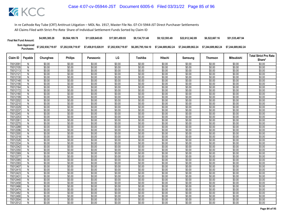| <b>Final Net Fund Amount:</b> | \$4,995,385.28     | \$9.564.189.78     | \$11.829.645.65    | \$17.001.459.93    | \$9.134.731.48     | \$9.122.593.49     | \$22,612,342.89    | \$6,522,667.16     | \$51,535,487.94    |
|-------------------------------|--------------------|--------------------|--------------------|--------------------|--------------------|--------------------|--------------------|--------------------|--------------------|
| Sum Approved<br>Purchases:    | \$7,202,938,719.97 | \$7,202,938,719.97 | \$7,458,815,028.91 | \$7,202,938,719.97 | \$6.285.795.184.10 | \$7.244.689.862.24 | \$7.244.689.862.24 | \$7.244.689.862.24 | \$7.244.689.862.24 |

|                      |                     |                  |                  |                  |                  |                  |                  |                  |                  |                   | <b>Total Strict Pro Rata</b> |
|----------------------|---------------------|------------------|------------------|------------------|------------------|------------------|------------------|------------------|------------------|-------------------|------------------------------|
| Claim ID             | Payable             | Chunghwa         | <b>Philips</b>   | Panasonic        | LG               | Toshiba          | Hitachi          | Samsung          | <b>Thomson</b>   | <b>Mitsubishi</b> | Share*                       |
| 70012091             | N                   | \$0.00           | \$0.00           | \$0.00           | \$0.00           | \$0.00           | \$0.00           | \$0.00           | \$0.00           | \$0.00            | \$0.00                       |
| 70012105             | N                   | \$0.00           | \$0.00           | \$0.00           | \$0.00           | \$0.00           | \$0.00           | \$0.00           | \$0.00           | \$0.00            | \$0.00                       |
| 70012113             | N                   | \$0.00           | \$0.00           | \$0.00           | \$0.00           | \$0.00           | \$0.00           | \$0.00           | \$0.00           | \$0.00            | \$0.00                       |
| 70012121             | N                   | \$0.00           | \$0.00           | \$0.00           | \$0.00           | \$0.00           | \$0.00           | \$0.00           | \$0.00           | \$0.00            | \$0.00                       |
| 70012130             | N                   | \$0.00           | \$0.00           | \$0.00           | \$0.00           | \$0.00           | \$0.00           | \$0.00           | \$0.00           | \$0.00            | \$0.00                       |
| 70012148             | N                   | \$0.00           | \$0.00           | \$0.00           | \$0.00           | \$0.00           | \$0.00           | \$0.00           | \$0.00           | \$0.00            | \$0.00                       |
| 70012156             | N                   | \$0.00           | \$0.00           | \$0.00           | \$0.00           | \$0.00           | \$0.00           | \$0.00           | \$0.00           | \$0.00            | \$0.00                       |
| 70012164             | N                   | \$0.00           | \$0.00           | \$0.00           | \$0.00           | \$0.00           | \$0.00           | \$0.00           | \$0.00           | \$0.00            | \$0.00                       |
| 70012172             | N                   | \$0.00           | \$0.00           | \$0.00           | \$0.00           | \$0.00           | \$0.00           | \$0.00           | \$0.00           | \$0.00            | \$0.00                       |
| 70012180             | $\overline{N}$      | \$0.00           | \$0.00           | \$0.00           | \$0.00           | \$0.00           | \$0.00           | \$0.00           | \$0.00           | \$0.00            | \$0.00                       |
| 70012199             | N                   | \$0.00           | \$0.00           | \$0.00           | \$0.00           | \$0.00           | \$0.00           | \$0.00           | \$0.00           | \$0.00            | \$0.00                       |
| 70012202             | N                   | \$0.00           | \$0.00           | \$0.00           | \$0.00           | \$0.00           | \$0.00           | \$0.00           | \$0.00           | \$0.00            | \$0.00                       |
| 70012210             | N                   | \$0.00           | \$0.00           | \$0.00           | \$0.00           | \$0.00           | \$0.00           | \$0.00           | \$0.00           | \$0.00            | \$0.00                       |
| 70012229             | N                   | \$0.00           | \$0.00           | \$0.00           | \$0.00           | \$0.00           | \$0.00           | \$0.00           | \$0.00           | \$0.00            | \$0.00                       |
| 70012237             | $\overline{N}$      | \$0.00           | \$0.00           | \$0.00           | \$0.00           | \$0.00           | \$0.00           | \$0.00           | \$0.00           | \$0.00            | \$0.00                       |
| 70012245             | N                   | \$0.00           | \$0.00           | \$0.00           | \$0.00           | \$0.00           | \$0.00           | \$0.00           | \$0.00           | \$0.00            | \$0.00                       |
| 70012253             | N                   | \$0.00           | \$0.00           | \$0.00           | \$0.00           | \$0.00           | \$0.00           | \$0.00           | \$0.00           | \$0.00            | \$0.00                       |
| 70012261             | $\overline{N}$      | \$0.00           | \$0.00           | \$0.00           | \$0.00           | \$0.00           | \$0.00           | \$0.00           | \$0.00           | \$0.00            | \$0.00                       |
| 70012270             | N                   | \$0.00           | \$0.00           | \$0.00           | \$0.00           | \$0.00           | \$0.00           | \$0.00           | \$0.00           | \$0.00            | \$0.00                       |
| 70012288             | N                   | \$0.00           | \$0.00           | \$0.00           | \$0.00           | \$0.00           | \$0.00           | \$0.00           | \$0.00           | \$0.00            | \$0.00                       |
| 70012296             | N                   | \$0.00           | \$0.00           | \$0.00           | \$0.00           | \$0.00           | \$0.00           | \$0.00           | \$0.00           | \$0.00            | \$0.00                       |
| 70012300             | N<br>$\overline{N}$ | \$0.00           | \$0.00           | \$0.00           | \$0.00           | \$0.00           | \$0.00           | \$0.00           | \$0.00           | \$0.00            | \$0.00                       |
| 70012318<br>70012326 |                     | \$0.00<br>\$0.00 | \$0.00<br>\$0.00 | \$0.00<br>\$0.00 | \$0.00<br>\$0.00 | \$0.00<br>\$0.00 | \$0.00<br>\$0.00 | \$0.00<br>\$0.00 | \$0.00<br>\$0.00 | \$0.00<br>\$0.00  | \$0.00<br>\$0.00             |
| 70012334             | N<br>N              | \$0.00           | \$0.00           | \$0.00           | \$0.00           | \$0.00           | \$0.00           | \$0.00           | \$0.00           | \$0.00            | \$0.00                       |
| 70012342             | $\overline{N}$      | \$0.00           | \$0.00           | \$0.00           | \$0.00           | \$0.00           | \$0.00           | \$0.00           | \$0.00           | \$0.00            | \$0.00                       |
| 70012350             | Ν                   | \$0.00           | \$0.00           | \$0.00           | \$0.00           | \$0.00           | \$0.00           | \$0.00           | \$0.00           | \$0.00            | \$0.00                       |
| 70012369             | N                   | \$0.00           | \$0.00           | \$0.00           | \$0.00           | \$0.00           | \$0.00           | \$0.00           | \$0.00           | \$0.00            | \$0.00                       |
| 70012377             | N                   | \$0.00           | \$0.00           | \$0.00           | \$0.00           | \$0.00           | \$0.00           | \$0.00           | \$0.00           | \$0.00            | \$0.00                       |
| 70012385             | $\mathsf{N}$        | \$0.00           | \$0.00           | \$0.00           | \$0.00           | \$0.00           | \$0.00           | \$0.00           | \$0.00           | \$0.00            | \$0.00                       |
| 70012393             | N                   | \$0.00           | \$0.00           | \$0.00           | \$0.00           | \$0.00           | \$0.00           | \$0.00           | \$0.00           | \$0.00            | \$0.00                       |
| 70012407             | N                   | \$0.00           | \$0.00           | \$0.00           | \$0.00           | \$0.00           | \$0.00           | \$0.00           | \$0.00           | \$0.00            | \$0.00                       |
| 70012415             | N                   | \$0.00           | \$0.00           | \$0.00           | \$0.00           | \$0.00           | \$0.00           | \$0.00           | \$0.00           | \$0.00            | \$0.00                       |
| 70012423             | $\overline{N}$      | \$0.00           | \$0.00           | \$0.00           | \$0.00           | \$0.00           | \$0.00           | \$0.00           | \$0.00           | \$0.00            | \$0.00                       |
| 70012431             | N                   | \$0.00           | \$0.00           | \$0.00           | \$0.00           | \$0.00           | \$0.00           | \$0.00           | \$0.00           | \$0.00            | \$0.00                       |
| 70012440             | N                   | \$0.00           | \$0.00           | \$0.00           | \$0.00           | \$0.00           | \$0.00           | \$0.00           | \$0.00           | \$0.00            | \$0.00                       |
| 70012458             | N                   | \$0.00           | \$0.00           | \$0.00           | \$0.00           | \$0.00           | \$0.00           | \$0.00           | \$0.00           | \$0.00            | \$0.00                       |
| 70012466             | N                   | \$0.00           | \$0.00           | \$0.00           | \$0.00           | \$0.00           | \$0.00           | \$0.00           | \$0.00           | \$0.00            | \$0.00                       |
| 70012474             | N                   | \$0.00           | \$0.00           | \$0.00           | \$0.00           | \$0.00           | \$0.00           | \$0.00           | \$0.00           | \$0.00            | \$0.00                       |
| 70012482             | N                   | \$0.00           | \$0.00           | \$0.00           | \$0.00           | \$0.00           | \$0.00           | \$0.00           | \$0.00           | \$0.00            | \$0.00                       |
| 70012490             | N                   | \$0.00           | \$0.00           | \$0.00           | \$0.00           | \$0.00           | \$0.00           | \$0.00           | \$0.00           | \$0.00            | \$0.00                       |
| 70012504             | Ν                   | \$0.00           | \$0.00           | \$0.00           | \$0.00           | \$0.00           | \$0.00           | \$0.00           | \$0.00           | \$0.00            | \$0.00                       |
| 70012512             | N                   | \$0.00           | \$0.00           | \$0.00           | \$0.00           | \$0.00           | \$0.00           | \$0.00           | \$0.00           | \$0.00            | \$0.00                       |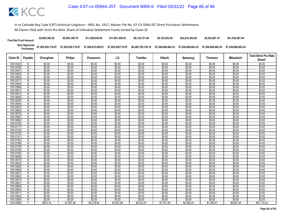| <b>Final Net Fund Amount:</b> | \$4,995,385.28     | \$9.564.189.78     | \$11,829,645,65    | \$17.001.459.93    | \$9.134.731.48     | \$9.122.593.49     | \$22.612.342.89    | \$6,522,667.16     | \$51,535,487.94    |
|-------------------------------|--------------------|--------------------|--------------------|--------------------|--------------------|--------------------|--------------------|--------------------|--------------------|
| Sum Approved<br>:Purchases    | \$7,202,938,719.97 | \$7,202,938,719.97 | \$7,458,815,028.91 | \$7,202,938,719.97 | \$6,285,795,184.10 | \$7.244.689.862.24 | \$7.244.689.862.24 | \$7.244.689.862.24 | \$7.244.689.862.24 |

|          |         |          |                |            |            |            |            |            |            |                   | <b>Total Strict Pro Rata</b> |
|----------|---------|----------|----------------|------------|------------|------------|------------|------------|------------|-------------------|------------------------------|
| Claim ID | Payable | Chunghwa | <b>Philips</b> | Panasonic  | LG         | Toshiba    | Hitachi    | Samsung    | Thomson    | <b>Mitsubishi</b> | Share*                       |
| 70012520 | N       | \$0.00   | \$0.00         | \$0.00     | \$0.00     | \$0.00     | \$0.00     | \$0.00     | \$0.00     | \$0.00            | \$0.00                       |
| 70012539 | N       | \$0.00   | \$0.00         | \$0.00     | \$0.00     | \$0.00     | \$0.00     | \$0.00     | \$0.00     | \$0.00            | \$0.00                       |
| 70012547 | N       | \$0.00   | \$0.00         | \$0.00     | \$0.00     | \$0.00     | \$0.00     | \$0.00     | \$0.00     | \$0.00            | \$0.00                       |
| 70012555 | N       | \$0.00   | \$0.00         | \$0.00     | \$0.00     | \$0.00     | \$0.00     | \$0.00     | \$0.00     | \$0.00            | \$0.00                       |
| 70012563 | N       | \$0.00   | \$0.00         | \$0.00     | \$0.00     | \$0.00     | \$0.00     | \$0.00     | \$0.00     | \$0.00            | \$0.00                       |
| 7001257  | N       | \$0.00   | \$0.00         | \$0.00     | \$0.00     | \$0.00     | \$0.00     | \$0.00     | \$0.00     | \$0.00            | \$0.00                       |
| 70012580 | N       | \$0.00   | \$0.00         | \$0.00     | \$0.00     | \$0.00     | \$0.00     | \$0.00     | \$0.00     | \$0.00            | \$0.00                       |
| 70012598 | N       | \$0.00   | \$0.00         | \$0.00     | \$0.00     | \$0.00     | \$0.00     | \$0.00     | \$0.00     | \$0.00            | \$0.00                       |
| 7001260  | N       | \$0.00   | \$0.00         | \$0.00     | \$0.00     | \$0.00     | \$0.00     | \$0.00     | \$0.00     | \$0.00            | \$0.00                       |
| 70012610 | N       | \$0.00   | \$0.00         | \$0.00     | \$0.00     | \$0.00     | \$0.00     | \$0.00     | \$0.00     | \$0.00            | \$0.00                       |
| 70012628 | N       | \$0.00   | \$0.00         | \$0.00     | \$0.00     | \$0.00     | \$0.00     | \$0.00     | \$0.00     | \$0.00            | \$0.00                       |
| 70012636 | N       | \$0.00   | \$0.00         | \$0.00     | \$0.00     | \$0.00     | \$0.00     | \$0.00     | \$0.00     | \$0.00            | \$0.00                       |
| 70012644 | N       | \$0.00   | \$0.00         | \$0.00     | \$0.00     | \$0.00     | \$0.00     | \$0.00     | \$0.00     | \$0.00            | \$0.00                       |
| 70012652 | N       | \$0.00   | \$0.00         | \$0.00     | \$0.00     | \$0.00     | \$0.00     | \$0.00     | \$0.00     | \$0.00            | \$0.00                       |
| 70012660 | N       | \$0.00   | \$0.00         | \$0.00     | \$0.00     | \$0.00     | \$0.00     | \$0.00     | \$0.00     | \$0.00            | \$0.00                       |
| 70012679 | N       | \$0.00   | \$0.00         | \$0.00     | \$0.00     | \$0.00     | \$0.00     | \$0.00     | \$0.00     | \$0.00            | \$0.00                       |
| 70012687 | N       | \$0.00   | \$0.00         | \$0.00     | \$0.00     | \$0.00     | \$0.00     | \$0.00     | \$0.00     | \$0.00            | \$0.00                       |
| 70012695 | N       | \$0.00   | \$0.00         | \$0.00     | \$0.00     | \$0.00     | \$0.00     | \$0.00     | \$0.00     | \$0.00            | \$0.00                       |
| 70012709 | N       | \$0.00   | \$0.00         | \$0.00     | \$0.00     | \$0.00     | \$0.00     | \$0.00     | \$0.00     | \$0.00            | \$0.00                       |
| 70012717 | N       | \$0.00   | \$0.00         | \$0.00     | \$0.00     | \$0.00     | \$0.00     | \$0.00     | \$0.00     | \$0.00            | \$0.00                       |
| 70012725 | N       | \$0.00   | \$0.00         | \$0.00     | \$0.00     | \$0.00     | \$0.00     | \$0.00     | \$0.00     | \$0.00            | \$0.00                       |
| 70012733 | N       | \$0.00   | \$0.00         | \$0.00     | \$0.00     | \$0.00     | \$0.00     | \$0.00     | \$0.00     | \$0.00            | \$0.00                       |
| 7001274  | N       | \$0.00   | \$0.00         | \$0.00     | \$0.00     | \$0.00     | \$0.00     | \$0.00     | \$0.00     | \$0.00            | \$0.00                       |
| 70012750 | N       | \$0.00   | \$0.00         | \$0.00     | \$0.00     | \$0.00     | \$0.00     | \$0.00     | \$0.00     | \$0.00            | \$0.00                       |
| 70012768 | N       | \$0.00   | \$0.00         | \$0.00     | \$0.00     | \$0.00     | \$0.00     | \$0.00     | \$0.00     | \$0.00            | \$0.00                       |
| 70012776 | N       | \$0.00   | \$0.00         | \$0.00     | \$0.00     | \$0.00     | \$0.00     | \$0.00     | \$0.00     | \$0.00            | \$0.00                       |
| 70012784 | N       | \$0.00   | \$0.00         | \$0.00     | \$0.00     | \$0.00     | \$0.00     | \$0.00     | \$0.00     | \$0.00            | \$0.00                       |
| 70012792 | N       | \$0.00   | \$0.00         | \$0.00     | \$0.00     | \$0.00     | \$0.00     | \$0.00     | \$0.00     | \$0.00            | \$0.00                       |
| 70012806 | N       | \$0.00   | \$0.00         | \$0.00     | \$0.00     | \$0.00     | \$0.00     | \$0.00     | \$0.00     | \$0.00            | \$0.00                       |
| 70012814 | N       | \$0.00   | \$0.00         | \$0.00     | \$0.00     | \$0.00     | \$0.00     | \$0.00     | \$0.00     | \$0.00            | \$0.00                       |
| 70012822 | N       | \$0.00   | \$0.00         | \$0.00     | \$0.00     | \$0.00     | \$0.00     | \$0.00     | \$0.00     | \$0.00            | \$0.00                       |
| 70012830 | N       | \$0.00   | \$0.00         | \$0.00     | \$0.00     | \$0.00     | \$0.00     | \$0.00     | \$0.00     | \$0.00            | \$0.00                       |
| 70012849 | N       | \$0.00   | \$0.00         | \$0.00     | \$0.00     | \$0.00     | \$0.00     | \$0.00     | \$0.00     | \$0.00            | \$0.00                       |
| 70012857 | N       | \$0.00   | \$0.00         | \$0.00     | \$0.00     | \$0.00     | \$0.00     | \$0.00     | \$0.00     | \$0.00            | \$0.00                       |
| 70012865 | N       | \$0.00   | \$0.00         | \$0.00     | \$0.00     | \$0.00     | \$0.00     | \$0.00     | \$0.00     | \$0.00            | \$0.00                       |
| 70012873 | N       | \$0.00   | \$0.00         | \$0.00     | \$0.00     | \$0.00     | \$0.00     | \$0.00     | \$0.00     | \$0.00            | \$0.00                       |
| 70012881 | N       | \$0.00   | \$0.00         | \$0.00     | \$0.00     | \$0.00     | \$0.00     | \$0.00     | \$0.00     | \$0.00            | \$0.00                       |
| 70012890 | N       | \$0.00   | \$0.00         | \$0.00     | \$0.00     | \$0.00     | \$0.00     | \$0.00     | \$0.00     | \$0.00            | \$0.00                       |
| 70012903 | N       | \$0.00   | \$0.00         | \$0.00     | \$0.00     | \$0.00     | \$0.00     | \$0.00     | \$0.00     | \$0.00            | \$0.00                       |
| 70012911 | N       | \$0.00   | \$0.00         | \$0.00     | \$0.00     | \$0.00     | \$0.00     | \$0.00     | \$0.00     | \$0.00            | \$0.00                       |
| 70012920 | N       | \$0.00   | \$0.00         | \$0.00     | \$0.00     | \$0.00     | \$0.00     | \$0.00     | \$0.00     | \$0.00            | \$0.00                       |
| 70012938 | N       | \$0.00   | \$0.00         | \$0.00     | \$0.00     | \$0.00     | \$0.00     | \$0.00     | \$0.00     | \$0.00            | \$0.00                       |
| 70012946 | Y       | \$970.15 | \$1,857.46     | \$2,218.62 | \$3,301.86 | \$2.032.91 | \$1,761.49 | \$4,366.24 | \$1.259.47 | \$9.951.04        | \$27,719.23                  |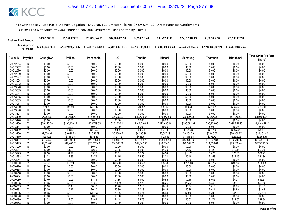| <b>Final Net Fund Amount:</b> | \$4,995,385.28     | \$9,564,189.78     | \$11.829.645.65    | \$17,001,459.93    | \$9.134.731.48     | \$9,122,593.49     | \$22,612,342.89    | \$6,522,667.16     | \$51,535,487.94    |
|-------------------------------|--------------------|--------------------|--------------------|--------------------|--------------------|--------------------|--------------------|--------------------|--------------------|
| Sum Approved<br>Purchases:    | \$7,202,938,719.97 | \$7,202,938,719.97 | \$7,458,815,028.91 | \$7,202,938,719.97 | \$6,285,795,184.10 | \$7.244.689.862.24 | \$7.244.689.862.24 | \$7.244.689.862.24 | \$7.244.689.862.24 |

|          |                |             | <b>Philips</b> |              | LG           | Toshiba      | <b>Hitachi</b> |              |                |              | <b>Total Strict Pro Rata</b> |
|----------|----------------|-------------|----------------|--------------|--------------|--------------|----------------|--------------|----------------|--------------|------------------------------|
| Claim ID | Payable        | Chunghwa    |                | Panasonic    |              |              |                | Samsung      | <b>Thomson</b> | Mitsubishi   | Share*                       |
| 70012954 | N              | \$0.00      | \$0.00         | \$0.00       | \$0.00       | \$0.00       | \$0.00         | \$0.00       | \$0.00         | \$0.00       | \$0.00                       |
| 70012962 | N              | \$0.00      | \$0.00         | \$0.00       | \$0.00       | \$0.00       | \$0.00         | \$0.00       | \$0.00         | \$0.00       | \$0.00                       |
| 70012970 | N              | \$0.00      | \$0.00         | \$0.00       | \$0.00       | \$0.00       | \$0.00         | \$0.00       | \$0.00         | \$0.00       | \$0.00                       |
| 70012989 | $\overline{N}$ | \$0.00      | \$0.00         | \$0.00       | \$0.00       | \$0.00       | \$0.00         | \$0.00       | \$0.00         | \$0.00       | \$0.00                       |
| 70012997 | N              | \$0.00      | \$0.00         | \$0.00       | \$0.00       | \$0.00       | \$0.00         | \$0.00       | \$0.00         | \$0.00       | \$0.00                       |
| 70013004 | N              | \$0.00      | \$0.00         | \$0.00       | \$0.00       | \$0.00       | \$0.00         | \$0.00       | \$0.00         | \$0.00       | \$0.00                       |
| 70013012 | $\overline{N}$ | \$0.00      | \$0.00         | \$0.00       | \$0.00       | \$0.00       | \$0.00         | \$0.00       | \$0.00         | \$0.00       | \$0.00                       |
| 70013020 | N              | \$0.00      | \$0.00         | \$0.00       | \$0.00       | \$0.00       | \$0.00         | \$0.00       | \$0.00         | \$0.00       | \$0.00                       |
| 70013039 | N              | \$0.00      | \$0.00         | \$0.00       | \$0.00       | \$0.00       | \$0.00         | \$0.00       | \$0.00         | \$0.00       | \$0.00                       |
| 70013047 | N              | \$0.00      | \$0.00         | \$0.00       | \$0.00       | \$0.00       | \$0.00         | \$0.00       | \$0.00         | \$0.00       | \$0.00                       |
| 70013055 | N              | \$0.00      | \$0.00         | \$0.00       | \$0.00       | \$0.00       | \$0.00         | \$0.00       | \$0.00         | \$0.00       | \$0.00                       |
| 70013063 | N              | \$0.00      | \$0.00         | \$0.00       | \$0.00       | \$0.00       | \$0.00         | \$0.00       | \$0.00         | \$0.00       | \$0.00                       |
| 7001307  | N              | \$0.00      | \$0.00         | \$0.00       | \$0.00       | \$0.00       | \$0.00         | \$0.00       | \$0.00         | \$0.00       | \$0.00                       |
| 70013080 | Υ              | \$21.89     | \$41.91        | \$50.06      | \$74.50      | \$45.87      | \$39.74        | \$98.51      | \$28.42        | \$224.52     | \$625.41                     |
| 70013098 | $\overline{N}$ | \$0.00      | \$0.00         | \$0.00       | \$0.00       | \$0.00       | \$0.00         | \$0.00       | \$0.00         | \$0.00       | \$0.00                       |
| 7001310  | N              | \$0.00      | \$0.00         | \$0.00       | \$0.00       | \$0.00       | \$0.00         | \$0.00       | \$0.00         | \$0.00       | \$0.00                       |
| 70013110 | Y              | \$5,982.80  | \$11,454.70    | \$13,681.93  | \$20,362.07  | \$12,536.63  | \$10,862.85    | \$26,925.95  | \$7,766.95     | \$61,366.58  | \$170,940.47                 |
| 70013128 | N              | \$0.00      | \$0.00         | \$0.00       | \$0.00       | \$0.00       | \$0.00         | \$0.00       | \$0.00         | \$0.00       | \$0.00                       |
| 70013136 | $\overline{Y}$ | \$68,123.30 | \$130,429.22   | \$155,789.55 | \$231,853.11 | \$142,748.64 | \$123,690.10   | \$306,592.97 | \$88,438.60    | \$698,751.93 | \$1,946,417.43               |
| 70013144 | N              | \$0.00      | \$0.00         | \$0.00       | \$0.00       | \$0.00       | \$0.00         | \$0.00       | \$0.00         | \$0.00       | \$0.00                       |
| 70013152 | Y              | \$27.87     | \$53.36        | \$63.74      | \$94.85      | \$58.40      | \$50.60        | \$125.43     | \$36.18        | \$285.87     | \$796.30                     |
| 70013160 | Y              | \$2,036.31  | \$3,898.73     | \$4,656.79   | \$6,930.45   | \$4,266.98   | \$3,697.29     | \$9,164.53   | \$2,643.57     | \$20,886.77  | \$58,181.40                  |
| 70013179 | V              | \$233.22    | \$446.53       | \$533.35     | \$793.76     | \$488.71     | \$423.46       | \$1,049.64   | \$302.77       | \$2,392.22   | \$6,663.67                   |
| 70013187 |                | \$9,973.43  | \$19,095.18    | \$22,808.00  | \$33,943.91  | \$20,898.78  | \$18,108.56    | \$44,886.02  | \$12,947.64    | \$102,299.12 | \$284,960.63                 |
| 70013195 |                | \$9,089.88  | \$17,403.53    | \$20,787.43  | \$30,936.80  | \$19,047.35  | \$16,504.31    | \$40,909.55  | \$11,800.61    | \$93,236.40  | \$259,715.86                 |
| 70013209 | $\overline{N}$ | \$0.00      | \$0.00         | \$0.00       | \$0.00       | \$0.00       | \$0.00         | \$0.00       | \$0.00         | \$0.00       | \$0.00                       |
| 70013217 | $\checkmark$   | \$0.99      | \$1.89         | \$2.25       | \$3.35       | \$2.06       | \$1.79         | \$4.43       | \$1.28         | \$10.11      | \$28.15                      |
| 70013225 |                | \$2.50      | \$4.79         | \$5.72       | \$8.51       | \$5.24       | \$4.54         | \$11.26      | \$3.25         | \$25.66      | \$71.47                      |
| 70013233 | Y              | \$1.22      | \$2.33         | \$2.79       | \$4.15       | \$2.55       | \$2.21         | \$5.48       | \$1.58         | \$12.49      | \$34.80                      |
| 70013241 | N              | \$0.00      | \$0.00         | \$0.00       | \$0.00       | \$0.00       | \$0.00         | \$0.00       | \$0.00         | \$0.00       | \$0.00                       |
| 90000030 | Y              | \$45.56     | \$87.24        | \$104.20     | \$155.08     | \$95.48      | \$82.73        | \$205.06     | \$59.15        | \$467.36     | \$1,301.86                   |
| 90000170 | N              | \$0.00      | \$0.00         | \$0.00       | \$0.00       | \$0.00       | \$0.00         | \$0.00       | \$0.00         | \$0.00       | \$0.00                       |
| 90000188 | $\mathsf{N}$   | \$0.00      | \$0.00         | \$0.00       | \$0.00       | \$0.00       | \$0.00         | \$0.00       | \$0.00         | \$0.00       | \$0.00                       |
| 90000218 | N              | \$0.00      | \$0.00         | \$0.00       | \$0.00       | \$0.00       | \$0.00         | \$0.00       | \$0.00         | \$0.00       | \$0.00                       |
| 90000234 | N              | \$0.00      | \$0.00         | \$0.00       | \$0.00       | \$0.00       | \$0.00         | \$0.00       | \$0.00         | \$0.00       | \$0.00                       |
| 90000269 | Y              | \$0.49      | \$0.93         | \$1.11       | \$1.65       | \$1.02       | \$0.88         | \$2.18       | \$0.63         | \$4.98       | \$13.87                      |
| 90000285 | Y              | \$3.45      | \$6.61         | \$7.89       | \$11.74      | \$7.23       | \$6.26         | \$15.53      | \$4.48         | \$35.39      | \$98.58                      |
| 90000315 | $\vee$         | \$0.08      | \$0.14         | \$0.17       | \$0.26       | \$0.16       | \$0.14         | \$0.34       | \$0.10         | \$0.78       | \$2.16                       |
| 9000033  |                | \$0.09      | \$0.17         | \$0.20       | \$0.30       | \$0.18       | \$0.16         | \$0.39       | \$0.11         | \$0.89       | \$2.48                       |
| 90000366 | Υ              | \$4.65      | \$8.90         | \$10.63      | \$15.82      | \$9.74       | \$8.44         | \$20.92      | \$6.03         | \$47.68      | \$132.81                     |
| 90000390 | N              | \$0.00      | \$0.00         | \$0.00       | \$0.00       | \$0.00       | \$0.00         | \$0.00       | \$0.00         | \$0.00       | \$0.00                       |
| 90000439 | $\vee$         | \$1.32      | \$2.52         | \$3.01       | \$4.48       | \$2.76       | \$2.39         | \$5.93       | \$1.71         | \$13.52      | \$37.65                      |
| 90000463 | N              | \$0.00      | \$0.00         | \$0.00       | \$0.00       | \$0.00       | \$0.00         | \$0.00       | \$0.00         | \$0.00       | \$0.00                       |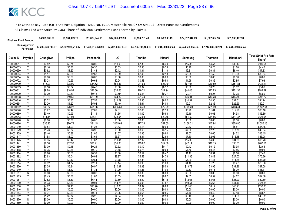| <b>Final Net Fund Amount:</b> | \$4,995,385.28     | \$9,564,189.78     | \$11.829.645.65    | \$17,001,459.93    | \$9.134.731.48     | \$9.122.593.49                                                 | \$22,612,342.89 | \$6,522,667.16 | \$51.535.487.94    |
|-------------------------------|--------------------|--------------------|--------------------|--------------------|--------------------|----------------------------------------------------------------|-----------------|----------------|--------------------|
| Sum Approved<br>Purchases:    | \$7,202,938,719.97 | \$7,202,938,719.97 | \$7,458,815,028.91 | \$7.202.938.719.97 | \$6,285,795,184.10 | \$7.244.689.862.24    \$7.244.689.862.24    \$7.244.689.862.24 |                 |                | \$7.244.689.862.24 |

|                      |                              |                  |                  |                  |                  |                  |                  |                  |                  |                   | <b>Total Strict Pro Rata</b> |
|----------------------|------------------------------|------------------|------------------|------------------|------------------|------------------|------------------|------------------|------------------|-------------------|------------------------------|
| Claim ID             | Payable                      | Chunghwa         | <b>Philips</b>   | Panasonic        | LG               | Toshiba          | Hitachi          | Samsung          | <b>Thomson</b>   | Mitsubishi        | Share*                       |
| 90000617             |                              | \$3.52           | \$6.74           | \$8.05           | \$11.99          | \$7.38           | \$6.40           | \$15.85          | \$4.57           | \$36.13           | \$100.64                     |
| 90000633             | $\overline{Y}$               | \$0.16           | \$0.30           | \$0.36           | \$0.53           | \$0.33           | \$0.28           | \$0.70           | \$0.20           | \$1.60            | \$4.46                       |
| 90000650             |                              | \$0.62           | \$1.20           | \$1.43           | \$2.12           | \$1.31           | \$1.13           | \$2.81           | \$0.81           | \$6.40            | \$17.83                      |
| 90000684             | Y                            | \$1.17           | \$2.25           | \$2.68           | \$3.99           | \$2.46           | \$2.13           | \$5.28           | \$1.52           | \$12.04           | \$33.54                      |
| 90000714             | N                            | \$0.00           | \$0.00           | \$0.00           | \$0.00           | \$0.00           | \$0.00           | \$0.00           | \$0.00           | \$0.00            | \$0.00                       |
| 90000722             | Y                            | \$0.28           | \$0.53           | \$0.63           | \$0.94           | \$0.58           | \$0.50           | \$1.25           | \$0.36           | \$2.85            | \$7.93                       |
| 90000790             |                              | \$15.09          | \$28.90          | \$34.52          | \$51.37          | \$31.63          | \$27.40          | \$67.93          | \$19.59          | \$154.81          | \$431.23                     |
| 90000803             | Y                            | \$0.18           | \$0.34           | \$0.40           | \$0.60           | \$0.37           | \$0.32           | \$0.80           | \$0.23           | \$1.82            | \$5.06                       |
| 90000811             | v                            | \$9.88           | \$18.92          | \$22.60          | \$33.63          | \$20.71          | \$17.94          | \$44.48          | \$12.83          | \$101.37          | \$282.37                     |
| 90000820             | Y                            | \$0.20           | \$0.39           | \$0.46           | \$0.69           | \$0.43           | \$0.37           | \$0.91           | \$0.26           | \$2.08            | \$5.80                       |
| 90000838             |                              | \$10.23          | \$19.59          | \$23.39          | \$34.82          | \$21.44          | \$18.57          | \$46.04          | \$13.28          | \$104.92          | \$292.27                     |
| 90000846             | Y                            | \$3.32           | \$6.35           | \$7.58           | \$11.29          | \$6.95           | \$6.02           | \$14.92          | \$4.30           | \$34.01           | \$94.74                      |
| 90000854             | Y                            | \$2.20           | \$4.22           | \$5.04           | \$7.49           | \$4.61           | \$4.00           | \$9.91           | \$2.86           | \$22.59           | \$62.91                      |
| 90000862             | $\overline{\mathsf{v}}$      | \$39.82          | \$76.23          | \$91.06          | \$135.51         | \$83.43          | \$72.29          | \$179.20         | \$51.69          | \$408.41          | \$1,137.64                   |
| 90000870             |                              | \$1.27           | \$2.42           | \$2.89           | \$4.31           | \$2.65           | \$2.30           | \$5.70           | \$1.64           | \$12.98           | \$36.16                      |
| 90000889             | Y                            | \$0.49           | \$0.93           | \$1.11           | \$1.65           | \$1.02           | \$0.88           | \$2.19           | \$0.63           | \$4.98            | \$13.89                      |
| 90000943             | ٧                            | \$11.44          | \$21.91          | \$26.17          | \$38.95          | \$23.98          | \$20.78          | \$51.50          | \$14.86          | \$117.37          | \$326.95                     |
| 90000978             | $\overline{N}$               | \$0.00           | \$0.00           | \$0.00           | \$0.00           | \$0.00           | \$0.00           | \$0.00           | \$0.00           | \$0.00            | \$0.00                       |
| 90000986             | Y                            | \$36.93          | \$70.71          | \$84.45          | \$125.69         | \$77.38          | \$67.05          | \$166.21         | \$47.94          | \$378.80          | \$1,055.16                   |
| 90001010             | Υ                            | \$0.54           | \$1.03           | \$1.23           | \$1.83           | \$1.13           | \$0.98           | \$2.42           | \$0.70           | \$5.51            | \$15.36                      |
| 90001079             | Y                            | \$1.73           | \$3.32           | \$3.96           | \$5.90           | \$3.63           | \$3.15           | \$7.80           | \$2.25           | \$17.78           | \$49.54                      |
| 90001109             | $\checkmark$                 | \$0.46           | \$0.88           | \$1.05           | \$1.57           | \$0.96           | \$0.84           | \$2.07           | \$0.60           | \$4.72            | \$13.15                      |
| 90001117             |                              | \$1.58           | \$3.02           | \$3.61           | \$5.37           | \$3.31           | \$2.86           | \$7.10           | \$2.05           | \$16.18           | \$45.08                      |
| 90001125             | Υ                            | \$3.35           | \$6.42           | \$7.67           | \$11.41          | \$7.02           | \$6.09           | \$15.09          | \$4.35           | \$34.39           | \$95.78                      |
| 90001141             | Y<br>$\overline{\mathsf{v}}$ | \$9.36           | \$17.93          | \$21.41          | \$31.86          | \$19.62          | \$17.00          | \$42.14          | \$12.15          | \$96.03           | \$267.51                     |
| 90001150             |                              | \$0.09           | \$0.18           | \$0.21           | \$0.32           | \$0.19           | \$0.17           | \$0.42           | \$0.12           | \$0.95            | \$2.65                       |
| 90001168             | Δ                            | \$0.35           | \$0.66           | \$0.79           | \$1.18           | \$0.73           | \$0.63           | \$1.56           | \$0.45           | \$3.56            | \$9.91                       |
| 90001184             | Y                            | \$0.26           | \$0.50           | \$0.59           | \$0.88           | \$0.54           | \$0.47           | \$1.17           | \$0.34           | \$2.66            | \$7.40                       |
| 90001192             | v                            | \$2.63           | \$5.04           | \$6.02           | \$8.97           | \$5.52           | \$4.78           | \$11.86          | \$3.42           | \$27.02           | \$75.26                      |
| 90001206<br>90001214 |                              | \$1.11<br>\$0.92 | \$2.12<br>\$1.77 | \$2.54<br>\$2.11 | \$3.78<br>\$3.14 | \$2.33<br>\$1.93 | \$2.01<br>\$1.68 | \$4.99<br>\$4.16 | \$1.44<br>\$1.20 | \$11.38<br>\$9.47 | \$31.70<br>\$26.38           |
| 90001230             | Υ                            | \$3.05           | \$5.84           | \$6.97           | \$10.37          | \$6.39           | \$5.53           | \$13.72          | \$3.96           | \$31.26           | \$87.08                      |
| 90001249             | Y                            | \$0.58           | \$1.12           | \$1.34           | \$1.99           | \$1.23           | \$1.06           | \$2.63           | \$0.76           | \$6.00            | \$16.71                      |
| 90001257             | N                            | \$0.00           | \$0.00           | \$0.00           | \$0.00           | \$0.00           | \$0.00           | \$0.00           | \$0.00           | \$0.00            | \$0.00                       |
| 90001265             | Y                            | \$0.45           | \$0.86           | \$1.03           | \$1.53           | \$0.94           | \$0.82           | \$2.03           | \$0.59           | \$4.62            | \$12.88                      |
| 90001281             | Y                            | \$2.82           | \$5.39           | \$6.44           | \$9.59           | \$5.90           | \$5.12           | \$12.68          | \$3.66           | \$28.90           | \$80.50                      |
| 90001290             | Y                            | \$4.33           | \$8.30           | \$9.91           | \$14.75          | \$9.08           | \$7.87           | \$19.51          | \$5.63           | \$44.46           | \$123.85                     |
| 90001338             | Y                            | \$4.77           | \$9.13           | \$10.90          | \$16.23          | \$9.99           | \$8.66           | \$21.46          | \$6.19           | \$48.91           | \$136.23                     |
| 90001346             | Ν                            | \$0.00           | \$0.00           | \$0.00           | \$0.00           | \$0.00           | \$0.00           | \$0.00           | \$0.00           | \$0.00            | \$0.00                       |
| 90001354             | Y                            | \$0.31           | \$0.59           | \$0.71           | \$1.06           | \$0.65           | \$0.56           | \$1.40           | \$0.40           | \$3.18            | \$8.87                       |
| 90001362             | Y                            | \$1.42           | \$2.72           | \$3.25           | \$4.84           | \$2.98           | \$2.58           | \$6.40           | \$1.85           | \$14.58           | \$40.62                      |
| 90001370             | N                            | \$0.00           | \$0.00           | \$0.00           | \$0.00           | \$0.00           | \$0.00           | \$0.00           | \$0.00           | \$0.00            | \$0.00                       |
| 90001389             | N                            | \$0.00           | \$0.00           | \$0.00           | \$0.00           | \$0.00           | \$0.00           | \$0.00           | \$0.00           | \$0.00            | \$0.00                       |
|                      |                              |                  |                  |                  |                  |                  |                  |                  |                  |                   |                              |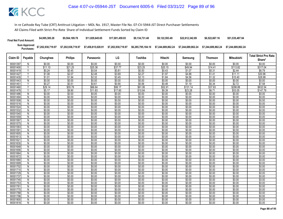| <b>Final Net Fund Amount:</b> | \$4,995,385.28     | \$9,564,189.78     | \$11,829,645,65 | \$17.001.459.93 | \$9.134.731.48 | \$9.122.593.49 | \$22,612,342,89 | \$6,522,667.16                                                                       | \$51.535.487.94    |
|-------------------------------|--------------------|--------------------|-----------------|-----------------|----------------|----------------|-----------------|--------------------------------------------------------------------------------------|--------------------|
| Sum Approved<br>Purchases:    | \$7,202,938,719.97 | \$7,202,938,719.97 |                 |                 |                |                |                 | \$6,285,795,184.10    \$7,244,689,862.24    \$7,244,689,862.24    \$7,244,689,862.24 | \$7.244.689.862.24 |

|                      |                |                  |                  |                  |                  |                  |                  |                  |                  |                   | <b>Total Strict Pro Rata</b> |
|----------------------|----------------|------------------|------------------|------------------|------------------|------------------|------------------|------------------|------------------|-------------------|------------------------------|
| Claim ID             | Payable        | Chunghwa         | <b>Philips</b>   | Panasonic        | LG               | Toshiba          | Hitachi          | Samsung          | <b>Thomson</b>   | <b>Mitsubishi</b> | Share*                       |
| 90001397             | N              | \$0.00           | \$0.00           | \$0.00           | \$0.00           | \$0.00           | \$0.00           | \$0.00           | \$0.00           | \$0.00            | \$0.00                       |
| 90001400             | $\overline{Y}$ | \$11.10          | \$21.25          | \$25.38          | \$37.77          | \$23.25          | \$20.15          | \$49.94          | \$14.41          | \$113.82          | \$317.04                     |
| 90001419             |                | \$0.24           | \$0.45           | \$0.54           | \$0.81           | \$0.50           | \$0.43           | \$1.07           | \$0.31           | \$2.44            | \$6.79                       |
| 90001427             | Y              | \$1.08           | \$2.07           | \$2.48           | \$3.69           | \$2.27           | \$1.97           | \$4.88           | \$1.41           | \$11.11           | \$30.96                      |
| 90001435             | Y              | \$1.01           | \$1.94           | \$2.32           | \$3.45           | \$2.13           | \$1.84           | \$4.56           | \$1.32           | \$10.40           | \$28.98                      |
| 90001443             | $\overline{N}$ | \$0.00           | \$0.00           | \$0.00           | \$0.00           | \$0.00           | \$0.00           | \$0.00           | \$0.00           | \$0.00            | \$0.00                       |
| 9000145              | V              | \$0.27           | \$0.51           | \$0.61           | \$0.90           | \$0.56           | \$0.48           | \$1.19           | \$0.34           | \$2.72            | \$7.58                       |
| 90001460             | Υ              | \$29.14          | \$55.79          | \$66.64          | \$99.17          | \$61.06          | \$52.91          | \$131.14         | \$37.83          | \$298.88          | \$832.54                     |
| 90001478             | Υ              | \$5.17           | \$9.90           | \$11.83          | \$17.60          | \$10.84          | \$9.39           | \$23.28          | \$6.71           | \$53.05           | \$147.79                     |
| 90001486             | $\overline{N}$ | \$0.00           | \$0.00           | \$0.00           | \$0.00           | \$0.00           | \$0.00           | \$0.00           | \$0.00           | \$0.00            | \$0.00                       |
| 90001494             | ${\sf N}$      | \$0.00           | \$0.00           | \$0.00           | \$0.00           | \$0.00           | \$0.00           | \$0.00           | \$0.00           | \$0.00            | \$0.00                       |
| 90001508             | N              | \$0.00           | \$0.00           | \$0.00           | \$0.00           | \$0.00           | \$0.00           | \$0.00           | \$0.00           | \$0.00            | \$0.00                       |
| 90001516             | N              | \$0.00           | \$0.00           | \$0.00           | \$0.00           | \$0.00           | \$0.00           | \$0.00           | \$0.00           | \$0.00            | \$0.00                       |
| 90001524             | N              | \$0.00           | \$0.00           | \$0.00           | \$0.00           | \$0.00           | \$0.00           | \$0.00           | \$0.00           | \$0.00            | \$0.00                       |
| 90001532             | N              | \$0.00           | \$0.00           | \$0.00           | \$0.00           | \$0.00           | \$0.00           | \$0.00           | \$0.00           | \$0.00            | \$0.00                       |
| 90001540             | N              | \$0.00           | \$0.00           | \$0.00           | \$0.00           | \$0.00           | \$0.00           | \$0.00           | \$0.00           | \$0.00            | \$0.00                       |
| 90001559             | N              | \$0.00           | \$0.00           | \$0.00           | \$0.00           | \$0.00           | \$0.00           | \$0.00           | \$0.00           | \$0.00            | \$0.00                       |
| 90001567             | $\overline{N}$ | \$0.00           | \$0.00           | \$0.00           | \$0.00           | \$0.00           | \$0.00           | \$0.00           | \$0.00           | \$0.00            | \$0.00                       |
| 90001575             | N              | \$0.00           | \$0.00           | \$0.00           | \$0.00           | \$0.00           | \$0.00           | \$0.00           | \$0.00           | \$0.00            | \$0.00                       |
| 90001583             | N              | \$0.00           | \$0.00           | \$0.00           | \$0.00           | \$0.00           | \$0.00           | \$0.00           | \$0.00           | \$0.00            | \$0.00                       |
| 90001591             | $\overline{N}$ | \$0.00           | \$0.00           | \$0.00           | \$0.00           | \$0.00           | \$0.00           | \$0.00           | \$0.00           | \$0.00            | \$0.00                       |
| 90001605<br>90001613 | N<br>N         | \$0.00<br>\$0.00 | \$0.00<br>\$0.00 | \$0.00<br>\$0.00 | \$0.00<br>\$0.00 | \$0.00<br>\$0.00 | \$0.00<br>\$0.00 | \$0.00<br>\$0.00 | \$0.00<br>\$0.00 | \$0.00<br>\$0.00  | \$0.00<br>\$0.00             |
| 90001621             | N              | \$0.00           | \$0.00           | \$0.00           | \$0.00           | \$0.00           | \$0.00           | \$0.00           | \$0.00           | \$0.00            | \$0.00                       |
| 90001630             | N              | \$0.00           | \$0.00           | \$0.00           | \$0.00           | \$0.00           | \$0.00           | \$0.00           | \$0.00           | \$0.00            | \$0.00                       |
| 90001648             | N              | \$0.00           | \$0.00           | \$0.00           | \$0.00           | \$0.00           | \$0.00           | \$0.00           | \$0.00           | \$0.00            | \$0.00                       |
| 90001656             | N              | \$0.00           | \$0.00           | \$0.00           | \$0.00           | \$0.00           | \$0.00           | \$0.00           | \$0.00           | \$0.00            | \$0.00                       |
| 90001664             | N              | \$0.00           | \$0.00           | \$0.00           | \$0.00           | \$0.00           | \$0.00           | \$0.00           | \$0.00           | \$0.00            | \$0.00                       |
| 90001672             | $\overline{N}$ | \$0.00           | \$0.00           | \$0.00           | \$0.00           | \$0.00           | \$0.00           | \$0.00           | \$0.00           | \$0.00            | \$0.00                       |
| 90001680             | N              | \$0.00           | \$0.00           | \$0.00           | \$0.00           | \$0.00           | \$0.00           | \$0.00           | \$0.00           | \$0.00            | \$0.00                       |
| 90001699             | N              | \$0.00           | \$0.00           | \$0.00           | \$0.00           | \$0.00           | \$0.00           | \$0.00           | \$0.00           | \$0.00            | \$0.00                       |
| 90001702             | N              | \$0.00           | \$0.00           | \$0.00           | \$0.00           | \$0.00           | \$0.00           | \$0.00           | \$0.00           | \$0.00            | \$0.00                       |
| 90001710             | $\mathsf{N}$   | \$0.00           | \$0.00           | \$0.00           | \$0.00           | \$0.00           | \$0.00           | \$0.00           | \$0.00           | \$0.00            | \$0.00                       |
| 90001729             | N              | \$0.00           | \$0.00           | \$0.00           | \$0.00           | \$0.00           | \$0.00           | \$0.00           | \$0.00           | \$0.00            | \$0.00                       |
| 90001737             | Ñ              | \$0.00           | \$0.00           | \$0.00           | \$0.00           | \$0.00           | \$0.00           | \$0.00           | \$0.00           | \$0.00            | \$0.00                       |
| 90001745             | N              | \$0.00           | \$0.00           | \$0.00           | \$0.00           | \$0.00           | \$0.00           | \$0.00           | \$0.00           | \$0.00            | \$0.00                       |
| 90001753             | $\overline{N}$ | \$0.00           | \$0.00           | \$0.00           | \$0.00           | \$0.00           | \$0.00           | \$0.00           | \$0.00           | \$0.00            | \$0.00                       |
| 9000176              | N              | \$0.00           | \$0.00           | \$0.00           | \$0.00           | \$0.00           | \$0.00           | \$0.00           | \$0.00           | \$0.00            | \$0.00                       |
| 90001770             | N              | \$0.00           | \$0.00           | \$0.00           | \$0.00           | \$0.00           | \$0.00           | \$0.00           | \$0.00           | \$0.00            | \$0.00                       |
| 90001788             | N              | \$0.00           | \$0.00           | \$0.00           | \$0.00           | \$0.00           | \$0.00           | \$0.00           | \$0.00           | \$0.00            | \$0.00                       |
| 90001796             | N              | \$0.00           | \$0.00           | \$0.00           | \$0.00           | \$0.00           | \$0.00           | \$0.00           | \$0.00           | \$0.00            | \$0.00                       |
| 90001800             | N              | \$0.00           | \$0.00           | \$0.00           | \$0.00           | \$0.00           | \$0.00           | \$0.00           | \$0.00           | \$0.00            | \$0.00                       |
| 90001818             | N              | \$0.00           | \$0.00           | \$0.00           | \$0.00           | \$0.00           | \$0.00           | \$0.00           | \$0.00           | \$0.00            | \$0.00                       |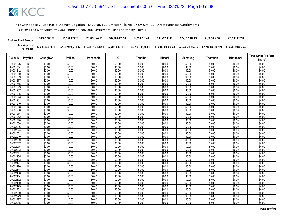| <b>Final Net Fund Amount:</b> | \$4,995,385.28     | \$9.564.189.78     | \$11,829,645,65    | \$17.001.459.93    | \$9.134.731.48     | \$9.122.593.49     | \$22.612.342.89    | \$6,522,667.16     | \$51,535,487.94    |
|-------------------------------|--------------------|--------------------|--------------------|--------------------|--------------------|--------------------|--------------------|--------------------|--------------------|
| Sum Approved<br>:Purchases    | \$7,202,938,719.97 | \$7,202,938,719.97 | \$7,458,815,028.91 | \$7,202,938,719.97 | \$6,285,795,184.10 | \$7.244.689.862.24 | \$7.244.689.862.24 | \$7.244.689.862.24 | \$7.244.689.862.24 |

| <b>Philips</b><br>LG<br><b>Mitsubishi</b><br>Claim ID<br>Payable<br>Chunghwa<br>Toshiba<br>Hitachi<br>Panasonic<br>Samsung<br><b>Thomson</b><br>\$0.00<br>\$0.00<br>90001826<br>\$0.00<br>\$0.00<br>\$0.00<br>\$0.00<br>\$0.00<br>\$0.00<br>\$0.00<br>N<br>\$0.00<br>\$0.00<br>\$0.00<br>\$0.00<br>\$0.00<br>\$0.00<br>\$0.00<br>\$0.00<br>\$0.00<br>90001834<br>N<br>90001842<br>\$0.00<br>\$0.00<br>\$0.00<br>\$0.00<br>\$0.00<br>\$0.00<br>\$0.00<br>\$0.00<br>\$0.00<br>N<br>\$0.00<br>\$0.00<br>\$0.00<br>\$0.00<br>\$0.00<br>90001850<br>\$0.00<br>\$0.00<br>\$0.00<br>\$0.00<br>N<br>\$0.00<br>\$0.00<br>\$0.00<br>\$0.00<br>\$0.00<br>\$0.00<br>\$0.00<br>\$0.00<br>\$0.00<br>90001869<br>N<br>\$0.00<br>\$0.00<br>\$0.00<br>\$0.00<br>\$0.00<br>\$0.00<br>\$0.00<br>\$0.00<br>\$0.00<br>90001877<br>N<br>\$0.00<br>\$0.00<br>\$0.00<br>\$0.00<br>\$0.00<br>\$0.00<br>\$0.00<br>\$0.00<br>\$0.00<br>90001885<br>N<br>\$0.00<br>\$0.00<br>\$0.00<br>\$0.00<br>\$0.00<br>90001893<br>N<br>\$0.00<br>\$0.00<br>\$0.00<br>\$0.00<br>\$0.00<br>\$0.00<br>\$0.00<br>\$0.00<br>90001907<br>\$0.00<br>\$0.00<br>\$0.00<br>\$0.00<br>\$0.00<br>N<br>$\overline{N}$<br>\$0.00<br>\$0.00<br>\$0.00<br>\$0.00<br>\$0.00<br>\$0.00<br>\$0.00<br>\$0.00<br>\$0.00<br>90001915<br>\$0.00<br>\$0.00<br>\$0.00<br>\$0.00<br>\$0.00<br>\$0.00<br>\$0.00<br>90001923<br>N<br>\$0.00<br>\$0.00<br>\$0.00<br>\$0.00<br>\$0.00<br>\$0.00<br>\$0.00<br>\$0.00<br>\$0.00<br>\$0.00<br>\$0.00<br>9000193<br>N | Share*<br>\$0.00<br>\$0.00<br>\$0.00<br>\$0.00<br>\$0.00<br>\$0.00<br>\$0.00<br>\$0.00<br>\$0.00<br>\$0.00<br>\$0.00 |
|----------------------------------------------------------------------------------------------------------------------------------------------------------------------------------------------------------------------------------------------------------------------------------------------------------------------------------------------------------------------------------------------------------------------------------------------------------------------------------------------------------------------------------------------------------------------------------------------------------------------------------------------------------------------------------------------------------------------------------------------------------------------------------------------------------------------------------------------------------------------------------------------------------------------------------------------------------------------------------------------------------------------------------------------------------------------------------------------------------------------------------------------------------------------------------------------------------------------------------------------------------------------------------------------------------------------------------------------------------------------------------------------------------------------------------------------------------------------------------------------|----------------------------------------------------------------------------------------------------------------------|
|                                                                                                                                                                                                                                                                                                                                                                                                                                                                                                                                                                                                                                                                                                                                                                                                                                                                                                                                                                                                                                                                                                                                                                                                                                                                                                                                                                                                                                                                                              |                                                                                                                      |
|                                                                                                                                                                                                                                                                                                                                                                                                                                                                                                                                                                                                                                                                                                                                                                                                                                                                                                                                                                                                                                                                                                                                                                                                                                                                                                                                                                                                                                                                                              |                                                                                                                      |
|                                                                                                                                                                                                                                                                                                                                                                                                                                                                                                                                                                                                                                                                                                                                                                                                                                                                                                                                                                                                                                                                                                                                                                                                                                                                                                                                                                                                                                                                                              |                                                                                                                      |
|                                                                                                                                                                                                                                                                                                                                                                                                                                                                                                                                                                                                                                                                                                                                                                                                                                                                                                                                                                                                                                                                                                                                                                                                                                                                                                                                                                                                                                                                                              |                                                                                                                      |
|                                                                                                                                                                                                                                                                                                                                                                                                                                                                                                                                                                                                                                                                                                                                                                                                                                                                                                                                                                                                                                                                                                                                                                                                                                                                                                                                                                                                                                                                                              |                                                                                                                      |
|                                                                                                                                                                                                                                                                                                                                                                                                                                                                                                                                                                                                                                                                                                                                                                                                                                                                                                                                                                                                                                                                                                                                                                                                                                                                                                                                                                                                                                                                                              |                                                                                                                      |
|                                                                                                                                                                                                                                                                                                                                                                                                                                                                                                                                                                                                                                                                                                                                                                                                                                                                                                                                                                                                                                                                                                                                                                                                                                                                                                                                                                                                                                                                                              |                                                                                                                      |
|                                                                                                                                                                                                                                                                                                                                                                                                                                                                                                                                                                                                                                                                                                                                                                                                                                                                                                                                                                                                                                                                                                                                                                                                                                                                                                                                                                                                                                                                                              |                                                                                                                      |
|                                                                                                                                                                                                                                                                                                                                                                                                                                                                                                                                                                                                                                                                                                                                                                                                                                                                                                                                                                                                                                                                                                                                                                                                                                                                                                                                                                                                                                                                                              |                                                                                                                      |
|                                                                                                                                                                                                                                                                                                                                                                                                                                                                                                                                                                                                                                                                                                                                                                                                                                                                                                                                                                                                                                                                                                                                                                                                                                                                                                                                                                                                                                                                                              |                                                                                                                      |
|                                                                                                                                                                                                                                                                                                                                                                                                                                                                                                                                                                                                                                                                                                                                                                                                                                                                                                                                                                                                                                                                                                                                                                                                                                                                                                                                                                                                                                                                                              |                                                                                                                      |
|                                                                                                                                                                                                                                                                                                                                                                                                                                                                                                                                                                                                                                                                                                                                                                                                                                                                                                                                                                                                                                                                                                                                                                                                                                                                                                                                                                                                                                                                                              |                                                                                                                      |
|                                                                                                                                                                                                                                                                                                                                                                                                                                                                                                                                                                                                                                                                                                                                                                                                                                                                                                                                                                                                                                                                                                                                                                                                                                                                                                                                                                                                                                                                                              | \$0.00                                                                                                               |
| \$0.00<br>\$0.00<br>\$0.00<br>90001940<br>\$0.00<br>\$0.00<br>\$0.00<br>\$0.00<br>\$0.00<br>\$0.00<br>N                                                                                                                                                                                                                                                                                                                                                                                                                                                                                                                                                                                                                                                                                                                                                                                                                                                                                                                                                                                                                                                                                                                                                                                                                                                                                                                                                                                      | \$0.00                                                                                                               |
| \$0.00<br>\$0.00<br>\$0.00<br>\$0.00<br>\$0.00<br>\$0.00<br>\$0.00<br>\$0.00<br>90001958<br>N<br>\$0.00                                                                                                                                                                                                                                                                                                                                                                                                                                                                                                                                                                                                                                                                                                                                                                                                                                                                                                                                                                                                                                                                                                                                                                                                                                                                                                                                                                                      | \$0.00                                                                                                               |
| \$0.00<br>\$0.00<br>\$0.00<br>\$0.00<br>\$0.00<br>\$0.00<br>\$0.00<br>\$0.00<br>\$0.00<br>90001966<br>N                                                                                                                                                                                                                                                                                                                                                                                                                                                                                                                                                                                                                                                                                                                                                                                                                                                                                                                                                                                                                                                                                                                                                                                                                                                                                                                                                                                      | \$0.00                                                                                                               |
| \$0.00<br>\$0.00<br>90001974<br>\$0.00<br>\$0.00<br>\$0.00<br>\$0.00<br>\$0.00<br>\$0.00<br>\$0.00<br>N                                                                                                                                                                                                                                                                                                                                                                                                                                                                                                                                                                                                                                                                                                                                                                                                                                                                                                                                                                                                                                                                                                                                                                                                                                                                                                                                                                                      | \$0.00                                                                                                               |
| \$0.00<br>\$0.00<br>\$0.00<br>\$0.00<br>\$0.00<br>\$0.00<br>\$0.00<br>\$0.00<br>\$0.00<br>90001982<br>N                                                                                                                                                                                                                                                                                                                                                                                                                                                                                                                                                                                                                                                                                                                                                                                                                                                                                                                                                                                                                                                                                                                                                                                                                                                                                                                                                                                      | \$0.00                                                                                                               |
| $\overline{N}$<br>\$0.00<br>\$0.00<br>\$0.00<br>\$0.00<br>\$0.00<br>\$0.00<br>\$0.00<br>\$0.00<br>\$0.00<br>90001990                                                                                                                                                                                                                                                                                                                                                                                                                                                                                                                                                                                                                                                                                                                                                                                                                                                                                                                                                                                                                                                                                                                                                                                                                                                                                                                                                                         | \$0.00                                                                                                               |
| \$0.00<br>\$0.00<br>\$0.00<br>\$0.00<br>\$0.00<br>\$0.00<br>\$0.00<br>\$0.00<br>\$0.00<br>90002008<br>N                                                                                                                                                                                                                                                                                                                                                                                                                                                                                                                                                                                                                                                                                                                                                                                                                                                                                                                                                                                                                                                                                                                                                                                                                                                                                                                                                                                      | \$0.00                                                                                                               |
| \$0.00<br>\$0.00<br>\$0.00<br>\$0.00<br>\$0.00<br>\$0.00<br>\$0.00<br>\$0.00<br>\$0.00<br>90002016<br>N                                                                                                                                                                                                                                                                                                                                                                                                                                                                                                                                                                                                                                                                                                                                                                                                                                                                                                                                                                                                                                                                                                                                                                                                                                                                                                                                                                                      | \$0.00                                                                                                               |
| \$0.00<br>\$0.00<br>\$0.00<br>\$0.00<br>\$0.00<br>\$0.00<br>\$0.00<br>90002024<br>\$0.00<br>\$0.00<br>N                                                                                                                                                                                                                                                                                                                                                                                                                                                                                                                                                                                                                                                                                                                                                                                                                                                                                                                                                                                                                                                                                                                                                                                                                                                                                                                                                                                      | \$0.00                                                                                                               |
| \$0.00<br>\$0.00<br>\$0.00<br>\$0.00<br>\$0.00<br>\$0.00<br>\$0.00<br>90002032<br>N<br>\$0.00<br>\$0.00                                                                                                                                                                                                                                                                                                                                                                                                                                                                                                                                                                                                                                                                                                                                                                                                                                                                                                                                                                                                                                                                                                                                                                                                                                                                                                                                                                                      | \$0.00                                                                                                               |
| \$0.00<br>\$0.00<br>\$0.00<br>\$0.00<br>\$0.00<br>\$0.00<br>Ñ<br>\$0.00<br>\$0.00<br>\$0.00<br>90002040                                                                                                                                                                                                                                                                                                                                                                                                                                                                                                                                                                                                                                                                                                                                                                                                                                                                                                                                                                                                                                                                                                                                                                                                                                                                                                                                                                                      | \$0.00                                                                                                               |
| \$0.00<br>\$0.00<br>\$0.00<br>\$0.00<br>\$0.00<br>\$0.00<br>\$0.00<br>\$0.00<br>\$0.00<br>90002059<br>N                                                                                                                                                                                                                                                                                                                                                                                                                                                                                                                                                                                                                                                                                                                                                                                                                                                                                                                                                                                                                                                                                                                                                                                                                                                                                                                                                                                      | \$0.00                                                                                                               |
| \$0.00<br>90002067<br>\$0.00<br>\$0.00<br>\$0.00<br>\$0.00<br>\$0.00<br>\$0.00<br>\$0.00<br>\$0.00<br>N                                                                                                                                                                                                                                                                                                                                                                                                                                                                                                                                                                                                                                                                                                                                                                                                                                                                                                                                                                                                                                                                                                                                                                                                                                                                                                                                                                                      | \$0.00                                                                                                               |
| \$0.00<br>$\overline{N}$<br>\$0.00<br>\$0.00<br>\$0.00<br>\$0.00<br>\$0.00<br>\$0.00<br>\$0.00<br>\$0.00<br>90002075                                                                                                                                                                                                                                                                                                                                                                                                                                                                                                                                                                                                                                                                                                                                                                                                                                                                                                                                                                                                                                                                                                                                                                                                                                                                                                                                                                         | \$0.00                                                                                                               |
| \$0.00<br>\$0.00<br>\$0.00<br>\$0.00<br>\$0.00<br>\$0.00<br>\$0.00<br>\$0.00<br>\$0.00<br>90002083<br>N                                                                                                                                                                                                                                                                                                                                                                                                                                                                                                                                                                                                                                                                                                                                                                                                                                                                                                                                                                                                                                                                                                                                                                                                                                                                                                                                                                                      | \$0.00                                                                                                               |
| \$0.00<br>\$0.00<br>\$0.00<br>\$0.00<br>\$0.00<br>\$0.00<br>\$0.00<br>\$0.00<br>\$0.00<br>9000209<br>N                                                                                                                                                                                                                                                                                                                                                                                                                                                                                                                                                                                                                                                                                                                                                                                                                                                                                                                                                                                                                                                                                                                                                                                                                                                                                                                                                                                       | \$0.00                                                                                                               |
| \$0.00<br>\$0.00<br>\$0.00<br>\$0.00<br>\$0.00<br>\$0.00<br>90002105<br>N<br>\$0.00<br>\$0.00<br>\$0.00<br>\$0.00<br>\$0.00<br>90002113                                                                                                                                                                                                                                                                                                                                                                                                                                                                                                                                                                                                                                                                                                                                                                                                                                                                                                                                                                                                                                                                                                                                                                                                                                                                                                                                                      | \$0.00                                                                                                               |
| \$0.00<br>\$0.00<br>\$0.00<br>\$0.00<br>\$0.00<br>\$0.00<br>\$0.00<br>N<br>\$0.00<br>\$0.00<br>\$0.00<br>\$0.00<br>\$0.00<br>\$0.00<br>\$0.00<br>\$0.00<br>N<br>\$0.00<br>9000212                                                                                                                                                                                                                                                                                                                                                                                                                                                                                                                                                                                                                                                                                                                                                                                                                                                                                                                                                                                                                                                                                                                                                                                                                                                                                                            | \$0.00<br>\$0.00                                                                                                     |
| \$0.00<br>\$0.00<br>\$0.00<br>\$0.00<br>\$0.00<br>\$0.00<br>\$0.00<br>\$0.00<br>\$0.00<br>90002130<br>N                                                                                                                                                                                                                                                                                                                                                                                                                                                                                                                                                                                                                                                                                                                                                                                                                                                                                                                                                                                                                                                                                                                                                                                                                                                                                                                                                                                      | \$0.00                                                                                                               |
| \$0.00<br>\$0.00<br>\$0.00<br>\$0.00<br>\$0.00<br>\$0.00<br>\$0.00<br>\$0.00<br>90002148<br>N<br>\$0.00                                                                                                                                                                                                                                                                                                                                                                                                                                                                                                                                                                                                                                                                                                                                                                                                                                                                                                                                                                                                                                                                                                                                                                                                                                                                                                                                                                                      | \$0.00                                                                                                               |
| \$0.00<br>\$0.00<br>\$0.00<br>\$0.00<br>\$0.00<br>\$0.00<br>\$0.00<br>\$0.00<br>\$0.00<br>90002156<br>N                                                                                                                                                                                                                                                                                                                                                                                                                                                                                                                                                                                                                                                                                                                                                                                                                                                                                                                                                                                                                                                                                                                                                                                                                                                                                                                                                                                      | \$0.00                                                                                                               |
| \$0.00<br>\$0.00<br>\$0.00<br>\$0.00<br>\$0.00<br>\$0.00<br>\$0.00<br>\$0.00<br>\$0.00<br>90002164<br>N                                                                                                                                                                                                                                                                                                                                                                                                                                                                                                                                                                                                                                                                                                                                                                                                                                                                                                                                                                                                                                                                                                                                                                                                                                                                                                                                                                                      | \$0.00                                                                                                               |
| \$0.00<br>\$0.00<br>90002172<br>\$0.00<br>\$0.00<br>\$0.00<br>\$0.00<br>\$0.00<br>\$0.00<br>\$0.00<br>N                                                                                                                                                                                                                                                                                                                                                                                                                                                                                                                                                                                                                                                                                                                                                                                                                                                                                                                                                                                                                                                                                                                                                                                                                                                                                                                                                                                      | \$0.00                                                                                                               |
| \$0.00<br>\$0.00<br>\$0.00<br>\$0.00<br>\$0.00<br>\$0.00<br>\$0.00<br>\$0.00<br>\$0.00<br>90002180<br>N                                                                                                                                                                                                                                                                                                                                                                                                                                                                                                                                                                                                                                                                                                                                                                                                                                                                                                                                                                                                                                                                                                                                                                                                                                                                                                                                                                                      | \$0.00                                                                                                               |
| \$0.00<br>\$0.00<br>\$0.00<br>\$0.00<br>\$0.00<br>\$0.00<br>\$0.00<br>\$0.00<br>\$0.00<br>90002199<br>N                                                                                                                                                                                                                                                                                                                                                                                                                                                                                                                                                                                                                                                                                                                                                                                                                                                                                                                                                                                                                                                                                                                                                                                                                                                                                                                                                                                      | \$0.00                                                                                                               |
| \$0.00<br>\$0.00<br>\$0.00<br>\$0.00<br>\$0.00<br>\$0.00<br>\$0.00<br>\$0.00<br>\$0.00<br>90002202<br>N                                                                                                                                                                                                                                                                                                                                                                                                                                                                                                                                                                                                                                                                                                                                                                                                                                                                                                                                                                                                                                                                                                                                                                                                                                                                                                                                                                                      | \$0.00                                                                                                               |
| \$0.00<br>\$0.00<br>\$0.00<br>\$0.00<br>\$0.00<br>\$0.00<br>\$0.00<br>\$0.00<br>\$0.00<br>90002210<br>N                                                                                                                                                                                                                                                                                                                                                                                                                                                                                                                                                                                                                                                                                                                                                                                                                                                                                                                                                                                                                                                                                                                                                                                                                                                                                                                                                                                      | \$0.00                                                                                                               |
| \$0.00<br>\$0.00<br>\$0.00<br>\$0.00<br>90002229<br>N<br>\$0.00<br>\$0.00<br>\$0.00<br>\$0.00<br>\$0.00                                                                                                                                                                                                                                                                                                                                                                                                                                                                                                                                                                                                                                                                                                                                                                                                                                                                                                                                                                                                                                                                                                                                                                                                                                                                                                                                                                                      | \$0.00                                                                                                               |
| \$0.00<br>\$0.00<br>\$0.00<br>\$0.00<br>\$0.00<br>\$0.00<br>\$0.00<br>N<br>\$0.00<br>\$0.00<br>9000223                                                                                                                                                                                                                                                                                                                                                                                                                                                                                                                                                                                                                                                                                                                                                                                                                                                                                                                                                                                                                                                                                                                                                                                                                                                                                                                                                                                       | \$0.00                                                                                                               |
| \$0.00<br>\$0.00<br>\$0.00<br>\$0.00<br>\$0.00<br>\$0.00<br>\$0.00<br>\$0.00<br>\$0.00<br>90002245<br>N                                                                                                                                                                                                                                                                                                                                                                                                                                                                                                                                                                                                                                                                                                                                                                                                                                                                                                                                                                                                                                                                                                                                                                                                                                                                                                                                                                                      | \$0.00                                                                                                               |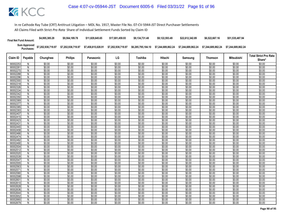| <b>Final Net Fund Amount:</b> | \$4,995,385.28     | \$9,564,189.78     | \$11,829,645,65    | \$17,001.459.93    | \$9.134.731.48     | \$9.122.593.49     | \$22,612,342.89    | \$6,522,667.16     | \$51,535,487.94    |
|-------------------------------|--------------------|--------------------|--------------------|--------------------|--------------------|--------------------|--------------------|--------------------|--------------------|
| Sum Approved<br>Purchases:    | \$7,202,938,719.97 | \$7,202,938,719.97 | \$7,458,815,028.91 | \$7,202,938,719.97 | \$6,285,795,184.10 | \$7.244.689.862.24 | \$7.244.689.862.24 | \$7.244.689.862.24 | \$7.244.689.862.24 |

|                      |                |                  |                  |                  |                  |                  |                  |                  |                  |                   | <b>Total Strict Pro Rata</b> |
|----------------------|----------------|------------------|------------------|------------------|------------------|------------------|------------------|------------------|------------------|-------------------|------------------------------|
| Claim ID             | Payable        | Chunghwa         | <b>Philips</b>   | Panasonic        | LG               | Toshiba          | Hitachi          | Samsung          | <b>Thomson</b>   | <b>Mitsubishi</b> | Share*                       |
| 90002253             | N              | \$0.00           | \$0.00           | \$0.00           | \$0.00           | \$0.00           | \$0.00           | \$0.00           | \$0.00           | \$0.00            | \$0.00                       |
| 9000226              | N              | \$0.00           | \$0.00           | \$0.00           | \$0.00           | \$0.00           | \$0.00           | \$0.00           | \$0.00           | \$0.00            | \$0.00                       |
| 90002270             | N              | \$0.00           | \$0.00           | \$0.00           | \$0.00           | \$0.00           | \$0.00           | \$0.00           | \$0.00           | \$0.00            | \$0.00                       |
| 90002288             | N              | \$0.00           | \$0.00           | \$0.00           | \$0.00           | \$0.00           | \$0.00           | \$0.00           | \$0.00           | \$0.00            | \$0.00                       |
| 90002296             | N              | \$0.00           | \$0.00           | \$0.00           | \$0.00           | \$0.00           | \$0.00           | \$0.00           | \$0.00           | \$0.00            | \$0.00                       |
| 90002300             | N              | \$0.00           | \$0.00           | \$0.00           | \$0.00           | \$0.00           | \$0.00           | \$0.00           | \$0.00           | \$0.00            | \$0.00                       |
| 90002318             | N              | \$0.00           | \$0.00           | \$0.00           | \$0.00           | \$0.00           | \$0.00           | \$0.00           | \$0.00           | \$0.00            | \$0.00                       |
| 90002326             | N              | \$0.00           | \$0.00           | \$0.00           | \$0.00           | \$0.00           | \$0.00           | \$0.00           | \$0.00           | \$0.00            | \$0.00                       |
| 90002334             | N              | \$0.00           | \$0.00           | \$0.00           | \$0.00           | \$0.00           | \$0.00           | \$0.00           | \$0.00           | \$0.00            | \$0.00                       |
| 90002342             | $\overline{N}$ | \$0.00           | \$0.00           | \$0.00           | \$0.00           | \$0.00           | \$0.00           | \$0.00           | \$0.00           | \$0.00            | \$0.00                       |
| 90002350             | N              | \$0.00           | \$0.00           | \$0.00           | \$0.00           | \$0.00           | \$0.00           | \$0.00           | \$0.00           | \$0.00            | \$0.00                       |
| 90002369             | N              | \$0.00           | \$0.00           | \$0.00           | \$0.00           | \$0.00           | \$0.00           | \$0.00           | \$0.00           | \$0.00            | \$0.00                       |
| 90002377             | N              | \$0.00           | \$0.00           | \$0.00           | \$0.00           | \$0.00           | \$0.00           | \$0.00           | \$0.00           | \$0.00            | \$0.00                       |
| 90002385             | N              | \$0.00           | \$0.00           | \$0.00           | \$0.00           | \$0.00           | \$0.00           | \$0.00           | \$0.00           | \$0.00            | \$0.00                       |
| 9000239              | N              | \$0.00           | \$0.00           | \$0.00           | \$0.00           | \$0.00           | \$0.00           | \$0.00           | \$0.00           | \$0.00            | \$0.00                       |
| 90002407             | N              | \$0.00           | \$0.00           | \$0.00           | \$0.00           | \$0.00           | \$0.00           | \$0.00           | \$0.00           | \$0.00            | \$0.00                       |
| 90002415             | N              | \$0.00           | \$0.00           | \$0.00           | \$0.00           | \$0.00           | \$0.00           | \$0.00           | \$0.00           | \$0.00            | \$0.00                       |
| 90002423             | $\overline{N}$ | \$0.00           | \$0.00           | \$0.00           | \$0.00           | \$0.00           | \$0.00           | \$0.00           | \$0.00           | \$0.00            | \$0.00                       |
| 9000243              | N              | \$0.00           | \$0.00           | \$0.00           | \$0.00           | \$0.00           | \$0.00           | \$0.00           | \$0.00           | \$0.00            | \$0.00                       |
| 90002440             | N              | \$0.00           | \$0.00           | \$0.00           | \$0.00           | \$0.00           | \$0.00           | \$0.00           | \$0.00           | \$0.00            | \$0.00                       |
| 90002458             | N              | \$0.00           | \$0.00           | \$0.00           | \$0.00           | \$0.00           | \$0.00           | \$0.00           | \$0.00           | \$0.00            | \$0.00                       |
| 90002466             | N              | \$0.00           | \$0.00           | \$0.00           | \$0.00           | \$0.00           | \$0.00           | \$0.00           | \$0.00           | \$0.00            | \$0.00                       |
| 90002474             | Ñ              | \$0.00           | \$0.00           | \$0.00           | \$0.00           | \$0.00           | \$0.00           | \$0.00           | \$0.00           | \$0.00            | \$0.00                       |
| 90002482             | N              | \$0.00           | \$0.00           | \$0.00           | \$0.00           | \$0.00           | \$0.00           | \$0.00           | \$0.00           | \$0.00            | \$0.00                       |
| 90002490             | N              | \$0.00           | \$0.00           | \$0.00           | \$0.00           | \$0.00           | \$0.00           | \$0.00           | \$0.00           | \$0.00            | \$0.00                       |
| 90002504             | $\overline{N}$ | \$0.00           | \$0.00           | \$0.00           | \$0.00           | \$0.00           | \$0.00           | \$0.00           | \$0.00           | \$0.00            | \$0.00                       |
| 90002512             | N              | \$0.00           | \$0.00           | \$0.00           | \$0.00           | \$0.00           | \$0.00           | \$0.00           | \$0.00           | \$0.00            | \$0.00                       |
| 90002520<br>90002539 | N<br>N         | \$0.00<br>\$0.00 | \$0.00<br>\$0.00 | \$0.00<br>\$0.00 | \$0.00<br>\$0.00 | \$0.00<br>\$0.00 | \$0.00<br>\$0.00 | \$0.00<br>\$0.00 | \$0.00<br>\$0.00 | \$0.00<br>\$0.00  | \$0.00<br>\$0.00             |
| 90002547             | N              | \$0.00           | \$0.00           | \$0.00           | \$0.00           | \$0.00           | \$0.00           | \$0.00           | \$0.00           | \$0.00            | \$0.00                       |
| 90002555             | N              | \$0.00           | \$0.00           | \$0.00           | \$0.00           | \$0.00           | \$0.00           | \$0.00           | \$0.00           | \$0.00            | \$0.00                       |
| 90002563             | N              | \$0.00           | \$0.00           | \$0.00           | \$0.00           | \$0.00           | \$0.00           | \$0.00           | \$0.00           | \$0.00            | \$0.00                       |
| 90002571             | N              | \$0.00           | \$0.00           | \$0.00           | \$0.00           | \$0.00           | \$0.00           | \$0.00           | \$0.00           | \$0.00            | \$0.00                       |
| 90002580             | N              | \$0.00           | \$0.00           | \$0.00           | \$0.00           | \$0.00           | \$0.00           | \$0.00           | \$0.00           | \$0.00            | \$0.00                       |
| 90002598             | N              | \$0.00           | \$0.00           | \$0.00           | \$0.00           | \$0.00           | \$0.00           | \$0.00           | \$0.00           | \$0.00            | \$0.00                       |
| 9000260              | N              | \$0.00           | \$0.00           | \$0.00           | \$0.00           | \$0.00           | \$0.00           | \$0.00           | \$0.00           | \$0.00            | \$0.00                       |
| 90002610             | N              | \$0.00           | \$0.00           | \$0.00           | \$0.00           | \$0.00           | \$0.00           | \$0.00           | \$0.00           | \$0.00            | \$0.00                       |
| 90002628             | N              | \$0.00           | \$0.00           | \$0.00           | \$0.00           | \$0.00           | \$0.00           | \$0.00           | \$0.00           | \$0.00            | \$0.00                       |
| 90002636             | N              | \$0.00           | \$0.00           | \$0.00           | \$0.00           | \$0.00           | \$0.00           | \$0.00           | \$0.00           | \$0.00            | \$0.00                       |
| 90002644             | N              | \$0.00           | \$0.00           | \$0.00           | \$0.00           | \$0.00           | \$0.00           | \$0.00           | \$0.00           | \$0.00            | \$0.00                       |
| 90002652             | N              | \$0.00           | \$0.00           | \$0.00           | \$0.00           | \$0.00           | \$0.00           | \$0.00           | \$0.00           | \$0.00            | \$0.00                       |
| 90002660             | N              | \$0.00           | \$0.00           | \$0.00           | \$0.00           | \$0.00           | \$0.00           | \$0.00           | \$0.00           | \$0.00            | \$0.00                       |
| 90002679             | Ñ              | \$0.00           | \$0.00           | \$0.00           | \$0.00           | \$0.00           | \$0.00           | \$0.00           | \$0.00           | \$0.00            | \$0.00                       |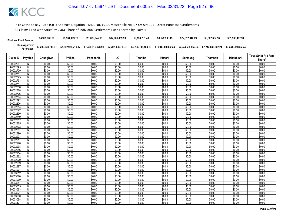| <b>Final Net Fund Amount:</b> | \$4,995,385.28                                                   | \$9,564,189.78     | \$11,829,645,65 | \$17,001,459.93 | \$9.134.731.48     | \$9.122.593.49 | \$22,612,342.89 | \$6,522,667.16     | \$51,535,487.94    |
|-------------------------------|------------------------------------------------------------------|--------------------|-----------------|-----------------|--------------------|----------------|-----------------|--------------------|--------------------|
|                               | Sum Approved \$7,202,938,719.97<br>Purchases: \$7,202,938,719.97 | \$7,202,938,719.97 |                 |                 | \$6,285,795,184.10 |                |                 | \$7.244.689.862.24 | \$7.244.689.862.24 |

|                      |                |                  |                  |                  |                  |                  |                  |                  |                  |                   | <b>Total Strict Pro Rata</b> |
|----------------------|----------------|------------------|------------------|------------------|------------------|------------------|------------------|------------------|------------------|-------------------|------------------------------|
| Claim ID             | Payable        | Chunghwa         | <b>Philips</b>   | Panasonic        | LG               | Toshiba          | Hitachi          | Samsung          | Thomson          | <b>Mitsubishi</b> | Share*                       |
| 90002687             | N              | \$0.00           | \$0.00           | \$0.00           | \$0.00           | \$0.00           | \$0.00           | \$0.00           | \$0.00           | \$0.00            | \$0.00                       |
| 90002695             | N              | \$0.00           | \$0.00           | \$0.00           | \$0.00           | \$0.00           | \$0.00           | \$0.00           | \$0.00           | \$0.00            | \$0.00                       |
| 90002709             | N              | \$0.00           | \$0.00           | \$0.00           | \$0.00           | \$0.00           | \$0.00           | \$0.00           | \$0.00           | \$0.00            | \$0.00                       |
| 90002717             | N              | \$0.00           | \$0.00           | \$0.00           | \$0.00           | \$0.00           | \$0.00           | \$0.00           | \$0.00           | \$0.00            | \$0.00                       |
| 90002725             | N              | \$0.00           | \$0.00           | \$0.00           | \$0.00           | \$0.00           | \$0.00           | \$0.00           | \$0.00           | \$0.00            | \$0.00                       |
| 90002733             | N              | \$0.00           | \$0.00           | \$0.00           | \$0.00           | \$0.00           | \$0.00           | \$0.00           | \$0.00           | \$0.00            | \$0.00                       |
| 9000274              | N              | \$0.00           | \$0.00           | \$0.00           | \$0.00           | \$0.00           | \$0.00           | \$0.00           | \$0.00           | \$0.00            | \$0.00                       |
| 90002750             | N              | \$0.00           | \$0.00           | \$0.00           | \$0.00           | \$0.00           | \$0.00           | \$0.00           | \$0.00           | \$0.00            | \$0.00                       |
| 90002768             | N              | \$0.00           | \$0.00           | \$0.00           | \$0.00           | \$0.00           | \$0.00           | \$0.00           | \$0.00           | \$0.00            | \$0.00                       |
| 90002776             | $\overline{N}$ | \$0.00           | \$0.00           | \$0.00           | \$0.00           | \$0.00           | \$0.00           | \$0.00           | \$0.00           | \$0.00            | \$0.00                       |
| 90002784             | N              | \$0.00           | \$0.00           | \$0.00           | \$0.00           | \$0.00           | \$0.00           | \$0.00           | \$0.00           | \$0.00            | \$0.00                       |
| 90002792             | N              | \$0.00           | \$0.00           | \$0.00           | \$0.00           | \$0.00           | \$0.00           | \$0.00           | \$0.00           | \$0.00            | \$0.00                       |
| 90002806             | N              | \$0.00           | \$0.00           | \$0.00           | \$0.00           | \$0.00           | \$0.00           | \$0.00           | \$0.00           | \$0.00            | \$0.00                       |
| 90002814             | N              | \$0.00           | \$0.00           | \$0.00           | \$0.00           | \$0.00           | \$0.00           | \$0.00           | \$0.00           | \$0.00            | \$0.00                       |
| 90002822             | N              | \$0.00           | \$0.00           | \$0.00           | \$0.00           | \$0.00           | \$0.00           | \$0.00           | \$0.00           | \$0.00            | \$0.00                       |
| 90002830             | N              | \$0.00           | \$0.00           | \$0.00           | \$0.00           | \$0.00           | \$0.00           | \$0.00           | \$0.00           | \$0.00            | \$0.00                       |
| 90002849             | N              | \$0.00           | \$0.00           | \$0.00           | \$0.00           | \$0.00           | \$0.00           | \$0.00           | \$0.00           | \$0.00            | \$0.00                       |
| 90002857             | N              | \$0.00           | \$0.00           | \$0.00           | \$0.00           | \$0.00           | \$0.00           | \$0.00           | \$0.00           | \$0.00            | \$0.00                       |
| 90002865             | N              | \$0.00           | \$0.00           | \$0.00           | \$0.00           | \$0.00           | \$0.00           | \$0.00           | \$0.00           | \$0.00            | \$0.00                       |
| 90002873             | N              | \$0.00           | \$0.00           | \$0.00           | \$0.00           | \$0.00           | \$0.00           | \$0.00           | \$0.00           | \$0.00            | \$0.00                       |
| 9000288              | N              | \$0.00           | \$0.00           | \$0.00           | \$0.00           | \$0.00           | \$0.00           | \$0.00           | \$0.00           | \$0.00            | \$0.00                       |
| 90002890<br>90002903 | N              | \$0.00           | \$0.00           | \$0.00           | \$0.00           | \$0.00           | \$0.00           | \$0.00           | \$0.00           | \$0.00            | \$0.00                       |
| 90002911             | N              | \$0.00<br>\$0.00 | \$0.00<br>\$0.00 | \$0.00<br>\$0.00 | \$0.00<br>\$0.00 | \$0.00<br>\$0.00 | \$0.00<br>\$0.00 | \$0.00<br>\$0.00 | \$0.00<br>\$0.00 | \$0.00<br>\$0.00  | \$0.00<br>\$0.00             |
| 90002920             | N<br>N         | \$0.00           | \$0.00           | \$0.00           | \$0.00           | \$0.00           | \$0.00           | \$0.00           | \$0.00           | \$0.00            | \$0.00                       |
| 90002938             | $\overline{N}$ | \$0.00           | \$0.00           | \$0.00           | \$0.00           | \$0.00           | \$0.00           | \$0.00           | \$0.00           | \$0.00            | \$0.00                       |
| 90002946             | N              | \$0.00           | \$0.00           | \$0.00           | \$0.00           | \$0.00           | \$0.00           | \$0.00           | \$0.00           | \$0.00            | \$0.00                       |
| 90002954             | N              | \$0.00           | \$0.00           | \$0.00           | \$0.00           | \$0.00           | \$0.00           | \$0.00           | \$0.00           | \$0.00            | \$0.00                       |
| 90002962             | N              | \$0.00           | \$0.00           | \$0.00           | \$0.00           | \$0.00           | \$0.00           | \$0.00           | \$0.00           | \$0.00            | \$0.00                       |
| 90002970             | N              | \$0.00           | \$0.00           | \$0.00           | \$0.00           | \$0.00           | \$0.00           | \$0.00           | \$0.00           | \$0.00            | \$0.00                       |
| 90002989             | N              | \$0.00           | \$0.00           | \$0.00           | \$0.00           | \$0.00           | \$0.00           | \$0.00           | \$0.00           | \$0.00            | \$0.00                       |
| 90002997             | N              | \$0.00           | \$0.00           | \$0.00           | \$0.00           | \$0.00           | \$0.00           | \$0.00           | \$0.00           | \$0.00            | \$0.00                       |
| 90003004             | N              | \$0.00           | \$0.00           | \$0.00           | \$0.00           | \$0.00           | \$0.00           | \$0.00           | \$0.00           | \$0.00            | \$0.00                       |
| 90003012             | N              | \$0.00           | \$0.00           | \$0.00           | \$0.00           | \$0.00           | \$0.00           | \$0.00           | \$0.00           | \$0.00            | \$0.00                       |
| 90003020             | N              | \$0.00           | \$0.00           | \$0.00           | \$0.00           | \$0.00           | \$0.00           | \$0.00           | \$0.00           | \$0.00            | \$0.00                       |
| 90003039             | N              | \$0.00           | \$0.00           | \$0.00           | \$0.00           | \$0.00           | \$0.00           | \$0.00           | \$0.00           | \$0.00            | \$0.00                       |
| 90003047             | N              | \$0.00           | \$0.00           | \$0.00           | \$0.00           | \$0.00           | \$0.00           | \$0.00           | \$0.00           | \$0.00            | \$0.00                       |
| 90003055             | N              | \$0.00           | \$0.00           | \$0.00           | \$0.00           | \$0.00           | \$0.00           | \$0.00           | \$0.00           | \$0.00            | \$0.00                       |
| 90003063             | N              | \$0.00           | \$0.00           | \$0.00           | \$0.00           | \$0.00           | \$0.00           | \$0.00           | \$0.00           | \$0.00            | \$0.00                       |
| 9000307              | N              | \$0.00           | \$0.00           | \$0.00           | \$0.00           | \$0.00           | \$0.00           | \$0.00           | \$0.00           | \$0.00            | \$0.00                       |
| 90003080             | N              | \$0.00           | \$0.00           | \$0.00           | \$0.00           | \$0.00           | \$0.00           | \$0.00           | \$0.00           | \$0.00            | \$0.00                       |
| 90003098             | N              | \$0.00           | \$0.00           | \$0.00           | \$0.00           | \$0.00           | \$0.00           | \$0.00           | \$0.00           | \$0.00            | \$0.00                       |
| 90003101             | N              | \$0.00           | \$0.00           | \$0.00           | \$0.00           | \$0.00           | \$0.00           | \$0.00           | \$0.00           | \$0.00            | \$0.00                       |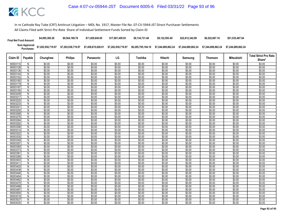| <b>Final Net Fund Amount:</b> | \$4,995,385.28                                | \$9,564,189.78     | \$11.829.645.65 | \$17,001,459.93 | \$9.134.731.48     | \$9.122.593.49 | \$22.612.342.89                       | \$6,522,667.16     | \$51,535,487.94    |
|-------------------------------|-----------------------------------------------|--------------------|-----------------|-----------------|--------------------|----------------|---------------------------------------|--------------------|--------------------|
|                               | Sum Approved<br>Purchases: \$7,202,938,719.97 | \$7,202,938,719.97 |                 |                 | \$6,285,795,184.10 |                | \$7.244.689.862.24 \$7.244.689.862.24 | \$7.244.689.862.24 | \$7.244.689.862.24 |

| Claim ID             | Payable        | Chunghwa         | <b>Philips</b>   | Panasonic        | LG               | Toshiba          | Hitachi          | Samsung          | Thomson          | Mitsubishi       | <b>Total Strict Pro Rata</b> |
|----------------------|----------------|------------------|------------------|------------------|------------------|------------------|------------------|------------------|------------------|------------------|------------------------------|
|                      |                |                  |                  |                  |                  |                  |                  |                  |                  |                  | Share*                       |
| 90003110             | N              | \$0.00           | \$0.00           | \$0.00           | \$0.00           | \$0.00           | \$0.00           | \$0.00           | \$0.00           | \$0.00           | \$0.00                       |
| 90003128             | N              | \$0.00           | \$0.00           | \$0.00           | \$0.00           | \$0.00           | \$0.00           | \$0.00           | \$0.00           | \$0.00           | \$0.00                       |
| 90003136             | N              | \$0.00           | \$0.00           | \$0.00           | \$0.00           | \$0.00           | \$0.00           | \$0.00           | \$0.00           | \$0.00           | \$0.00                       |
| 90003144             | N              | \$0.00           | \$0.00           | \$0.00           | \$0.00           | \$0.00           | \$0.00           | \$0.00           | \$0.00           | \$0.00           | \$0.00                       |
| 90003152             | N              | \$0.00           | \$0.00           | \$0.00           | \$0.00           | \$0.00           | \$0.00           | \$0.00           | \$0.00           | \$0.00           | \$0.00                       |
| 90003160             | N              | \$0.00           | \$0.00           | \$0.00           | \$0.00           | \$0.00           | \$0.00           | \$0.00           | \$0.00           | \$0.00           | \$0.00                       |
| 90003179             | $\overline{N}$ | \$0.00           | \$0.00           | \$0.00<br>\$0.00 | \$0.00           | \$0.00           | \$0.00           | \$0.00<br>\$0.00 | \$0.00           | \$0.00           | \$0.00                       |
| 90003187             | N              | \$0.00           | \$0.00<br>\$0.00 | \$0.00           | \$0.00<br>\$0.00 | \$0.00<br>\$0.00 | \$0.00<br>\$0.00 | \$0.00           | \$0.00<br>\$0.00 | \$0.00<br>\$0.00 | \$0.00                       |
| 90003195<br>90003209 | N<br>N         | \$0.00<br>\$0.00 | \$0.00           | \$0.00           | \$0.00           | \$0.00           | \$0.00           | \$0.00           | \$0.00           | \$0.00           | \$0.00<br>\$0.00             |
| 90003217             | N              | \$0.00           | \$0.00           | \$0.00           | \$0.00           | \$0.00           | \$0.00           | \$0.00           | \$0.00           | \$0.00           | \$0.00                       |
| 90003225             | N              | \$0.00           | \$0.00           | \$0.00           | \$0.00           | \$0.00           | \$0.00           | \$0.00           | \$0.00           | \$0.00           | \$0.00                       |
| 90003233             | N              | \$0.00           | \$0.00           | \$0.00           | \$0.00           | \$0.00           | \$0.00           | \$0.00           | \$0.00           | \$0.00           | \$0.00                       |
| 9000324              | N              | \$0.00           | \$0.00           | \$0.00           | \$0.00           | \$0.00           | \$0.00           | \$0.00           | \$0.00           | \$0.00           | \$0.00                       |
| 90003250             | N              | \$0.00           | \$0.00           | \$0.00           | \$0.00           | \$0.00           | \$0.00           | \$0.00           | \$0.00           | \$0.00           | \$0.00                       |
| 90003268             | N              | \$0.00           | \$0.00           | \$0.00           | \$0.00           | \$0.00           | \$0.00           | \$0.00           | \$0.00           | \$0.00           | \$0.00                       |
| 90003276             | N              | \$0.00           | \$0.00           | \$0.00           | \$0.00           | \$0.00           | \$0.00           | \$0.00           | \$0.00           | \$0.00           | \$0.00                       |
| 90003284             | $\overline{N}$ | \$0.00           | \$0.00           | \$0.00           | \$0.00           | \$0.00           | \$0.00           | \$0.00           | \$0.00           | \$0.00           | \$0.00                       |
| 90003292             | N              | \$0.00           | \$0.00           | \$0.00           | \$0.00           | \$0.00           | \$0.00           | \$0.00           | \$0.00           | \$0.00           | \$0.00                       |
| 90003306             | N.             | \$0.00           | \$0.00           | \$0.00           | \$0.00           | \$0.00           | \$0.00           | \$0.00           | \$0.00           | \$0.00           | \$0.00                       |
| 90003314             | N              | \$0.00           | \$0.00           | \$0.00           | \$0.00           | \$0.00           | \$0.00           | \$0.00           | \$0.00           | \$0.00           | \$0.00                       |
| 90003322             | N              | \$0.00           | \$0.00           | \$0.00           | \$0.00           | \$0.00           | \$0.00           | \$0.00           | \$0.00           | \$0.00           | \$0.00                       |
| 90003330             | N              | \$0.00           | \$0.00           | \$0.00           | \$0.00           | \$0.00           | \$0.00           | \$0.00           | \$0.00           | \$0.00           | \$0.00                       |
| 90003349             | Ñ              | \$0.00           | \$0.00           | \$0.00           | \$0.00           | \$0.00           | \$0.00           | \$0.00           | \$0.00           | \$0.00           | \$0.00                       |
| 90003357             | N              | \$0.00           | \$0.00           | \$0.00           | \$0.00           | \$0.00           | \$0.00           | \$0.00           | \$0.00           | \$0.00           | \$0.00                       |
| 90003365             | $\overline{N}$ | \$0.00           | \$0.00           | \$0.00           | \$0.00           | \$0.00           | \$0.00           | \$0.00           | \$0.00           | \$0.00           | \$0.00                       |
| 90003373             | N              | \$0.00           | \$0.00           | \$0.00           | \$0.00           | \$0.00           | \$0.00           | \$0.00           | \$0.00           | \$0.00           | \$0.00                       |
| 9000338              | N              | \$0.00           | \$0.00           | \$0.00           | \$0.00           | \$0.00           | \$0.00           | \$0.00           | \$0.00           | \$0.00           | \$0.00                       |
| 90003390             | N              | \$0.00           | \$0.00           | \$0.00           | \$0.00           | \$0.00           | \$0.00           | \$0.00           | \$0.00           | \$0.00           | \$0.00                       |
| 90003403             | N              | \$0.00           | \$0.00           | \$0.00           | \$0.00           | \$0.00           | \$0.00           | \$0.00           | \$0.00           | \$0.00           | \$0.00                       |
| 90003411             | N              | \$0.00           | \$0.00           | \$0.00           | \$0.00           | \$0.00           | \$0.00           | \$0.00           | \$0.00           | \$0.00           | \$0.00                       |
| 90003420             | N              | \$0.00           | \$0.00           | \$0.00           | \$0.00           | \$0.00           | \$0.00           | \$0.00           | \$0.00           | \$0.00           | \$0.00                       |
| 90003438             | N              | \$0.00           | \$0.00           | \$0.00           | \$0.00           | \$0.00           | \$0.00           | \$0.00           | \$0.00           | \$0.00           | \$0.00                       |
| 90003446             | N              | \$0.00           | \$0.00           | \$0.00           | \$0.00           | \$0.00           | \$0.00           | \$0.00           | \$0.00           | \$0.00           | \$0.00                       |
| 90003454             | N              | \$0.00           | \$0.00           | \$0.00           | \$0.00           | \$0.00           | \$0.00           | \$0.00           | \$0.00           | \$0.00           | \$0.00                       |
| 90003462             | N              | \$0.00           | \$0.00           | \$0.00           | \$0.00           | \$0.00           | \$0.00           | \$0.00           | \$0.00           | \$0.00           | \$0.00                       |
| 90003470             | N              | \$0.00           | \$0.00           | \$0.00           | \$0.00           | \$0.00           | \$0.00           | \$0.00           | \$0.00           | \$0.00           | \$0.00                       |
| 90003489             | N              | \$0.00           | \$0.00           | \$0.00           | \$0.00           | \$0.00           | \$0.00           | \$0.00           | \$0.00           | \$0.00           | \$0.00                       |
| 90003497             | N              | \$0.00           | \$0.00           | \$0.00           | \$0.00           | \$0.00           | \$0.00           | \$0.00           | \$0.00           | \$0.00           | \$0.00                       |
| 90003500             | N              | \$0.00           | \$0.00           | \$0.00           | \$0.00           | \$0.00           | \$0.00           | \$0.00           | \$0.00           | \$0.00           | \$0.00                       |
| 90003519             | N              | \$0.00           | \$0.00           | \$0.00           | \$0.00           | \$0.00           | \$0.00           | \$0.00           | \$0.00           | \$0.00           | \$0.00                       |
| 9000352              | N              | \$0.00           | \$0.00           | \$0.00           | \$0.00           | \$0.00           | \$0.00           | \$0.00           | \$0.00           | \$0.00           | \$0.00                       |
| 90003535             | Ñ              | \$0.00           | \$0.00           | \$0.00           | \$0.00           | \$0.00           | \$0.00           | \$0.00           | \$0.00           | \$0.00           | \$0.00                       |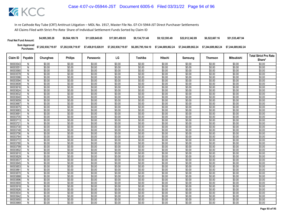| <b>Final Net Fund Amount:</b> | \$4,995,385.28     | \$9,564,189.78     | \$11,829,645,65    | \$17,001.459.93    | \$9.134.731.48     | \$9.122.593.49     | \$22,612,342.89    | \$6,522,667.16     | \$51,535,487.94    |
|-------------------------------|--------------------|--------------------|--------------------|--------------------|--------------------|--------------------|--------------------|--------------------|--------------------|
| Sum Approved<br>Purchases:    | \$7,202,938,719.97 | \$7,202,938,719.97 | \$7,458,815,028.91 | \$7,202,938,719.97 | \$6,285,795,184.10 | \$7.244.689.862.24 | \$7.244.689.862.24 | \$7.244.689.862.24 | \$7.244.689.862.24 |

|                                                                                                                                                                                                                                                                                                                                                                                                                          |                                                                                                                                                                                                                          |                                                                                                                                                                                                                          |                                                                                                                                                                                                                                    |                                                                                                                                                                                                                          |                                                                                                                                                                                                                          |                                                                                                                                                                                                                                    |                                                                                                                                                                                                                                    |                                                                                                                                                                                                                          |                                                                                                                                                                                                                          | <b>Total Strict Pro Rata</b> |
|--------------------------------------------------------------------------------------------------------------------------------------------------------------------------------------------------------------------------------------------------------------------------------------------------------------------------------------------------------------------------------------------------------------------------|--------------------------------------------------------------------------------------------------------------------------------------------------------------------------------------------------------------------------|--------------------------------------------------------------------------------------------------------------------------------------------------------------------------------------------------------------------------|------------------------------------------------------------------------------------------------------------------------------------------------------------------------------------------------------------------------------------|--------------------------------------------------------------------------------------------------------------------------------------------------------------------------------------------------------------------------|--------------------------------------------------------------------------------------------------------------------------------------------------------------------------------------------------------------------------|------------------------------------------------------------------------------------------------------------------------------------------------------------------------------------------------------------------------------------|------------------------------------------------------------------------------------------------------------------------------------------------------------------------------------------------------------------------------------|--------------------------------------------------------------------------------------------------------------------------------------------------------------------------------------------------------------------------|--------------------------------------------------------------------------------------------------------------------------------------------------------------------------------------------------------------------------|------------------------------|
| Claim ID<br>Payable                                                                                                                                                                                                                                                                                                                                                                                                      | Chunghwa                                                                                                                                                                                                                 | <b>Philips</b>                                                                                                                                                                                                           | Panasonic                                                                                                                                                                                                                          | LG                                                                                                                                                                                                                       | Toshiba                                                                                                                                                                                                                  | Hitachi                                                                                                                                                                                                                            | Samsung                                                                                                                                                                                                                            | <b>Thomson</b>                                                                                                                                                                                                           | <b>Mitsubishi</b>                                                                                                                                                                                                        | Share*                       |
| 90003543<br>N                                                                                                                                                                                                                                                                                                                                                                                                            | \$0.00                                                                                                                                                                                                                   | \$0.00                                                                                                                                                                                                                   | \$0.00                                                                                                                                                                                                                             | \$0.00                                                                                                                                                                                                                   | \$0.00                                                                                                                                                                                                                   | \$0.00                                                                                                                                                                                                                             | \$0.00                                                                                                                                                                                                                             | \$0.00                                                                                                                                                                                                                   | \$0.00                                                                                                                                                                                                                   | \$0.00                       |
| 9000355<br>N                                                                                                                                                                                                                                                                                                                                                                                                             | \$0.00                                                                                                                                                                                                                   | \$0.00                                                                                                                                                                                                                   | \$0.00                                                                                                                                                                                                                             | \$0.00                                                                                                                                                                                                                   | \$0.00                                                                                                                                                                                                                   | \$0.00                                                                                                                                                                                                                             | \$0.00                                                                                                                                                                                                                             | \$0.00                                                                                                                                                                                                                   | \$0.00                                                                                                                                                                                                                   | \$0.00                       |
| 90003560<br>N                                                                                                                                                                                                                                                                                                                                                                                                            | \$0.00                                                                                                                                                                                                                   | \$0.00                                                                                                                                                                                                                   | \$0.00                                                                                                                                                                                                                             | \$0.00                                                                                                                                                                                                                   | \$0.00                                                                                                                                                                                                                   | \$0.00                                                                                                                                                                                                                             | \$0.00                                                                                                                                                                                                                             | \$0.00                                                                                                                                                                                                                   | \$0.00                                                                                                                                                                                                                   | \$0.00                       |
| 90003578<br>N                                                                                                                                                                                                                                                                                                                                                                                                            | \$0.00                                                                                                                                                                                                                   | \$0.00                                                                                                                                                                                                                   | \$0.00                                                                                                                                                                                                                             | \$0.00                                                                                                                                                                                                                   | \$0.00                                                                                                                                                                                                                   | \$0.00                                                                                                                                                                                                                             | \$0.00                                                                                                                                                                                                                             | \$0.00                                                                                                                                                                                                                   | \$0.00                                                                                                                                                                                                                   | \$0.00                       |
| 90003586<br>N                                                                                                                                                                                                                                                                                                                                                                                                            | \$0.00                                                                                                                                                                                                                   | \$0.00                                                                                                                                                                                                                   | \$0.00                                                                                                                                                                                                                             | \$0.00                                                                                                                                                                                                                   | \$0.00                                                                                                                                                                                                                   | \$0.00                                                                                                                                                                                                                             | \$0.00                                                                                                                                                                                                                             | \$0.00                                                                                                                                                                                                                   | \$0.00                                                                                                                                                                                                                   | \$0.00                       |
| 90003594<br>N                                                                                                                                                                                                                                                                                                                                                                                                            | \$0.00                                                                                                                                                                                                                   | \$0.00                                                                                                                                                                                                                   | \$0.00                                                                                                                                                                                                                             | \$0.00                                                                                                                                                                                                                   | \$0.00                                                                                                                                                                                                                   | \$0.00                                                                                                                                                                                                                             | \$0.00                                                                                                                                                                                                                             | \$0.00                                                                                                                                                                                                                   | \$0.00                                                                                                                                                                                                                   | \$0.00                       |
| N<br>90003608                                                                                                                                                                                                                                                                                                                                                                                                            | \$0.00                                                                                                                                                                                                                   | \$0.00                                                                                                                                                                                                                   | \$0.00                                                                                                                                                                                                                             | \$0.00                                                                                                                                                                                                                   | \$0.00                                                                                                                                                                                                                   | \$0.00                                                                                                                                                                                                                             | \$0.00                                                                                                                                                                                                                             | \$0.00                                                                                                                                                                                                                   | \$0.00                                                                                                                                                                                                                   | \$0.00                       |
| 90003616<br>N                                                                                                                                                                                                                                                                                                                                                                                                            | \$0.00                                                                                                                                                                                                                   | \$0.00                                                                                                                                                                                                                   | \$0.00                                                                                                                                                                                                                             | \$0.00                                                                                                                                                                                                                   | \$0.00                                                                                                                                                                                                                   | \$0.00                                                                                                                                                                                                                             | \$0.00                                                                                                                                                                                                                             | \$0.00                                                                                                                                                                                                                   | \$0.00                                                                                                                                                                                                                   | \$0.00                       |
| 90003624<br>N                                                                                                                                                                                                                                                                                                                                                                                                            | \$0.00                                                                                                                                                                                                                   | \$0.00                                                                                                                                                                                                                   | \$0.00                                                                                                                                                                                                                             | \$0.00                                                                                                                                                                                                                   | \$0.00                                                                                                                                                                                                                   | \$0.00                                                                                                                                                                                                                             | \$0.00                                                                                                                                                                                                                             | \$0.00                                                                                                                                                                                                                   | \$0.00                                                                                                                                                                                                                   | \$0.00                       |
| $\overline{N}$<br>90003632                                                                                                                                                                                                                                                                                                                                                                                               | \$0.00                                                                                                                                                                                                                   | \$0.00                                                                                                                                                                                                                   | \$0.00                                                                                                                                                                                                                             | \$0.00                                                                                                                                                                                                                   | \$0.00                                                                                                                                                                                                                   | \$0.00                                                                                                                                                                                                                             | \$0.00                                                                                                                                                                                                                             | \$0.00                                                                                                                                                                                                                   | \$0.00                                                                                                                                                                                                                   | \$0.00                       |
| 90003640<br>N                                                                                                                                                                                                                                                                                                                                                                                                            | \$0.00                                                                                                                                                                                                                   | \$0.00                                                                                                                                                                                                                   | \$0.00                                                                                                                                                                                                                             | \$0.00                                                                                                                                                                                                                   | \$0.00                                                                                                                                                                                                                   | \$0.00                                                                                                                                                                                                                             | \$0.00                                                                                                                                                                                                                             | \$0.00                                                                                                                                                                                                                   | \$0.00                                                                                                                                                                                                                   | \$0.00                       |
| 90003659<br>N                                                                                                                                                                                                                                                                                                                                                                                                            | \$0.00                                                                                                                                                                                                                   | \$0.00                                                                                                                                                                                                                   | \$0.00                                                                                                                                                                                                                             | \$0.00                                                                                                                                                                                                                   | \$0.00                                                                                                                                                                                                                   | \$0.00                                                                                                                                                                                                                             | \$0.00                                                                                                                                                                                                                             | \$0.00                                                                                                                                                                                                                   | \$0.00                                                                                                                                                                                                                   | \$0.00                       |
| 90003667<br>N                                                                                                                                                                                                                                                                                                                                                                                                            | \$0.00                                                                                                                                                                                                                   | \$0.00                                                                                                                                                                                                                   | \$0.00                                                                                                                                                                                                                             | \$0.00                                                                                                                                                                                                                   | \$0.00                                                                                                                                                                                                                   | \$0.00                                                                                                                                                                                                                             | \$0.00                                                                                                                                                                                                                             | \$0.00                                                                                                                                                                                                                   | \$0.00                                                                                                                                                                                                                   | \$0.00                       |
| 90003675<br>N                                                                                                                                                                                                                                                                                                                                                                                                            | \$0.00                                                                                                                                                                                                                   | \$0.00                                                                                                                                                                                                                   | \$0.00                                                                                                                                                                                                                             | \$0.00                                                                                                                                                                                                                   | \$0.00                                                                                                                                                                                                                   | \$0.00                                                                                                                                                                                                                             | \$0.00                                                                                                                                                                                                                             | \$0.00                                                                                                                                                                                                                   | \$0.00                                                                                                                                                                                                                   | \$0.00                       |
| 90003683<br>N                                                                                                                                                                                                                                                                                                                                                                                                            | \$0.00                                                                                                                                                                                                                   | \$0.00                                                                                                                                                                                                                   | \$0.00                                                                                                                                                                                                                             | \$0.00                                                                                                                                                                                                                   | \$0.00                                                                                                                                                                                                                   | \$0.00                                                                                                                                                                                                                             | \$0.00                                                                                                                                                                                                                             | \$0.00                                                                                                                                                                                                                   | \$0.00                                                                                                                                                                                                                   | \$0.00                       |
| 9000369<br>N                                                                                                                                                                                                                                                                                                                                                                                                             | \$0.00                                                                                                                                                                                                                   | \$0.00                                                                                                                                                                                                                   | \$0.00                                                                                                                                                                                                                             | \$0.00                                                                                                                                                                                                                   | \$0.00                                                                                                                                                                                                                   | \$0.00                                                                                                                                                                                                                             | \$0.00                                                                                                                                                                                                                             | \$0.00                                                                                                                                                                                                                   | \$0.00                                                                                                                                                                                                                   | \$0.00                       |
| 90003705<br>N                                                                                                                                                                                                                                                                                                                                                                                                            | \$0.00                                                                                                                                                                                                                   | \$0.00                                                                                                                                                                                                                   | \$0.00                                                                                                                                                                                                                             | \$0.00                                                                                                                                                                                                                   | \$0.00                                                                                                                                                                                                                   | \$0.00                                                                                                                                                                                                                             | \$0.00                                                                                                                                                                                                                             | \$0.00                                                                                                                                                                                                                   | \$0.00                                                                                                                                                                                                                   | \$0.00                       |
| $\overline{N}$<br>90003713                                                                                                                                                                                                                                                                                                                                                                                               | \$0.00                                                                                                                                                                                                                   | \$0.00                                                                                                                                                                                                                   | \$0.00                                                                                                                                                                                                                             | \$0.00                                                                                                                                                                                                                   | \$0.00                                                                                                                                                                                                                   | \$0.00                                                                                                                                                                                                                             | \$0.00                                                                                                                                                                                                                             | \$0.00                                                                                                                                                                                                                   | \$0.00                                                                                                                                                                                                                   | \$0.00                       |
| 9000372<br>N                                                                                                                                                                                                                                                                                                                                                                                                             | \$0.00                                                                                                                                                                                                                   | \$0.00                                                                                                                                                                                                                   | \$0.00                                                                                                                                                                                                                             | \$0.00                                                                                                                                                                                                                   | \$0.00                                                                                                                                                                                                                   | \$0.00                                                                                                                                                                                                                             | \$0.00                                                                                                                                                                                                                             | \$0.00                                                                                                                                                                                                                   | \$0.00                                                                                                                                                                                                                   | \$0.00                       |
| 90003730<br>N                                                                                                                                                                                                                                                                                                                                                                                                            | \$0.00                                                                                                                                                                                                                   | \$0.00                                                                                                                                                                                                                   | \$0.00                                                                                                                                                                                                                             | \$0.00                                                                                                                                                                                                                   | \$0.00                                                                                                                                                                                                                   | \$0.00                                                                                                                                                                                                                             | \$0.00                                                                                                                                                                                                                             | \$0.00                                                                                                                                                                                                                   | \$0.00                                                                                                                                                                                                                   | \$0.00                       |
|                                                                                                                                                                                                                                                                                                                                                                                                                          |                                                                                                                                                                                                                          |                                                                                                                                                                                                                          |                                                                                                                                                                                                                                    |                                                                                                                                                                                                                          |                                                                                                                                                                                                                          |                                                                                                                                                                                                                                    |                                                                                                                                                                                                                                    |                                                                                                                                                                                                                          |                                                                                                                                                                                                                          | \$0.00                       |
|                                                                                                                                                                                                                                                                                                                                                                                                                          |                                                                                                                                                                                                                          |                                                                                                                                                                                                                          |                                                                                                                                                                                                                                    |                                                                                                                                                                                                                          |                                                                                                                                                                                                                          |                                                                                                                                                                                                                                    |                                                                                                                                                                                                                                    |                                                                                                                                                                                                                          |                                                                                                                                                                                                                          | \$0.00                       |
|                                                                                                                                                                                                                                                                                                                                                                                                                          |                                                                                                                                                                                                                          |                                                                                                                                                                                                                          |                                                                                                                                                                                                                                    |                                                                                                                                                                                                                          |                                                                                                                                                                                                                          |                                                                                                                                                                                                                                    |                                                                                                                                                                                                                                    |                                                                                                                                                                                                                          |                                                                                                                                                                                                                          | \$0.00                       |
|                                                                                                                                                                                                                                                                                                                                                                                                                          |                                                                                                                                                                                                                          |                                                                                                                                                                                                                          |                                                                                                                                                                                                                                    |                                                                                                                                                                                                                          |                                                                                                                                                                                                                          |                                                                                                                                                                                                                                    |                                                                                                                                                                                                                                    |                                                                                                                                                                                                                          |                                                                                                                                                                                                                          | \$0.00                       |
|                                                                                                                                                                                                                                                                                                                                                                                                                          |                                                                                                                                                                                                                          |                                                                                                                                                                                                                          |                                                                                                                                                                                                                                    |                                                                                                                                                                                                                          |                                                                                                                                                                                                                          |                                                                                                                                                                                                                                    |                                                                                                                                                                                                                                    |                                                                                                                                                                                                                          |                                                                                                                                                                                                                          | \$0.00                       |
|                                                                                                                                                                                                                                                                                                                                                                                                                          |                                                                                                                                                                                                                          |                                                                                                                                                                                                                          |                                                                                                                                                                                                                                    |                                                                                                                                                                                                                          |                                                                                                                                                                                                                          |                                                                                                                                                                                                                                    |                                                                                                                                                                                                                                    |                                                                                                                                                                                                                          |                                                                                                                                                                                                                          | \$0.00                       |
|                                                                                                                                                                                                                                                                                                                                                                                                                          |                                                                                                                                                                                                                          |                                                                                                                                                                                                                          |                                                                                                                                                                                                                                    |                                                                                                                                                                                                                          |                                                                                                                                                                                                                          |                                                                                                                                                                                                                                    |                                                                                                                                                                                                                                    |                                                                                                                                                                                                                          |                                                                                                                                                                                                                          | \$0.00                       |
|                                                                                                                                                                                                                                                                                                                                                                                                                          |                                                                                                                                                                                                                          |                                                                                                                                                                                                                          |                                                                                                                                                                                                                                    |                                                                                                                                                                                                                          |                                                                                                                                                                                                                          |                                                                                                                                                                                                                                    |                                                                                                                                                                                                                                    |                                                                                                                                                                                                                          |                                                                                                                                                                                                                          | \$0.00                       |
|                                                                                                                                                                                                                                                                                                                                                                                                                          |                                                                                                                                                                                                                          |                                                                                                                                                                                                                          |                                                                                                                                                                                                                                    |                                                                                                                                                                                                                          |                                                                                                                                                                                                                          |                                                                                                                                                                                                                                    |                                                                                                                                                                                                                                    |                                                                                                                                                                                                                          |                                                                                                                                                                                                                          | \$0.00                       |
|                                                                                                                                                                                                                                                                                                                                                                                                                          |                                                                                                                                                                                                                          |                                                                                                                                                                                                                          |                                                                                                                                                                                                                                    |                                                                                                                                                                                                                          |                                                                                                                                                                                                                          |                                                                                                                                                                                                                                    |                                                                                                                                                                                                                                    |                                                                                                                                                                                                                          |                                                                                                                                                                                                                          | \$0.00<br>\$0.00             |
|                                                                                                                                                                                                                                                                                                                                                                                                                          |                                                                                                                                                                                                                          |                                                                                                                                                                                                                          |                                                                                                                                                                                                                                    |                                                                                                                                                                                                                          |                                                                                                                                                                                                                          |                                                                                                                                                                                                                                    |                                                                                                                                                                                                                                    |                                                                                                                                                                                                                          |                                                                                                                                                                                                                          | \$0.00                       |
|                                                                                                                                                                                                                                                                                                                                                                                                                          |                                                                                                                                                                                                                          |                                                                                                                                                                                                                          |                                                                                                                                                                                                                                    |                                                                                                                                                                                                                          |                                                                                                                                                                                                                          |                                                                                                                                                                                                                                    |                                                                                                                                                                                                                                    |                                                                                                                                                                                                                          |                                                                                                                                                                                                                          | \$0.00                       |
|                                                                                                                                                                                                                                                                                                                                                                                                                          |                                                                                                                                                                                                                          |                                                                                                                                                                                                                          |                                                                                                                                                                                                                                    |                                                                                                                                                                                                                          |                                                                                                                                                                                                                          |                                                                                                                                                                                                                                    |                                                                                                                                                                                                                                    |                                                                                                                                                                                                                          |                                                                                                                                                                                                                          | \$0.00                       |
|                                                                                                                                                                                                                                                                                                                                                                                                                          |                                                                                                                                                                                                                          |                                                                                                                                                                                                                          |                                                                                                                                                                                                                                    |                                                                                                                                                                                                                          |                                                                                                                                                                                                                          |                                                                                                                                                                                                                                    |                                                                                                                                                                                                                                    |                                                                                                                                                                                                                          |                                                                                                                                                                                                                          | \$0.00                       |
|                                                                                                                                                                                                                                                                                                                                                                                                                          |                                                                                                                                                                                                                          |                                                                                                                                                                                                                          |                                                                                                                                                                                                                                    |                                                                                                                                                                                                                          |                                                                                                                                                                                                                          |                                                                                                                                                                                                                                    |                                                                                                                                                                                                                                    |                                                                                                                                                                                                                          |                                                                                                                                                                                                                          | \$0.00                       |
|                                                                                                                                                                                                                                                                                                                                                                                                                          |                                                                                                                                                                                                                          |                                                                                                                                                                                                                          |                                                                                                                                                                                                                                    |                                                                                                                                                                                                                          |                                                                                                                                                                                                                          |                                                                                                                                                                                                                                    |                                                                                                                                                                                                                                    |                                                                                                                                                                                                                          |                                                                                                                                                                                                                          | \$0.00                       |
|                                                                                                                                                                                                                                                                                                                                                                                                                          |                                                                                                                                                                                                                          |                                                                                                                                                                                                                          |                                                                                                                                                                                                                                    |                                                                                                                                                                                                                          |                                                                                                                                                                                                                          |                                                                                                                                                                                                                                    |                                                                                                                                                                                                                                    |                                                                                                                                                                                                                          |                                                                                                                                                                                                                          | \$0.00                       |
|                                                                                                                                                                                                                                                                                                                                                                                                                          |                                                                                                                                                                                                                          |                                                                                                                                                                                                                          |                                                                                                                                                                                                                                    |                                                                                                                                                                                                                          |                                                                                                                                                                                                                          |                                                                                                                                                                                                                                    |                                                                                                                                                                                                                                    |                                                                                                                                                                                                                          |                                                                                                                                                                                                                          | \$0.00                       |
|                                                                                                                                                                                                                                                                                                                                                                                                                          |                                                                                                                                                                                                                          |                                                                                                                                                                                                                          |                                                                                                                                                                                                                                    |                                                                                                                                                                                                                          |                                                                                                                                                                                                                          |                                                                                                                                                                                                                                    |                                                                                                                                                                                                                                    |                                                                                                                                                                                                                          |                                                                                                                                                                                                                          | \$0.00                       |
|                                                                                                                                                                                                                                                                                                                                                                                                                          |                                                                                                                                                                                                                          |                                                                                                                                                                                                                          |                                                                                                                                                                                                                                    |                                                                                                                                                                                                                          |                                                                                                                                                                                                                          |                                                                                                                                                                                                                                    |                                                                                                                                                                                                                                    |                                                                                                                                                                                                                          |                                                                                                                                                                                                                          | \$0.00                       |
|                                                                                                                                                                                                                                                                                                                                                                                                                          |                                                                                                                                                                                                                          |                                                                                                                                                                                                                          |                                                                                                                                                                                                                                    |                                                                                                                                                                                                                          |                                                                                                                                                                                                                          |                                                                                                                                                                                                                                    |                                                                                                                                                                                                                                    |                                                                                                                                                                                                                          |                                                                                                                                                                                                                          | \$0.00                       |
| Ñ                                                                                                                                                                                                                                                                                                                                                                                                                        | \$0.00                                                                                                                                                                                                                   | \$0.00                                                                                                                                                                                                                   |                                                                                                                                                                                                                                    | \$0.00                                                                                                                                                                                                                   | \$0.00                                                                                                                                                                                                                   |                                                                                                                                                                                                                                    |                                                                                                                                                                                                                                    | \$0.00                                                                                                                                                                                                                   | \$0.00                                                                                                                                                                                                                   | \$0.00                       |
| 90003748<br>Ñ<br>90003756<br>N<br>Ñ<br>90003764<br>90003772<br>N<br>90003780<br>N<br>$\overline{N}$<br>90003799<br>90003802<br>N<br>90003810<br>N<br>90003829<br>N<br>90003837<br>N<br>N<br>90003845<br>90003853<br>N<br>90003861<br>N<br>90003870<br>N<br>90003888<br>N<br>90003896<br>N<br>$\overline{N}$<br>90003900<br>90003918<br>N<br>90003926<br>N<br>90003934<br>N<br>90003942<br>N<br>N<br>90003950<br>90003969 | \$0.00<br>\$0.00<br>\$0.00<br>\$0.00<br>\$0.00<br>\$0.00<br>\$0.00<br>\$0.00<br>\$0.00<br>\$0.00<br>\$0.00<br>\$0.00<br>\$0.00<br>\$0.00<br>\$0.00<br>\$0.00<br>\$0.00<br>\$0.00<br>\$0.00<br>\$0.00<br>\$0.00<br>\$0.00 | \$0.00<br>\$0.00<br>\$0.00<br>\$0.00<br>\$0.00<br>\$0.00<br>\$0.00<br>\$0.00<br>\$0.00<br>\$0.00<br>\$0.00<br>\$0.00<br>\$0.00<br>\$0.00<br>\$0.00<br>\$0.00<br>\$0.00<br>\$0.00<br>\$0.00<br>\$0.00<br>\$0.00<br>\$0.00 | \$0.00<br>\$0.00<br>\$0.00<br>\$0.00<br>\$0.00<br>\$0.00<br>\$0.00<br>\$0.00<br>\$0.00<br>\$0.00<br>\$0.00<br>\$0.00<br>\$0.00<br>\$0.00<br>\$0.00<br>\$0.00<br>\$0.00<br>\$0.00<br>\$0.00<br>\$0.00<br>\$0.00<br>\$0.00<br>\$0.00 | \$0.00<br>\$0.00<br>\$0.00<br>\$0.00<br>\$0.00<br>\$0.00<br>\$0.00<br>\$0.00<br>\$0.00<br>\$0.00<br>\$0.00<br>\$0.00<br>\$0.00<br>\$0.00<br>\$0.00<br>\$0.00<br>\$0.00<br>\$0.00<br>\$0.00<br>\$0.00<br>\$0.00<br>\$0.00 | \$0.00<br>\$0.00<br>\$0.00<br>\$0.00<br>\$0.00<br>\$0.00<br>\$0.00<br>\$0.00<br>\$0.00<br>\$0.00<br>\$0.00<br>\$0.00<br>\$0.00<br>\$0.00<br>\$0.00<br>\$0.00<br>\$0.00<br>\$0.00<br>\$0.00<br>\$0.00<br>\$0.00<br>\$0.00 | \$0.00<br>\$0.00<br>\$0.00<br>\$0.00<br>\$0.00<br>\$0.00<br>\$0.00<br>\$0.00<br>\$0.00<br>\$0.00<br>\$0.00<br>\$0.00<br>\$0.00<br>\$0.00<br>\$0.00<br>\$0.00<br>\$0.00<br>\$0.00<br>\$0.00<br>\$0.00<br>\$0.00<br>\$0.00<br>\$0.00 | \$0.00<br>\$0.00<br>\$0.00<br>\$0.00<br>\$0.00<br>\$0.00<br>\$0.00<br>\$0.00<br>\$0.00<br>\$0.00<br>\$0.00<br>\$0.00<br>\$0.00<br>\$0.00<br>\$0.00<br>\$0.00<br>\$0.00<br>\$0.00<br>\$0.00<br>\$0.00<br>\$0.00<br>\$0.00<br>\$0.00 | \$0.00<br>\$0.00<br>\$0.00<br>\$0.00<br>\$0.00<br>\$0.00<br>\$0.00<br>\$0.00<br>\$0.00<br>\$0.00<br>\$0.00<br>\$0.00<br>\$0.00<br>\$0.00<br>\$0.00<br>\$0.00<br>\$0.00<br>\$0.00<br>\$0.00<br>\$0.00<br>\$0.00<br>\$0.00 | \$0.00<br>\$0.00<br>\$0.00<br>\$0.00<br>\$0.00<br>\$0.00<br>\$0.00<br>\$0.00<br>\$0.00<br>\$0.00<br>\$0.00<br>\$0.00<br>\$0.00<br>\$0.00<br>\$0.00<br>\$0.00<br>\$0.00<br>\$0.00<br>\$0.00<br>\$0.00<br>\$0.00<br>\$0.00 |                              |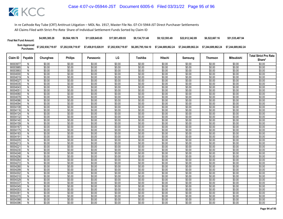| <b>Final Net Fund Amount:</b> | \$4,995,385.28     | \$9,564,189.78     | \$11,829,645,65    | \$17,001.459.93    | \$9.134.731.48     | \$9.122.593.49     | \$22,612,342.89    | \$6,522,667.16     | \$51,535,487.94    |
|-------------------------------|--------------------|--------------------|--------------------|--------------------|--------------------|--------------------|--------------------|--------------------|--------------------|
| Sum Approved<br>Purchases:    | \$7,202,938,719.97 | \$7,202,938,719.97 | \$7,458,815,028.91 | \$7,202,938,719.97 | \$6,285,795,184.10 | \$7.244.689.862.24 | \$7.244.689.862.24 | \$7.244.689.862.24 | \$7.244.689.862.24 |

| Claim ID             | Payable        | Chunghwa         | <b>Philips</b>   | Panasonic        | LG               | Toshiba          | Hitachi          | Samsung          | <b>Thomson</b>   | Mitsubishi       | <b>Total Strict Pro Rata</b> |
|----------------------|----------------|------------------|------------------|------------------|------------------|------------------|------------------|------------------|------------------|------------------|------------------------------|
|                      |                |                  |                  |                  |                  |                  |                  |                  |                  |                  | Share*                       |
| 90003977             | N              | \$0.00           | \$0.00           | \$0.00           | \$0.00           | \$0.00           | \$0.00           | \$0.00           | \$0.00           | \$0.00           | \$0.00                       |
| 90003985             | N              | \$0.00           | \$0.00           | \$0.00           | \$0.00           | \$0.00           | \$0.00           | \$0.00           | \$0.00           | \$0.00           | \$0.00                       |
| 90003993             | N              | \$0.00           | \$0.00           | \$0.00           | \$0.00           | \$0.00           | \$0.00           | \$0.00           | \$0.00           | \$0.00           | \$0.00                       |
| 90004000             | $\overline{N}$ | \$0.00           | \$0.00           | \$0.00           | \$0.00           | \$0.00           | \$0.00           | \$0.00           | \$0.00           | \$0.00           | \$0.00                       |
| 90004019             | N              | \$0.00           | \$0.00           | \$0.00           | \$0.00           | \$0.00           | \$0.00           | \$0.00           | \$0.00           | \$0.00           | \$0.00                       |
| 90004027             | N              | \$0.00           | \$0.00           | \$0.00           | \$0.00           | \$0.00           | \$0.00           | \$0.00           | \$0.00           | \$0.00           | \$0.00                       |
| 90004035             | $\overline{N}$ | \$0.00           | \$0.00           | \$0.00           | \$0.00           | \$0.00           | \$0.00           | \$0.00           | \$0.00           | \$0.00           | \$0.00                       |
| 90004043             | N              | \$0.00           | \$0.00           | \$0.00           | \$0.00           | \$0.00           | \$0.00           | \$0.00           | \$0.00           | \$0.00           | \$0.00                       |
| 90004051<br>90004060 | N              | \$0.00<br>\$0.00 | \$0.00           | \$0.00           | \$0.00           | \$0.00           | \$0.00           | \$0.00           | \$0.00           | \$0.00           | \$0.00                       |
|                      | N              |                  | \$0.00           | \$0.00           | \$0.00           | \$0.00           | \$0.00           | \$0.00           | \$0.00           | \$0.00           | \$0.00                       |
| 90004078<br>90004086 | N<br>N         | \$0.00<br>\$0.00 | \$0.00<br>\$0.00 | \$0.00<br>\$0.00 | \$0.00<br>\$0.00 | \$0.00<br>\$0.00 | \$0.00<br>\$0.00 | \$0.00<br>\$0.00 | \$0.00<br>\$0.00 | \$0.00<br>\$0.00 | \$0.00<br>\$0.00             |
| 90004094             | N              | \$0.00           | \$0.00           | \$0.00           | \$0.00           | \$0.00           | \$0.00           | \$0.00           | \$0.00           | \$0.00           | \$0.00                       |
| 90004108             | N              | \$0.00           | \$0.00           | \$0.00           | \$0.00           | \$0.00           | \$0.00           | \$0.00           | \$0.00           | \$0.00           | \$0.00                       |
| 90004116             | N              | \$0.00           | \$0.00           | \$0.00           | \$0.00           | \$0.00           | \$0.00           | \$0.00           | \$0.00           | \$0.00           | \$0.00                       |
| 90004124             | N              | \$0.00           | \$0.00           | \$0.00           | \$0.00           | \$0.00           | \$0.00           | \$0.00           | \$0.00           | \$0.00           | \$0.00                       |
| 90004132             | N              | \$0.00           | \$0.00           | \$0.00           | \$0.00           | \$0.00           | \$0.00           | \$0.00           | \$0.00           | \$0.00           | \$0.00                       |
| 90004140             | $\overline{N}$ | \$0.00           | \$0.00           | \$0.00           | \$0.00           | \$0.00           | \$0.00           | \$0.00           | \$0.00           | \$0.00           | \$0.00                       |
| 90004159             | N              | \$0.00           | \$0.00           | \$0.00           | \$0.00           | \$0.00           | \$0.00           | \$0.00           | \$0.00           | \$0.00           | \$0.00                       |
| 90004167             | N              | \$0.00           | \$0.00           | \$0.00           | \$0.00           | \$0.00           | \$0.00           | \$0.00           | \$0.00           | \$0.00           | \$0.00                       |
| 90004175             | N              | \$0.00           | \$0.00           | \$0.00           | \$0.00           | \$0.00           | \$0.00           | \$0.00           | \$0.00           | \$0.00           | \$0.00                       |
| 90004183             | N              | \$0.00           | \$0.00           | \$0.00           | \$0.00           | \$0.00           | \$0.00           | \$0.00           | \$0.00           | \$0.00           | \$0.00                       |
| 90004191             | N              | \$0.00           | \$0.00           | \$0.00           | \$0.00           | \$0.00           | \$0.00           | \$0.00           | \$0.00           | \$0.00           | \$0.00                       |
| 90004205             | N              | \$0.00           | \$0.00           | \$0.00           | \$0.00           | \$0.00           | \$0.00           | \$0.00           | \$0.00           | \$0.00           | \$0.00                       |
| 90004213             | N              | \$0.00           | \$0.00           | \$0.00           | \$0.00           | \$0.00           | \$0.00           | \$0.00           | \$0.00           | \$0.00           | \$0.00                       |
| 90004221             | $\overline{N}$ | \$0.00           | \$0.00           | \$0.00           | \$0.00           | \$0.00           | \$0.00           | \$0.00           | \$0.00           | \$0.00           | \$0.00                       |
| 90004230             | N              | \$0.00           | \$0.00           | \$0.00           | \$0.00           | \$0.00           | \$0.00           | \$0.00           | \$0.00           | \$0.00           | \$0.00                       |
| 90004248             | N              | \$0.00           | \$0.00           | \$0.00           | \$0.00           | \$0.00           | \$0.00           | \$0.00           | \$0.00           | \$0.00           | \$0.00                       |
| 90004256             | N              | \$0.00           | \$0.00           | \$0.00           | \$0.00           | \$0.00           | \$0.00           | \$0.00           | \$0.00           | \$0.00           | \$0.00                       |
| 90004264             | N              | \$0.00           | \$0.00           | \$0.00           | \$0.00           | \$0.00           | \$0.00           | \$0.00           | \$0.00           | \$0.00           | \$0.00                       |
| 90004272             | N              | \$0.00           | \$0.00           | \$0.00           | \$0.00           | \$0.00           | \$0.00           | \$0.00           | \$0.00           | \$0.00           | \$0.00                       |
| 90004280             | N              | \$0.00           | \$0.00           | \$0.00           | \$0.00           | \$0.00           | \$0.00           | \$0.00           | \$0.00           | \$0.00           | \$0.00                       |
| 90004299             | $\mathsf{N}$   | \$0.00           | \$0.00           | \$0.00           | \$0.00           | \$0.00           | \$0.00           | \$0.00           | \$0.00           | \$0.00           | \$0.00                       |
| 90004302             | N              | \$0.00           | \$0.00           | \$0.00           | \$0.00           | \$0.00           | \$0.00           | \$0.00           | \$0.00           | \$0.00           | \$0.00                       |
| 90004310             | N              | \$0.00           | \$0.00           | \$0.00           | \$0.00           | \$0.00           | \$0.00           | \$0.00           | \$0.00           | \$0.00           | \$0.00                       |
| 90004329             | N              | \$0.00           | \$0.00           | \$0.00           | \$0.00           | \$0.00           | \$0.00           | \$0.00           | \$0.00           | \$0.00           | \$0.00                       |
| 90004337             | N              | \$0.00           | \$0.00           | \$0.00           | \$0.00           | \$0.00           | \$0.00           | \$0.00           | \$0.00           | \$0.00           | \$0.00                       |
| 90004345             | N              | \$0.00           | \$0.00           | \$0.00           | \$0.00           | \$0.00           | \$0.00           | \$0.00           | \$0.00           | \$0.00           | \$0.00                       |
| 90004353             | N              | \$0.00           | \$0.00           | \$0.00           | \$0.00           | \$0.00           | \$0.00           | \$0.00           | \$0.00           | \$0.00           | \$0.00                       |
| 90004361             | N              | \$0.00           | \$0.00           | \$0.00           | \$0.00           | \$0.00           | \$0.00           | \$0.00           | \$0.00           | \$0.00           | \$0.00                       |
| 90004370             | N              | \$0.00           | \$0.00           | \$0.00           | \$0.00           | \$0.00           | \$0.00           | \$0.00           | \$0.00           | \$0.00           | \$0.00                       |
| 90004388             | Ν              | \$0.00           | \$0.00           | \$0.00           | \$0.00           | \$0.00           | \$0.00           | \$0.00           | \$0.00           | \$0.00           | \$0.00                       |
| 90004396             | N              | \$0.00           | \$0.00           | \$0.00           | \$0.00           | \$0.00           | \$0.00           | \$0.00           | \$0.00           | \$0.00           | \$0.00                       |